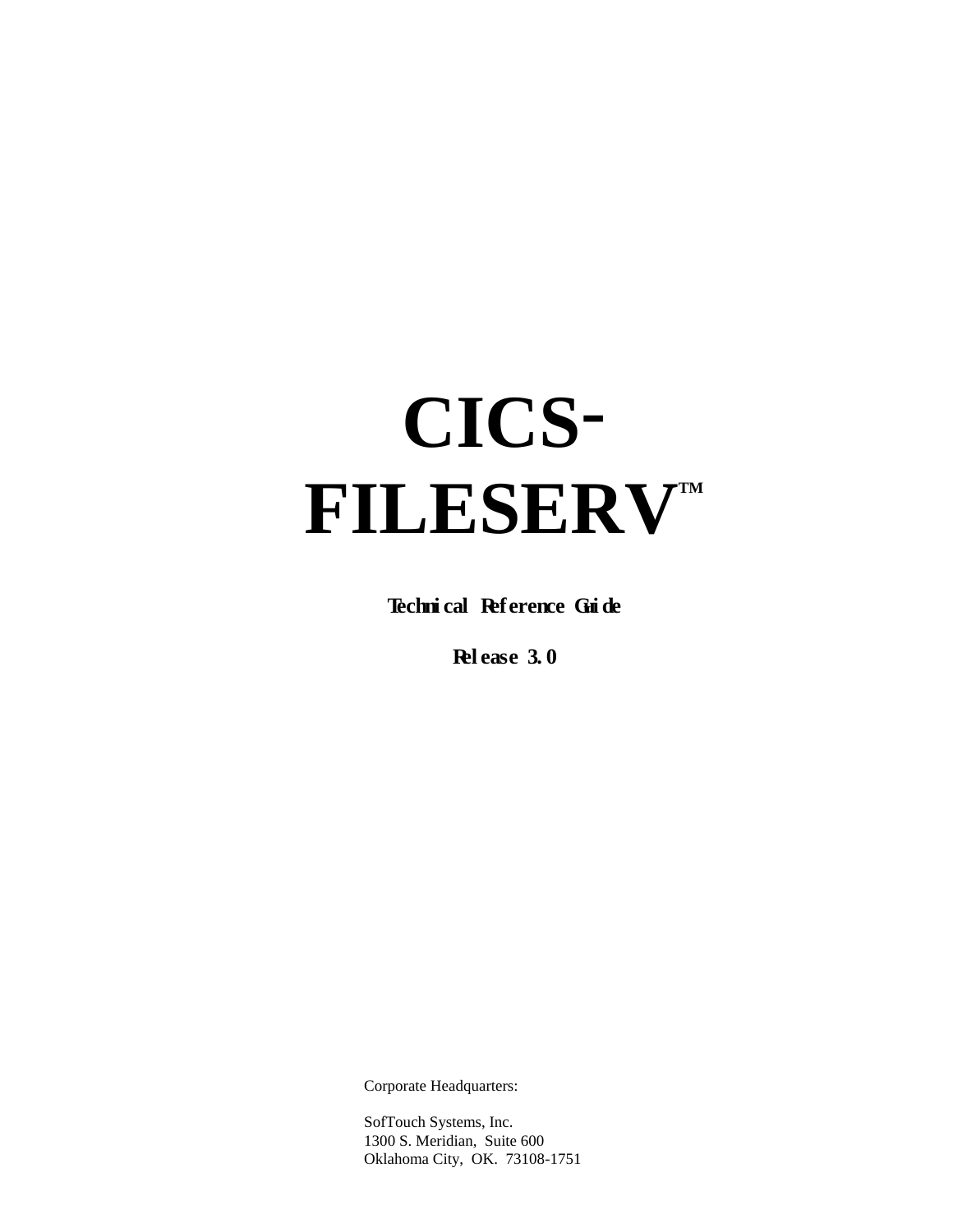# **CICS-** $\mathbf{FILESERV}^{m}$

**Techni cal Reference Gui de** 

**Rel ease 3. 0** 

Corporate Headquarters:

SofTouch Systems, Inc. 1300 S. Meridian, Suite 600 Oklahoma City, OK. 73108-1751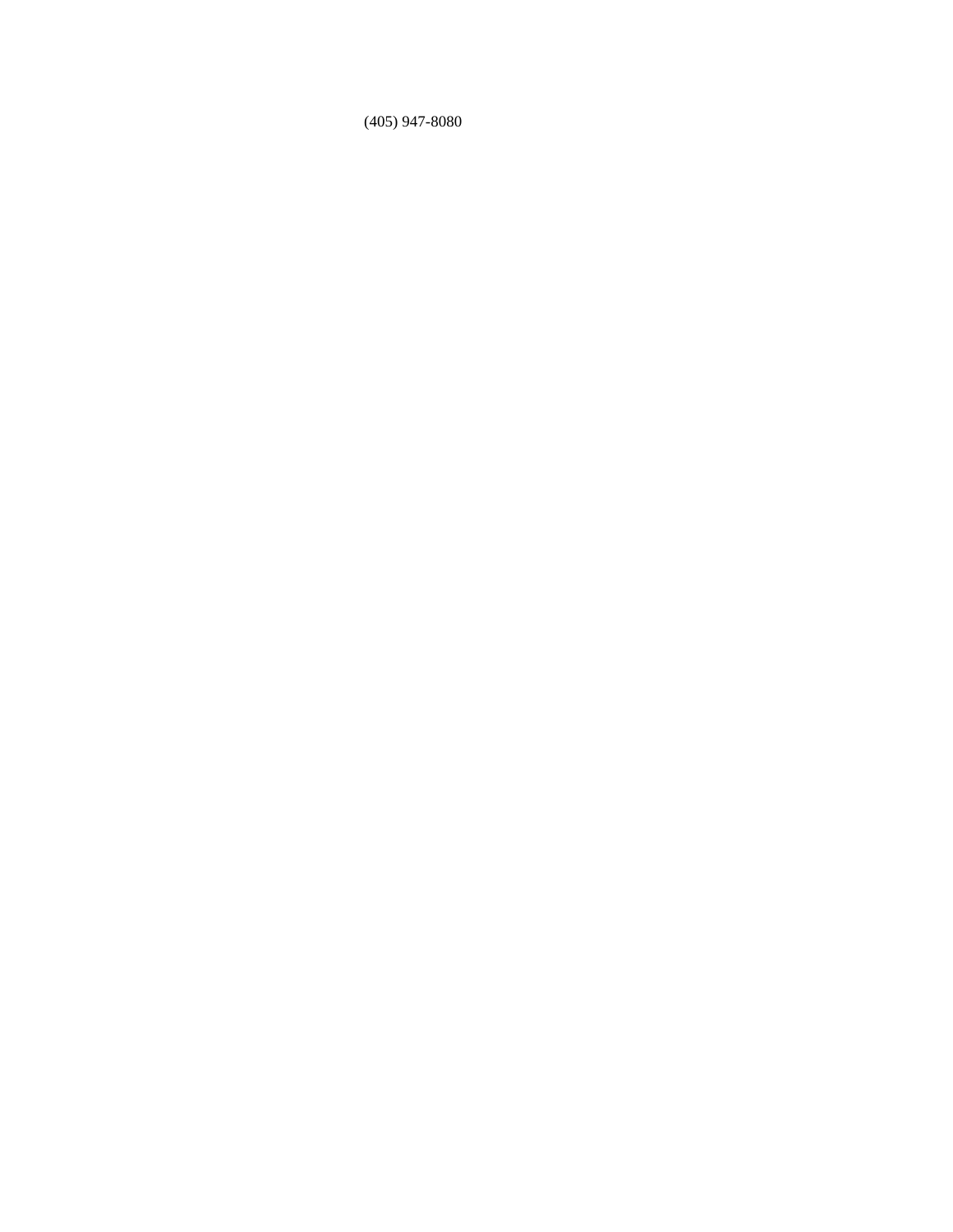(405) 947-8080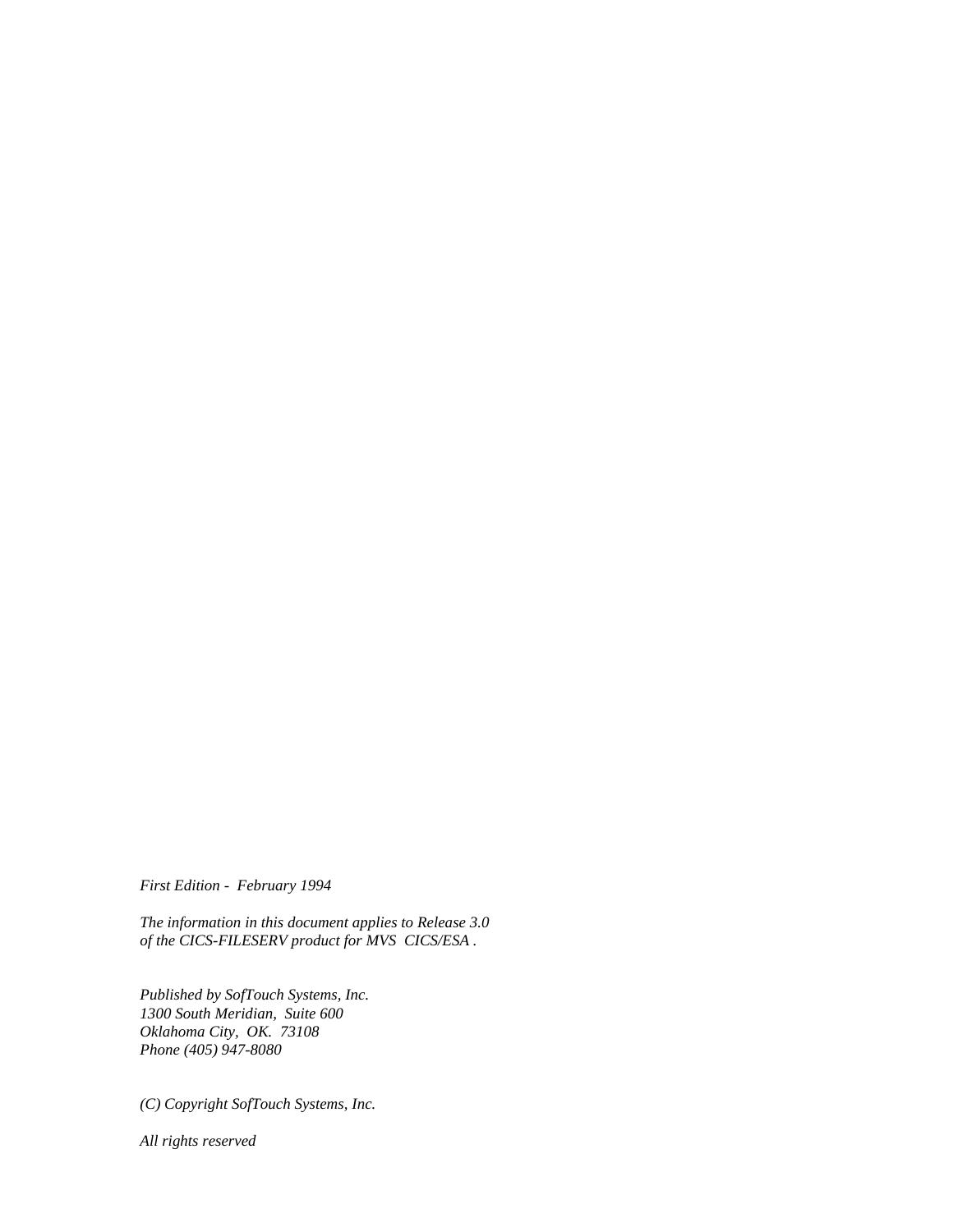*First Edition - February 1994* 

*The information in this document applies to Release 3.0 of the CICS-FILESERV product for MVS CICS/ESA .* 

*Published by SofTouch Systems, Inc. 1300 South Meridian, Suite 600 Oklahoma City, OK. 73108 Phone (405) 947-8080* 

*(C) Copyright SofTouch Systems, Inc.* 

*All rights reserved*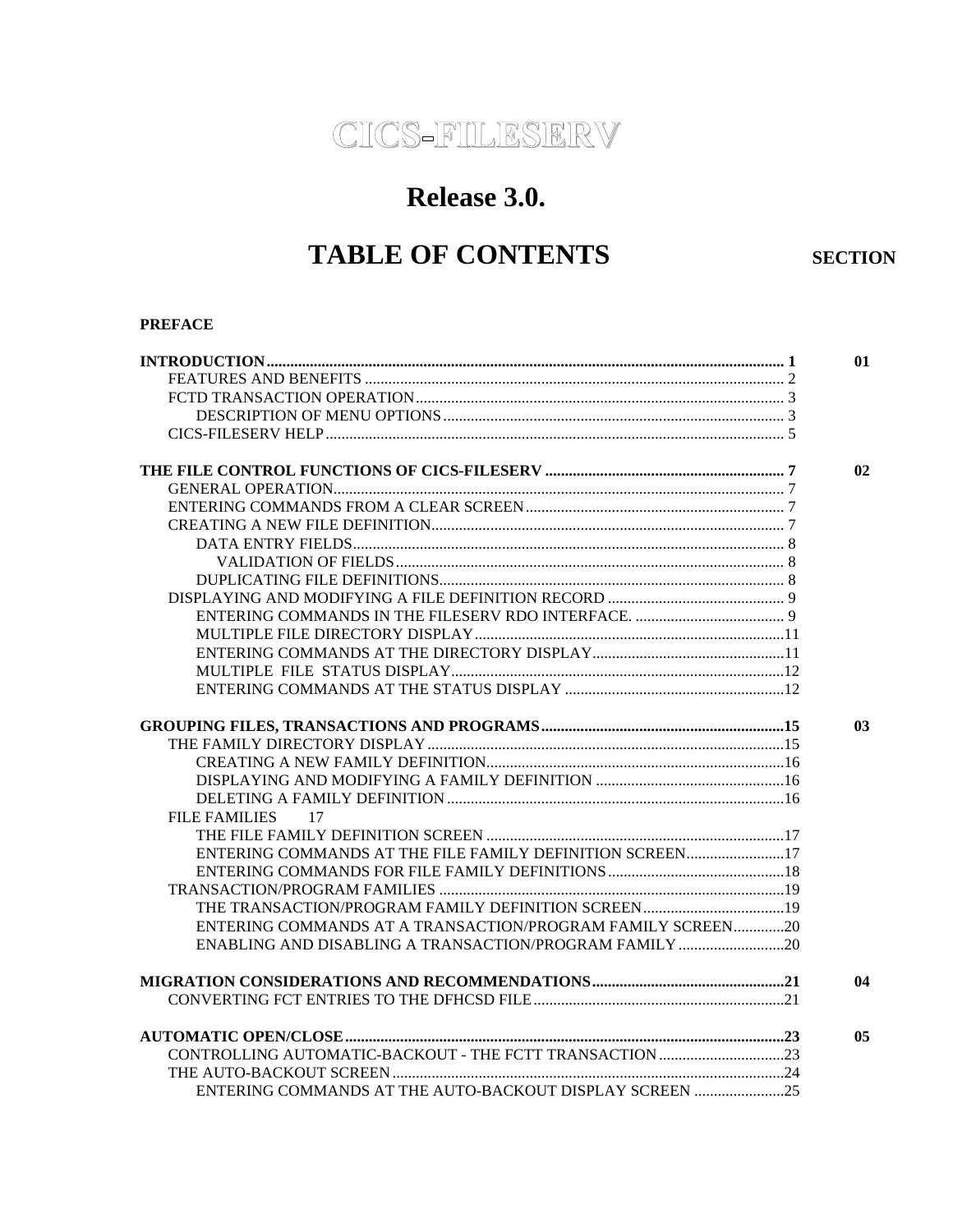# **CICS-FILESERV**

# **Release 3.0.**

# **TABLE OF CONTENTS** SECTION

**PREFACE** 

|                                                            | 01             |
|------------------------------------------------------------|----------------|
|                                                            |                |
|                                                            |                |
|                                                            |                |
|                                                            |                |
|                                                            |                |
|                                                            | 02             |
|                                                            |                |
|                                                            |                |
|                                                            |                |
|                                                            |                |
|                                                            |                |
|                                                            |                |
|                                                            |                |
|                                                            |                |
|                                                            |                |
|                                                            |                |
|                                                            |                |
|                                                            |                |
|                                                            |                |
|                                                            | 03             |
|                                                            |                |
|                                                            |                |
|                                                            |                |
|                                                            |                |
| FILE FAMILIES 17                                           |                |
|                                                            |                |
| ENTERING COMMANDS AT THE FILE FAMILY DEFINITION SCREEN17   |                |
|                                                            |                |
|                                                            |                |
|                                                            |                |
| ENTERING COMMANDS AT A TRANSACTION/PROGRAM FAMILY SCREEN20 |                |
|                                                            |                |
|                                                            |                |
|                                                            | 04             |
|                                                            |                |
|                                                            |                |
|                                                            | 0 <sub>5</sub> |
|                                                            |                |
|                                                            |                |
| ENTERING COMMANDS AT THE AUTO-BACKOUT DISPLAY SCREEN 25    |                |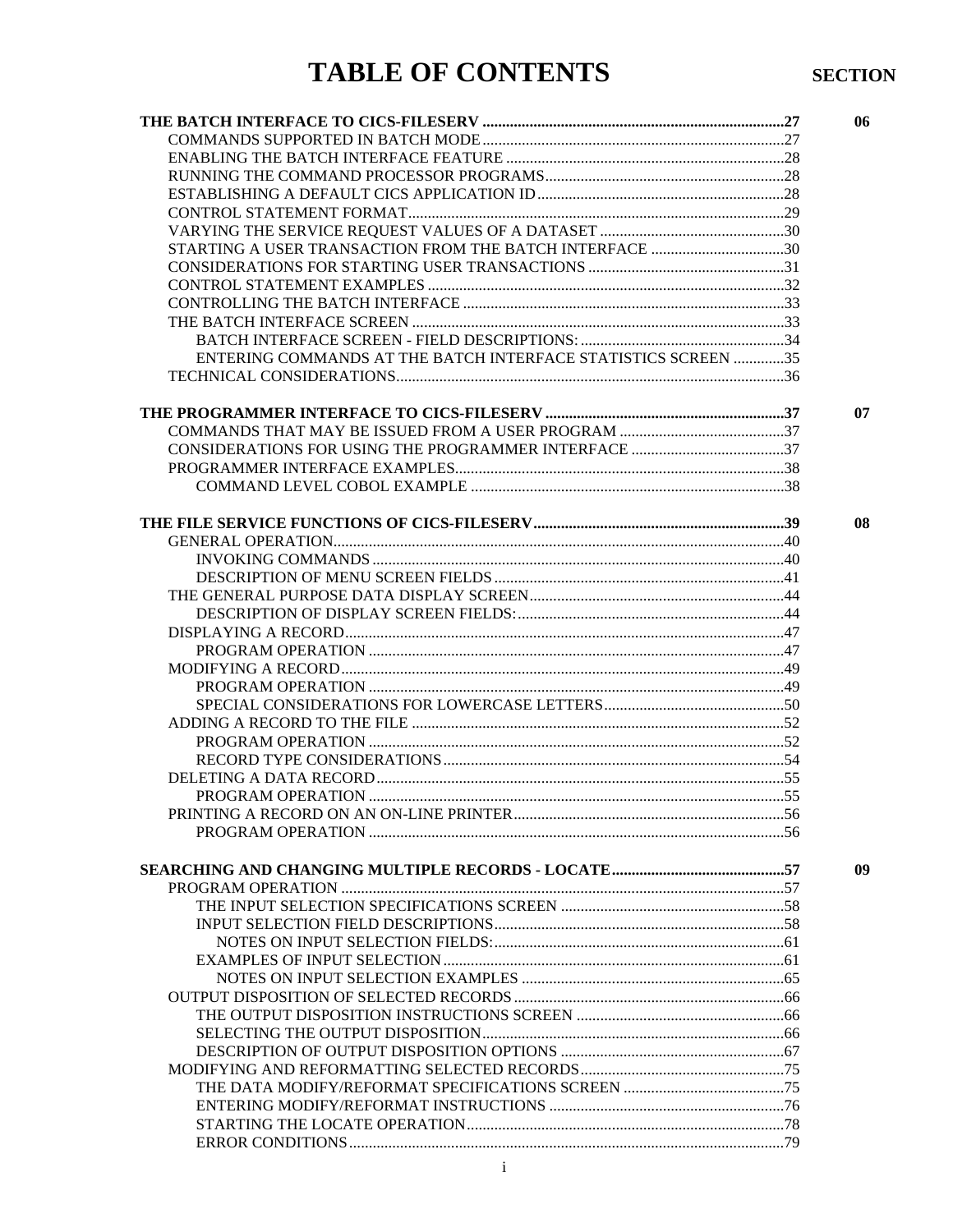# **TABLE OF CONTENTS**

|                                                               | 06 |
|---------------------------------------------------------------|----|
|                                                               |    |
|                                                               |    |
|                                                               |    |
|                                                               |    |
|                                                               |    |
|                                                               |    |
| STARTING A USER TRANSACTION FROM THE BATCH INTERFACE 30       |    |
|                                                               |    |
|                                                               |    |
|                                                               |    |
|                                                               |    |
|                                                               |    |
| ENTERING COMMANDS AT THE BATCH INTERFACE STATISTICS SCREEN 35 |    |
|                                                               |    |
|                                                               | 07 |
|                                                               |    |
|                                                               |    |
|                                                               |    |
|                                                               |    |
|                                                               |    |
|                                                               | 08 |
|                                                               |    |
|                                                               |    |
|                                                               |    |
|                                                               |    |
|                                                               |    |
|                                                               |    |
|                                                               |    |
|                                                               |    |
|                                                               |    |
|                                                               |    |
|                                                               |    |
|                                                               |    |
|                                                               |    |
|                                                               |    |
|                                                               |    |
|                                                               |    |
|                                                               |    |
|                                                               |    |
|                                                               | 09 |
|                                                               |    |
|                                                               |    |
|                                                               |    |
|                                                               |    |
|                                                               |    |
|                                                               |    |
|                                                               |    |
|                                                               |    |
|                                                               |    |
|                                                               |    |
|                                                               |    |
|                                                               |    |
|                                                               |    |
|                                                               |    |
|                                                               |    |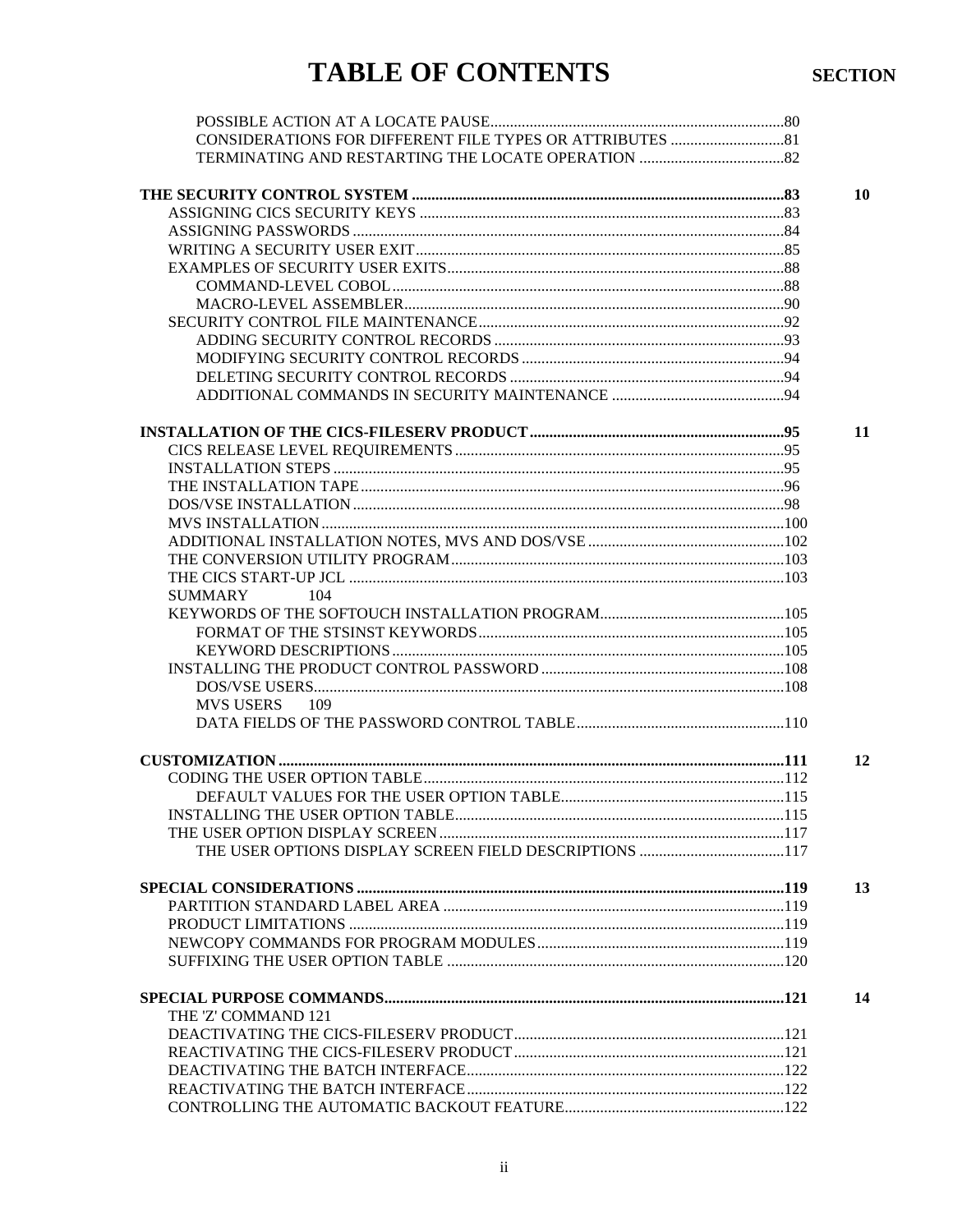# **TABLE OF CONTENTS**

|                                                        | 10 |
|--------------------------------------------------------|----|
|                                                        |    |
|                                                        |    |
|                                                        |    |
|                                                        |    |
|                                                        |    |
|                                                        |    |
|                                                        |    |
|                                                        |    |
|                                                        |    |
|                                                        |    |
|                                                        |    |
|                                                        | 11 |
|                                                        |    |
|                                                        |    |
|                                                        |    |
|                                                        |    |
|                                                        |    |
|                                                        |    |
|                                                        |    |
|                                                        |    |
| 104<br><b>SUMMARY</b>                                  |    |
|                                                        |    |
|                                                        |    |
|                                                        |    |
|                                                        |    |
|                                                        |    |
| <b>MVS USERS</b><br>- 109                              |    |
|                                                        |    |
|                                                        | 12 |
|                                                        |    |
|                                                        |    |
|                                                        |    |
| THE USER OPTIONS DISPLAY SCREEN FIELD DESCRIPTIONS 117 |    |
|                                                        |    |
|                                                        | 13 |
|                                                        |    |
|                                                        |    |
|                                                        |    |
|                                                        |    |
|                                                        | 14 |
| THE 'Z' COMMAND 121                                    |    |
|                                                        |    |
|                                                        |    |
|                                                        |    |
|                                                        |    |
|                                                        |    |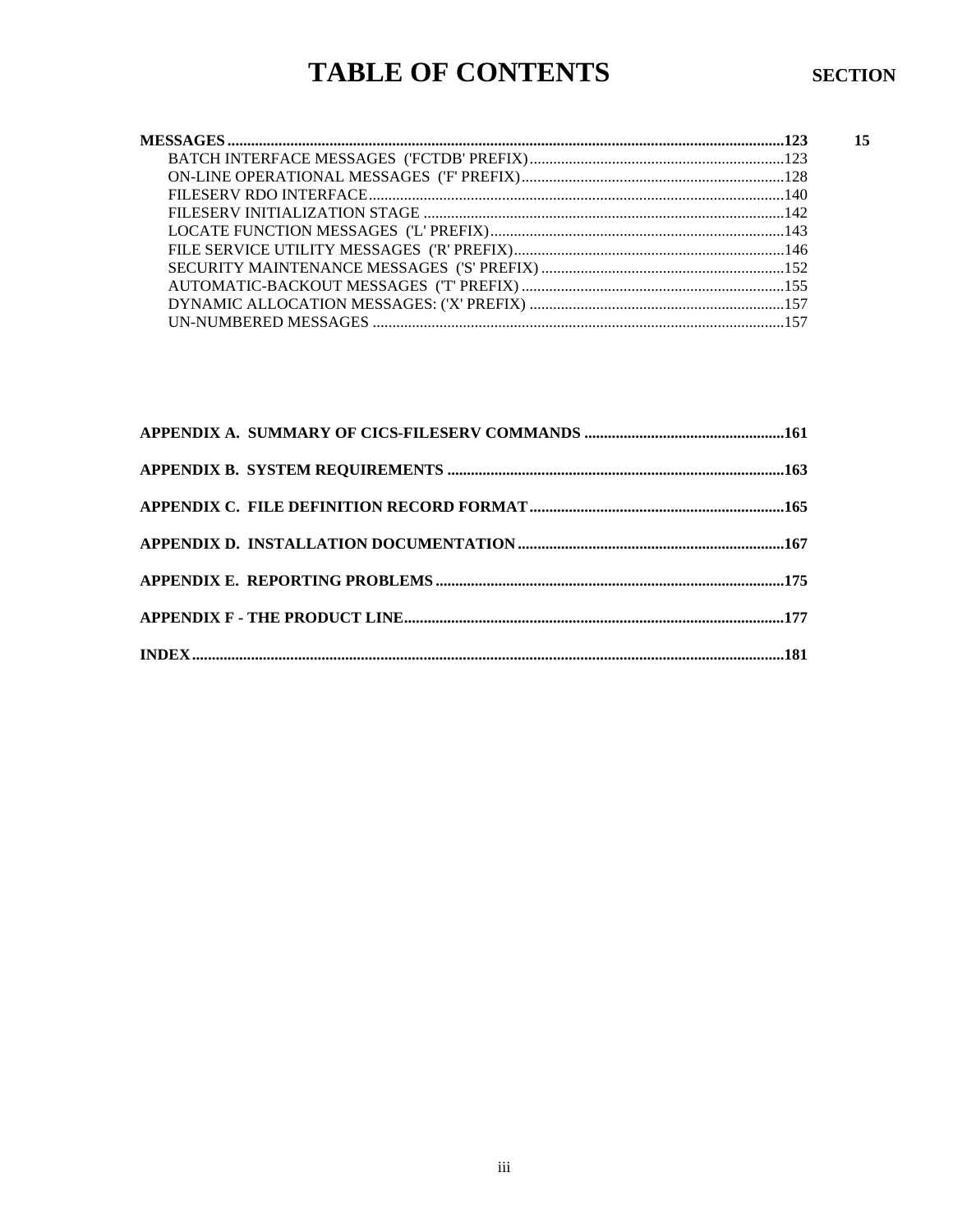# **TABLE OF CONTENTS**

 $15$ 

| APPENDIX A.  SUMMARY OF CICS-FILESERV COMMANDS ………………………………………………161 |  |
|----------------------------------------------------------------------|--|
|                                                                      |  |
|                                                                      |  |
|                                                                      |  |
|                                                                      |  |
|                                                                      |  |
|                                                                      |  |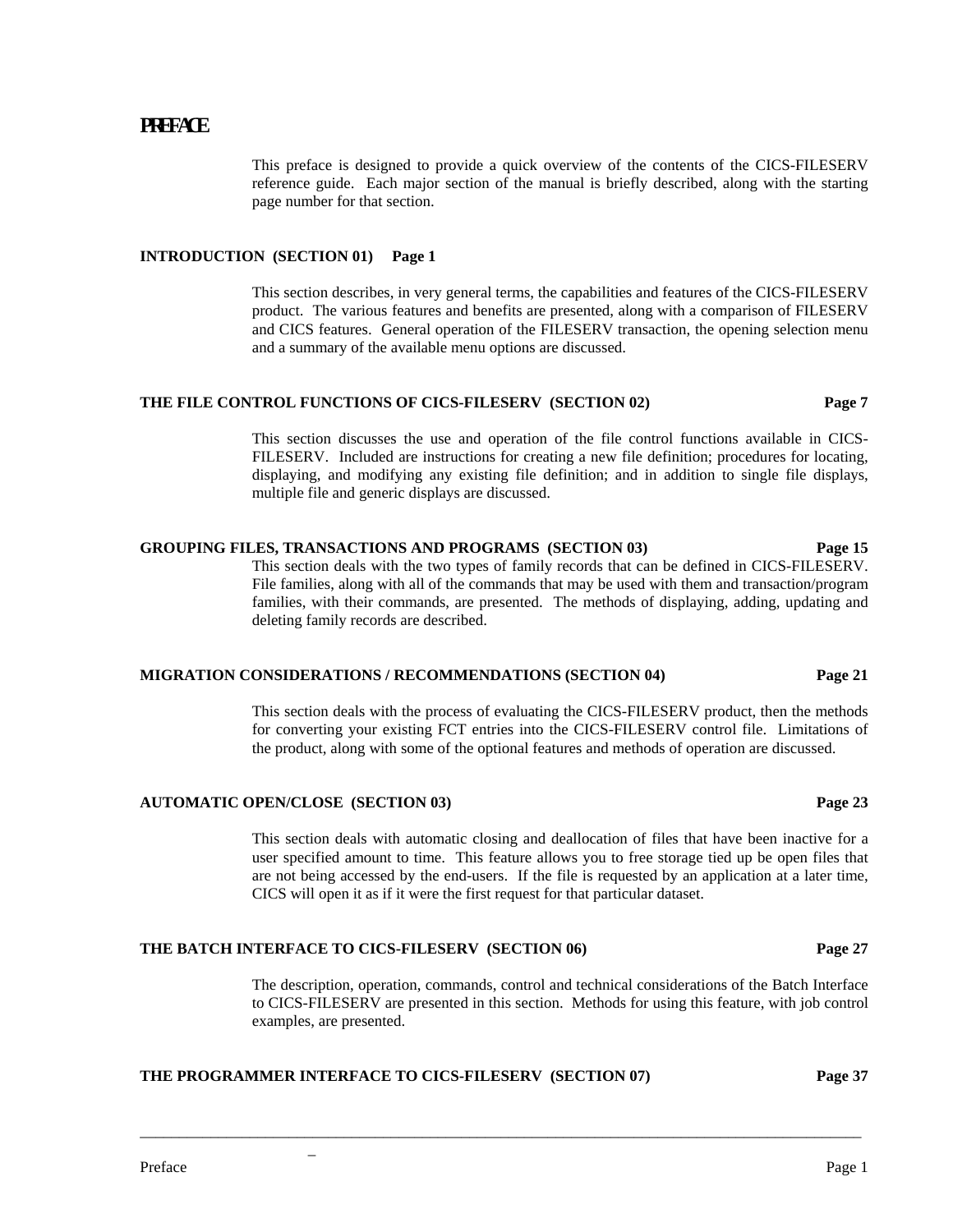# **PREFACE**

This preface is designed to provide a quick overview of the contents of the CICS-FILESERV reference guide. Each major section of the manual is briefly described, along with the starting page number for that section.

# **INTRODUCTION (SECTION 01) Page 1**

This section describes, in very general terms, the capabilities and features of the CICS-FILESERV product. The various features and benefits are presented, along with a comparison of FILESERV and CICS features. General operation of the FILESERV transaction, the opening selection menu and a summary of the available menu options are discussed.

### **THE FILE CONTROL FUNCTIONS OF CICS-FILESERV (SECTION 02) Page 7**

This section discusses the use and operation of the file control functions available in CICS-FILESERV. Included are instructions for creating a new file definition; procedures for locating, displaying, and modifying any existing file definition; and in addition to single file displays, multiple file and generic displays are discussed.

#### **GROUPING FILES, TRANSACTIONS AND PROGRAMS (SECTION 03) Page 15**

This section deals with the two types of family records that can be defined in CICS-FILESERV. File families, along with all of the commands that may be used with them and transaction/program families, with their commands, are presented. The methods of displaying, adding, updating and deleting family records are described.

#### **MIGRATION CONSIDERATIONS / RECOMMENDATIONS (SECTION 04) Page 21**

This section deals with the process of evaluating the CICS-FILESERV product, then the methods for converting your existing FCT entries into the CICS-FILESERV control file. Limitations of the product, along with some of the optional features and methods of operation are discussed.

### **AUTOMATIC OPEN/CLOSE (SECTION 03) Page 23**

 $\overline{a}$ 

This section deals with automatic closing and deallocation of files that have been inactive for a user specified amount to time. This feature allows you to free storage tied up be open files that are not being accessed by the end-users. If the file is requested by an application at a later time, CICS will open it as if it were the first request for that particular dataset.

# **THE BATCH INTERFACE TO CICS-FILESERV (SECTION 06) Page 27 Page 27**

The description, operation, commands, control and technical considerations of the Batch Interface to CICS-FILESERV are presented in this section. Methods for using this feature, with job control examples, are presented.

\_\_\_\_\_\_\_\_\_\_\_\_\_\_\_\_\_\_\_\_\_\_\_\_\_\_\_\_\_\_\_\_\_\_\_\_\_\_\_\_\_\_\_\_\_\_\_\_\_\_\_\_\_\_\_\_\_\_\_\_\_\_\_\_\_\_\_\_\_\_\_\_\_\_\_\_\_\_\_\_\_\_\_\_\_\_\_\_\_\_\_\_

# **THE PROGRAMMER INTERFACE TO CICS-FILESERV (SECTION 07) Page 37**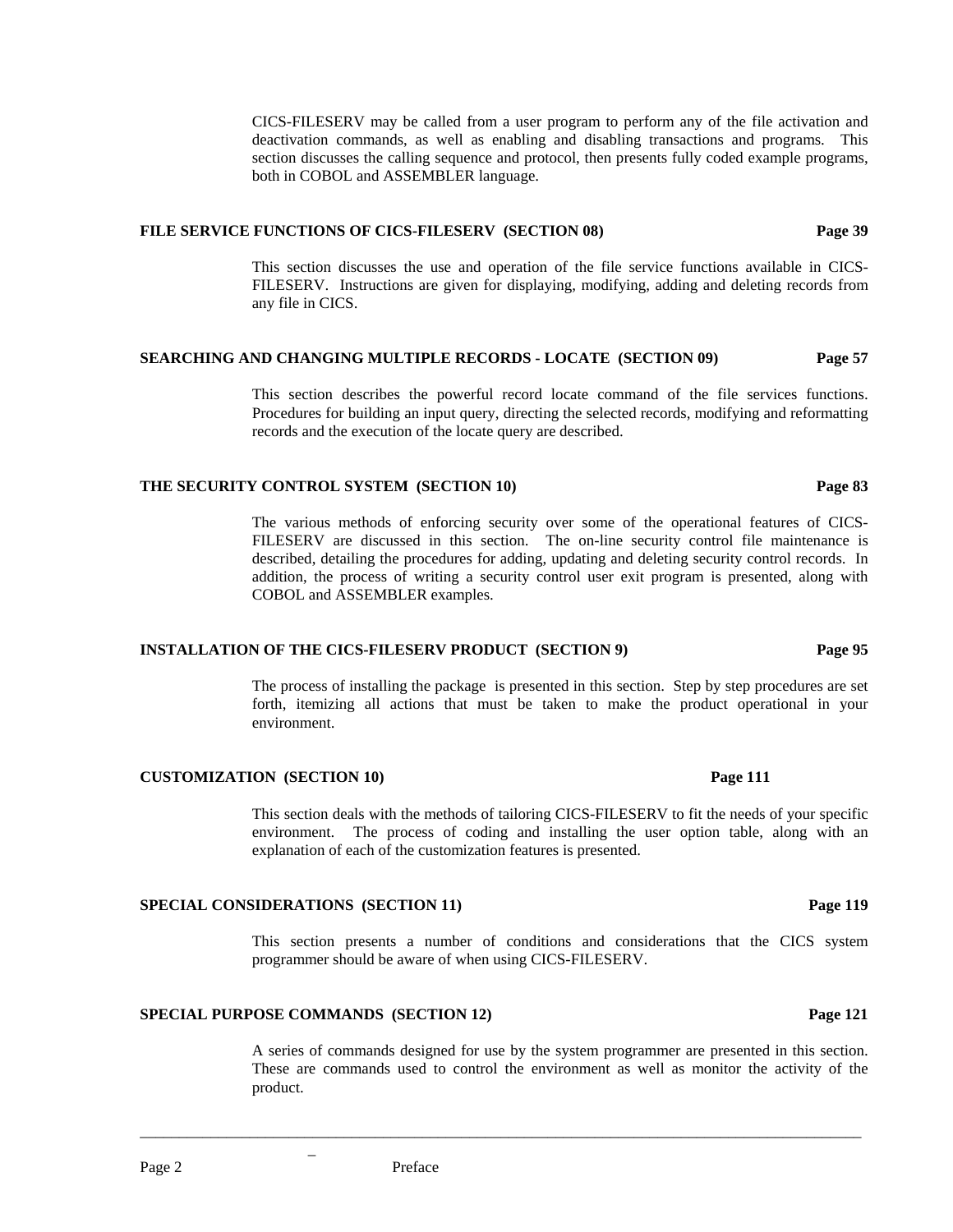CICS-FILESERV may be called from a user program to perform any of the file activation and deactivation commands, as well as enabling and disabling transactions and programs. This section discusses the calling sequence and protocol, then presents fully coded example programs, both in COBOL and ASSEMBLER language.

# **FILE SERVICE FUNCTIONS OF CICS-FILESERV (SECTION 08) Page 39**

This section discusses the use and operation of the file service functions available in CICS-FILESERV. Instructions are given for displaying, modifying, adding and deleting records from any file in CICS.

### **SEARCHING AND CHANGING MULTIPLE RECORDS - LOCATE (SECTION 09) Page 57**

This section describes the powerful record locate command of the file services functions. Procedures for building an input query, directing the selected records, modifying and reformatting records and the execution of the locate query are described.

### **THE SECURITY CONTROL SYSTEM (SECTION 10) Page 83**

The various methods of enforcing security over some of the operational features of CICS-FILESERV are discussed in this section. The on-line security control file maintenance is described, detailing the procedures for adding, updating and deleting security control records. In addition, the process of writing a security control user exit program is presented, along with COBOL and ASSEMBLER examples.

#### **INSTALLATION OF THE CICS-FILESERV PRODUCT (SECTION 9)** Page 95

The process of installing the package is presented in this section. Step by step procedures are set forth, itemizing all actions that must be taken to make the product operational in your environment.

# **CUSTOMIZATION (SECTION 10) Page 111**

This section deals with the methods of tailoring CICS-FILESERV to fit the needs of your specific environment. The process of coding and installing the user option table, along with an explanation of each of the customization features is presented.

#### **SPECIAL CONSIDERATIONS (SECTION 11)** Page 119

This section presents a number of conditions and considerations that the CICS system programmer should be aware of when using CICS-FILESERV.

#### **SPECIAL PURPOSE COMMANDS (SECTION 12)** Page 121

 $\overline{a}$ 

A series of commands designed for use by the system programmer are presented in this section. These are commands used to control the environment as well as monitor the activity of the product.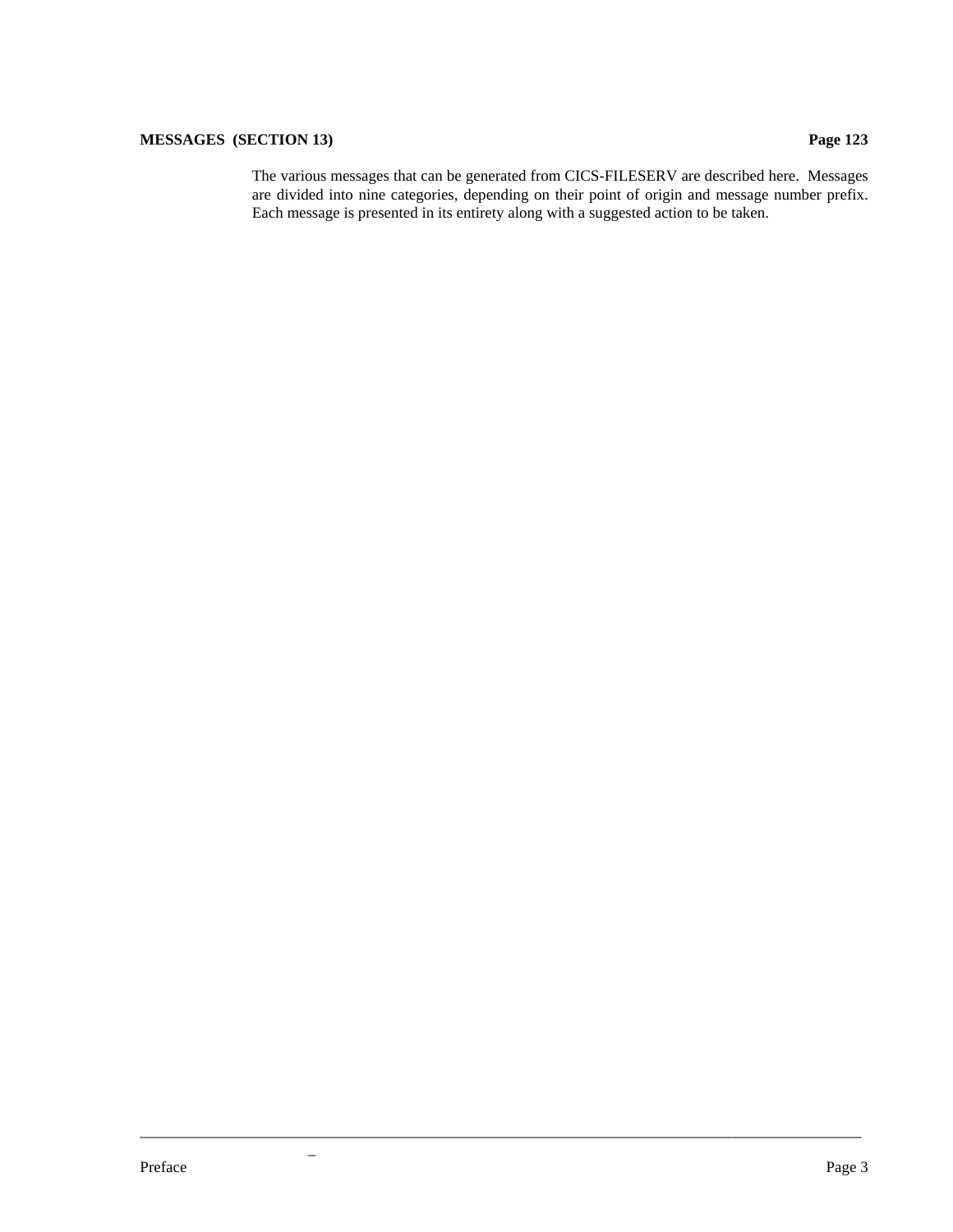The various messages that can be generated from CICS-FILESERV are described here. Messages are divided into nine categories, depending on their point of origin and message number prefix. Each message is presented in its entirety along with a suggested action to be taken.

\_\_\_\_\_\_\_\_\_\_\_\_\_\_\_\_\_\_\_\_\_\_\_\_\_\_\_\_\_\_\_\_\_\_\_\_\_\_\_\_\_\_\_\_\_\_\_\_\_\_\_\_\_\_\_\_\_\_\_\_\_\_\_\_\_\_\_\_\_\_\_\_\_\_\_\_\_\_\_\_\_\_\_\_\_\_\_\_\_\_\_\_

 $\equiv$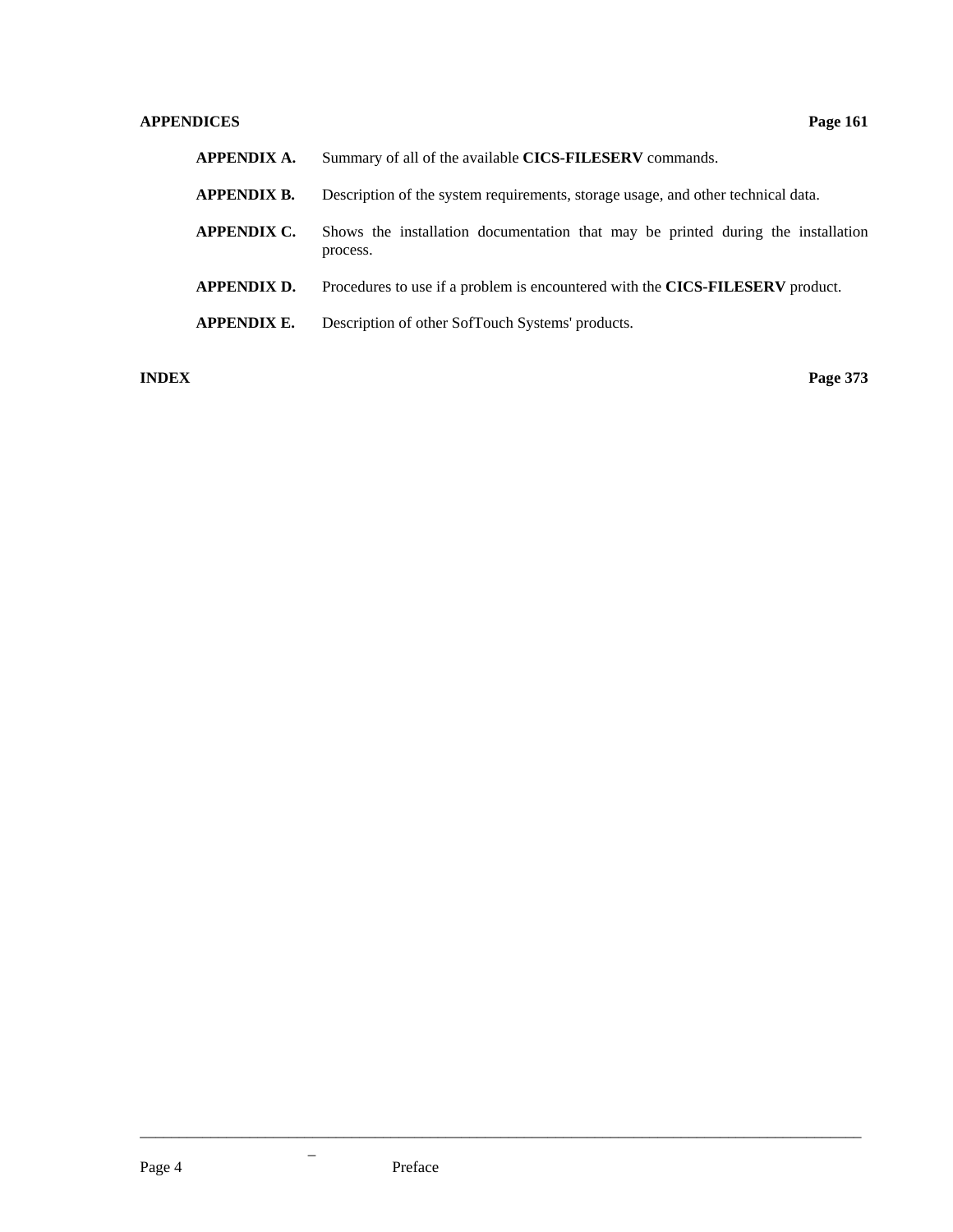# **APPENDICES Page 161**

| <b>APPENDIX A.</b> | Summary of all of the available CICS-FILESERV commands.                                      |
|--------------------|----------------------------------------------------------------------------------------------|
| APPENDIX B.        | Description of the system requirements, storage usage, and other technical data.             |
| <b>APPENDIX C.</b> | Shows the installation documentation that may be printed during the installation<br>process. |
| APPENDIX D.        | Procedures to use if a problem is encountered with the CICS-FILESERV product.                |
| APPENDIX E.        | Description of other SofTouch Systems' products.                                             |
|                    |                                                                                              |

**INDEX** Page 373

 $\equiv$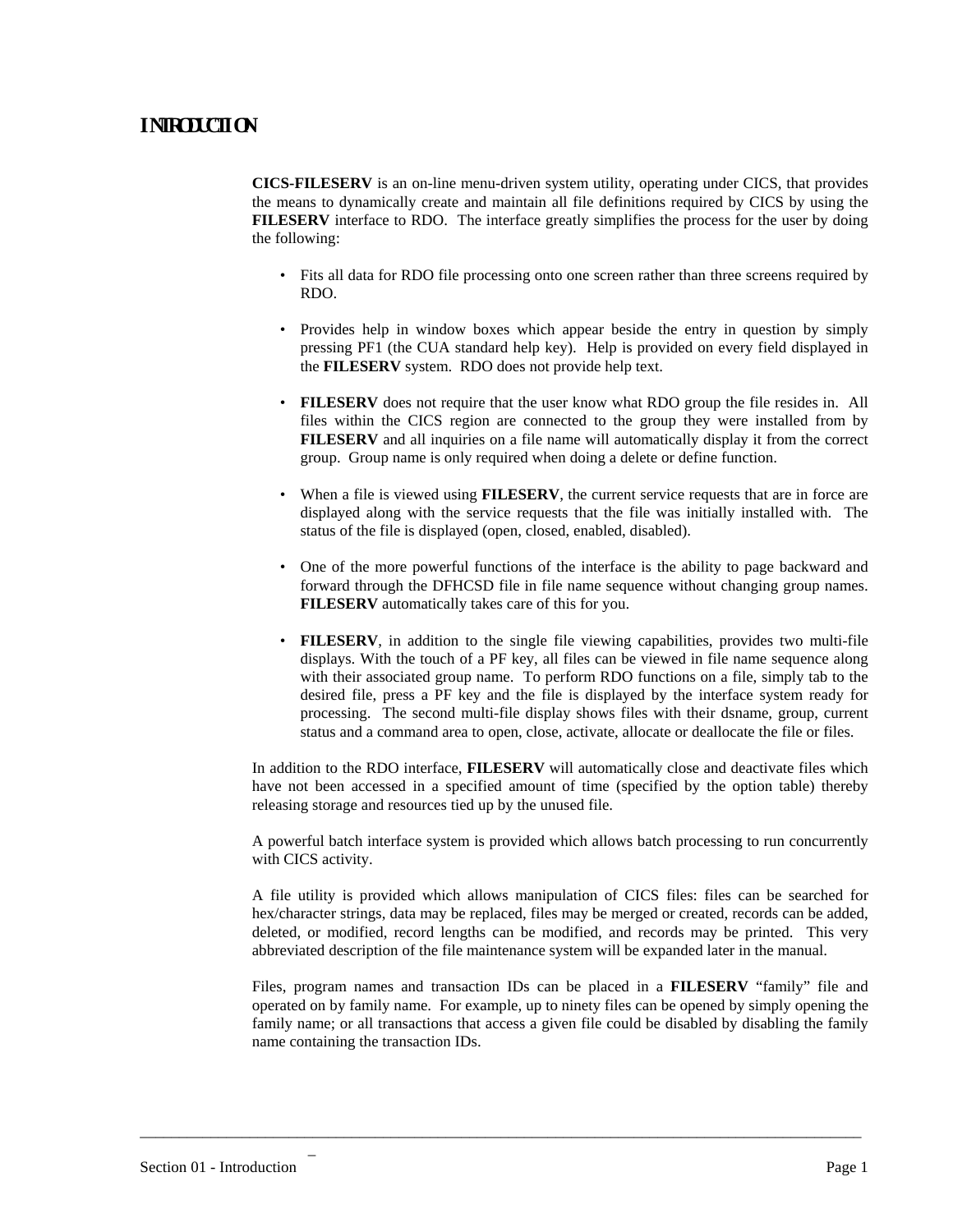# **INTRODUCTION**

**CICS-FILESERV** is an on-line menu-driven system utility, operating under CICS, that provides the means to dynamically create and maintain all file definitions required by CICS by using the **FILESERV** interface to RDO. The interface greatly simplifies the process for the user by doing the following:

- Fits all data for RDO file processing onto one screen rather than three screens required by RDO.
- Provides help in window boxes which appear beside the entry in question by simply pressing PF1 (the CUA standard help key). Help is provided on every field displayed in the **FILESERV** system. RDO does not provide help text.
- **FILESERV** does not require that the user know what RDO group the file resides in. All files within the CICS region are connected to the group they were installed from by **FILESERV** and all inquiries on a file name will automatically display it from the correct group. Group name is only required when doing a delete or define function.
- When a file is viewed using **FILESERV**, the current service requests that are in force are displayed along with the service requests that the file was initially installed with. The status of the file is displayed (open, closed, enabled, disabled).
- One of the more powerful functions of the interface is the ability to page backward and forward through the DFHCSD file in file name sequence without changing group names. **FILESERV** automatically takes care of this for you.
- **FILESERV**, in addition to the single file viewing capabilities, provides two multi-file displays. With the touch of a PF key, all files can be viewed in file name sequence along with their associated group name. To perform RDO functions on a file, simply tab to the desired file, press a PF key and the file is displayed by the interface system ready for processing. The second multi-file display shows files with their dsname, group, current status and a command area to open, close, activate, allocate or deallocate the file or files.

In addition to the RDO interface, **FILESERV** will automatically close and deactivate files which have not been accessed in a specified amount of time (specified by the option table) thereby releasing storage and resources tied up by the unused file.

A powerful batch interface system is provided which allows batch processing to run concurrently with CICS activity.

A file utility is provided which allows manipulation of CICS files: files can be searched for hex/character strings, data may be replaced, files may be merged or created, records can be added, deleted, or modified, record lengths can be modified, and records may be printed. This very abbreviated description of the file maintenance system will be expanded later in the manual.

Files, program names and transaction IDs can be placed in a **FILESERV** "family" file and operated on by family name. For example, up to ninety files can be opened by simply opening the family name; or all transactions that access a given file could be disabled by disabling the family name containing the transaction IDs.

\_\_\_\_\_\_\_\_\_\_\_\_\_\_\_\_\_\_\_\_\_\_\_\_\_\_\_\_\_\_\_\_\_\_\_\_\_\_\_\_\_\_\_\_\_\_\_\_\_\_\_\_\_\_\_\_\_\_\_\_\_\_\_\_\_\_\_\_\_\_\_\_\_\_\_\_\_\_\_\_\_\_\_\_\_\_\_\_\_\_\_\_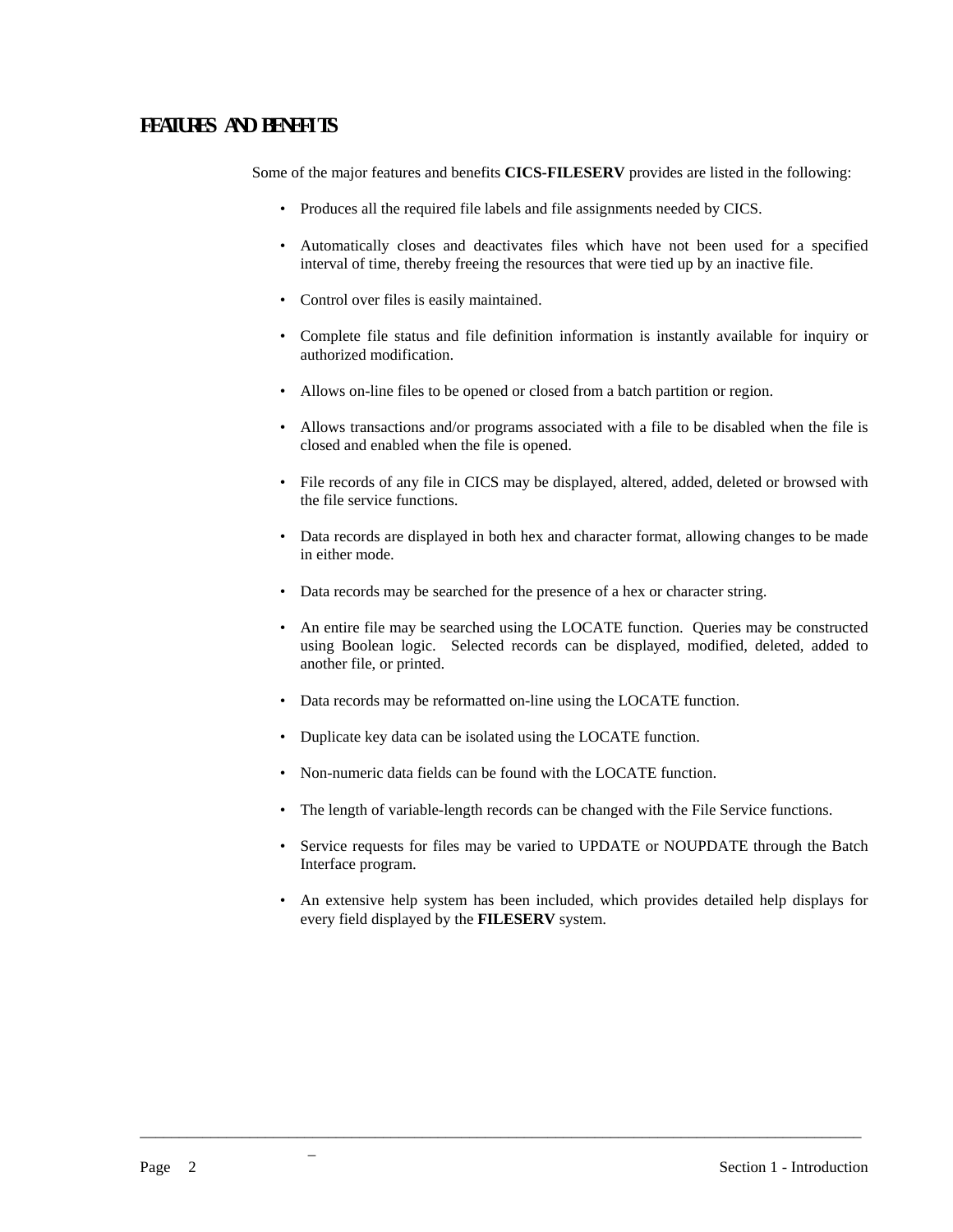# **FEATURES AND BENEFITS**

Some of the major features and benefits **CICS-FILESERV** provides are listed in the following:

- Produces all the required file labels and file assignments needed by CICS.
- Automatically closes and deactivates files which have not been used for a specified interval of time, thereby freeing the resources that were tied up by an inactive file.
- Control over files is easily maintained.
- Complete file status and file definition information is instantly available for inquiry or authorized modification.
- Allows on-line files to be opened or closed from a batch partition or region.
- Allows transactions and/or programs associated with a file to be disabled when the file is closed and enabled when the file is opened.
- File records of any file in CICS may be displayed, altered, added, deleted or browsed with the file service functions.
- Data records are displayed in both hex and character format, allowing changes to be made in either mode.
- Data records may be searched for the presence of a hex or character string.
- An entire file may be searched using the LOCATE function. Queries may be constructed using Boolean logic. Selected records can be displayed, modified, deleted, added to another file, or printed.
- Data records may be reformatted on-line using the LOCATE function.
- Duplicate key data can be isolated using the LOCATE function.
- Non-numeric data fields can be found with the LOCATE function.

\_\_\_\_\_\_\_\_\_\_\_\_\_\_\_\_\_\_\_\_\_\_\_\_\_\_\_\_\_\_\_\_\_\_\_\_\_\_\_\_\_\_\_\_\_\_\_\_\_\_\_\_\_\_\_\_\_\_\_\_\_\_\_\_\_\_\_\_\_\_\_\_\_\_\_\_\_\_\_\_\_\_\_\_\_\_\_\_\_\_\_\_

- The length of variable-length records can be changed with the File Service functions.
- Service requests for files may be varied to UPDATE or NOUPDATE through the Batch Interface program.
- An extensive help system has been included, which provides detailed help displays for every field displayed by the **FILESERV** system.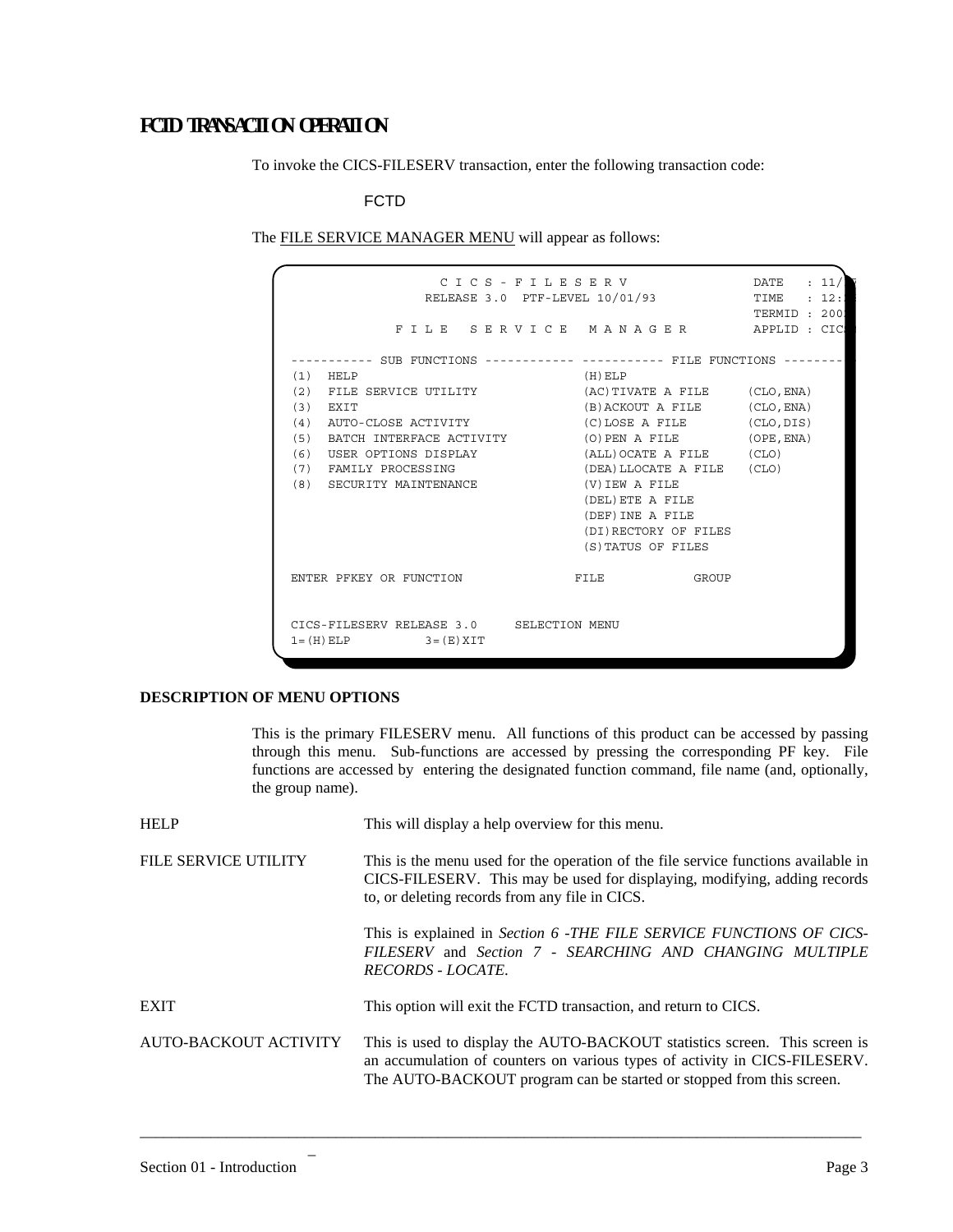# **FCTD TRANSACTION OPERATION**

To invoke the CICS-FILESERV transaction, enter the following transaction code:

FCTD

The FILE SERVICE MANAGER MENU will appear as follows:

|                                          | CICS - FILESERV<br>RELEASE 3.0 PTF-LEVEL 10/01/93                   | DATE<br>: 11/<br>: 12:<br>TIME |
|------------------------------------------|---------------------------------------------------------------------|--------------------------------|
|                                          |                                                                     | TERMID: 2001                   |
|                                          | FILE SERVICE MANAGER                                                | APPLID : CIC                   |
|                                          | -------- SUB FUNCTIONS ------------ ----------- FILE FUNCTIONS ---- |                                |
| $(1)$ HELP                               | (H) ELP                                                             |                                |
| (2) FILE SERVICE UTILITY                 | (AC) TIVATE A FILE (CLO, ENA)                                       |                                |
| $(3)$ EXIT                               | (B) ACKOUT A FILE (CLO, ENA)                                        |                                |
| (4) AUTO-CLOSE ACTIVITY                  | (C)LOSE A FILE (CLO, DIS)                                           |                                |
| (5) BATCH INTERFACE ACTIVITY             | (O) PEN A FILE (OPE, ENA)                                           |                                |
| (6) USER OPTIONS DISPLAY                 | (ALL) OCATE A FILE (CLO)                                            |                                |
| (7) FAMILY PROCESSING                    | (DEA) LLOCATE A FILE (CLO)                                          |                                |
| (8) SECURITY MAINTENANCE                 | (V) IEW A FILE                                                      |                                |
|                                          | (DEL) ETE A FILE                                                    |                                |
|                                          | (DEF) INE A FILE                                                    |                                |
|                                          | (DI) RECTORY OF FILES                                               |                                |
|                                          | (S) TATUS OF FILES                                                  |                                |
| ENTER PFKEY OR FUNCTION                  | FILE<br>GROUP                                                       |                                |
|                                          |                                                                     |                                |
| CICS-FILESERV RELEASE 3.0 SELECTION MENU |                                                                     |                                |
| $1 = (H) ELP$<br>$3 = (E) XIT$           |                                                                     |                                |

# **DESCRIPTION OF MENU OPTIONS**

This is the primary FILESERV menu. All functions of this product can be accessed by passing through this menu. Sub-functions are accessed by pressing the corresponding PF key. File functions are accessed by entering the designated function command, file name (and, optionally, the group name).

| <b>HELP</b>                 | This will display a help overview for this menu.                                                                                                                                                                                 |
|-----------------------------|----------------------------------------------------------------------------------------------------------------------------------------------------------------------------------------------------------------------------------|
| <b>FILE SERVICE UTILITY</b> | This is the menu used for the operation of the file service functions available in<br>CICS-FILESERV. This may be used for displaying, modifying, adding records<br>to, or deleting records from any file in CICS.                |
|                             | This is explained in Section 6 -THE FILE SERVICE FUNCTIONS OF CICS-<br>FILESERV and Section 7 - SEARCHING AND CHANGING MULTIPLE<br><b>RECORDS - LOCATE.</b>                                                                      |
| <b>EXIT</b>                 | This option will exit the FCTD transaction, and return to CICS.                                                                                                                                                                  |
| AUTO-BACKOUT ACTIVITY       | This is used to display the AUTO-BACKOUT statistics screen. This screen is<br>an accumulation of counters on various types of activity in CICS-FILESERV.<br>The AUTO-BACKOUT program can be started or stopped from this screen. |

\_\_\_\_\_\_\_\_\_\_\_\_\_\_\_\_\_\_\_\_\_\_\_\_\_\_\_\_\_\_\_\_\_\_\_\_\_\_\_\_\_\_\_\_\_\_\_\_\_\_\_\_\_\_\_\_\_\_\_\_\_\_\_\_\_\_\_\_\_\_\_\_\_\_\_\_\_\_\_\_\_\_\_\_\_\_\_\_\_\_\_\_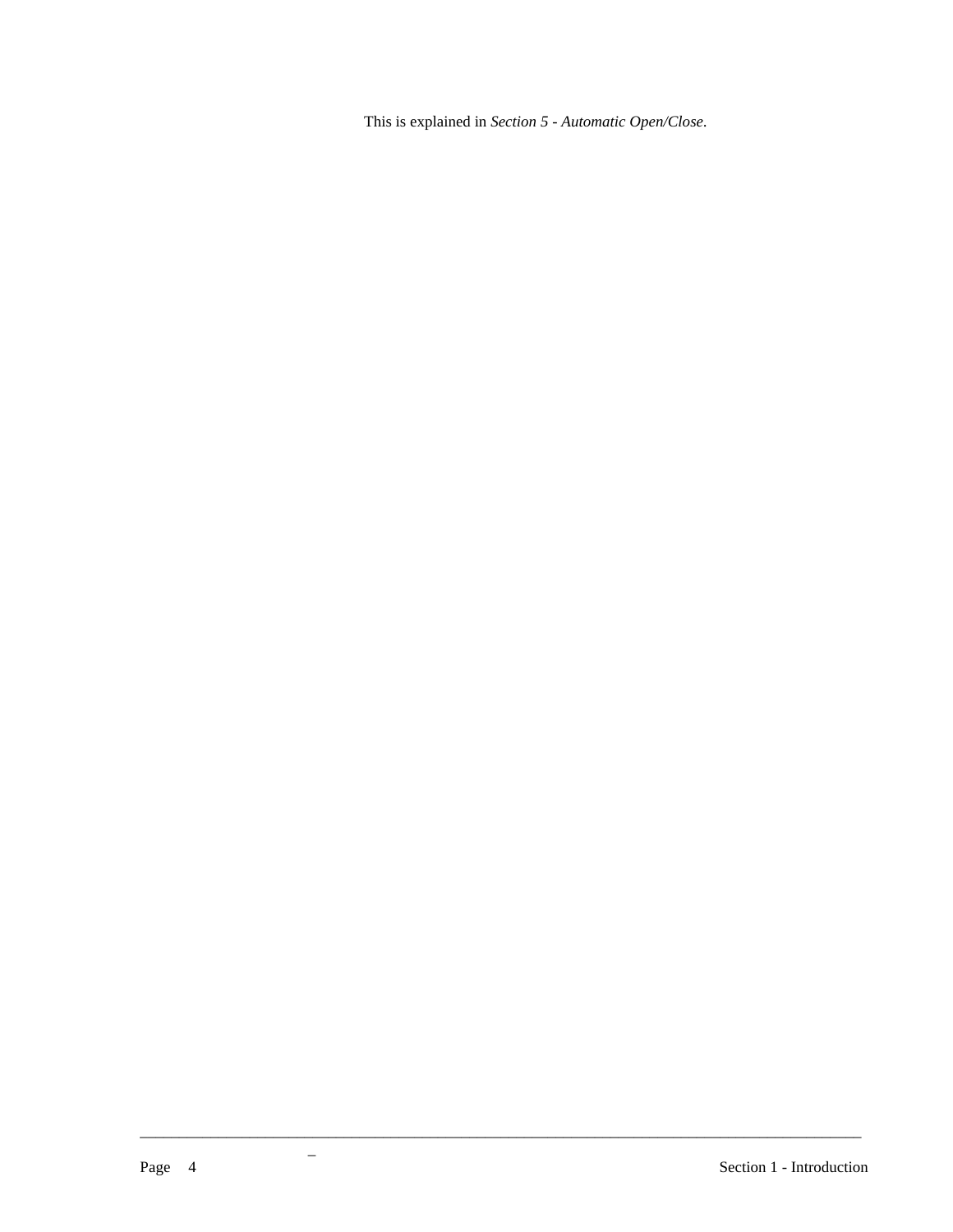This is explained in *Section 5 - Automatic Open/Close*.

\_\_\_\_\_\_\_\_\_\_\_\_\_\_\_\_\_\_\_\_\_\_\_\_\_\_\_\_\_\_\_\_\_\_\_\_\_\_\_\_\_\_\_\_\_\_\_\_\_\_\_\_\_\_\_\_\_\_\_\_\_\_\_\_\_\_\_\_\_\_\_\_\_\_\_\_\_\_\_\_\_\_\_\_\_\_\_\_\_\_\_\_

 $\equiv$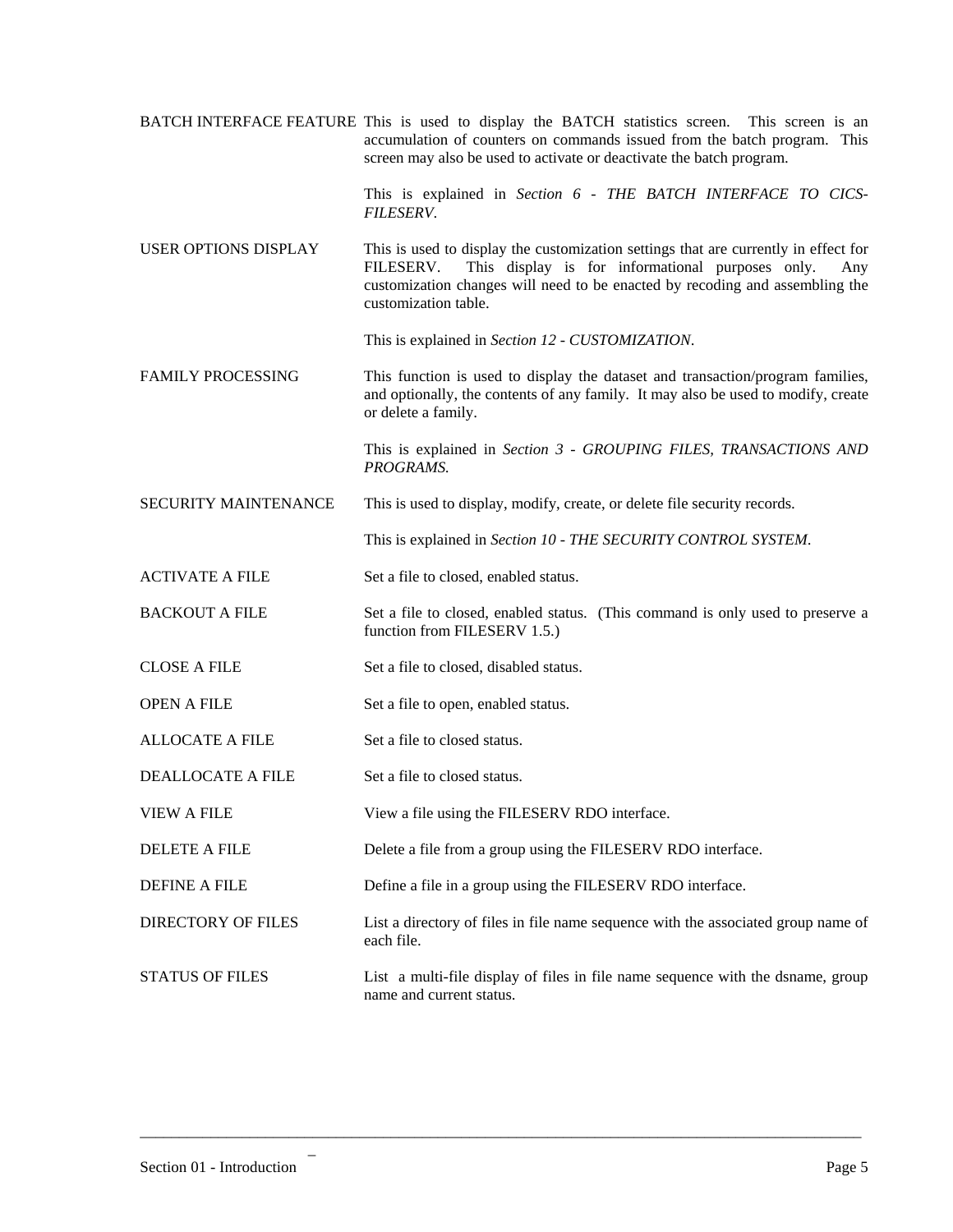BATCH INTERFACE FEATURE This is used to display the BATCH statistics screen. This screen is an accumulation of counters on commands issued from the batch program. This screen may also be used to activate or deactivate the batch program.

> This is explained in *Section 6 - THE BATCH INTERFACE TO CICS-FILESERV*.

USER OPTIONS DISPLAY This is used to display the customization settings that are currently in effect for FILESERV. This display is for informational purposes only. Any customization changes will need to be enacted by recoding and assembling the customization table.

This is explained in *Section 12 - CUSTOMIZATION*.

FAMILY PROCESSING This function is used to display the dataset and transaction/program families, and optionally, the contents of any family. It may also be used to modify, create or delete a family.

> This is explained in *Section 3 - GROUPING FILES, TRANSACTIONS AND PROGRAMS.*

SECURITY MAINTENANCE This is used to display, modify, create, or delete file security records.

This is explained in *Section 10 - THE SECURITY CONTROL SYSTEM*.

ACTIVATE A FILE Set a file to closed, enabled status.

- BACKOUT A FILE Set a file to closed, enabled status. (This command is only used to preserve a function from FILESERV 1.5.)
- CLOSE A FILE Set a file to closed, disabled status.
- OPEN A FILE Set a file to open, enabled status.
- ALLOCATE A FILE Set a file to closed status.
- DEALLOCATE A FILE Set a file to closed status.

 $\overline{a}$ 

VIEW A FILE View a file using the FILESERV RDO interface.

- DELETE A FILE Delete a file from a group using the FILESERV RDO interface.
- DEFINE A FILE Define a file in a group using the FILESERV RDO interface.
- DIRECTORY OF FILES List a directory of files in file name sequence with the associated group name of each file.
- STATUS OF FILES List a multi-file display of files in file name sequence with the dsname, group name and current status.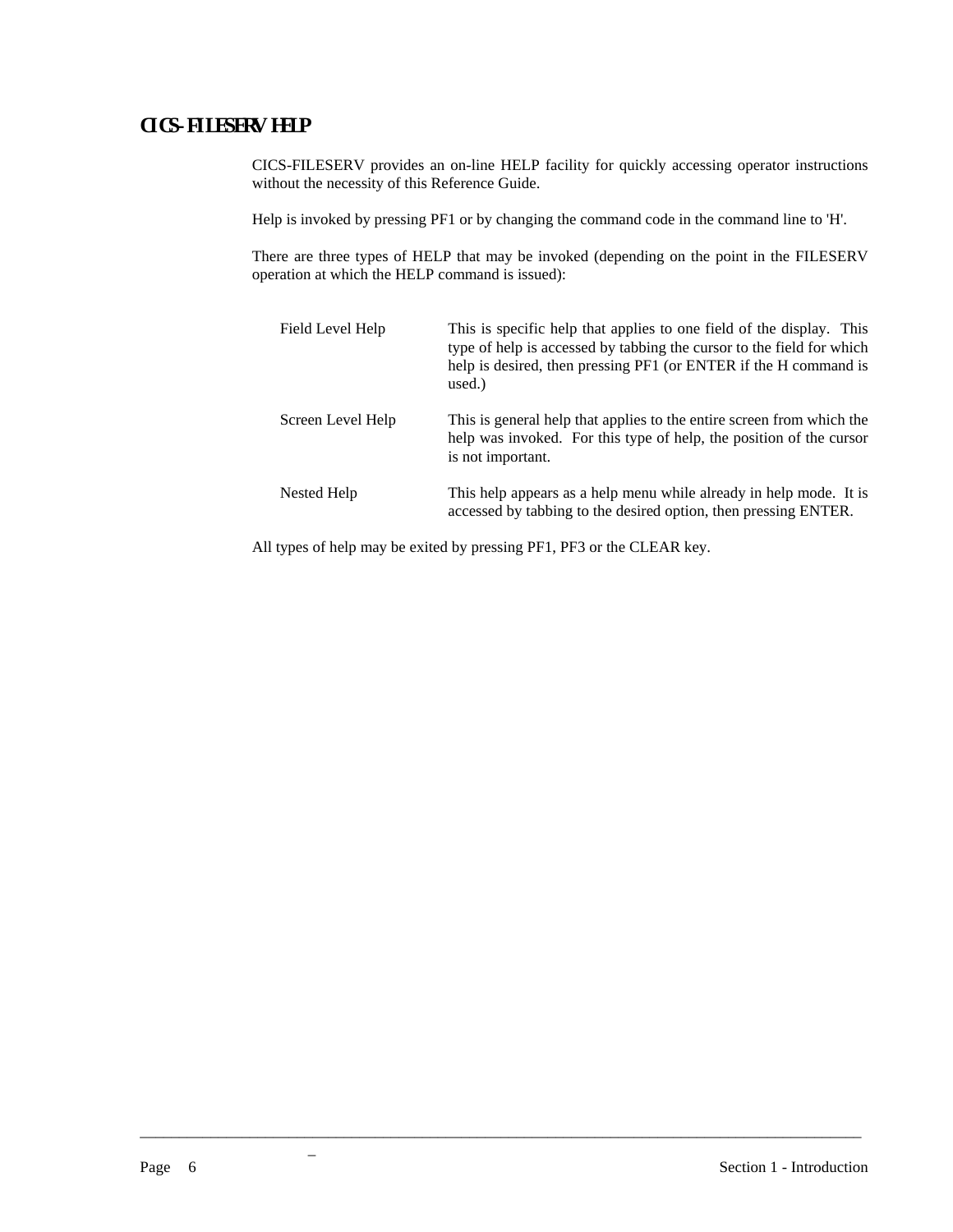# **CICS-FILESERV HELP**

CICS-FILESERV provides an on-line HELP facility for quickly accessing operator instructions without the necessity of this Reference Guide.

Help is invoked by pressing PF1 or by changing the command code in the command line to 'H'.

There are three types of HELP that may be invoked (depending on the point in the FILESERV operation at which the HELP command is issued):

| Field Level Help  | This is specific help that applies to one field of the display. This<br>type of help is accessed by tabbing the cursor to the field for which<br>help is desired, then pressing PF1 (or ENTER if the H command is<br>used.) |
|-------------------|-----------------------------------------------------------------------------------------------------------------------------------------------------------------------------------------------------------------------------|
| Screen Level Help | This is general help that applies to the entire screen from which the<br>help was invoked. For this type of help, the position of the cursor<br>is not important.                                                           |
| Nested Help       | This help appears as a help menu while already in help mode. It is<br>accessed by tabbing to the desired option, then pressing ENTER.                                                                                       |

All types of help may be exited by pressing PF1, PF3 or the CLEAR key.

\_\_\_\_\_\_\_\_\_\_\_\_\_\_\_\_\_\_\_\_\_\_\_\_\_\_\_\_\_\_\_\_\_\_\_\_\_\_\_\_\_\_\_\_\_\_\_\_\_\_\_\_\_\_\_\_\_\_\_\_\_\_\_\_\_\_\_\_\_\_\_\_\_\_\_\_\_\_\_\_\_\_\_\_\_\_\_\_\_\_\_\_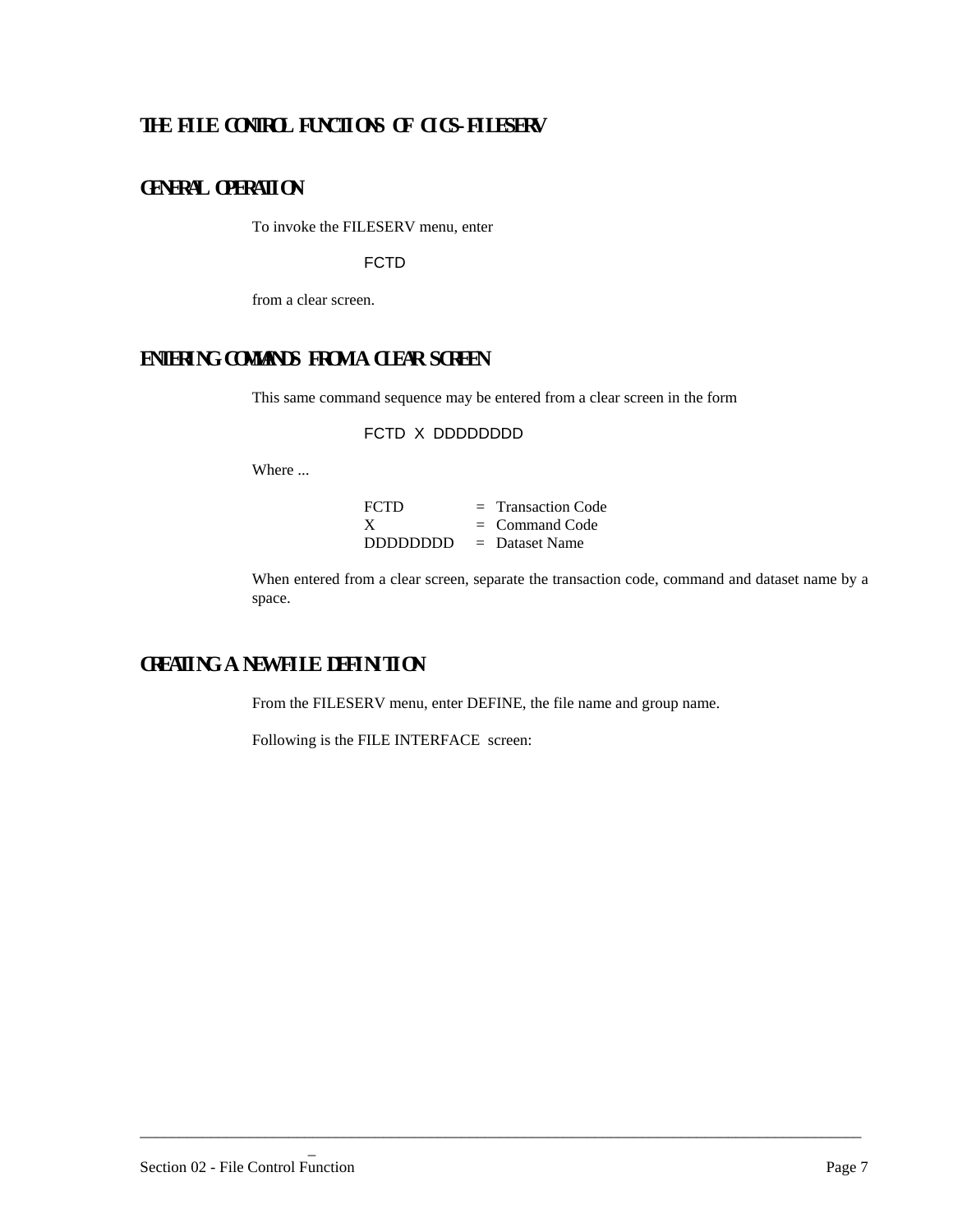# **THE FILE CONFIDENTIONS OF CICS-FILESERV**

# **GENERAL OPERATION**

To invoke the FILESERV menu, enter

FCTD

from a clear screen.

# **ENTERING COMANDS FROM A CLEAR SCREEN**

This same command sequence may be entered from a clear screen in the form

FCTD X DDDDDDDD

Where ...

| <b>FCTD</b>      | $=$ Transaction Code |
|------------------|----------------------|
| X                | $=$ Command Code     |
| <b>DDDDDDDDD</b> | $=$ Dataset Name     |

When entered from a clear screen, separate the transaction code, command and dataset name by a space.

# **CREATING A NEWFILE DEFINITION**

From the FILESERV menu, enter DEFINE, the file name and group name.

\_\_\_\_\_\_\_\_\_\_\_\_\_\_\_\_\_\_\_\_\_\_\_\_\_\_\_\_\_\_\_\_\_\_\_\_\_\_\_\_\_\_\_\_\_\_\_\_\_\_\_\_\_\_\_\_\_\_\_\_\_\_\_\_\_\_\_\_\_\_\_\_\_\_\_\_\_\_\_\_\_\_\_\_\_\_\_\_\_\_\_\_

Following is the FILE INTERFACE screen: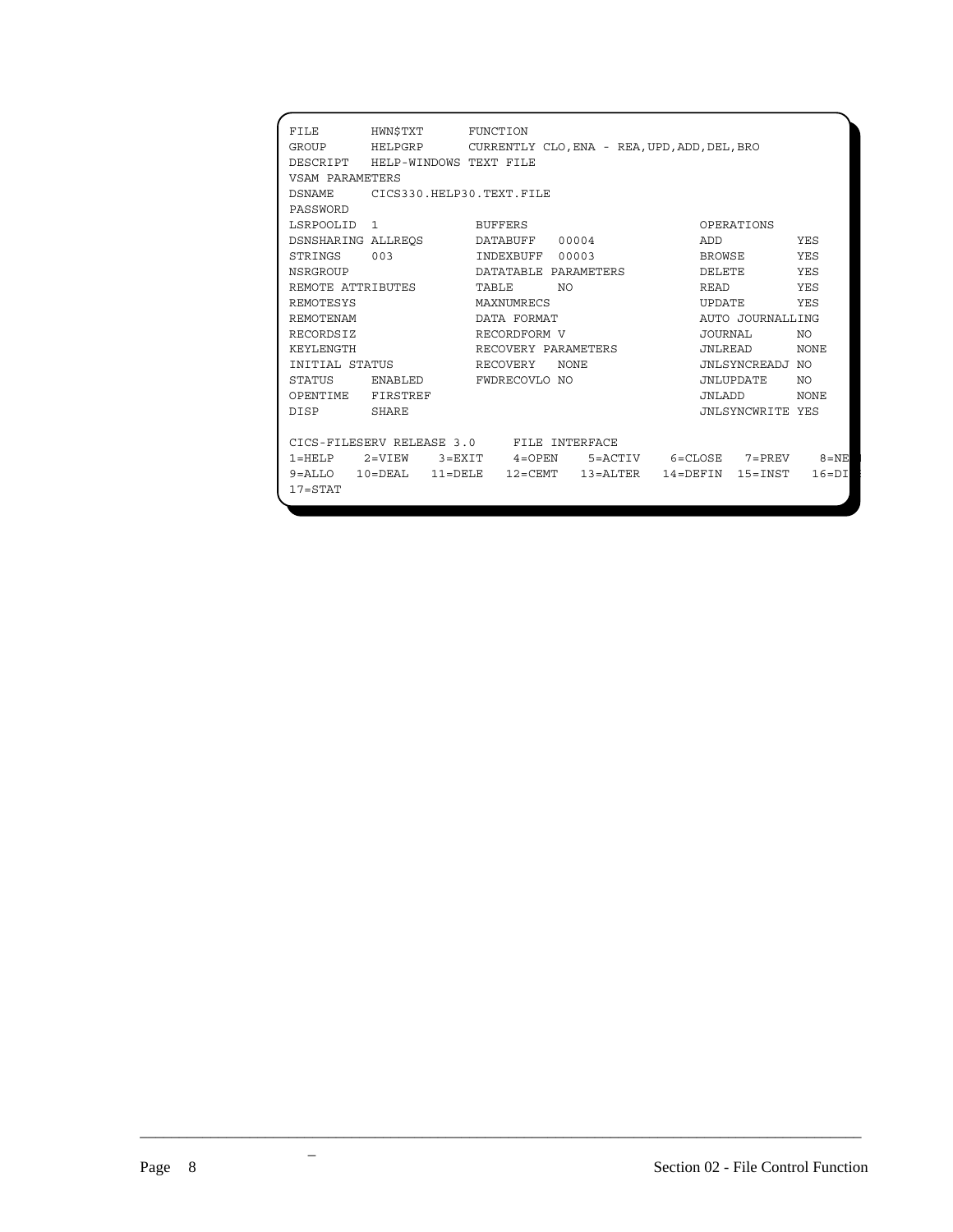| FILE                   | HWN\$TXT                   | FUNCTION                                     |                     |                        |                  |             |
|------------------------|----------------------------|----------------------------------------------|---------------------|------------------------|------------------|-------------|
| GROUP                  | HELPGRP                    | CURRENTLY CLO, ENA - REA, UPD, ADD, DEL, BRO |                     |                        |                  |             |
| DESCRIPT               | HELP-WINDOWS TEXT FILE     |                                              |                     |                        |                  |             |
| <b>VSAM PARAMETERS</b> |                            |                                              |                     |                        |                  |             |
| DSNAME                 | CICS330.HELP30.TEXT.FILE   |                                              |                     |                        |                  |             |
| PASSWORD               |                            |                                              |                     |                        |                  |             |
| LSRPOOLID              | 1                          | <b>BUFFERS</b>                               |                     |                        | OPERATIONS       |             |
| DSNSHARING ALLREOS     |                            | DATABUFF                                     | 00004               | ADD                    |                  | YES         |
| STRINGS                | 003                        | INDEXBUFF                                    | 00003               | <b>BROWSE</b>          |                  | YES         |
| NSRGROUP               |                            | DATATABLE PARAMETERS                         |                     | <b>DELETE</b>          |                  | <b>YES</b>  |
| REMOTE ATTRIBUTES      |                            | TABLE<br>NO.                                 |                     | READ                   |                  | <b>YES</b>  |
| REMOTESYS              |                            | MAXNUMRECS                                   |                     | UPDATE                 |                  | <b>YES</b>  |
| REMOTENAM              |                            | DATA FORMAT                                  |                     |                        | AUTO JOURNALLING |             |
| RECORDSIZ              |                            | RECORDFORM V                                 |                     | <b>JOURNAL</b>         |                  | NO.         |
| KEYLENGTH              |                            | RECOVERY PARAMETERS                          |                     | JNLREAD                |                  | <b>NONE</b> |
| INITIAL STATUS         |                            | RECOVERY                                     | <b>NONE</b>         |                        | JNLSYNCREADJ     | <b>NO</b>   |
| STATUS                 | ENABLED                    | FWDRECOVLO NO                                |                     |                        | <b>JNLUPDATE</b> | NO.         |
| OPENTIME               | FIRSTREF                   |                                              |                     | JNLADD                 |                  | <b>NONE</b> |
| <b>DISP</b>            | SHARE                      |                                              |                     |                        | JNLSYNCWRITE YES |             |
|                        |                            |                                              |                     |                        |                  |             |
|                        | CICS-FILESERV RELEASE 3.0  | FILE INTERFACE                               |                     |                        |                  |             |
| $1 = HELP$             | $2 = VIEN$                 | $3 = EXIT$ $4 = OPEN$                        |                     | 5=ACTIV 6=CLOSE 7=PREV |                  | $8 = NE$    |
| $9 = ALLO$             | $10 = DEAL$<br>$11 = DELE$ | $12 = \text{CEMT}$                           | $13 = \text{ALTER}$ | $14 = DEFIN$           | $15 = INST$      | $16 = DI$   |
| $17 = \text{STAT}$     |                            |                                              |                     |                        |                  |             |
|                        |                            |                                              |                     |                        |                  |             |

\_\_\_\_\_\_\_\_\_\_\_\_\_\_\_\_\_\_\_\_\_\_\_\_\_\_\_\_\_\_\_\_\_\_\_\_\_\_\_\_\_\_\_\_\_\_\_\_\_\_\_\_\_\_\_\_\_\_\_\_\_\_\_\_\_\_\_\_\_\_\_\_\_\_\_\_\_\_\_\_\_\_\_\_\_\_\_\_\_\_\_\_

 $\equiv$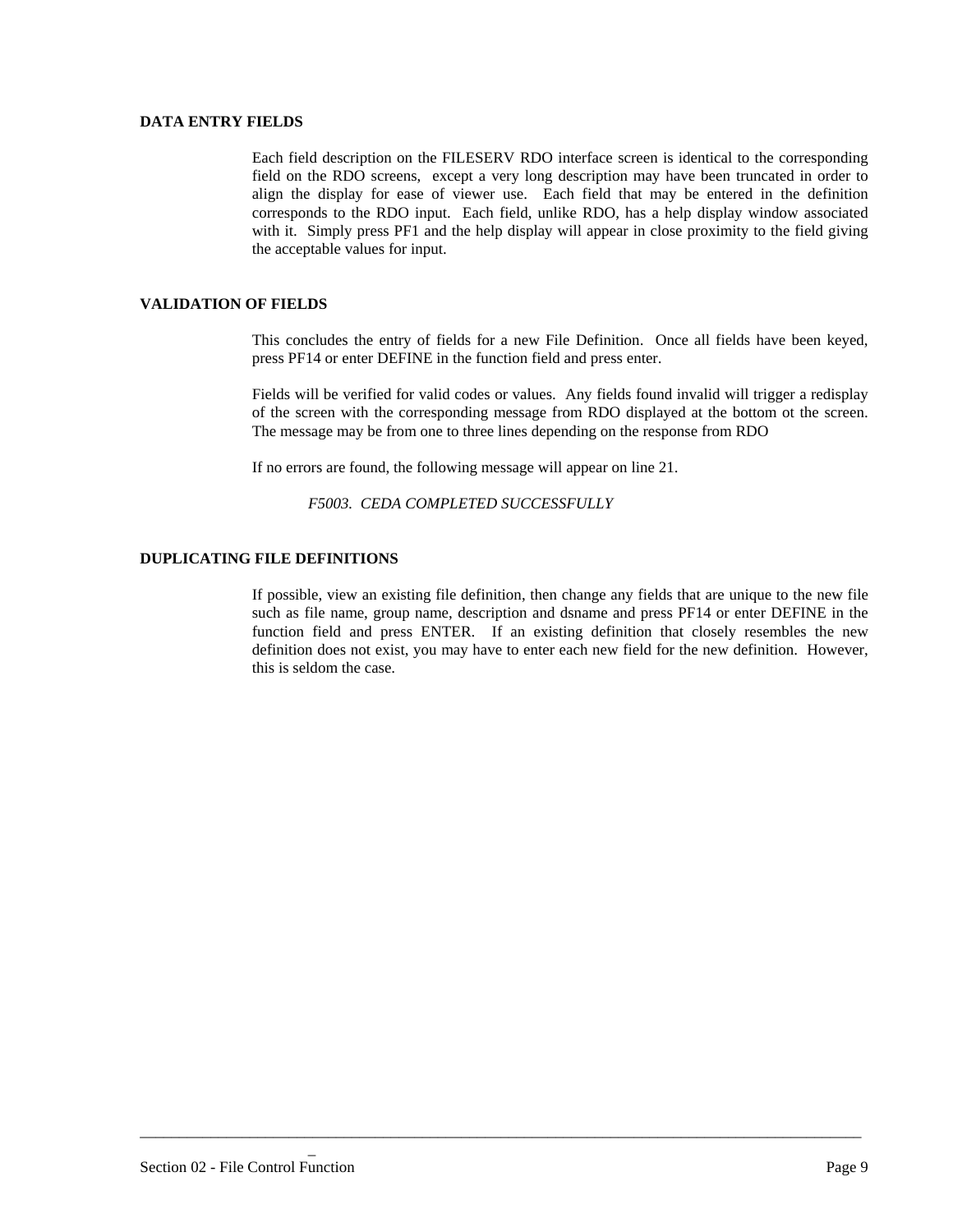#### **DATA ENTRY FIELDS**

Each field description on the FILESERV RDO interface screen is identical to the corresponding field on the RDO screens, except a very long description may have been truncated in order to align the display for ease of viewer use. Each field that may be entered in the definition corresponds to the RDO input. Each field, unlike RDO, has a help display window associated with it. Simply press PF1 and the help display will appear in close proximity to the field giving the acceptable values for input.

## **VALIDATION OF FIELDS**

This concludes the entry of fields for a new File Definition. Once all fields have been keyed, press PF14 or enter DEFINE in the function field and press enter.

Fields will be verified for valid codes or values. Any fields found invalid will trigger a redisplay of the screen with the corresponding message from RDO displayed at the bottom ot the screen. The message may be from one to three lines depending on the response from RDO

If no errors are found, the following message will appear on line 21.

 *F5003. CEDA COMPLETED SUCCESSFULLY* 

#### **DUPLICATING FILE DEFINITIONS**

If possible, view an existing file definition, then change any fields that are unique to the new file such as file name, group name, description and dsname and press PF14 or enter DEFINE in the function field and press ENTER. If an existing definition that closely resembles the new definition does not exist, you may have to enter each new field for the new definition. However, this is seldom the case.

\_\_\_\_\_\_\_\_\_\_\_\_\_\_\_\_\_\_\_\_\_\_\_\_\_\_\_\_\_\_\_\_\_\_\_\_\_\_\_\_\_\_\_\_\_\_\_\_\_\_\_\_\_\_\_\_\_\_\_\_\_\_\_\_\_\_\_\_\_\_\_\_\_\_\_\_\_\_\_\_\_\_\_\_\_\_\_\_\_\_\_\_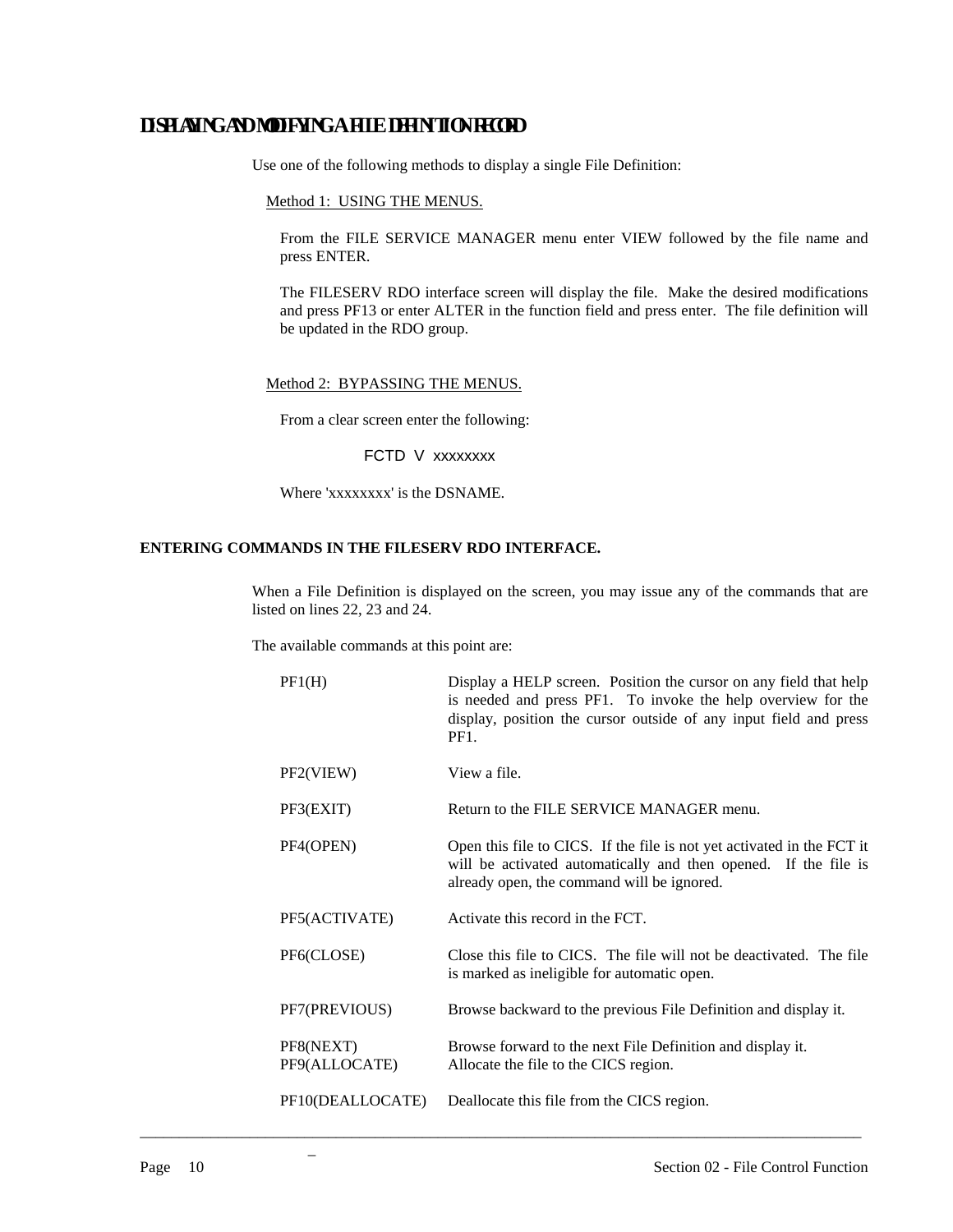# **DISPLAYING AND MODIFYING A FILE DEFINITION RECORD**

Use one of the following methods to display a single File Definition:

Method 1: USING THE MENUS.

From the FILE SERVICE MANAGER menu enter VIEW followed by the file name and press ENTER.

The FILESERV RDO interface screen will display the file. Make the desired modifications and press PF13 or enter ALTER in the function field and press enter. The file definition will be updated in the RDO group.

# Method 2: BYPASSING THE MENUS.

From a clear screen enter the following:

FCTD V xxxxxxxx

Where 'xxxxxxxx' is the DSNAME.

# **ENTERING COMMANDS IN THE FILESERV RDO INTERFACE.**

When a File Definition is displayed on the screen, you may issue any of the commands that are listed on lines 22, 23 and 24.

The available commands at this point are:

| PF1(H)                     | Display a HELP screen. Position the cursor on any field that help<br>is needed and press PF1. To invoke the help overview for the<br>display, position the cursor outside of any input field and press<br>PF1. |
|----------------------------|----------------------------------------------------------------------------------------------------------------------------------------------------------------------------------------------------------------|
| PF2(VIEW)                  | View a file.                                                                                                                                                                                                   |
| PF3(EXIT)                  | Return to the FILE SERVICE MANAGER menu.                                                                                                                                                                       |
| PF4(OPEN)                  | Open this file to CICS. If the file is not yet activated in the FCT it<br>will be activated automatically and then opened. If the file is<br>already open, the command will be ignored.                        |
| PF5(ACTIVATE)              | Activate this record in the FCT.                                                                                                                                                                               |
| PF6(CLOSE)                 | Close this file to CICS. The file will not be deactivated. The file<br>is marked as ineligible for automatic open.                                                                                             |
| PF7(PREVIOUS)              | Browse backward to the previous File Definition and display it.                                                                                                                                                |
| PF8(NEXT)<br>PF9(ALLOCATE) | Browse forward to the next File Definition and display it.<br>Allocate the file to the CICS region.                                                                                                            |
| PF10(DEALLOCATE)           | Deallocate this file from the CICS region.                                                                                                                                                                     |

\_\_\_\_\_\_\_\_\_\_\_\_\_\_\_\_\_\_\_\_\_\_\_\_\_\_\_\_\_\_\_\_\_\_\_\_\_\_\_\_\_\_\_\_\_\_\_\_\_\_\_\_\_\_\_\_\_\_\_\_\_\_\_\_\_\_\_\_\_\_\_\_\_\_\_\_\_\_\_\_\_\_\_\_\_\_\_\_\_\_\_\_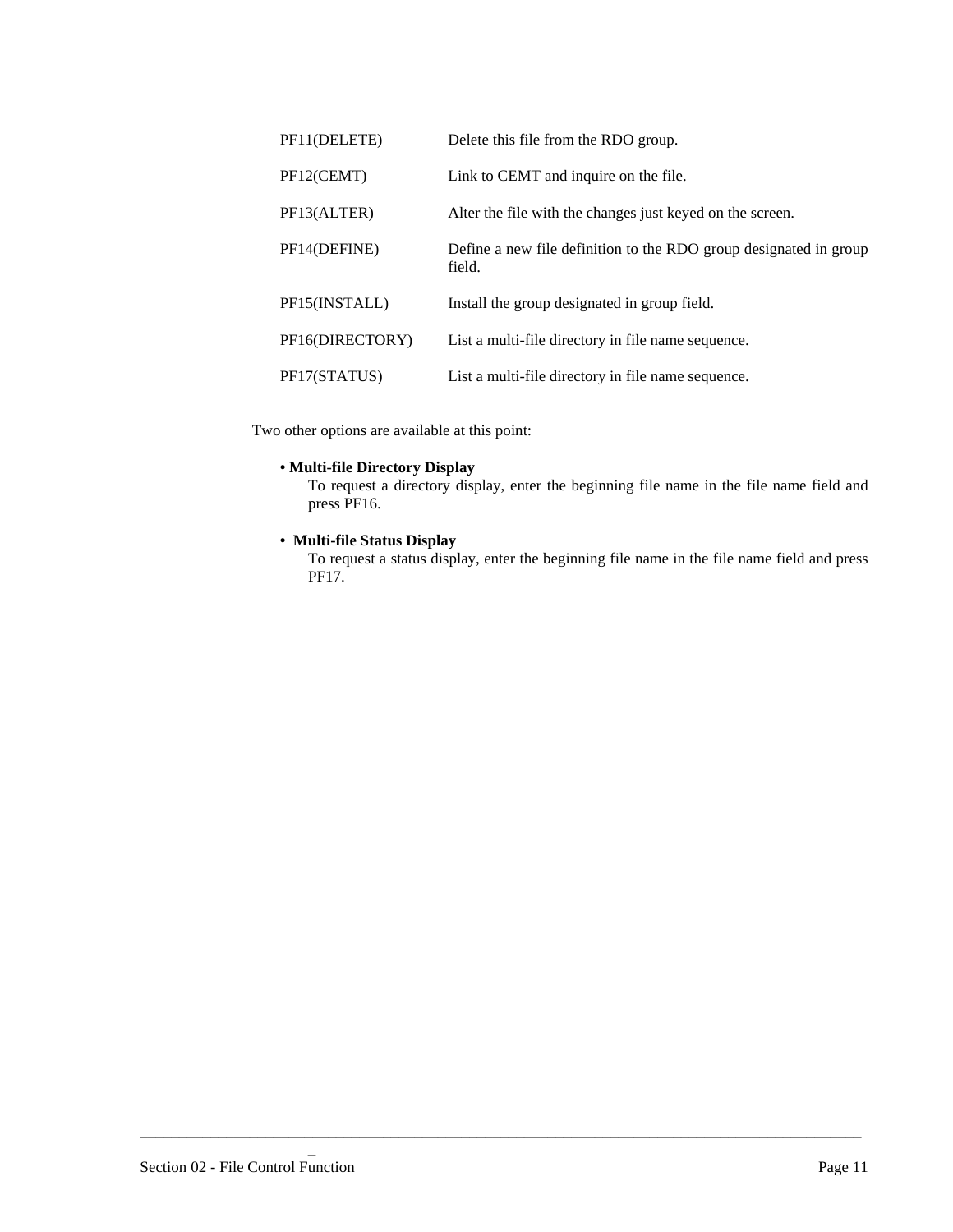| PF11(DELETE)    | Delete this file from the RDO group.                                        |
|-----------------|-----------------------------------------------------------------------------|
| PF12(CEMT)      | Link to CEMT and inquire on the file.                                       |
| PF13(ALTER)     | Alter the file with the changes just keyed on the screen.                   |
| PF14(DEFINE)    | Define a new file definition to the RDO group designated in group<br>field. |
| PF15(INSTALL)   | Install the group designated in group field.                                |
| PF16(DIRECTORY) | List a multi-file directory in file name sequence.                          |
| PF17(STATUS)    | List a multi-file directory in file name sequence.                          |

Two other options are available at this point:

# **• Multi-file Directory Display**

To request a directory display, enter the beginning file name in the file name field and press PF16.

# **• Multi-file Status Display**

To request a status display, enter the beginning file name in the file name field and press PF17.

\_\_\_\_\_\_\_\_\_\_\_\_\_\_\_\_\_\_\_\_\_\_\_\_\_\_\_\_\_\_\_\_\_\_\_\_\_\_\_\_\_\_\_\_\_\_\_\_\_\_\_\_\_\_\_\_\_\_\_\_\_\_\_\_\_\_\_\_\_\_\_\_\_\_\_\_\_\_\_\_\_\_\_\_\_\_\_\_\_\_\_\_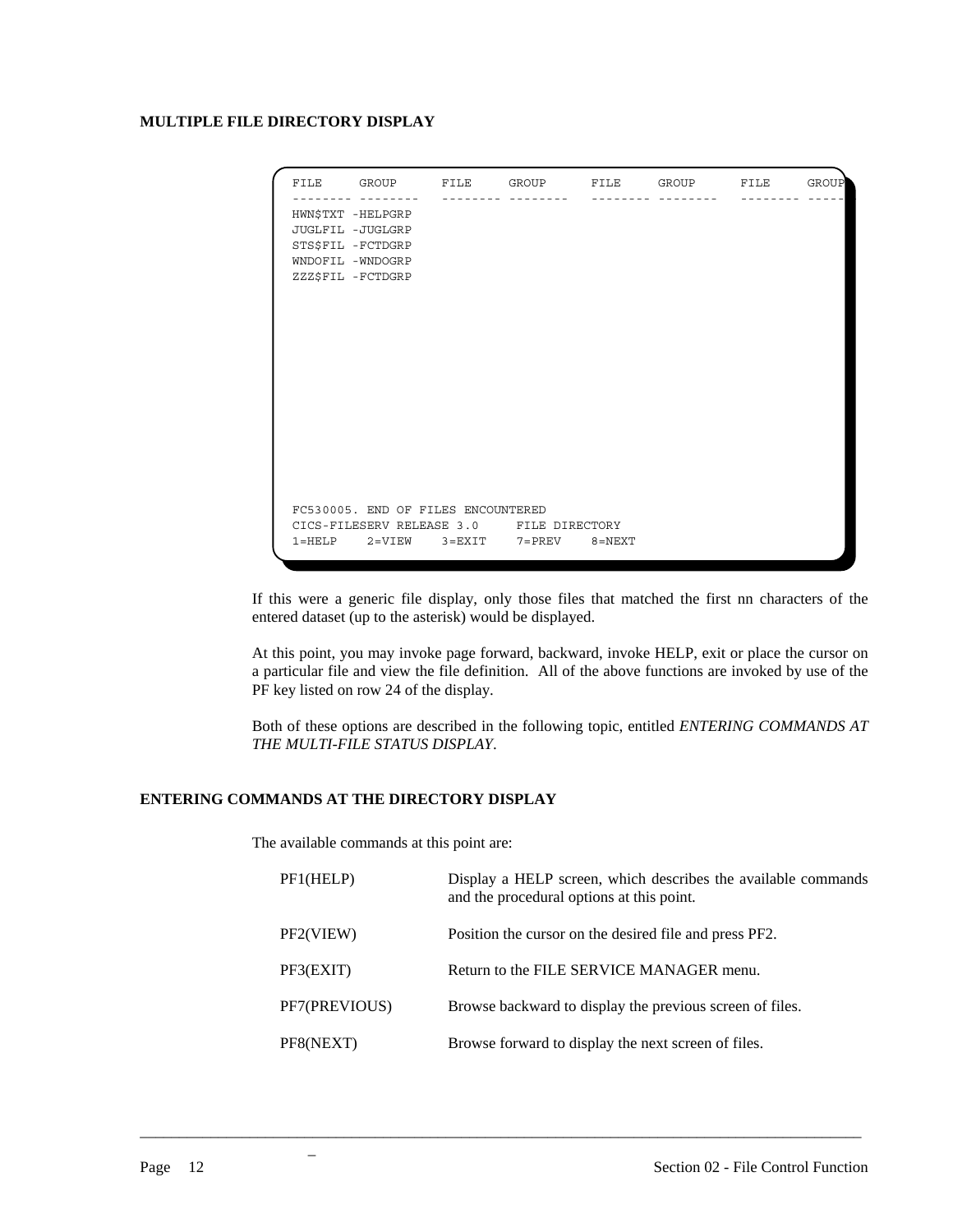# **MULTIPLE FILE DIRECTORY DISPLAY**

| <b>FILE</b>       | GROUP FILE                               |           |                                             | GROUP FILE GROUP | <b>FILE</b> | GROUP |
|-------------------|------------------------------------------|-----------|---------------------------------------------|------------------|-------------|-------|
| HWN\$TXT -HELPGRP | ------ --------                          | - - - - - |                                             |                  |             |       |
| JUGLFIL -JUGLGRP  |                                          |           |                                             |                  |             |       |
| STS\$FIL -FCTDGRP |                                          |           |                                             |                  |             |       |
| WNDOFIL -WNDOGRP  |                                          |           |                                             |                  |             |       |
| ZZZ\$FIL -FCTDGRP |                                          |           |                                             |                  |             |       |
|                   |                                          |           |                                             |                  |             |       |
|                   |                                          |           |                                             |                  |             |       |
|                   |                                          |           |                                             |                  |             |       |
|                   |                                          |           |                                             |                  |             |       |
|                   |                                          |           |                                             |                  |             |       |
|                   |                                          |           |                                             |                  |             |       |
|                   |                                          |           |                                             |                  |             |       |
|                   |                                          |           |                                             |                  |             |       |
|                   |                                          |           |                                             |                  |             |       |
|                   |                                          |           |                                             |                  |             |       |
|                   |                                          |           |                                             |                  |             |       |
|                   |                                          |           |                                             |                  |             |       |
|                   | FC530005. END OF FILES ENCOUNTERED       |           |                                             |                  |             |       |
|                   | CICS-FILESERV RELEASE 3.0 FILE DIRECTORY |           |                                             |                  |             |       |
| $1 = HELP$        |                                          |           | $2 = VIEN$ $3 = EXIT$ $7 = PREV$ $8 = NEXT$ |                  |             |       |
|                   |                                          |           |                                             |                  |             |       |

If this were a generic file display, only those files that matched the first nn characters of the entered dataset (up to the asterisk) would be displayed.

At this point, you may invoke page forward, backward, invoke HELP, exit or place the cursor on a particular file and view the file definition. All of the above functions are invoked by use of the PF key listed on row 24 of the display.

Both of these options are described in the following topic, entitled *ENTERING COMMANDS AT THE MULTI-FILE STATUS DISPLAY*.

# **ENTERING COMMANDS AT THE DIRECTORY DISPLAY**

The available commands at this point are:

| PF1(HELP)     | Display a HELP screen, which describes the available commands<br>and the procedural options at this point. |
|---------------|------------------------------------------------------------------------------------------------------------|
| PF2(VIEW)     | Position the cursor on the desired file and press PF2.                                                     |
| PF3(EXIT)     | Return to the FILE SERVICE MANAGER menu.                                                                   |
| PF7(PREVIOUS) | Browse backward to display the previous screen of files.                                                   |
| PF8(NEXT)     | Browse forward to display the next screen of files.                                                        |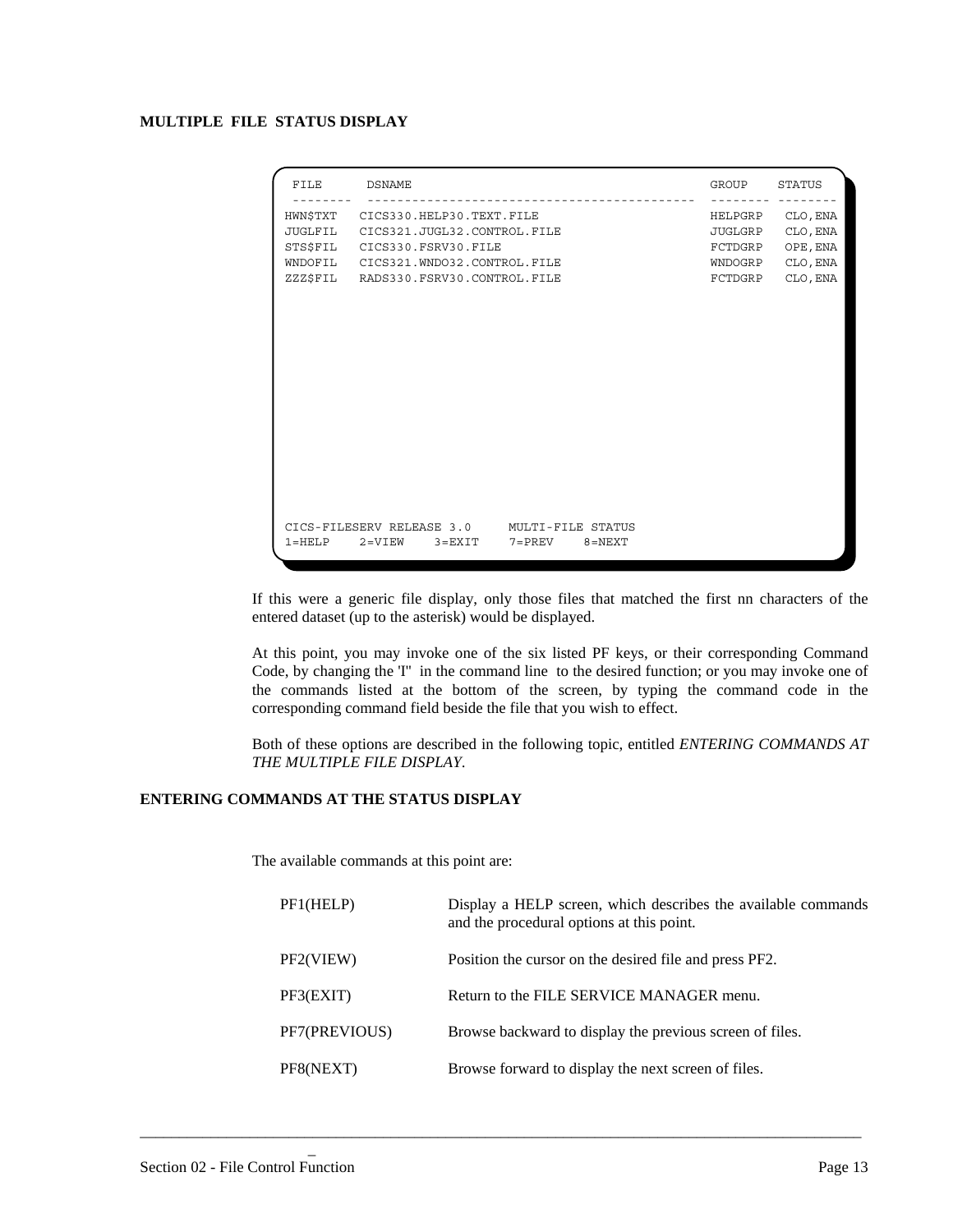# **MULTIPLE FILE STATUS DISPLAY**

| <b>FILE</b> | DSNAME                                               | GROUP   | STATUS   |
|-------------|------------------------------------------------------|---------|----------|
|             | HWN\$TXT CICS330.HELP30.TEXT.FILE                    | HELPGRP | CLO, ENA |
|             | JUGLFIL CICS321.JUGL32.CONTROL.FILE                  | JUGLGRP | CLO, ENA |
|             | STS\$FIL CICS330.FSRV30.FILE                         | FCTDGRP | OPE, ENA |
|             | WNDOFIL CICS321.WNDO32.CONTROL.FILE                  | WNDOGRP | CLO, ENA |
|             | ZZZ\$FIL RADS330.FSRV30.CONTROL.FILE                 | FCTDGRP | CLO, ENA |
|             | CICS-FILESERV RELEASE 3.0 MULTI-FILE STATUS          |         |          |
| $1 = HELP$  | $2 = VIEN$<br>$3 = EXIT$<br>$7 = PREV$<br>$8 = NEXT$ |         |          |

If this were a generic file display, only those files that matched the first nn characters of the entered dataset (up to the asterisk) would be displayed.

At this point, you may invoke one of the six listed PF keys, or their corresponding Command Code, by changing the 'I'' in the command line to the desired function; or you may invoke one of the commands listed at the bottom of the screen, by typing the command code in the corresponding command field beside the file that you wish to effect.

Both of these options are described in the following topic, entitled *ENTERING COMMANDS AT THE MULTIPLE FILE DISPLAY*.

# **ENTERING COMMANDS AT THE STATUS DISPLAY**

The available commands at this point are:

| PF1(HELP)     | Display a HELP screen, which describes the available commands<br>and the procedural options at this point. |
|---------------|------------------------------------------------------------------------------------------------------------|
| PF2(VIEW)     | Position the cursor on the desired file and press PF2.                                                     |
| PF3(EXIT)     | Return to the FILE SERVICE MANAGER menu.                                                                   |
| PF7(PREVIOUS) | Browse backward to display the previous screen of files.                                                   |
| PF8(NEXT)     | Browse forward to display the next screen of files.                                                        |

\_\_\_\_\_\_\_\_\_\_\_\_\_\_\_\_\_\_\_\_\_\_\_\_\_\_\_\_\_\_\_\_\_\_\_\_\_\_\_\_\_\_\_\_\_\_\_\_\_\_\_\_\_\_\_\_\_\_\_\_\_\_\_\_\_\_\_\_\_\_\_\_\_\_\_\_\_\_\_\_\_\_\_\_\_\_\_\_\_\_\_\_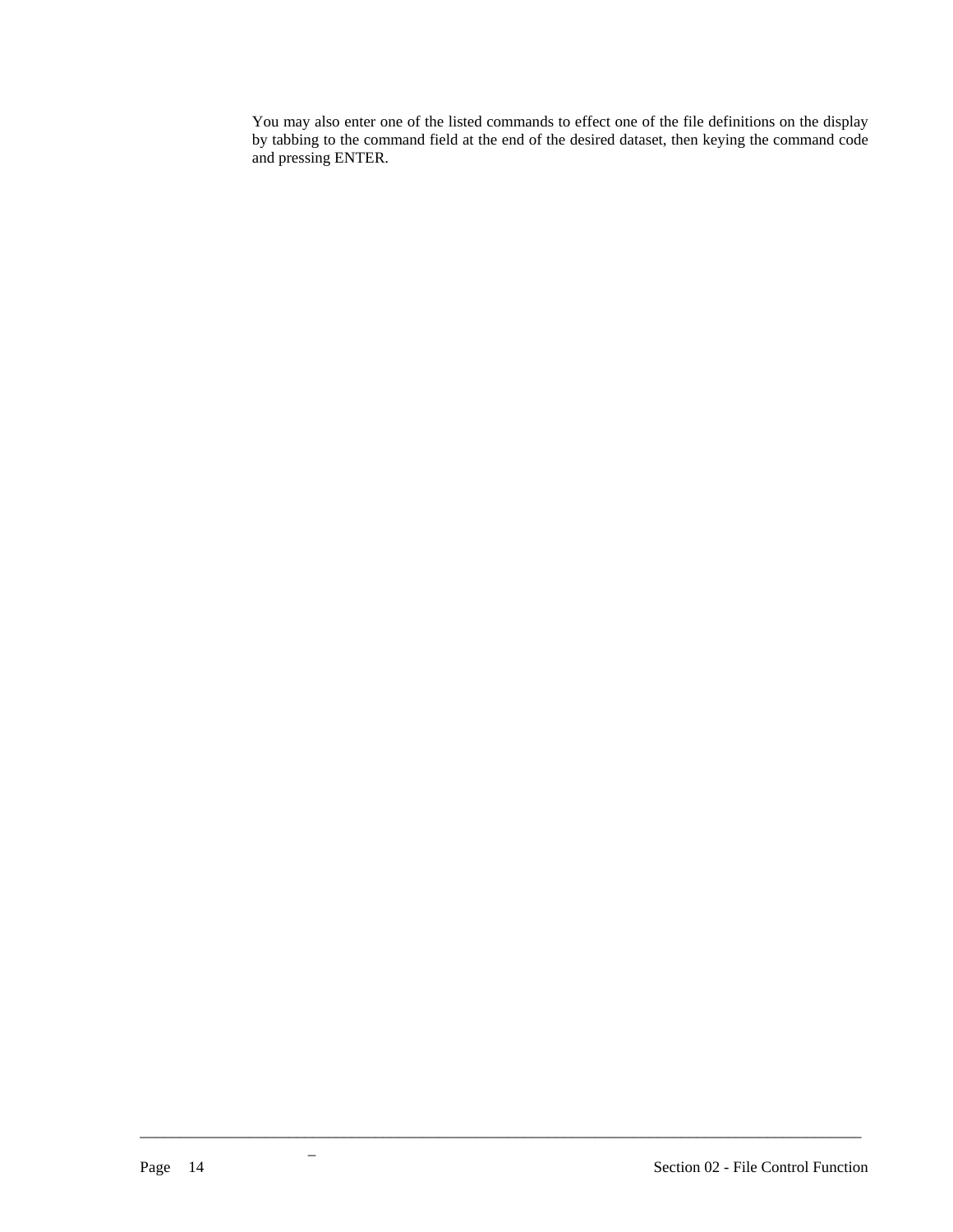You may also enter one of the listed commands to effect one of the file definitions on the display by tabbing to the command field at the end of the desired dataset, then keying the command code and pressing ENTER.

\_\_\_\_\_\_\_\_\_\_\_\_\_\_\_\_\_\_\_\_\_\_\_\_\_\_\_\_\_\_\_\_\_\_\_\_\_\_\_\_\_\_\_\_\_\_\_\_\_\_\_\_\_\_\_\_\_\_\_\_\_\_\_\_\_\_\_\_\_\_\_\_\_\_\_\_\_\_\_\_\_\_\_\_\_\_\_\_\_\_\_\_

 $\equiv$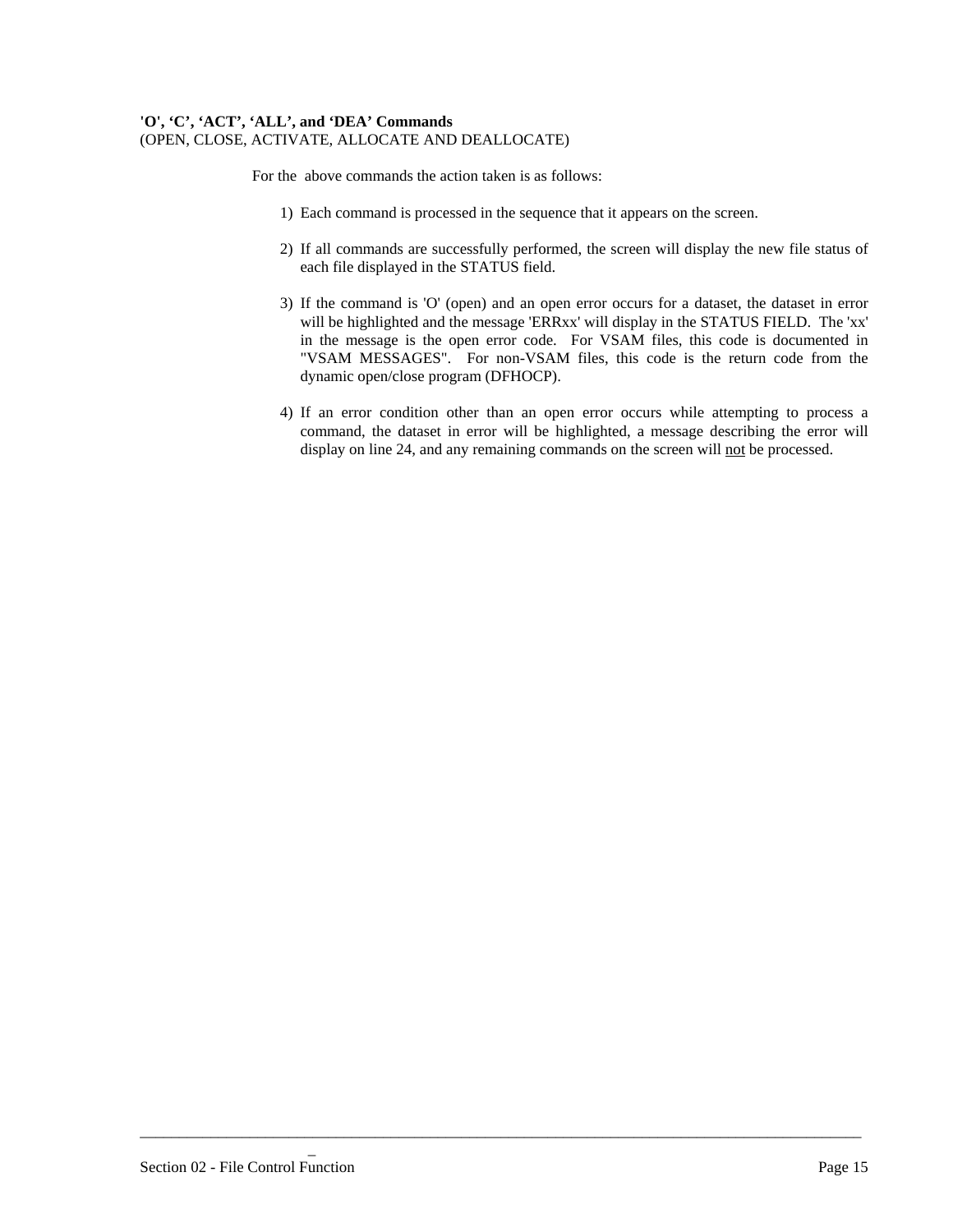### **'O', 'C', 'ACT', 'ALL', and 'DEA' Commands**  (OPEN, CLOSE, ACTIVATE, ALLOCATE AND DEALLOCATE)

For the above commands the action taken is as follows:

1) Each command is processed in the sequence that it appears on the screen.

\_\_\_\_\_\_\_\_\_\_\_\_\_\_\_\_\_\_\_\_\_\_\_\_\_\_\_\_\_\_\_\_\_\_\_\_\_\_\_\_\_\_\_\_\_\_\_\_\_\_\_\_\_\_\_\_\_\_\_\_\_\_\_\_\_\_\_\_\_\_\_\_\_\_\_\_\_\_\_\_\_\_\_\_\_\_\_\_\_\_\_\_

- 2) If all commands are successfully performed, the screen will display the new file status of each file displayed in the STATUS field.
- 3) If the command is 'O' (open) and an open error occurs for a dataset, the dataset in error will be highlighted and the message 'ERRxx' will display in the STATUS FIELD. The 'xx' in the message is the open error code. For VSAM files, this code is documented in "VSAM MESSAGES". For non-VSAM files, this code is the return code from the dynamic open/close program (DFHOCP).
- 4) If an error condition other than an open error occurs while attempting to process a command, the dataset in error will be highlighted, a message describing the error will display on line 24, and any remaining commands on the screen will not be processed.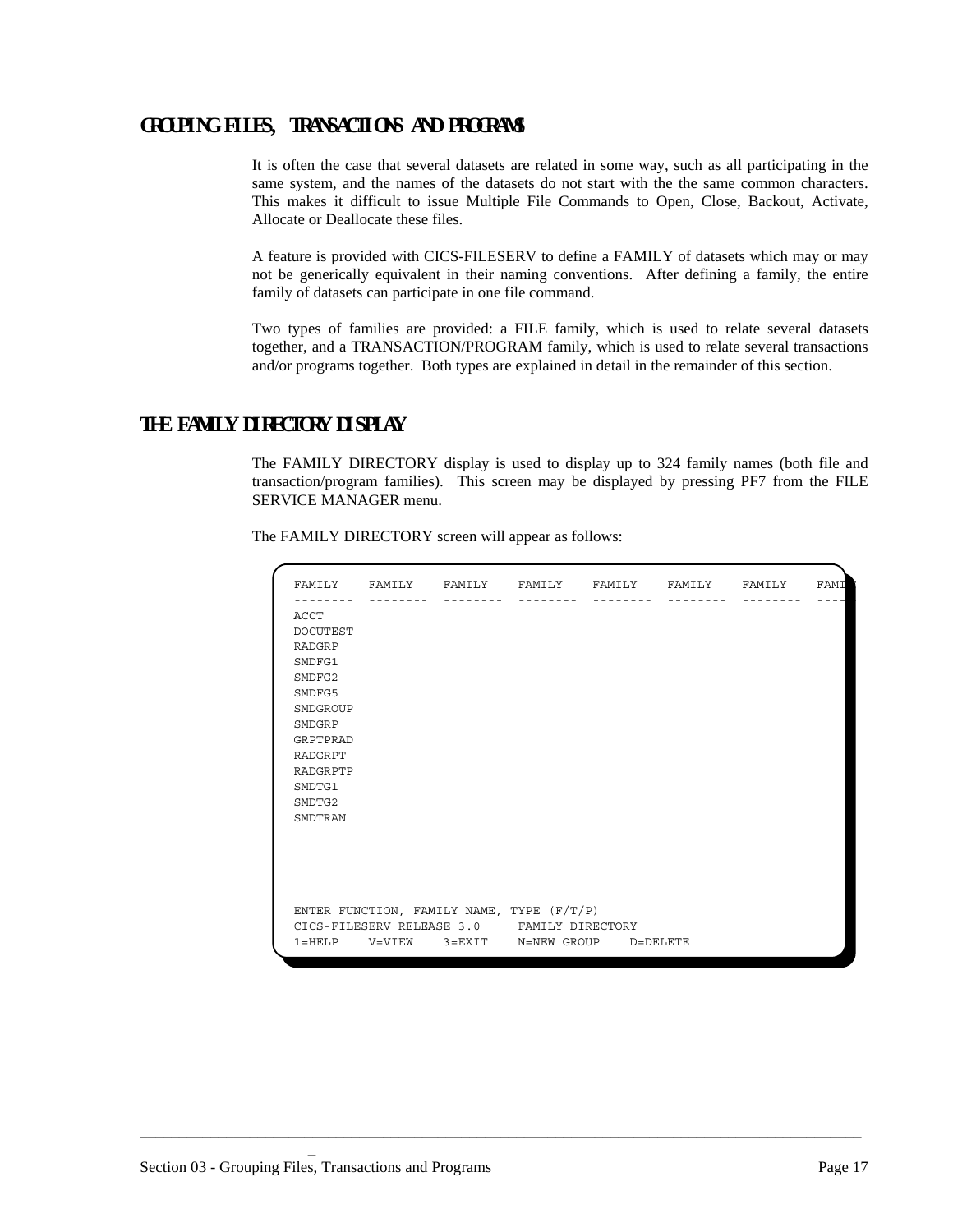# **GROUPING FILES, TRANSACTIONS AND PROGRAMS**

It is often the case that several datasets are related in some way, such as all participating in the same system, and the names of the datasets do not start with the the same common characters. This makes it difficult to issue Multiple File Commands to Open, Close, Backout, Activate, Allocate or Deallocate these files.

A feature is provided with CICS-FILESERV to define a FAMILY of datasets which may or may not be generically equivalent in their naming conventions. After defining a family, the entire family of datasets can participate in one file command.

Two types of families are provided: a FILE family, which is used to relate several datasets together, and a TRANSACTION/PROGRAM family, which is used to relate several transactions and/or programs together. Both types are explained in detail in the remainder of this section.

# **THE FAMILY DIRECTORY DISPLAY**

The FAMILY DIRECTORY display is used to display up to 324 family names (both file and transaction/program families). This screen may be displayed by pressing PF7 from the FILE SERVICE MANAGER menu.

The FAMILY DIRECTORY screen will appear as follows:

|      |                     |                                             |          | FAMILY FAMILY FAMILY FAMILY FAMILY FAMILY FAMILY | FAMI |
|------|---------------------|---------------------------------------------|----------|--------------------------------------------------|------|
| ACCT | --------            |                                             |          |                                                  |      |
|      | <b>DOCUTEST</b>     |                                             |          |                                                  |      |
|      | RADGRP              |                                             |          |                                                  |      |
|      | SMDFG1              |                                             |          |                                                  |      |
|      | SMDFG2              |                                             |          |                                                  |      |
|      | SMDFG5              |                                             |          |                                                  |      |
|      | SMDGROUP            |                                             |          |                                                  |      |
|      | SMDGRP              |                                             |          |                                                  |      |
|      | GRPTPRAD            |                                             |          |                                                  |      |
|      | RADGRPT<br>RADGRPTP |                                             |          |                                                  |      |
|      | SMDTG1              |                                             |          |                                                  |      |
|      | SMDTG2              |                                             |          |                                                  |      |
|      | SMDTRAN             |                                             |          |                                                  |      |
|      |                     |                                             |          |                                                  |      |
|      |                     |                                             |          |                                                  |      |
|      |                     |                                             |          |                                                  |      |
|      |                     |                                             |          |                                                  |      |
|      |                     |                                             |          |                                                  |      |
|      |                     | ENTER FUNCTION, FAMILY NAME, TYPE $(F/T/P)$ |          |                                                  |      |
|      |                     | CICS-FILESERV RELEASE 3.0 FAMILY DIRECTORY  |          |                                                  |      |
|      | $1 = HELP$          | V=VIEW 3=EXIT N=NEW GROUP                   | D=DELETE |                                                  |      |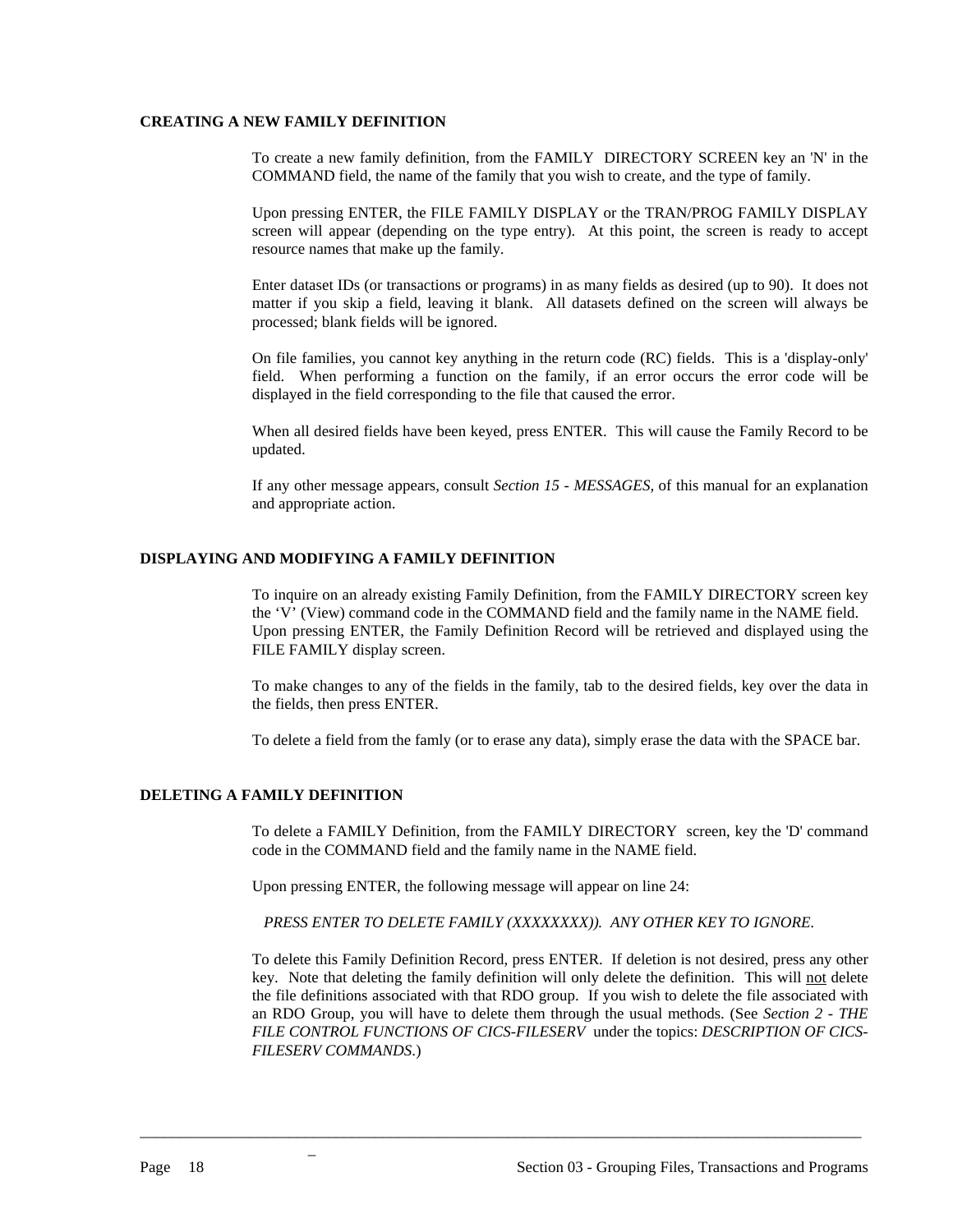### **CREATING A NEW FAMILY DEFINITION**

To create a new family definition, from the FAMILY DIRECTORY SCREEN key an 'N' in the COMMAND field, the name of the family that you wish to create, and the type of family.

Upon pressing ENTER, the FILE FAMILY DISPLAY or the TRAN/PROG FAMILY DISPLAY screen will appear (depending on the type entry). At this point, the screen is ready to accept resource names that make up the family.

Enter dataset IDs (or transactions or programs) in as many fields as desired (up to 90). It does not matter if you skip a field, leaving it blank. All datasets defined on the screen will always be processed; blank fields will be ignored.

On file families, you cannot key anything in the return code (RC) fields. This is a 'display-only' field. When performing a function on the family, if an error occurs the error code will be displayed in the field corresponding to the file that caused the error.

When all desired fields have been keyed, press ENTER. This will cause the Family Record to be updated.

If any other message appears, consult *Section 15 - MESSAGES,* of this manual for an explanation and appropriate action.

# **DISPLAYING AND MODIFYING A FAMILY DEFINITION**

To inquire on an already existing Family Definition, from the FAMILY DIRECTORY screen key the 'V' (View) command code in the COMMAND field and the family name in the NAME field. Upon pressing ENTER, the Family Definition Record will be retrieved and displayed using the FILE FAMILY display screen.

To make changes to any of the fields in the family, tab to the desired fields, key over the data in the fields, then press ENTER.

To delete a field from the famly (or to erase any data), simply erase the data with the SPACE bar.

# **DELETING A FAMILY DEFINITION**

 $\overline{a}$ 

To delete a FAMILY Definition, from the FAMILY DIRECTORY screen, key the 'D' command code in the COMMAND field and the family name in the NAME field.

Upon pressing ENTER, the following message will appear on line 24:

\_\_\_\_\_\_\_\_\_\_\_\_\_\_\_\_\_\_\_\_\_\_\_\_\_\_\_\_\_\_\_\_\_\_\_\_\_\_\_\_\_\_\_\_\_\_\_\_\_\_\_\_\_\_\_\_\_\_\_\_\_\_\_\_\_\_\_\_\_\_\_\_\_\_\_\_\_\_\_\_\_\_\_\_\_\_\_\_\_\_\_\_

 *PRESS ENTER TO DELETE FAMILY (XXXXXXXX)). ANY OTHER KEY TO IGNORE.* 

To delete this Family Definition Record, press ENTER. If deletion is not desired, press any other key. Note that deleting the family definition will only delete the definition. This will not delete the file definitions associated with that RDO group. If you wish to delete the file associated with an RDO Group, you will have to delete them through the usual methods. (See *Section 2 - THE FILE CONTROL FUNCTIONS OF CICS-FILESERV* under the topics: *DESCRIPTION OF CICS-FILESERV COMMANDS*.)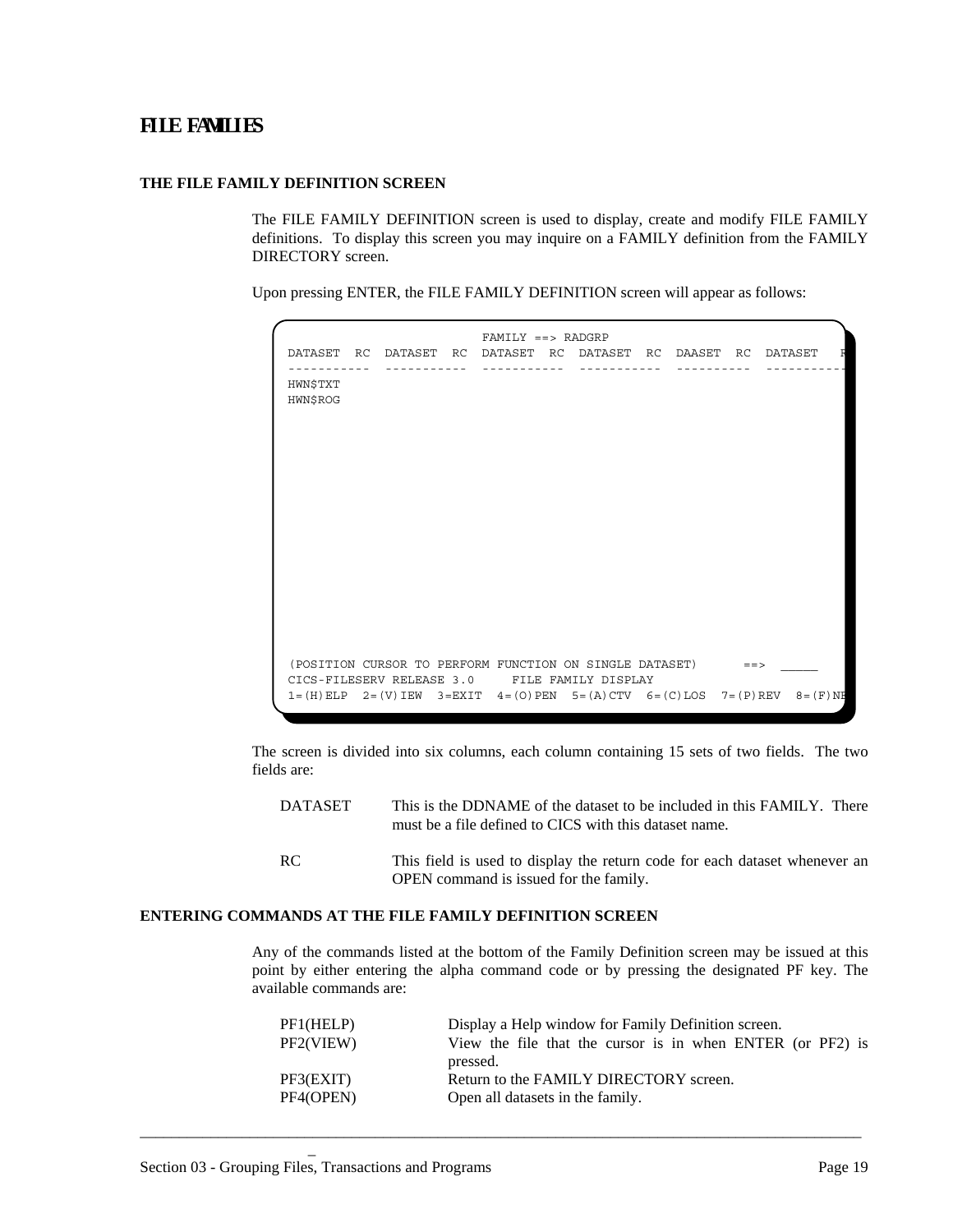# **FILE FAMILIES**

### **THE FILE FAMILY DEFINITION SCREEN**

The FILE FAMILY DEFINITION screen is used to display, create and modify FILE FAMILY definitions. To display this screen you may inquire on a FAMILY definition from the FAMILY DIRECTORY screen.

Upon pressing ENTER, the FILE FAMILY DEFINITION screen will appear as follows:

|                      | DATASET RC DATASET RC | $FAMILY == > RADGRP$ | DATASET RC DATASET RC DAASET RC DATASET                 |  |             |                                                                                                             |  |
|----------------------|-----------------------|----------------------|---------------------------------------------------------|--|-------------|-------------------------------------------------------------------------------------------------------------|--|
| HWN\$TXT<br>HWN\$ROG |                       |                      |                                                         |  |             |                                                                                                             |  |
|                      |                       |                      |                                                         |  |             |                                                                                                             |  |
|                      |                       |                      |                                                         |  |             |                                                                                                             |  |
|                      |                       |                      |                                                         |  |             |                                                                                                             |  |
|                      |                       |                      |                                                         |  |             |                                                                                                             |  |
|                      |                       |                      | (POSITION CURSOR TO PERFORM FUNCTION ON SINGLE DATASET) |  | $=$ $=$ $>$ |                                                                                                             |  |
|                      |                       |                      | CICS-FILESERV RELEASE 3.0 FILE FAMILY DISPLAY           |  |             | $1 = (H) ELP$ $2 = (V) IEW$ $3 = EXIT$ $4 = (O) PEN$ $5 = (A) CTV$ $6 = (C) LOG$ $7 = (P) REV$ $8 = (F) NE$ |  |

The screen is divided into six columns, each column containing 15 sets of two fields. The two fields are:

DATASET This is the DDNAME of the dataset to be included in this FAMILY. There must be a file defined to CICS with this dataset name. RC This field is used to display the return code for each dataset whenever an

# OPEN command is issued for the family. **ENTERING COMMANDS AT THE FILE FAMILY DEFINITION SCREEN**

\_\_\_\_\_\_\_\_\_\_\_\_\_\_\_\_\_\_\_\_\_\_\_\_\_\_\_\_\_\_\_\_\_\_\_\_\_\_\_\_\_\_\_\_\_\_\_\_\_\_\_\_\_\_\_\_\_\_\_\_\_\_\_\_\_\_\_\_\_\_\_\_\_\_\_\_\_\_\_\_\_\_\_\_\_\_\_\_\_\_\_\_

Any of the commands listed at the bottom of the Family Definition screen may be issued at this point by either entering the alpha command code or by pressing the designated PF key. The available commands are:

| PF1(HELP)              | Display a Help window for Family Definition screen.                        |
|------------------------|----------------------------------------------------------------------------|
| PF2(VIEW)              | View the file that the cursor is in when ENTER (or PF2) is<br>pressed.     |
| PF3(EXIT)<br>PF4(OPEN) | Return to the FAMILY DIRECTORY screen.<br>Open all datasets in the family. |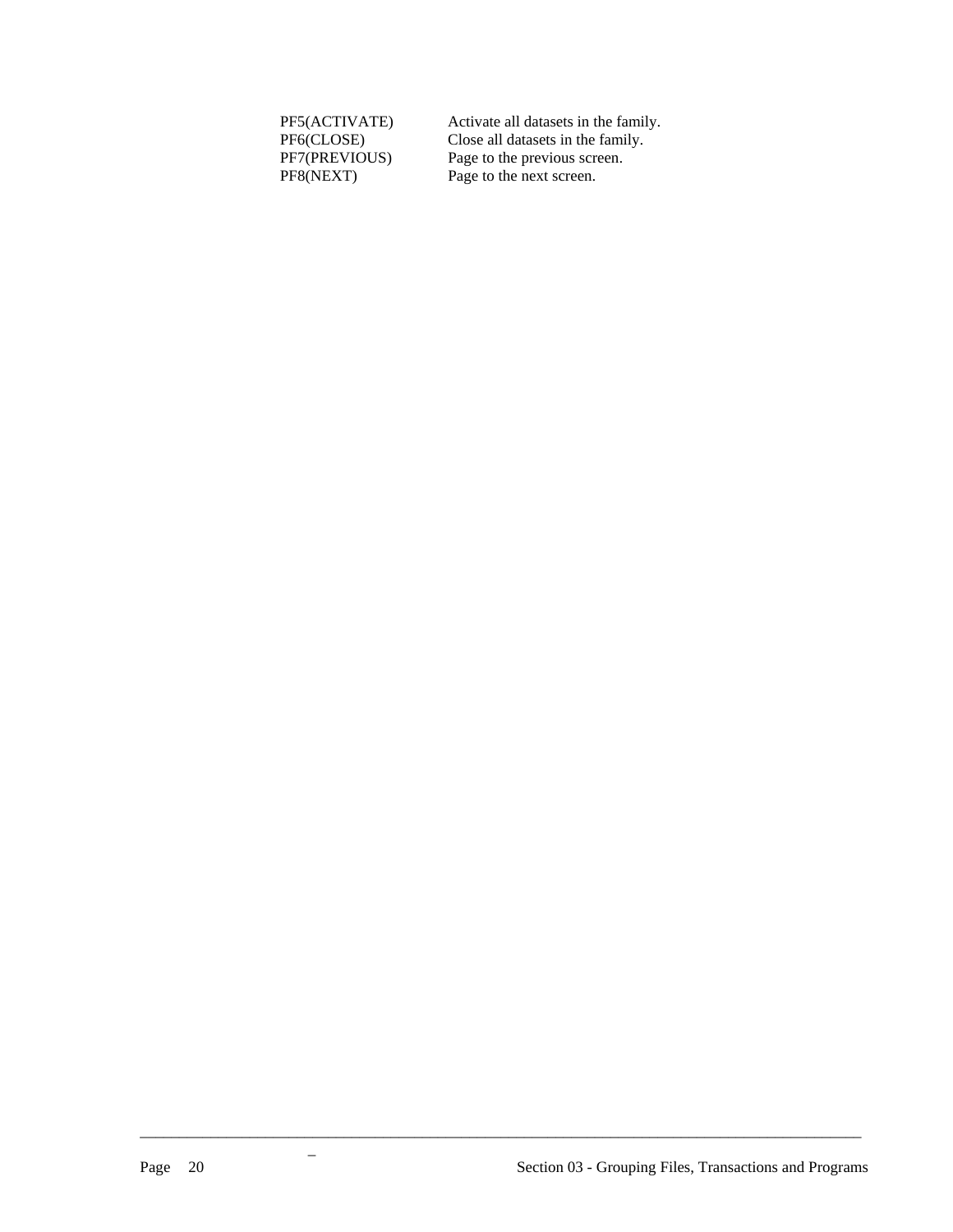PF5(ACTIVATE) Activate all datasets in the family. PF6(CLOSE) Close all datasets in the family. PF7(PREVIOUS) Page to the previous screen. PF8(NEXT) Page to the next screen.

\_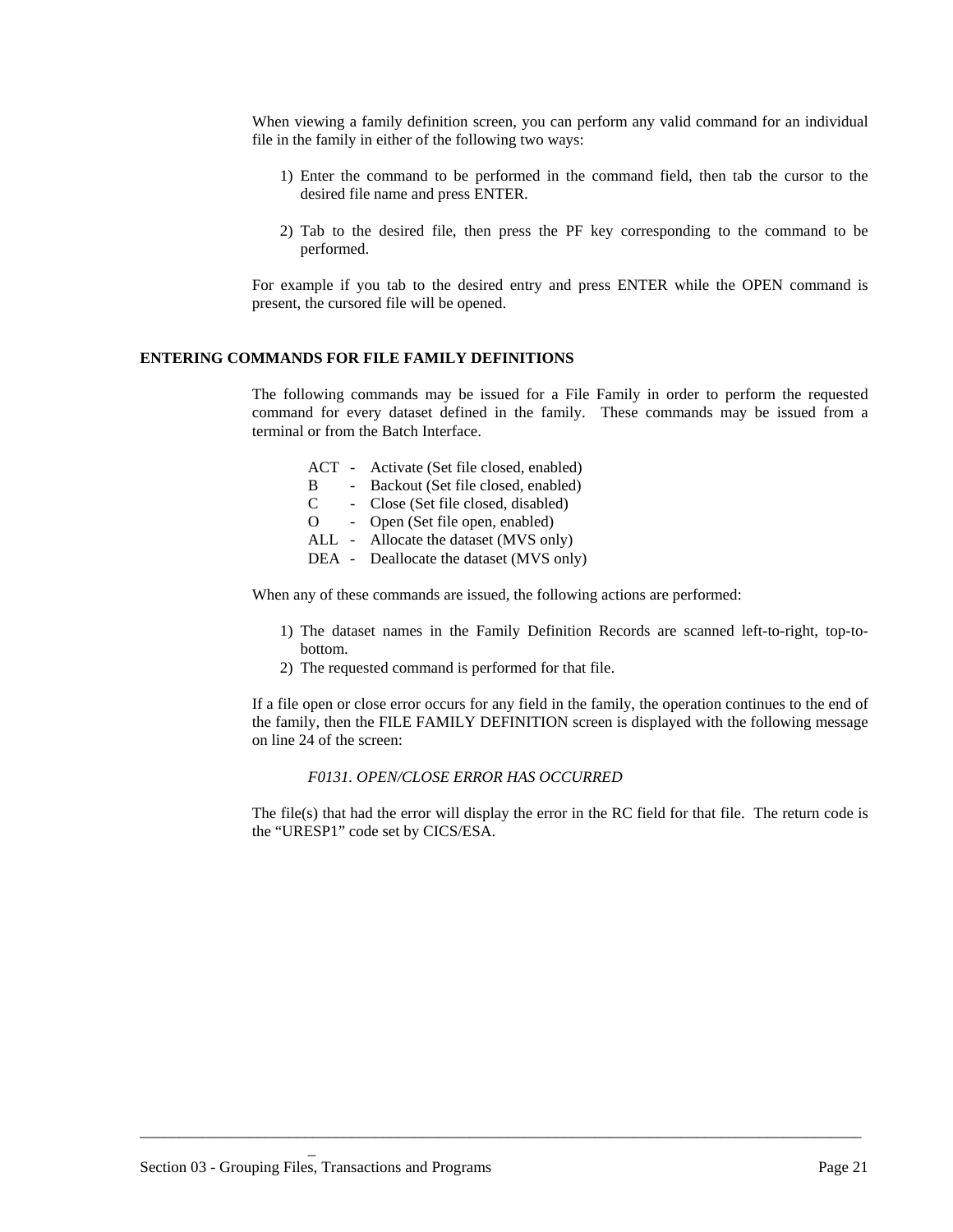When viewing a family definition screen, you can perform any valid command for an individual file in the family in either of the following two ways:

- 1) Enter the command to be performed in the command field, then tab the cursor to the desired file name and press ENTER.
- 2) Tab to the desired file, then press the PF key corresponding to the command to be performed.

For example if you tab to the desired entry and press ENTER while the OPEN command is present, the cursored file will be opened.

# **ENTERING COMMANDS FOR FILE FAMILY DEFINITIONS**

The following commands may be issued for a File Family in order to perform the requested command for every dataset defined in the family. These commands may be issued from a terminal or from the Batch Interface.

- ACT Activate (Set file closed, enabled)
- B Backout (Set file closed, enabled)
- C Close (Set file closed, disabled)
- O Open (Set file open, enabled)
- ALL Allocate the dataset (MVS only)
- DEA Deallocate the dataset (MVS only)

When any of these commands are issued, the following actions are performed:

- 1) The dataset names in the Family Definition Records are scanned left-to-right, top-tobottom.
- 2) The requested command is performed for that file.

If a file open or close error occurs for any field in the family, the operation continues to the end of the family, then the FILE FAMILY DEFINITION screen is displayed with the following message on line 24 of the screen:

#### *F0131. OPEN/CLOSE ERROR HAS OCCURRED*

\_\_\_\_\_\_\_\_\_\_\_\_\_\_\_\_\_\_\_\_\_\_\_\_\_\_\_\_\_\_\_\_\_\_\_\_\_\_\_\_\_\_\_\_\_\_\_\_\_\_\_\_\_\_\_\_\_\_\_\_\_\_\_\_\_\_\_\_\_\_\_\_\_\_\_\_\_\_\_\_\_\_\_\_\_\_\_\_\_\_\_\_

The file(s) that had the error will display the error in the RC field for that file. The return code is the "URESP1" code set by CICS/ESA.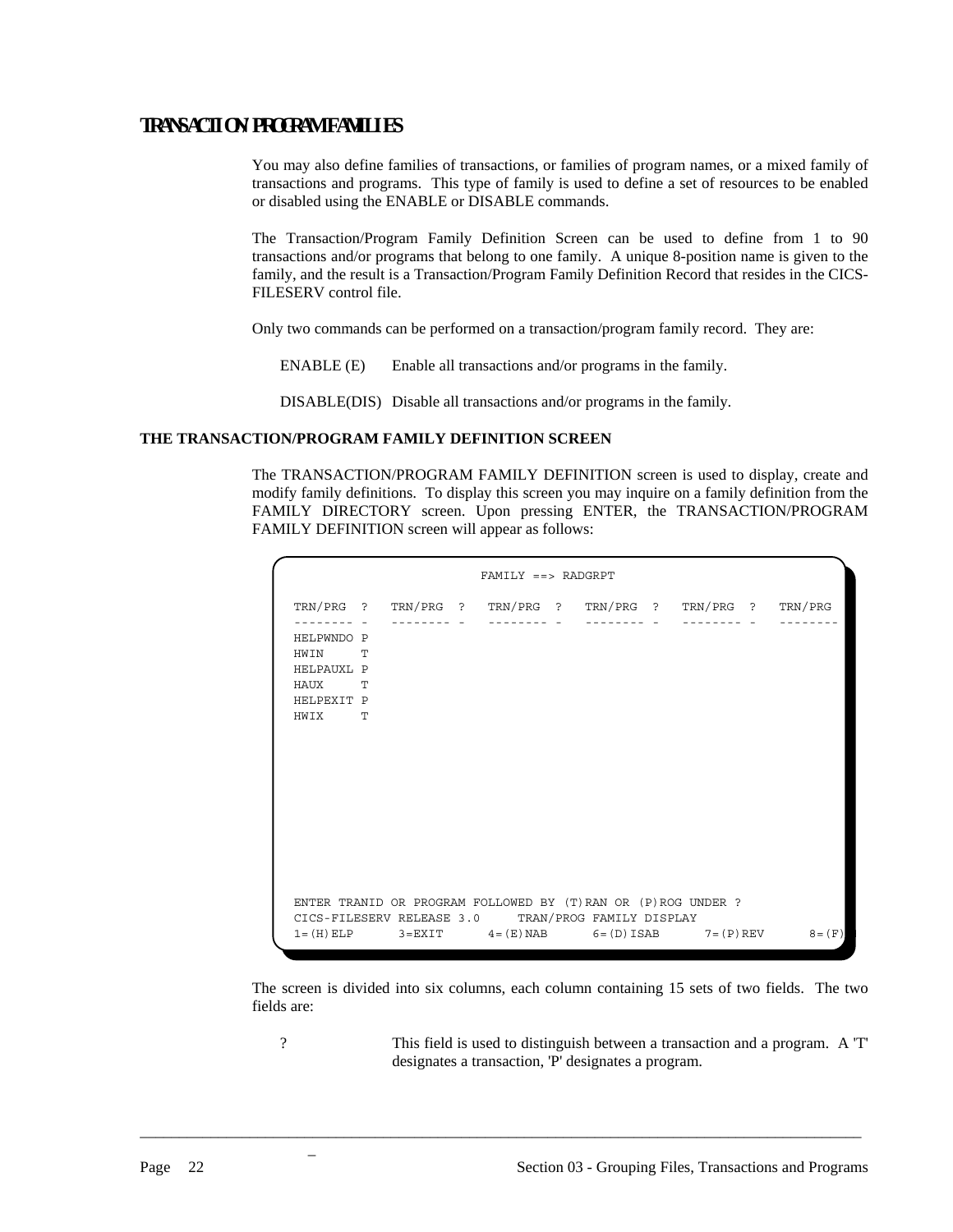# **TRANSACTION/ PROGRAM FAMILIES**

You may also define families of transactions, or families of program names, or a mixed family of transactions and programs. This type of family is used to define a set of resources to be enabled or disabled using the ENABLE or DISABLE commands.

The Transaction/Program Family Definition Screen can be used to define from 1 to 90 transactions and/or programs that belong to one family. A unique 8-position name is given to the family, and the result is a Transaction/Program Family Definition Record that resides in the CICS-FILESERV control file.

Only two commands can be performed on a transaction/program family record. They are:

ENABLE (E) Enable all transactions and/or programs in the family.

DISABLE(DIS) Disable all transactions and/or programs in the family.

# **THE TRANSACTION/PROGRAM FAMILY DEFINITION SCREEN**

The TRANSACTION/PROGRAM FAMILY DEFINITION screen is used to display, create and modify family definitions. To display this screen you may inquire on a family definition from the FAMILY DIRECTORY screen. Upon pressing ENTER, the TRANSACTION/PROGRAM FAMILY DEFINITION screen will appear as follows:

|                      | $FAMILY == > RADGRPT$ |  |  |                                                                |  |  |  |  |  |                                                                 |  |  |  |
|----------------------|-----------------------|--|--|----------------------------------------------------------------|--|--|--|--|--|-----------------------------------------------------------------|--|--|--|
|                      |                       |  |  | TRN/PRG ? TRN/PRG ? TRN/PRG ? TRN/PRG ? TRN/PRG ? TRN/PRG      |  |  |  |  |  |                                                                 |  |  |  |
| -------- -           |                       |  |  |                                                                |  |  |  |  |  |                                                                 |  |  |  |
| HELPWNDO P           |                       |  |  |                                                                |  |  |  |  |  |                                                                 |  |  |  |
| HWIN                 | $\mathbb{T}$          |  |  |                                                                |  |  |  |  |  |                                                                 |  |  |  |
| HELPAUXL P           |                       |  |  |                                                                |  |  |  |  |  |                                                                 |  |  |  |
| HAUX                 | T                     |  |  |                                                                |  |  |  |  |  |                                                                 |  |  |  |
| HELPEXIT P           |                       |  |  |                                                                |  |  |  |  |  |                                                                 |  |  |  |
| HWIX<br>$\mathbb{T}$ |                       |  |  |                                                                |  |  |  |  |  |                                                                 |  |  |  |
|                      |                       |  |  |                                                                |  |  |  |  |  |                                                                 |  |  |  |
|                      |                       |  |  |                                                                |  |  |  |  |  |                                                                 |  |  |  |
|                      |                       |  |  |                                                                |  |  |  |  |  |                                                                 |  |  |  |
|                      |                       |  |  |                                                                |  |  |  |  |  |                                                                 |  |  |  |
|                      |                       |  |  |                                                                |  |  |  |  |  |                                                                 |  |  |  |
|                      |                       |  |  |                                                                |  |  |  |  |  |                                                                 |  |  |  |
|                      |                       |  |  |                                                                |  |  |  |  |  |                                                                 |  |  |  |
|                      |                       |  |  |                                                                |  |  |  |  |  |                                                                 |  |  |  |
|                      |                       |  |  |                                                                |  |  |  |  |  |                                                                 |  |  |  |
|                      |                       |  |  |                                                                |  |  |  |  |  |                                                                 |  |  |  |
|                      |                       |  |  | ENTER TRANID OR PROGRAM FOLLOWED BY (T) RAN OR (P) ROG UNDER ? |  |  |  |  |  |                                                                 |  |  |  |
|                      |                       |  |  | CICS-FILESERV RELEASE 3.0 TRAN/PROG FAMILY DISPLAY             |  |  |  |  |  |                                                                 |  |  |  |
| $1 = (H) ELP$        |                       |  |  |                                                                |  |  |  |  |  | $3 = EXIT$ $4 = (E) NAB$ $6 = (D) ISAB$ $7 = (P) REV$ $8 = (F)$ |  |  |  |
|                      |                       |  |  |                                                                |  |  |  |  |  |                                                                 |  |  |  |

The screen is divided into six columns, each column containing 15 sets of two fields. The two fields are:

\_\_\_\_\_\_\_\_\_\_\_\_\_\_\_\_\_\_\_\_\_\_\_\_\_\_\_\_\_\_\_\_\_\_\_\_\_\_\_\_\_\_\_\_\_\_\_\_\_\_\_\_\_\_\_\_\_\_\_\_\_\_\_\_\_\_\_\_\_\_\_\_\_\_\_\_\_\_\_\_\_\_\_\_\_\_\_\_\_\_\_\_

 $\overline{a}$ 

? This field is used to distinguish between a transaction and a program. A 'T' designates a transaction, 'P' designates a program.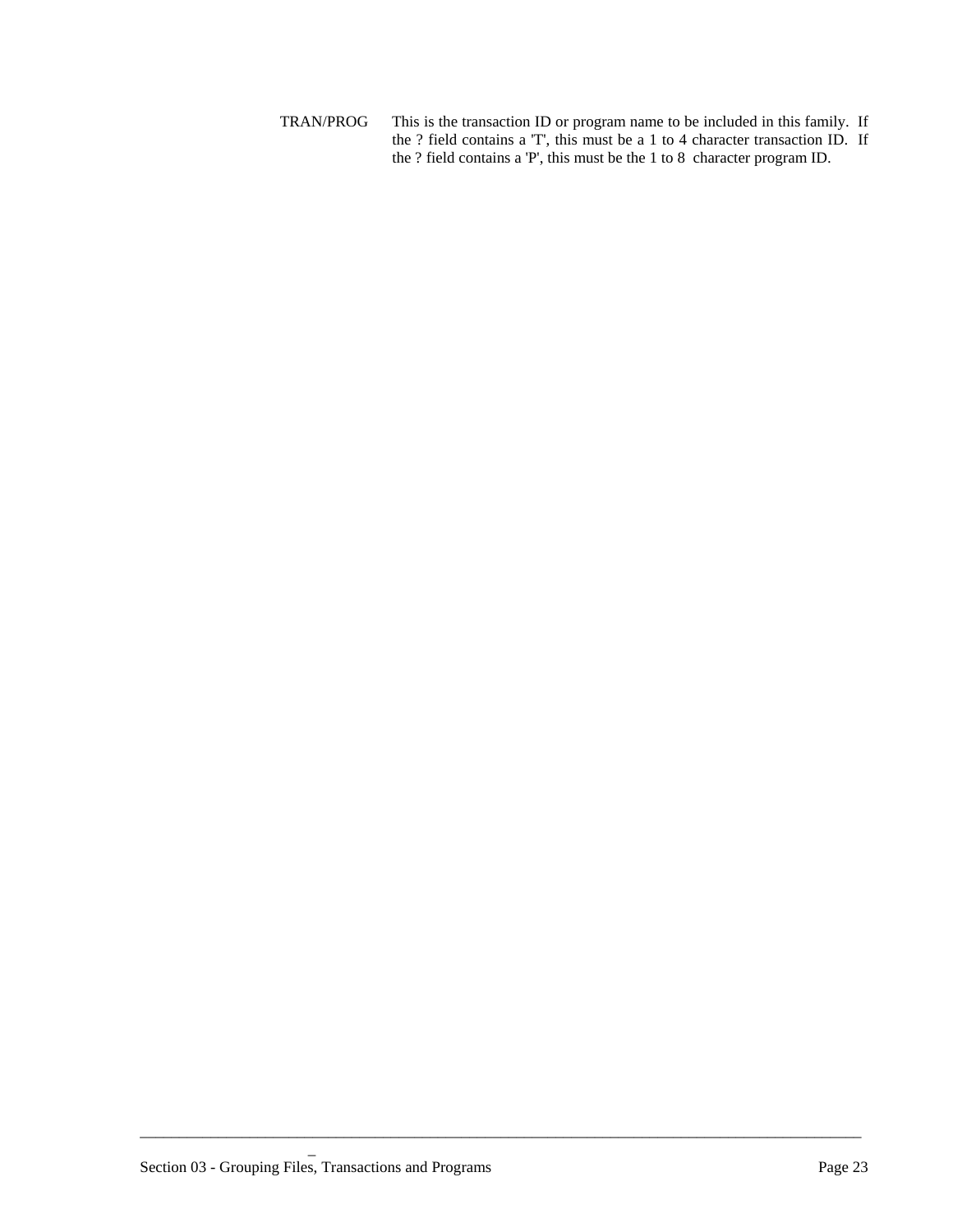TRAN/PROG This is the transaction ID or program name to be included in this family. If the ? field contains a 'T', this must be a 1 to 4 character transaction ID. If the ? field contains a 'P', this must be the 1 to 8 character program ID.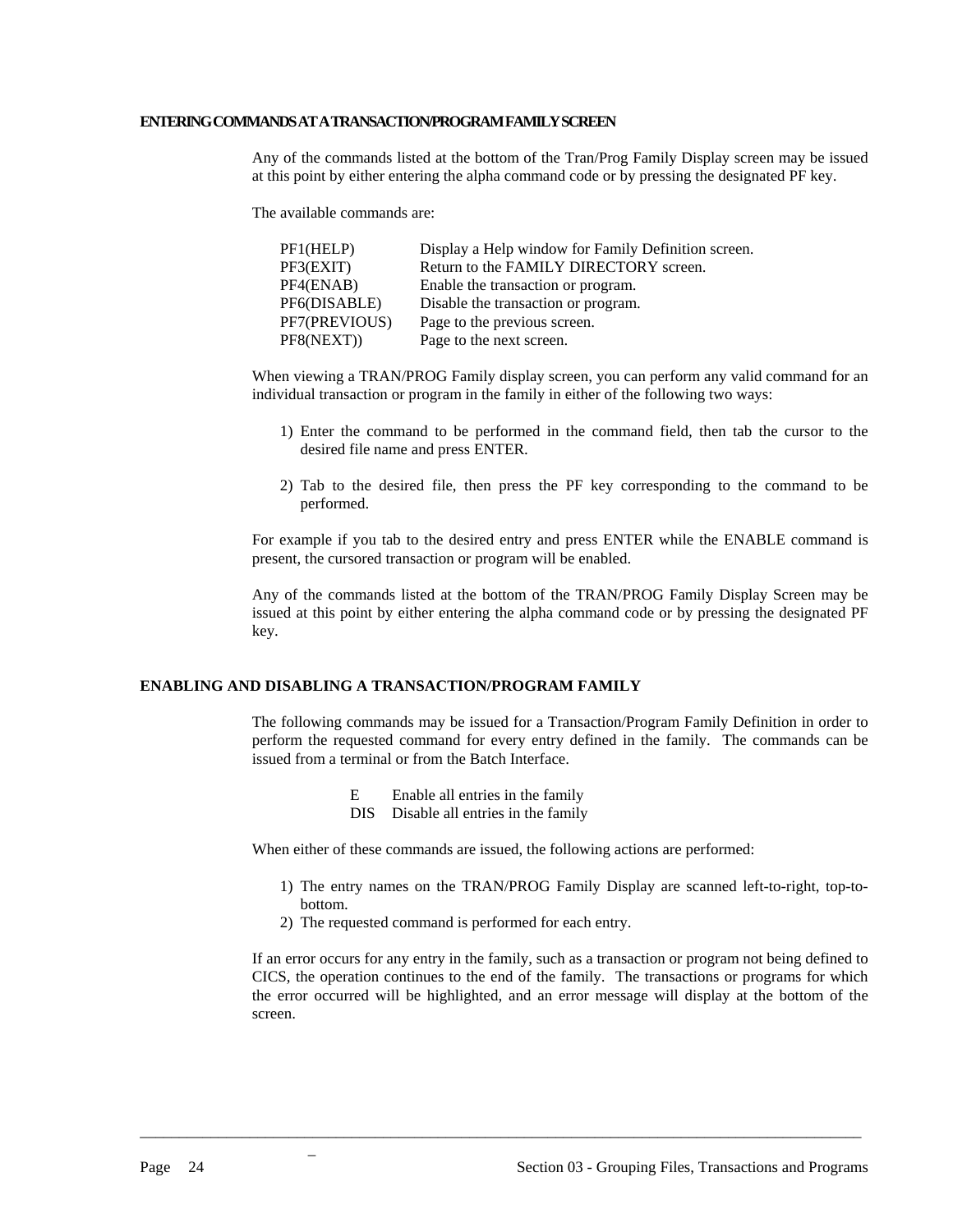### **ENTERING COMMANDS AT A TRANSACTION/PROGRAM FAMILY SCREEN**

Any of the commands listed at the bottom of the Tran/Prog Family Display screen may be issued at this point by either entering the alpha command code or by pressing the designated PF key.

The available commands are:

| PF1(HELP)     | Display a Help window for Family Definition screen. |
|---------------|-----------------------------------------------------|
| PF3(EXIT)     | Return to the FAMILY DIRECTORY screen.              |
| PF4(ENAB)     | Enable the transaction or program.                  |
| PF6(DISABLE)  | Disable the transaction or program.                 |
| PF7(PREVIOUS) | Page to the previous screen.                        |
| PF8(NEXT))    | Page to the next screen.                            |

When viewing a TRAN/PROG Family display screen, you can perform any valid command for an individual transaction or program in the family in either of the following two ways:

- 1) Enter the command to be performed in the command field, then tab the cursor to the desired file name and press ENTER.
- 2) Tab to the desired file, then press the PF key corresponding to the command to be performed.

For example if you tab to the desired entry and press ENTER while the ENABLE command is present, the cursored transaction or program will be enabled.

Any of the commands listed at the bottom of the TRAN/PROG Family Display Screen may be issued at this point by either entering the alpha command code or by pressing the designated PF key.

### **ENABLING AND DISABLING A TRANSACTION/PROGRAM FAMILY**

The following commands may be issued for a Transaction/Program Family Definition in order to perform the requested command for every entry defined in the family. The commands can be issued from a terminal or from the Batch Interface.

- E Enable all entries in the family
- DIS Disable all entries in the family

When either of these commands are issued, the following actions are performed:

\_\_\_\_\_\_\_\_\_\_\_\_\_\_\_\_\_\_\_\_\_\_\_\_\_\_\_\_\_\_\_\_\_\_\_\_\_\_\_\_\_\_\_\_\_\_\_\_\_\_\_\_\_\_\_\_\_\_\_\_\_\_\_\_\_\_\_\_\_\_\_\_\_\_\_\_\_\_\_\_\_\_\_\_\_\_\_\_\_\_\_\_

- 1) The entry names on the TRAN/PROG Family Display are scanned left-to-right, top-tobottom.
- 2) The requested command is performed for each entry.

If an error occurs for any entry in the family, such as a transaction or program not being defined to CICS, the operation continues to the end of the family. The transactions or programs for which the error occurred will be highlighted, and an error message will display at the bottom of the screen.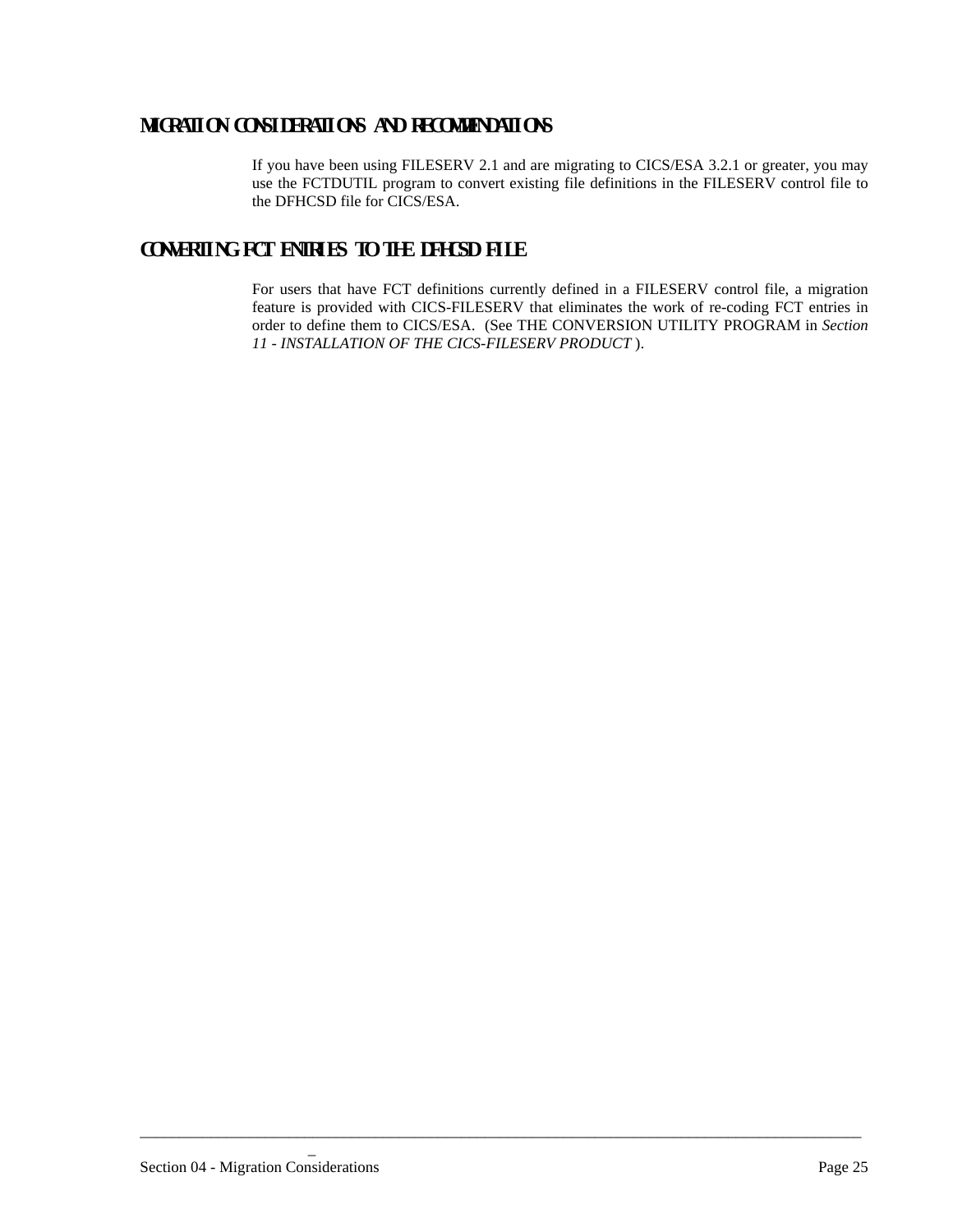# **MIGRATION CONSIDERATIONS AND RECOMMENDATIONS**

If you have been using FILESERV 2.1 and are migrating to CICS/ESA 3.2.1 or greater, you may use the FCTDUTIL program to convert existing file definitions in the FILESERV control file to the DFHCSD file for CICS/ESA.

# **CONFRING FCT ENTRIES TO THE DFHSD FILE**

For users that have FCT definitions currently defined in a FILESERV control file, a migration feature is provided with CICS-FILESERV that eliminates the work of re-coding FCT entries in order to define them to CICS/ESA. (See THE CONVERSION UTILITY PROGRAM in *Section 11 - INSTALLATION OF THE CICS-FILESERV PRODUCT* ).

\_\_\_\_\_\_\_\_\_\_\_\_\_\_\_\_\_\_\_\_\_\_\_\_\_\_\_\_\_\_\_\_\_\_\_\_\_\_\_\_\_\_\_\_\_\_\_\_\_\_\_\_\_\_\_\_\_\_\_\_\_\_\_\_\_\_\_\_\_\_\_\_\_\_\_\_\_\_\_\_\_\_\_\_\_\_\_\_\_\_\_\_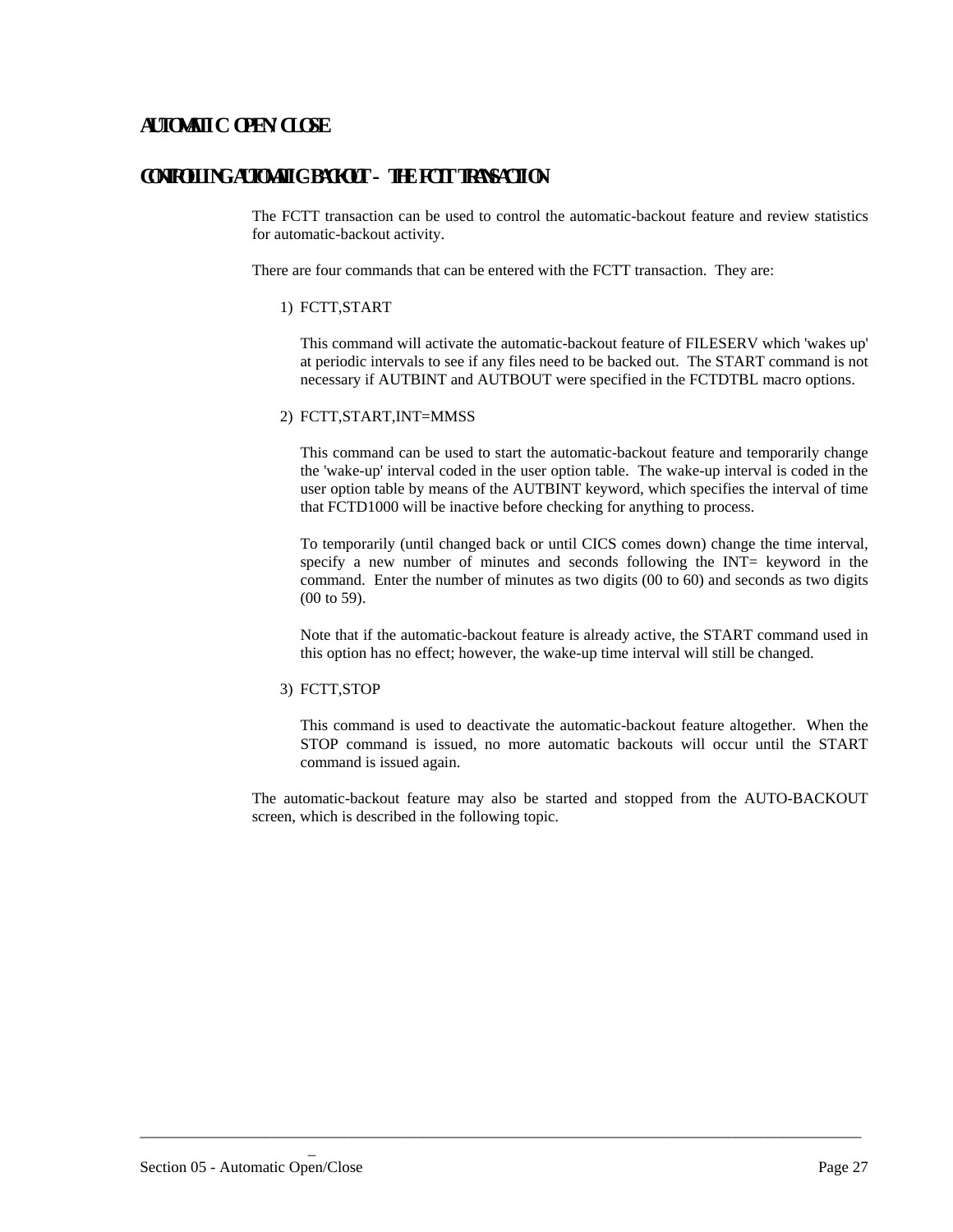# **AUTOMATIC OPEN/ CLOSE**

# **CONTROLLING AUTOMATIC-BACKOUT - THE FCTT TRANSACTION**

The FCTT transaction can be used to control the automatic-backout feature and review statistics for automatic-backout activity.

There are four commands that can be entered with the FCTT transaction. They are:

### 1) FCTT,START

 This command will activate the automatic-backout feature of FILESERV which 'wakes up' at periodic intervals to see if any files need to be backed out. The START command is not necessary if AUTBINT and AUTBOUT were specified in the FCTDTBL macro options.

### 2) FCTT,START,INT=MMSS

 This command can be used to start the automatic-backout feature and temporarily change the 'wake-up' interval coded in the user option table. The wake-up interval is coded in the user option table by means of the AUTBINT keyword, which specifies the interval of time that FCTD1000 will be inactive before checking for anything to process.

 To temporarily (until changed back or until CICS comes down) change the time interval, specify a new number of minutes and seconds following the INT= keyword in the command. Enter the number of minutes as two digits (00 to 60) and seconds as two digits (00 to 59).

 Note that if the automatic-backout feature is already active, the START command used in this option has no effect; however, the wake-up time interval will still be changed.

### 3) FCTT,STOP

 This command is used to deactivate the automatic-backout feature altogether. When the STOP command is issued, no more automatic backouts will occur until the START command is issued again.

The automatic-backout feature may also be started and stopped from the AUTO-BACKOUT screen, which is described in the following topic.

\_\_\_\_\_\_\_\_\_\_\_\_\_\_\_\_\_\_\_\_\_\_\_\_\_\_\_\_\_\_\_\_\_\_\_\_\_\_\_\_\_\_\_\_\_\_\_\_\_\_\_\_\_\_\_\_\_\_\_\_\_\_\_\_\_\_\_\_\_\_\_\_\_\_\_\_\_\_\_\_\_\_\_\_\_\_\_\_\_\_\_\_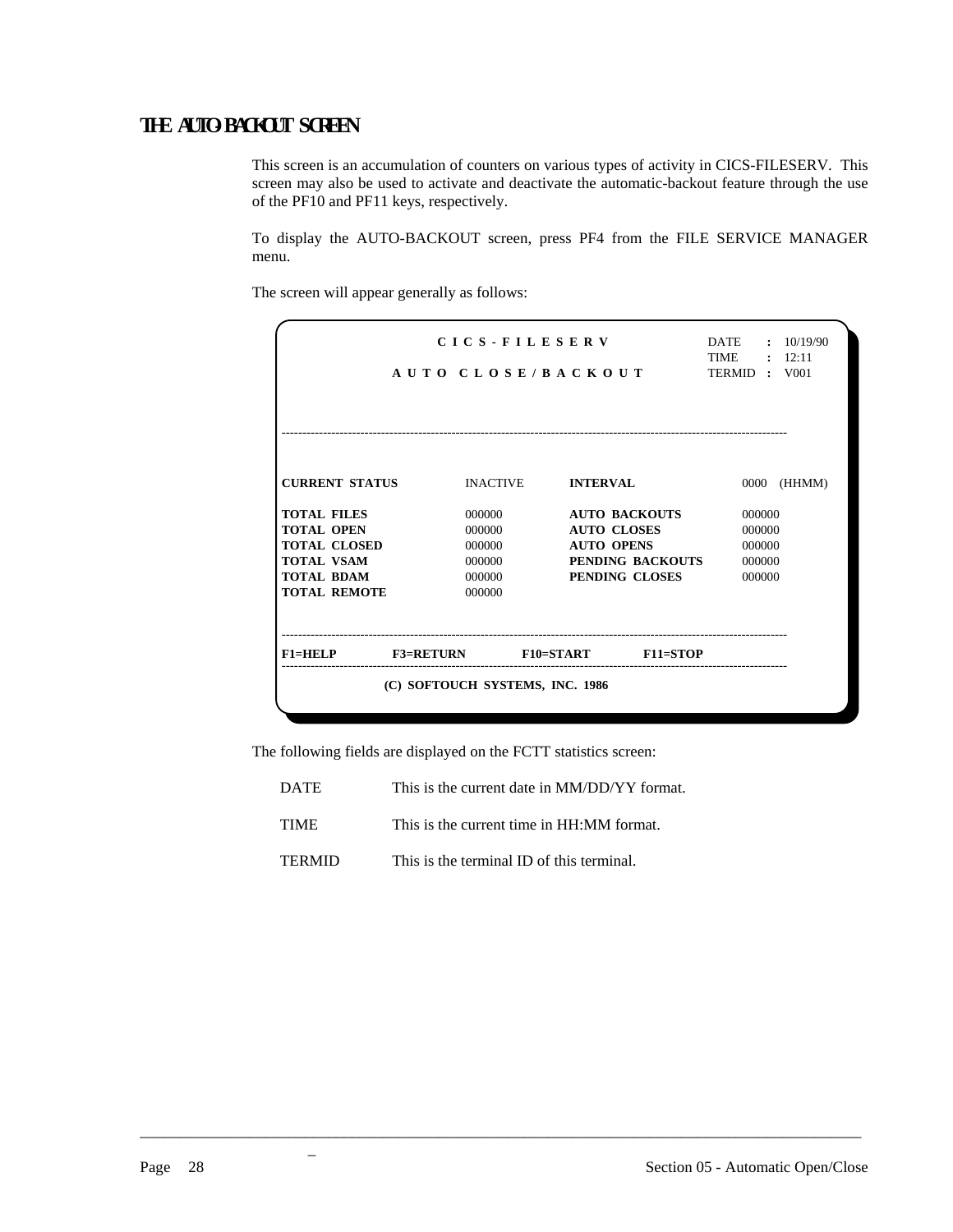# **THE AUTO BACKOUT SCREEN**

This screen is an accumulation of counters on various types of activity in CICS-FILESERV. This screen may also be used to activate and deactivate the automatic-backout feature through the use of the PF10 and PF11 keys, respectively.

To display the AUTO-BACKOUT screen, press PF4 from the FILE SERVICE MANAGER menu.

The screen will appear generally as follows:

|                       |                  | CICS-FILESERV      |                      |                  | DATE<br><b>TIME</b> | : 10/19/90<br>12:11<br>٠ |
|-----------------------|------------------|--------------------|----------------------|------------------|---------------------|--------------------------|
|                       |                  | AUTO CLOSE/BACKOUT |                      |                  | <b>TERMID</b>       | $\cdot$ V001             |
|                       |                  |                    |                      |                  |                     |                          |
|                       |                  |                    |                      |                  |                     |                          |
|                       |                  |                    |                      |                  |                     |                          |
| <b>CURRENT STATUS</b> |                  | <b>INACTIVE</b>    | <b>INTERVAL</b>      |                  | 0000                | (HHMM)                   |
| <b>TOTAL FILES</b>    |                  | 000000             | <b>AUTO BACKOUTS</b> |                  | 000000              |                          |
| <b>TOTAL OPEN</b>     |                  | 000000             | <b>AUTO CLOSES</b>   |                  | 000000              |                          |
| <b>TOTAL CLOSED</b>   |                  | 000000             | <b>AUTO OPENS</b>    |                  | 000000              |                          |
| <b>TOTAL VSAM</b>     |                  | 000000             |                      | PENDING BACKOUTS | 000000              |                          |
| <b>TOTAL BDAM</b>     |                  | 000000             | PENDING CLOSES       |                  | 000000              |                          |
| <b>TOTAL REMOTE</b>   |                  | 000000             |                      |                  |                     |                          |
|                       | <b>F3=RETURN</b> | F10=START          |                      | $F11 = STOP$     |                     |                          |

The following fields are displayed on the FCTT statistics screen:

| <b>DATE</b>   | This is the current date in MM/DD/YY format. |
|---------------|----------------------------------------------|
| <b>TIME</b>   | This is the current time in HH:MM format.    |
| <b>TERMID</b> | This is the terminal ID of this terminal.    |

\_\_\_\_\_\_\_\_\_\_\_\_\_\_\_\_\_\_\_\_\_\_\_\_\_\_\_\_\_\_\_\_\_\_\_\_\_\_\_\_\_\_\_\_\_\_\_\_\_\_\_\_\_\_\_\_\_\_\_\_\_\_\_\_\_\_\_\_\_\_\_\_\_\_\_\_\_\_\_\_\_\_\_\_\_\_\_\_\_\_\_\_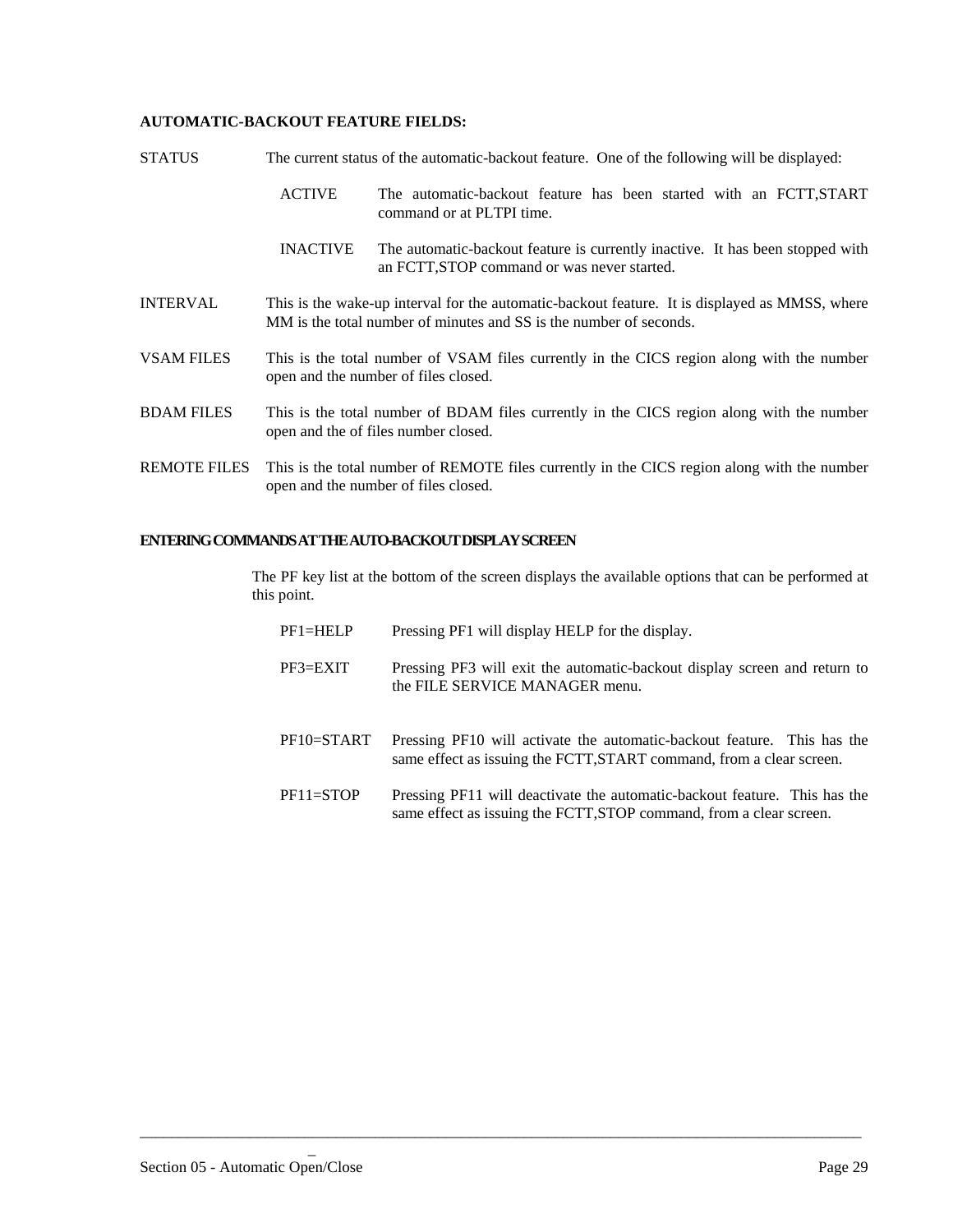## **AUTOMATIC-BACKOUT FEATURE FIELDS:**

STATUS The current status of the automatic-backout feature. One of the following will be displayed:

- ACTIVE The automatic-backout feature has been started with an FCTT,START command or at PLTPI time.
- INACTIVE The automatic-backout feature is currently inactive. It has been stopped with an FCTT,STOP command or was never started.
- INTERVAL This is the wake-up interval for the automatic-backout feature. It is displayed as MMSS, where MM is the total number of minutes and SS is the number of seconds.
- VSAM FILES This is the total number of VSAM files currently in the CICS region along with the number open and the number of files closed.
- BDAM FILES This is the total number of BDAM files currently in the CICS region along with the number open and the of files number closed.
- REMOTE FILES This is the total number of REMOTE files currently in the CICS region along with the number open and the number of files closed.

\_\_\_\_\_\_\_\_\_\_\_\_\_\_\_\_\_\_\_\_\_\_\_\_\_\_\_\_\_\_\_\_\_\_\_\_\_\_\_\_\_\_\_\_\_\_\_\_\_\_\_\_\_\_\_\_\_\_\_\_\_\_\_\_\_\_\_\_\_\_\_\_\_\_\_\_\_\_\_\_\_\_\_\_\_\_\_\_\_\_\_\_

### **ENTERING COMMANDS AT THE AUTO-BACKOUT DISPLAY SCREEN**

The PF key list at the bottom of the screen displays the available options that can be performed at this point.

- PF1=HELP Pressing PF1 will display HELP for the display. PF3=EXIT Pressing PF3 will exit the automatic-backout display screen and return to the FILE SERVICE MANAGER menu. PF10=START Pressing PF10 will activate the automatic-backout feature. This has the
- PF11=STOP Pressing PF11 will deactivate the automatic-backout feature. This has the same effect as issuing the FCTT,STOP command, from a clear screen.

same effect as issuing the FCTT,START command, from a clear screen.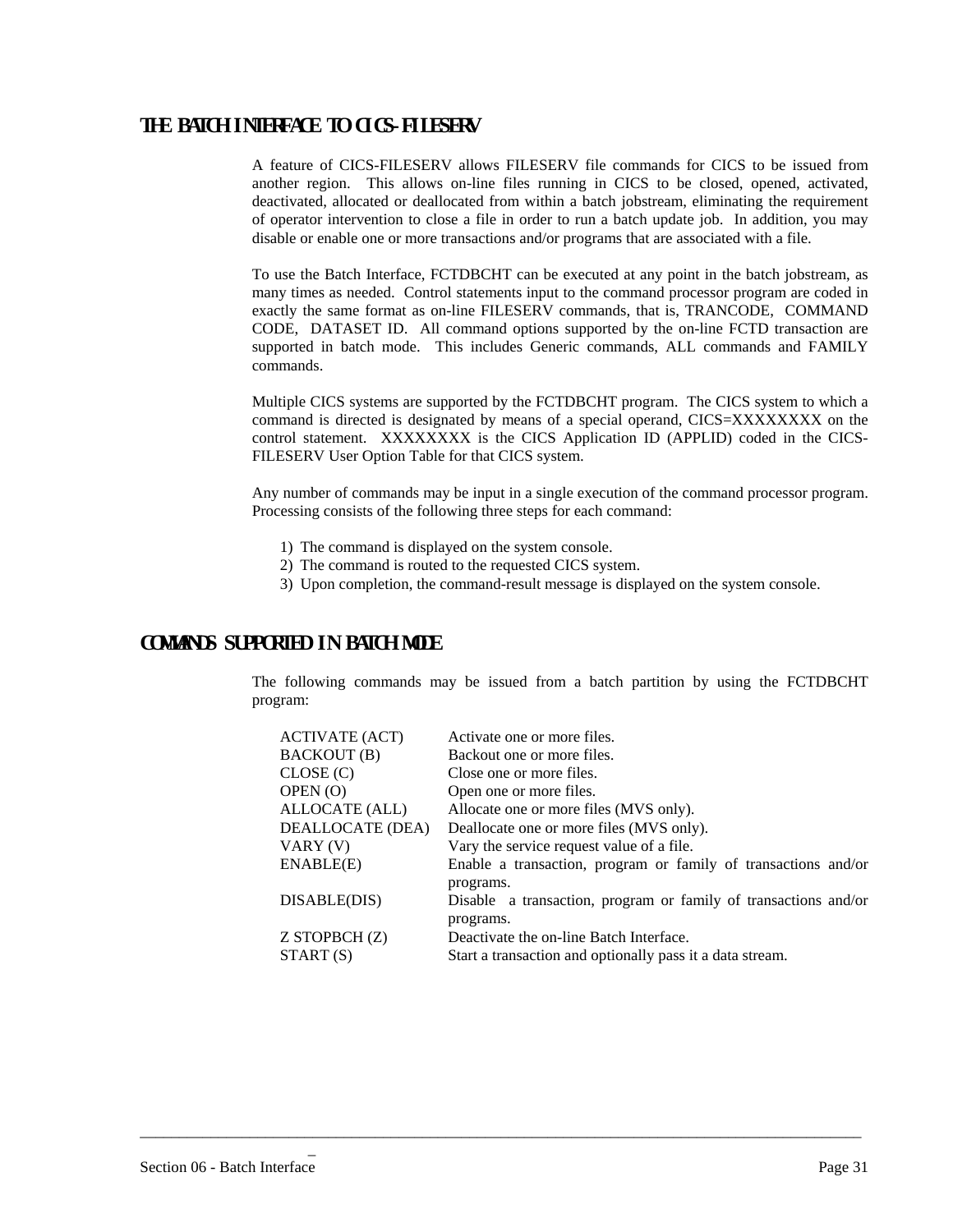# **THE BATCH INTERFACE TO CICS-FILESERV**

A feature of CICS-FILESERV allows FILESERV file commands for CICS to be issued from another region. This allows on-line files running in CICS to be closed, opened, activated, deactivated, allocated or deallocated from within a batch jobstream, eliminating the requirement of operator intervention to close a file in order to run a batch update job. In addition, you may disable or enable one or more transactions and/or programs that are associated with a file.

To use the Batch Interface, FCTDBCHT can be executed at any point in the batch jobstream, as many times as needed. Control statements input to the command processor program are coded in exactly the same format as on-line FILESERV commands, that is, TRANCODE, COMMAND CODE, DATASET ID. All command options supported by the on-line FCTD transaction are supported in batch mode. This includes Generic commands, ALL commands and FAMILY commands.

Multiple CICS systems are supported by the FCTDBCHT program. The CICS system to which a command is directed is designated by means of a special operand, CICS=XXXXXXX on the control statement. XXXXXXXX is the CICS Application ID (APPLID) coded in the CICS-FILESERV User Option Table for that CICS system.

Any number of commands may be input in a single execution of the command processor program. Processing consists of the following three steps for each command:

- 1) The command is displayed on the system console.
- 2) The command is routed to the requested CICS system.
- 3) Upon completion, the command-result message is displayed on the system console.

## **COMANDS SUPPORTED IN BATCH MODE**

The following commands may be issued from a batch partition by using the FCTDBCHT program:

| <b>ACTIVATE (ACT)</b> | Activate one or more files.                                     |
|-----------------------|-----------------------------------------------------------------|
| <b>BACKOUT (B)</b>    | Backout one or more files.                                      |
| CLOSE (C)             | Close one or more files.                                        |
| OPEN (O)              | Open one or more files.                                         |
| ALLOCATE (ALL)        | Allocate one or more files (MVS only).                          |
| DEALLOCATE (DEA)      | Deallocate one or more files (MVS only).                        |
| VARY (V)              | Vary the service request value of a file.                       |
| ENABLE(E)             | Enable a transaction, program or family of transactions and/or  |
|                       | programs.                                                       |
| DISABLE(DIS)          | Disable a transaction, program or family of transactions and/or |
|                       | programs.                                                       |
| Z STOPBCH (Z)         | Deactivate the on-line Batch Interface.                         |
| START (S)             | Start a transaction and optionally pass it a data stream.       |
|                       |                                                                 |

\_\_\_\_\_\_\_\_\_\_\_\_\_\_\_\_\_\_\_\_\_\_\_\_\_\_\_\_\_\_\_\_\_\_\_\_\_\_\_\_\_\_\_\_\_\_\_\_\_\_\_\_\_\_\_\_\_\_\_\_\_\_\_\_\_\_\_\_\_\_\_\_\_\_\_\_\_\_\_\_\_\_\_\_\_\_\_\_\_\_\_\_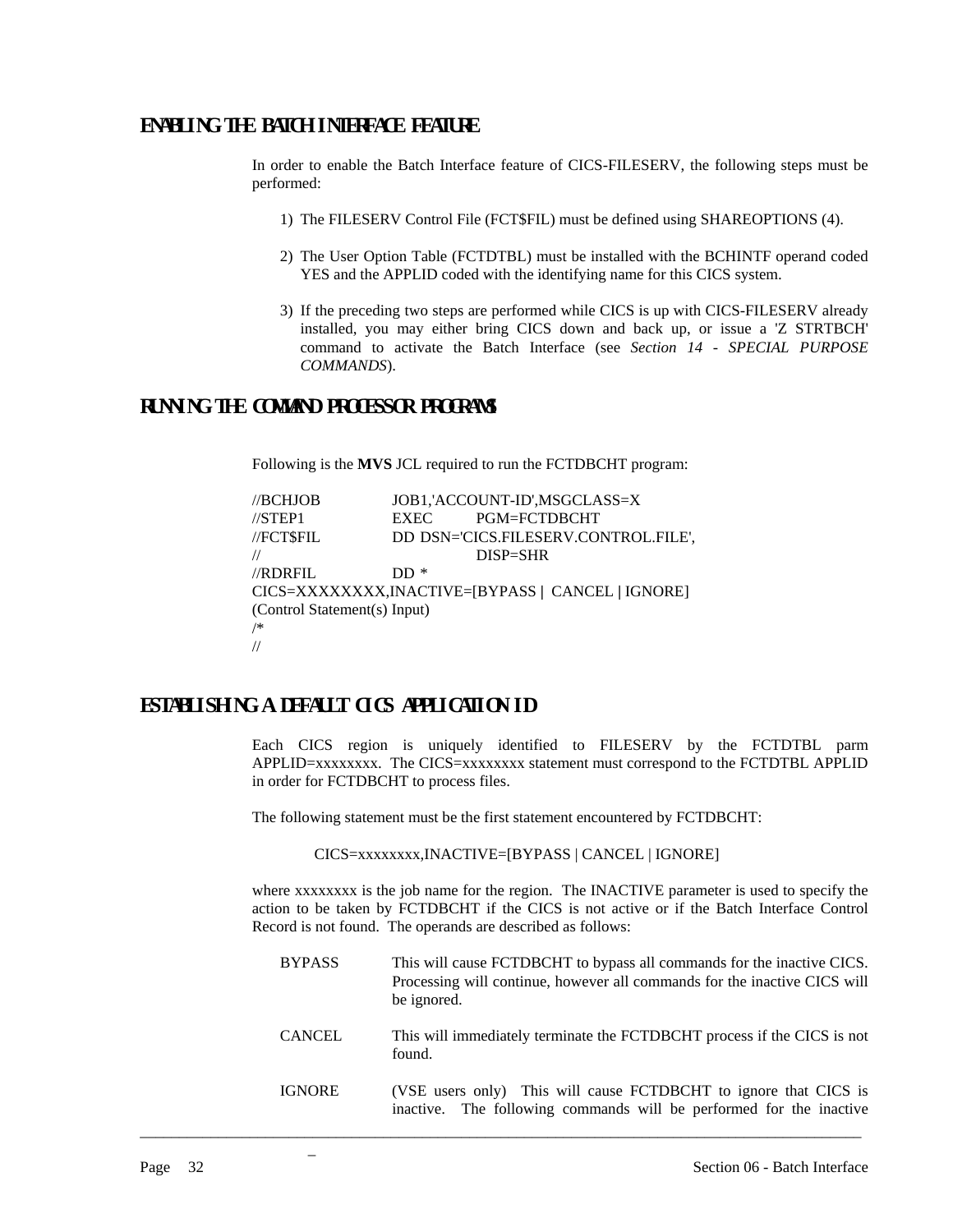## **ENABLING THE BATCH INTERFACE FEATURE**

In order to enable the Batch Interface feature of CICS-FILESERV, the following steps must be performed:

- 1) The FILESERV Control File (FCT\$FIL) must be defined using SHAREOPTIONS (4).
- 2) The User Option Table (FCTDTBL) must be installed with the BCHINTF operand coded YES and the APPLID coded with the identifying name for this CICS system.
- 3) If the preceding two steps are performed while CICS is up with CICS-FILESERV already installed, you may either bring CICS down and back up, or issue a 'Z STRTBCH' command to activate the Batch Interface (see *Section 14 - SPECIAL PURPOSE COMMANDS*).

# **RUNNING THE COMMAND PROCESSOR PROGRAMS**

Following is the **MVS** JCL required to run the FCTDBCHT program:

| //BCHJOB                     |       | JOB1, 'ACCOUNT-ID', MSGCLASS=X                    |
|------------------------------|-------|---------------------------------------------------|
| //STEP1                      | EXEC. | PGM=FCTDBCHT                                      |
| //FCT\$FIL                   |       | DD DSN='CICS.FILESERV.CONTROL.FILE',              |
| $^{\prime\prime}$            |       | DISP=SHR                                          |
| //RDRFIL                     | $DD*$ |                                                   |
|                              |       | CICS=XXXXXXXX,INACTIVE=[BYPASS   CANCEL   IGNORE] |
| (Control Statement(s) Input) |       |                                                   |
| /*                           |       |                                                   |
| $\frac{1}{2}$                |       |                                                   |

# **ESTABLISHING A DEFAULT CICS APPLICATION ID**

 $\overline{a}$ 

Each CICS region is uniquely identified to FILESERV by the FCTDTBL parm APPLID=xxxxxxxx. The CICS=xxxxxxxx statement must correspond to the FCTDTBL APPLID in order for FCTDBCHT to process files.

The following statement must be the first statement encountered by FCTDBCHT:

\_\_\_\_\_\_\_\_\_\_\_\_\_\_\_\_\_\_\_\_\_\_\_\_\_\_\_\_\_\_\_\_\_\_\_\_\_\_\_\_\_\_\_\_\_\_\_\_\_\_\_\_\_\_\_\_\_\_\_\_\_\_\_\_\_\_\_\_\_\_\_\_\_\_\_\_\_\_\_\_\_\_\_\_\_\_\_\_\_\_\_\_

CICS=xxxxxxxx,INACTIVE=[BYPASS | CANCEL | IGNORE]

where xxxxxxxx is the job name for the region. The INACTIVE parameter is used to specify the action to be taken by FCTDBCHT if the CICS is not active or if the Batch Interface Control Record is not found. The operands are described as follows:

BYPASS This will cause FCTDBCHT to bypass all commands for the inactive CICS. Processing will continue, however all commands for the inactive CICS will be ignored. CANCEL This will immediately terminate the FCTDBCHT process if the CICS is not found. IGNORE (VSE users only) This will cause FCTDBCHT to ignore that CICS is inactive. The following commands will be performed for the inactive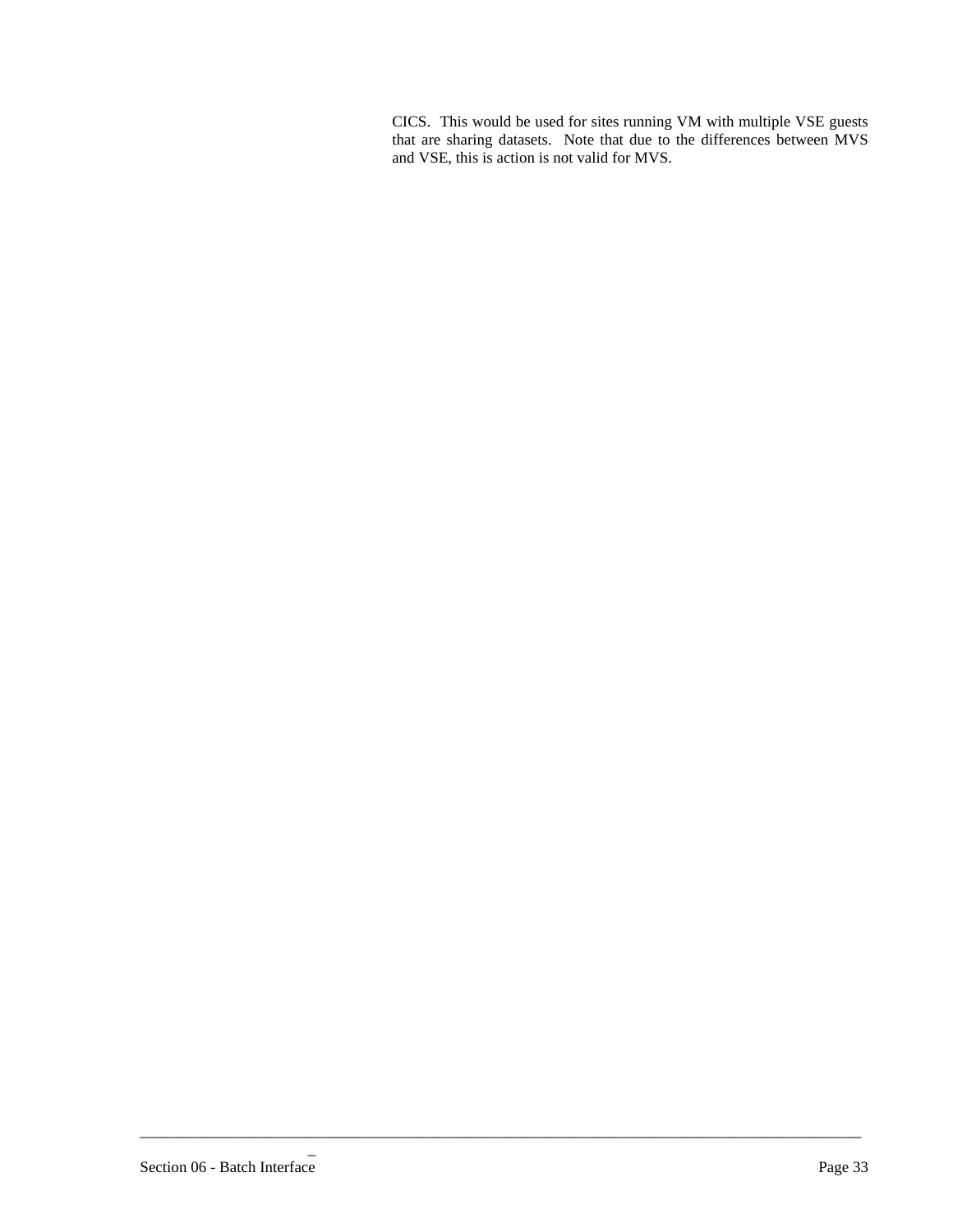CICS. This would be used for sites running VM with multiple VSE guests that are sharing datasets. Note that due to the differences between MVS and VSE, this is action is not valid for MVS.

\_\_\_\_\_\_\_\_\_\_\_\_\_\_\_\_\_\_\_\_\_\_\_\_\_\_\_\_\_\_\_\_\_\_\_\_\_\_\_\_\_\_\_\_\_\_\_\_\_\_\_\_\_\_\_\_\_\_\_\_\_\_\_\_\_\_\_\_\_\_\_\_\_\_\_\_\_\_\_\_\_\_\_\_\_\_\_\_\_\_\_\_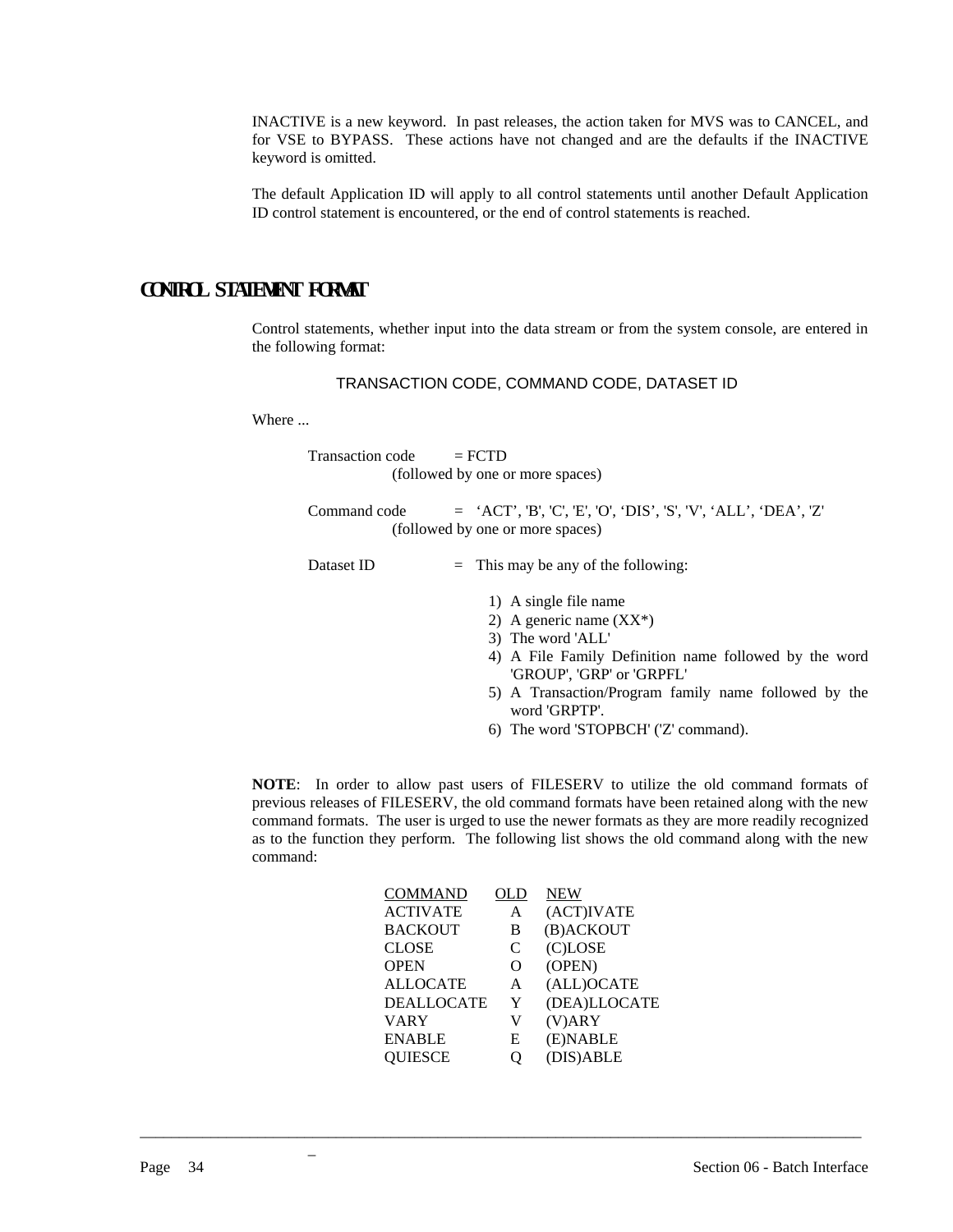INACTIVE is a new keyword. In past releases, the action taken for MVS was to CANCEL, and for VSE to BYPASS. These actions have not changed and are the defaults if the INACTIVE keyword is omitted.

The default Application ID will apply to all control statements until another Default Application ID control statement is encountered, or the end of control statements is reached.

## **CONTROL STATEMENT FORMAT**

Control statements, whether input into the data stream or from the system console, are entered in the following format:

TRANSACTION CODE, COMMAND CODE, DATASET ID

Where ...

 $Transaction code = FCTD$ (followed by one or more spaces)

Command code  $= 'ACT', 'B', 'C', 'E', 'O', 'DIS', 'S', 'V', 'ALL', 'DEA', 'Z'$ (followed by one or more spaces)

- Dataset ID  $=$  This may be any of the following:
	- 1) A single file name
	- 2) A generic name (XX\*)
	- 3) The word 'ALL'
	- 4) A File Family Definition name followed by the word 'GROUP', 'GRP' or 'GRPFL'
	- 5) A Transaction/Program family name followed by the word 'GRPTP'.
	- 6) The word 'STOPBCH' ('Z' command).

**NOTE**: In order to allow past users of FILESERV to utilize the old command formats of previous releases of FILESERV, the old command formats have been retained along with the new command formats. The user is urged to use the newer formats as they are more readily recognized as to the function they perform. The following list shows the old command along with the new command:

| <b>COMMAND</b>    | OLD | <b>NEW</b>   |
|-------------------|-----|--------------|
| <b>ACTIVATE</b>   | A   | (ACT) IVATE  |
| <b>BACKOUT</b>    | B   | (B)ACKOUT    |
| <b>CLOSE</b>      | C   | (C)LOSE      |
| <b>OPEN</b>       | Ω   | (OPEN)       |
| <b>ALLOCATE</b>   | A   | (ALL)OCATE   |
| <b>DEALLOCATE</b> | Y   | (DEA)LLOCATE |
| <b>VARY</b>       | V   | (V)ARY       |
| <b>ENABLE</b>     | E   | (E)NABLE     |
| <b>QUIESCE</b>    | 0   | (DIS)ABLE    |
|                   |     |              |

\_\_\_\_\_\_\_\_\_\_\_\_\_\_\_\_\_\_\_\_\_\_\_\_\_\_\_\_\_\_\_\_\_\_\_\_\_\_\_\_\_\_\_\_\_\_\_\_\_\_\_\_\_\_\_\_\_\_\_\_\_\_\_\_\_\_\_\_\_\_\_\_\_\_\_\_\_\_\_\_\_\_\_\_\_\_\_\_\_\_\_\_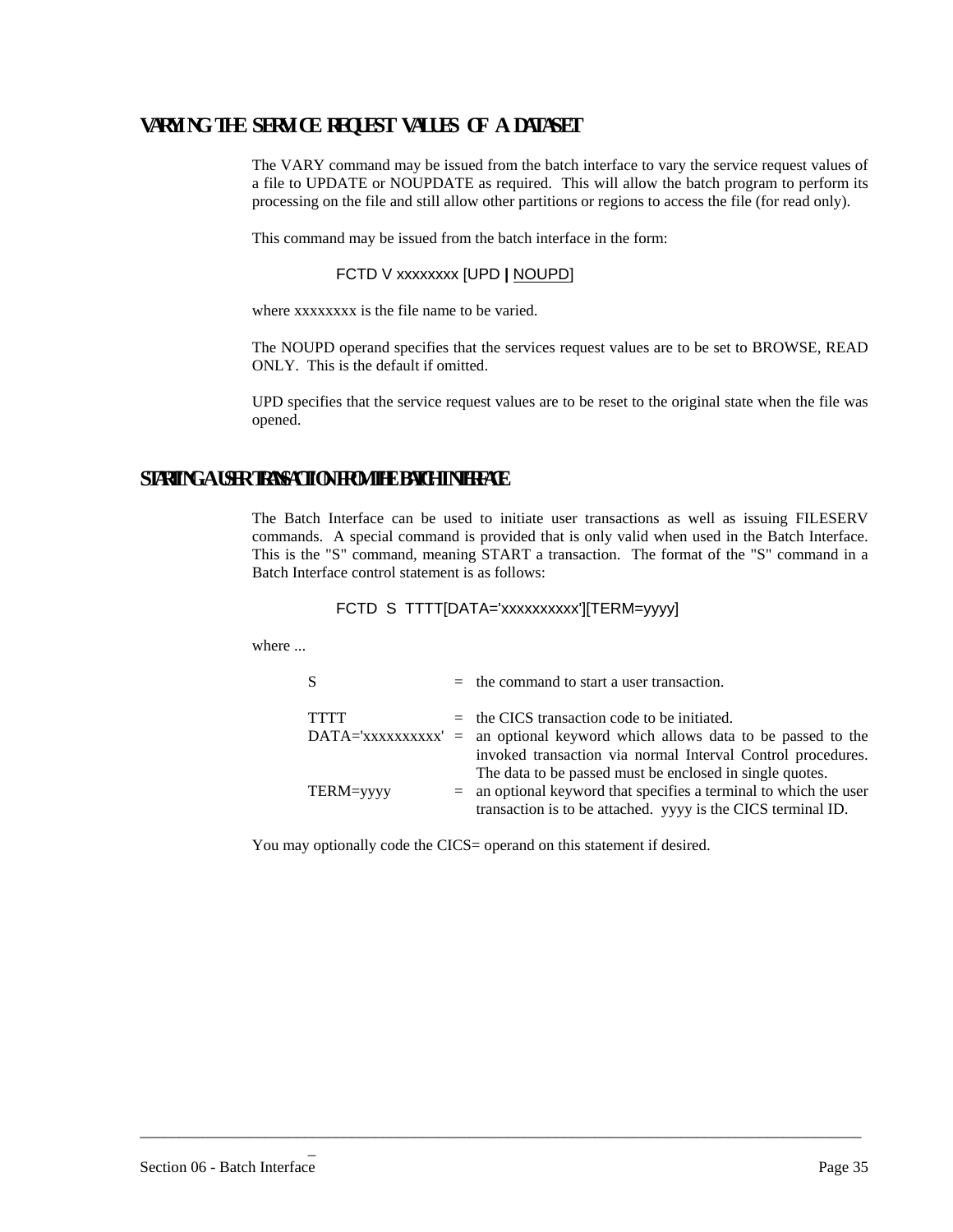# **VARYING THE SERVICE REQUEST VALUES OF A DATASET**

The VARY command may be issued from the batch interface to vary the service request values of a file to UPDATE or NOUPDATE as required. This will allow the batch program to perform its processing on the file and still allow other partitions or regions to access the file (for read only).

This command may be issued from the batch interface in the form:

## FCTD V xxxxxxxx [UPD **|** NOUPD]

where xxxxxxx is the file name to be varied.

The NOUPD operand specifies that the services request values are to be set to BROWSE, READ ONLY. This is the default if omitted.

UPD specifies that the service request values are to be reset to the original state when the file was opened.

## **STARTING A USER TRASACTION FROM THE BATCH INTERFACE**

The Batch Interface can be used to initiate user transactions as well as issuing FILESERV commands. A special command is provided that is only valid when used in the Batch Interface. This is the "S" command, meaning START a transaction. The format of the "S" command in a Batch Interface control statement is as follows:

```
FCTD S TTTT[DATA='xxxxxxxxxx'][TERM=yyyy]
```
where ...

|             | $=$ the command to start a user transaction.                                                                                                                                                                                                                   |
|-------------|----------------------------------------------------------------------------------------------------------------------------------------------------------------------------------------------------------------------------------------------------------------|
| <b>TTTT</b> | $=$ the CICS transaction code to be initiated.<br>$DATA='xxxxxxxx' =$ an optional keyword which allows data to be passed to the                                                                                                                                |
| TERM=yyyy   | invoked transaction via normal Interval Control procedures.<br>The data to be passed must be enclosed in single quotes.<br>$=$ an optional keyword that specifies a terminal to which the user<br>transaction is to be attached. yyyy is the CICS terminal ID. |

You may optionally code the CICS= operand on this statement if desired.

\_\_\_\_\_\_\_\_\_\_\_\_\_\_\_\_\_\_\_\_\_\_\_\_\_\_\_\_\_\_\_\_\_\_\_\_\_\_\_\_\_\_\_\_\_\_\_\_\_\_\_\_\_\_\_\_\_\_\_\_\_\_\_\_\_\_\_\_\_\_\_\_\_\_\_\_\_\_\_\_\_\_\_\_\_\_\_\_\_\_\_\_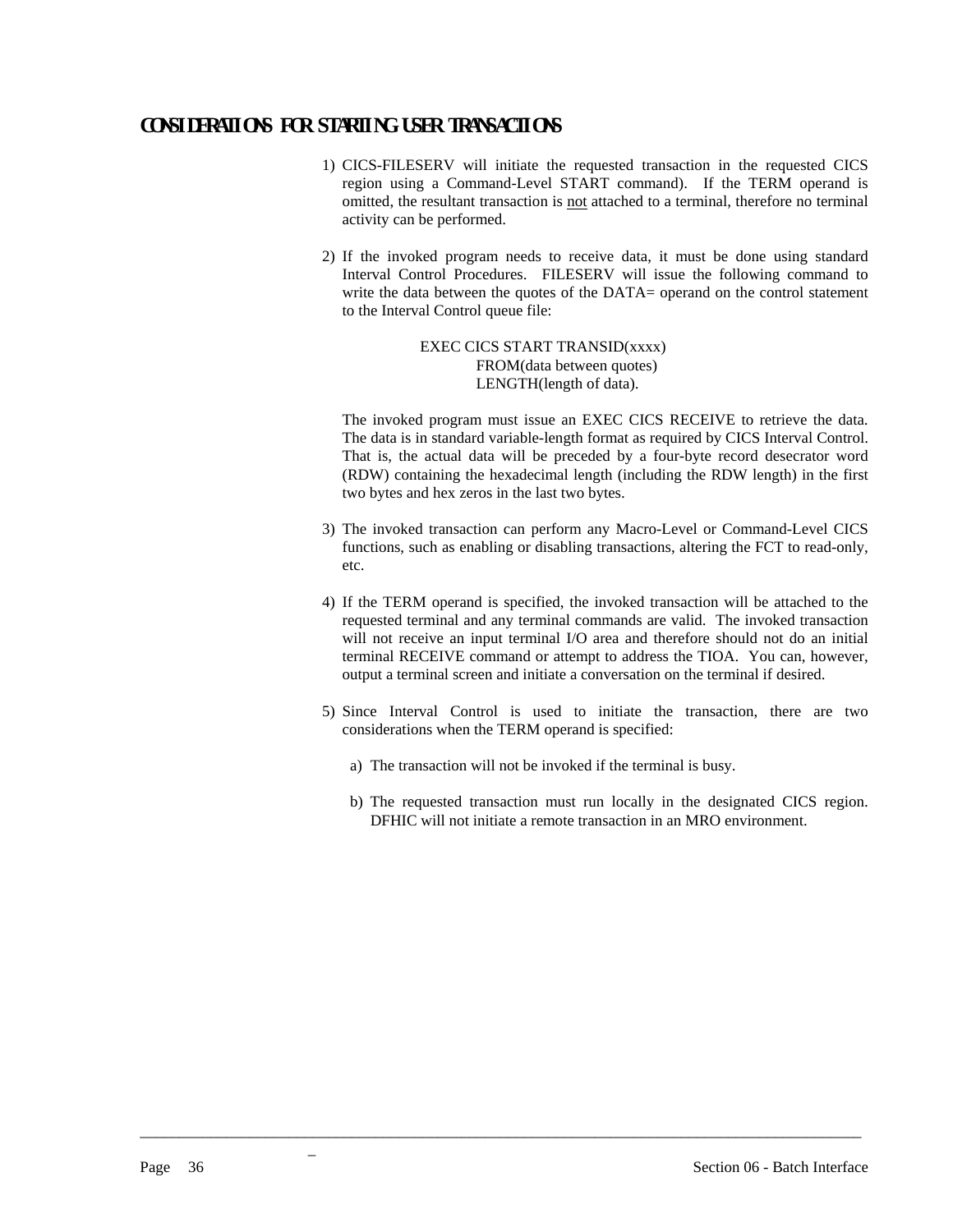# **CONSIDERATIONS FOR STARTING USER TRANSACTIONS**

- 1) CICS-FILESERV will initiate the requested transaction in the requested CICS region using a Command-Level START command). If the TERM operand is omitted, the resultant transaction is not attached to a terminal, therefore no terminal activity can be performed.
- 2) If the invoked program needs to receive data, it must be done using standard Interval Control Procedures. FILESERV will issue the following command to write the data between the quotes of the DATA= operand on the control statement to the Interval Control queue file:

 EXEC CICS START TRANSID(xxxx) FROM(data between quotes) LENGTH(length of data).

 The invoked program must issue an EXEC CICS RECEIVE to retrieve the data. The data is in standard variable-length format as required by CICS Interval Control. That is, the actual data will be preceded by a four-byte record desecrator word (RDW) containing the hexadecimal length (including the RDW length) in the first two bytes and hex zeros in the last two bytes.

- 3) The invoked transaction can perform any Macro-Level or Command-Level CICS functions, such as enabling or disabling transactions, altering the FCT to read-only, etc.
- 4) If the TERM operand is specified, the invoked transaction will be attached to the requested terminal and any terminal commands are valid. The invoked transaction will not receive an input terminal I/O area and therefore should not do an initial terminal RECEIVE command or attempt to address the TIOA. You can, however, output a terminal screen and initiate a conversation on the terminal if desired.
- 5) Since Interval Control is used to initiate the transaction, there are two considerations when the TERM operand is specified:
	- a) The transaction will not be invoked if the terminal is busy.

\_\_\_\_\_\_\_\_\_\_\_\_\_\_\_\_\_\_\_\_\_\_\_\_\_\_\_\_\_\_\_\_\_\_\_\_\_\_\_\_\_\_\_\_\_\_\_\_\_\_\_\_\_\_\_\_\_\_\_\_\_\_\_\_\_\_\_\_\_\_\_\_\_\_\_\_\_\_\_\_\_\_\_\_\_\_\_\_\_\_\_\_

b) The requested transaction must run locally in the designated CICS region. DFHIC will not initiate a remote transaction in an MRO environment.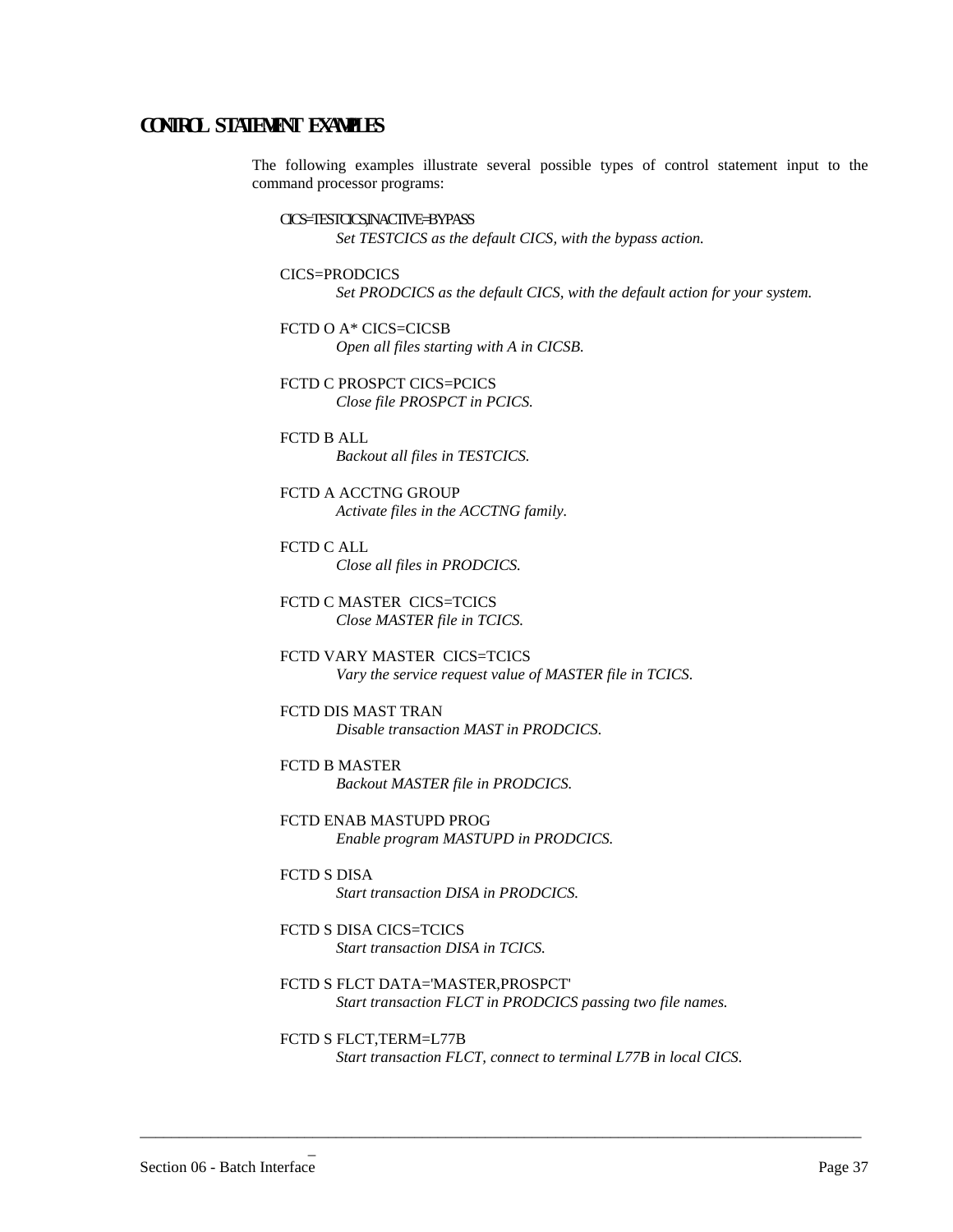## **CONTROL STATEMENT EXAMPLES**

The following examples illustrate several possible types of control statement input to the command processor programs:

#### CICS=TESTCICS,INACTIVE=BYPASS

 *Set TESTCICS as the default CICS, with the bypass action.* 

#### CICS=PRODCICS

 *Set PRODCICS as the default CICS, with the default action for your system.* 

### FCTD O A\* CICS=CICSB

 *Open all files starting with A in CICSB.* 

FCTD C PROSPCT CICS=PCICS  *Close file PROSPCT in PCICS.* 

FCTD B ALL  *Backout all files in TESTCICS.* 

### FCTD A ACCTNG GROUP  *Activate files in the ACCTNG family.*

FCTD C ALL  *Close all files in PRODCICS.* 

FCTD C MASTER CICS=TCICS  *Close MASTER file in TCICS.* 

FCTD VARY MASTER CICS=TCICS  *Vary the service request value of MASTER file in TCICS.* 

### FCTD DIS MAST TRAN

 *Disable transaction MAST in PRODCICS.* 

#### FCTD B MASTER

 *Backout MASTER file in PRODCICS.* 

FCTD ENAB MASTUPD PROG  *Enable program MASTUPD in PRODCICS.* 

### FCTD S DISA

 $\overline{a}$ 

 *Start transaction DISA in PRODCICS.* 

### FCTD S DISA CICS=TCICS

 *Start transaction DISA in TCICS.* 

FCTD S FLCT DATA='MASTER,PROSPCT'  *Start transaction FLCT in PRODCICS passing two file names.* 

\_\_\_\_\_\_\_\_\_\_\_\_\_\_\_\_\_\_\_\_\_\_\_\_\_\_\_\_\_\_\_\_\_\_\_\_\_\_\_\_\_\_\_\_\_\_\_\_\_\_\_\_\_\_\_\_\_\_\_\_\_\_\_\_\_\_\_\_\_\_\_\_\_\_\_\_\_\_\_\_\_\_\_\_\_\_\_\_\_\_\_\_

### FCTD S FLCT,TERM=L77B

 *Start transaction FLCT, connect to terminal L77B in local CICS.*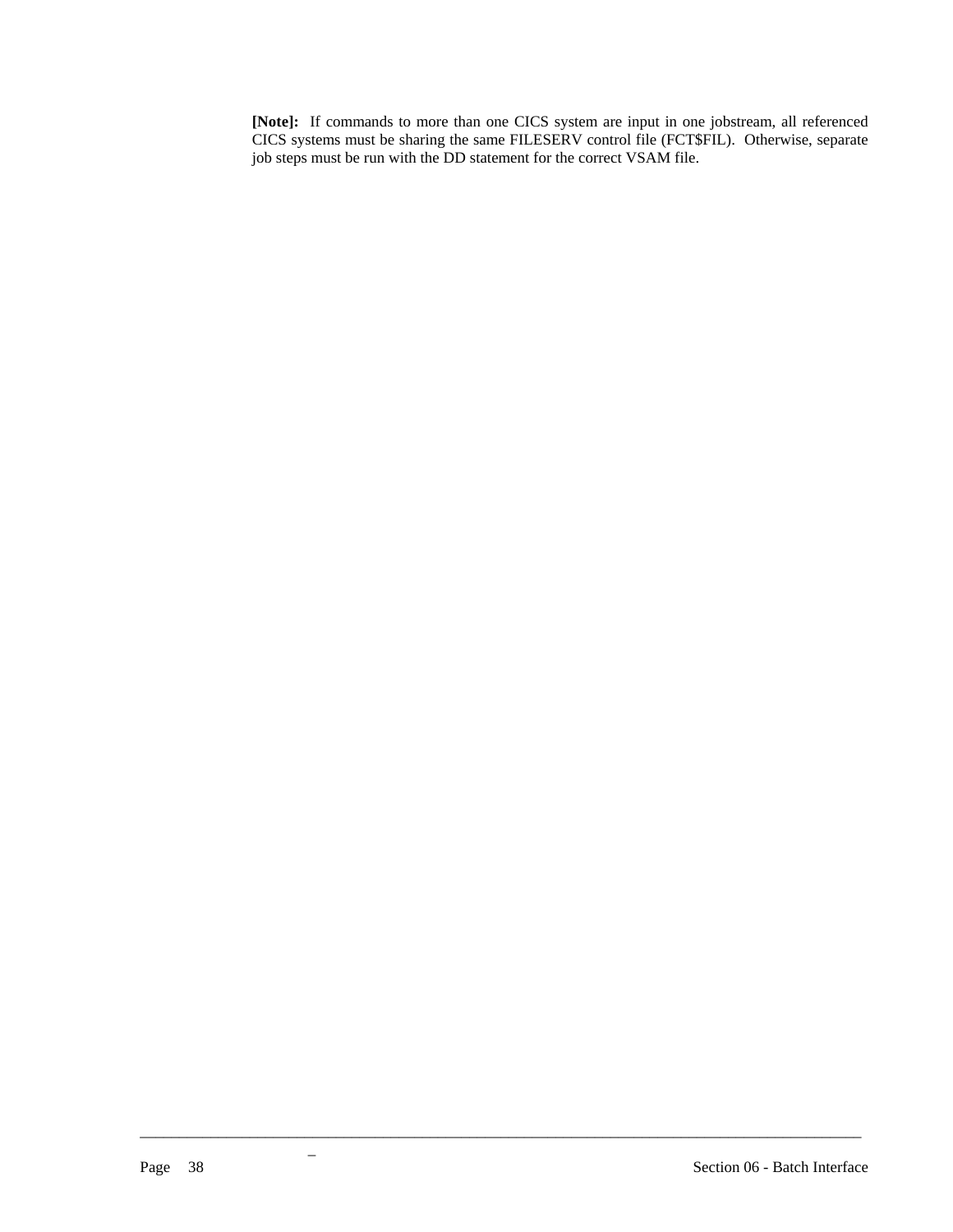**[Note]:** If commands to more than one CICS system are input in one jobstream, all referenced CICS systems must be sharing the same FILESERV control file (FCT\$FIL). Otherwise, separate job steps must be run with the DD statement for the correct VSAM file.

\_\_\_\_\_\_\_\_\_\_\_\_\_\_\_\_\_\_\_\_\_\_\_\_\_\_\_\_\_\_\_\_\_\_\_\_\_\_\_\_\_\_\_\_\_\_\_\_\_\_\_\_\_\_\_\_\_\_\_\_\_\_\_\_\_\_\_\_\_\_\_\_\_\_\_\_\_\_\_\_\_\_\_\_\_\_\_\_\_\_\_\_

 $\equiv$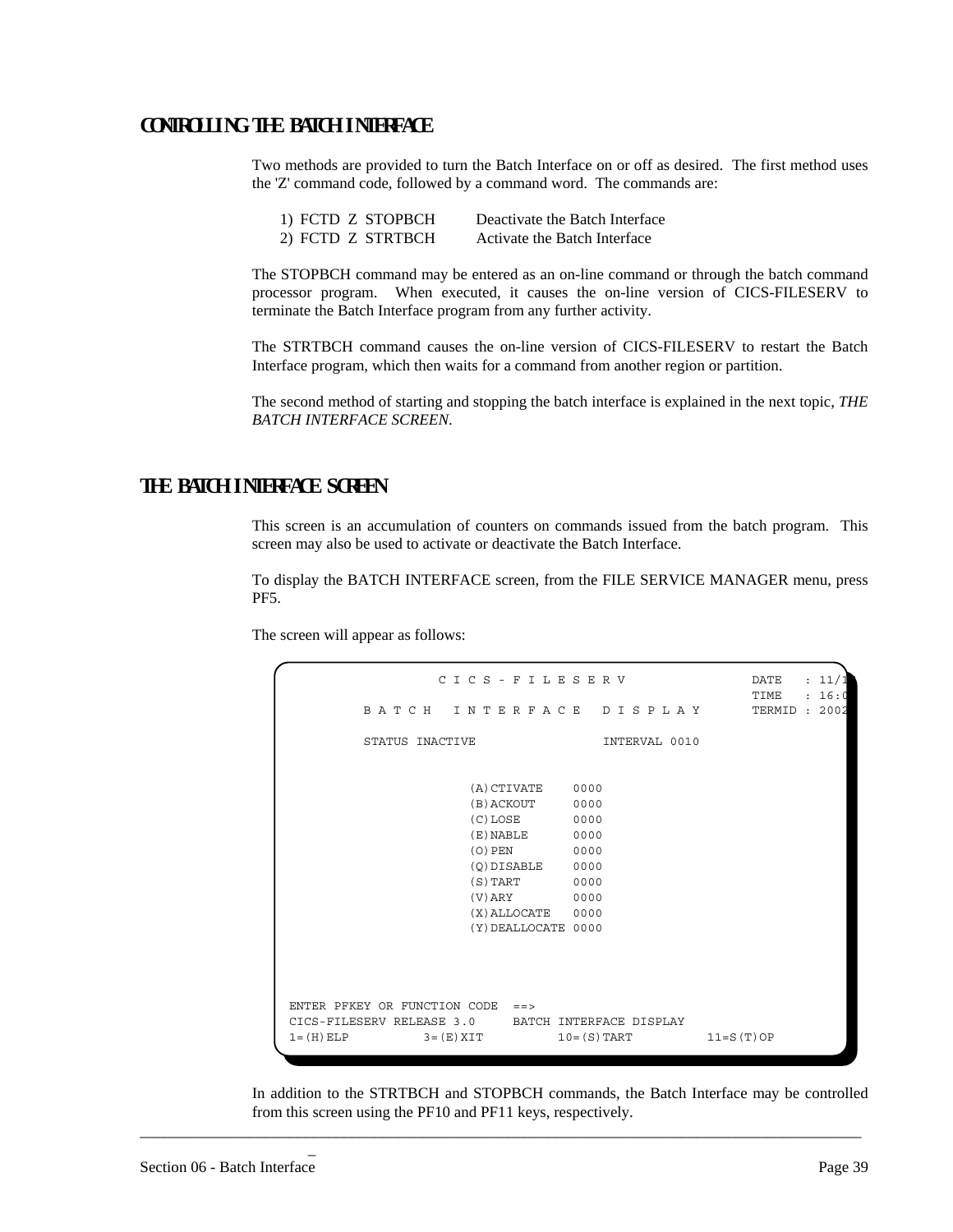# **CONTROLLING THE BATCH INTERFACE**

Two methods are provided to turn the Batch Interface on or off as desired. The first method uses the 'Z' command code, followed by a command word. The commands are:

| 1) FCTD Z STOPBCH | Deactivate the Batch Interface |
|-------------------|--------------------------------|
| 2) FCTD Z STRTBCH | Activate the Batch Interface   |

The STOPBCH command may be entered as an on-line command or through the batch command processor program. When executed, it causes the on-line version of CICS-FILESERV to terminate the Batch Interface program from any further activity.

The STRTBCH command causes the on-line version of CICS-FILESERV to restart the Batch Interface program, which then waits for a command from another region or partition.

The second method of starting and stopping the batch interface is explained in the next topic, *THE BATCH INTERFACE SCREEN*.

## **THE BATCH INTERFACE SCREEN**

This screen is an accumulation of counters on commands issued from the batch program. This screen may also be used to activate or deactivate the Batch Interface.

To display the BATCH INTERFACE screen, from the FILE SERVICE MANAGER menu, press PF5.

The screen will appear as follows:

|                              | CICS - FILESERV     | BATCH INTERFACE DISPLAY | DATE<br>: 11/1<br>: 16:0<br>TIME<br>TERMID: 2002 |
|------------------------------|---------------------|-------------------------|--------------------------------------------------|
| STATUS INACTIVE              |                     | INTERVAL 0010           |                                                  |
|                              |                     |                         |                                                  |
|                              | (A) CTIVATE         | 0000                    |                                                  |
|                              | (B) ACKOUT          | 0000                    |                                                  |
|                              | (C) LOSE            | 0000                    |                                                  |
|                              | $(E)$ NABLE         | 0000                    |                                                  |
|                              | $(O)$ PEN           | 0000                    |                                                  |
|                              | $(Q)$ DISABLE       | 0000                    |                                                  |
|                              | $(S)$ TART          | 0000                    |                                                  |
|                              | (V) ARY             | 0000                    |                                                  |
|                              | $(X)$ ALLOCATE 0000 |                         |                                                  |
|                              | (Y) DEALLOCATE 0000 |                         |                                                  |
|                              |                     |                         |                                                  |
| ENTER PFKEY OR FUNCTION CODE | $=$ $=$ $>$         |                         |                                                  |
| CICS-FILESERV RELEASE 3.0    |                     | BATCH INTERFACE DISPLAY |                                                  |
| $1 = (H) ELP$                | $3 = (E) XIT$       | $10 = (S) TART$         | $11=S(T)OP$                                      |

In addition to the STRTBCH and STOPBCH commands, the Batch Interface may be controlled from this screen using the PF10 and PF11 keys, respectively.

\_\_\_\_\_\_\_\_\_\_\_\_\_\_\_\_\_\_\_\_\_\_\_\_\_\_\_\_\_\_\_\_\_\_\_\_\_\_\_\_\_\_\_\_\_\_\_\_\_\_\_\_\_\_\_\_\_\_\_\_\_\_\_\_\_\_\_\_\_\_\_\_\_\_\_\_\_\_\_\_\_\_\_\_\_\_\_\_\_\_\_\_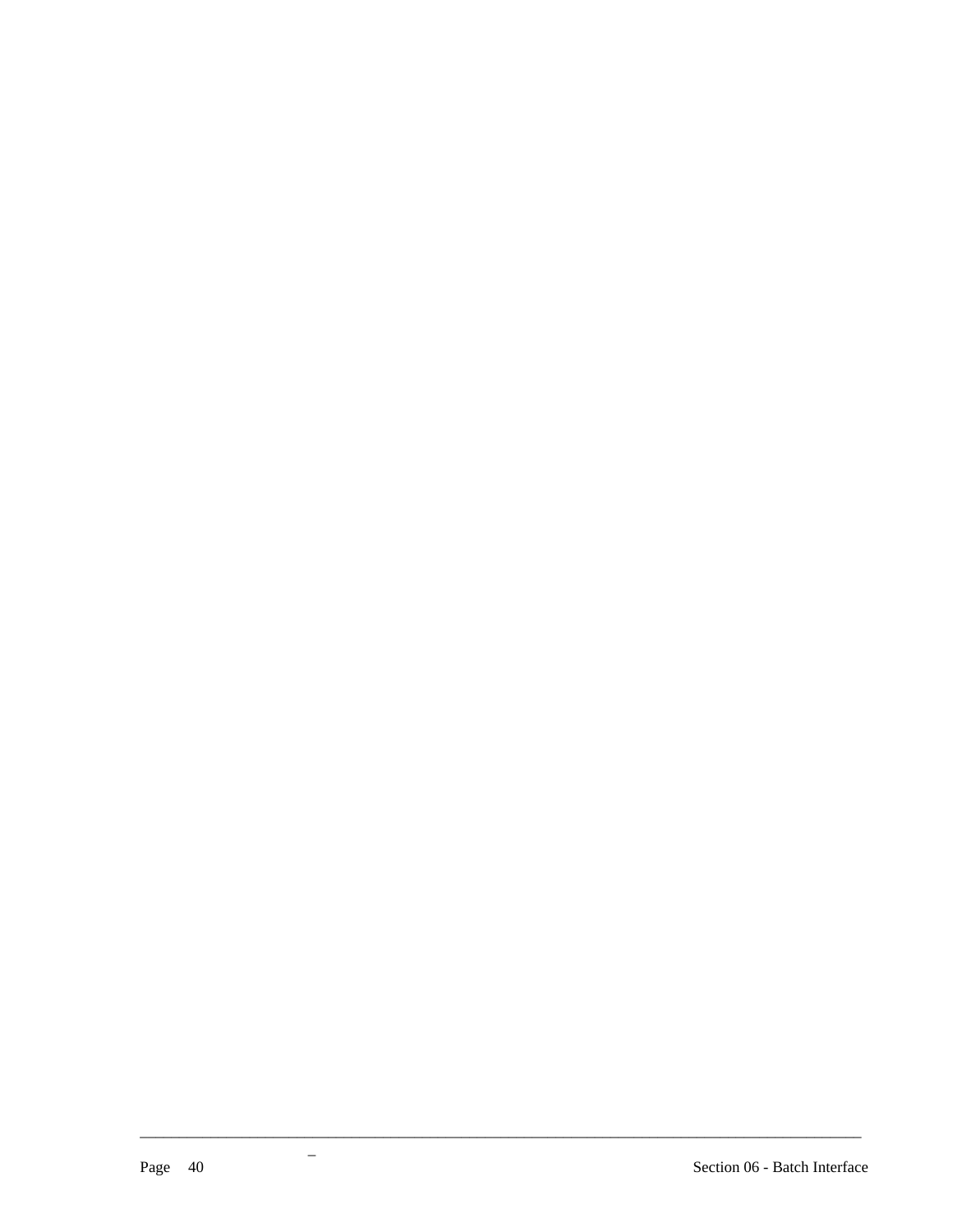$\equiv$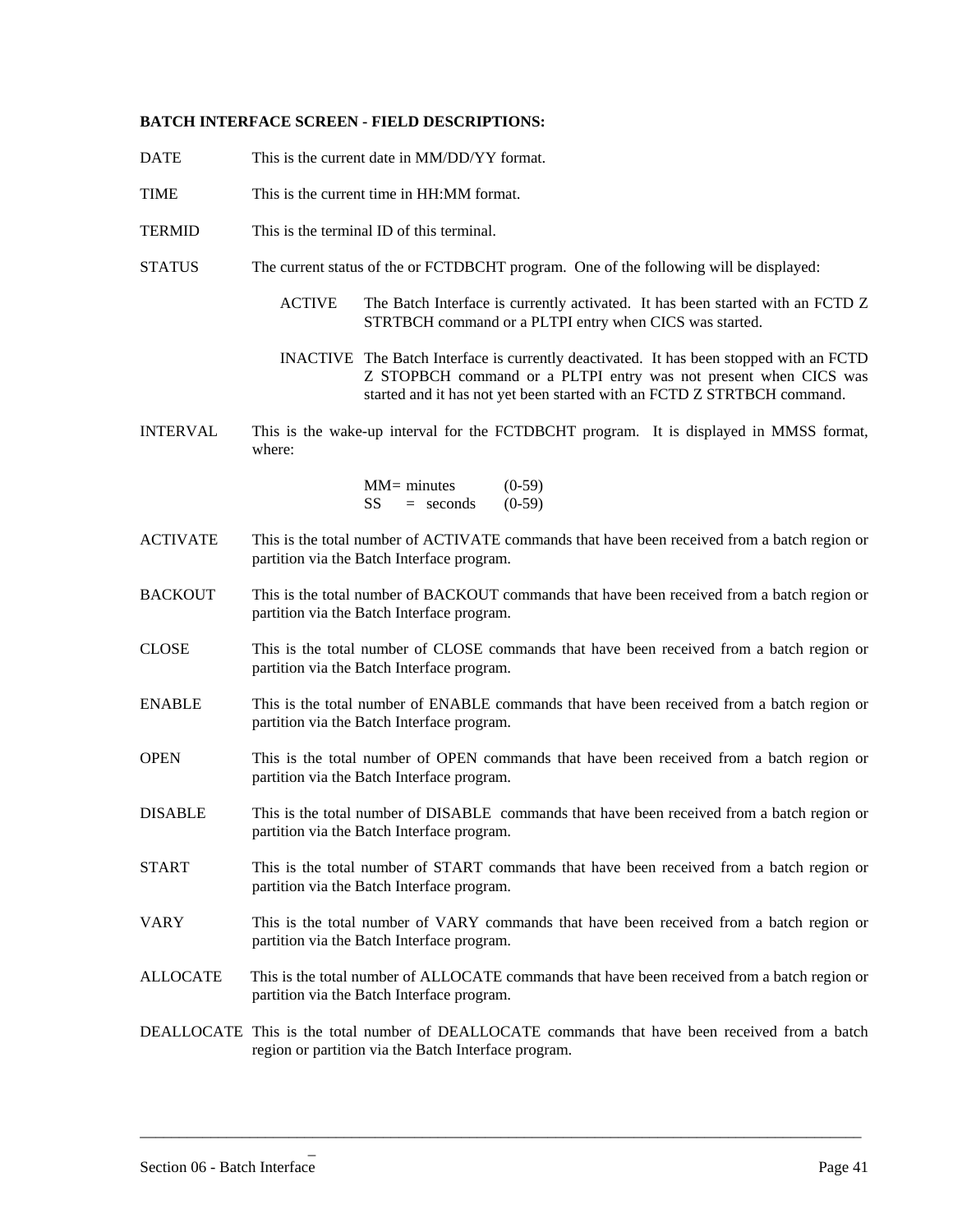#### **BATCH INTERFACE SCREEN - FIELD DESCRIPTIONS:**

- DATE This is the current date in MM/DD/YY format.
- TIME This is the current time in HH:MM format.
- TERMID This is the terminal ID of this terminal.
- STATUS The current status of the or FCTDBCHT program. One of the following will be displayed:
	- ACTIVE The Batch Interface is currently activated. It has been started with an FCTD Z STRTBCH command or a PLTPI entry when CICS was started.
	- INACTIVE The Batch Interface is currently deactivated. It has been stopped with an FCTD Z STOPBCH command or a PLTPI entry was not present when CICS was started and it has not yet been started with an FCTD Z STRTBCH command.
- INTERVAL This is the wake-up interval for the FCTDBCHT program. It is displayed in MMSS format, where:

 $MM =$  minutes  $(0-59)$  $SS = seconds$  (0-59)

- ACTIVATE This is the total number of ACTIVATE commands that have been received from a batch region or partition via the Batch Interface program.
- BACKOUT This is the total number of BACKOUT commands that have been received from a batch region or partition via the Batch Interface program.
- CLOSE This is the total number of CLOSE commands that have been received from a batch region or partition via the Batch Interface program.
- ENABLE This is the total number of ENABLE commands that have been received from a batch region or partition via the Batch Interface program.
- OPEN This is the total number of OPEN commands that have been received from a batch region or partition via the Batch Interface program.
- DISABLE This is the total number of DISABLE commands that have been received from a batch region or partition via the Batch Interface program.
- START This is the total number of START commands that have been received from a batch region or partition via the Batch Interface program.
- VARY This is the total number of VARY commands that have been received from a batch region or partition via the Batch Interface program.
- ALLOCATE This is the total number of ALLOCATE commands that have been received from a batch region or partition via the Batch Interface program.
- DEALLOCATE This is the total number of DEALLOCATE commands that have been received from a batch region or partition via the Batch Interface program.

\_\_\_\_\_\_\_\_\_\_\_\_\_\_\_\_\_\_\_\_\_\_\_\_\_\_\_\_\_\_\_\_\_\_\_\_\_\_\_\_\_\_\_\_\_\_\_\_\_\_\_\_\_\_\_\_\_\_\_\_\_\_\_\_\_\_\_\_\_\_\_\_\_\_\_\_\_\_\_\_\_\_\_\_\_\_\_\_\_\_\_\_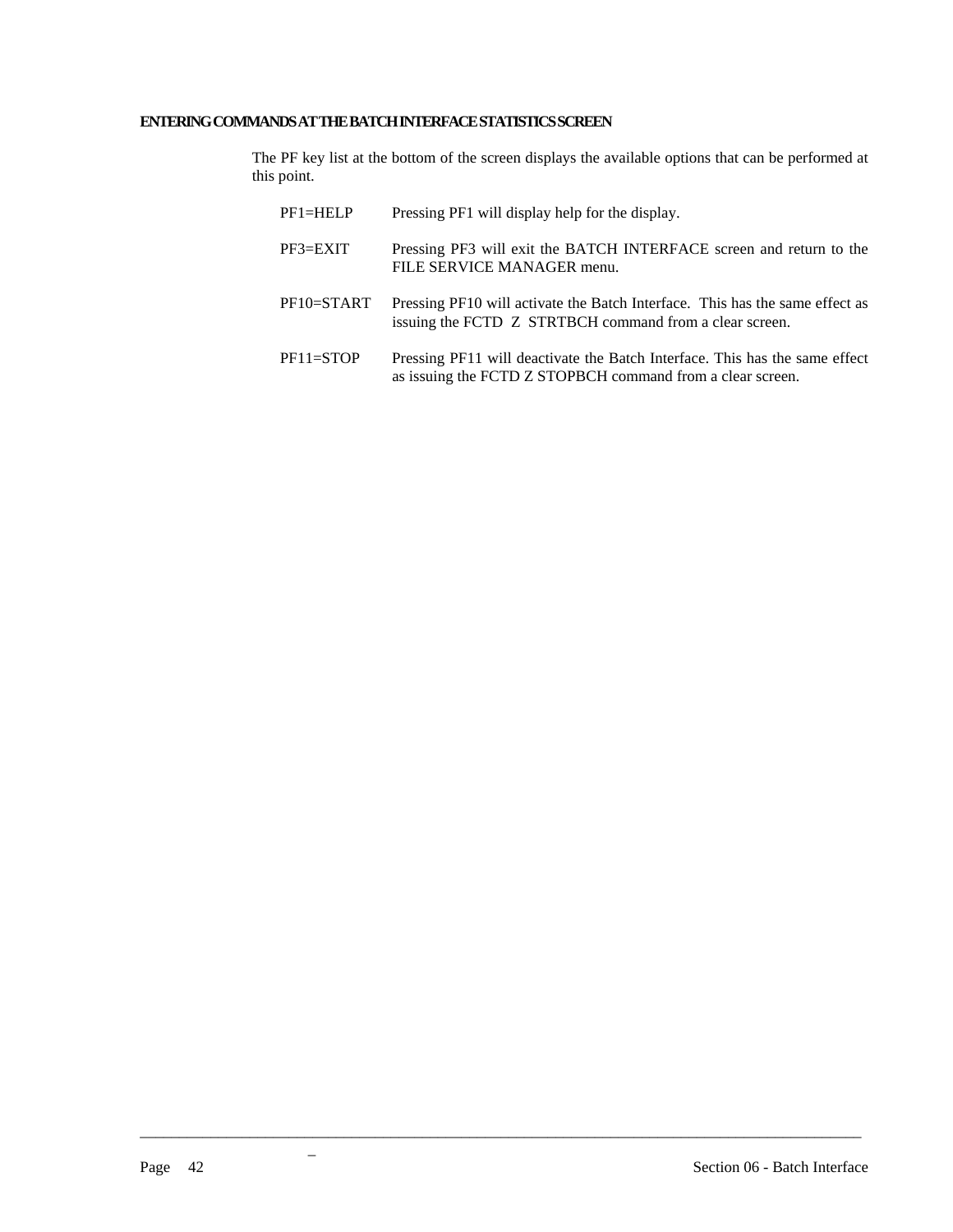## **ENTERING COMMANDS AT THE BATCH INTERFACE STATISTICS SCREEN**

The PF key list at the bottom of the screen displays the available options that can be performed at this point.

| $PF1=HELP$  | Pressing PF1 will display help for the display.                                                                                         |
|-------------|-----------------------------------------------------------------------------------------------------------------------------------------|
| PF3=EXIT    | Pressing PF3 will exit the BATCH INTERFACE screen and return to the<br>FILE SERVICE MANAGER menu.                                       |
| PF10=START  | Pressing PF10 will activate the Batch Interface. This has the same effect as<br>issuing the FCTD Z STRTBCH command from a clear screen. |
| $PF11=STOP$ | Pressing PF11 will deactivate the Batch Interface. This has the same effect                                                             |

as issuing the FCTD Z STOPBCH command from a clear screen.

\_\_\_\_\_\_\_\_\_\_\_\_\_\_\_\_\_\_\_\_\_\_\_\_\_\_\_\_\_\_\_\_\_\_\_\_\_\_\_\_\_\_\_\_\_\_\_\_\_\_\_\_\_\_\_\_\_\_\_\_\_\_\_\_\_\_\_\_\_\_\_\_\_\_\_\_\_\_\_\_\_\_\_\_\_\_\_\_\_\_\_\_

 $\equiv$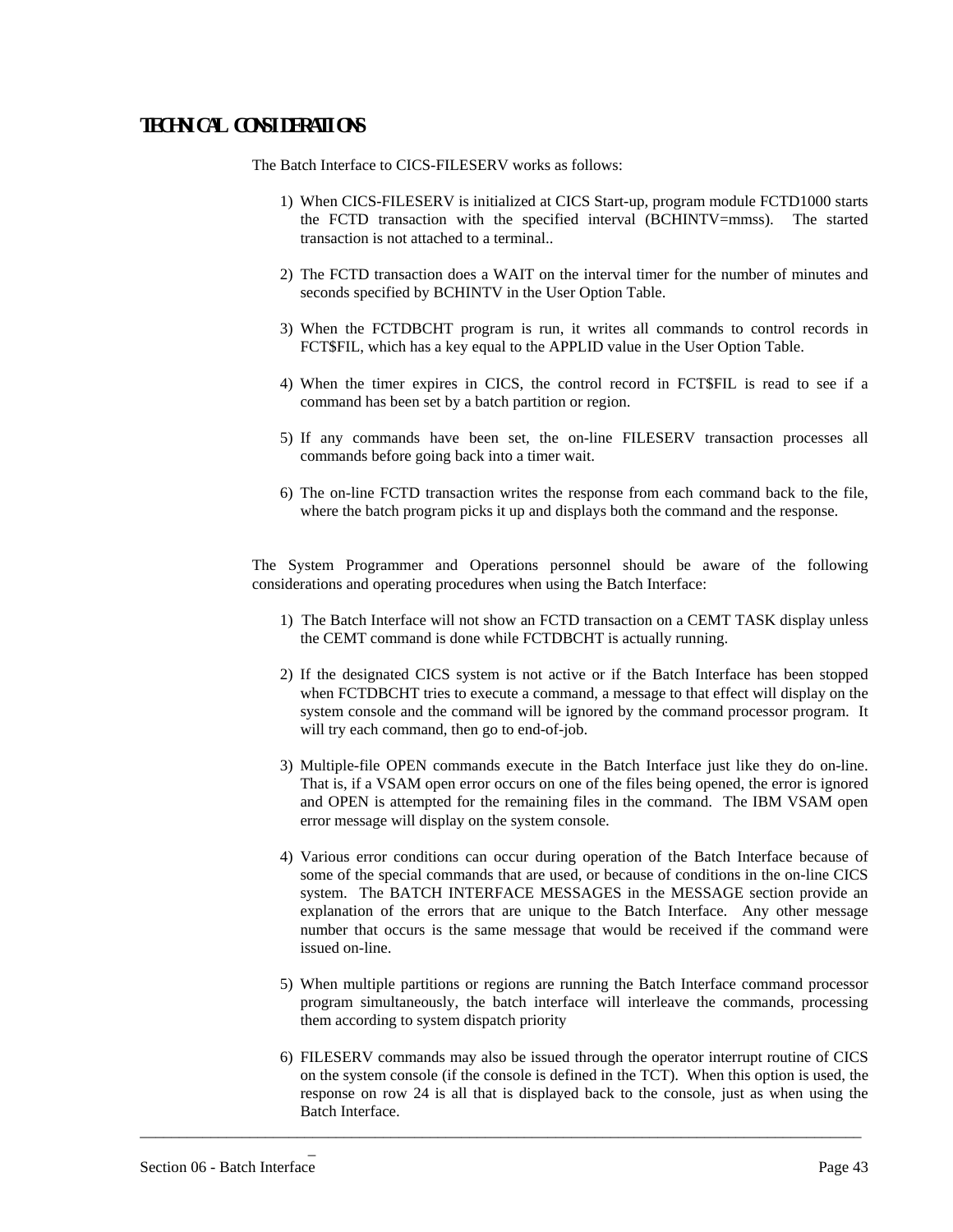# **TECHNICAL CONSIDERATIONS**

The Batch Interface to CICS-FILESERV works as follows:

- 1) When CICS-FILESERV is initialized at CICS Start-up, program module FCTD1000 starts the FCTD transaction with the specified interval (BCHINTV=mmss). The started transaction is not attached to a terminal..
- 2) The FCTD transaction does a WAIT on the interval timer for the number of minutes and seconds specified by BCHINTV in the User Option Table.
- 3) When the FCTDBCHT program is run, it writes all commands to control records in FCT\$FIL, which has a key equal to the APPLID value in the User Option Table.
- 4) When the timer expires in CICS, the control record in FCT\$FIL is read to see if a command has been set by a batch partition or region.
- 5) If any commands have been set, the on-line FILESERV transaction processes all commands before going back into a timer wait.
- 6) The on-line FCTD transaction writes the response from each command back to the file, where the batch program picks it up and displays both the command and the response.

The System Programmer and Operations personnel should be aware of the following considerations and operating procedures when using the Batch Interface:

- 1) The Batch Interface will not show an FCTD transaction on a CEMT TASK display unless the CEMT command is done while FCTDBCHT is actually running.
- 2) If the designated CICS system is not active or if the Batch Interface has been stopped when FCTDBCHT tries to execute a command, a message to that effect will display on the system console and the command will be ignored by the command processor program. It will try each command, then go to end-of-job.
- 3) Multiple-file OPEN commands execute in the Batch Interface just like they do on-line. That is, if a VSAM open error occurs on one of the files being opened, the error is ignored and OPEN is attempted for the remaining files in the command. The IBM VSAM open error message will display on the system console.
- 4) Various error conditions can occur during operation of the Batch Interface because of some of the special commands that are used, or because of conditions in the on-line CICS system. The BATCH INTERFACE MESSAGES in the MESSAGE section provide an explanation of the errors that are unique to the Batch Interface. Any other message number that occurs is the same message that would be received if the command were issued on-line.
- 5) When multiple partitions or regions are running the Batch Interface command processor program simultaneously, the batch interface will interleave the commands, processing them according to system dispatch priority
- 6) FILESERV commands may also be issued through the operator interrupt routine of CICS on the system console (if the console is defined in the TCT). When this option is used, the response on row 24 is all that is displayed back to the console, just as when using the Batch Interface.

\_\_\_\_\_\_\_\_\_\_\_\_\_\_\_\_\_\_\_\_\_\_\_\_\_\_\_\_\_\_\_\_\_\_\_\_\_\_\_\_\_\_\_\_\_\_\_\_\_\_\_\_\_\_\_\_\_\_\_\_\_\_\_\_\_\_\_\_\_\_\_\_\_\_\_\_\_\_\_\_\_\_\_\_\_\_\_\_\_\_\_\_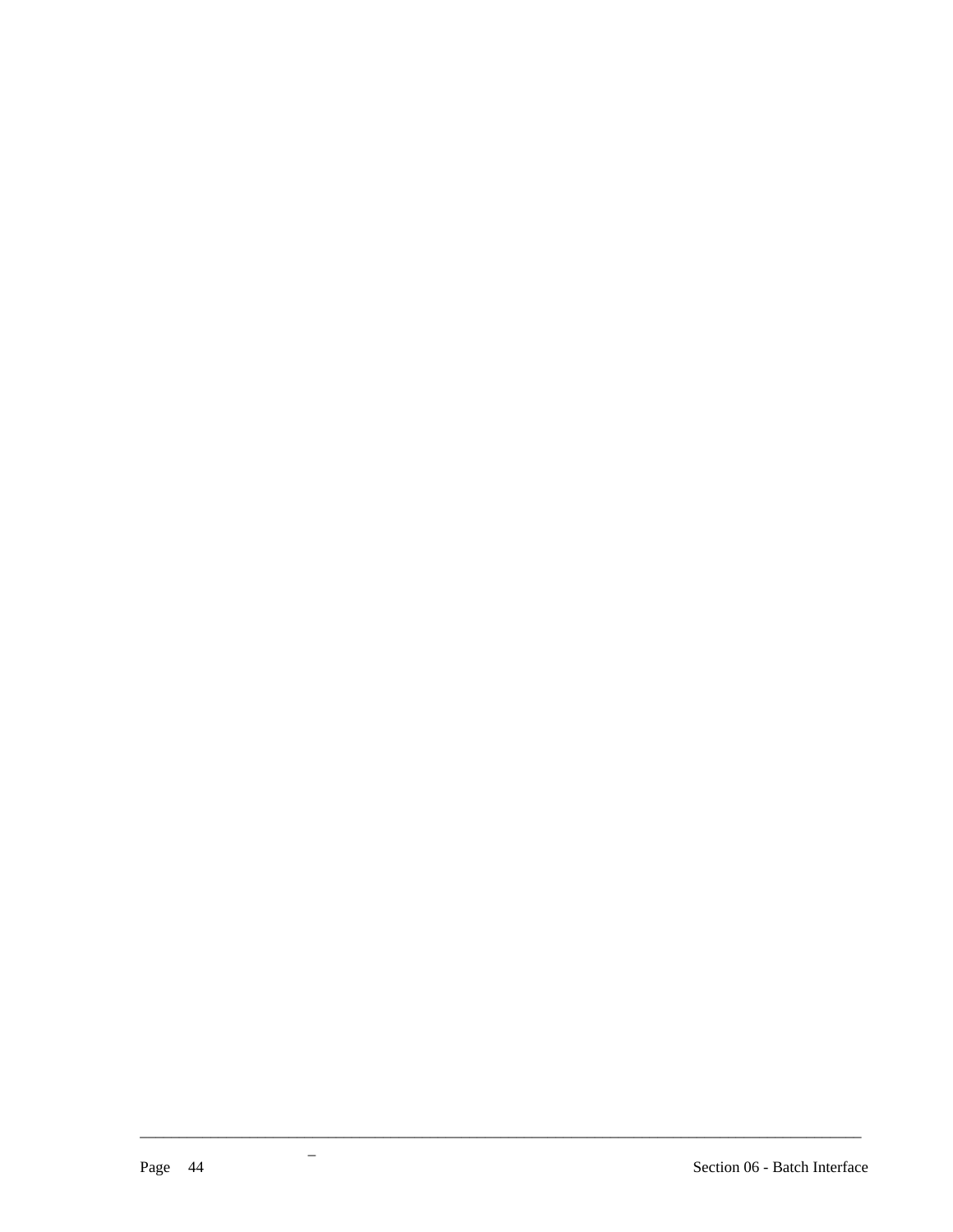$\equiv$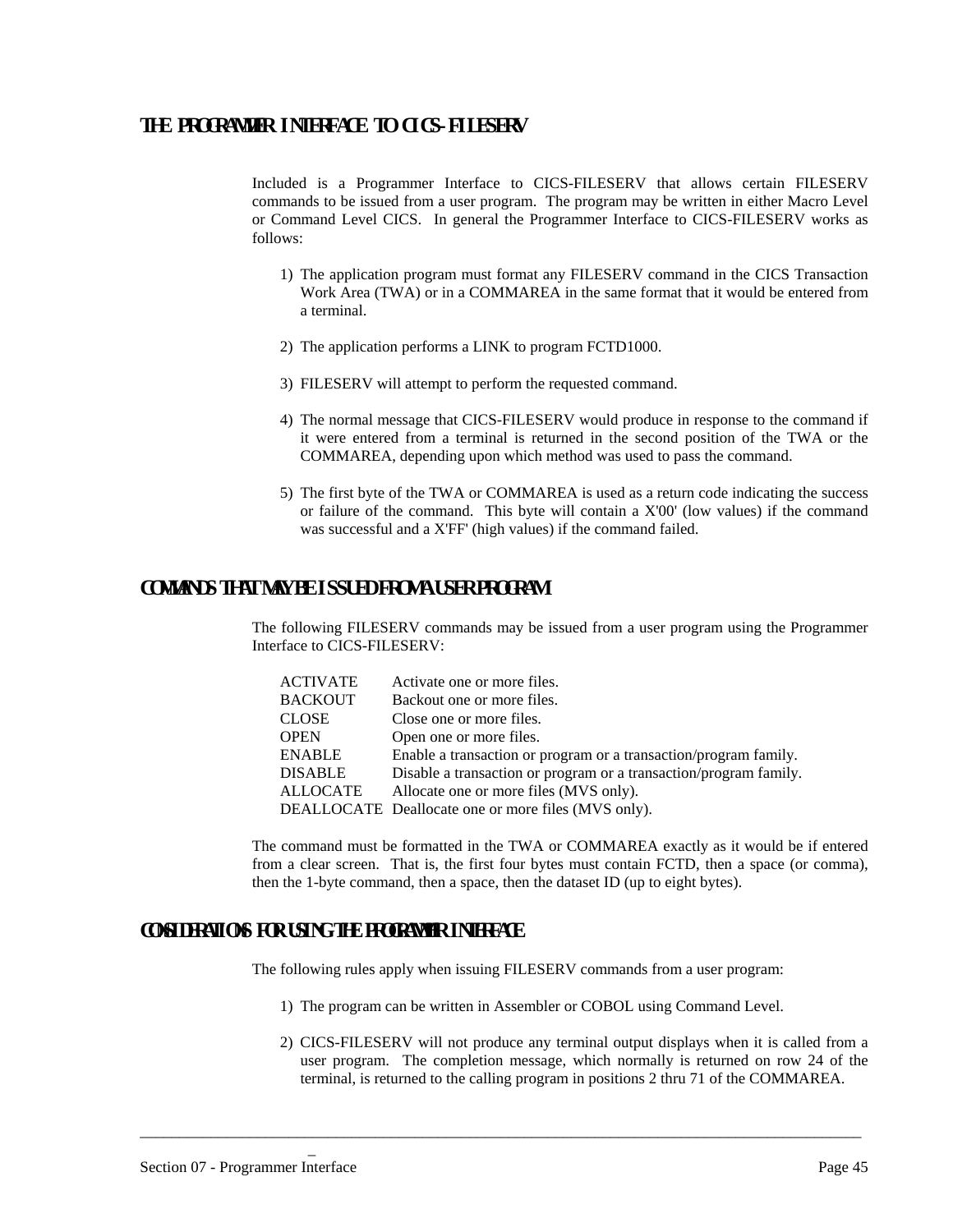# **THE PROGRAMMER INTERFACE TO CICS-FILESERV**

Included is a Programmer Interface to CICS-FILESERV that allows certain FILESERV commands to be issued from a user program. The program may be written in either Macro Level or Command Level CICS. In general the Programmer Interface to CICS-FILESERV works as follows:

- 1) The application program must format any FILESERV command in the CICS Transaction Work Area (TWA) or in a COMMAREA in the same format that it would be entered from a terminal.
- 2) The application performs a LINK to program FCTD1000.
- 3) FILESERV will attempt to perform the requested command.
- 4) The normal message that CICS-FILESERV would produce in response to the command if it were entered from a terminal is returned in the second position of the TWA or the COMMAREA, depending upon which method was used to pass the command.
- 5) The first byte of the TWA or COMMAREA is used as a return code indicating the success or failure of the command. This byte will contain a X'00' (low values) if the command was successful and a X'FF' (high values) if the command failed.

## **COMMANDSTHATMAYBEISSUEDFROMAUSERPROGRAM**

The following FILESERV commands may be issued from a user program using the Programmer Interface to CICS-FILESERV:

| <b>ACTIVATE</b> | Activate one or more files.                                       |
|-----------------|-------------------------------------------------------------------|
| <b>BACKOUT</b>  | Backout one or more files.                                        |
| <b>CLOSE</b>    | Close one or more files.                                          |
| <b>OPEN</b>     | Open one or more files.                                           |
| <b>ENABLE</b>   | Enable a transaction or program or a transaction/program family.  |
| <b>DISABLE</b>  | Disable a transaction or program or a transaction/program family. |
| <b>ALLOCATE</b> | Allocate one or more files (MVS only).                            |
|                 | DEALLOCATE Deallocate one or more files (MVS only).               |

The command must be formatted in the TWA or COMMAREA exactly as it would be if entered from a clear screen. That is, the first four bytes must contain FCTD, then a space (or comma), then the 1-byte command, then a space, then the dataset ID (up to eight bytes).

## CONTI<del>R</del>ATIONS FOR USING THE PRORAMPRING FOR USING THE PROGRAMMER INTERFACE

 $\overline{a}$ 

The following rules apply when issuing FILESERV commands from a user program:

\_\_\_\_\_\_\_\_\_\_\_\_\_\_\_\_\_\_\_\_\_\_\_\_\_\_\_\_\_\_\_\_\_\_\_\_\_\_\_\_\_\_\_\_\_\_\_\_\_\_\_\_\_\_\_\_\_\_\_\_\_\_\_\_\_\_\_\_\_\_\_\_\_\_\_\_\_\_\_\_\_\_\_\_\_\_\_\_\_\_\_\_

- 1) The program can be written in Assembler or COBOL using Command Level.
- 2) CICS-FILESERV will not produce any terminal output displays when it is called from a user program. The completion message, which normally is returned on row 24 of the terminal, is returned to the calling program in positions 2 thru 71 of the COMMAREA.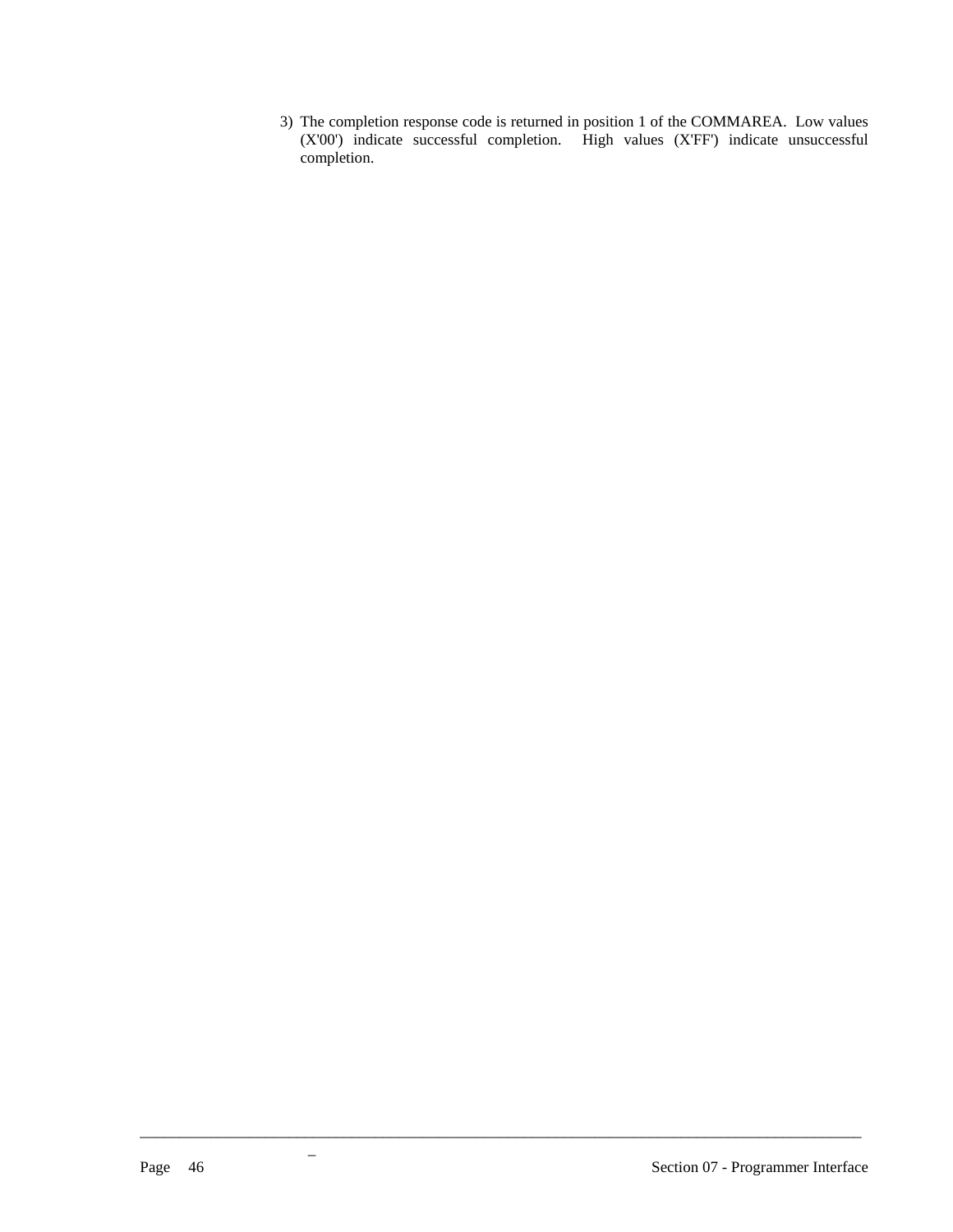3) The completion response code is returned in position 1 of the COMMAREA. Low values (X'00') indicate successful completion. High values (X'FF') indicate unsuccessful completion.

\_

\_\_\_\_\_\_\_\_\_\_\_\_\_\_\_\_\_\_\_\_\_\_\_\_\_\_\_\_\_\_\_\_\_\_\_\_\_\_\_\_\_\_\_\_\_\_\_\_\_\_\_\_\_\_\_\_\_\_\_\_\_\_\_\_\_\_\_\_\_\_\_\_\_\_\_\_\_\_\_\_\_\_\_\_\_\_\_\_\_\_\_\_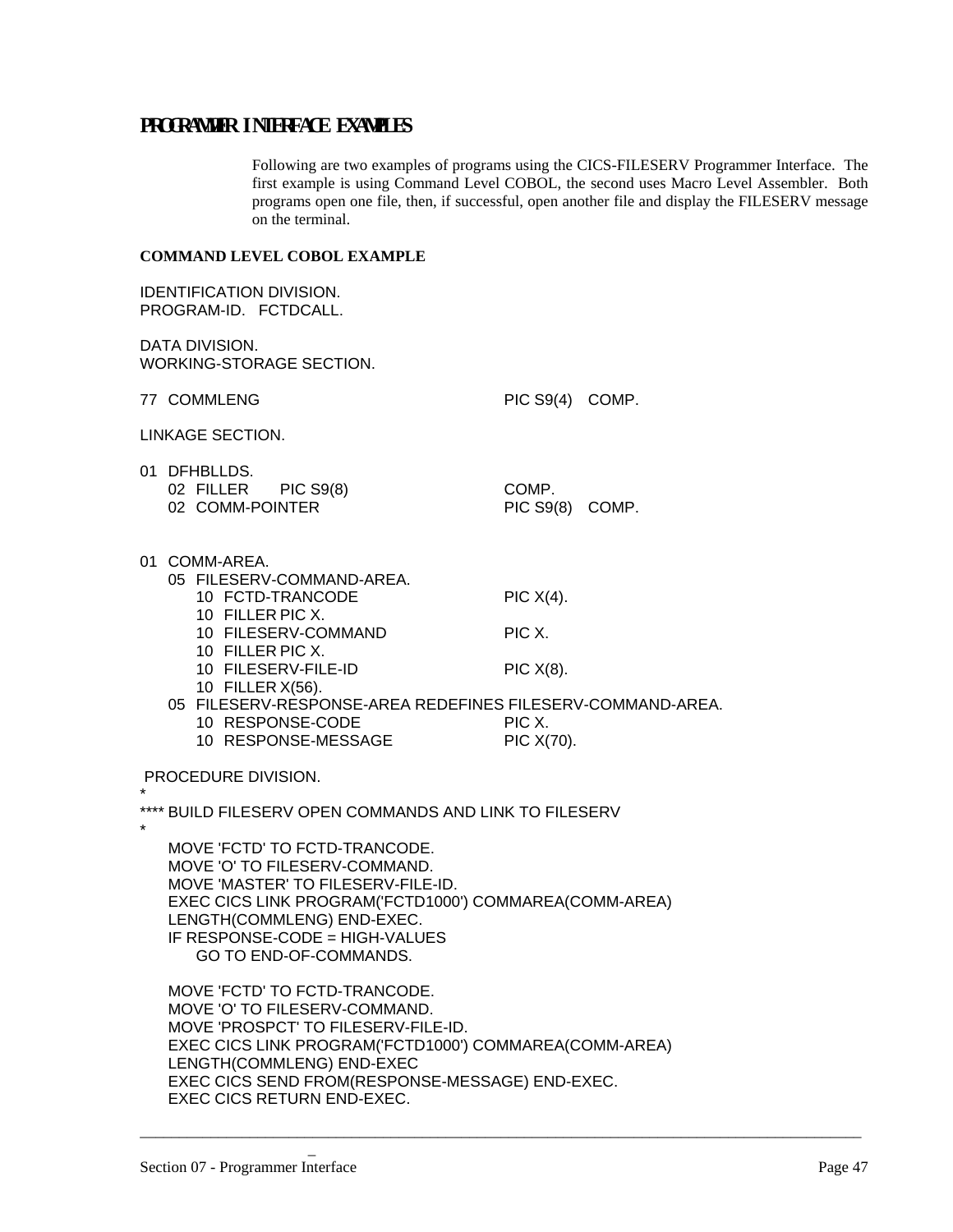## **PROGRAMMER INTERFACE EXAMPLES**

Following are two examples of programs using the CICS-FILESERV Programmer Interface. The first example is using Command Level COBOL, the second uses Macro Level Assembler. Both programs open one file, then, if successful, open another file and display the FILESERV message on the terminal.

## **COMMAND LEVEL COBOL EXAMPLE**

IDENTIFICATION DIVISION. PROGRAM-ID. FCTDCALL. DATA DIVISION. WORKING-STORAGE SECTION. 77 COMMLENG PIC S9(4) COMP. LINKAGE SECTION. 01 DFHBLLDS. 02 FILLER PIC S9(8) COMP.<br>02 COMM-POINTER PIC S9(8) COMP. 02 COMM-POINTER 01 COMM-AREA. 05 FILESERV-COMMAND-AREA. 10 FCTD-TRANCODE PIC X(4). 10 FILLER PIC X. 10 FILESERV-COMMAND PIC X. 10 FILLER PIC X. 10 FILESERV-FILE-ID PIC X(8). 10 FILLER X(56). 05 FILESERV-RESPONSE-AREA REDEFINES FILESERV-COMMAND-AREA. 10 RESPONSE-CODE PIC X. 10 RESPONSE-MESSAGE PIC X(70). PROCEDURE DIVISION. \* \*\*\*\* BUILD FILESERV OPEN COMMANDS AND LINK TO FILESERV \* MOVE 'FCTD' TO FCTD-TRANCODE. MOVE 'O' TO FILESERV-COMMAND. MOVE 'MASTER' TO FILESERV-FILE-ID. EXEC CICS LINK PROGRAM('FCTD1000') COMMAREA(COMM-AREA) LENGTH(COMMLENG) END-EXEC. IF RESPONSE-CODE = HIGH-VALUES GO TO END-OF-COMMANDS. MOVE 'FCTD' TO FCTD-TRANCODE. MOVE 'O' TO FILESERV-COMMAND. MOVE 'PROSPCT' TO FILESERV-FILE-ID. EXEC CICS LINK PROGRAM('FCTD1000') COMMAREA(COMM-AREA) LENGTH(COMMLENG) END-EXEC EXEC CICS SEND FROM(RESPONSE-MESSAGE) END-EXEC. EXEC CICS RETURN END-EXEC.

\_\_\_\_\_\_\_\_\_\_\_\_\_\_\_\_\_\_\_\_\_\_\_\_\_\_\_\_\_\_\_\_\_\_\_\_\_\_\_\_\_\_\_\_\_\_\_\_\_\_\_\_\_\_\_\_\_\_\_\_\_\_\_\_\_\_\_\_\_\_\_\_\_\_\_\_\_\_\_\_\_\_\_\_\_\_\_\_\_\_\_\_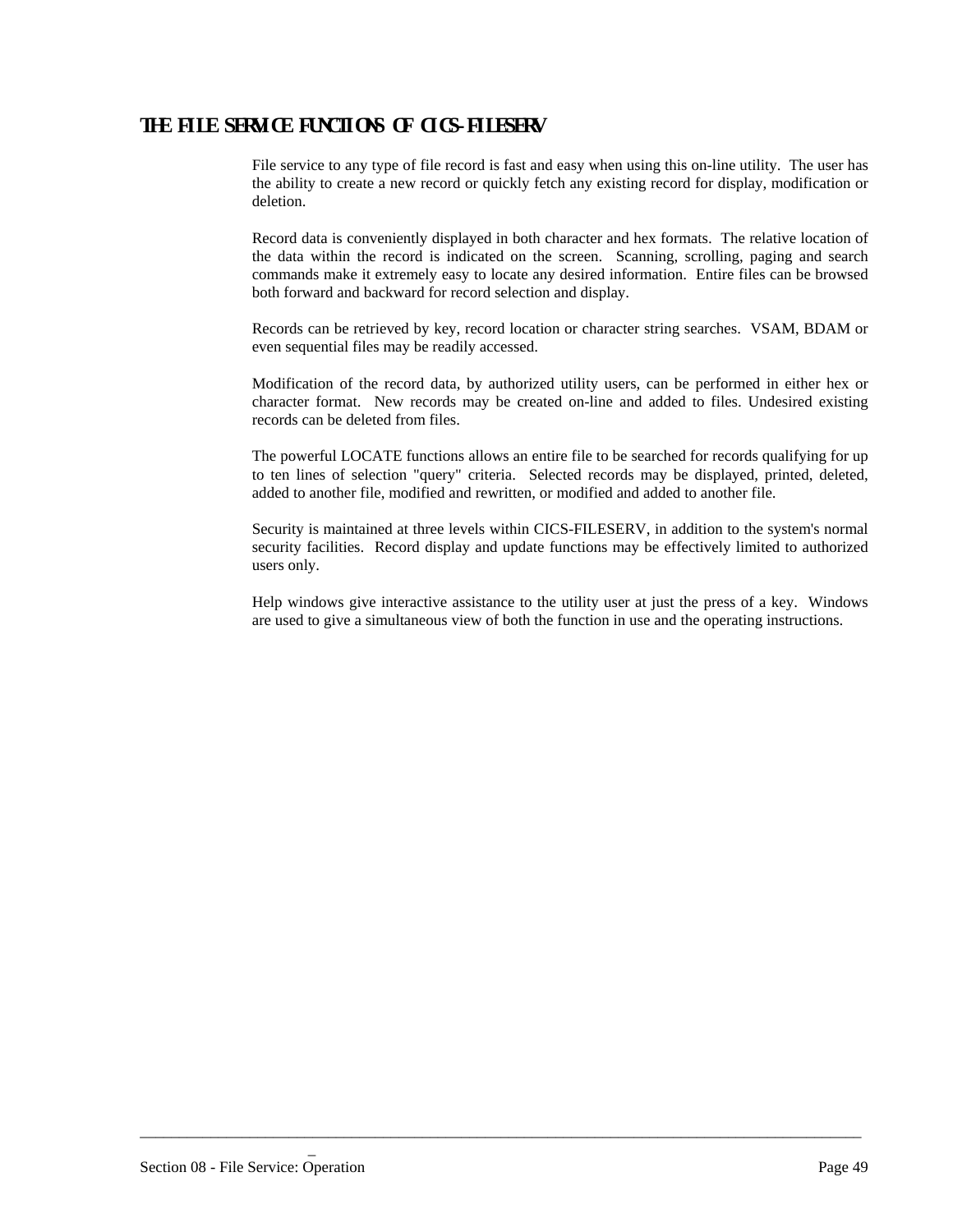# **THE FILE SERVICE FUNCTIONS OF CICS-FILESERV**

File service to any type of file record is fast and easy when using this on-line utility. The user has the ability to create a new record or quickly fetch any existing record for display, modification or deletion.

Record data is conveniently displayed in both character and hex formats. The relative location of the data within the record is indicated on the screen. Scanning, scrolling, paging and search commands make it extremely easy to locate any desired information. Entire files can be browsed both forward and backward for record selection and display.

Records can be retrieved by key, record location or character string searches. VSAM, BDAM or even sequential files may be readily accessed.

Modification of the record data, by authorized utility users, can be performed in either hex or character format. New records may be created on-line and added to files. Undesired existing records can be deleted from files.

The powerful LOCATE functions allows an entire file to be searched for records qualifying for up to ten lines of selection "query" criteria. Selected records may be displayed, printed, deleted, added to another file, modified and rewritten, or modified and added to another file.

Security is maintained at three levels within CICS-FILESERV, in addition to the system's normal security facilities. Record display and update functions may be effectively limited to authorized users only.

Help windows give interactive assistance to the utility user at just the press of a key. Windows are used to give a simultaneous view of both the function in use and the operating instructions.

\_\_\_\_\_\_\_\_\_\_\_\_\_\_\_\_\_\_\_\_\_\_\_\_\_\_\_\_\_\_\_\_\_\_\_\_\_\_\_\_\_\_\_\_\_\_\_\_\_\_\_\_\_\_\_\_\_\_\_\_\_\_\_\_\_\_\_\_\_\_\_\_\_\_\_\_\_\_\_\_\_\_\_\_\_\_\_\_\_\_\_\_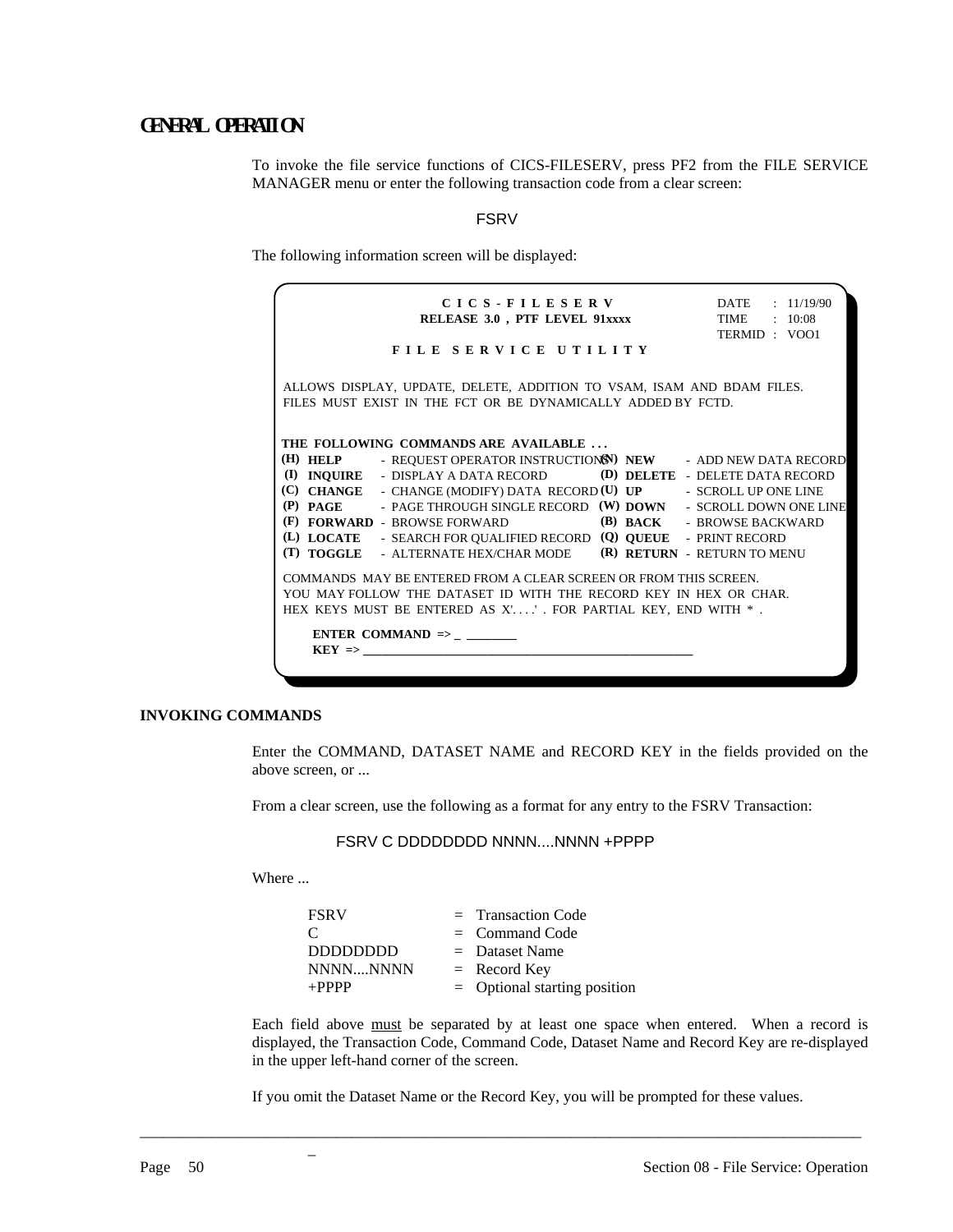# **GENERAL OPERATION**

To invoke the file service functions of CICS-FILESERV, press PF2 from the FILE SERVICE MANAGER menu or enter the following transaction code from a clear screen:

FSRV

The following information screen will be displayed:

| $CICS - FILE S E R V$ DATE : 11/19/90<br>RELEASE 3.0, PTF LEVEL 91xxxx TIME : 10:08<br>FILE SERVICE UTILITY<br>ALLOWS DISPLAY, UPDATE, DELETE, ADDITION TO VSAM, ISAM AND BDAM FILES.<br>FILES MUST EXIST IN THE FCT OR BE DYNAMICALLY ADDED BY FCTD.                                                                                                                                                                                                                                                                                                | TERMID: VOO1 |
|------------------------------------------------------------------------------------------------------------------------------------------------------------------------------------------------------------------------------------------------------------------------------------------------------------------------------------------------------------------------------------------------------------------------------------------------------------------------------------------------------------------------------------------------------|--------------|
| THE FOLLOWING COMMANDS ARE AVAILABLE<br>(H) HELP<br>- REQUEST OPERATOR INSTRUCTIONS NEW - ADD NEW DATA RECORD<br>(I) INQUIRE - DISPLAY A DATA RECORD (D) DELETE - DELETE DATA RECORD<br>(C) CHANGE<br>- CHANGE (MODIFY) DATA RECORD (U) UP - SCROLL UP ONE LINE<br>$(P)$ PAGE<br>- PAGE THROUGH SINGLE RECORD (W) DOWN - SCROLL DOWN ONE LINE<br>(F) FORWARD - BROWSE FORWARD (B) BACK - BROWSE BACKWARD<br>(L) LOCATE - SEARCH FOR OUALIFIED RECORD (Q) OUEUE - PRINT RECORD<br>(R) RETURN - RETURN TO MENU<br>(T) TOGGLE - ALTERNATE HEX/CHAR MODE |              |
| COMMANDS MAY BE ENTERED FROM A CLEAR SCREEN OR FROM THIS SCREEN.<br>YOU MAY FOLLOW THE DATASET ID WITH THE RECORD KEY IN HEX OR CHAR.<br>HEX KEYS MUST BE ENTERED AS X''. FOR PARTIAL KEY, END WITH *.<br>ENTER COMMAND $\Rightarrow$<br>$KEY \Rightarrow$                                                                                                                                                                                                                                                                                           |              |

## **INVOKING COMMANDS**

Enter the COMMAND, DATASET NAME and RECORD KEY in the fields provided on the above screen, or ...

From a clear screen, use the following as a format for any entry to the FSRV Transaction:

## FSRV C DDDDDDDD NNNN....NNNN +PPPP

Where ...

 $\overline{a}$ 

| <b>FSRV</b>     | $=$ Transaction Code           |
|-----------------|--------------------------------|
| C               | $=$ Command Code               |
| <b>DDDDDDDD</b> | $=$ Dataset Name               |
| NNNNNNNN        | $=$ Record Key                 |
| $+$ PPPP        | $=$ Optional starting position |

Each field above must be separated by at least one space when entered. When a record is displayed, the Transaction Code, Command Code, Dataset Name and Record Key are re-displayed in the upper left-hand corner of the screen.

If you omit the Dataset Name or the Record Key, you will be prompted for these values.

\_\_\_\_\_\_\_\_\_\_\_\_\_\_\_\_\_\_\_\_\_\_\_\_\_\_\_\_\_\_\_\_\_\_\_\_\_\_\_\_\_\_\_\_\_\_\_\_\_\_\_\_\_\_\_\_\_\_\_\_\_\_\_\_\_\_\_\_\_\_\_\_\_\_\_\_\_\_\_\_\_\_\_\_\_\_\_\_\_\_\_\_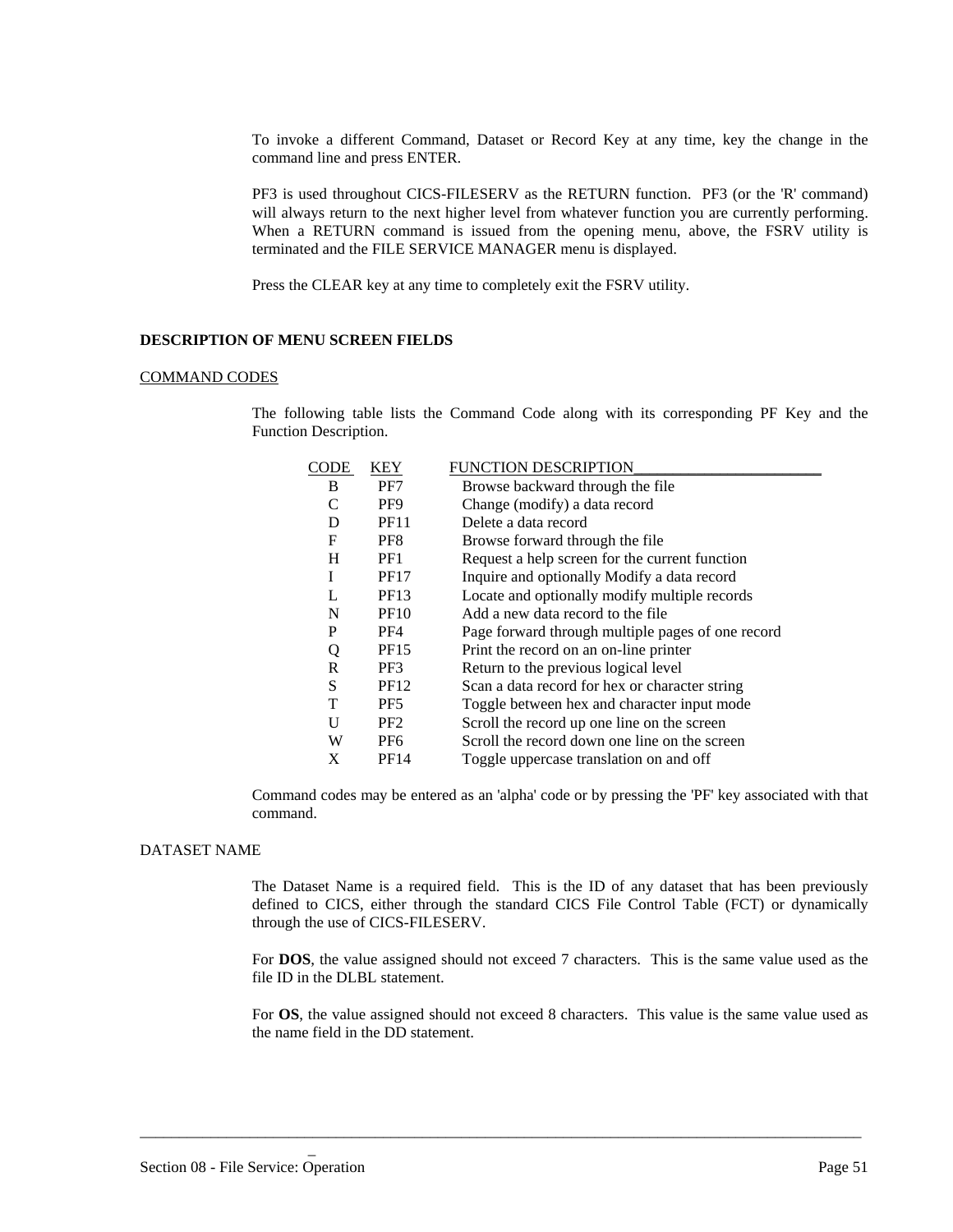To invoke a different Command, Dataset or Record Key at any time, key the change in the command line and press ENTER.

PF3 is used throughout CICS-FILESERV as the RETURN function. PF3 (or the 'R' command) will always return to the next higher level from whatever function you are currently performing. When a RETURN command is issued from the opening menu, above, the FSRV utility is terminated and the FILE SERVICE MANAGER menu is displayed.

Press the CLEAR key at any time to completely exit the FSRV utility.

#### **DESCRIPTION OF MENU SCREEN FIELDS**

### COMMAND CODES

The following table lists the Command Code along with its corresponding PF Key and the Function Description.

| CODE | KEY             | <b>FUNCTION DESCRIPTION</b>                       |
|------|-----------------|---------------------------------------------------|
| В    | PF7             | Browse backward through the file                  |
|      | PF9             | Change (modify) a data record                     |
| D    | <b>PF11</b>     | Delete a data record                              |
| F    | PF <sub>8</sub> | Browse forward through the file                   |
| H    | PF1             | Request a help screen for the current function    |
| I    | <b>PF17</b>     | Inquire and optionally Modify a data record       |
| L    | <b>PF13</b>     | Locate and optionally modify multiple records     |
| N    | <b>PF10</b>     | Add a new data record to the file                 |
| P    | PF4             | Page forward through multiple pages of one record |
| Q    | <b>PF15</b>     | Print the record on an on-line printer            |
| R    | PF3             | Return to the previous logical level              |
| S    | <b>PF12</b>     | Scan a data record for hex or character string    |
| Т    | PF5             | Toggle between hex and character input mode       |
| U    | PF <sub>2</sub> | Scroll the record up one line on the screen       |
| W    | PF <sub>6</sub> | Scroll the record down one line on the screen     |
| X    | PF14            | Toggle uppercase translation on and off           |

Command codes may be entered as an 'alpha' code or by pressing the 'PF' key associated with that command.

#### DATASET NAME

 The Dataset Name is a required field. This is the ID of any dataset that has been previously defined to CICS, either through the standard CICS File Control Table (FCT) or dynamically through the use of CICS-FILESERV.

For **DOS**, the value assigned should not exceed 7 characters. This is the same value used as the file ID in the DLBL statement.

For **OS**, the value assigned should not exceed 8 characters. This value is the same value used as the name field in the DD statement.

\_\_\_\_\_\_\_\_\_\_\_\_\_\_\_\_\_\_\_\_\_\_\_\_\_\_\_\_\_\_\_\_\_\_\_\_\_\_\_\_\_\_\_\_\_\_\_\_\_\_\_\_\_\_\_\_\_\_\_\_\_\_\_\_\_\_\_\_\_\_\_\_\_\_\_\_\_\_\_\_\_\_\_\_\_\_\_\_\_\_\_\_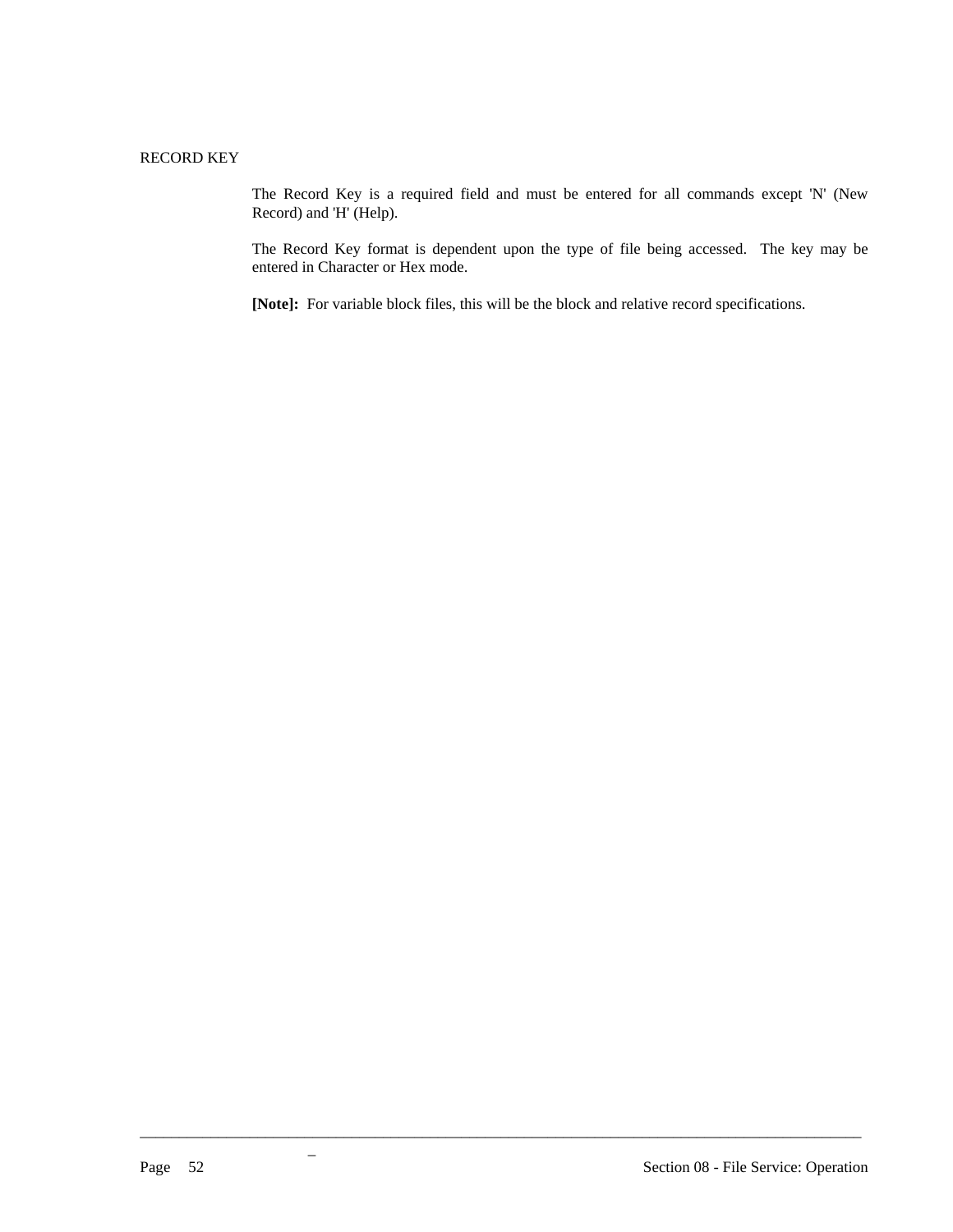## RECORD KEY

 The Record Key is a required field and must be entered for all commands except 'N' (New Record) and 'H' (Help).

The Record Key format is dependent upon the type of file being accessed. The key may be entered in Character or Hex mode.

**[Note]:** For variable block files, this will be the block and relative record specifications.

\_\_\_\_\_\_\_\_\_\_\_\_\_\_\_\_\_\_\_\_\_\_\_\_\_\_\_\_\_\_\_\_\_\_\_\_\_\_\_\_\_\_\_\_\_\_\_\_\_\_\_\_\_\_\_\_\_\_\_\_\_\_\_\_\_\_\_\_\_\_\_\_\_\_\_\_\_\_\_\_\_\_\_\_\_\_\_\_\_\_\_\_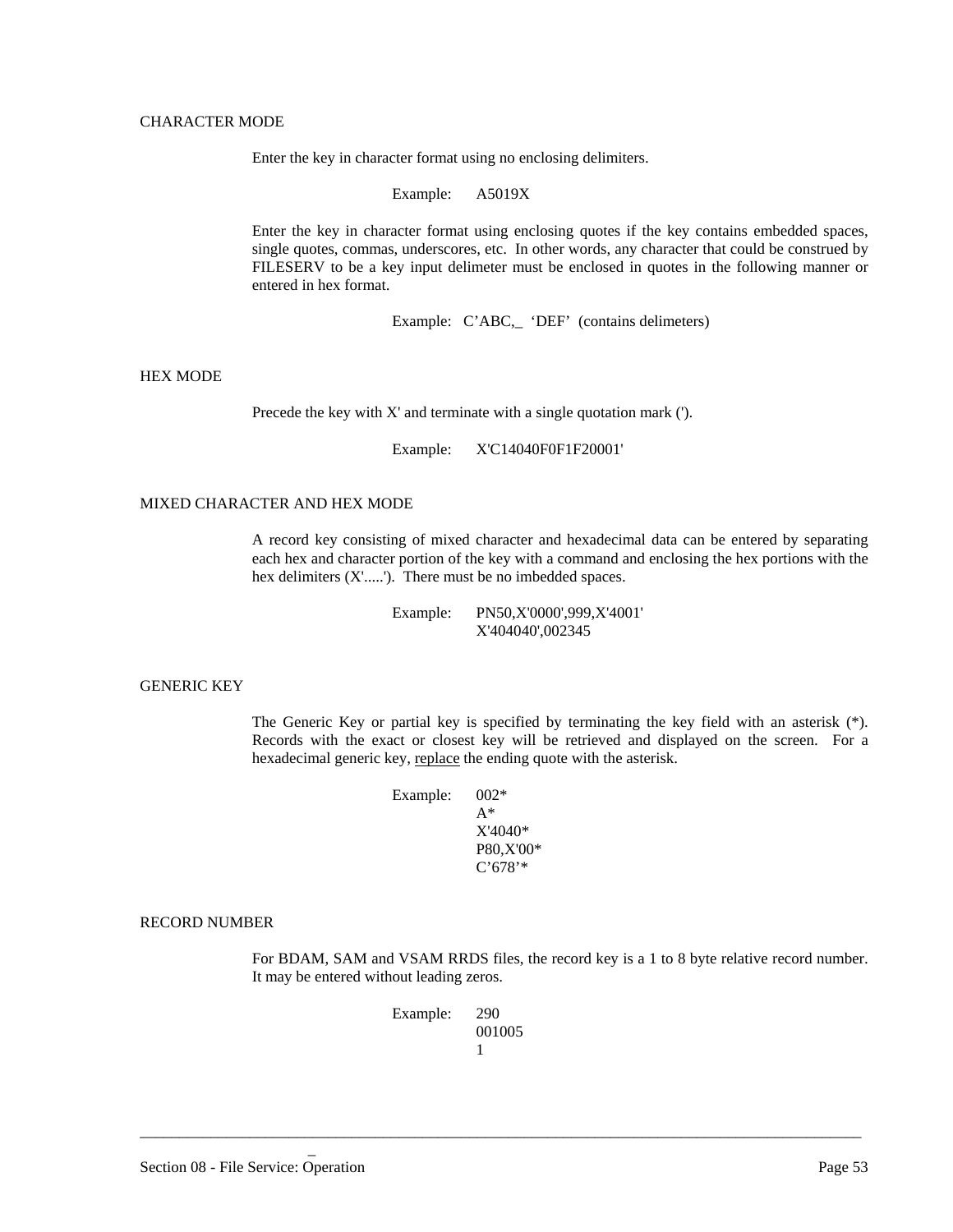CHARACTER MODE

Enter the key in character format using no enclosing delimiters.

Example: A5019X

Enter the key in character format using enclosing quotes if the key contains embedded spaces, single quotes, commas, underscores, etc. In other words, any character that could be construed by FILESERV to be a key input delimeter must be enclosed in quotes in the following manner or entered in hex format.

Example: C'ABC,\_ 'DEF' (contains delimeters)

HEX MODE

Precede the key with X' and terminate with a single quotation mark (').

Example: X'C14040F0F1F20001'

#### MIXED CHARACTER AND HEX MODE

A record key consisting of mixed character and hexadecimal data can be entered by separating each hex and character portion of the key with a command and enclosing the hex portions with the hex delimiters (X'.....'). There must be no imbedded spaces.

> Example: PN50,X'0000',999,X'4001' X'404040',002345

### GENERIC KEY

The Generic Key or partial key is specified by terminating the key field with an asterisk (\*). Records with the exact or closest key will be retrieved and displayed on the screen. For a hexadecimal generic key, replace the ending quote with the asterisk.

Example:  $002*$  $A^*$  X'4040\* P80,X'00\*  $C'678'$ \*

#### RECORD NUMBER

For BDAM, SAM and VSAM RRDS files, the record key is a 1 to 8 byte relative record number. It may be entered without leading zeros.

 Example: 290 001005 1

\_\_\_\_\_\_\_\_\_\_\_\_\_\_\_\_\_\_\_\_\_\_\_\_\_\_\_\_\_\_\_\_\_\_\_\_\_\_\_\_\_\_\_\_\_\_\_\_\_\_\_\_\_\_\_\_\_\_\_\_\_\_\_\_\_\_\_\_\_\_\_\_\_\_\_\_\_\_\_\_\_\_\_\_\_\_\_\_\_\_\_\_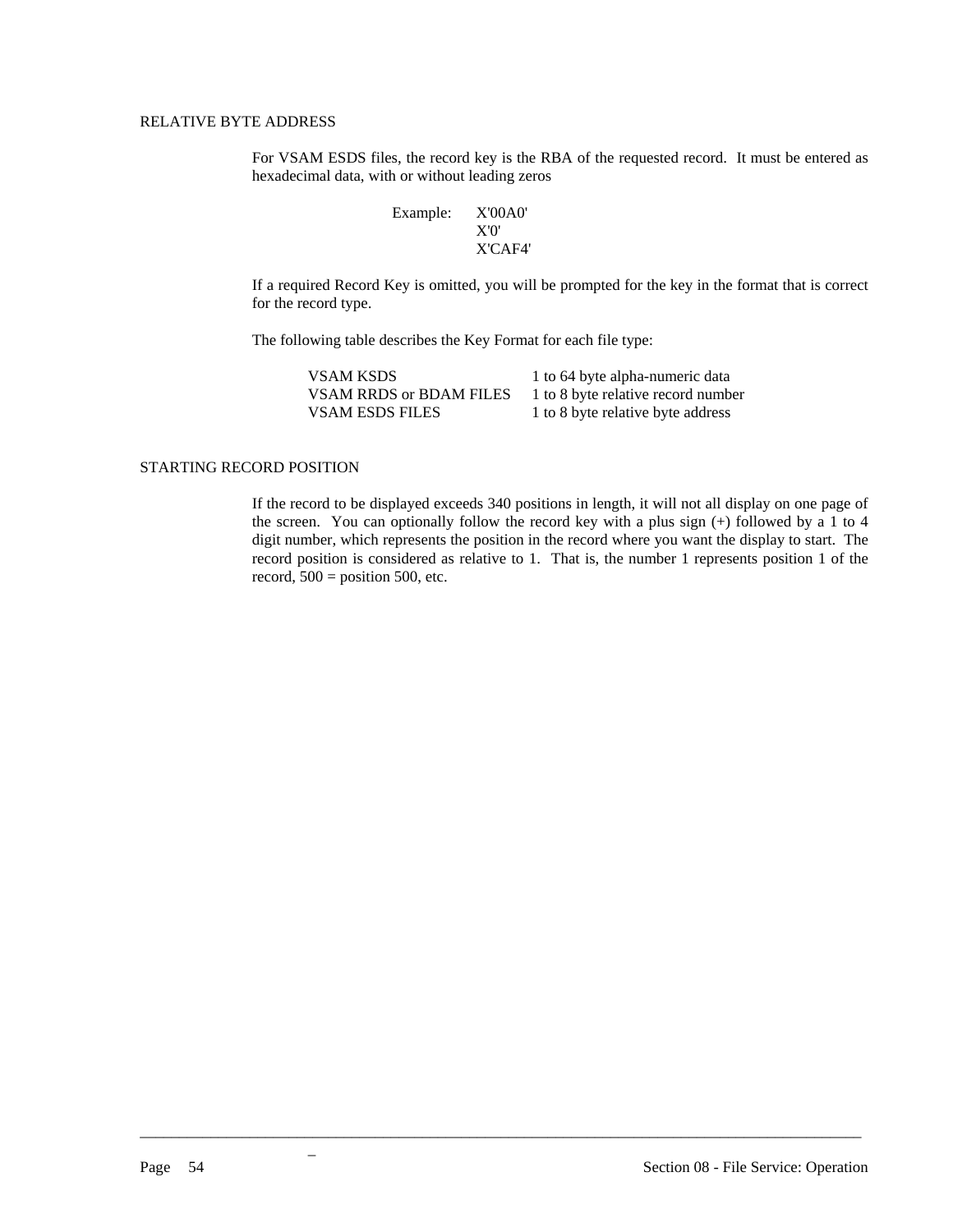## RELATIVE BYTE ADDRESS

For VSAM ESDS files, the record key is the RBA of the requested record. It must be entered as hexadecimal data, with or without leading zeros

```
 Example: X'00A0' 
X'0' 
                 X'CAF4'
```
If a required Record Key is omitted, you will be prompted for the key in the format that is correct for the record type.

The following table describes the Key Format for each file type:

| VSAM KSDS                      | 1 to 64 byte alpha-numeric data    |
|--------------------------------|------------------------------------|
| <b>VSAM RRDS or BDAM FILES</b> | 1 to 8 byte relative record number |
| <b>VSAM ESDS FILES</b>         | 1 to 8 byte relative byte address  |

\_\_\_\_\_\_\_\_\_\_\_\_\_\_\_\_\_\_\_\_\_\_\_\_\_\_\_\_\_\_\_\_\_\_\_\_\_\_\_\_\_\_\_\_\_\_\_\_\_\_\_\_\_\_\_\_\_\_\_\_\_\_\_\_\_\_\_\_\_\_\_\_\_\_\_\_\_\_\_\_\_\_\_\_\_\_\_\_\_\_\_\_

### STARTING RECORD POSITION

If the record to be displayed exceeds 340 positions in length, it will not all display on one page of the screen. You can optionally follow the record key with a plus sign (+) followed by a 1 to 4 digit number, which represents the position in the record where you want the display to start. The record position is considered as relative to 1. That is, the number 1 represents position 1 of the record,  $500 =$  position 500, etc.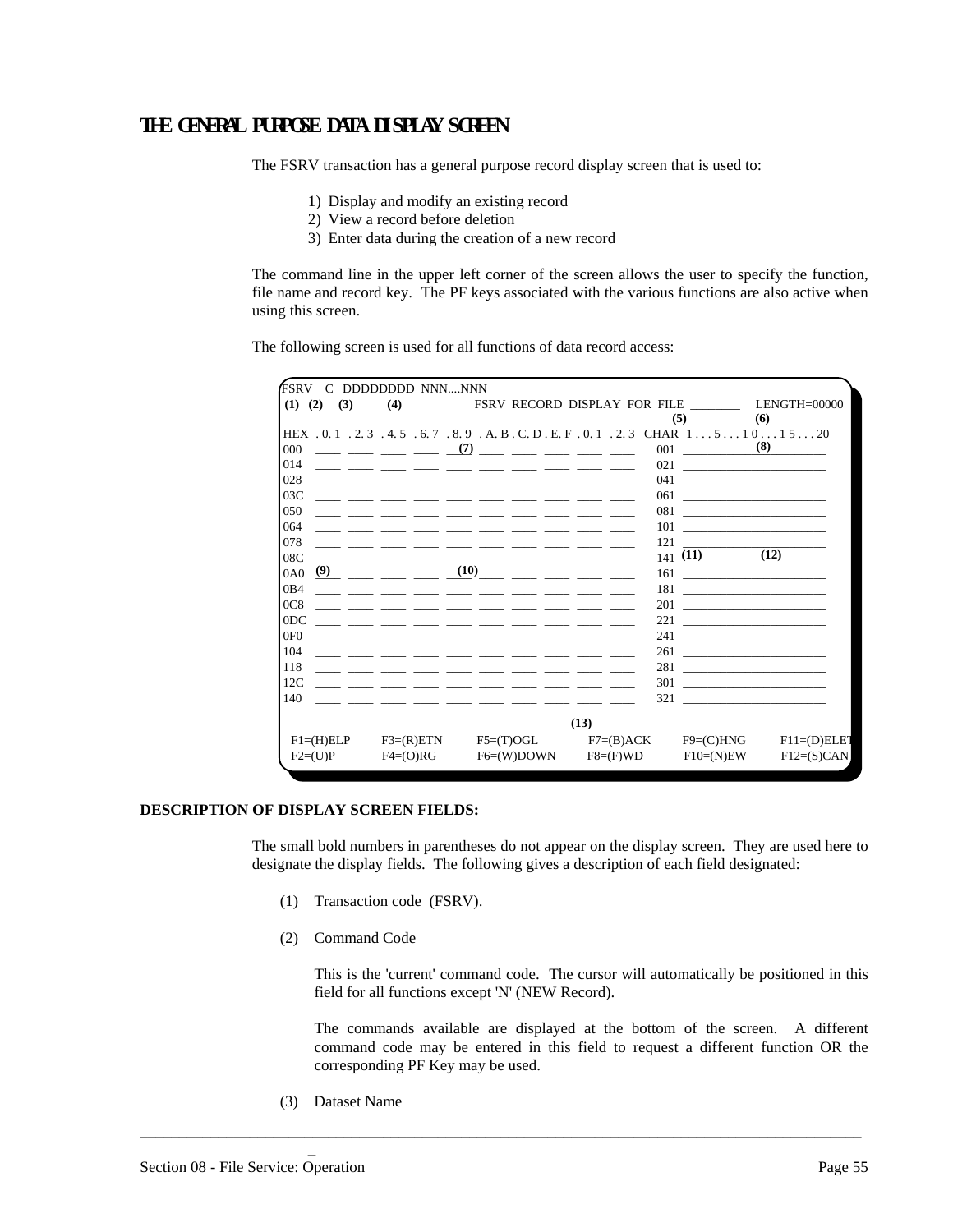# **THE GENERAL PURPOSE DATA DISPLAY SCREEN**

The FSRV transaction has a general purpose record display screen that is used to:

- 1) Display and modify an existing record
- 2) View a record before deletion
- 3) Enter data during the creation of a new record

The command line in the upper left corner of the screen allows the user to specify the function, file name and record key. The PF keys associated with the various functions are also active when using this screen.

The following screen is used for all functions of data record access:

| ÆSRV            | $\mathcal{C}$ |     | DDDDDDDD NNNNNN                                                                         |            |      |                                                                                                                      |      |             |               |             |             |                                                                                                                                                                                                                                                                                                                                                                                    |               |
|-----------------|---------------|-----|-----------------------------------------------------------------------------------------|------------|------|----------------------------------------------------------------------------------------------------------------------|------|-------------|---------------|-------------|-------------|------------------------------------------------------------------------------------------------------------------------------------------------------------------------------------------------------------------------------------------------------------------------------------------------------------------------------------------------------------------------------------|---------------|
| $(1)$ $(2)$     |               | (3) | (4)                                                                                     |            |      |                                                                                                                      |      |             |               |             |             | FSRV RECORD DISPLAY FOR FILE LENGTH=00000                                                                                                                                                                                                                                                                                                                                          |               |
|                 |               |     |                                                                                         |            |      |                                                                                                                      |      |             | (5)           |             | (6)         |                                                                                                                                                                                                                                                                                                                                                                                    |               |
|                 |               |     |                                                                                         |            |      |                                                                                                                      |      |             |               |             |             | HEX .0.1 .2.3 .4.5 .6.7 .8.9 .A.B.C.D.E.F.0.1 .2.3 CHAR 15101520                                                                                                                                                                                                                                                                                                                   |               |
| 000             |               |     | $\overline{\phantom{a}}$ (7)                                                            |            |      |                                                                                                                      |      |             |               |             | (8)         |                                                                                                                                                                                                                                                                                                                                                                                    |               |
| 014             |               |     |                                                                                         |            |      |                                                                                                                      |      |             |               |             |             |                                                                                                                                                                                                                                                                                                                                                                                    |               |
| 028             |               |     |                                                                                         |            |      |                                                                                                                      |      |             |               |             |             |                                                                                                                                                                                                                                                                                                                                                                                    |               |
| 03C             |               |     |                                                                                         |            |      |                                                                                                                      |      |             |               |             |             |                                                                                                                                                                                                                                                                                                                                                                                    |               |
| 050             |               |     |                                                                                         |            |      |                                                                                                                      |      |             |               |             |             |                                                                                                                                                                                                                                                                                                                                                                                    |               |
| 064             |               |     |                                                                                         |            |      |                                                                                                                      |      | 101         |               |             |             |                                                                                                                                                                                                                                                                                                                                                                                    |               |
| 078             |               |     | <u>المستوفي المستقل المستقل المستقل المستقل المستقل المستقل المستقل المستقل المستقل</u> |            |      |                                                                                                                      |      | 121         |               |             |             |                                                                                                                                                                                                                                                                                                                                                                                    |               |
| 08C             |               |     |                                                                                         |            |      | <u> 2000 - 2000 - 2000 - 2000 - 2000 - 2000 - 2000 - 2000 - 2000 - 2000 - 2000 - 2000 - 2000 - 2000 - 2000 - 200</u> |      |             | $_{141}$ (11) |             |             | (12)                                                                                                                                                                                                                                                                                                                                                                               |               |
| 0A0             | (9)           |     |                                                                                         |            | (10) |                                                                                                                      |      | 161         |               |             |             |                                                                                                                                                                                                                                                                                                                                                                                    |               |
| 0B4             |               |     |                                                                                         |            |      | <u> 1989 - Andrea States, amerikansk politik</u>                                                                     |      | 181         |               |             |             | <u> 1989 - Johann Harry Barn, mars and de Branch and de Branch and de Branch and de Branch and de Branch and de B</u>                                                                                                                                                                                                                                                              |               |
| 0C8             |               |     |                                                                                         |            |      |                                                                                                                      |      |             |               |             |             | $201$ $\qquad \qquad$                                                                                                                                                                                                                                                                                                                                                              |               |
| 0DC             |               |     |                                                                                         |            |      |                                                                                                                      |      | 221         |               |             |             | <u> 1980 - Jan Barbarat, manala</u>                                                                                                                                                                                                                                                                                                                                                |               |
| 0 <sub>F0</sub> |               |     |                                                                                         |            |      |                                                                                                                      |      |             |               |             |             | 241                                                                                                                                                                                                                                                                                                                                                                                |               |
| 104             |               |     |                                                                                         |            |      |                                                                                                                      |      |             |               |             |             |                                                                                                                                                                                                                                                                                                                                                                                    |               |
| 118             |               |     |                                                                                         |            |      |                                                                                                                      |      |             |               |             |             | 281                                                                                                                                                                                                                                                                                                                                                                                |               |
| 12C             |               |     |                                                                                         |            |      |                                                                                                                      |      |             |               |             |             | $301 \begin{tabular}{c} \hline \rule[1mm]{1mm}{1.1mm} \rule{2mm}{2.5mm} \rule{2mm}{2.5mm} \rule{2mm}{2.5mm} \rule{2mm}{2.5mm} \rule{2mm}{2.5mm} \rule{2mm}{2.5mm} \rule{2mm}{2.5mm} \rule{2mm}{2.5mm} \rule{2mm}{2.5mm} \rule{2mm}{2.5mm} \rule{2mm}{2.5mm} \rule{2mm}{2.5mm} \rule{2mm}{2.5mm} \rule{2mm}{2.5mm} \rule{2mm}{2.5mm} \rule{2mm}{2.5mm} \rule{2mm}{2.5mm} \rule{2mm$ |               |
| 140             |               |     |                                                                                         |            |      |                                                                                                                      |      |             |               |             |             | 321                                                                                                                                                                                                                                                                                                                                                                                |               |
|                 |               |     |                                                                                         |            |      |                                                                                                                      |      |             |               |             |             |                                                                                                                                                                                                                                                                                                                                                                                    |               |
|                 |               |     |                                                                                         |            |      |                                                                                                                      | (13) |             |               |             |             |                                                                                                                                                                                                                                                                                                                                                                                    |               |
|                 |               |     | $F1=(H)ELP$ $F3=(R)ETN$ $F5=(T)OGL$                                                     |            |      |                                                                                                                      |      | $F7=(B)ACK$ |               |             | $F9=(C)HNG$ |                                                                                                                                                                                                                                                                                                                                                                                    | $F11=(D)ELE1$ |
| $F2=(U)P$       |               |     |                                                                                         | $F4=(O)RG$ |      | $F6=(W)$ DOWN                                                                                                        |      | $F8=(F)WD$  |               | $F10=(N)EW$ |             |                                                                                                                                                                                                                                                                                                                                                                                    | $F12=(S)CAN$  |

### **DESCRIPTION OF DISPLAY SCREEN FIELDS:**

The small bold numbers in parentheses do not appear on the display screen. They are used here to designate the display fields. The following gives a description of each field designated:

- (1) Transaction code (FSRV).
- (2) Command Code

 This is the 'current' command code. The cursor will automatically be positioned in this field for all functions except 'N' (NEW Record).

 The commands available are displayed at the bottom of the screen. A different command code may be entered in this field to request a different function OR the corresponding PF Key may be used.

\_\_\_\_\_\_\_\_\_\_\_\_\_\_\_\_\_\_\_\_\_\_\_\_\_\_\_\_\_\_\_\_\_\_\_\_\_\_\_\_\_\_\_\_\_\_\_\_\_\_\_\_\_\_\_\_\_\_\_\_\_\_\_\_\_\_\_\_\_\_\_\_\_\_\_\_\_\_\_\_\_\_\_\_\_\_\_\_\_\_\_\_

(3) Dataset Name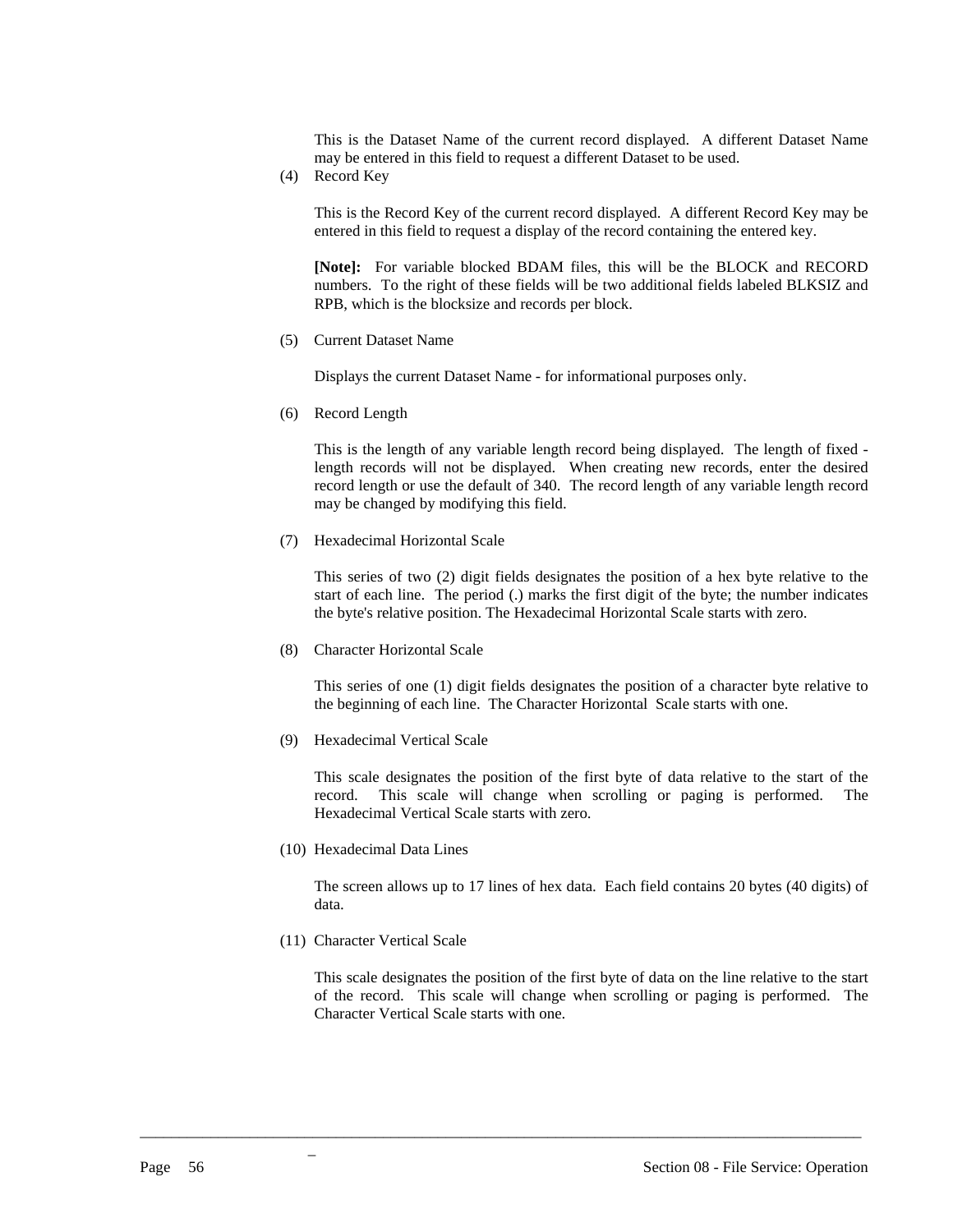This is the Dataset Name of the current record displayed. A different Dataset Name may be entered in this field to request a different Dataset to be used.

(4) Record Key

 This is the Record Key of the current record displayed. A different Record Key may be entered in this field to request a display of the record containing the entered key.

**[Note]:** For variable blocked BDAM files, this will be the BLOCK and RECORD numbers. To the right of these fields will be two additional fields labeled BLKSIZ and RPB, which is the blocksize and records per block.

(5) Current Dataset Name

Displays the current Dataset Name - for informational purposes only.

(6) Record Length

 This is the length of any variable length record being displayed. The length of fixed length records will not be displayed. When creating new records, enter the desired record length or use the default of 340. The record length of any variable length record may be changed by modifying this field.

(7) Hexadecimal Horizontal Scale

 This series of two (2) digit fields designates the position of a hex byte relative to the start of each line. The period (.) marks the first digit of the byte; the number indicates the byte's relative position. The Hexadecimal Horizontal Scale starts with zero.

(8) Character Horizontal Scale

 This series of one (1) digit fields designates the position of a character byte relative to the beginning of each line. The Character Horizontal Scale starts with one.

(9) Hexadecimal Vertical Scale

 This scale designates the position of the first byte of data relative to the start of the record. This scale will change when scrolling or paging is performed. The Hexadecimal Vertical Scale starts with zero.

(10) Hexadecimal Data Lines

 The screen allows up to 17 lines of hex data. Each field contains 20 bytes (40 digits) of data.

(11) Character Vertical Scale

 This scale designates the position of the first byte of data on the line relative to the start of the record. This scale will change when scrolling or paging is performed. The Character Vertical Scale starts with one.

\_\_\_\_\_\_\_\_\_\_\_\_\_\_\_\_\_\_\_\_\_\_\_\_\_\_\_\_\_\_\_\_\_\_\_\_\_\_\_\_\_\_\_\_\_\_\_\_\_\_\_\_\_\_\_\_\_\_\_\_\_\_\_\_\_\_\_\_\_\_\_\_\_\_\_\_\_\_\_\_\_\_\_\_\_\_\_\_\_\_\_\_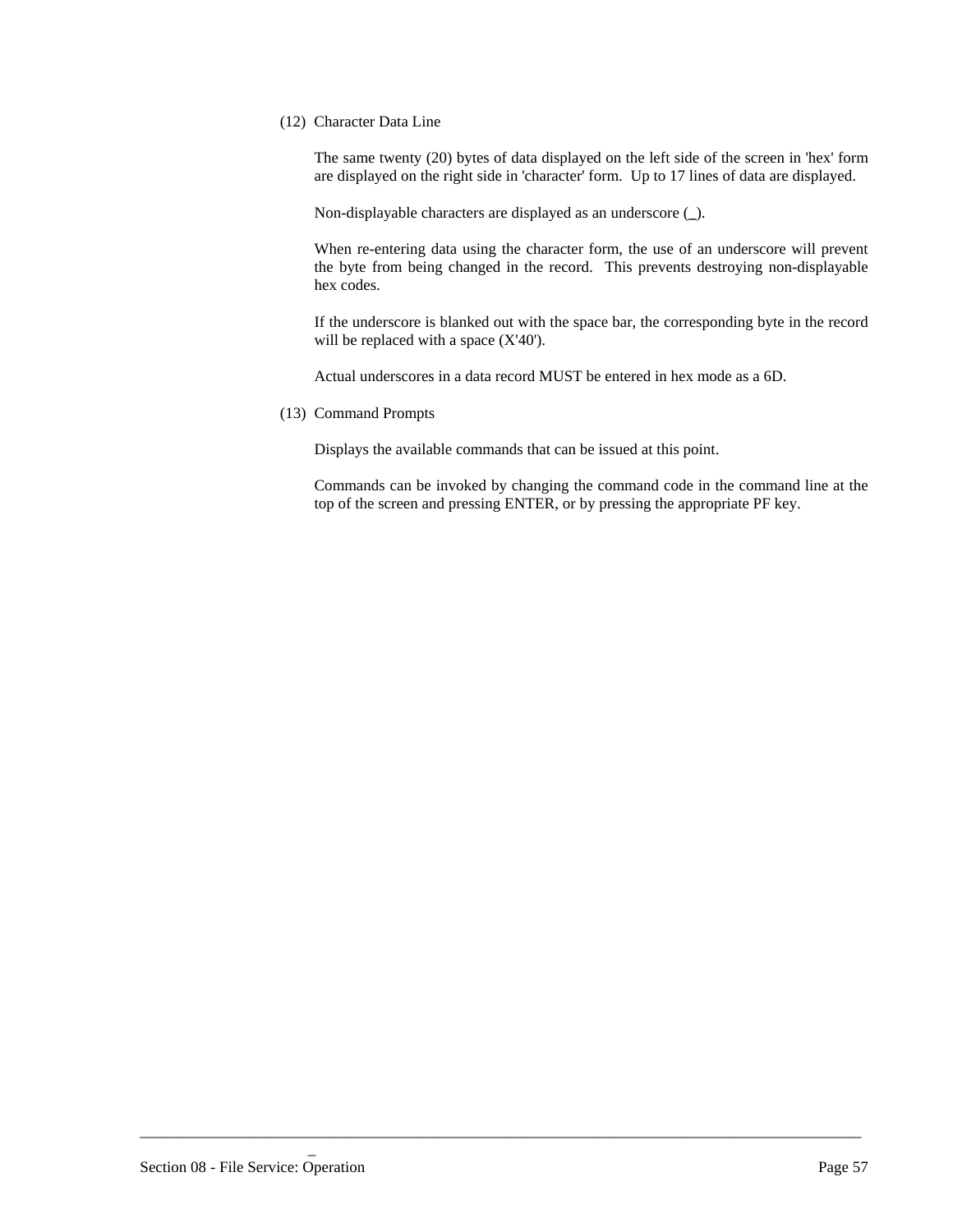(12) Character Data Line

 The same twenty (20) bytes of data displayed on the left side of the screen in 'hex' form are displayed on the right side in 'character' form. Up to 17 lines of data are displayed.

Non-displayable characters are displayed as an underscore (**\_**).

 When re-entering data using the character form, the use of an underscore will prevent the byte from being changed in the record. This prevents destroying non-displayable hex codes.

 If the underscore is blanked out with the space bar, the corresponding byte in the record will be replaced with a space  $(X'40')$ .

Actual underscores in a data record MUST be entered in hex mode as a 6D.

(13) Command Prompts

Displays the available commands that can be issued at this point.

\_\_\_\_\_\_\_\_\_\_\_\_\_\_\_\_\_\_\_\_\_\_\_\_\_\_\_\_\_\_\_\_\_\_\_\_\_\_\_\_\_\_\_\_\_\_\_\_\_\_\_\_\_\_\_\_\_\_\_\_\_\_\_\_\_\_\_\_\_\_\_\_\_\_\_\_\_\_\_\_\_\_\_\_\_\_\_\_\_\_\_\_

 Commands can be invoked by changing the command code in the command line at the top of the screen and pressing ENTER, or by pressing the appropriate PF key.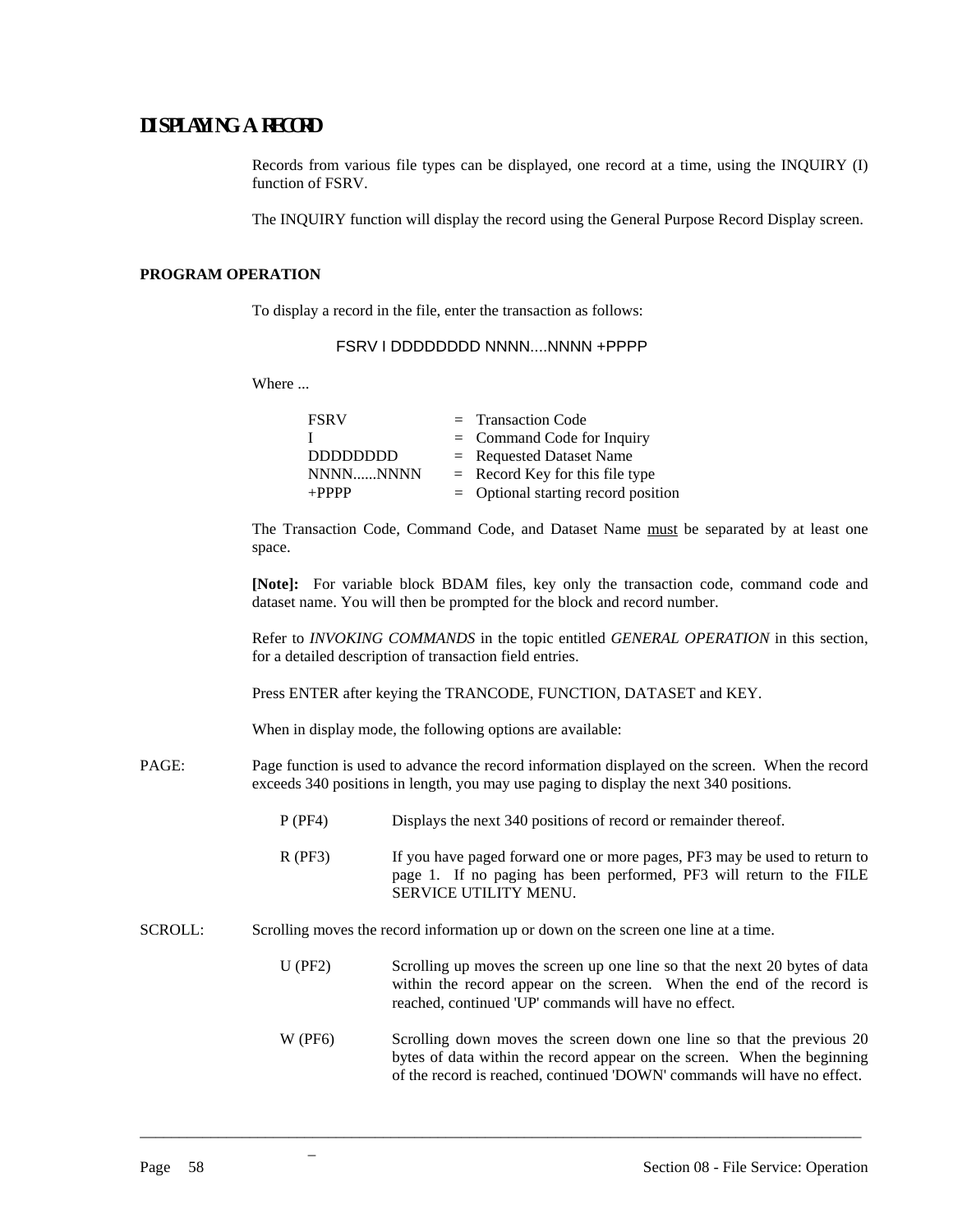# **DISPLAYING A RECORD**

Records from various file types can be displayed, one record at a time, using the INQUIRY (I) function of FSRV.

The INQUIRY function will display the record using the General Purpose Record Display screen.

### **PROGRAM OPERATION**

To display a record in the file, enter the transaction as follows:

### FSRV I DDDDDDDD NNNN....NNNN +PPPP

Where ...

| <b>FSRV</b>     | $=$ Transaction Code                  |
|-----------------|---------------------------------------|
|                 | $=$ Command Code for Inquiry          |
| <b>DDDDDDDD</b> | $=$ Requested Dataset Name            |
| NNNNNNNN        | $=$ Record Key for this file type     |
| $+$ PPPP        | $=$ Optional starting record position |

The Transaction Code, Command Code, and Dataset Name must be separated by at least one space.

**[Note]:** For variable block BDAM files, key only the transaction code, command code and dataset name. You will then be prompted for the block and record number.

Refer to *INVOKING COMMANDS* in the topic entitled *GENERAL OPERATION* in this section, for a detailed description of transaction field entries.

Press ENTER after keying the TRANCODE, FUNCTION, DATASET and KEY.

When in display mode, the following options are available:

PAGE: Page function is used to advance the record information displayed on the screen. When the record exceeds 340 positions in length, you may use paging to display the next 340 positions.

\_\_\_\_\_\_\_\_\_\_\_\_\_\_\_\_\_\_\_\_\_\_\_\_\_\_\_\_\_\_\_\_\_\_\_\_\_\_\_\_\_\_\_\_\_\_\_\_\_\_\_\_\_\_\_\_\_\_\_\_\_\_\_\_\_\_\_\_\_\_\_\_\_\_\_\_\_\_\_\_\_\_\_\_\_\_\_\_\_\_\_\_

- P (PF4) Displays the next 340 positions of record or remainder thereof.
- R (PF3) If you have paged forward one or more pages, PF3 may be used to return to page 1. If no paging has been performed, PF3 will return to the FILE SERVICE UTILITY MENU.
- SCROLL: Scrolling moves the record information up or down on the screen one line at a time.
	- U (PF2) Scrolling up moves the screen up one line so that the next 20 bytes of data within the record appear on the screen. When the end of the record is reached, continued 'UP' commands will have no effect.
	- W (PF6) Scrolling down moves the screen down one line so that the previous 20 bytes of data within the record appear on the screen. When the beginning of the record is reached, continued 'DOWN' commands will have no effect.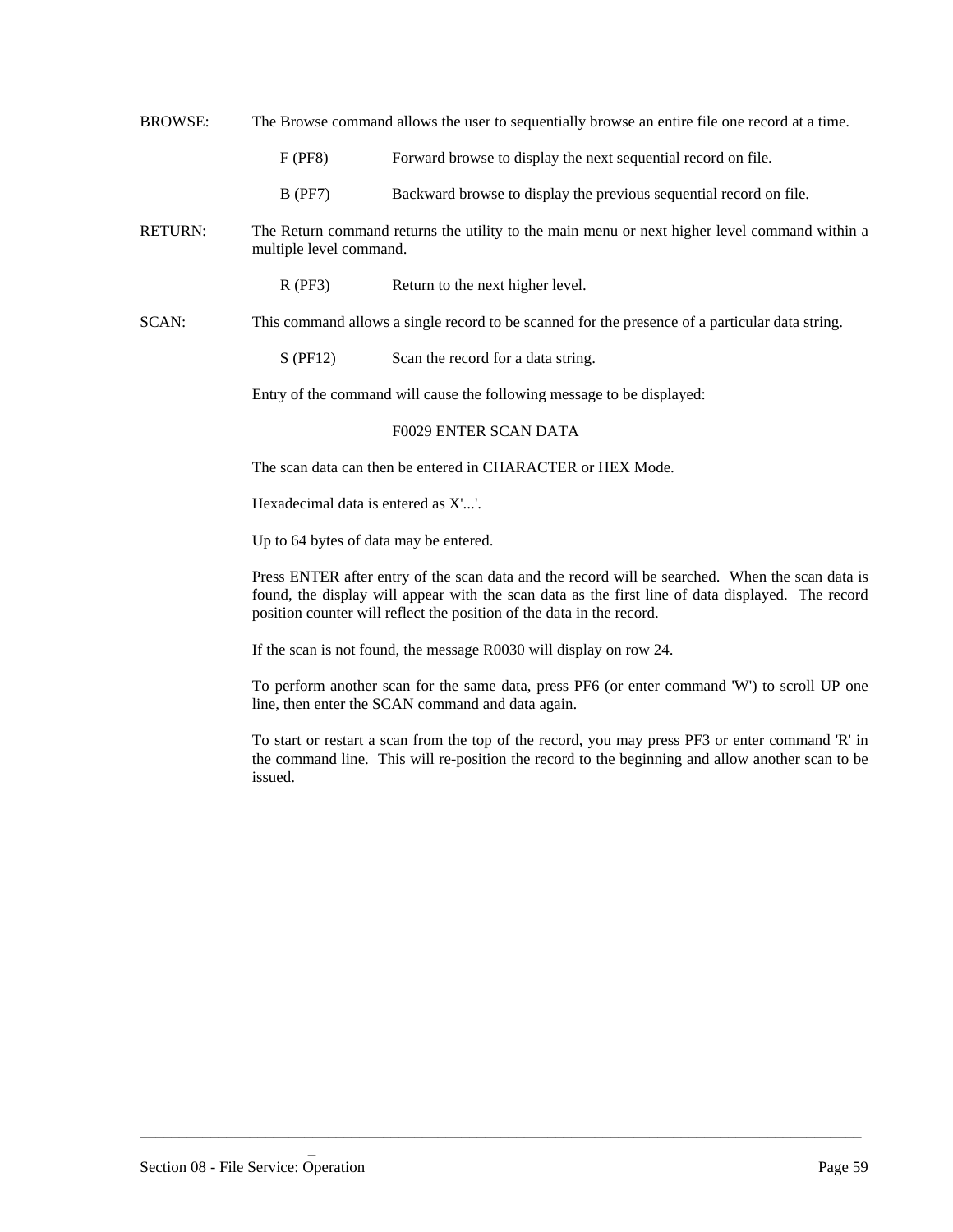- BROWSE: The Browse command allows the user to sequentially browse an entire file one record at a time.
	- F (PF8) Forward browse to display the next sequential record on file.
	- B (PF7) Backward browse to display the previous sequential record on file.
- RETURN: The Return command returns the utility to the main menu or next higher level command within a multiple level command.
	- R (PF3) Return to the next higher level.
- SCAN: This command allows a single record to be scanned for the presence of a particular data string.
	- S (PF12) Scan the record for a data string.

Entry of the command will cause the following message to be displayed:

### F0029 ENTER SCAN DATA

The scan data can then be entered in CHARACTER or HEX Mode.

Hexadecimal data is entered as X'...'.

Up to 64 bytes of data may be entered.

Press ENTER after entry of the scan data and the record will be searched. When the scan data is found, the display will appear with the scan data as the first line of data displayed. The record position counter will reflect the position of the data in the record.

If the scan is not found, the message R0030 will display on row 24.

\_\_\_\_\_\_\_\_\_\_\_\_\_\_\_\_\_\_\_\_\_\_\_\_\_\_\_\_\_\_\_\_\_\_\_\_\_\_\_\_\_\_\_\_\_\_\_\_\_\_\_\_\_\_\_\_\_\_\_\_\_\_\_\_\_\_\_\_\_\_\_\_\_\_\_\_\_\_\_\_\_\_\_\_\_\_\_\_\_\_\_\_

To perform another scan for the same data, press PF6 (or enter command 'W') to scroll UP one line, then enter the SCAN command and data again.

To start or restart a scan from the top of the record, you may press PF3 or enter command 'R' in the command line. This will re-position the record to the beginning and allow another scan to be issued.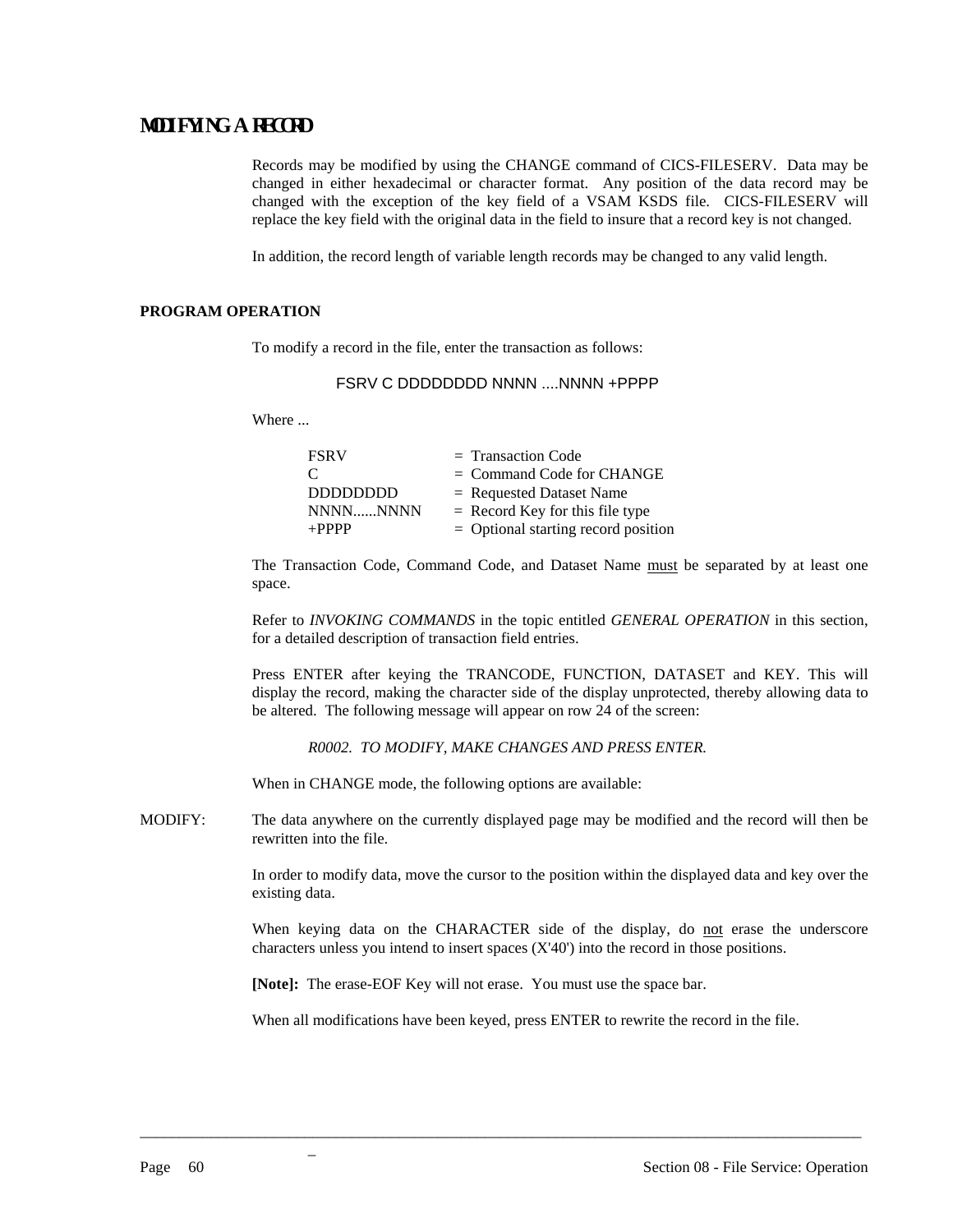# **MODIFYING A RECORD**

Records may be modified by using the CHANGE command of CICS-FILESERV. Data may be changed in either hexadecimal or character format. Any position of the data record may be changed with the exception of the key field of a VSAM KSDS file. CICS-FILESERV will replace the key field with the original data in the field to insure that a record key is not changed.

In addition, the record length of variable length records may be changed to any valid length.

## **PROGRAM OPERATION**

To modify a record in the file, enter the transaction as follows:

## FSRV C DDDDDDDD NNNN ....NNNN +PPPP

Where ...

| <b>FSRV</b>     | $=$ Transaction Code                  |
|-----------------|---------------------------------------|
| C               | $=$ Command Code for CHANGE           |
| <b>DDDDDDDD</b> | $=$ Requested Dataset Name            |
| NNNNNNNN        | $=$ Record Key for this file type     |
| $+$ PPPP        | $=$ Optional starting record position |

The Transaction Code, Command Code, and Dataset Name must be separated by at least one space.

Refer to *INVOKING COMMANDS* in the topic entitled *GENERAL OPERATION* in this section, for a detailed description of transaction field entries.

Press ENTER after keying the TRANCODE, FUNCTION, DATASET and KEY. This will display the record, making the character side of the display unprotected, thereby allowing data to be altered. The following message will appear on row 24 of the screen:

 *R0002. TO MODIFY, MAKE CHANGES AND PRESS ENTER.* 

When in CHANGE mode, the following options are available:

MODIFY: The data anywhere on the currently displayed page may be modified and the record will then be rewritten into the file.

> In order to modify data, move the cursor to the position within the displayed data and key over the existing data.

> When keying data on the CHARACTER side of the display, do not erase the underscore characters unless you intend to insert spaces  $(X'40')$  into the record in those positions.

**[Note]:** The erase-EOF Key will not erase. You must use the space bar.

When all modifications have been keyed, press ENTER to rewrite the record in the file.

\_\_\_\_\_\_\_\_\_\_\_\_\_\_\_\_\_\_\_\_\_\_\_\_\_\_\_\_\_\_\_\_\_\_\_\_\_\_\_\_\_\_\_\_\_\_\_\_\_\_\_\_\_\_\_\_\_\_\_\_\_\_\_\_\_\_\_\_\_\_\_\_\_\_\_\_\_\_\_\_\_\_\_\_\_\_\_\_\_\_\_\_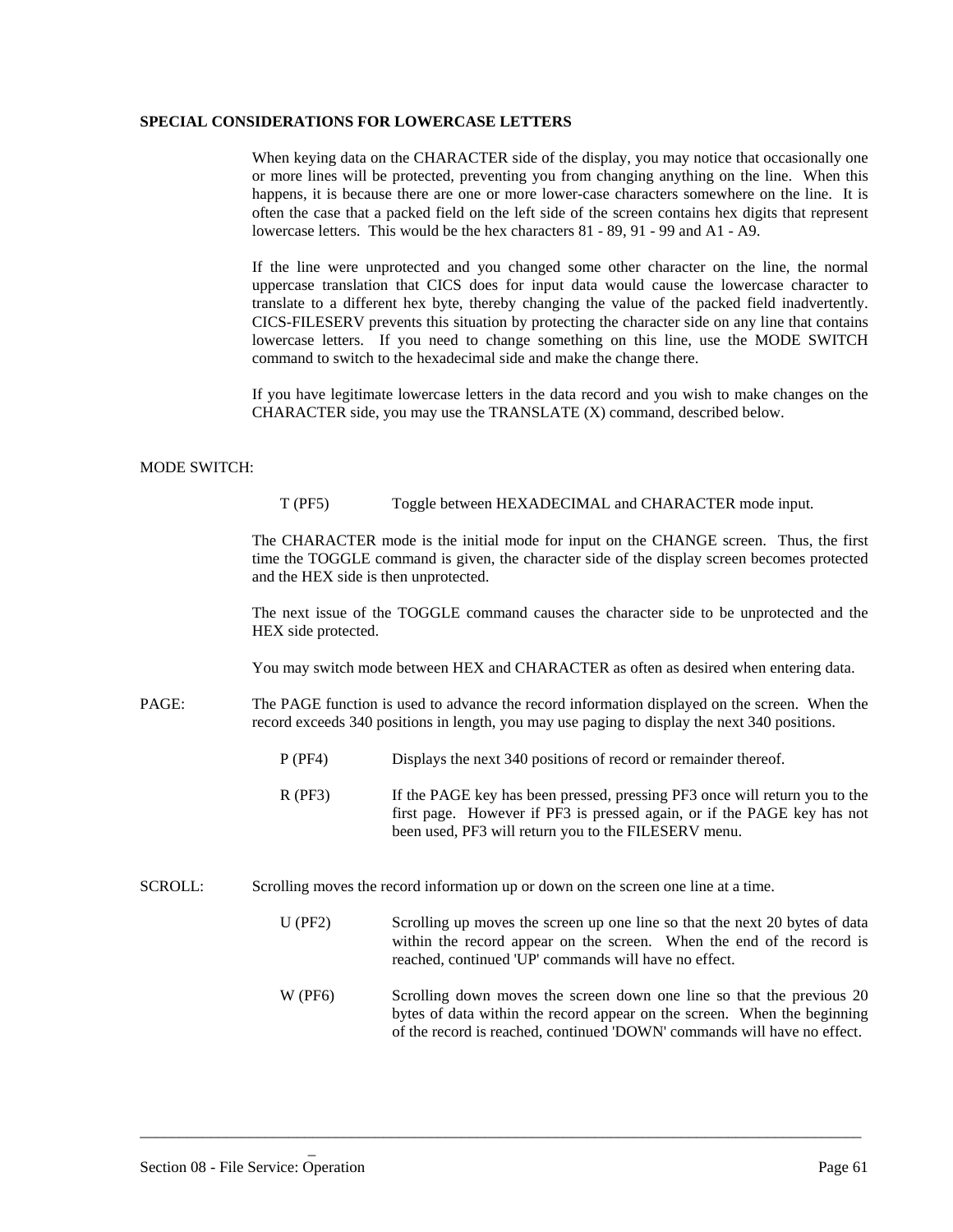#### **SPECIAL CONSIDERATIONS FOR LOWERCASE LETTERS**

When keying data on the CHARACTER side of the display, you may notice that occasionally one or more lines will be protected, preventing you from changing anything on the line. When this happens, it is because there are one or more lower-case characters somewhere on the line. It is often the case that a packed field on the left side of the screen contains hex digits that represent lowercase letters. This would be the hex characters 81 - 89, 91 - 99 and A1 - A9.

If the line were unprotected and you changed some other character on the line, the normal uppercase translation that CICS does for input data would cause the lowercase character to translate to a different hex byte, thereby changing the value of the packed field inadvertently. CICS-FILESERV prevents this situation by protecting the character side on any line that contains lowercase letters. If you need to change something on this line, use the MODE SWITCH command to switch to the hexadecimal side and make the change there.

If you have legitimate lowercase letters in the data record and you wish to make changes on the CHARACTER side, you may use the TRANSLATE (X) command, described below.

#### MODE SWITCH:

|                | T(PF5)                                | Toggle between HEXADECIMAL and CHARACTER mode input.                                                                                                                                                                          |
|----------------|---------------------------------------|-------------------------------------------------------------------------------------------------------------------------------------------------------------------------------------------------------------------------------|
|                | and the HEX side is then unprotected. | The CHARACTER mode is the initial mode for input on the CHANGE screen. Thus, the first<br>time the TOGGLE command is given, the character side of the display screen becomes protected                                        |
|                | HEX side protected.                   | The next issue of the TOGGLE command causes the character side to be unprotected and the                                                                                                                                      |
|                |                                       | You may switch mode between HEX and CHARACTER as often as desired when entering data.                                                                                                                                         |
| PAGE:          |                                       | The PAGE function is used to advance the record information displayed on the screen. When the<br>record exceeds 340 positions in length, you may use paging to display the next 340 positions.                                |
|                | P(PF4)                                | Displays the next 340 positions of record or remainder thereof.                                                                                                                                                               |
|                | $R$ (PF3)                             | If the PAGE key has been pressed, pressing PF3 once will return you to the<br>first page. However if PF3 is pressed again, or if the PAGE key has not<br>been used, PF3 will return you to the FILESERV menu.                 |
| <b>SCROLL:</b> |                                       | Scrolling moves the record information up or down on the screen one line at a time.                                                                                                                                           |
|                | $U$ (PF2)                             | Scrolling up moves the screen up one line so that the next 20 bytes of data<br>within the record appear on the screen. When the end of the record is<br>reached, continued 'UP' commands will have no effect.                 |
|                | $W$ (PF6)                             | Scrolling down moves the screen down one line so that the previous 20<br>bytes of data within the record appear on the screen. When the beginning<br>of the record is reached, continued 'DOWN' commands will have no effect. |
|                |                                       |                                                                                                                                                                                                                               |

\_\_\_\_\_\_\_\_\_\_\_\_\_\_\_\_\_\_\_\_\_\_\_\_\_\_\_\_\_\_\_\_\_\_\_\_\_\_\_\_\_\_\_\_\_\_\_\_\_\_\_\_\_\_\_\_\_\_\_\_\_\_\_\_\_\_\_\_\_\_\_\_\_\_\_\_\_\_\_\_\_\_\_\_\_\_\_\_\_\_\_\_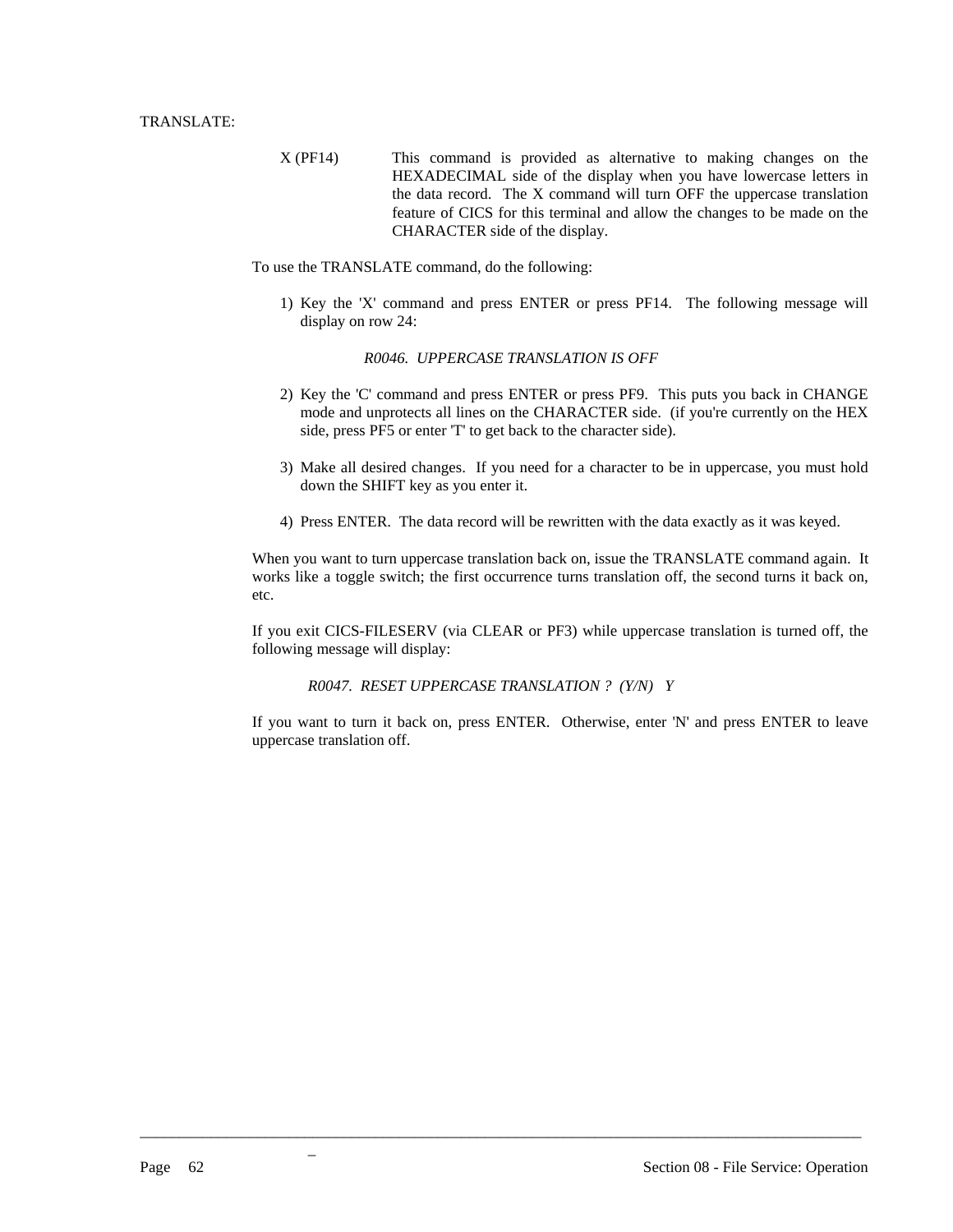X (PF14) This command is provided as alternative to making changes on the HEXADECIMAL side of the display when you have lowercase letters in the data record. The X command will turn OFF the uppercase translation feature of CICS for this terminal and allow the changes to be made on the CHARACTER side of the display.

To use the TRANSLATE command, do the following:

1) Key the 'X' command and press ENTER or press PF14. The following message will display on row 24:

 *R0046. UPPERCASE TRANSLATION IS OFF* 

- 2) Key the 'C' command and press ENTER or press PF9. This puts you back in CHANGE mode and unprotects all lines on the CHARACTER side. (if you're currently on the HEX side, press PF5 or enter 'T' to get back to the character side).
- 3) Make all desired changes. If you need for a character to be in uppercase, you must hold down the SHIFT key as you enter it.
- 4) Press ENTER. The data record will be rewritten with the data exactly as it was keyed.

When you want to turn uppercase translation back on, issue the TRANSLATE command again. It works like a toggle switch; the first occurrence turns translation off, the second turns it back on, etc.

If you exit CICS-FILESERV (via CLEAR or PF3) while uppercase translation is turned off, the following message will display:

 *R0047. RESET UPPERCASE TRANSLATION ? (Y/N) Y* 

\_\_\_\_\_\_\_\_\_\_\_\_\_\_\_\_\_\_\_\_\_\_\_\_\_\_\_\_\_\_\_\_\_\_\_\_\_\_\_\_\_\_\_\_\_\_\_\_\_\_\_\_\_\_\_\_\_\_\_\_\_\_\_\_\_\_\_\_\_\_\_\_\_\_\_\_\_\_\_\_\_\_\_\_\_\_\_\_\_\_\_\_

If you want to turn it back on, press ENTER. Otherwise, enter 'N' and press ENTER to leave uppercase translation off.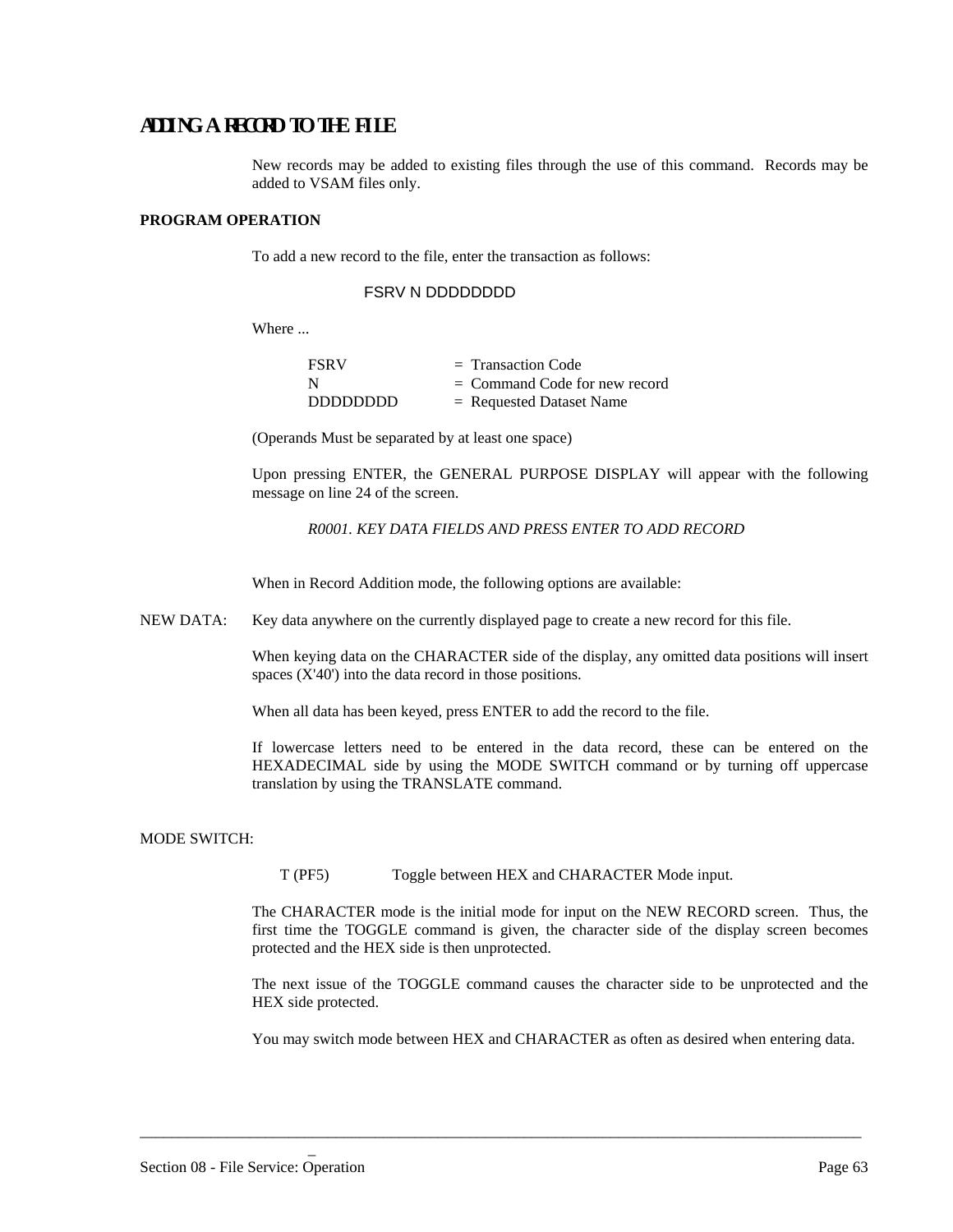# **ADDING A RECORD TO THE FILE**

New records may be added to existing files through the use of this command. Records may be added to VSAM files only.

## **PROGRAM OPERATION**

To add a new record to the file, enter the transaction as follows:

#### FSRV N DDDDDDDD

Where ...

| <b>FSRV</b>     | $=$ Transaction Code            |
|-----------------|---------------------------------|
| N               | $=$ Command Code for new record |
| <b>DODDDDDD</b> | $=$ Requested Dataset Name      |

(Operands Must be separated by at least one space)

Upon pressing ENTER, the GENERAL PURPOSE DISPLAY will appear with the following message on line 24 of the screen.

#### *R0001. KEY DATA FIELDS AND PRESS ENTER TO ADD RECORD*

When in Record Addition mode, the following options are available:

NEW DATA: Key data anywhere on the currently displayed page to create a new record for this file.

When keying data on the CHARACTER side of the display, any omitted data positions will insert spaces (X'40') into the data record in those positions.

When all data has been keyed, press ENTER to add the record to the file.

If lowercase letters need to be entered in the data record, these can be entered on the HEXADECIMAL side by using the MODE SWITCH command or by turning off uppercase translation by using the TRANSLATE command.

#### MODE SWITCH:

T (PF5) Toggle between HEX and CHARACTER Mode input.

\_\_\_\_\_\_\_\_\_\_\_\_\_\_\_\_\_\_\_\_\_\_\_\_\_\_\_\_\_\_\_\_\_\_\_\_\_\_\_\_\_\_\_\_\_\_\_\_\_\_\_\_\_\_\_\_\_\_\_\_\_\_\_\_\_\_\_\_\_\_\_\_\_\_\_\_\_\_\_\_\_\_\_\_\_\_\_\_\_\_\_\_

The CHARACTER mode is the initial mode for input on the NEW RECORD screen. Thus, the first time the TOGGLE command is given, the character side of the display screen becomes protected and the HEX side is then unprotected.

The next issue of the TOGGLE command causes the character side to be unprotected and the HEX side protected.

You may switch mode between HEX and CHARACTER as often as desired when entering data.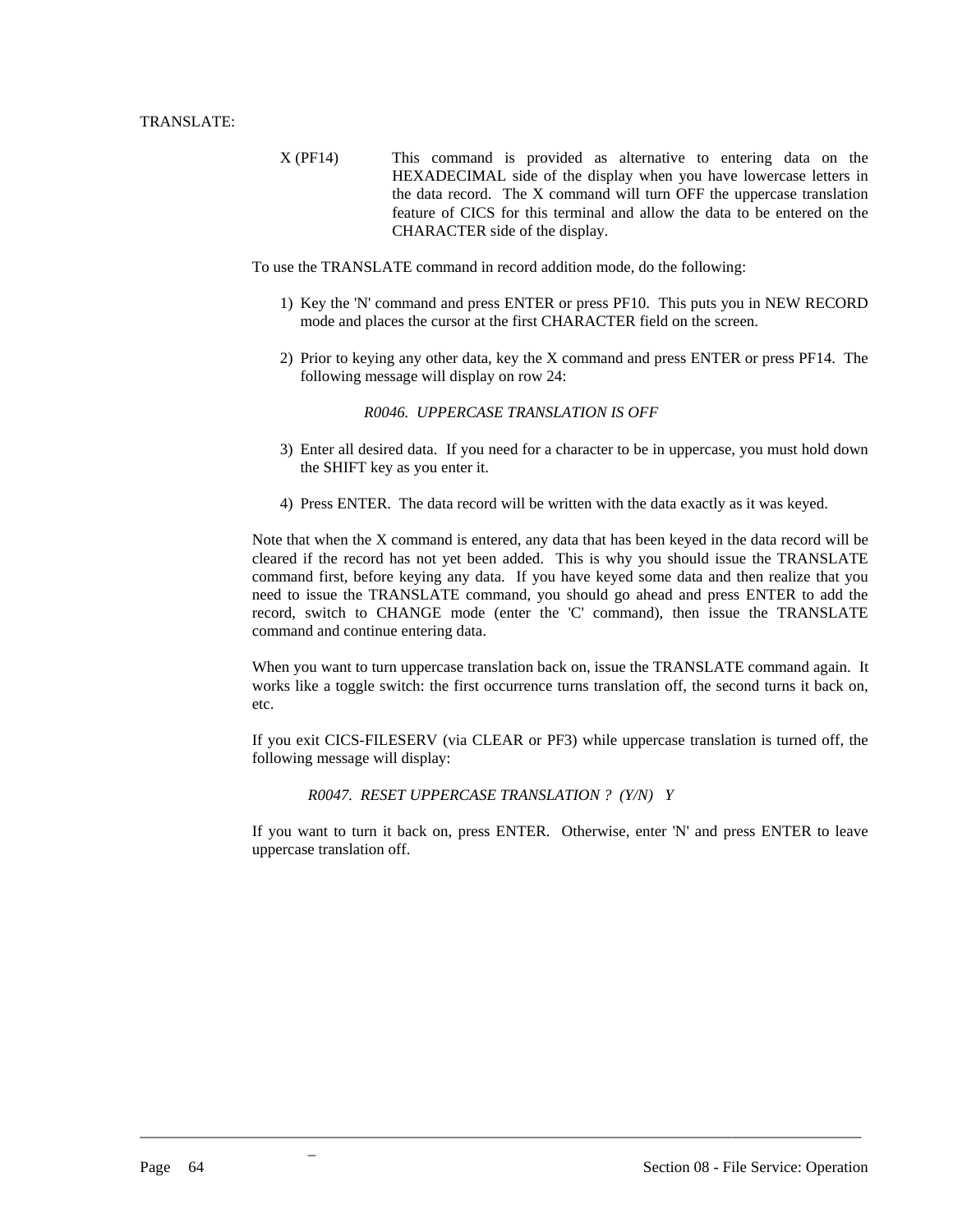X (PF14) This command is provided as alternative to entering data on the HEXADECIMAL side of the display when you have lowercase letters in the data record. The X command will turn OFF the uppercase translation feature of CICS for this terminal and allow the data to be entered on the CHARACTER side of the display.

To use the TRANSLATE command in record addition mode, do the following:

- 1) Key the 'N' command and press ENTER or press PF10. This puts you in NEW RECORD mode and places the cursor at the first CHARACTER field on the screen.
- 2) Prior to keying any other data, key the X command and press ENTER or press PF14. The following message will display on row 24:

 *R0046. UPPERCASE TRANSLATION IS OFF* 

- 3) Enter all desired data. If you need for a character to be in uppercase, you must hold down the SHIFT key as you enter it.
- 4) Press ENTER. The data record will be written with the data exactly as it was keyed.

Note that when the X command is entered, any data that has been keyed in the data record will be cleared if the record has not yet been added. This is why you should issue the TRANSLATE command first, before keying any data. If you have keyed some data and then realize that you need to issue the TRANSLATE command, you should go ahead and press ENTER to add the record, switch to CHANGE mode (enter the 'C' command), then issue the TRANSLATE command and continue entering data.

When you want to turn uppercase translation back on, issue the TRANSLATE command again. It works like a toggle switch: the first occurrence turns translation off, the second turns it back on, etc.

If you exit CICS-FILESERV (via CLEAR or PF3) while uppercase translation is turned off, the following message will display:

 *R0047. RESET UPPERCASE TRANSLATION ? (Y/N) Y* 

\_\_\_\_\_\_\_\_\_\_\_\_\_\_\_\_\_\_\_\_\_\_\_\_\_\_\_\_\_\_\_\_\_\_\_\_\_\_\_\_\_\_\_\_\_\_\_\_\_\_\_\_\_\_\_\_\_\_\_\_\_\_\_\_\_\_\_\_\_\_\_\_\_\_\_\_\_\_\_\_\_\_\_\_\_\_\_\_\_\_\_\_

If you want to turn it back on, press ENTER. Otherwise, enter 'N' and press ENTER to leave uppercase translation off.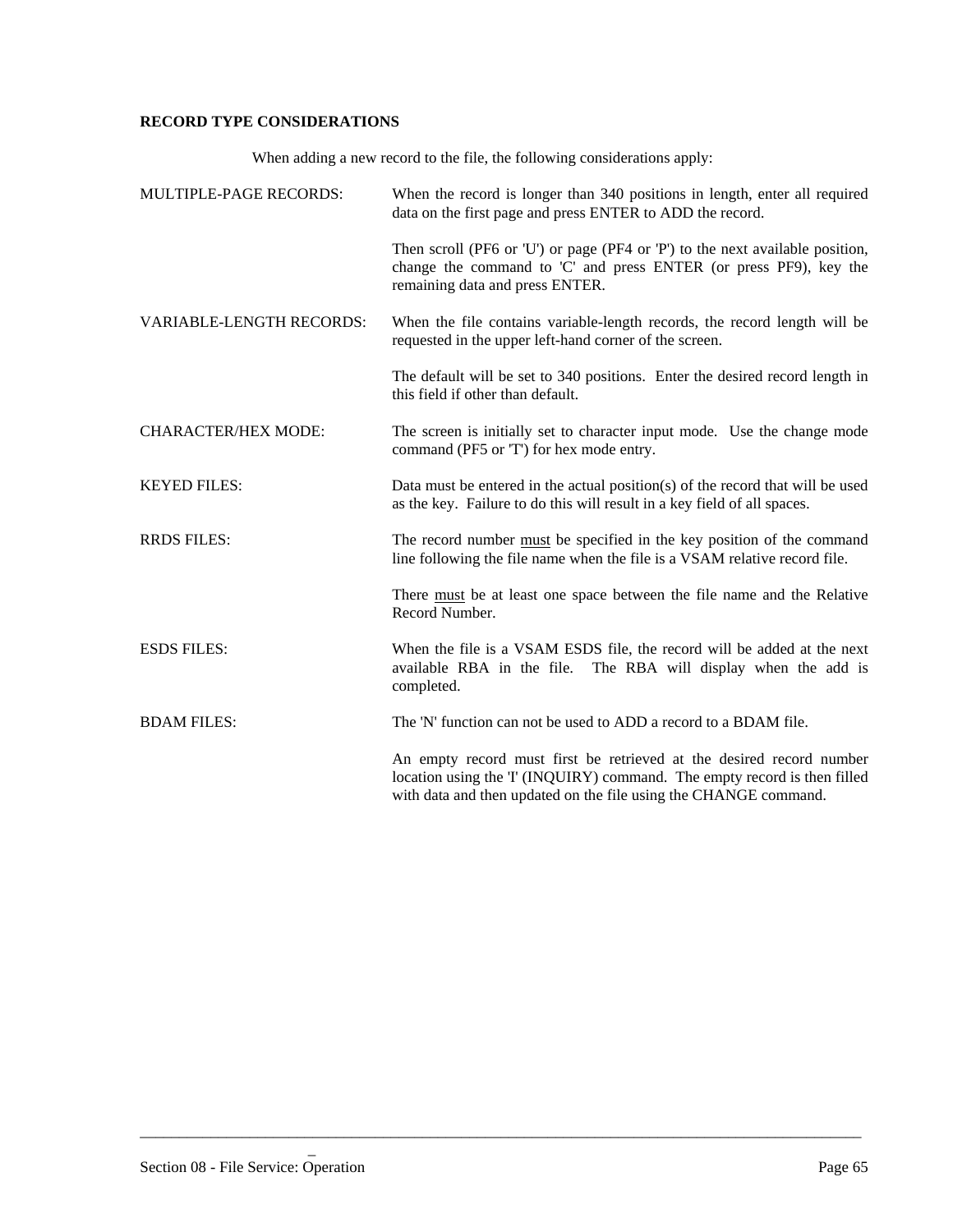## **RECORD TYPE CONSIDERATIONS**

When adding a new record to the file, the following considerations apply:

| <b>MULTIPLE-PAGE RECORDS:</b>   | When the record is longer than 340 positions in length, enter all required<br>data on the first page and press ENTER to ADD the record.                                                                             |
|---------------------------------|---------------------------------------------------------------------------------------------------------------------------------------------------------------------------------------------------------------------|
|                                 | Then scroll (PF6 or 'U') or page (PF4 or 'P') to the next available position,<br>change the command to 'C' and press ENTER (or press PF9), key the<br>remaining data and press ENTER.                               |
| <b>VARIABLE-LENGTH RECORDS:</b> | When the file contains variable-length records, the record length will be<br>requested in the upper left-hand corner of the screen.                                                                                 |
|                                 | The default will be set to 340 positions. Enter the desired record length in<br>this field if other than default.                                                                                                   |
| <b>CHARACTER/HEX MODE:</b>      | The screen is initially set to character input mode. Use the change mode<br>command (PF5 or 'T') for hex mode entry.                                                                                                |
| <b>KEYED FILES:</b>             | Data must be entered in the actual position(s) of the record that will be used<br>as the key. Failure to do this will result in a key field of all spaces.                                                          |
| <b>RRDS FILES:</b>              | The record number must be specified in the key position of the command<br>line following the file name when the file is a VSAM relative record file.                                                                |
|                                 | There must be at least one space between the file name and the Relative<br>Record Number.                                                                                                                           |
| <b>ESDS FILES:</b>              | When the file is a VSAM ESDS file, the record will be added at the next<br>available RBA in the file. The RBA will display when the add is<br>completed.                                                            |
| <b>BDAM FILES:</b>              | The 'N' function can not be used to ADD a record to a BDAM file.                                                                                                                                                    |
|                                 | An empty record must first be retrieved at the desired record number<br>location using the T (INQUIRY) command. The empty record is then filled<br>with data and then updated on the file using the CHANGE command. |

\_\_\_\_\_\_\_\_\_\_\_\_\_\_\_\_\_\_\_\_\_\_\_\_\_\_\_\_\_\_\_\_\_\_\_\_\_\_\_\_\_\_\_\_\_\_\_\_\_\_\_\_\_\_\_\_\_\_\_\_\_\_\_\_\_\_\_\_\_\_\_\_\_\_\_\_\_\_\_\_\_\_\_\_\_\_\_\_\_\_\_\_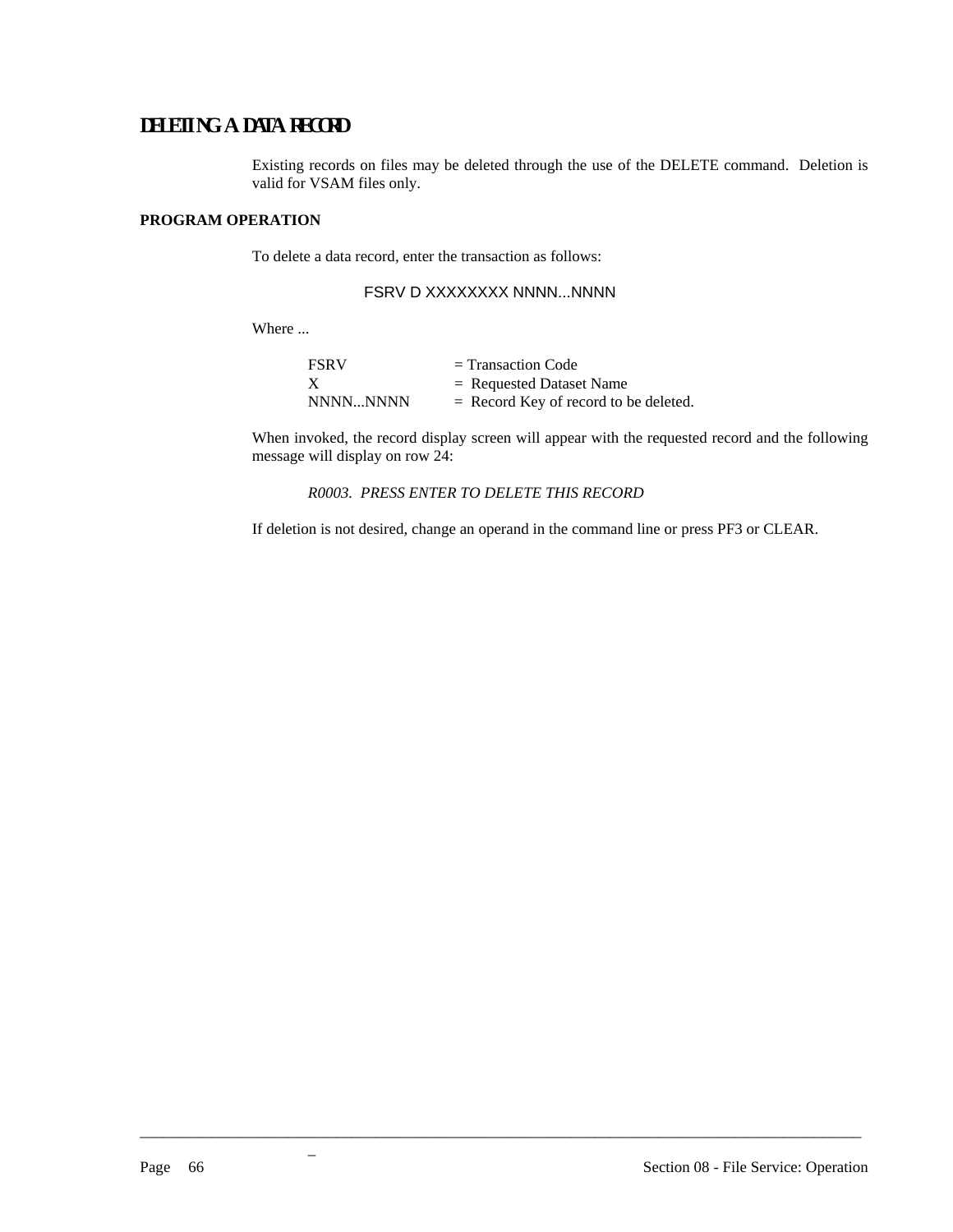# **DELETING A DATA RECORD**

Existing records on files may be deleted through the use of the DELETE command. Deletion is valid for VSAM files only.

## **PROGRAM OPERATION**

To delete a data record, enter the transaction as follows:

## FSRV D XXXXXXXX NNNN...NNNN

Where ...

| <b>FSRV</b> | $=$ Transaction Code                    |
|-------------|-----------------------------------------|
| X           | $=$ Requested Dataset Name              |
| NNNNNNNN    | $=$ Record Key of record to be deleted. |

\_\_\_\_\_\_\_\_\_\_\_\_\_\_\_\_\_\_\_\_\_\_\_\_\_\_\_\_\_\_\_\_\_\_\_\_\_\_\_\_\_\_\_\_\_\_\_\_\_\_\_\_\_\_\_\_\_\_\_\_\_\_\_\_\_\_\_\_\_\_\_\_\_\_\_\_\_\_\_\_\_\_\_\_\_\_\_\_\_\_\_\_

When invoked, the record display screen will appear with the requested record and the following message will display on row 24:

## *R0003. PRESS ENTER TO DELETE THIS RECORD*

If deletion is not desired, change an operand in the command line or press PF3 or CLEAR.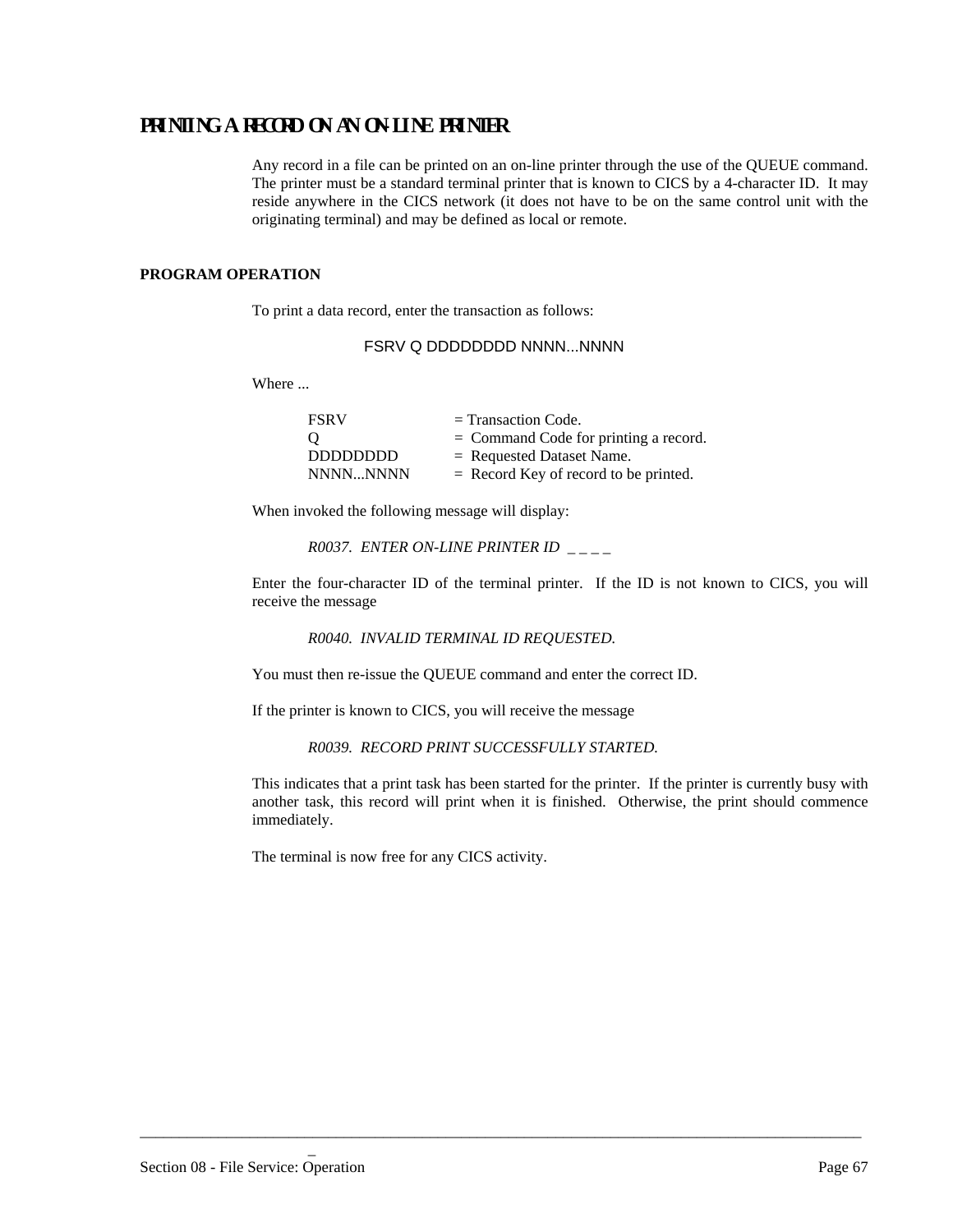# **PRINTING A RECORD ON AN ON-LINE PRINTER**

Any record in a file can be printed on an on-line printer through the use of the QUEUE command. The printer must be a standard terminal printer that is known to CICS by a 4-character ID. It may reside anywhere in the CICS network (it does not have to be on the same control unit with the originating terminal) and may be defined as local or remote.

## **PROGRAM OPERATION**

To print a data record, enter the transaction as follows:

## FSRV Q DDDDDDDD NNNN...NNNN

Where ...

| <b>FSRV</b>      | $=$ Transaction Code.                   |
|------------------|-----------------------------------------|
| -0               | $=$ Command Code for printing a record. |
| <b>DDDDDDDDD</b> | $=$ Requested Dataset Name.             |
| NNNNNNNN         | $=$ Record Key of record to be printed. |

When invoked the following message will display:

 *R0037. ENTER ON-LINE PRINTER ID \_ \_ \_ \_* 

Enter the four-character ID of the terminal printer. If the ID is not known to CICS, you will receive the message

 *R0040. INVALID TERMINAL ID REQUESTED.* 

You must then re-issue the QUEUE command and enter the correct ID.

If the printer is known to CICS, you will receive the message

 *R0039. RECORD PRINT SUCCESSFULLY STARTED.* 

\_\_\_\_\_\_\_\_\_\_\_\_\_\_\_\_\_\_\_\_\_\_\_\_\_\_\_\_\_\_\_\_\_\_\_\_\_\_\_\_\_\_\_\_\_\_\_\_\_\_\_\_\_\_\_\_\_\_\_\_\_\_\_\_\_\_\_\_\_\_\_\_\_\_\_\_\_\_\_\_\_\_\_\_\_\_\_\_\_\_\_\_

This indicates that a print task has been started for the printer. If the printer is currently busy with another task, this record will print when it is finished. Otherwise, the print should commence immediately.

The terminal is now free for any CICS activity.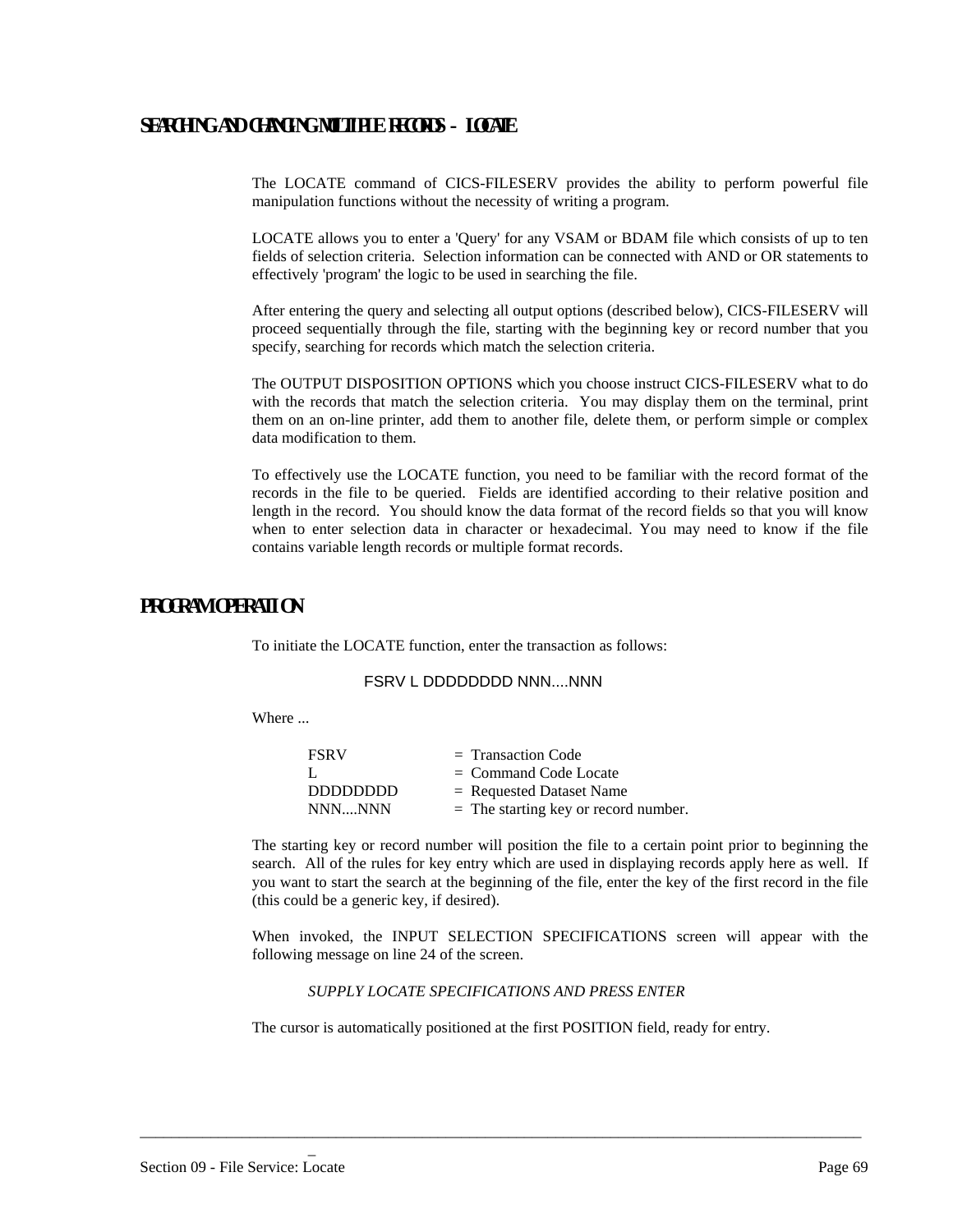# **SEARCHING AND CHING NULTIPLE RECORDS - LOCATE**

The LOCATE command of CICS-FILESERV provides the ability to perform powerful file manipulation functions without the necessity of writing a program.

LOCATE allows you to enter a 'Query' for any VSAM or BDAM file which consists of up to ten fields of selection criteria. Selection information can be connected with AND or OR statements to effectively 'program' the logic to be used in searching the file.

After entering the query and selecting all output options (described below), CICS-FILESERV will proceed sequentially through the file, starting with the beginning key or record number that you specify, searching for records which match the selection criteria.

The OUTPUT DISPOSITION OPTIONS which you choose instruct CICS-FILESERV what to do with the records that match the selection criteria. You may display them on the terminal, print them on an on-line printer, add them to another file, delete them, or perform simple or complex data modification to them.

To effectively use the LOCATE function, you need to be familiar with the record format of the records in the file to be queried. Fields are identified according to their relative position and length in the record. You should know the data format of the record fields so that you will know when to enter selection data in character or hexadecimal. You may need to know if the file contains variable length records or multiple format records.

## **PROGRAM OPERATION**

To initiate the LOCATE function, enter the transaction as follows:

## FSRV L DDDDDDDD NNN....NNN

Where ...

| <b>FSRV</b>     | $=$ Transaction Code                   |
|-----------------|----------------------------------------|
| Ι.              | $=$ Command Code Locate                |
| <b>DDDDDDDD</b> | $=$ Requested Dataset Name             |
| NNNNNN          | $=$ The starting key or record number. |

The starting key or record number will position the file to a certain point prior to beginning the search. All of the rules for key entry which are used in displaying records apply here as well. If you want to start the search at the beginning of the file, enter the key of the first record in the file (this could be a generic key, if desired).

When invoked, the INPUT SELECTION SPECIFICATIONS screen will appear with the following message on line 24 of the screen.

 *SUPPLY LOCATE SPECIFICATIONS AND PRESS ENTER* 

The cursor is automatically positioned at the first POSITION field, ready for entry.

\_\_\_\_\_\_\_\_\_\_\_\_\_\_\_\_\_\_\_\_\_\_\_\_\_\_\_\_\_\_\_\_\_\_\_\_\_\_\_\_\_\_\_\_\_\_\_\_\_\_\_\_\_\_\_\_\_\_\_\_\_\_\_\_\_\_\_\_\_\_\_\_\_\_\_\_\_\_\_\_\_\_\_\_\_\_\_\_\_\_\_\_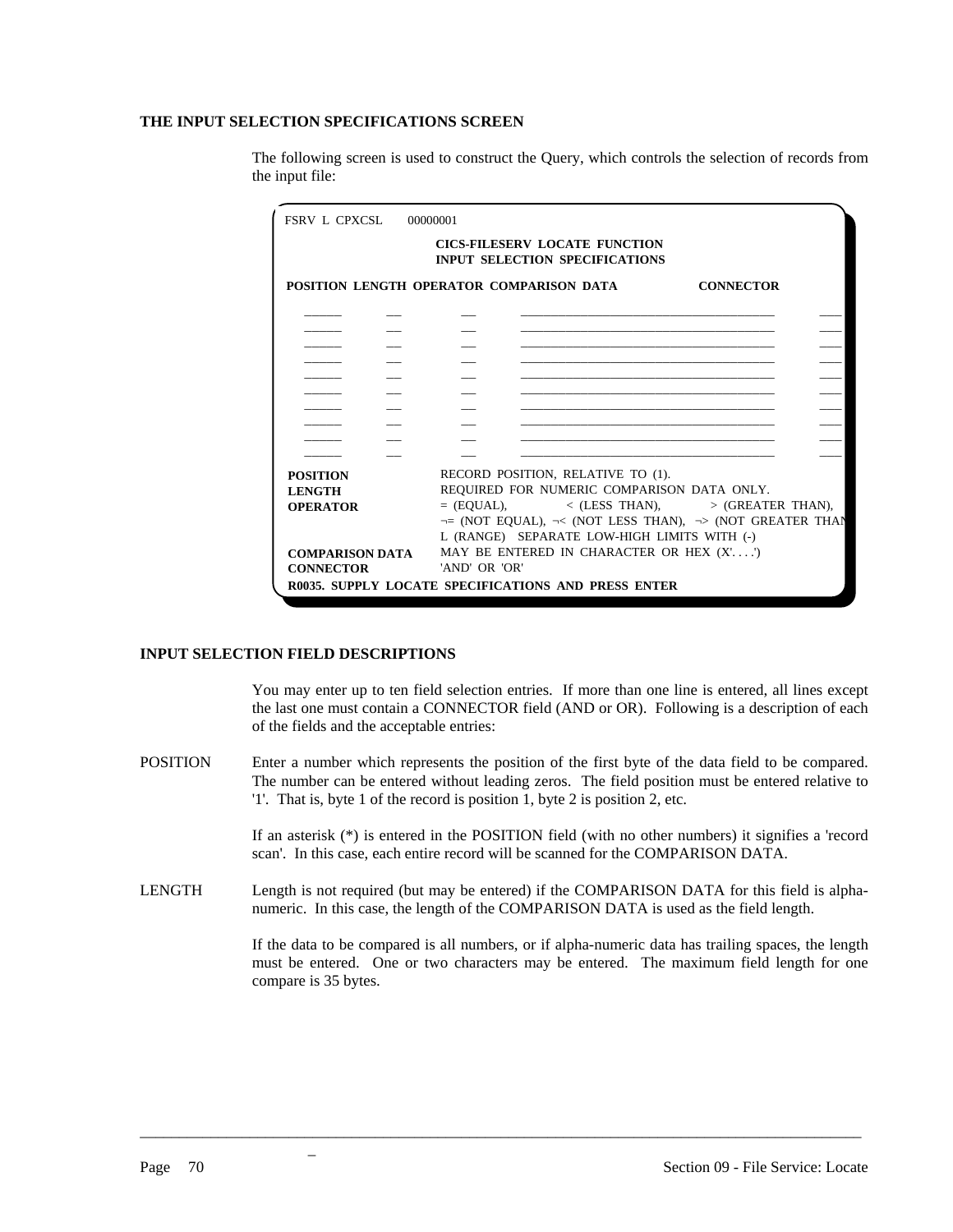## **THE INPUT SELECTION SPECIFICATIONS SCREEN**

The following screen is used to construct the Query, which controls the selection of records from the input file:

| <b>FSRV L CPXCSL</b> 00000001                       |               |                                                                                                                                                                                   |
|-----------------------------------------------------|---------------|-----------------------------------------------------------------------------------------------------------------------------------------------------------------------------------|
|                                                     |               | <b>CICS-FILESERV LOCATE FUNCTION</b><br><b>INPUT SELECTION SPECIFICATIONS</b>                                                                                                     |
| POSITION LENGTH OPERATOR COMPARISON DATA            |               | <b>CONNECTOR</b>                                                                                                                                                                  |
|                                                     |               |                                                                                                                                                                                   |
|                                                     |               |                                                                                                                                                                                   |
|                                                     |               |                                                                                                                                                                                   |
|                                                     |               |                                                                                                                                                                                   |
|                                                     |               |                                                                                                                                                                                   |
|                                                     |               |                                                                                                                                                                                   |
|                                                     |               |                                                                                                                                                                                   |
|                                                     |               |                                                                                                                                                                                   |
|                                                     |               |                                                                                                                                                                                   |
| <b>POSITION</b><br><b>LENGTH</b><br><b>OPERATOR</b> |               | RECORD POSITION, RELATIVE TO (1).<br>REQUIRED FOR NUMERIC COMPARISON DATA ONLY.<br>$= (EOUAL),$ $\langle (LESS) THAN),$ $> (GREATER) THAN),$                                      |
| <b>COMPARISON DATA</b><br><b>CONNECTOR</b>          | 'AND' OR 'OR' | $\equiv$ (NOT EQUAL), $\sim$ (NOT LESS THAN), $\Rightarrow$ (NOT GREATER THAN<br>L (RANGE) SEPARATE LOW-HIGH LIMITS WITH (-)<br>MAY BE ENTERED IN CHARACTER OR HEX $(X', \ldots)$ |
|                                                     |               | R0035. SUPPLY LOCATE SPECIFICATIONS AND PRESS ENTER                                                                                                                               |

## **INPUT SELECTION FIELD DESCRIPTIONS**

You may enter up to ten field selection entries. If more than one line is entered, all lines except the last one must contain a CONNECTOR field (AND or OR). Following is a description of each of the fields and the acceptable entries:

POSITION Enter a number which represents the position of the first byte of the data field to be compared. The number can be entered without leading zeros. The field position must be entered relative to '1'. That is, byte 1 of the record is position 1, byte 2 is position 2, etc.

> If an asterisk (\*) is entered in the POSITION field (with no other numbers) it signifies a 'record scan'. In this case, each entire record will be scanned for the COMPARISON DATA.

LENGTH Length is not required (but may be entered) if the COMPARISON DATA for this field is alphanumeric. In this case, the length of the COMPARISON DATA is used as the field length.

\_\_\_\_\_\_\_\_\_\_\_\_\_\_\_\_\_\_\_\_\_\_\_\_\_\_\_\_\_\_\_\_\_\_\_\_\_\_\_\_\_\_\_\_\_\_\_\_\_\_\_\_\_\_\_\_\_\_\_\_\_\_\_\_\_\_\_\_\_\_\_\_\_\_\_\_\_\_\_\_\_\_\_\_\_\_\_\_\_\_\_\_

If the data to be compared is all numbers, or if alpha-numeric data has trailing spaces, the length must be entered. One or two characters may be entered. The maximum field length for one compare is 35 bytes.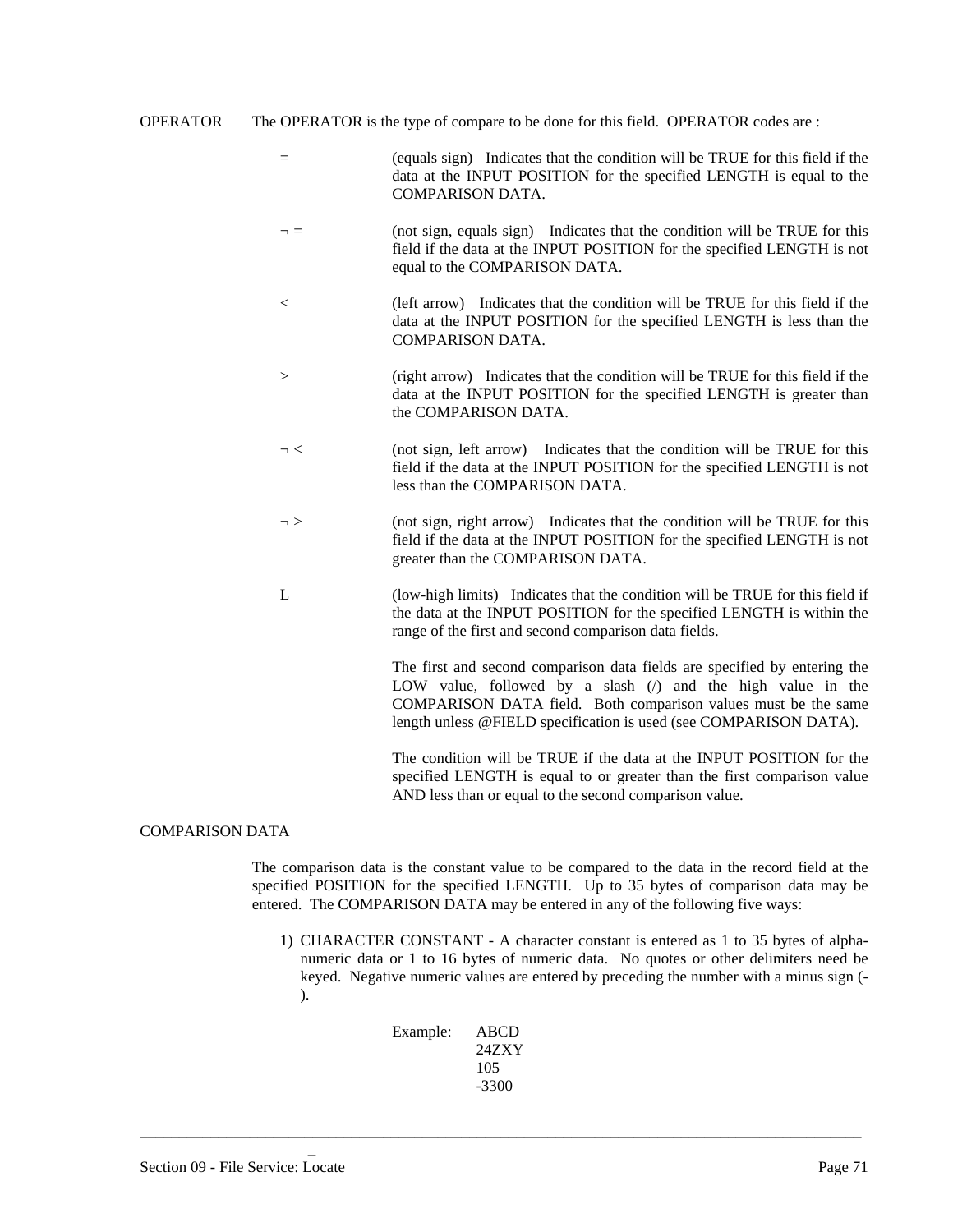#### OPERATOR The OPERATOR is the type of compare to be done for this field. OPERATOR codes are :

- = (equals sign) Indicates that the condition will be TRUE for this field if the data at the INPUT POSITION for the specified LENGTH is equal to the COMPARISON DATA.
- $\neg$  = (not sign, equals sign) Indicates that the condition will be TRUE for this field if the data at the INPUT POSITION for the specified LENGTH is not equal to the COMPARISON DATA.
- < (left arrow) Indicates that the condition will be TRUE for this field if the data at the INPUT POSITION for the specified LENGTH is less than the COMPARISON DATA.
- > (right arrow) Indicates that the condition will be TRUE for this field if the data at the INPUT POSITION for the specified LENGTH is greater than the COMPARISON DATA.
- $\neg$  (not sign, left arrow) Indicates that the condition will be TRUE for this field if the data at the INPUT POSITION for the specified LENGTH is not less than the COMPARISON DATA.
- $\rightarrow$  (not sign, right arrow) Indicates that the condition will be TRUE for this field if the data at the INPUT POSITION for the specified LENGTH is not greater than the COMPARISON DATA.
- L (low-high limits) Indicates that the condition will be TRUE for this field if the data at the INPUT POSITION for the specified LENGTH is within the range of the first and second comparison data fields.

 The first and second comparison data fields are specified by entering the LOW value, followed by a slash  $($ ) and the high value in the COMPARISON DATA field. Both comparison values must be the same length unless @FIELD specification is used (see COMPARISON DATA).

 The condition will be TRUE if the data at the INPUT POSITION for the specified LENGTH is equal to or greater than the first comparison value AND less than or equal to the second comparison value.

## COMPARISON DATA

The comparison data is the constant value to be compared to the data in the record field at the specified POSITION for the specified LENGTH. Up to 35 bytes of comparison data may be entered. The COMPARISON DATA may be entered in any of the following five ways:

1) CHARACTER CONSTANT - A character constant is entered as 1 to 35 bytes of alphanumeric data or 1 to 16 bytes of numeric data. No quotes or other delimiters need be keyed. Negative numeric values are entered by preceding the number with a minus sign (- ).

| Example: | ABCD    |
|----------|---------|
|          | 247.XY  |
|          | 105     |
|          | $-3300$ |

\_\_\_\_\_\_\_\_\_\_\_\_\_\_\_\_\_\_\_\_\_\_\_\_\_\_\_\_\_\_\_\_\_\_\_\_\_\_\_\_\_\_\_\_\_\_\_\_\_\_\_\_\_\_\_\_\_\_\_\_\_\_\_\_\_\_\_\_\_\_\_\_\_\_\_\_\_\_\_\_\_\_\_\_\_\_\_\_\_\_\_\_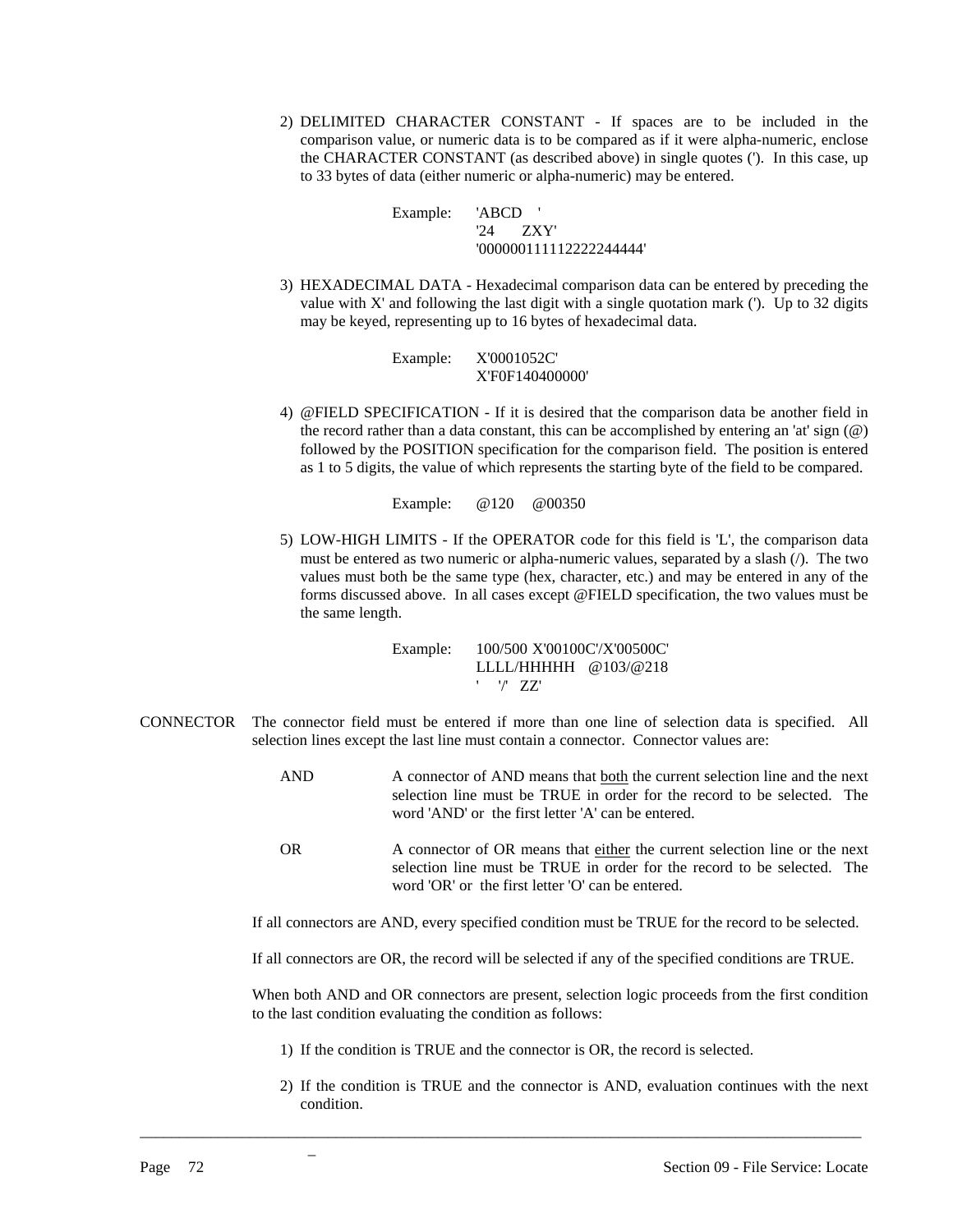2) DELIMITED CHARACTER CONSTANT - If spaces are to be included in the comparison value, or numeric data is to be compared as if it were alpha-numeric, enclose the CHARACTER CONSTANT (as described above) in single quotes ('). In this case, up to 33 bytes of data (either numeric or alpha-numeric) may be entered.

> Example: 'ABCD ' '24 ZXY' '000000111112222244444'

3) HEXADECIMAL DATA - Hexadecimal comparison data can be entered by preceding the value with X' and following the last digit with a single quotation mark ('). Up to 32 digits may be keyed, representing up to 16 bytes of hexadecimal data.

> Example: X'0001052C' X'F0F140400000'

4) @FIELD SPECIFICATION - If it is desired that the comparison data be another field in the record rather than a data constant, this can be accomplished by entering an 'at' sign  $(\mathcal{Q})$ followed by the POSITION specification for the comparison field. The position is entered as 1 to 5 digits, the value of which represents the starting byte of the field to be compared.

Example: @120 @00350

5) LOW-HIGH LIMITS - If the OPERATOR code for this field is 'L', the comparison data must be entered as two numeric or alpha-numeric values, separated by a slash (/). The two values must both be the same type (hex, character, etc.) and may be entered in any of the forms discussed above. In all cases except @FIELD specification, the two values must be the same length.

> Example: 100/500 X'00100C'/X'00500C' LLLL/HHHHH @103/@218 ' '/' ZZ'

CONNECTOR The connector field must be entered if more than one line of selection data is specified. All selection lines except the last line must contain a connector. Connector values are:

> AND A connector of AND means that both the current selection line and the next selection line must be TRUE in order for the record to be selected. The word 'AND' or the first letter 'A' can be entered.

> OR A connector of OR means that either the current selection line or the next selection line must be TRUE in order for the record to be selected. The word 'OR' or the first letter 'O' can be entered.

If all connectors are AND, every specified condition must be TRUE for the record to be selected.

If all connectors are OR, the record will be selected if any of the specified conditions are TRUE.

 When both AND and OR connectors are present, selection logic proceeds from the first condition to the last condition evaluating the condition as follows:

1) If the condition is TRUE and the connector is OR, the record is selected.

\_\_\_\_\_\_\_\_\_\_\_\_\_\_\_\_\_\_\_\_\_\_\_\_\_\_\_\_\_\_\_\_\_\_\_\_\_\_\_\_\_\_\_\_\_\_\_\_\_\_\_\_\_\_\_\_\_\_\_\_\_\_\_\_\_\_\_\_\_\_\_\_\_\_\_\_\_\_\_\_\_\_\_\_\_\_\_\_\_\_\_\_

2) If the condition is TRUE and the connector is AND, evaluation continues with the next condition.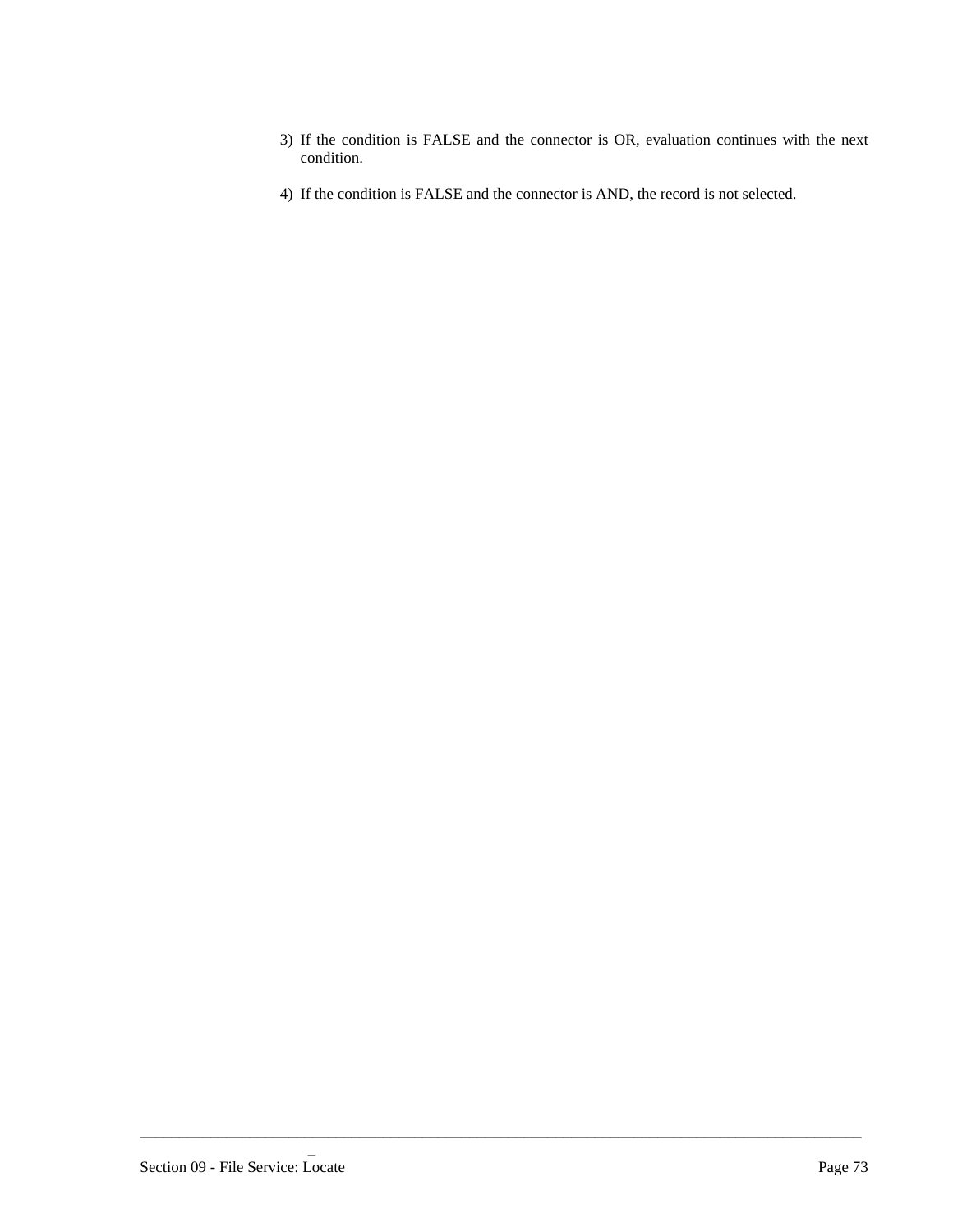- 3) If the condition is FALSE and the connector is OR, evaluation continues with the next condition.
- 4) If the condition is FALSE and the connector is AND, the record is not selected.

\_\_\_\_\_\_\_\_\_\_\_\_\_\_\_\_\_\_\_\_\_\_\_\_\_\_\_\_\_\_\_\_\_\_\_\_\_\_\_\_\_\_\_\_\_\_\_\_\_\_\_\_\_\_\_\_\_\_\_\_\_\_\_\_\_\_\_\_\_\_\_\_\_\_\_\_\_\_\_\_\_\_\_\_\_\_\_\_\_\_\_\_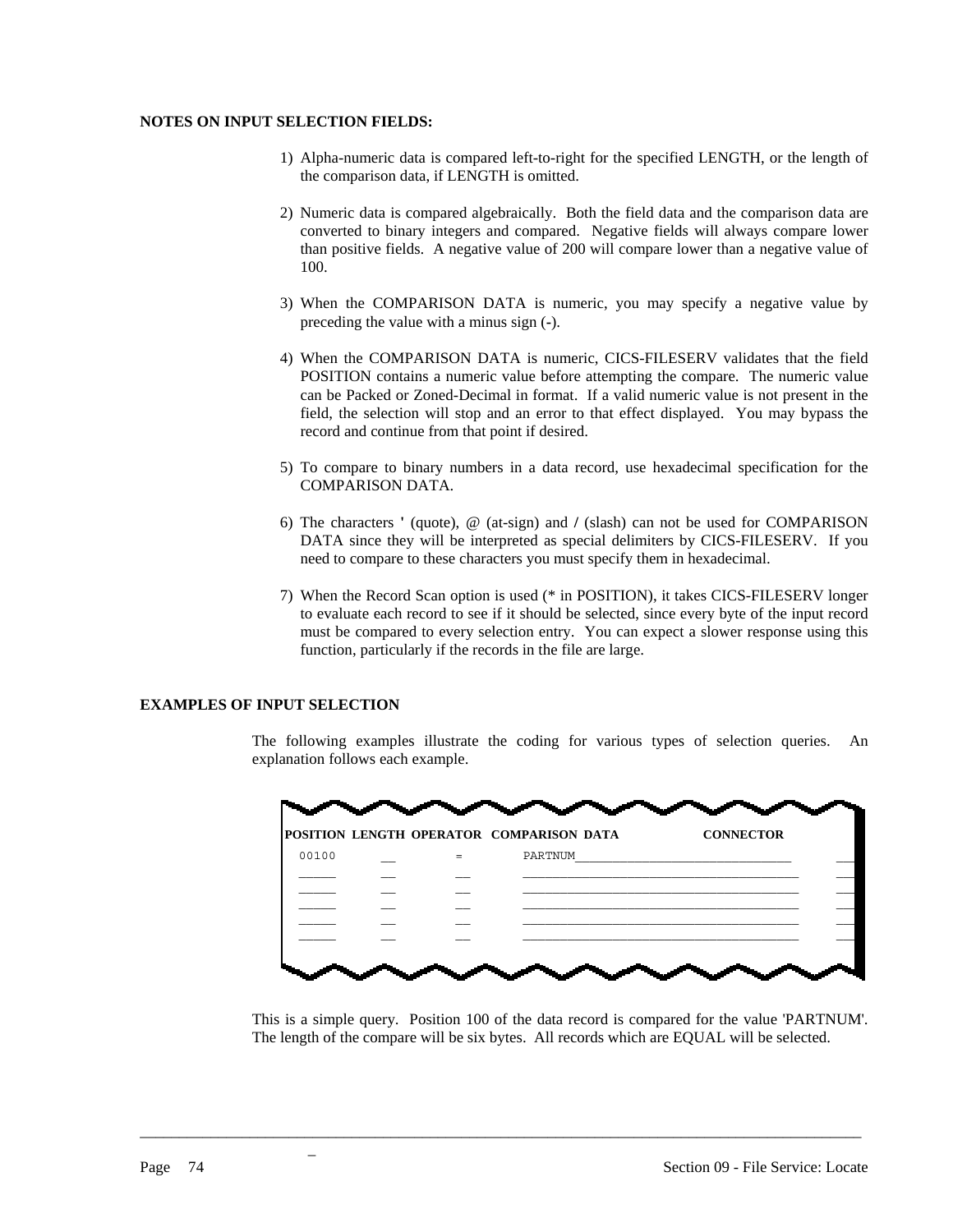## **NOTES ON INPUT SELECTION FIELDS:**

- 1) Alpha-numeric data is compared left-to-right for the specified LENGTH, or the length of the comparison data, if LENGTH is omitted.
- 2) Numeric data is compared algebraically. Both the field data and the comparison data are converted to binary integers and compared. Negative fields will always compare lower than positive fields. A negative value of 200 will compare lower than a negative value of 100.
- 3) When the COMPARISON DATA is numeric, you may specify a negative value by preceding the value with a minus sign (**-**).
- 4) When the COMPARISON DATA is numeric, CICS-FILESERV validates that the field POSITION contains a numeric value before attempting the compare. The numeric value can be Packed or Zoned-Decimal in format. If a valid numeric value is not present in the field, the selection will stop and an error to that effect displayed. You may bypass the record and continue from that point if desired.
- 5) To compare to binary numbers in a data record, use hexadecimal specification for the COMPARISON DATA.
- 6) The characters **'** (quote), @ (at-sign) and **/** (slash) can not be used for COMPARISON DATA since they will be interpreted as special delimiters by CICS-FILESERV. If you need to compare to these characters you must specify them in hexadecimal.
- 7) When the Record Scan option is used (\* in POSITION), it takes CICS-FILESERV longer to evaluate each record to see if it should be selected, since every byte of the input record must be compared to every selection entry. You can expect a slower response using this function, particularly if the records in the file are large.

## **EXAMPLES OF INPUT SELECTION**

 $\overline{a}$ 

The following examples illustrate the coding for various types of selection queries. An explanation follows each example.



This is a simple query. Position 100 of the data record is compared for the value 'PARTNUM'. The length of the compare will be six bytes. All records which are EQUAL will be selected.

\_\_\_\_\_\_\_\_\_\_\_\_\_\_\_\_\_\_\_\_\_\_\_\_\_\_\_\_\_\_\_\_\_\_\_\_\_\_\_\_\_\_\_\_\_\_\_\_\_\_\_\_\_\_\_\_\_\_\_\_\_\_\_\_\_\_\_\_\_\_\_\_\_\_\_\_\_\_\_\_\_\_\_\_\_\_\_\_\_\_\_\_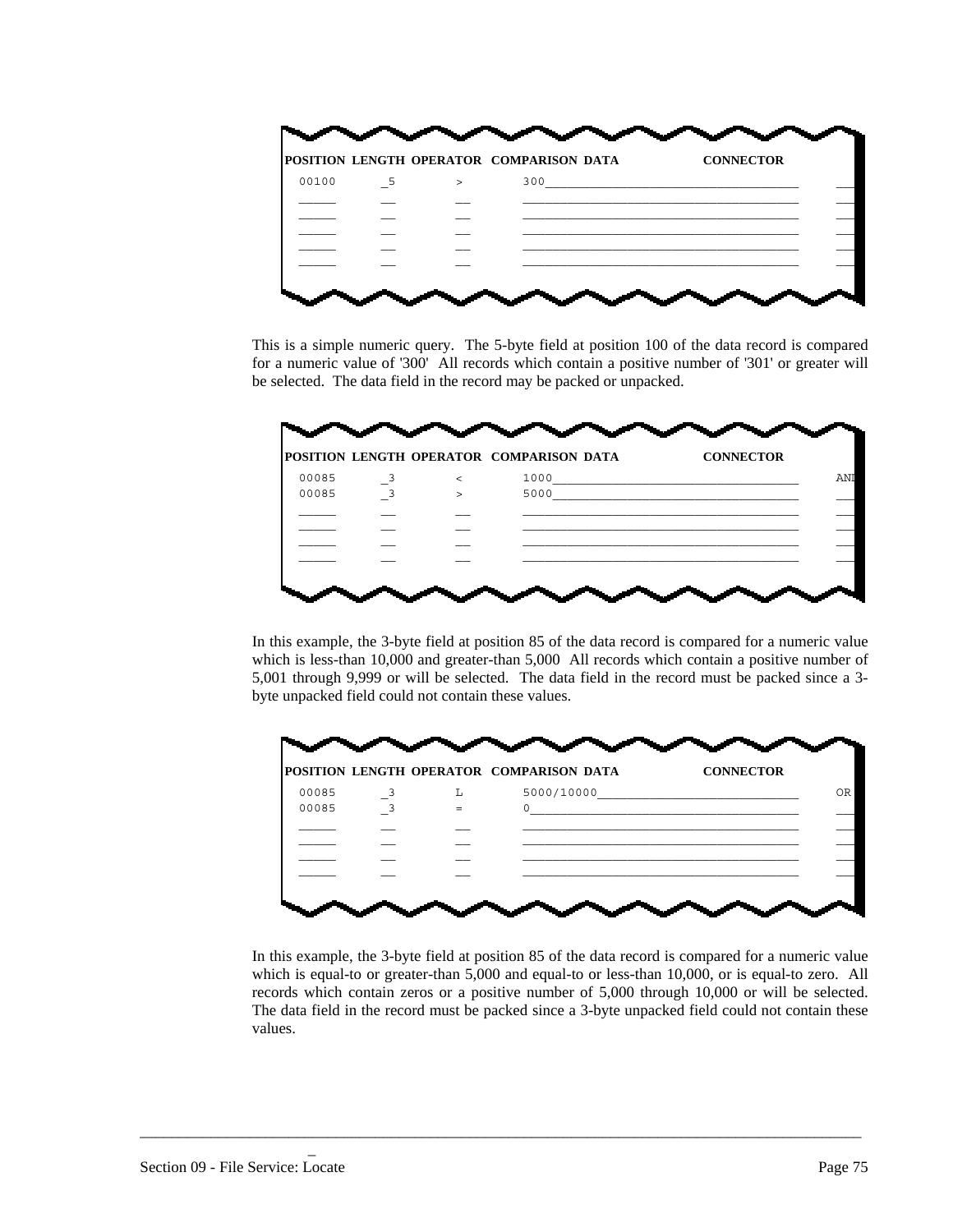|       |   |        | POSITION LENGTH OPERATOR COMPARISON DATA | <b>CONNECTOR</b> |
|-------|---|--------|------------------------------------------|------------------|
| 00100 | 5 | $\geq$ | 300                                      |                  |
|       |   |        |                                          |                  |
|       |   |        |                                          |                  |
|       |   |        |                                          |                  |
|       |   |        |                                          |                  |

This is a simple numeric query. The 5-byte field at position 100 of the data record is compared for a numeric value of '300' All records which contain a positive number of '301' or greater will be selected. The data field in the record may be packed or unpacked.

|       |        | POSITION LENGTH OPERATOR COMPARISON DATA | <b>CONNECTOR</b> |
|-------|--------|------------------------------------------|------------------|
| 00085 | $\,<$  | 1000                                     |                  |
| 00085 | $\geq$ | 5000                                     |                  |
|       |        |                                          |                  |
|       |        |                                          |                  |
|       |        |                                          |                  |
|       |        |                                          |                  |

In this example, the 3-byte field at position 85 of the data record is compared for a numeric value which is less-than 10,000 and greater-than 5,000 All records which contain a positive number of 5,001 through 9,999 or will be selected. The data field in the record must be packed since a 3 byte unpacked field could not contain these values.

| <b>CONNECTOR</b> | POSITION LENGTH OPERATOR COMPARISON DATA |     |           |       |
|------------------|------------------------------------------|-----|-----------|-------|
|                  | 5000/10000                               | L   |           | 00085 |
|                  |                                          | $=$ | $\bigcap$ | 00085 |
|                  |                                          |     |           |       |
|                  |                                          |     |           |       |
|                  |                                          |     |           |       |
|                  |                                          |     |           |       |

In this example, the 3-byte field at position 85 of the data record is compared for a numeric value which is equal-to or greater-than 5,000 and equal-to or less-than 10,000, or is equal-to zero. All records which contain zeros or a positive number of 5,000 through 10,000 or will be selected. The data field in the record must be packed since a 3-byte unpacked field could not contain these values.

\_\_\_\_\_\_\_\_\_\_\_\_\_\_\_\_\_\_\_\_\_\_\_\_\_\_\_\_\_\_\_\_\_\_\_\_\_\_\_\_\_\_\_\_\_\_\_\_\_\_\_\_\_\_\_\_\_\_\_\_\_\_\_\_\_\_\_\_\_\_\_\_\_\_\_\_\_\_\_\_\_\_\_\_\_\_\_\_\_\_\_\_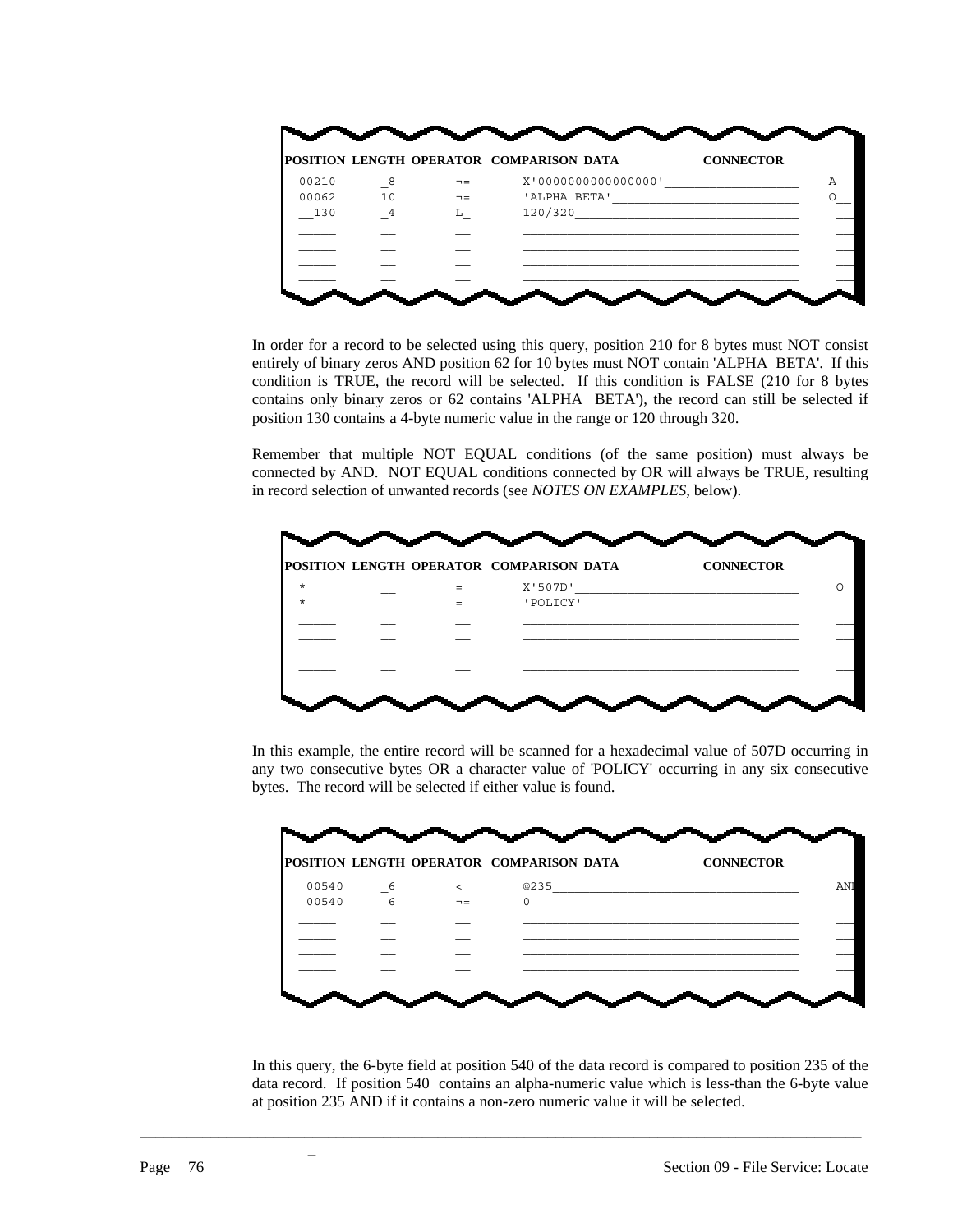|       |    |                  | POSITION LENGTH OPERATOR COMPARISON DATA | <b>CONNECTOR</b> |   |
|-------|----|------------------|------------------------------------------|------------------|---|
| 00210 | 8  | $\blacksquare =$ | X'0000000000000000'X                     |                  | Α |
| 00062 | 10 | $\blacksquare =$ | 'ALPHA BETA'                             |                  |   |
| 130   |    | L.               | 120/320                                  |                  |   |
|       |    |                  |                                          |                  |   |
|       |    |                  |                                          |                  |   |
|       |    |                  |                                          |                  |   |

In order for a record to be selected using this query, position 210 for 8 bytes must NOT consist entirely of binary zeros AND position 62 for 10 bytes must NOT contain 'ALPHA BETA'. If this condition is TRUE, the record will be selected. If this condition is FALSE (210 for 8 bytes contains only binary zeros or 62 contains 'ALPHA BETA'), the record can still be selected if position 130 contains a 4-byte numeric value in the range or 120 through 320.

Remember that multiple NOT EQUAL conditions (of the same position) must always be connected by AND. NOT EQUAL conditions connected by OR will always be TRUE, resulting in record selection of unwanted records (see *NOTES ON EXAMPLES*, below).

|         |     | POSITION LENGTH OPERATOR COMPARISON DATA | <b>CONNECTOR</b> |
|---------|-----|------------------------------------------|------------------|
| $\star$ | $=$ | X'507D'                                  |                  |
| $\star$ | $=$ | 'POLICY'                                 |                  |
|         |     |                                          |                  |
|         |     |                                          |                  |
|         |     |                                          |                  |
|         |     |                                          |                  |

In this example, the entire record will be scanned for a hexadecimal value of 507D occurring in any two consecutive bytes OR a character value of 'POLICY' occurring in any six consecutive bytes. The record will be selected if either value is found.



In this query, the 6-byte field at position 540 of the data record is compared to position 235 of the data record. If position 540 contains an alpha-numeric value which is less-than the 6-byte value at position 235 AND if it contains a non-zero numeric value it will be selected.

\_\_\_\_\_\_\_\_\_\_\_\_\_\_\_\_\_\_\_\_\_\_\_\_\_\_\_\_\_\_\_\_\_\_\_\_\_\_\_\_\_\_\_\_\_\_\_\_\_\_\_\_\_\_\_\_\_\_\_\_\_\_\_\_\_\_\_\_\_\_\_\_\_\_\_\_\_\_\_\_\_\_\_\_\_\_\_\_\_\_\_\_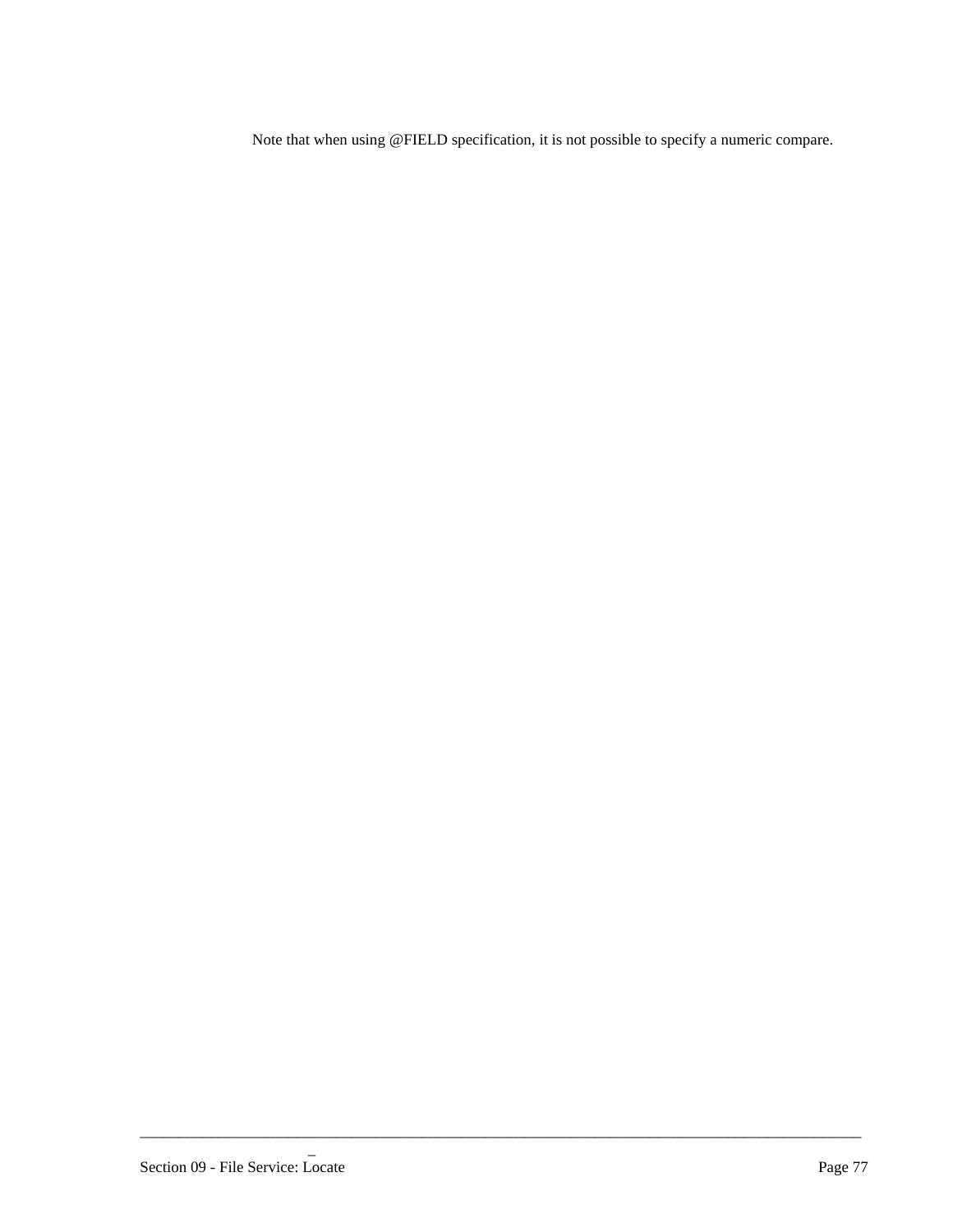Note that when using @FIELD specification, it is not possible to specify a numeric compare.

\_\_\_\_\_\_\_\_\_\_\_\_\_\_\_\_\_\_\_\_\_\_\_\_\_\_\_\_\_\_\_\_\_\_\_\_\_\_\_\_\_\_\_\_\_\_\_\_\_\_\_\_\_\_\_\_\_\_\_\_\_\_\_\_\_\_\_\_\_\_\_\_\_\_\_\_\_\_\_\_\_\_\_\_\_\_\_\_\_\_\_\_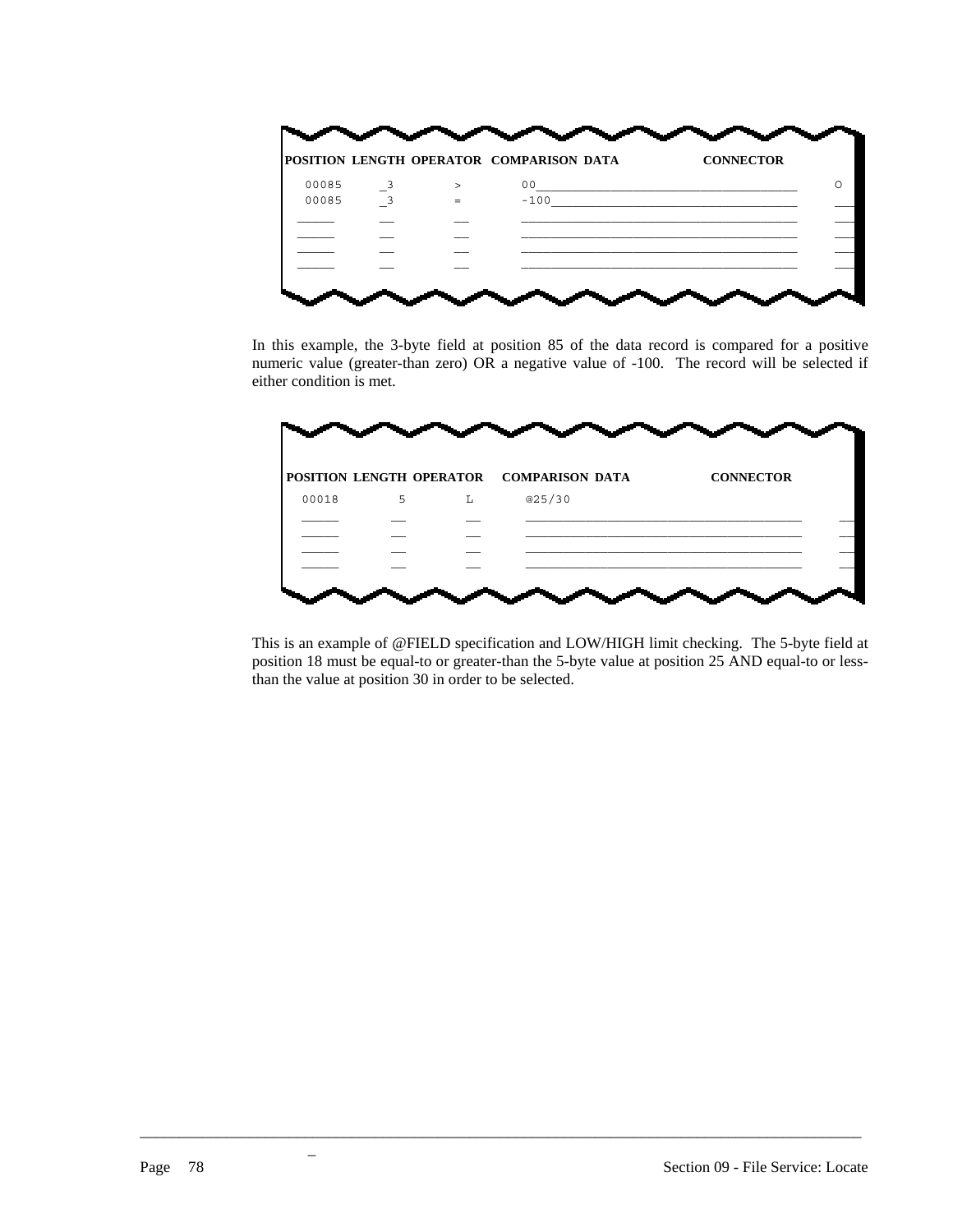|       |                         |   | POSITION LENGTH OPERATOR COMPARISON DATA | <b>CONNECTOR</b> |
|-------|-------------------------|---|------------------------------------------|------------------|
| 00085 |                         | ⋗ | 00 <sub>o</sub>                          |                  |
| 00085 | $\overline{\mathbf{a}}$ |   | $-100$                                   |                  |
|       |                         |   |                                          |                  |
|       |                         |   |                                          |                  |
|       |                         |   |                                          |                  |
|       |                         |   |                                          |                  |

In this example, the 3-byte field at position 85 of the data record is compared for a positive numeric value (greater-than zero) OR a negative value of -100. The record will be selected if either condition is met.



This is an example of @FIELD specification and LOW/HIGH limit checking. The 5-byte field at position 18 must be equal-to or greater-than the 5-byte value at position 25 AND equal-to or lessthan the value at position 30 in order to be selected.

\_\_\_\_\_\_\_\_\_\_\_\_\_\_\_\_\_\_\_\_\_\_\_\_\_\_\_\_\_\_\_\_\_\_\_\_\_\_\_\_\_\_\_\_\_\_\_\_\_\_\_\_\_\_\_\_\_\_\_\_\_\_\_\_\_\_\_\_\_\_\_\_\_\_\_\_\_\_\_\_\_\_\_\_\_\_\_\_\_\_\_\_

\_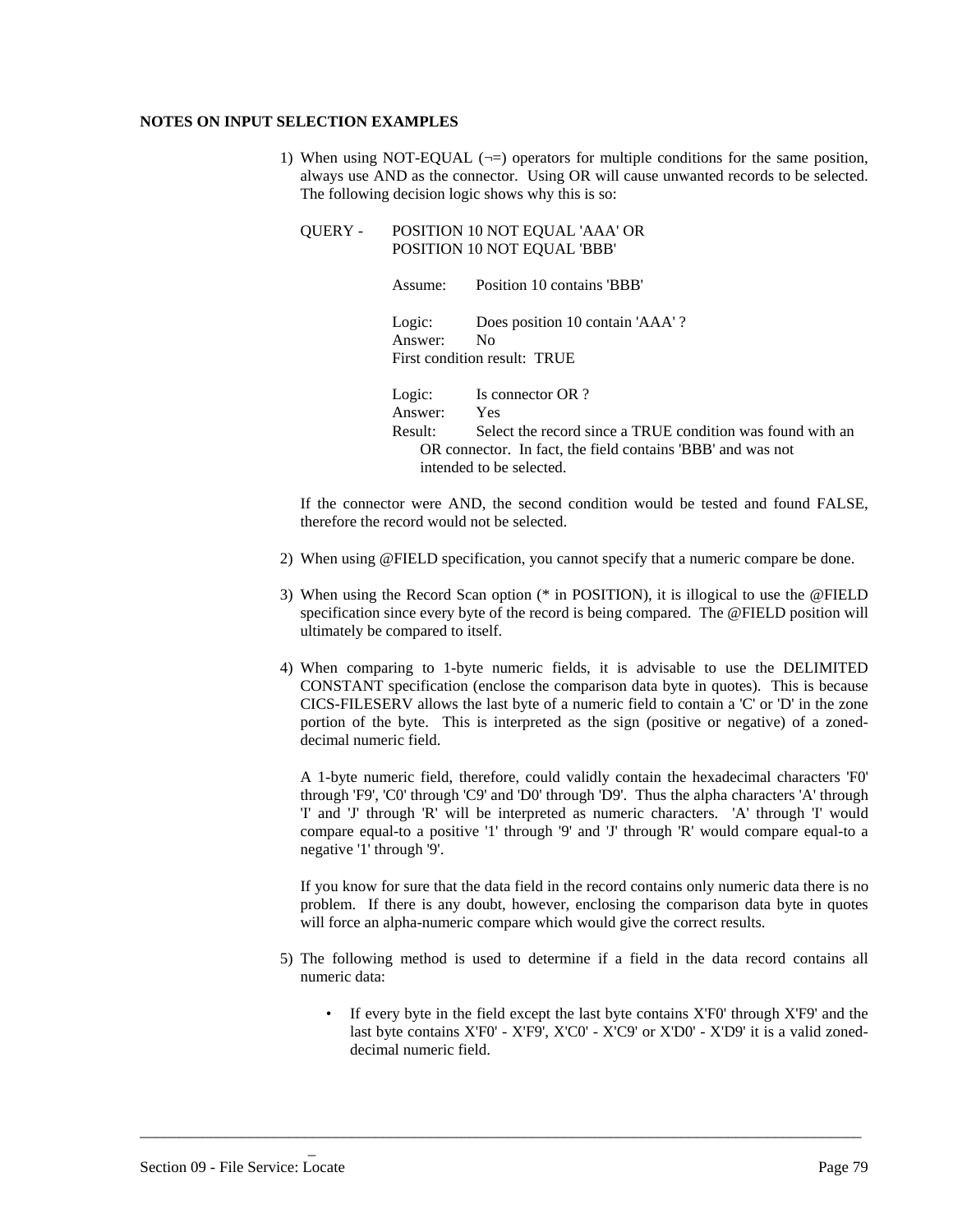#### **NOTES ON INPUT SELECTION EXAMPLES**

1) When using NOT-EQUAL  $(\neg z)$  operators for multiple conditions for the same position, always use AND as the connector. Using OR will cause unwanted records to be selected. The following decision logic shows why this is so:

## QUERY - POSITION 10 NOT EQUAL 'AAA' OR POSITION 10 NOT EQUAL 'BBB'

intended to be selected.

| Assume: | Position 10 contains 'BBB'                                 |
|---------|------------------------------------------------------------|
| Logic:  | Does position 10 contain 'AAA' ?                           |
| Answer: | N <sub>0</sub>                                             |
|         | First condition result: TRUE                               |
| Logic:  | Is connector OR ?                                          |
| Answer: | Yes                                                        |
| Result: | Select the record since a TRUE condition was found with an |

OR connector. In fact, the field contains 'BBB' and was not

 If the connector were AND, the second condition would be tested and found FALSE, therefore the record would not be selected.

- 2) When using @FIELD specification, you cannot specify that a numeric compare be done.
- 3) When using the Record Scan option (\* in POSITION), it is illogical to use the @FIELD specification since every byte of the record is being compared. The @FIELD position will ultimately be compared to itself.
- 4) When comparing to 1-byte numeric fields, it is advisable to use the DELIMITED CONSTANT specification (enclose the comparison data byte in quotes). This is because CICS-FILESERV allows the last byte of a numeric field to contain a 'C' or 'D' in the zone portion of the byte. This is interpreted as the sign (positive or negative) of a zoneddecimal numeric field.

 A 1-byte numeric field, therefore, could validly contain the hexadecimal characters 'F0' through 'F9', 'C0' through 'C9' and 'D0' through 'D9'. Thus the alpha characters 'A' through 'I' and 'J' through 'R' will be interpreted as numeric characters. 'A' through 'I' would compare equal-to a positive '1' through '9' and 'J' through 'R' would compare equal-to a negative '1' through '9'.

 If you know for sure that the data field in the record contains only numeric data there is no problem. If there is any doubt, however, enclosing the comparison data byte in quotes will force an alpha-numeric compare which would give the correct results.

5) The following method is used to determine if a field in the data record contains all numeric data:

\_\_\_\_\_\_\_\_\_\_\_\_\_\_\_\_\_\_\_\_\_\_\_\_\_\_\_\_\_\_\_\_\_\_\_\_\_\_\_\_\_\_\_\_\_\_\_\_\_\_\_\_\_\_\_\_\_\_\_\_\_\_\_\_\_\_\_\_\_\_\_\_\_\_\_\_\_\_\_\_\_\_\_\_\_\_\_\_\_\_\_\_

• If every byte in the field except the last byte contains X<sup>'</sup>F0' through X<sup>'F9'</sup> and the last byte contains X'F0' - X'F9', X'C0' - X'C9' or X'D0' - X'D9' it is a valid zoneddecimal numeric field.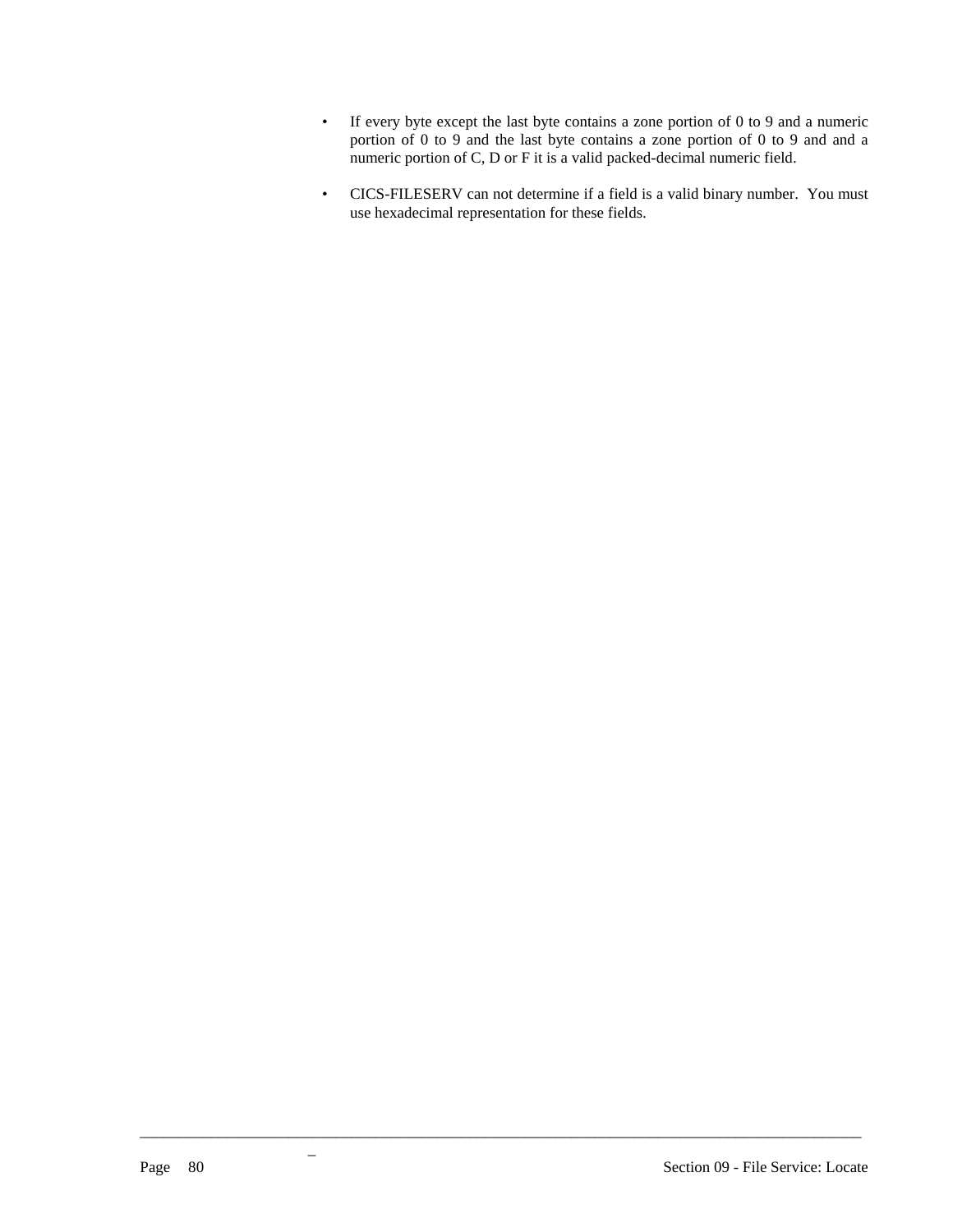- If every byte except the last byte contains a zone portion of 0 to 9 and a numeric portion of 0 to 9 and the last byte contains a zone portion of 0 to 9 and and a numeric portion of C, D or F it is a valid packed-decimal numeric field.
- CICS-FILESERV can not determine if a field is a valid binary number. You must use hexadecimal representation for these fields.

 $\overline{\phantom{0}}$ 

\_\_\_\_\_\_\_\_\_\_\_\_\_\_\_\_\_\_\_\_\_\_\_\_\_\_\_\_\_\_\_\_\_\_\_\_\_\_\_\_\_\_\_\_\_\_\_\_\_\_\_\_\_\_\_\_\_\_\_\_\_\_\_\_\_\_\_\_\_\_\_\_\_\_\_\_\_\_\_\_\_\_\_\_\_\_\_\_\_\_\_\_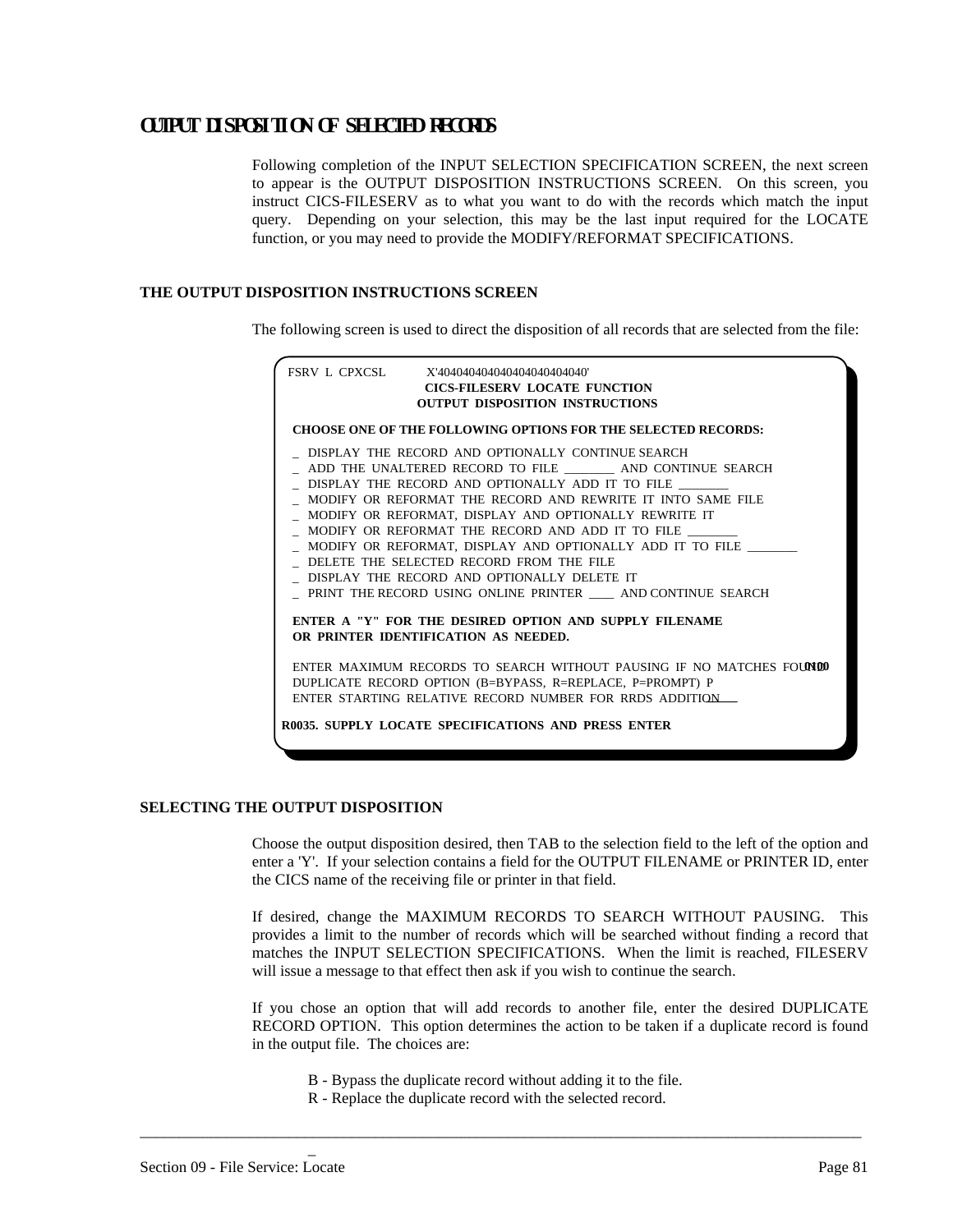# **OUTPUT DISPOSITION OF SELECTED RECORDS**

Following completion of the INPUT SELECTION SPECIFICATION SCREEN, the next screen to appear is the OUTPUT DISPOSITION INSTRUCTIONS SCREEN. On this screen, you instruct CICS-FILESERV as to what you want to do with the records which match the input query. Depending on your selection, this may be the last input required for the LOCATE function, or you may need to provide the MODIFY/REFORMAT SPECIFICATIONS.

## **THE OUTPUT DISPOSITION INSTRUCTIONS SCREEN**

The following screen is used to direct the disposition of all records that are selected from the file:

| FSRV L CPXCSL X'4040404040404040404040401<br><b>CICS-FILESERV LOCATE FUNCTION</b><br><b>OUTPUT DISPOSITION INSTRUCTIONS</b>                                                                                                                                                                                                                                                                                                                                                                                                                                      |
|------------------------------------------------------------------------------------------------------------------------------------------------------------------------------------------------------------------------------------------------------------------------------------------------------------------------------------------------------------------------------------------------------------------------------------------------------------------------------------------------------------------------------------------------------------------|
| <b>CHOOSE ONE OF THE FOLLOWING OPTIONS FOR THE SELECTED RECORDS:</b>                                                                                                                                                                                                                                                                                                                                                                                                                                                                                             |
| DISPLAY THE RECORD AND OPTIONALLY CONTINUE SEARCH<br>ADD THE UNALTERED RECORD TO FILE AND CONTINUE SEARCH<br>DISPLAY THE RECORD AND OPTIONALLY ADD IT TO FILE<br>MODIFY OR REFORMAT THE RECORD AND REWRITE IT INTO SAME FILE<br>_ MODIFY OR REFORMAT, DISPLAY AND OPTIONALLY REWRITE IT<br>MODIFY OR REFORMAT THE RECORD AND ADD IT TO FILE<br>MODIFY OR REFORMAT, DISPLAY AND OPTIONALLY ADD IT TO FILE<br>DELETE THE SELECTED RECORD FROM THE FILE<br>DISPLAY THE RECORD AND OPTIONALLY DELETE IT<br>PRINT THE RECORD USING ONLINE PRINTER AND CONTINUE SEARCH |
| ENTER A "Y" FOR THE DESIRED OPTION AND SUPPLY FILENAME<br>OR PRINTER IDENTIFICATION AS NEEDED.                                                                                                                                                                                                                                                                                                                                                                                                                                                                   |
| ENTER MAXIMUM RECORDS TO SEARCH WITHOUT PAUSING IF NO MATCHES FOUND<br>DUPLICATE RECORD OPTION (B=BYPASS, R=REPLACE, P=PROMPT) P<br>ENTER STARTING RELATIVE RECORD NUMBER FOR RRDS ADDITION                                                                                                                                                                                                                                                                                                                                                                      |
| R0035. SUPPLY LOCATE SPECIFICATIONS AND PRESS ENTER                                                                                                                                                                                                                                                                                                                                                                                                                                                                                                              |

#### **SELECTING THE OUTPUT DISPOSITION**

Choose the output disposition desired, then TAB to the selection field to the left of the option and enter a 'Y'. If your selection contains a field for the OUTPUT FILENAME or PRINTER ID, enter the CICS name of the receiving file or printer in that field.

If desired, change the MAXIMUM RECORDS TO SEARCH WITHOUT PAUSING. This provides a limit to the number of records which will be searched without finding a record that matches the INPUT SELECTION SPECIFICATIONS. When the limit is reached, FILESERV will issue a message to that effect then ask if you wish to continue the search.

If you chose an option that will add records to another file, enter the desired DUPLICATE RECORD OPTION. This option determines the action to be taken if a duplicate record is found in the output file. The choices are:

B - Bypass the duplicate record without adding it to the file.

\_\_\_\_\_\_\_\_\_\_\_\_\_\_\_\_\_\_\_\_\_\_\_\_\_\_\_\_\_\_\_\_\_\_\_\_\_\_\_\_\_\_\_\_\_\_\_\_\_\_\_\_\_\_\_\_\_\_\_\_\_\_\_\_\_\_\_\_\_\_\_\_\_\_\_\_\_\_\_\_\_\_\_\_\_\_\_\_\_\_\_\_

R - Replace the duplicate record with the selected record.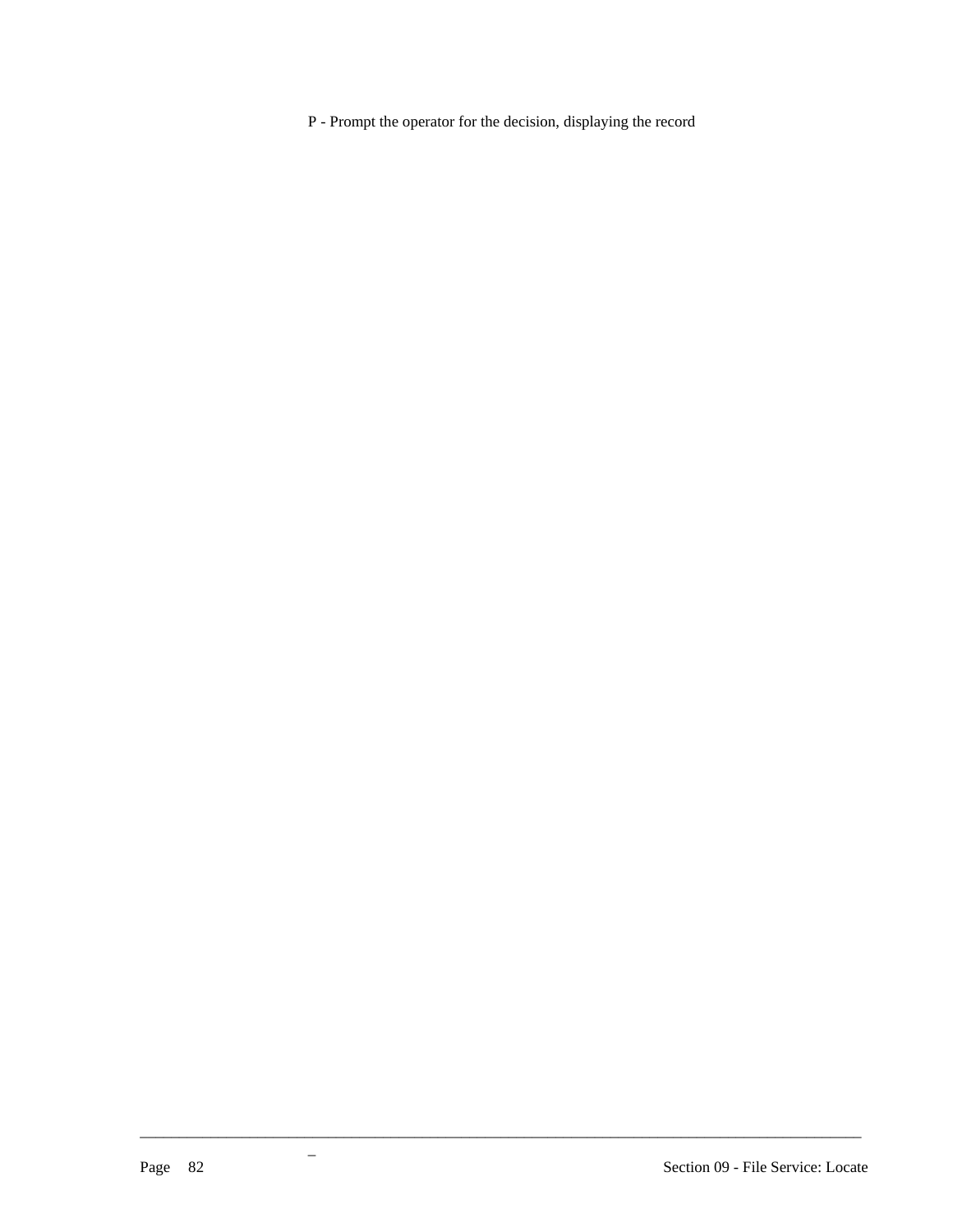P - Prompt the operator for the decision, displaying the record

\_\_\_\_\_\_\_\_\_\_\_\_\_\_\_\_\_\_\_\_\_\_\_\_\_\_\_\_\_\_\_\_\_\_\_\_\_\_\_\_\_\_\_\_\_\_\_\_\_\_\_\_\_\_\_\_\_\_\_\_\_\_\_\_\_\_\_\_\_\_\_\_\_\_\_\_\_\_\_\_\_\_\_\_\_\_\_\_\_\_\_\_

 $\equiv$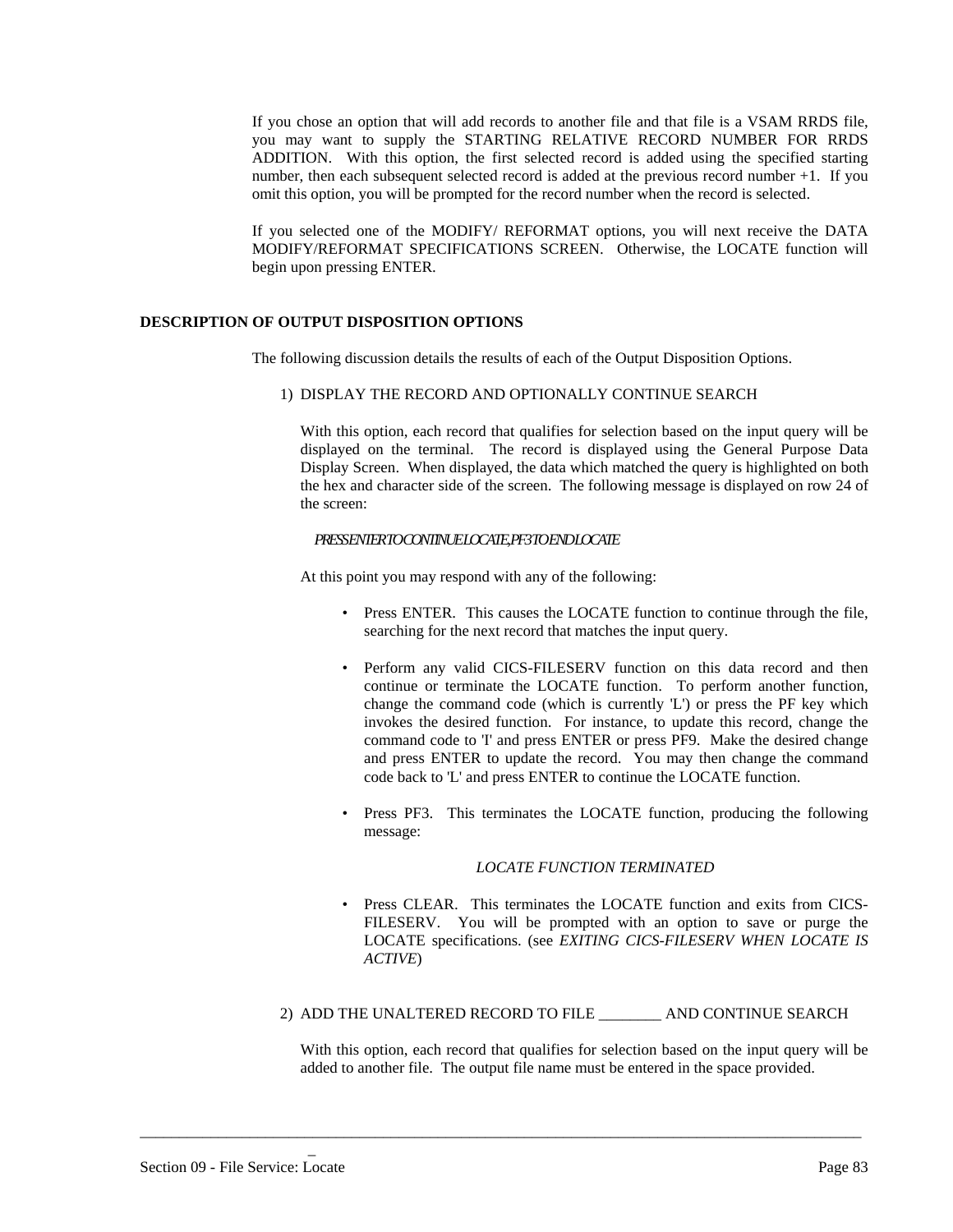If you chose an option that will add records to another file and that file is a VSAM RRDS file, you may want to supply the STARTING RELATIVE RECORD NUMBER FOR RRDS ADDITION. With this option, the first selected record is added using the specified starting number, then each subsequent selected record is added at the previous record number +1. If you omit this option, you will be prompted for the record number when the record is selected.

If you selected one of the MODIFY/ REFORMAT options, you will next receive the DATA MODIFY/REFORMAT SPECIFICATIONS SCREEN. Otherwise, the LOCATE function will begin upon pressing ENTER.

### **DESCRIPTION OF OUTPUT DISPOSITION OPTIONS**

The following discussion details the results of each of the Output Disposition Options.

1) DISPLAY THE RECORD AND OPTIONALLY CONTINUE SEARCH

 With this option, each record that qualifies for selection based on the input query will be displayed on the terminal. The record is displayed using the General Purpose Data Display Screen. When displayed, the data which matched the query is highlighted on both the hex and character side of the screen. The following message is displayed on row 24 of the screen:

### *PRESS ENTER TO CONTINUE LOCATE, PF3 TO END LOCATE*

At this point you may respond with any of the following:

- Press ENTER. This causes the LOCATE function to continue through the file, searching for the next record that matches the input query.
- Perform any valid CICS-FILESERV function on this data record and then continue or terminate the LOCATE function. To perform another function, change the command code (which is currently 'L') or press the PF key which invokes the desired function. For instance, to update this record, change the command code to 'I' and press ENTER or press PF9. Make the desired change and press ENTER to update the record. You may then change the command code back to 'L' and press ENTER to continue the LOCATE function.
- Press PF3. This terminates the LOCATE function, producing the following message:

#### *LOCATE FUNCTION TERMINATED*

• Press CLEAR. This terminates the LOCATE function and exits from CICS-FILESERV. You will be prompted with an option to save or purge the LOCATE specifications. (see *EXITING CICS-FILESERV WHEN LOCATE IS ACTIVE*)

## 2) ADD THE UNALTERED RECORD TO FILE \_\_\_\_\_\_\_\_ AND CONTINUE SEARCH

\_\_\_\_\_\_\_\_\_\_\_\_\_\_\_\_\_\_\_\_\_\_\_\_\_\_\_\_\_\_\_\_\_\_\_\_\_\_\_\_\_\_\_\_\_\_\_\_\_\_\_\_\_\_\_\_\_\_\_\_\_\_\_\_\_\_\_\_\_\_\_\_\_\_\_\_\_\_\_\_\_\_\_\_\_\_\_\_\_\_\_\_

 With this option, each record that qualifies for selection based on the input query will be added to another file. The output file name must be entered in the space provided.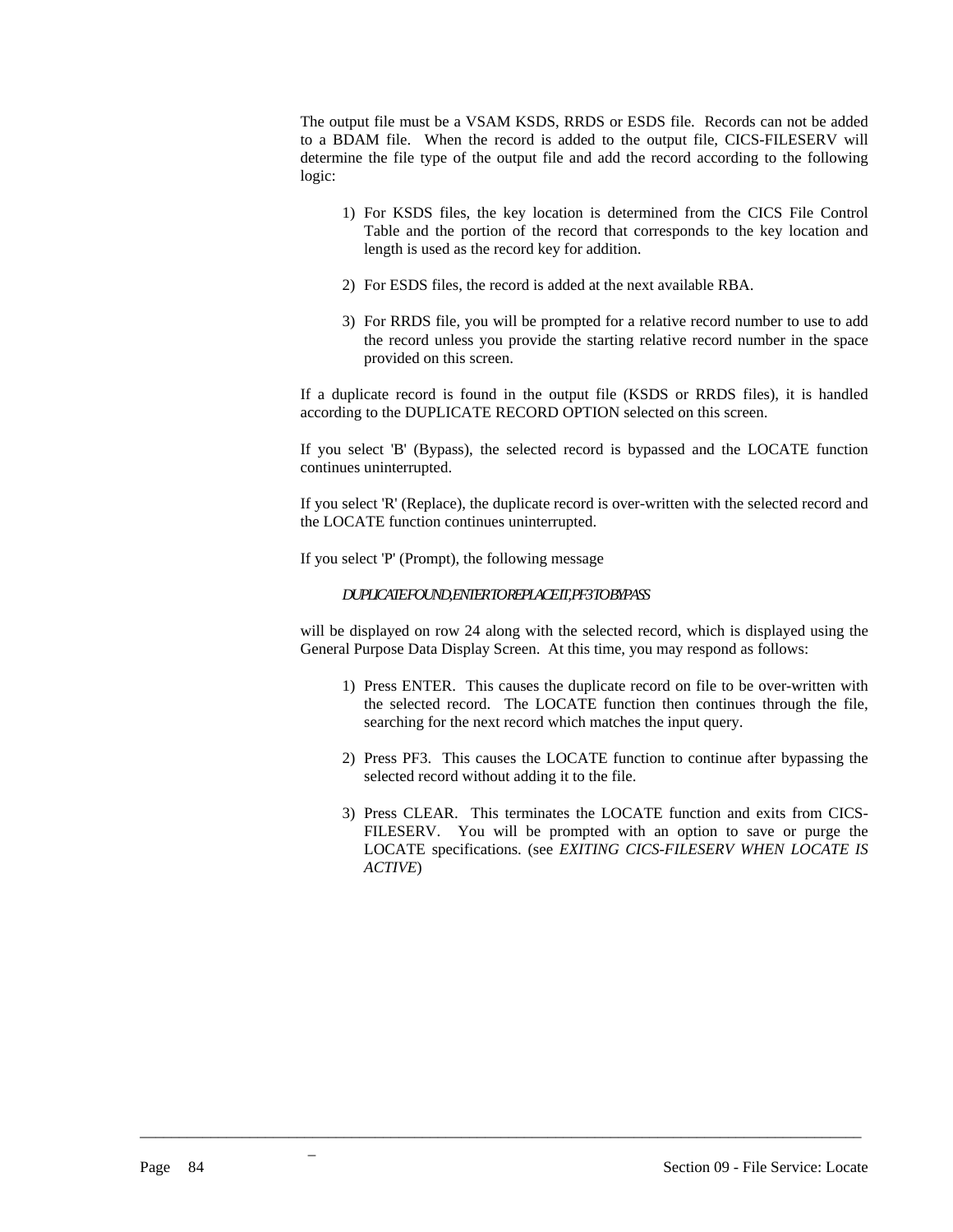The output file must be a VSAM KSDS, RRDS or ESDS file. Records can not be added to a BDAM file. When the record is added to the output file, CICS-FILESERV will determine the file type of the output file and add the record according to the following logic:

- 1) For KSDS files, the key location is determined from the CICS File Control Table and the portion of the record that corresponds to the key location and length is used as the record key for addition.
- 2) For ESDS files, the record is added at the next available RBA.
- 3) For RRDS file, you will be prompted for a relative record number to use to add the record unless you provide the starting relative record number in the space provided on this screen.

 If a duplicate record is found in the output file (KSDS or RRDS files), it is handled according to the DUPLICATE RECORD OPTION selected on this screen.

 If you select 'B' (Bypass), the selected record is bypassed and the LOCATE function continues uninterrupted.

 If you select 'R' (Replace), the duplicate record is over-written with the selected record and the LOCATE function continues uninterrupted.

If you select 'P' (Prompt), the following message

## *DUPLICATE FOUND, ENTER TO REPLACE IT, PF3 TO BYPASS*

\_\_\_\_\_\_\_\_\_\_\_\_\_\_\_\_\_\_\_\_\_\_\_\_\_\_\_\_\_\_\_\_\_\_\_\_\_\_\_\_\_\_\_\_\_\_\_\_\_\_\_\_\_\_\_\_\_\_\_\_\_\_\_\_\_\_\_\_\_\_\_\_\_\_\_\_\_\_\_\_\_\_\_\_\_\_\_\_\_\_\_\_

 will be displayed on row 24 along with the selected record, which is displayed using the General Purpose Data Display Screen. At this time, you may respond as follows:

- 1) Press ENTER. This causes the duplicate record on file to be over-written with the selected record. The LOCATE function then continues through the file, searching for the next record which matches the input query.
- 2) Press PF3. This causes the LOCATE function to continue after bypassing the selected record without adding it to the file.
- 3) Press CLEAR. This terminates the LOCATE function and exits from CICS-FILESERV. You will be prompted with an option to save or purge the LOCATE specifications. (see *EXITING CICS-FILESERV WHEN LOCATE IS ACTIVE*)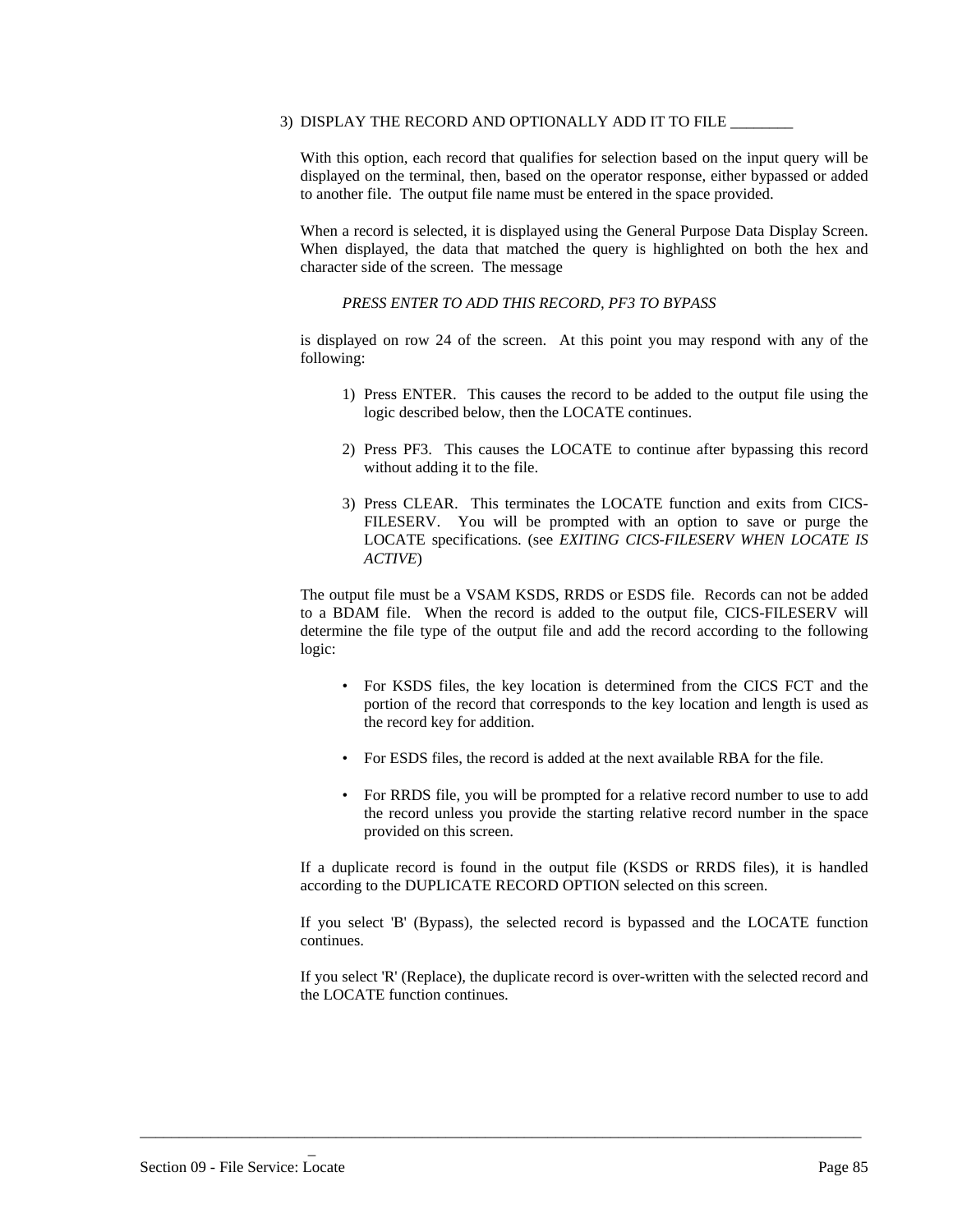#### 3) DISPLAY THE RECORD AND OPTIONALLY ADD IT TO FILE \_\_\_\_\_\_\_\_

 With this option, each record that qualifies for selection based on the input query will be displayed on the terminal, then, based on the operator response, either bypassed or added to another file. The output file name must be entered in the space provided.

 When a record is selected, it is displayed using the General Purpose Data Display Screen. When displayed, the data that matched the query is highlighted on both the hex and character side of the screen. The message

*PRESS ENTER TO ADD THIS RECORD, PF3 TO BYPASS* 

 is displayed on row 24 of the screen. At this point you may respond with any of the following:

- 1) Press ENTER. This causes the record to be added to the output file using the logic described below, then the LOCATE continues.
- 2) Press PF3. This causes the LOCATE to continue after bypassing this record without adding it to the file.
- 3) Press CLEAR. This terminates the LOCATE function and exits from CICS-FILESERV. You will be prompted with an option to save or purge the LOCATE specifications. (see *EXITING CICS-FILESERV WHEN LOCATE IS ACTIVE*)

 The output file must be a VSAM KSDS, RRDS or ESDS file. Records can not be added to a BDAM file. When the record is added to the output file, CICS-FILESERV will determine the file type of the output file and add the record according to the following logic:

- For KSDS files, the key location is determined from the CICS FCT and the portion of the record that corresponds to the key location and length is used as the record key for addition.
- For ESDS files, the record is added at the next available RBA for the file.
- For RRDS file, you will be prompted for a relative record number to use to add the record unless you provide the starting relative record number in the space provided on this screen.

 If a duplicate record is found in the output file (KSDS or RRDS files), it is handled according to the DUPLICATE RECORD OPTION selected on this screen.

 If you select 'B' (Bypass), the selected record is bypassed and the LOCATE function continues.

 If you select 'R' (Replace), the duplicate record is over-written with the selected record and the LOCATE function continues.

\_\_\_\_\_\_\_\_\_\_\_\_\_\_\_\_\_\_\_\_\_\_\_\_\_\_\_\_\_\_\_\_\_\_\_\_\_\_\_\_\_\_\_\_\_\_\_\_\_\_\_\_\_\_\_\_\_\_\_\_\_\_\_\_\_\_\_\_\_\_\_\_\_\_\_\_\_\_\_\_\_\_\_\_\_\_\_\_\_\_\_\_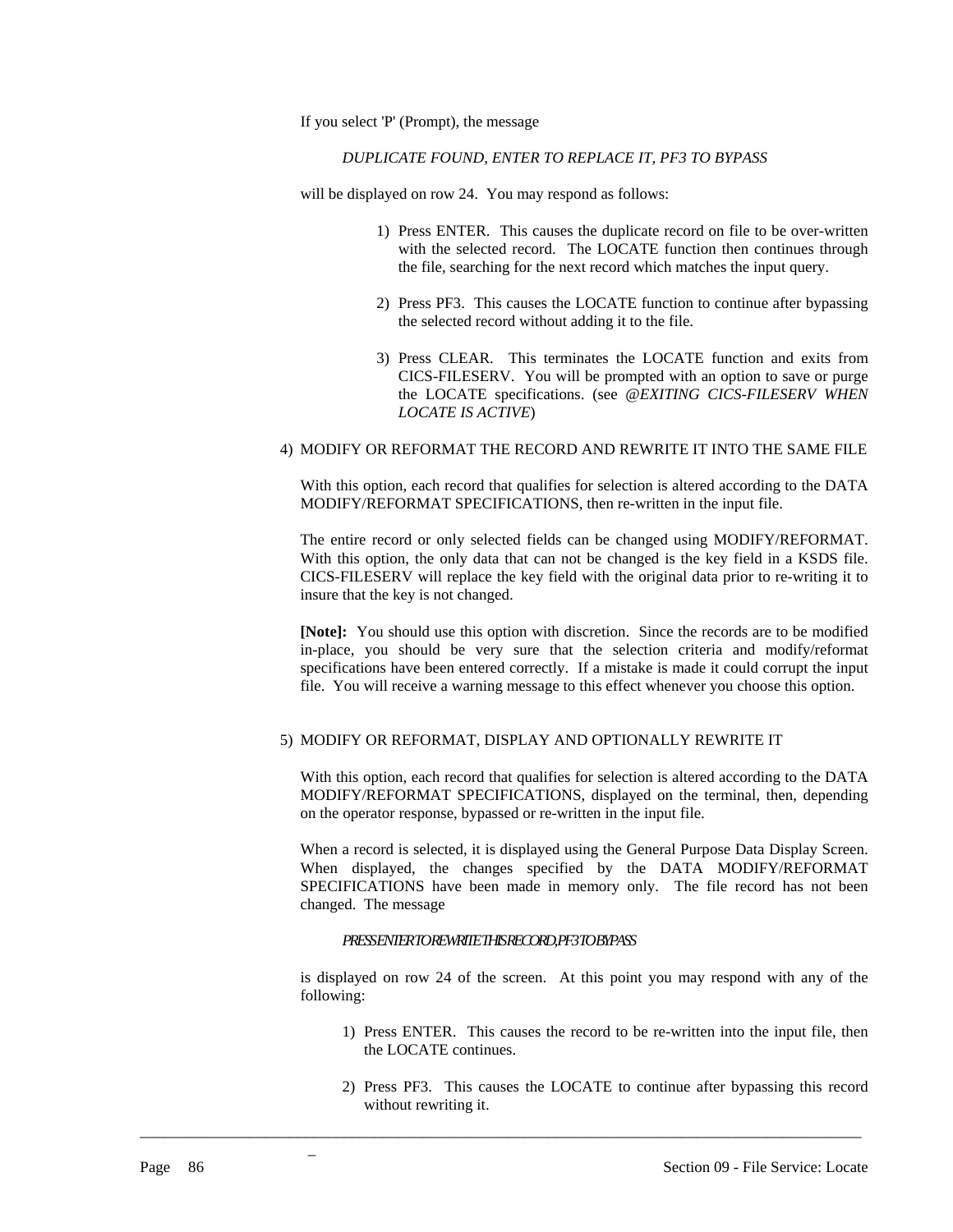If you select 'P' (Prompt), the message

### *DUPLICATE FOUND, ENTER TO REPLACE IT, PF3 TO BYPASS*

will be displayed on row 24. You may respond as follows:

- 1) Press ENTER. This causes the duplicate record on file to be over-written with the selected record. The LOCATE function then continues through the file, searching for the next record which matches the input query.
- 2) Press PF3. This causes the LOCATE function to continue after bypassing the selected record without adding it to the file.
- 3) Press CLEAR. This terminates the LOCATE function and exits from CICS-FILESERV. You will be prompted with an option to save or purge the LOCATE specifications. (see @*EXITING CICS-FILESERV WHEN LOCATE IS ACTIVE*)

## 4) MODIFY OR REFORMAT THE RECORD AND REWRITE IT INTO THE SAME FILE

 With this option, each record that qualifies for selection is altered according to the DATA MODIFY/REFORMAT SPECIFICATIONS, then re-written in the input file.

 The entire record or only selected fields can be changed using MODIFY/REFORMAT. With this option, the only data that can not be changed is the key field in a KSDS file. CICS-FILESERV will replace the key field with the original data prior to re-writing it to insure that the key is not changed.

**[Note]:** You should use this option with discretion. Since the records are to be modified in-place, you should be very sure that the selection criteria and modify/reformat specifications have been entered correctly. If a mistake is made it could corrupt the input file. You will receive a warning message to this effect whenever you choose this option.

## 5) MODIFY OR REFORMAT, DISPLAY AND OPTIONALLY REWRITE IT

 With this option, each record that qualifies for selection is altered according to the DATA MODIFY/REFORMAT SPECIFICATIONS, displayed on the terminal, then, depending on the operator response, bypassed or re-written in the input file.

 When a record is selected, it is displayed using the General Purpose Data Display Screen. When displayed, the changes specified by the DATA MODIFY/REFORMAT SPECIFICATIONS have been made in memory only. The file record has not been changed. The message

#### *PRESS ENTER TO REWRITE THIS RECORD, PF3 TO BYPASS*

\_\_\_\_\_\_\_\_\_\_\_\_\_\_\_\_\_\_\_\_\_\_\_\_\_\_\_\_\_\_\_\_\_\_\_\_\_\_\_\_\_\_\_\_\_\_\_\_\_\_\_\_\_\_\_\_\_\_\_\_\_\_\_\_\_\_\_\_\_\_\_\_\_\_\_\_\_\_\_\_\_\_\_\_\_\_\_\_\_\_\_\_

 is displayed on row 24 of the screen. At this point you may respond with any of the following:

- 1) Press ENTER. This causes the record to be re-written into the input file, then the LOCATE continues.
- 2) Press PF3. This causes the LOCATE to continue after bypassing this record without rewriting it.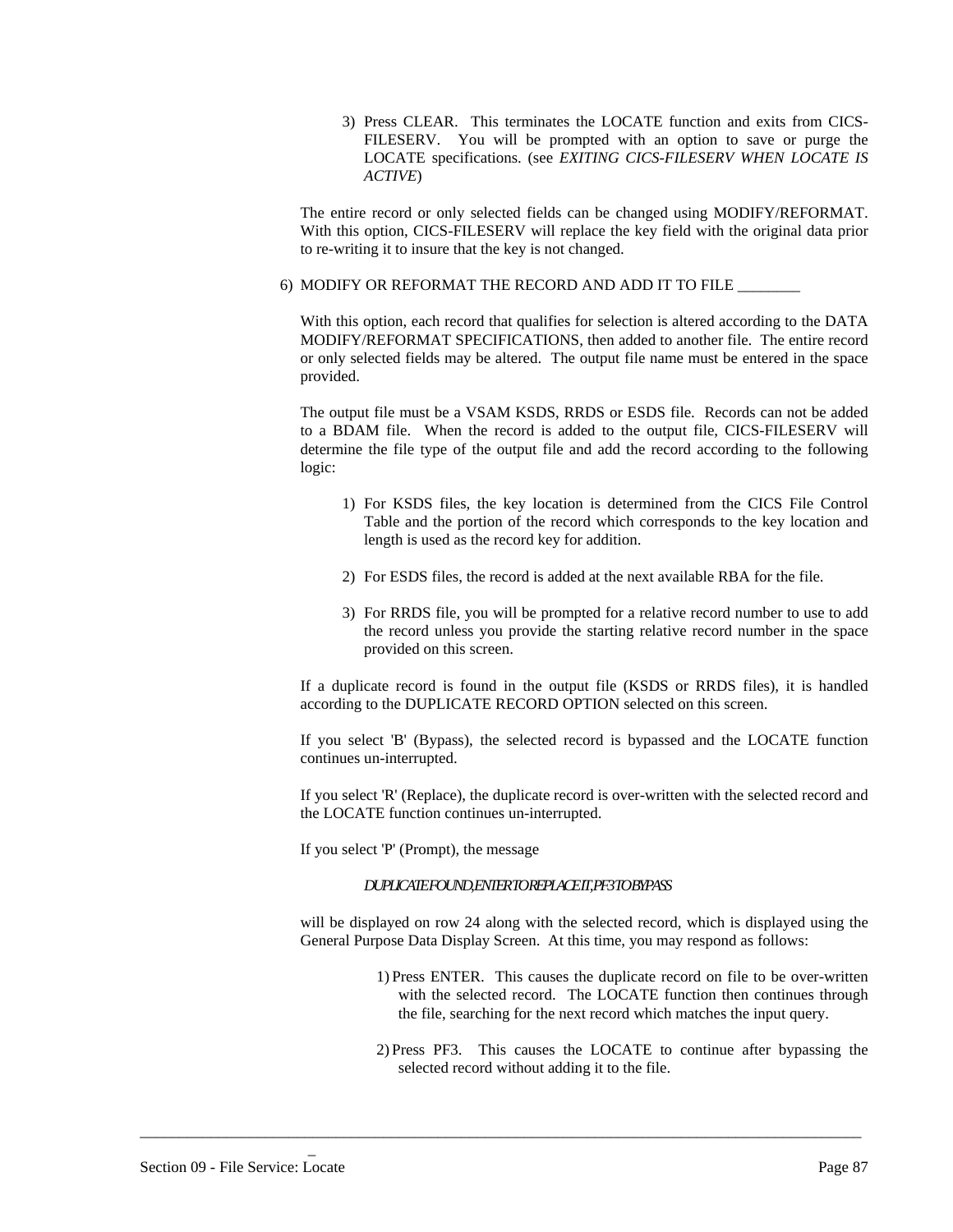3) Press CLEAR. This terminates the LOCATE function and exits from CICS-FILESERV. You will be prompted with an option to save or purge the LOCATE specifications. (see *EXITING CICS-FILESERV WHEN LOCATE IS ACTIVE*)

 The entire record or only selected fields can be changed using MODIFY/REFORMAT. With this option, CICS-FILESERV will replace the key field with the original data prior to re-writing it to insure that the key is not changed.

6) MODIFY OR REFORMAT THE RECORD AND ADD IT TO FILE

 With this option, each record that qualifies for selection is altered according to the DATA MODIFY/REFORMAT SPECIFICATIONS, then added to another file. The entire record or only selected fields may be altered. The output file name must be entered in the space provided.

 The output file must be a VSAM KSDS, RRDS or ESDS file. Records can not be added to a BDAM file. When the record is added to the output file, CICS-FILESERV will determine the file type of the output file and add the record according to the following logic:

- 1) For KSDS files, the key location is determined from the CICS File Control Table and the portion of the record which corresponds to the key location and length is used as the record key for addition.
- 2) For ESDS files, the record is added at the next available RBA for the file.
- 3) For RRDS file, you will be prompted for a relative record number to use to add the record unless you provide the starting relative record number in the space provided on this screen.

 If a duplicate record is found in the output file (KSDS or RRDS files), it is handled according to the DUPLICATE RECORD OPTION selected on this screen.

 If you select 'B' (Bypass), the selected record is bypassed and the LOCATE function continues un-interrupted.

 If you select 'R' (Replace), the duplicate record is over-written with the selected record and the LOCATE function continues un-interrupted.

If you select 'P' (Prompt), the message

## *DUPLICATE FOUND, ENTER TO REPLACE IT, PF3 TO BYPASS*

\_\_\_\_\_\_\_\_\_\_\_\_\_\_\_\_\_\_\_\_\_\_\_\_\_\_\_\_\_\_\_\_\_\_\_\_\_\_\_\_\_\_\_\_\_\_\_\_\_\_\_\_\_\_\_\_\_\_\_\_\_\_\_\_\_\_\_\_\_\_\_\_\_\_\_\_\_\_\_\_\_\_\_\_\_\_\_\_\_\_\_\_

 will be displayed on row 24 along with the selected record, which is displayed using the General Purpose Data Display Screen. At this time, you may respond as follows:

- 1) Press ENTER. This causes the duplicate record on file to be over-written with the selected record. The LOCATE function then continues through the file, searching for the next record which matches the input query.
- 2) Press PF3. This causes the LOCATE to continue after bypassing the selected record without adding it to the file.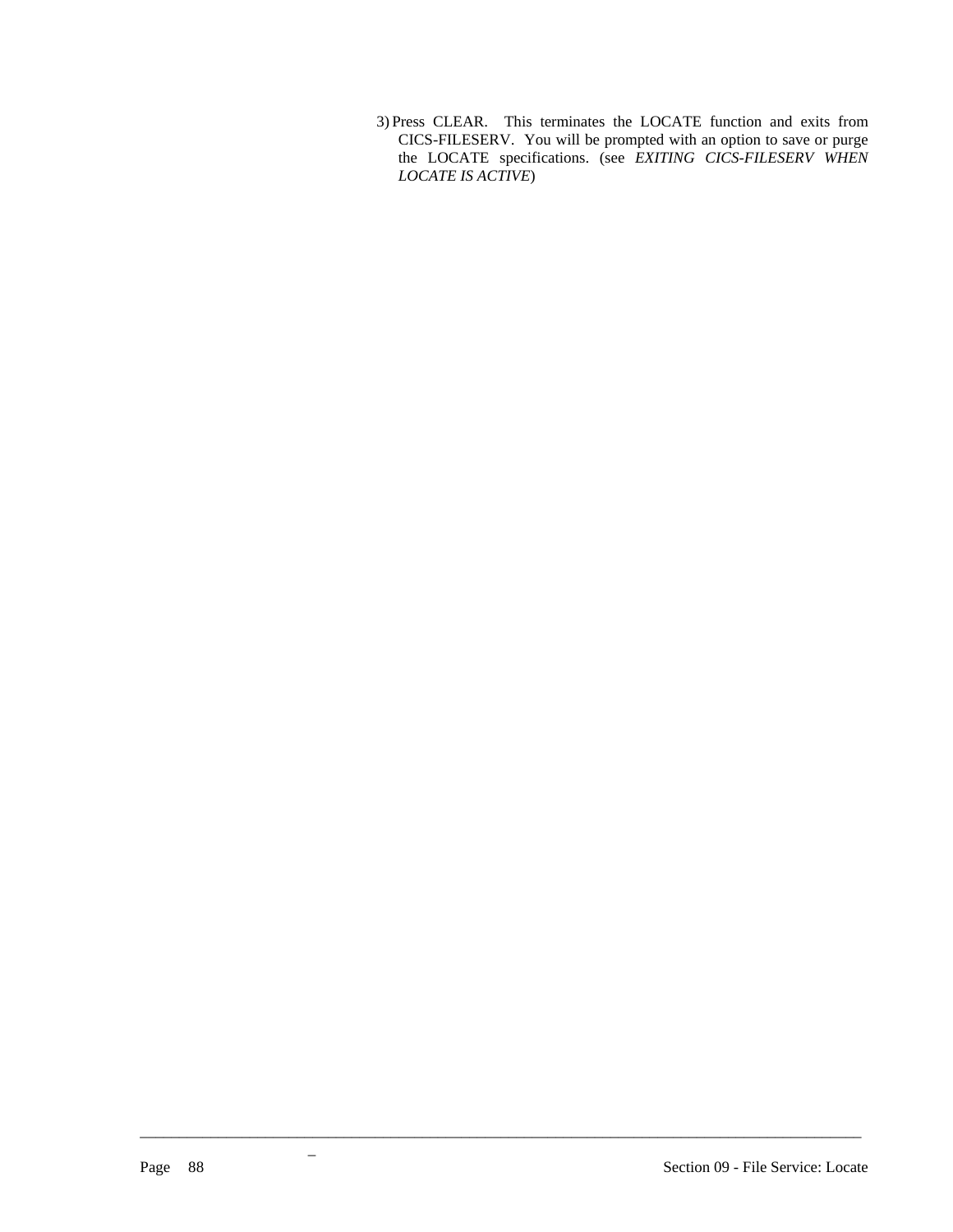3) Press CLEAR. This terminates the LOCATE function and exits from CICS-FILESERV. You will be prompted with an option to save or purge the LOCATE specifications. (see *EXITING CICS-FILESERV WHEN LOCATE IS ACTIVE*)

 $\equiv$ 

\_\_\_\_\_\_\_\_\_\_\_\_\_\_\_\_\_\_\_\_\_\_\_\_\_\_\_\_\_\_\_\_\_\_\_\_\_\_\_\_\_\_\_\_\_\_\_\_\_\_\_\_\_\_\_\_\_\_\_\_\_\_\_\_\_\_\_\_\_\_\_\_\_\_\_\_\_\_\_\_\_\_\_\_\_\_\_\_\_\_\_\_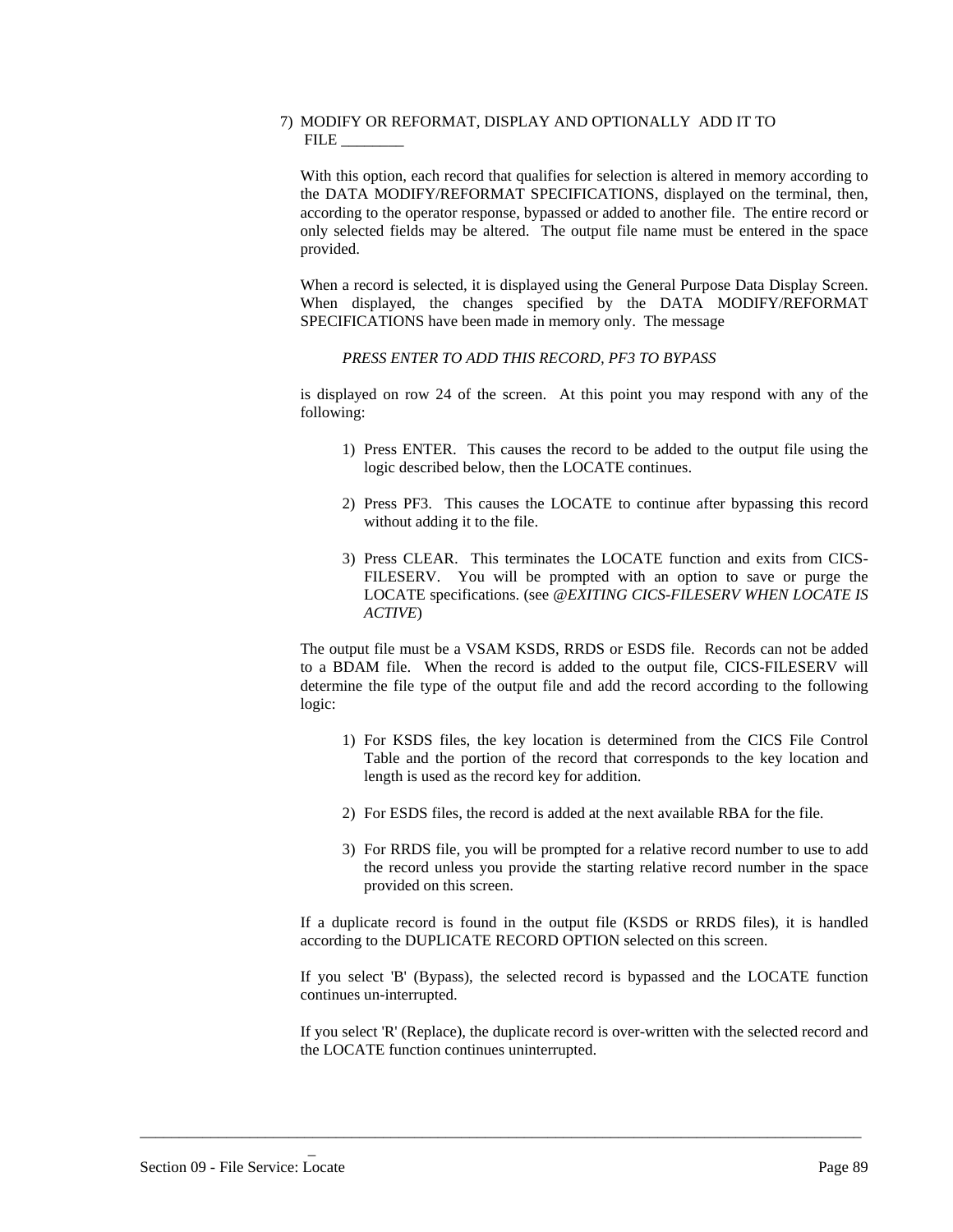### 7) MODIFY OR REFORMAT, DISPLAY AND OPTIONALLY ADD IT TO  $FILE$

With this option, each record that qualifies for selection is altered in memory according to the DATA MODIFY/REFORMAT SPECIFICATIONS, displayed on the terminal, then, according to the operator response, bypassed or added to another file. The entire record or only selected fields may be altered. The output file name must be entered in the space provided.

 When a record is selected, it is displayed using the General Purpose Data Display Screen. When displayed, the changes specified by the DATA MODIFY/REFORMAT SPECIFICATIONS have been made in memory only. The message

*PRESS ENTER TO ADD THIS RECORD, PF3 TO BYPASS* 

 is displayed on row 24 of the screen. At this point you may respond with any of the following:

- 1) Press ENTER. This causes the record to be added to the output file using the logic described below, then the LOCATE continues.
- 2) Press PF3. This causes the LOCATE to continue after bypassing this record without adding it to the file.
- 3) Press CLEAR. This terminates the LOCATE function and exits from CICS-FILESERV. You will be prompted with an option to save or purge the LOCATE specifications. (see @*EXITING CICS-FILESERV WHEN LOCATE IS ACTIVE*)

 The output file must be a VSAM KSDS, RRDS or ESDS file. Records can not be added to a BDAM file. When the record is added to the output file, CICS-FILESERV will determine the file type of the output file and add the record according to the following logic:

- 1) For KSDS files, the key location is determined from the CICS File Control Table and the portion of the record that corresponds to the key location and length is used as the record key for addition.
- 2) For ESDS files, the record is added at the next available RBA for the file.
- 3) For RRDS file, you will be prompted for a relative record number to use to add the record unless you provide the starting relative record number in the space provided on this screen.

 If a duplicate record is found in the output file (KSDS or RRDS files), it is handled according to the DUPLICATE RECORD OPTION selected on this screen.

 If you select 'B' (Bypass), the selected record is bypassed and the LOCATE function continues un-interrupted.

 If you select 'R' (Replace), the duplicate record is over-written with the selected record and the LOCATE function continues uninterrupted.

\_\_\_\_\_\_\_\_\_\_\_\_\_\_\_\_\_\_\_\_\_\_\_\_\_\_\_\_\_\_\_\_\_\_\_\_\_\_\_\_\_\_\_\_\_\_\_\_\_\_\_\_\_\_\_\_\_\_\_\_\_\_\_\_\_\_\_\_\_\_\_\_\_\_\_\_\_\_\_\_\_\_\_\_\_\_\_\_\_\_\_\_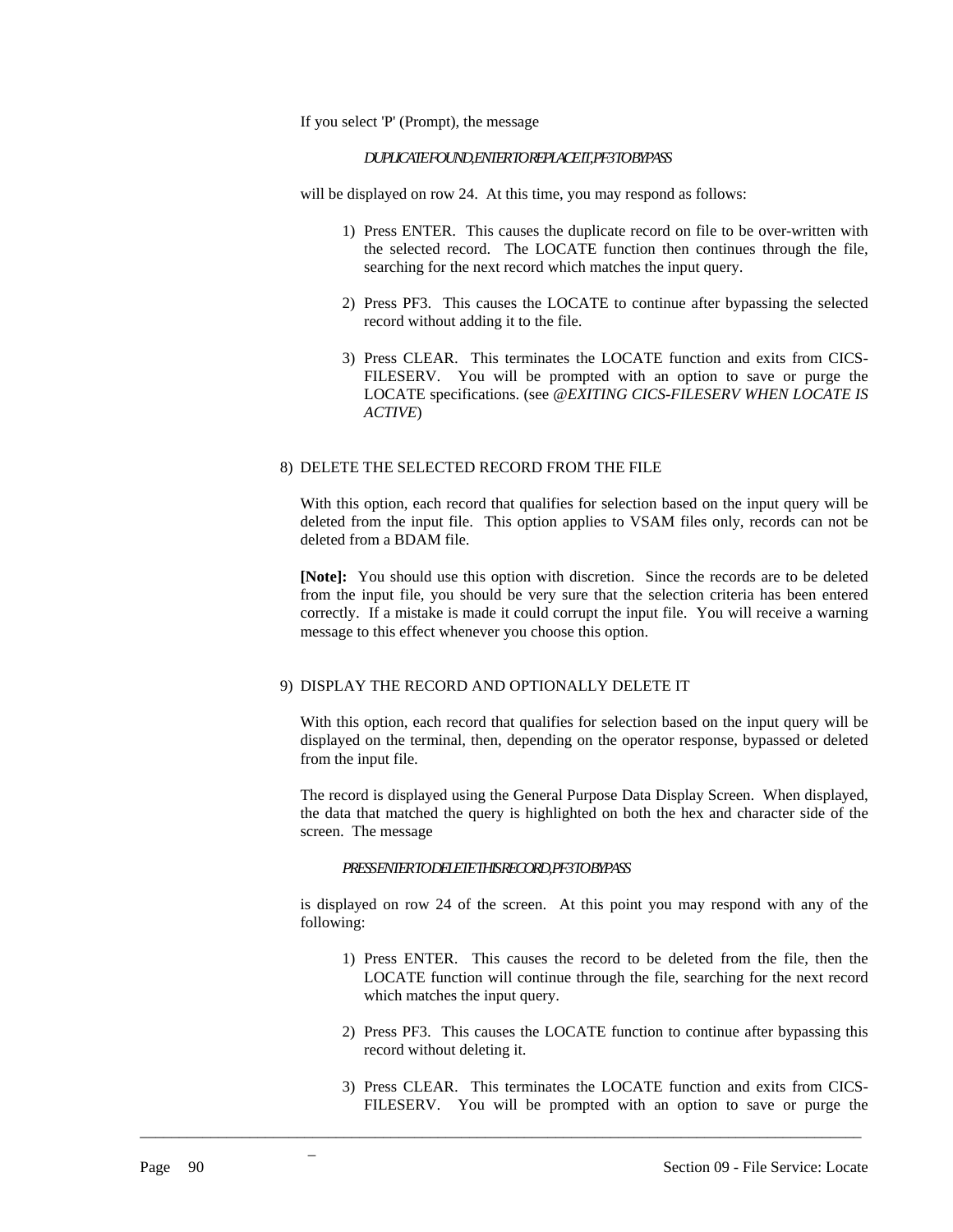If you select 'P' (Prompt), the message

### *DUPLICATE FOUND, ENTER TO REPLACE IT, PF3 TO BYPASS*

will be displayed on row 24. At this time, you may respond as follows:

- 1) Press ENTER. This causes the duplicate record on file to be over-written with the selected record. The LOCATE function then continues through the file, searching for the next record which matches the input query.
- 2) Press PF3. This causes the LOCATE to continue after bypassing the selected record without adding it to the file.
- 3) Press CLEAR. This terminates the LOCATE function and exits from CICS-FILESERV. You will be prompted with an option to save or purge the LOCATE specifications. (see @*EXITING CICS-FILESERV WHEN LOCATE IS ACTIVE*)

#### 8) DELETE THE SELECTED RECORD FROM THE FILE

 With this option, each record that qualifies for selection based on the input query will be deleted from the input file. This option applies to VSAM files only, records can not be deleted from a BDAM file.

**[Note]:** You should use this option with discretion. Since the records are to be deleted from the input file, you should be very sure that the selection criteria has been entered correctly. If a mistake is made it could corrupt the input file. You will receive a warning message to this effect whenever you choose this option.

## 9) DISPLAY THE RECORD AND OPTIONALLY DELETE IT

 With this option, each record that qualifies for selection based on the input query will be displayed on the terminal, then, depending on the operator response, bypassed or deleted from the input file.

 The record is displayed using the General Purpose Data Display Screen. When displayed, the data that matched the query is highlighted on both the hex and character side of the screen. The message

### *PRESS ENTER TO DELETE THIS RECORD, PF3 TO BYPASS*

\_\_\_\_\_\_\_\_\_\_\_\_\_\_\_\_\_\_\_\_\_\_\_\_\_\_\_\_\_\_\_\_\_\_\_\_\_\_\_\_\_\_\_\_\_\_\_\_\_\_\_\_\_\_\_\_\_\_\_\_\_\_\_\_\_\_\_\_\_\_\_\_\_\_\_\_\_\_\_\_\_\_\_\_\_\_\_\_\_\_\_\_

 is displayed on row 24 of the screen. At this point you may respond with any of the following:

- 1) Press ENTER. This causes the record to be deleted from the file, then the LOCATE function will continue through the file, searching for the next record which matches the input query.
- 2) Press PF3. This causes the LOCATE function to continue after bypassing this record without deleting it.
- 3) Press CLEAR. This terminates the LOCATE function and exits from CICS-FILESERV. You will be prompted with an option to save or purge the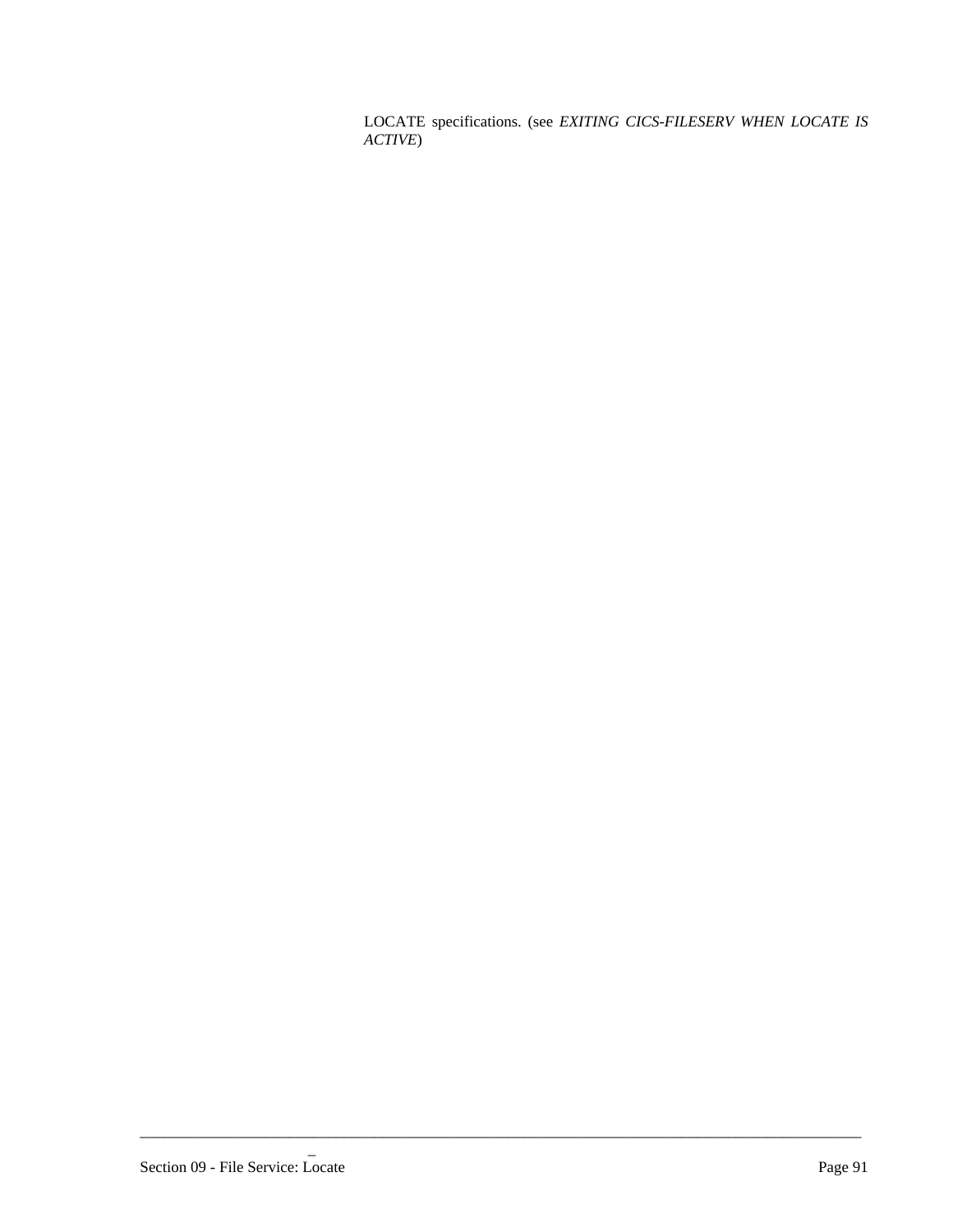LOCATE specifications. (see *EXITING CICS-FILESERV WHEN LOCATE IS ACTIVE*)

 $\overline{a}$ 

\_\_\_\_\_\_\_\_\_\_\_\_\_\_\_\_\_\_\_\_\_\_\_\_\_\_\_\_\_\_\_\_\_\_\_\_\_\_\_\_\_\_\_\_\_\_\_\_\_\_\_\_\_\_\_\_\_\_\_\_\_\_\_\_\_\_\_\_\_\_\_\_\_\_\_\_\_\_\_\_\_\_\_\_\_\_\_\_\_\_\_\_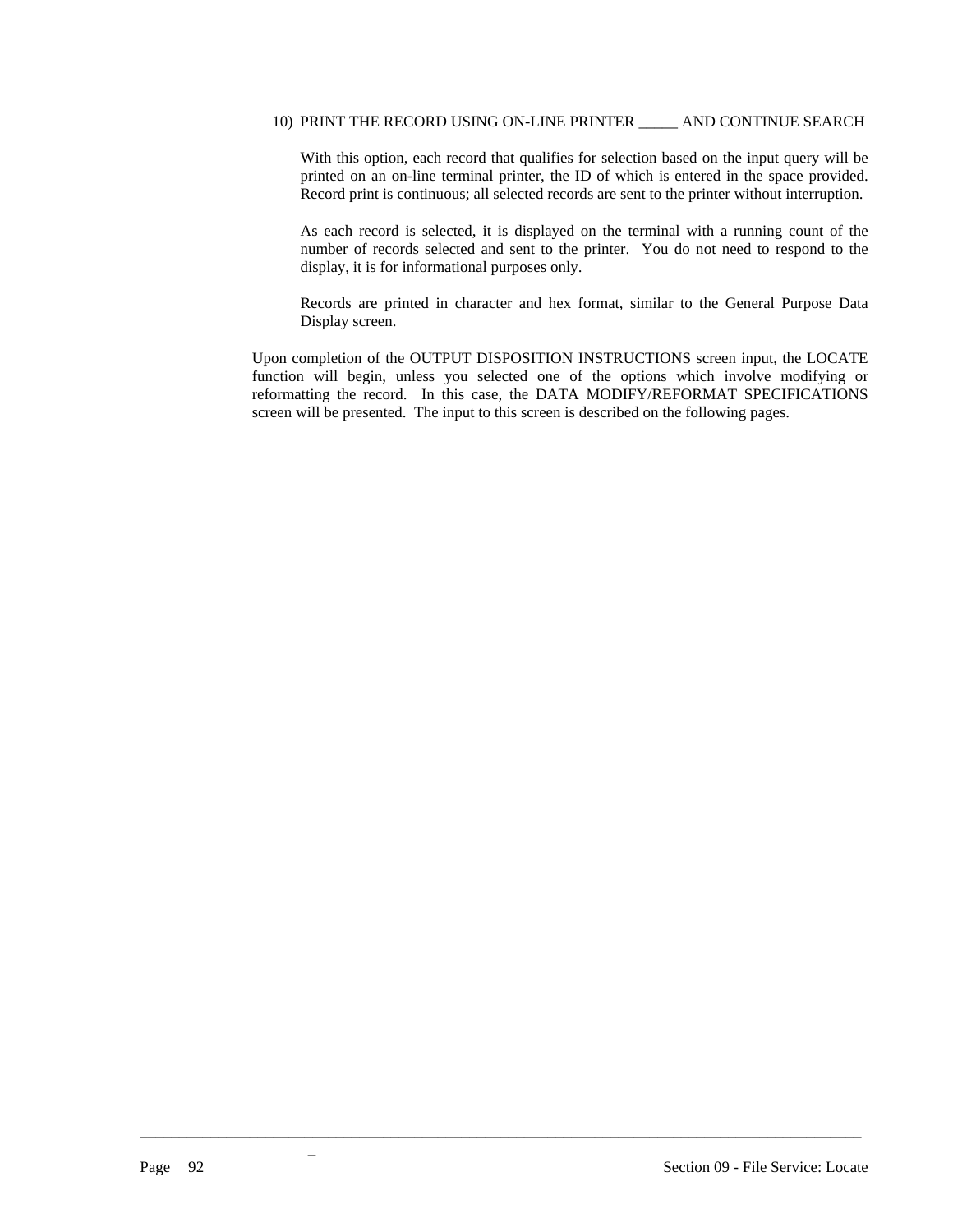With this option, each record that qualifies for selection based on the input query will be printed on an on-line terminal printer, the ID of which is entered in the space provided. Record print is continuous; all selected records are sent to the printer without interruption.

 As each record is selected, it is displayed on the terminal with a running count of the number of records selected and sent to the printer. You do not need to respond to the display, it is for informational purposes only.

 Records are printed in character and hex format, similar to the General Purpose Data Display screen.

Upon completion of the OUTPUT DISPOSITION INSTRUCTIONS screen input, the LOCATE function will begin, unless you selected one of the options which involve modifying or reformatting the record. In this case, the DATA MODIFY/REFORMAT SPECIFICATIONS screen will be presented. The input to this screen is described on the following pages.

\_\_\_\_\_\_\_\_\_\_\_\_\_\_\_\_\_\_\_\_\_\_\_\_\_\_\_\_\_\_\_\_\_\_\_\_\_\_\_\_\_\_\_\_\_\_\_\_\_\_\_\_\_\_\_\_\_\_\_\_\_\_\_\_\_\_\_\_\_\_\_\_\_\_\_\_\_\_\_\_\_\_\_\_\_\_\_\_\_\_\_\_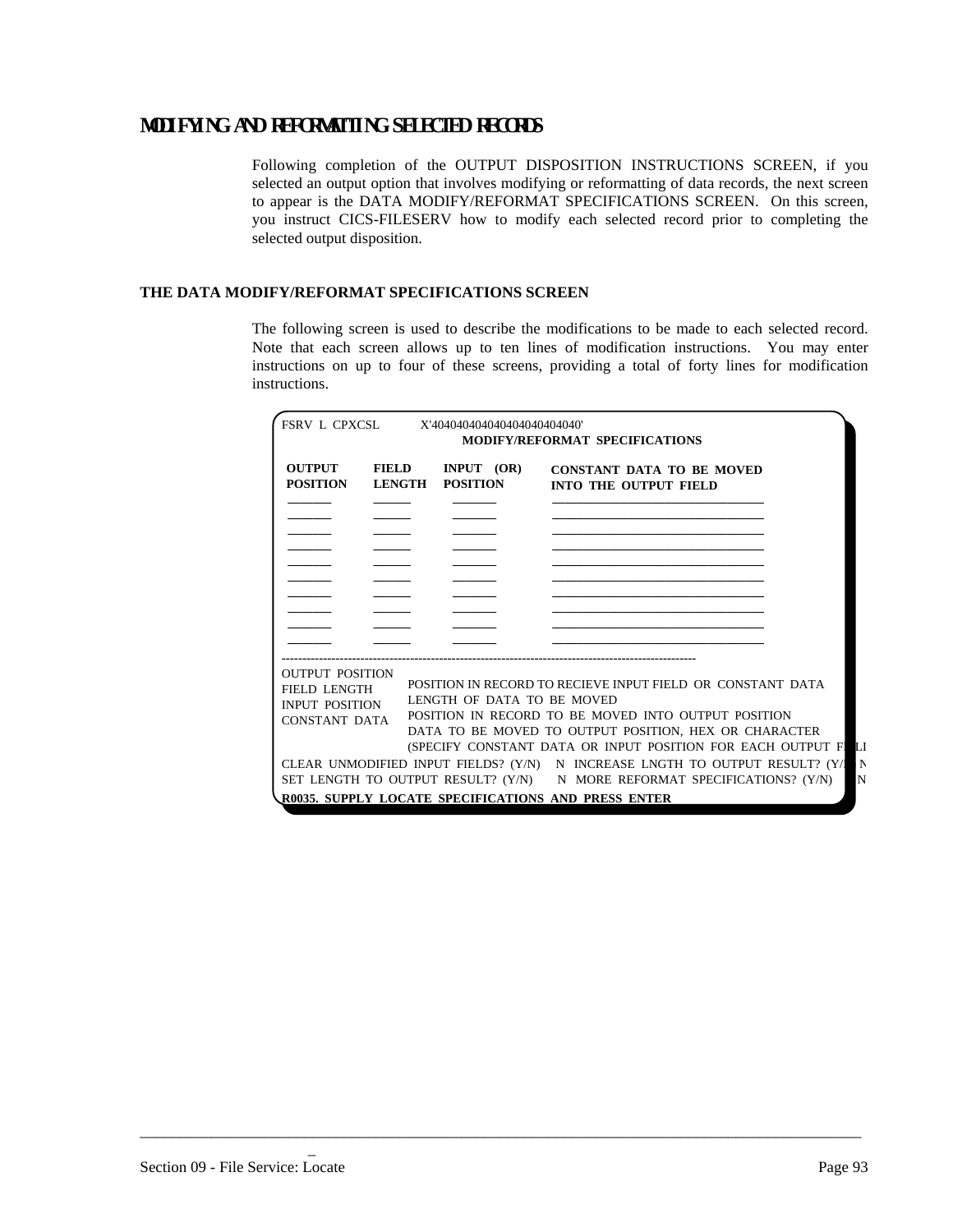# **MODIFYING AND REFORMATTING SELECTED RECORDS**

Following completion of the OUTPUT DISPOSITION INSTRUCTIONS SCREEN, if you selected an output option that involves modifying or reformatting of data records, the next screen to appear is the DATA MODIFY/REFORMAT SPECIFICATIONS SCREEN. On this screen, you instruct CICS-FILESERV how to modify each selected record prior to completing the selected output disposition.

## **THE DATA MODIFY/REFORMAT SPECIFICATIONS SCREEN**

The following screen is used to describe the modifications to be made to each selected record. Note that each screen allows up to ten lines of modification instructions. You may enter instructions on up to four of these screens, providing a total of forty lines for modification instructions.

| FSRV L CPXCSL                    |                               | X'404040404040404040404040'   | MODIFY/REFORMAT SPECIFICATIONS                                               |    |
|----------------------------------|-------------------------------|-------------------------------|------------------------------------------------------------------------------|----|
| <b>OUTPUT</b><br><b>POSITION</b> | <b>FIELD</b><br><b>LENGTH</b> | INPUT (OR)<br><b>POSITION</b> | <b>CONSTANT DATA TO BE MOVED</b><br><b>INTO THE OUTPUT FIELD</b>             |    |
|                                  |                               |                               |                                                                              |    |
|                                  |                               |                               |                                                                              |    |
|                                  |                               |                               |                                                                              |    |
|                                  |                               |                               |                                                                              |    |
|                                  |                               |                               |                                                                              |    |
|                                  |                               |                               |                                                                              |    |
| <b>OUTPUT POSITION</b>           |                               |                               |                                                                              |    |
| FIELD LENGTH                     |                               |                               | POSITION IN RECORD TO RECIEVE INPUT FIELD OR CONSTANT DATA                   |    |
| <b>INPUT POSITION</b>            |                               | LENGTH OF DATA TO BE MOVED    |                                                                              |    |
| CONSTANT DATA                    |                               |                               | POSITION IN RECORD TO BE MOVED INTO OUTPUT POSITION                          |    |
|                                  |                               |                               | DATA TO BE MOVED TO OUTPUT POSITION, HEX OR CHARACTER                        |    |
|                                  |                               |                               | (SPECIFY CONSTANT DATA OR INPUT POSITION FOR EACH OUTPUT F.                  | IJ |
|                                  |                               |                               | CLEAR UNMODIFIED INPUT FIELDS? (Y/N) N INCREASE LNGTH TO OUTPUT RESULT? (Y/I | I٢ |
|                                  |                               |                               | SET LENGTH TO OUTPUT RESULT? (Y/N) N MORE REFORMAT SPECIFICATIONS? (Y/N)     | N  |
|                                  |                               |                               | R0035. SUPPLY LOCATE SPECIFICATIONS AND PRESS ENTER                          |    |

\_\_\_\_\_\_\_\_\_\_\_\_\_\_\_\_\_\_\_\_\_\_\_\_\_\_\_\_\_\_\_\_\_\_\_\_\_\_\_\_\_\_\_\_\_\_\_\_\_\_\_\_\_\_\_\_\_\_\_\_\_\_\_\_\_\_\_\_\_\_\_\_\_\_\_\_\_\_\_\_\_\_\_\_\_\_\_\_\_\_\_\_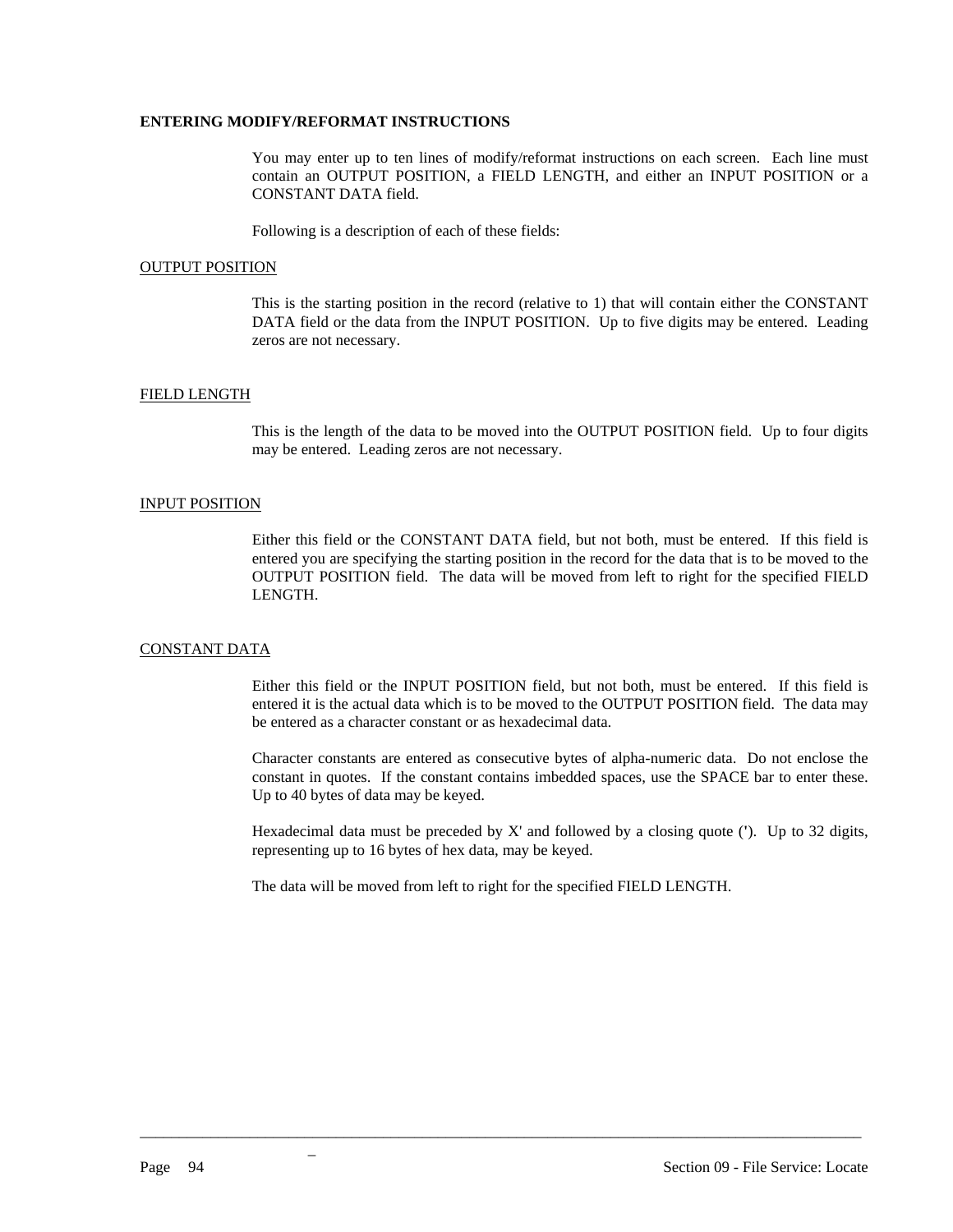### **ENTERING MODIFY/REFORMAT INSTRUCTIONS**

You may enter up to ten lines of modify/reformat instructions on each screen. Each line must contain an OUTPUT POSITION, a FIELD LENGTH, and either an INPUT POSITION or a CONSTANT DATA field.

Following is a description of each of these fields:

#### OUTPUT POSITION

This is the starting position in the record (relative to 1) that will contain either the CONSTANT DATA field or the data from the INPUT POSITION. Up to five digits may be entered. Leading zeros are not necessary.

### FIELD LENGTH

 This is the length of the data to be moved into the OUTPUT POSITION field. Up to four digits may be entered. Leading zeros are not necessary.

### INPUT POSITION

 Either this field or the CONSTANT DATA field, but not both, must be entered. If this field is entered you are specifying the starting position in the record for the data that is to be moved to the OUTPUT POSITION field. The data will be moved from left to right for the specified FIELD LENGTH.

## CONSTANT DATA

 Either this field or the INPUT POSITION field, but not both, must be entered. If this field is entered it is the actual data which is to be moved to the OUTPUT POSITION field. The data may be entered as a character constant or as hexadecimal data.

Character constants are entered as consecutive bytes of alpha-numeric data. Do not enclose the constant in quotes. If the constant contains imbedded spaces, use the SPACE bar to enter these. Up to 40 bytes of data may be keyed.

Hexadecimal data must be preceded by X' and followed by a closing quote (**'**). Up to 32 digits, representing up to 16 bytes of hex data, may be keyed.

The data will be moved from left to right for the specified FIELD LENGTH.

\_\_\_\_\_\_\_\_\_\_\_\_\_\_\_\_\_\_\_\_\_\_\_\_\_\_\_\_\_\_\_\_\_\_\_\_\_\_\_\_\_\_\_\_\_\_\_\_\_\_\_\_\_\_\_\_\_\_\_\_\_\_\_\_\_\_\_\_\_\_\_\_\_\_\_\_\_\_\_\_\_\_\_\_\_\_\_\_\_\_\_\_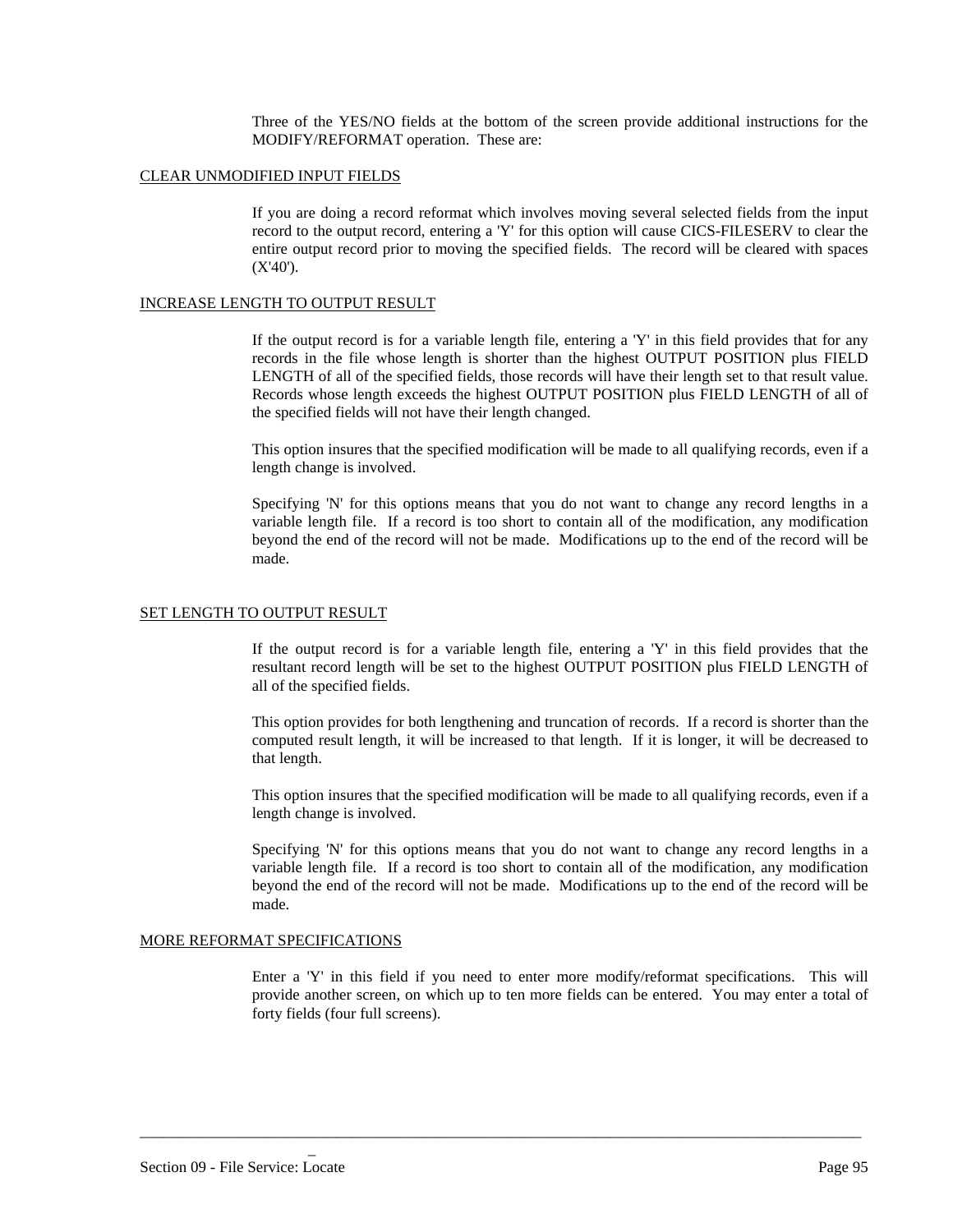Three of the YES/NO fields at the bottom of the screen provide additional instructions for the MODIFY/REFORMAT operation. These are:

#### CLEAR UNMODIFIED INPUT FIELDS

If you are doing a record reformat which involves moving several selected fields from the input record to the output record, entering a 'Y' for this option will cause CICS-FILESERV to clear the entire output record prior to moving the specified fields. The record will be cleared with spaces (X'40').

#### INCREASE LENGTH TO OUTPUT RESULT

If the output record is for a variable length file, entering a 'Y' in this field provides that for any records in the file whose length is shorter than the highest OUTPUT POSITION plus FIELD LENGTH of all of the specified fields, those records will have their length set to that result value. Records whose length exceeds the highest OUTPUT POSITION plus FIELD LENGTH of all of the specified fields will not have their length changed.

This option insures that the specified modification will be made to all qualifying records, even if a length change is involved.

Specifying 'N' for this options means that you do not want to change any record lengths in a variable length file. If a record is too short to contain all of the modification, any modification beyond the end of the record will not be made. Modifications up to the end of the record will be made.

#### SET LENGTH TO OUTPUT RESULT

If the output record is for a variable length file, entering a 'Y' in this field provides that the resultant record length will be set to the highest OUTPUT POSITION plus FIELD LENGTH of all of the specified fields.

This option provides for both lengthening and truncation of records. If a record is shorter than the computed result length, it will be increased to that length. If it is longer, it will be decreased to that length.

This option insures that the specified modification will be made to all qualifying records, even if a length change is involved.

Specifying 'N' for this options means that you do not want to change any record lengths in a variable length file. If a record is too short to contain all of the modification, any modification beyond the end of the record will not be made. Modifications up to the end of the record will be made.

#### MORE REFORMAT SPECIFICATIONS

Enter a 'Y' in this field if you need to enter more modify/reformat specifications. This will provide another screen, on which up to ten more fields can be entered. You may enter a total of forty fields (four full screens).

\_\_\_\_\_\_\_\_\_\_\_\_\_\_\_\_\_\_\_\_\_\_\_\_\_\_\_\_\_\_\_\_\_\_\_\_\_\_\_\_\_\_\_\_\_\_\_\_\_\_\_\_\_\_\_\_\_\_\_\_\_\_\_\_\_\_\_\_\_\_\_\_\_\_\_\_\_\_\_\_\_\_\_\_\_\_\_\_\_\_\_\_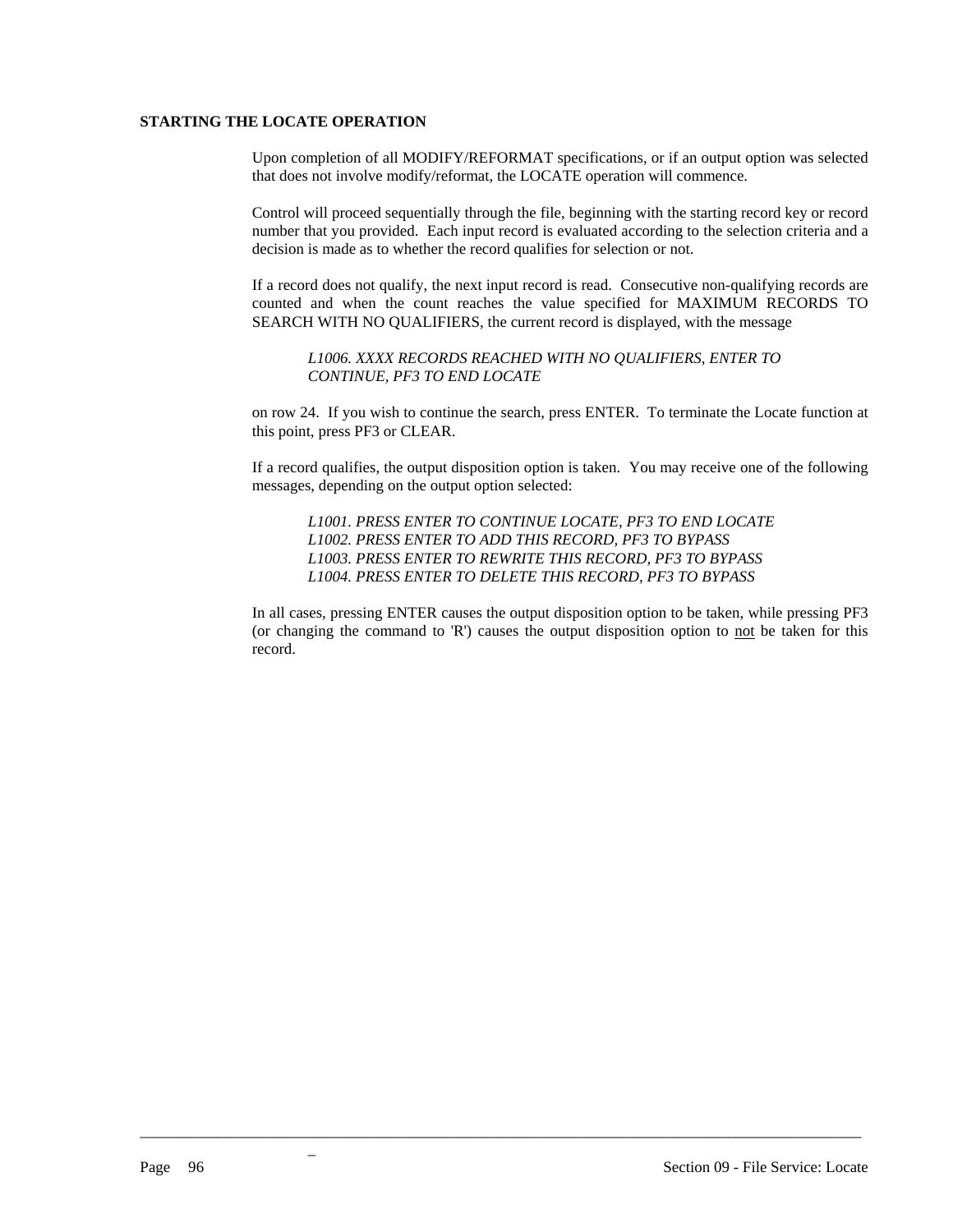## **STARTING THE LOCATE OPERATION**

Upon completion of all MODIFY/REFORMAT specifications, or if an output option was selected that does not involve modify/reformat, the LOCATE operation will commence.

Control will proceed sequentially through the file, beginning with the starting record key or record number that you provided. Each input record is evaluated according to the selection criteria and a decision is made as to whether the record qualifies for selection or not.

If a record does not qualify, the next input record is read. Consecutive non-qualifying records are counted and when the count reaches the value specified for MAXIMUM RECORDS TO SEARCH WITH NO QUALIFIERS, the current record is displayed, with the message

 *L1006. XXXX RECORDS REACHED WITH NO QUALIFIERS, ENTER TO CONTINUE, PF3 TO END LOCATE* 

on row 24. If you wish to continue the search, press ENTER. To terminate the Locate function at this point, press PF3 or CLEAR.

If a record qualifies, the output disposition option is taken. You may receive one of the following messages, depending on the output option selected:

 *L1001. PRESS ENTER TO CONTINUE LOCATE, PF3 TO END LOCATE L1002. PRESS ENTER TO ADD THIS RECORD, PF3 TO BYPASS L1003. PRESS ENTER TO REWRITE THIS RECORD, PF3 TO BYPASS L1004. PRESS ENTER TO DELETE THIS RECORD, PF3 TO BYPASS* 

\_\_\_\_\_\_\_\_\_\_\_\_\_\_\_\_\_\_\_\_\_\_\_\_\_\_\_\_\_\_\_\_\_\_\_\_\_\_\_\_\_\_\_\_\_\_\_\_\_\_\_\_\_\_\_\_\_\_\_\_\_\_\_\_\_\_\_\_\_\_\_\_\_\_\_\_\_\_\_\_\_\_\_\_\_\_\_\_\_\_\_\_

In all cases, pressing ENTER causes the output disposition option to be taken, while pressing PF3 (or changing the command to 'R') causes the output disposition option to not be taken for this record.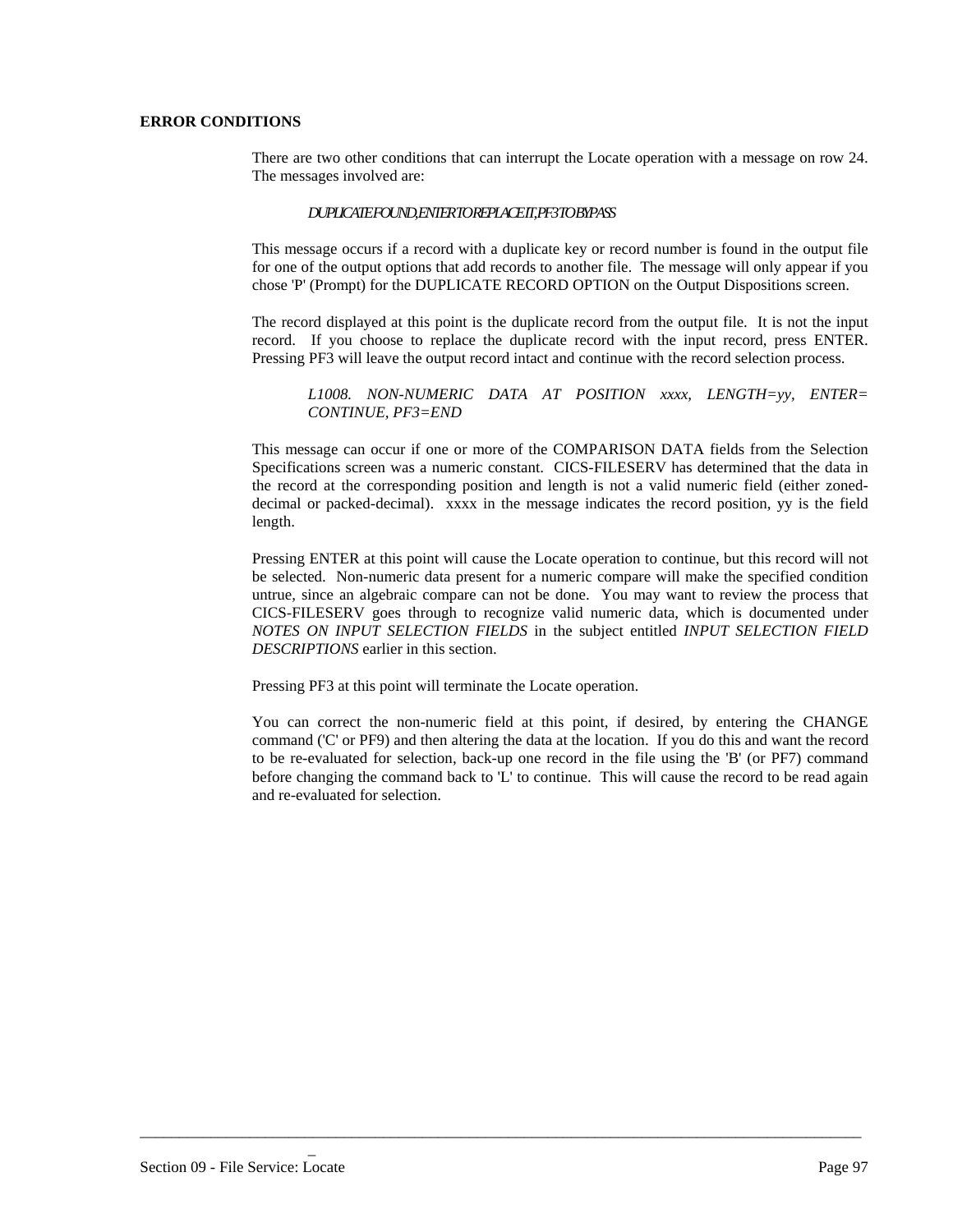#### **ERROR CONDITIONS**

There are two other conditions that can interrupt the Locate operation with a message on row 24. The messages involved are:

#### *DUPLICATE FOUND, ENTER TO REPLACE IT, PF3 TO BYPASS*

This message occurs if a record with a duplicate key or record number is found in the output file for one of the output options that add records to another file. The message will only appear if you chose 'P' (Prompt) for the DUPLICATE RECORD OPTION on the Output Dispositions screen.

The record displayed at this point is the duplicate record from the output file. It is not the input record. If you choose to replace the duplicate record with the input record, press ENTER. Pressing PF3 will leave the output record intact and continue with the record selection process.

 *L1008. NON-NUMERIC DATA AT POSITION xxxx, LENGTH=yy, ENTER= CONTINUE, PF3=END* 

This message can occur if one or more of the COMPARISON DATA fields from the Selection Specifications screen was a numeric constant. CICS-FILESERV has determined that the data in the record at the corresponding position and length is not a valid numeric field (either zoneddecimal or packed-decimal). xxxx in the message indicates the record position, yy is the field length.

Pressing ENTER at this point will cause the Locate operation to continue, but this record will not be selected. Non-numeric data present for a numeric compare will make the specified condition untrue, since an algebraic compare can not be done. You may want to review the process that CICS-FILESERV goes through to recognize valid numeric data, which is documented under *NOTES ON INPUT SELECTION FIELDS* in the subject entitled *INPUT SELECTION FIELD DESCRIPTIONS* earlier in this section.

Pressing PF3 at this point will terminate the Locate operation.

You can correct the non-numeric field at this point, if desired, by entering the CHANGE command ('C' or PF9) and then altering the data at the location. If you do this and want the record to be re-evaluated for selection, back-up one record in the file using the 'B' (or PF7) command before changing the command back to 'L' to continue. This will cause the record to be read again and re-evaluated for selection.

\_\_\_\_\_\_\_\_\_\_\_\_\_\_\_\_\_\_\_\_\_\_\_\_\_\_\_\_\_\_\_\_\_\_\_\_\_\_\_\_\_\_\_\_\_\_\_\_\_\_\_\_\_\_\_\_\_\_\_\_\_\_\_\_\_\_\_\_\_\_\_\_\_\_\_\_\_\_\_\_\_\_\_\_\_\_\_\_\_\_\_\_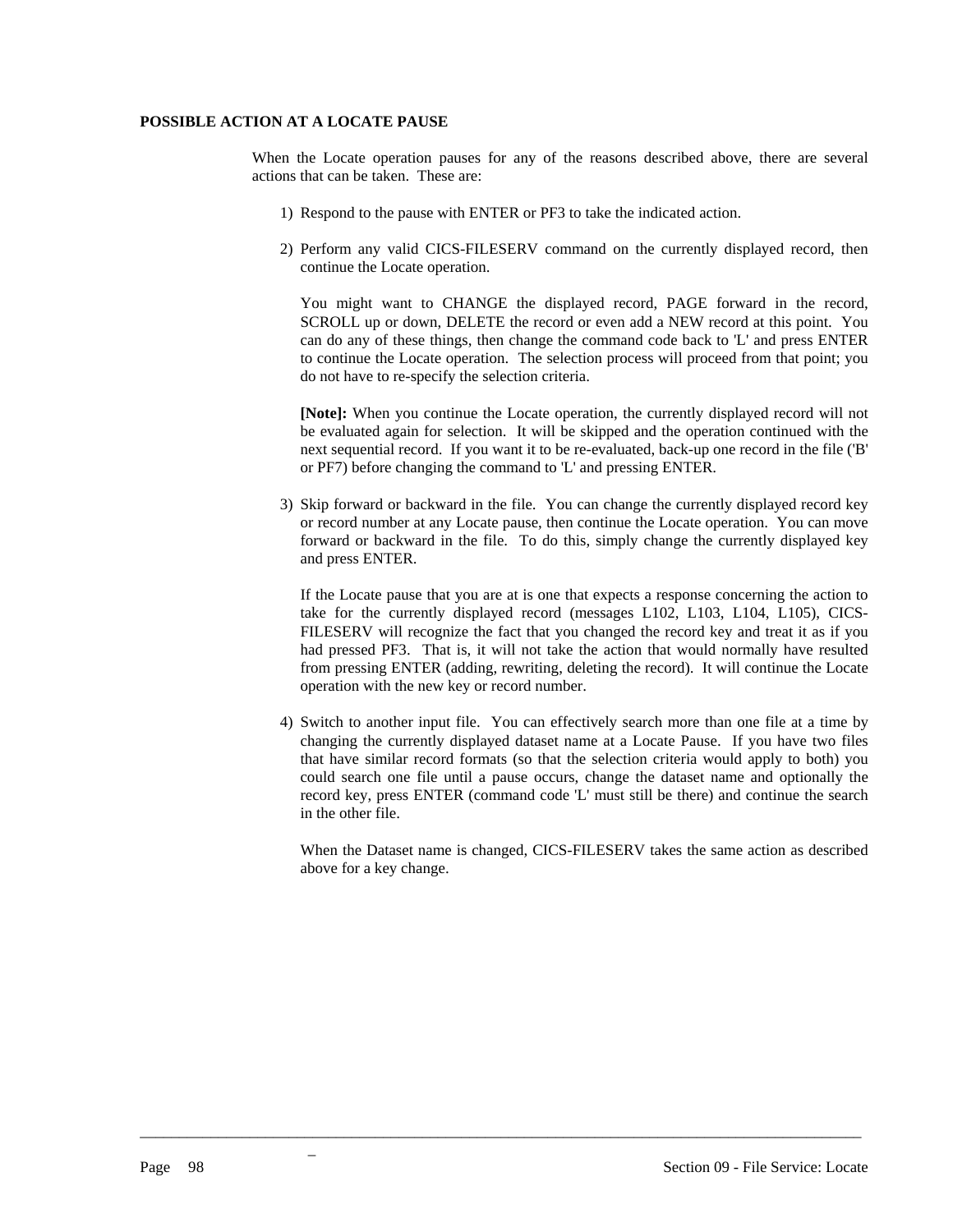## **POSSIBLE ACTION AT A LOCATE PAUSE**

When the Locate operation pauses for any of the reasons described above, there are several actions that can be taken. These are:

- 1) Respond to the pause with ENTER or PF3 to take the indicated action.
- 2) Perform any valid CICS-FILESERV command on the currently displayed record, then continue the Locate operation.

 You might want to CHANGE the displayed record, PAGE forward in the record, SCROLL up or down, DELETE the record or even add a NEW record at this point. You can do any of these things, then change the command code back to 'L' and press ENTER to continue the Locate operation. The selection process will proceed from that point; you do not have to re-specify the selection criteria.

**[Note]:** When you continue the Locate operation, the currently displayed record will not be evaluated again for selection. It will be skipped and the operation continued with the next sequential record. If you want it to be re-evaluated, back-up one record in the file ('B' or PF7) before changing the command to 'L' and pressing ENTER.

3) Skip forward or backward in the file. You can change the currently displayed record key or record number at any Locate pause, then continue the Locate operation. You can move forward or backward in the file. To do this, simply change the currently displayed key and press ENTER.

 If the Locate pause that you are at is one that expects a response concerning the action to take for the currently displayed record (messages L102, L103, L104, L105), CICS-FILESERV will recognize the fact that you changed the record key and treat it as if you had pressed PF3. That is, it will not take the action that would normally have resulted from pressing ENTER (adding, rewriting, deleting the record). It will continue the Locate operation with the new key or record number.

4) Switch to another input file. You can effectively search more than one file at a time by changing the currently displayed dataset name at a Locate Pause. If you have two files that have similar record formats (so that the selection criteria would apply to both) you could search one file until a pause occurs, change the dataset name and optionally the record key, press ENTER (command code 'L' must still be there) and continue the search in the other file.

 When the Dataset name is changed, CICS-FILESERV takes the same action as described above for a key change.

\_\_\_\_\_\_\_\_\_\_\_\_\_\_\_\_\_\_\_\_\_\_\_\_\_\_\_\_\_\_\_\_\_\_\_\_\_\_\_\_\_\_\_\_\_\_\_\_\_\_\_\_\_\_\_\_\_\_\_\_\_\_\_\_\_\_\_\_\_\_\_\_\_\_\_\_\_\_\_\_\_\_\_\_\_\_\_\_\_\_\_\_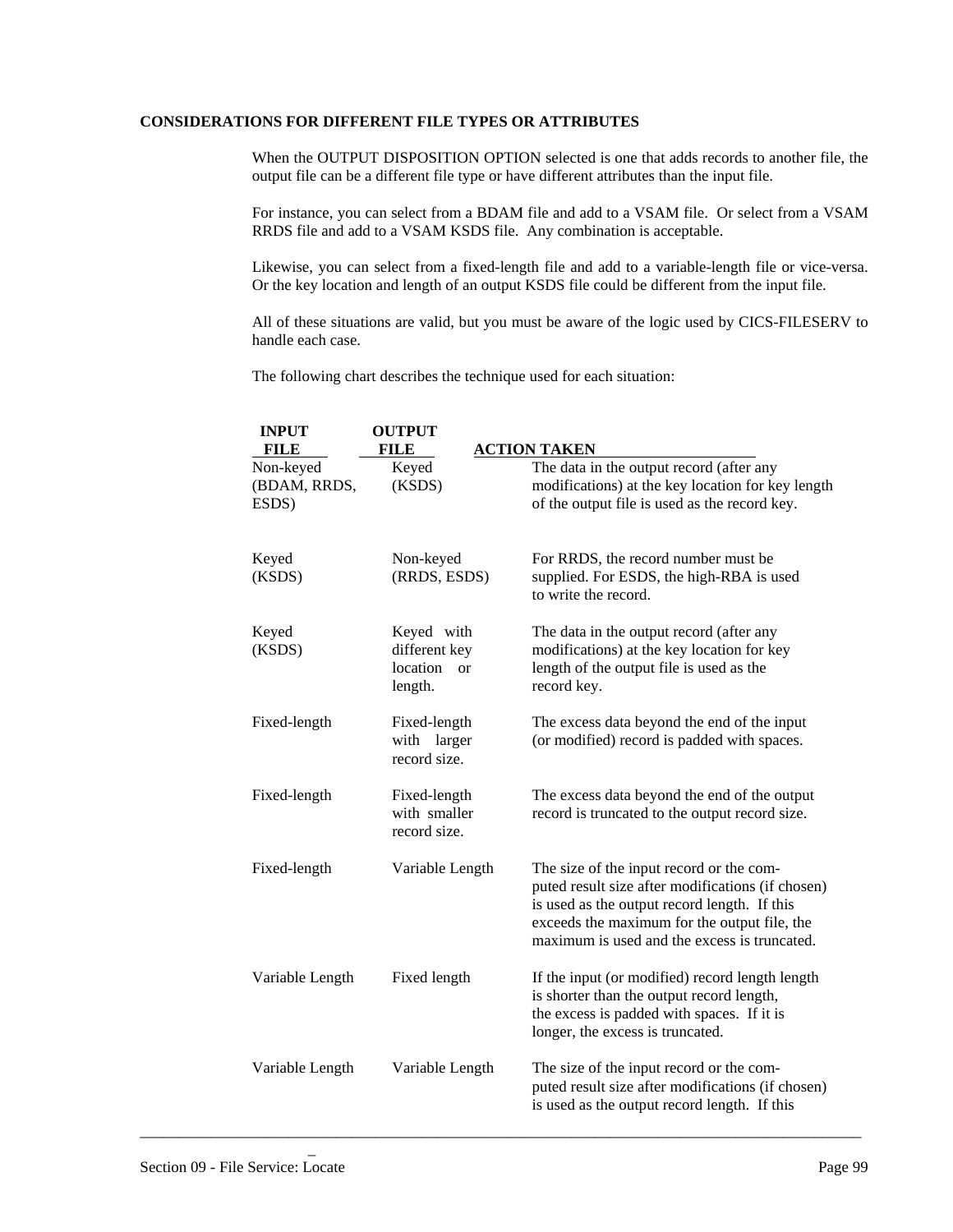## **CONSIDERATIONS FOR DIFFERENT FILE TYPES OR ATTRIBUTES**

When the OUTPUT DISPOSITION OPTION selected is one that adds records to another file, the output file can be a different file type or have different attributes than the input file.

For instance, you can select from a BDAM file and add to a VSAM file. Or select from a VSAM RRDS file and add to a VSAM KSDS file. Any combination is acceptable.

Likewise, you can select from a fixed-length file and add to a variable-length file or vice-versa. Or the key location and length of an output KSDS file could be different from the input file.

All of these situations are valid, but you must be aware of the logic used by CICS-FILESERV to handle each case.

The following chart describes the technique used for each situation:

| <b>INPUT</b>    | <b>OUTPUT</b>         |                                                                  |
|-----------------|-----------------------|------------------------------------------------------------------|
| <b>FILE</b>     | <b>FILE</b>           | <b>ACTION TAKEN</b>                                              |
| Non-keyed       | Keyed                 | The data in the output record (after any                         |
| (BDAM, RRDS,    | (KSDS)                | modifications) at the key location for key length                |
| ESDS)           |                       | of the output file is used as the record key.                    |
|                 |                       |                                                                  |
| Keyed           | Non-keyed             | For RRDS, the record number must be                              |
| (KSDS)          | (RRDS, ESDS)          | supplied. For ESDS, the high-RBA is used<br>to write the record. |
| Keyed           | Keyed with            | The data in the output record (after any                         |
| (KSDS)          | different key         | modifications) at the key location for key                       |
|                 | location<br><b>or</b> | length of the output file is used as the                         |
|                 | length.               | record key.                                                      |
| Fixed-length    | Fixed-length          | The excess data beyond the end of the input                      |
|                 | with<br>larger        | (or modified) record is padded with spaces.                      |
|                 | record size.          |                                                                  |
| Fixed-length    | Fixed-length          | The excess data beyond the end of the output                     |
|                 | with smaller          | record is truncated to the output record size.                   |
|                 | record size.          |                                                                  |
| Fixed-length    | Variable Length       | The size of the input record or the com-                         |
|                 |                       | puted result size after modifications (if chosen)                |
|                 |                       | is used as the output record length. If this                     |
|                 |                       | exceeds the maximum for the output file, the                     |
|                 |                       | maximum is used and the excess is truncated.                     |
| Variable Length | Fixed length          | If the input (or modified) record length length                  |
|                 |                       | is shorter than the output record length,                        |
|                 |                       | the excess is padded with spaces. If it is                       |
|                 |                       | longer, the excess is truncated.                                 |
| Variable Length | Variable Length       | The size of the input record or the com-                         |
|                 |                       | puted result size after modifications (if chosen)                |
|                 |                       | is used as the output record length. If this                     |

\_\_\_\_\_\_\_\_\_\_\_\_\_\_\_\_\_\_\_\_\_\_\_\_\_\_\_\_\_\_\_\_\_\_\_\_\_\_\_\_\_\_\_\_\_\_\_\_\_\_\_\_\_\_\_\_\_\_\_\_\_\_\_\_\_\_\_\_\_\_\_\_\_\_\_\_\_\_\_\_\_\_\_\_\_\_\_\_\_\_\_\_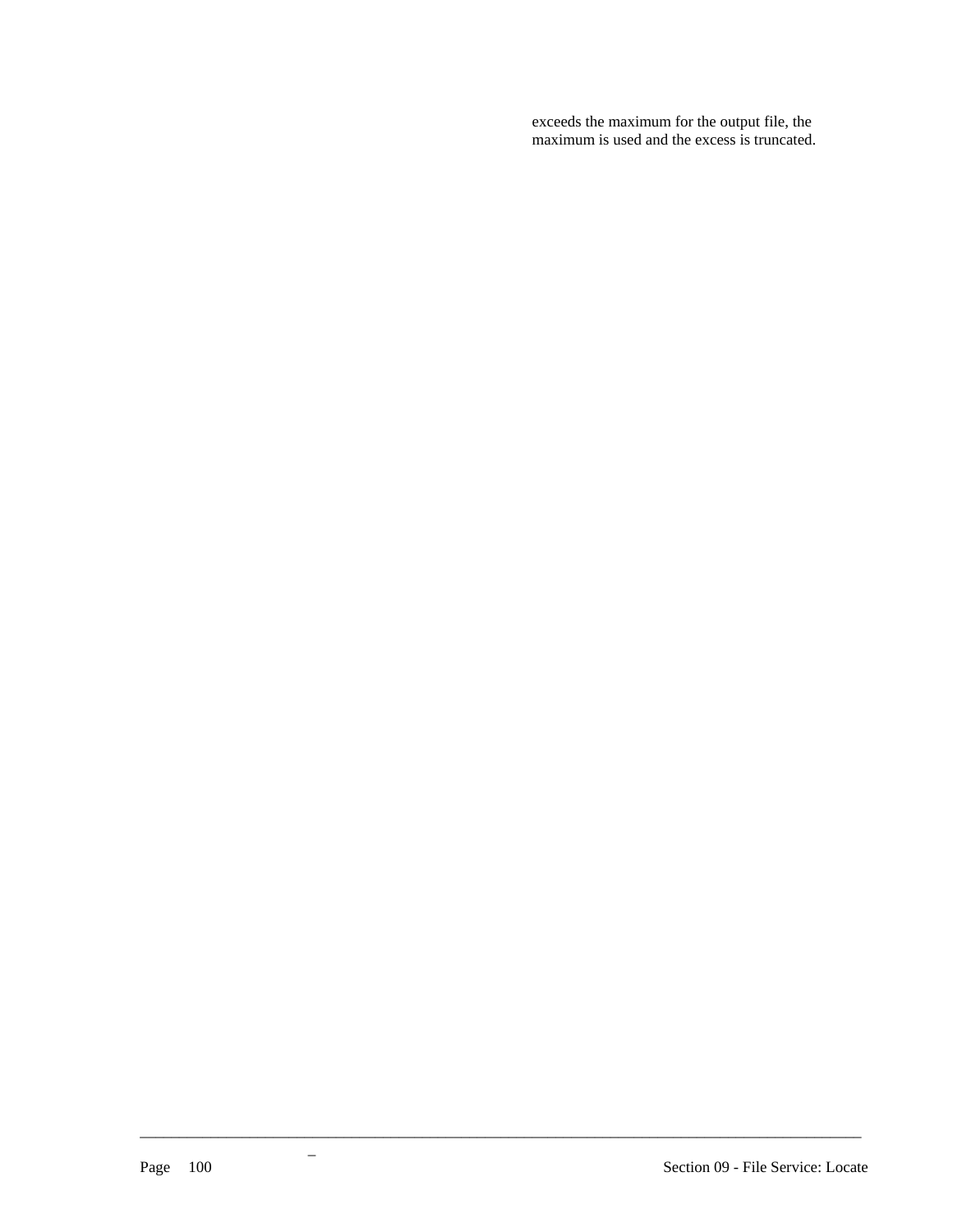exceeds the maximum for the output file, the maximum is used and the excess is truncated.

\_

\_\_\_\_\_\_\_\_\_\_\_\_\_\_\_\_\_\_\_\_\_\_\_\_\_\_\_\_\_\_\_\_\_\_\_\_\_\_\_\_\_\_\_\_\_\_\_\_\_\_\_\_\_\_\_\_\_\_\_\_\_\_\_\_\_\_\_\_\_\_\_\_\_\_\_\_\_\_\_\_\_\_\_\_\_\_\_\_\_\_\_\_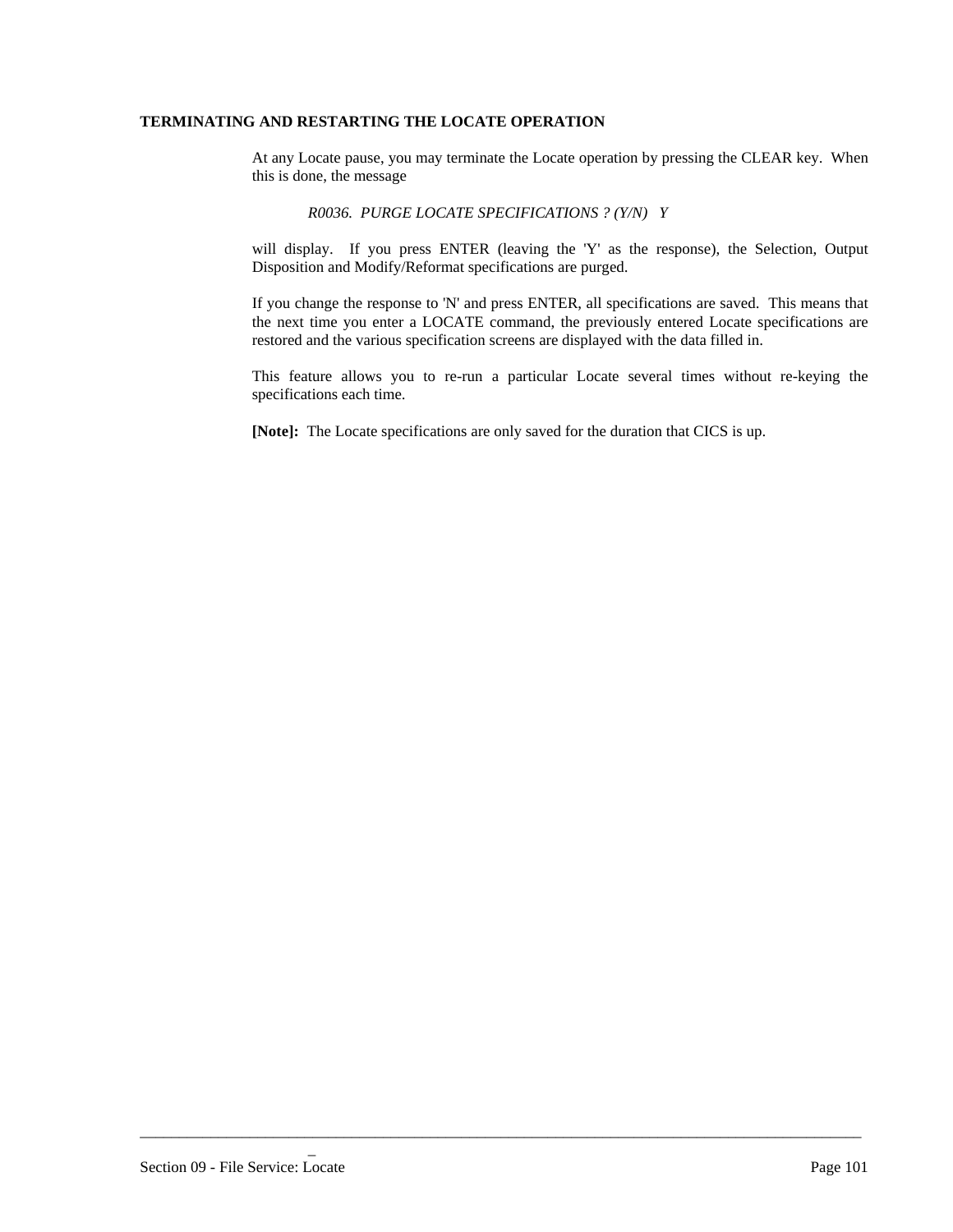## **TERMINATING AND RESTARTING THE LOCATE OPERATION**

At any Locate pause, you may terminate the Locate operation by pressing the CLEAR key. When this is done, the message

 *R0036. PURGE LOCATE SPECIFICATIONS ? (Y/N) Y* 

will display. If you press ENTER (leaving the 'Y' as the response), the Selection, Output Disposition and Modify/Reformat specifications are purged.

If you change the response to 'N' and press ENTER, all specifications are saved. This means that the next time you enter a LOCATE command, the previously entered Locate specifications are restored and the various specification screens are displayed with the data filled in.

This feature allows you to re-run a particular Locate several times without re-keying the specifications each time.

**[Note]:** The Locate specifications are only saved for the duration that CICS is up.

\_\_\_\_\_\_\_\_\_\_\_\_\_\_\_\_\_\_\_\_\_\_\_\_\_\_\_\_\_\_\_\_\_\_\_\_\_\_\_\_\_\_\_\_\_\_\_\_\_\_\_\_\_\_\_\_\_\_\_\_\_\_\_\_\_\_\_\_\_\_\_\_\_\_\_\_\_\_\_\_\_\_\_\_\_\_\_\_\_\_\_\_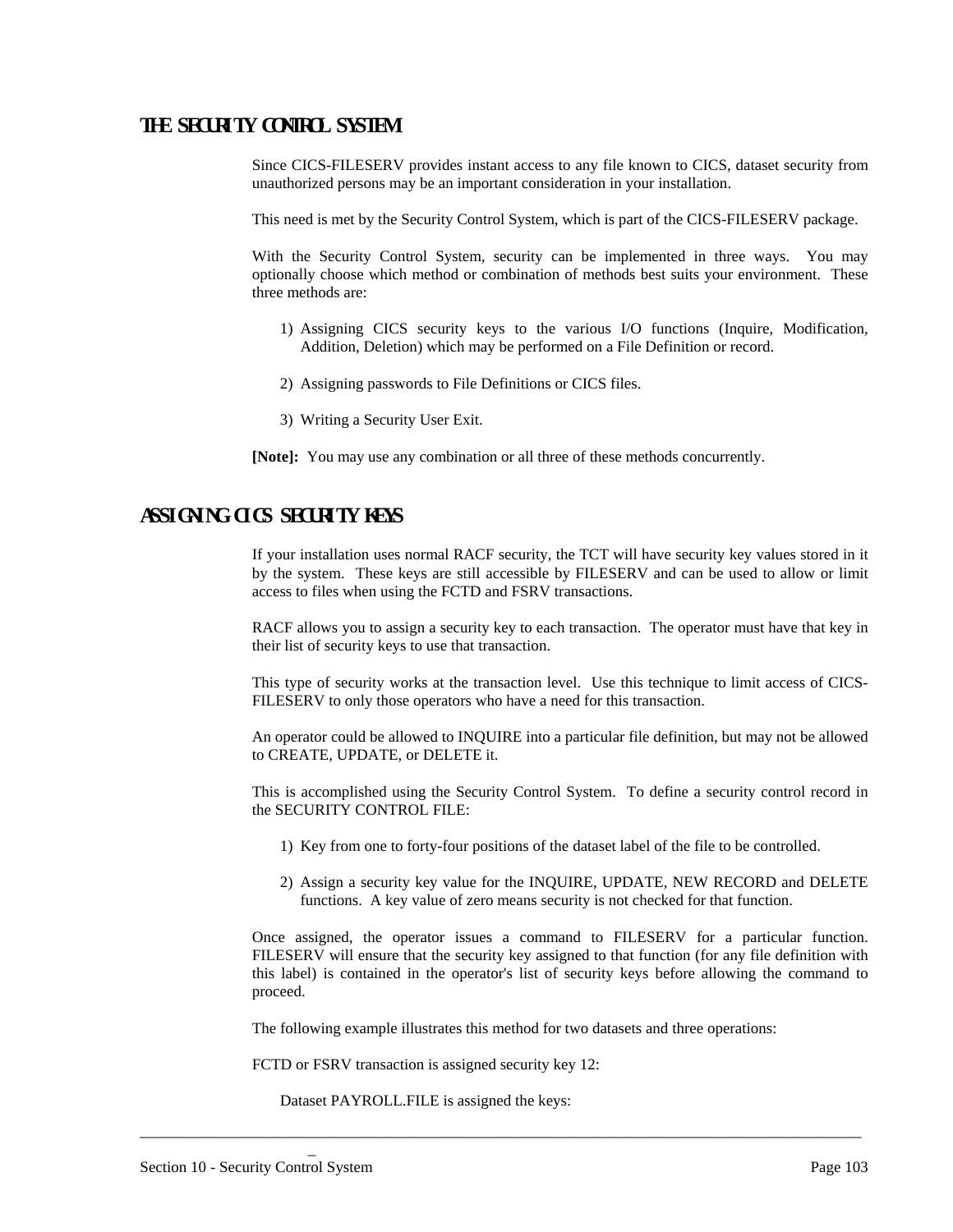# **THE SECURITY CONTROL SYSTEM**

Since CICS-FILESERV provides instant access to any file known to CICS, dataset security from unauthorized persons may be an important consideration in your installation.

This need is met by the Security Control System, which is part of the CICS-FILESERV package.

With the Security Control System, security can be implemented in three ways. You may optionally choose which method or combination of methods best suits your environment. These three methods are:

- 1) Assigning CICS security keys to the various I/O functions (Inquire, Modification, Addition, Deletion) which may be performed on a File Definition or record.
- 2) Assigning passwords to File Definitions or CICS files.
- 3) Writing a Security User Exit.

**[Note]:** You may use any combination or all three of these methods concurrently.

## **ASSIGNING CICS SECURITY KEYS**

If your installation uses normal RACF security, the TCT will have security key values stored in it by the system. These keys are still accessible by FILESERV and can be used to allow or limit access to files when using the FCTD and FSRV transactions.

RACF allows you to assign a security key to each transaction. The operator must have that key in their list of security keys to use that transaction.

This type of security works at the transaction level. Use this technique to limit access of CICS-FILESERV to only those operators who have a need for this transaction.

An operator could be allowed to INQUIRE into a particular file definition, but may not be allowed to CREATE, UPDATE, or DELETE it.

This is accomplished using the Security Control System. To define a security control record in the SECURITY CONTROL FILE:

- 1) Key from one to forty-four positions of the dataset label of the file to be controlled.
- 2) Assign a security key value for the INQUIRE, UPDATE, NEW RECORD and DELETE functions. A key value of zero means security is not checked for that function.

Once assigned, the operator issues a command to FILESERV for a particular function. FILESERV will ensure that the security key assigned to that function (for any file definition with this label) is contained in the operator's list of security keys before allowing the command to proceed.

The following example illustrates this method for two datasets and three operations:

\_\_\_\_\_\_\_\_\_\_\_\_\_\_\_\_\_\_\_\_\_\_\_\_\_\_\_\_\_\_\_\_\_\_\_\_\_\_\_\_\_\_\_\_\_\_\_\_\_\_\_\_\_\_\_\_\_\_\_\_\_\_\_\_\_\_\_\_\_\_\_\_\_\_\_\_\_\_\_\_\_\_\_\_\_\_\_\_\_\_\_\_

FCTD or FSRV transaction is assigned security key 12:

Dataset PAYROLL.FILE is assigned the keys: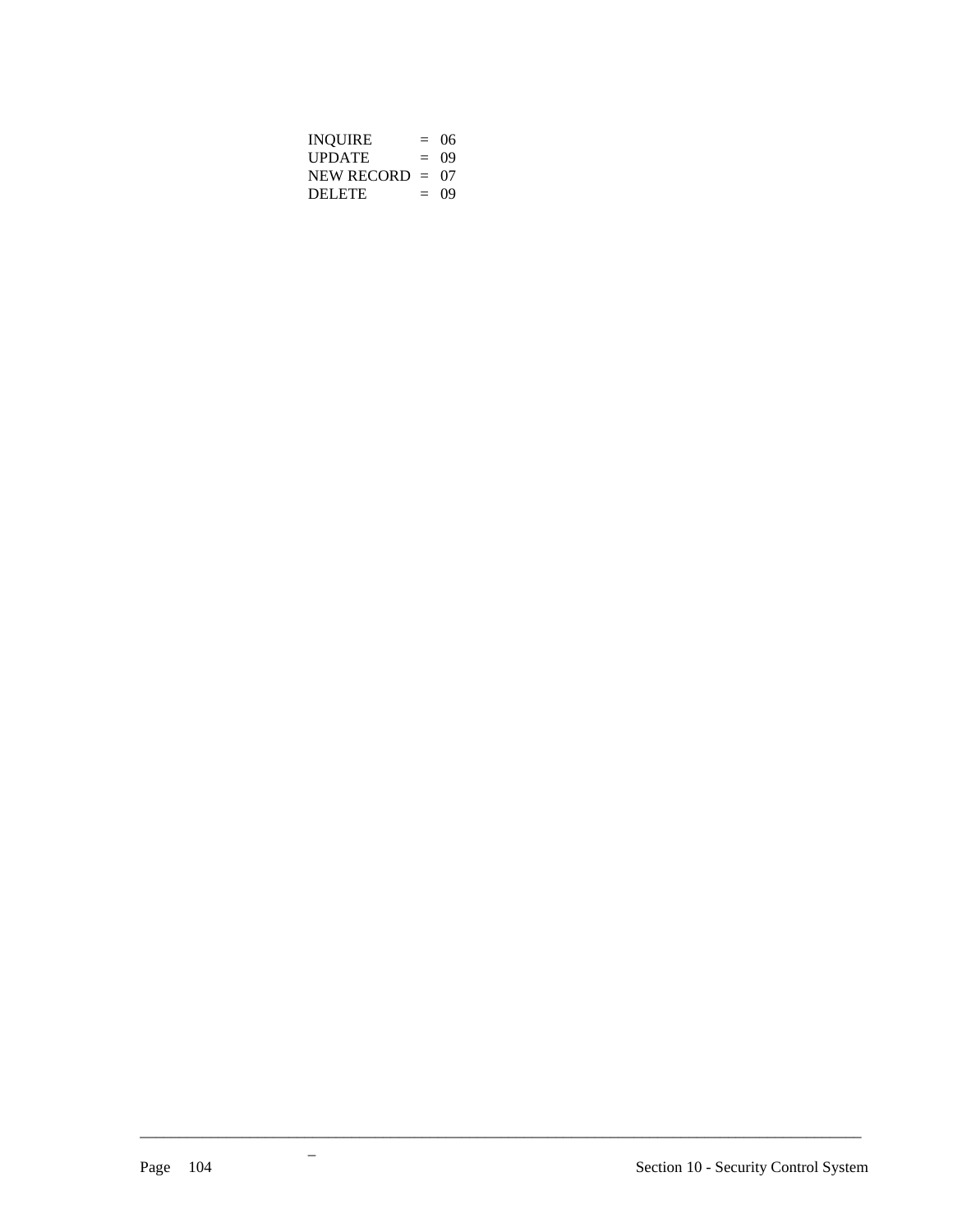| <b>INOUIRE</b>    | $= 06$   |
|-------------------|----------|
| <b>UPDATE</b>     | $= 0.09$ |
| NEW RECORD $= 07$ |          |
| <b>DELETE</b>     | $= 0.09$ |

 $\equiv$ 

\_\_\_\_\_\_\_\_\_\_\_\_\_\_\_\_\_\_\_\_\_\_\_\_\_\_\_\_\_\_\_\_\_\_\_\_\_\_\_\_\_\_\_\_\_\_\_\_\_\_\_\_\_\_\_\_\_\_\_\_\_\_\_\_\_\_\_\_\_\_\_\_\_\_\_\_\_\_\_\_\_\_\_\_\_\_\_\_\_\_\_\_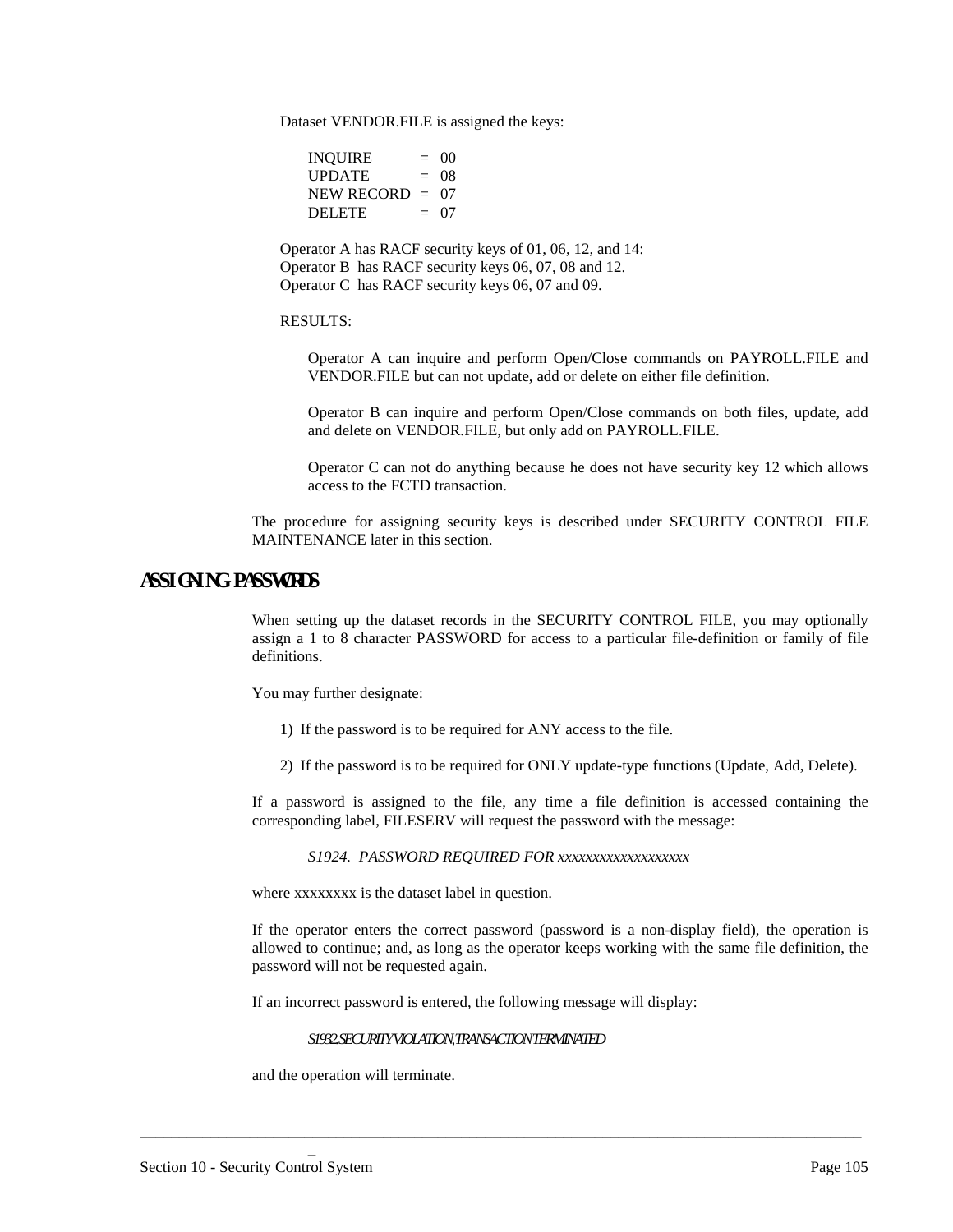Dataset VENDOR.FILE is assigned the keys:

 $INQUIRE = 00$  $UPDATE = 08$ NEW RECORD  $= 07$  $DELETE = 07$ 

Operator A has RACF security keys of 01, 06, 12, and 14: Operator B has RACF security keys 06, 07, 08 and 12. Operator C has RACF security keys 06, 07 and 09.

### RESULTS:

Operator A can inquire and perform Open/Close commands on PAYROLL.FILE and VENDOR.FILE but can not update, add or delete on either file definition.

Operator B can inquire and perform Open/Close commands on both files, update, add and delete on VENDOR.FILE, but only add on PAYROLL.FILE.

Operator C can not do anything because he does not have security key 12 which allows access to the FCTD transaction.

The procedure for assigning security keys is described under SECURITY CONTROL FILE MAINTENANCE later in this section.

## **ASSIGNING PASSWORDS**

When setting up the dataset records in the SECURITY CONTROL FILE, you may optionally assign a 1 to 8 character PASSWORD for access to a particular file-definition or family of file definitions.

You may further designate:

- 1) If the password is to be required for ANY access to the file.
- 2) If the password is to be required for ONLY update-type functions (Update, Add, Delete).

If a password is assigned to the file, any time a file definition is accessed containing the corresponding label, FILESERV will request the password with the message:

 *S1924. PASSWORD REQUIRED FOR xxxxxxxxxxxxxxxxxxx* 

where xxxxxxx is the dataset label in question.

If the operator enters the correct password (password is a non-display field), the operation is allowed to continue; and, as long as the operator keeps working with the same file definition, the password will not be requested again.

If an incorrect password is entered, the following message will display:

\_\_\_\_\_\_\_\_\_\_\_\_\_\_\_\_\_\_\_\_\_\_\_\_\_\_\_\_\_\_\_\_\_\_\_\_\_\_\_\_\_\_\_\_\_\_\_\_\_\_\_\_\_\_\_\_\_\_\_\_\_\_\_\_\_\_\_\_\_\_\_\_\_\_\_\_\_\_\_\_\_\_\_\_\_\_\_\_\_\_\_\_

#### *S1932. SECURITY VIOLATION, TRANSACTION TERMINATED*

and the operation will terminate.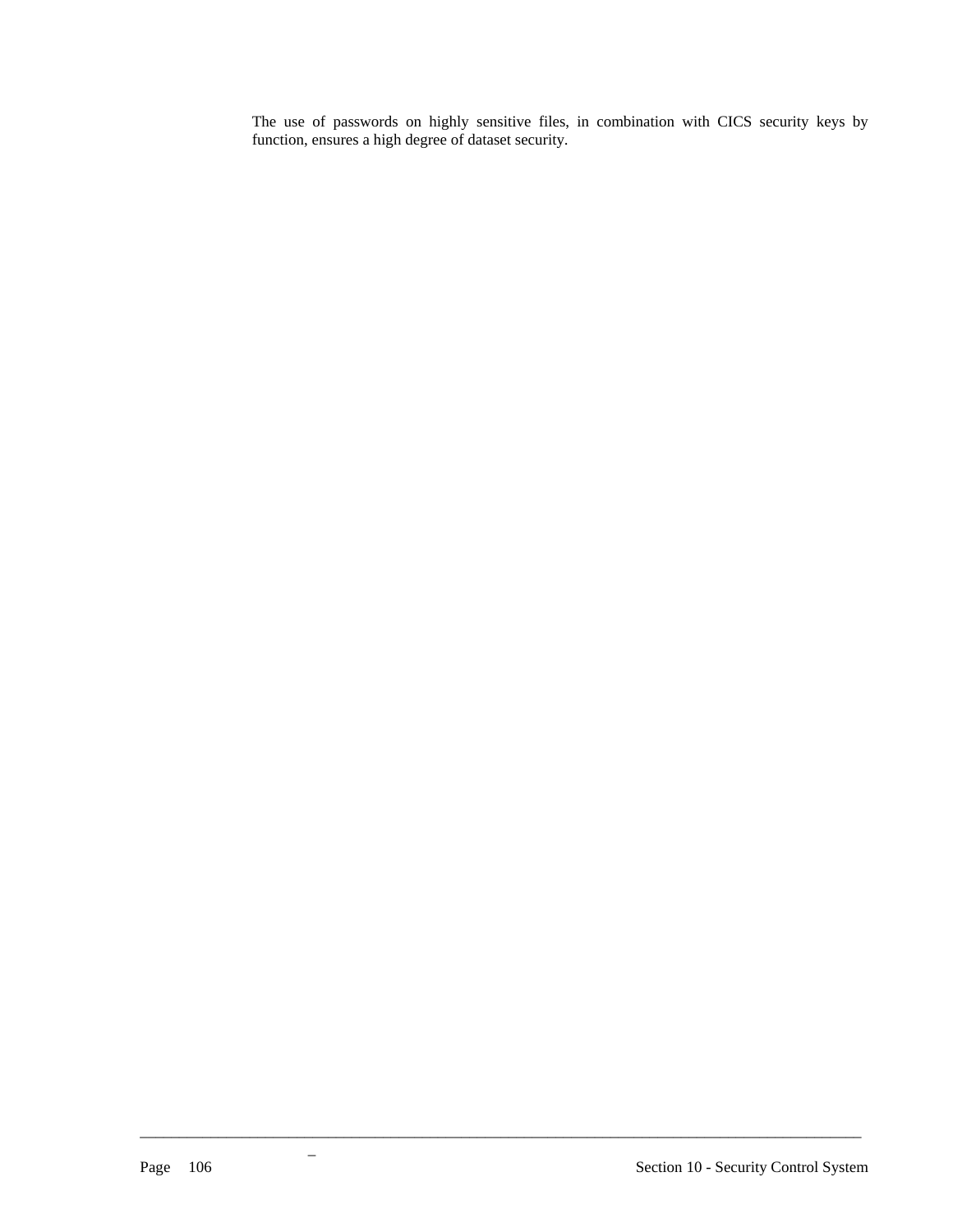The use of passwords on highly sensitive files, in combination with CICS security keys by function, ensures a high degree of dataset security.

 $\equiv$ 

\_\_\_\_\_\_\_\_\_\_\_\_\_\_\_\_\_\_\_\_\_\_\_\_\_\_\_\_\_\_\_\_\_\_\_\_\_\_\_\_\_\_\_\_\_\_\_\_\_\_\_\_\_\_\_\_\_\_\_\_\_\_\_\_\_\_\_\_\_\_\_\_\_\_\_\_\_\_\_\_\_\_\_\_\_\_\_\_\_\_\_\_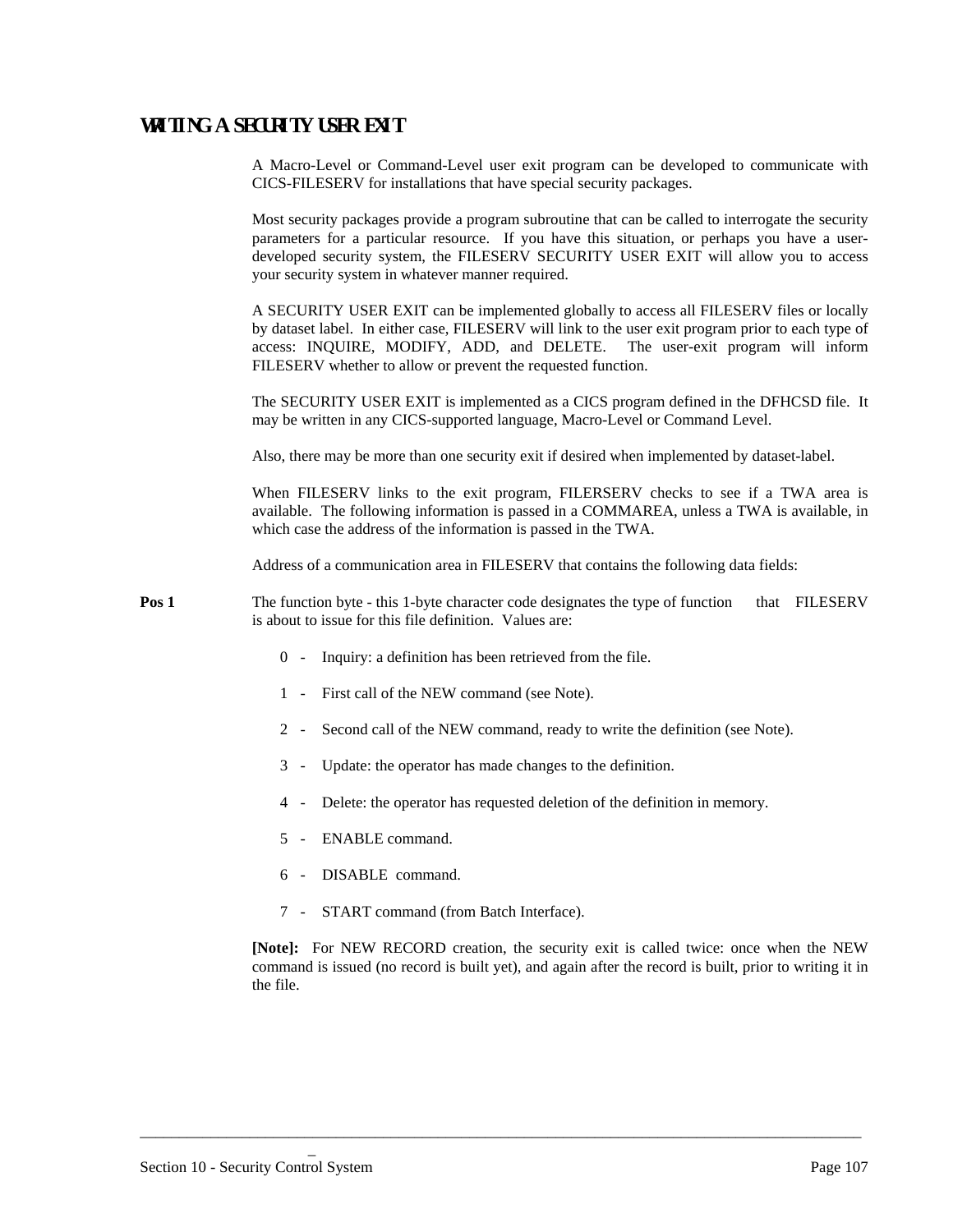## **WRITING A SECURITY USER EXIT**

A Macro-Level or Command-Level user exit program can be developed to communicate with CICS-FILESERV for installations that have special security packages.

Most security packages provide a program subroutine that can be called to interrogate the security parameters for a particular resource. If you have this situation, or perhaps you have a userdeveloped security system, the FILESERV SECURITY USER EXIT will allow you to access your security system in whatever manner required.

A SECURITY USER EXIT can be implemented globally to access all FILESERV files or locally by dataset label. In either case, FILESERV will link to the user exit program prior to each type of access: INQUIRE, MODIFY, ADD, and DELETE. The user-exit program will inform FILESERV whether to allow or prevent the requested function.

The SECURITY USER EXIT is implemented as a CICS program defined in the DFHCSD file. It may be written in any CICS-supported language, Macro-Level or Command Level.

Also, there may be more than one security exit if desired when implemented by dataset-label.

When FILESERV links to the exit program, FILERSERV checks to see if a TWA area is available. The following information is passed in a COMMAREA, unless a TWA is available, in which case the address of the information is passed in the TWA.

Address of a communication area in FILESERV that contains the following data fields:

**Pos 1** The function byte - this 1-byte character code designates the type of function that FILESERV is about to issue for this file definition. Values are:

- 0 Inquiry: a definition has been retrieved from the file.
- 1 First call of the NEW command (see Note).
- 2 Second call of the NEW command, ready to write the definition (see Note).
- 3 Update: the operator has made changes to the definition.
- 4 Delete: the operator has requested deletion of the definition in memory.

\_\_\_\_\_\_\_\_\_\_\_\_\_\_\_\_\_\_\_\_\_\_\_\_\_\_\_\_\_\_\_\_\_\_\_\_\_\_\_\_\_\_\_\_\_\_\_\_\_\_\_\_\_\_\_\_\_\_\_\_\_\_\_\_\_\_\_\_\_\_\_\_\_\_\_\_\_\_\_\_\_\_\_\_\_\_\_\_\_\_\_\_

- 5 ENABLE command.
- 6 DISABLE command.
- 7 START command (from Batch Interface).

**[Note]:** For NEW RECORD creation, the security exit is called twice: once when the NEW command is issued (no record is built yet), and again after the record is built, prior to writing it in the file.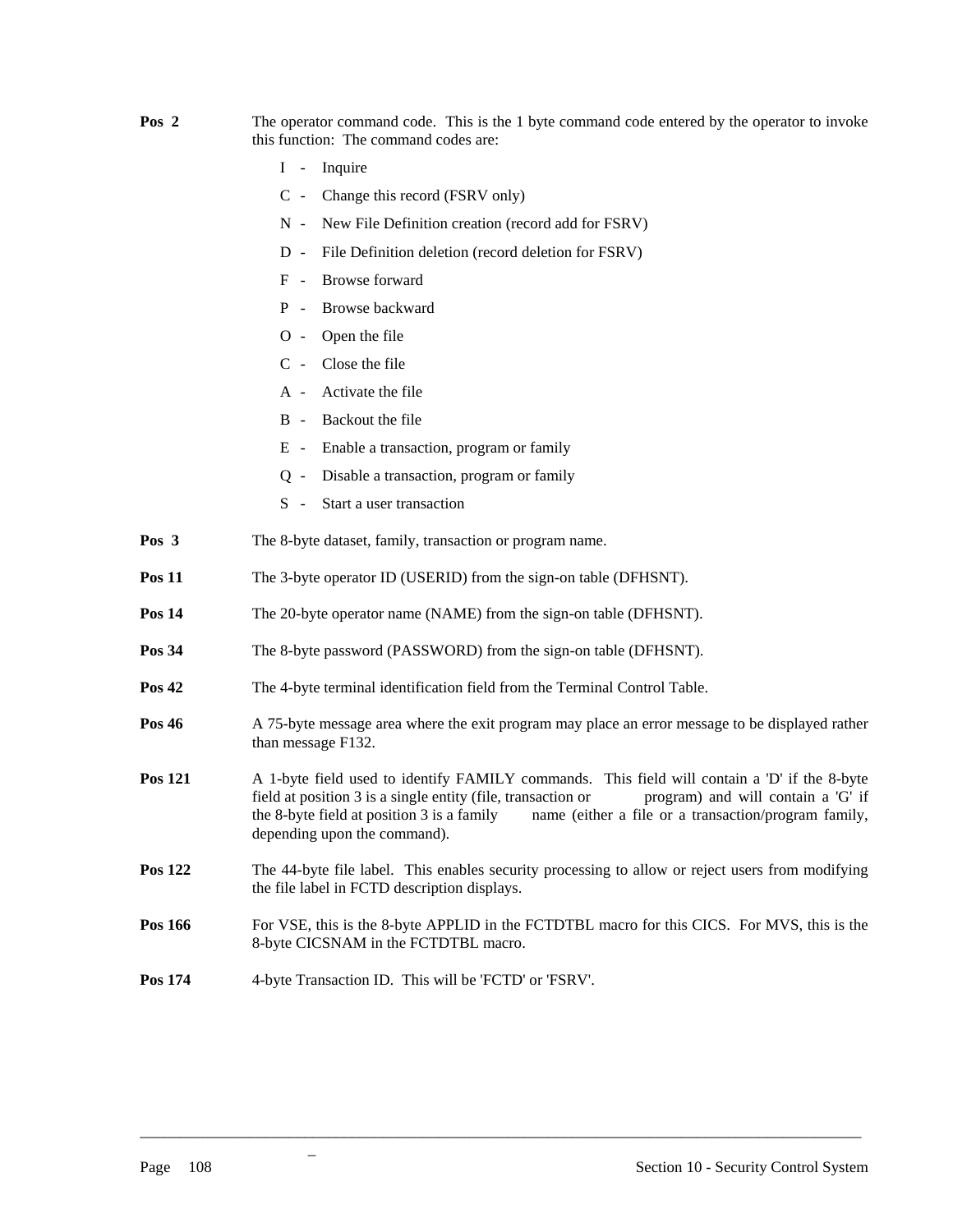- **Pos 2** The operator command code. This is the 1 byte command code entered by the operator to invoke this function: The command codes are:
	- I Inquire
	- C Change this record (FSRV only)
	- N New File Definition creation (record add for FSRV)
	- D File Definition deletion (record deletion for FSRV)
	- F Browse forward
	- P Browse backward
	- O Open the file
	- C Close the file
	- A Activate the file
	- B Backout the file
	- E Enable a transaction, program or family
	- Q Disable a transaction, program or family
	- S Start a user transaction
- **Pos 3** The 8-byte dataset, family, transaction or program name.
- **Pos 11** The 3-byte operator ID (USERID) from the sign-on table (DFHSNT).
- **Pos 14** The 20-byte operator name (NAME) from the sign-on table (DFHSNT).
- **Pos 34** The 8-byte password (PASSWORD) from the sign-on table (DFHSNT).
- **Pos 42** The 4-byte terminal identification field from the Terminal Control Table.
- **Pos 46** A 75-byte message area where the exit program may place an error message to be displayed rather than message F132.
- **Pos 121** A 1-byte field used to identify FAMILY commands. This field will contain a 'D' if the 8-byte field at position 3 is a single entity (file, transaction or program) and will contain a 'G' if name (either a file or a transaction/program family, depending upon the command).
- **Pos 122** The 44-byte file label. This enables security processing to allow or reject users from modifying the file label in FCTD description displays.
- **Pos 166** For VSE, this is the 8-byte APPLID in the FCTDTBL macro for this CICS. For MVS, this is the 8-byte CICSNAM in the FCTDTBL macro.

\_\_\_\_\_\_\_\_\_\_\_\_\_\_\_\_\_\_\_\_\_\_\_\_\_\_\_\_\_\_\_\_\_\_\_\_\_\_\_\_\_\_\_\_\_\_\_\_\_\_\_\_\_\_\_\_\_\_\_\_\_\_\_\_\_\_\_\_\_\_\_\_\_\_\_\_\_\_\_\_\_\_\_\_\_\_\_\_\_\_\_\_

**Pos 174** 4-byte Transaction ID. This will be 'FCTD' or 'FSRV'.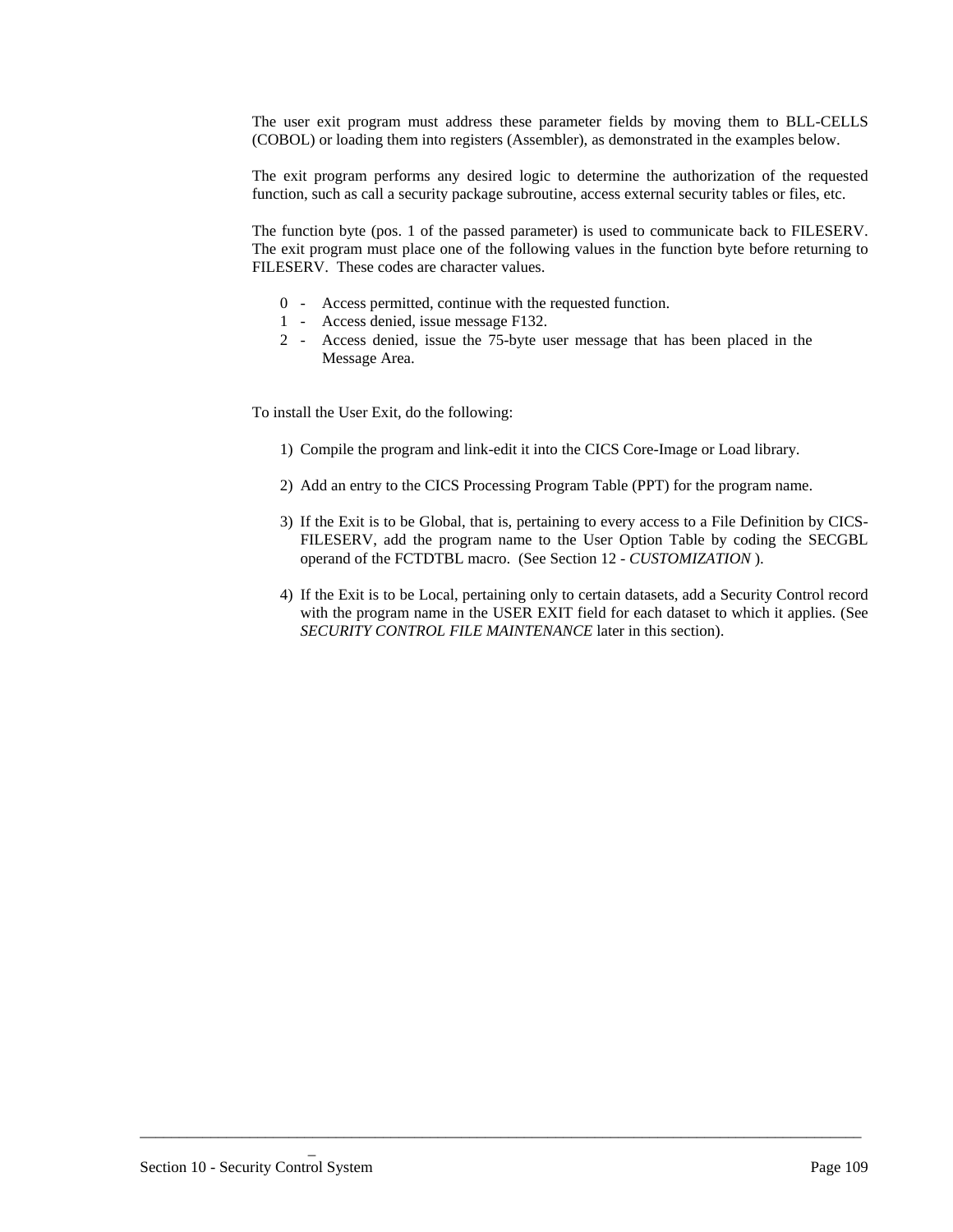The user exit program must address these parameter fields by moving them to BLL-CELLS (COBOL) or loading them into registers (Assembler), as demonstrated in the examples below.

The exit program performs any desired logic to determine the authorization of the requested function, such as call a security package subroutine, access external security tables or files, etc.

The function byte (pos. 1 of the passed parameter) is used to communicate back to FILESERV. The exit program must place one of the following values in the function byte before returning to FILESERV. These codes are character values.

- 0 Access permitted, continue with the requested function.
- 1 Access denied, issue message F132.
- 2 Access denied, issue the 75-byte user message that has been placed in the Message Area.

To install the User Exit, do the following:

- 1) Compile the program and link-edit it into the CICS Core-Image or Load library.
- 2) Add an entry to the CICS Processing Program Table (PPT) for the program name.

\_\_\_\_\_\_\_\_\_\_\_\_\_\_\_\_\_\_\_\_\_\_\_\_\_\_\_\_\_\_\_\_\_\_\_\_\_\_\_\_\_\_\_\_\_\_\_\_\_\_\_\_\_\_\_\_\_\_\_\_\_\_\_\_\_\_\_\_\_\_\_\_\_\_\_\_\_\_\_\_\_\_\_\_\_\_\_\_\_\_\_\_

- 3) If the Exit is to be Global, that is, pertaining to every access to a File Definition by CICS-FILESERV, add the program name to the User Option Table by coding the SECGBL operand of the FCTDTBL macro. (See Section 12 - *CUSTOMIZATION* ).
- 4) If the Exit is to be Local, pertaining only to certain datasets, add a Security Control record with the program name in the USER EXIT field for each dataset to which it applies. (See *SECURITY CONTROL FILE MAINTENANCE* later in this section).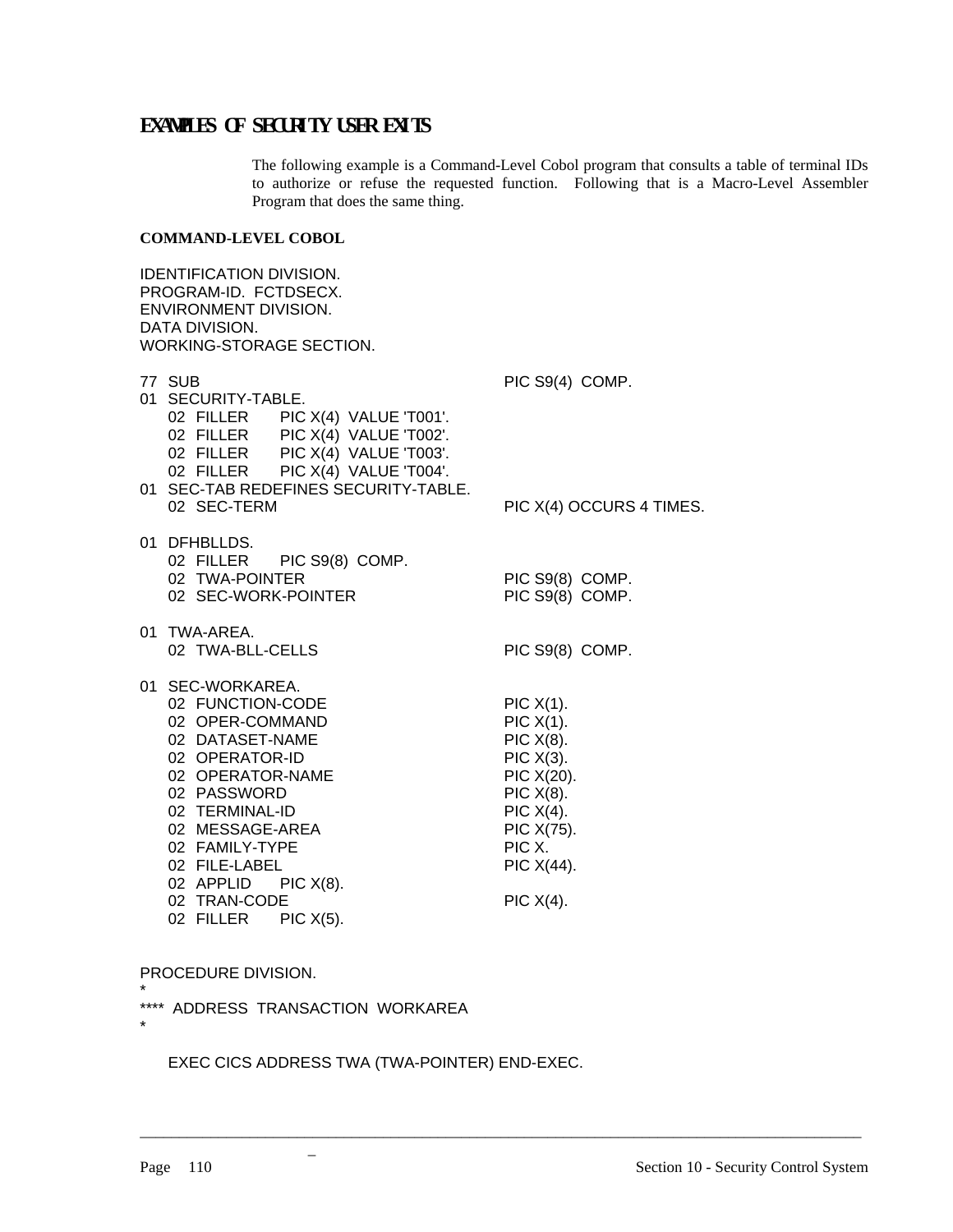# **EXAMPLES OF SECURITY USER EXITS**

The following example is a Command-Level Cobol program that consults a table of terminal IDs to authorize or refuse the requested function. Following that is a Macro-Level Assembler Program that does the same thing.

### **COMMAND-LEVEL COBOL**

| <b>IDENTIFICATION DIVISION.</b><br>PROGRAM-ID. FCTDSECX.<br>ENVIRONMENT DIVISION.<br>DATA DIVISION.<br>WORKING-STORAGE SECTION.                                                                                                                |                                                                                                                                                            |
|------------------------------------------------------------------------------------------------------------------------------------------------------------------------------------------------------------------------------------------------|------------------------------------------------------------------------------------------------------------------------------------------------------------|
| 77 SUB<br>01 SECURITY-TABLE.<br>02 FILLER PIC X(4) VALUE 'T001'.<br>02 FILLER PIC X(4) VALUE 'T002'.<br>02 FILLER PIC X(4) VALUE 'T003'.<br>02 FILLER PIC X(4) VALUE 'T004'.                                                                   | PIC S9(4) COMP.                                                                                                                                            |
| 01 SEC-TAB REDEFINES SECURITY-TABLE.<br>02 SEC-TERM                                                                                                                                                                                            | PIC X(4) OCCURS 4 TIMES.                                                                                                                                   |
| 01 DFHBLLDS.<br>02 FILLER<br>PIC S9(8) COMP.<br>02 TWA-POINTER<br>02 SEC-WORK-POINTER                                                                                                                                                          | PIC S9(8) COMP.<br>PIC S9(8) COMP.                                                                                                                         |
| 01 TWA-AREA.<br>02 TWA-BLL-CELLS                                                                                                                                                                                                               | PIC S9(8) COMP.                                                                                                                                            |
| 01 SEC-WORKAREA.<br>02 FUNCTION-CODE<br>02 OPER-COMMAND<br>02 DATASET-NAME<br>02 OPERATOR-ID<br>02 OPERATOR-NAME<br>02 PASSWORD<br>02 TERMINAL-ID<br>02 MESSAGE-AREA<br>02 FAMILY-TYPE<br>02 FILE-LABEL<br>02 APPLID PIC X(8).<br>02 TRAN-CODE | PIC X(1).<br>PIC X(1).<br>PIC $X(8)$ .<br>$PIC X(3)$ .<br>PIC X(20).<br>PIC $X(8)$ .<br>PIC $X(4)$ .<br>PIC X(75).<br>PIC X.<br>PIC X(44).<br>PIC $X(4)$ . |
| $PIC X(5)$ .<br>02 FILLER                                                                                                                                                                                                                      |                                                                                                                                                            |

PROCEDURE DIVISION.

\* \*\*\*\* ADDRESS TRANSACTION WORKAREA

 $\overline{a}$ 

EXEC CICS ADDRESS TWA (TWA-POINTER) END-EXEC.

\_\_\_\_\_\_\_\_\_\_\_\_\_\_\_\_\_\_\_\_\_\_\_\_\_\_\_\_\_\_\_\_\_\_\_\_\_\_\_\_\_\_\_\_\_\_\_\_\_\_\_\_\_\_\_\_\_\_\_\_\_\_\_\_\_\_\_\_\_\_\_\_\_\_\_\_\_\_\_\_\_\_\_\_\_\_\_\_\_\_\_\_

\*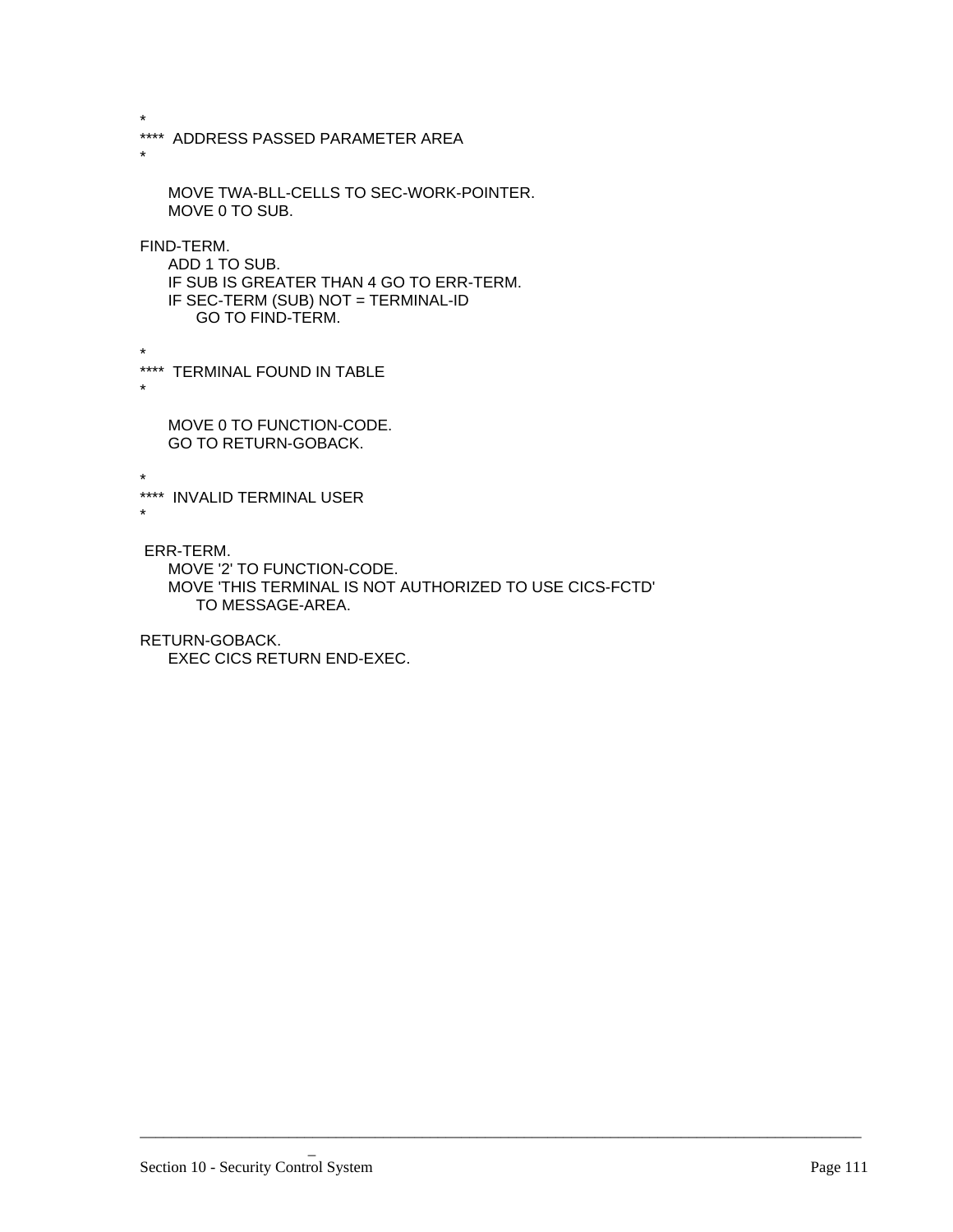\*

\*\*\*\* ADDRESS PASSED PARAMETER AREA

\*

 MOVE TWA-BLL-CELLS TO SEC-WORK-POINTER. MOVE 0 TO SUB.

FIND-TERM.

 ADD 1 TO SUB. IF SUB IS GREATER THAN 4 GO TO ERR-TERM. IF SEC-TERM (SUB) NOT = TERMINAL-ID GO TO FIND-TERM.

\*

\*\*\*\* TERMINAL FOUND IN TABLE

\*

 MOVE 0 TO FUNCTION-CODE. GO TO RETURN-GOBACK.

\*

\*\*\*\* INVALID TERMINAL USER \*

ERR-TERM.

 MOVE '2' TO FUNCTION-CODE. MOVE 'THIS TERMINAL IS NOT AUTHORIZED TO USE CICS-FCTD' TO MESSAGE-AREA.

\_\_\_\_\_\_\_\_\_\_\_\_\_\_\_\_\_\_\_\_\_\_\_\_\_\_\_\_\_\_\_\_\_\_\_\_\_\_\_\_\_\_\_\_\_\_\_\_\_\_\_\_\_\_\_\_\_\_\_\_\_\_\_\_\_\_\_\_\_\_\_\_\_\_\_\_\_\_\_\_\_\_\_\_\_\_\_\_\_\_\_\_

RETURN-GOBACK.

EXEC CICS RETURN END-EXEC.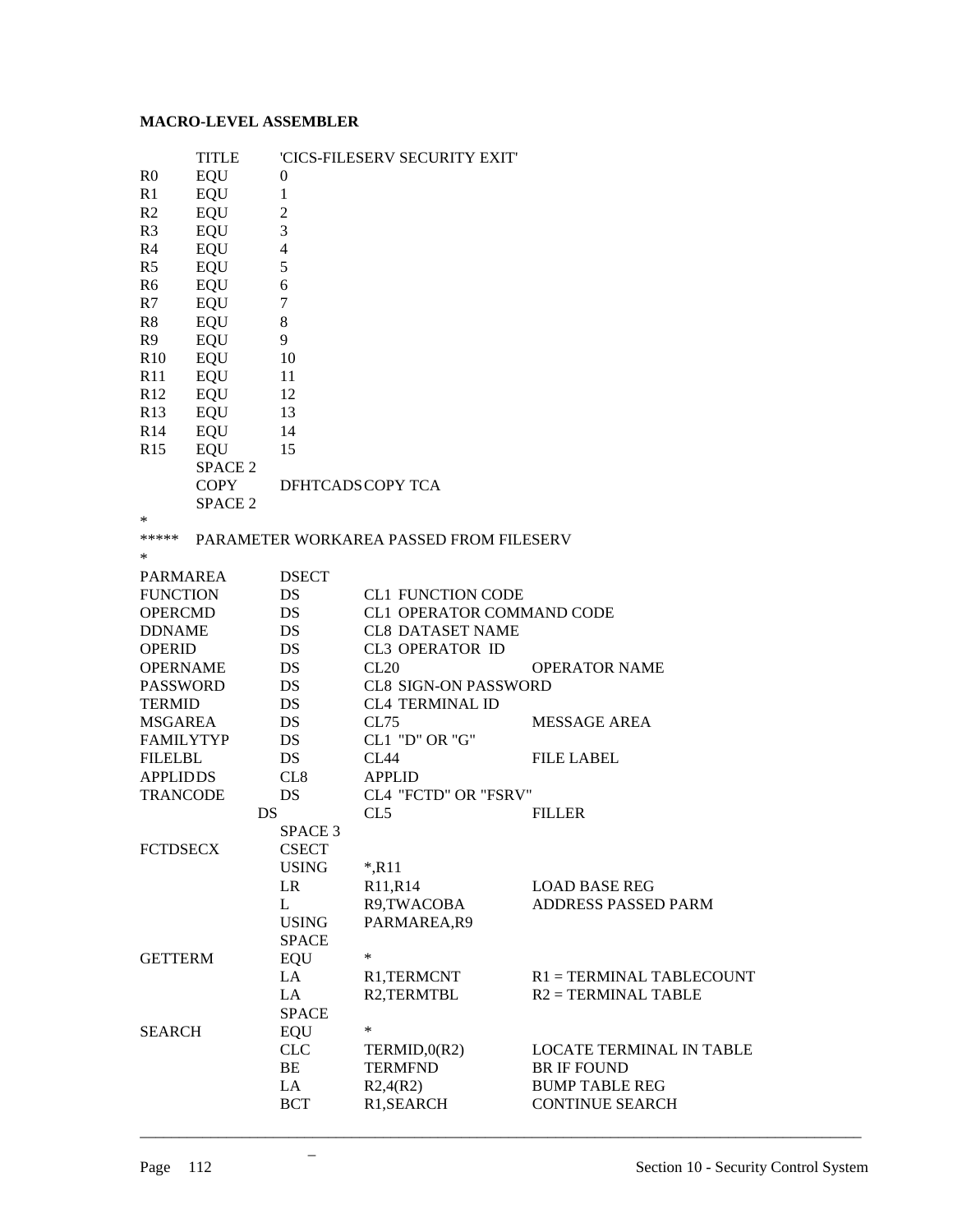## **MACRO-LEVEL ASSEMBLER**

|                  | <b>TITLE</b>       |                 | 'CICS-FILESERV SECURITY EXIT'           |                            |
|------------------|--------------------|-----------------|-----------------------------------------|----------------------------|
| R <sub>0</sub>   | EQU                | $\theta$        |                                         |                            |
| R1               | EQU                | 1               |                                         |                            |
| R2               | EQU                | $\mathfrak{2}$  |                                         |                            |
| R <sub>3</sub>   | EQU                | 3               |                                         |                            |
| R <sub>4</sub>   | EQU                | $\overline{4}$  |                                         |                            |
| R <sub>5</sub>   | EQU                | 5               |                                         |                            |
| R <sub>6</sub>   | EQU                | 6               |                                         |                            |
| R7               | EQU                | $\overline{7}$  |                                         |                            |
| R8               | EQU                | 8               |                                         |                            |
| R9               | EQU                | 9               |                                         |                            |
| R10              | EQU                | 10              |                                         |                            |
| R11              | EQU                | 11              |                                         |                            |
| R12              | EQU                | 12              |                                         |                            |
| R13              | EQU                | 13              |                                         |                            |
| R14              | EQU                | 14              |                                         |                            |
| R15              | EQU                | 15              |                                         |                            |
|                  | SPACE 2            |                 |                                         |                            |
|                  | <b>COPY</b>        |                 | DEHTCADSCOPY TCA                        |                            |
|                  | SPACE <sub>2</sub> |                 |                                         |                            |
| ∗                |                    |                 |                                         |                            |
| *****            |                    |                 | PARAMETER WORKAREA PASSED FROM FILESERV |                            |
| *                |                    |                 |                                         |                            |
| PARMAREA         |                    | <b>DSECT</b>    |                                         |                            |
| <b>FUNCTION</b>  |                    | DS              | <b>CL1 FUNCTION CODE</b>                |                            |
| <b>OPERCMD</b>   |                    | DS              | <b>CL1 OPERATOR COMMAND CODE</b>        |                            |
| <b>DDNAME</b>    |                    | DS              | <b>CL8 DATASET NAME</b>                 |                            |
| <b>OPERID</b>    |                    | DS              | <b>CL3 OPERATOR ID</b>                  |                            |
| <b>OPERNAME</b>  |                    | DS              | CL20                                    | <b>OPERATOR NAME</b>       |
| <b>PASSWORD</b>  |                    | DS              | <b>CL8 SIGN-ON PASSWORD</b>             |                            |
| <b>TERMID</b>    |                    | DS              | <b>CL4 TERMINAL ID</b>                  |                            |
| <b>MSGAREA</b>   |                    | DS              | CL75                                    | <b>MESSAGE AREA</b>        |
| <b>FAMILYTYP</b> |                    | DS              | CL1 "D" OR "G"                          |                            |
| <b>FILELBL</b>   |                    | DS              | CL <sub>44</sub>                        | <b>FILE LABEL</b>          |
| <b>APPLIDDS</b>  |                    | CL <sub>8</sub> | <b>APPLID</b>                           |                            |
| <b>TRANCODE</b>  |                    | DS              | <b>CL4 "FCTD" OR "FSRV"</b>             |                            |
|                  | DS                 |                 | CL <sub>5</sub>                         | <b>FILLER</b>              |
|                  |                    | SPACE 3         |                                         |                            |
| <b>FCTDSECX</b>  |                    | <b>CSECT</b>    |                                         |                            |
|                  |                    | <b>USING</b>    | $*, R11$                                |                            |
|                  |                    | LR              | R <sub>11</sub> ,R <sub>14</sub>        | <b>LOAD BASE REG</b>       |
|                  |                    | L               | R9,TWACOBA                              | ADDRESS PASSED PARM        |
|                  |                    | <b>USING</b>    | PARMAREA, R9                            |                            |
|                  |                    | <b>SPACE</b>    |                                         |                            |
| <b>GETTERM</b>   |                    | EQU             | $\ast$                                  |                            |
|                  |                    | LA              | R1,TERMCNT                              | $R1 = TERMINAL TABLECOUNT$ |
|                  |                    | LA              | R <sub>2</sub> , TERMTBL                | $R2 = TERMINAL TABLE$      |
|                  |                    | <b>SPACE</b>    |                                         |                            |
| <b>SEARCH</b>    |                    | EQU             | $\ast$                                  |                            |
|                  |                    | <b>CLC</b>      | TERMID, 0(R2)                           | LOCATE TERMINAL IN TABLE   |
|                  |                    | BE              | <b>TERMFND</b>                          | <b>BR IF FOUND</b>         |
|                  |                    | LA              | R2,4(R2)                                | <b>BUMP TABLE REG</b>      |
|                  |                    | <b>BCT</b>      | R1, SEARCH                              | <b>CONTINUE SEARCH</b>     |

\_\_\_\_\_\_\_\_\_\_\_\_\_\_\_\_\_\_\_\_\_\_\_\_\_\_\_\_\_\_\_\_\_\_\_\_\_\_\_\_\_\_\_\_\_\_\_\_\_\_\_\_\_\_\_\_\_\_\_\_\_\_\_\_\_\_\_\_\_\_\_\_\_\_\_\_\_\_\_\_\_\_\_\_\_\_\_\_\_\_\_\_

 $\equiv$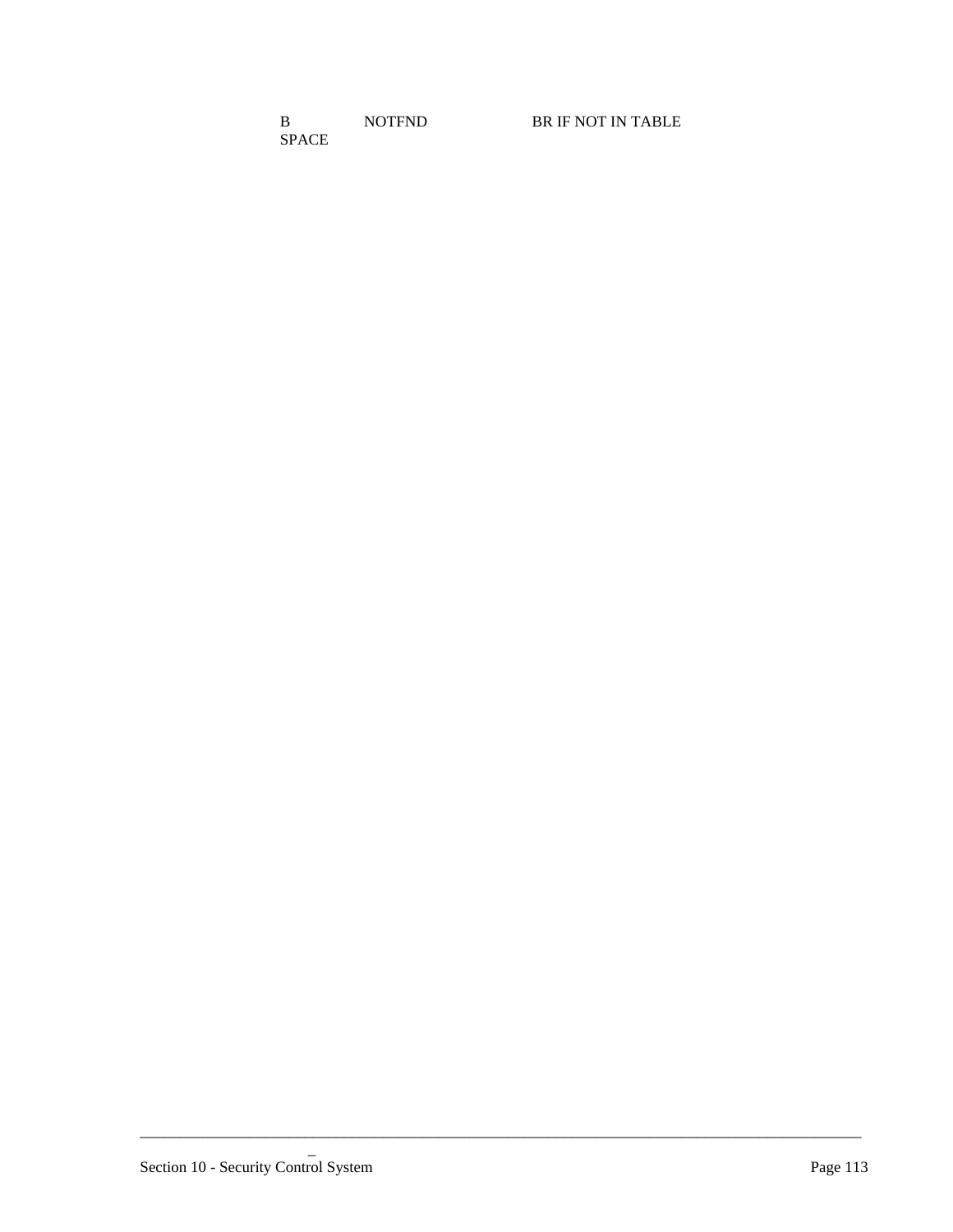SPACE

 $\overline{a}$ 

\_\_\_\_\_\_\_\_\_\_\_\_\_\_\_\_\_\_\_\_\_\_\_\_\_\_\_\_\_\_\_\_\_\_\_\_\_\_\_\_\_\_\_\_\_\_\_\_\_\_\_\_\_\_\_\_\_\_\_\_\_\_\_\_\_\_\_\_\_\_\_\_\_\_\_\_\_\_\_\_\_\_\_\_\_\_\_\_\_\_\_\_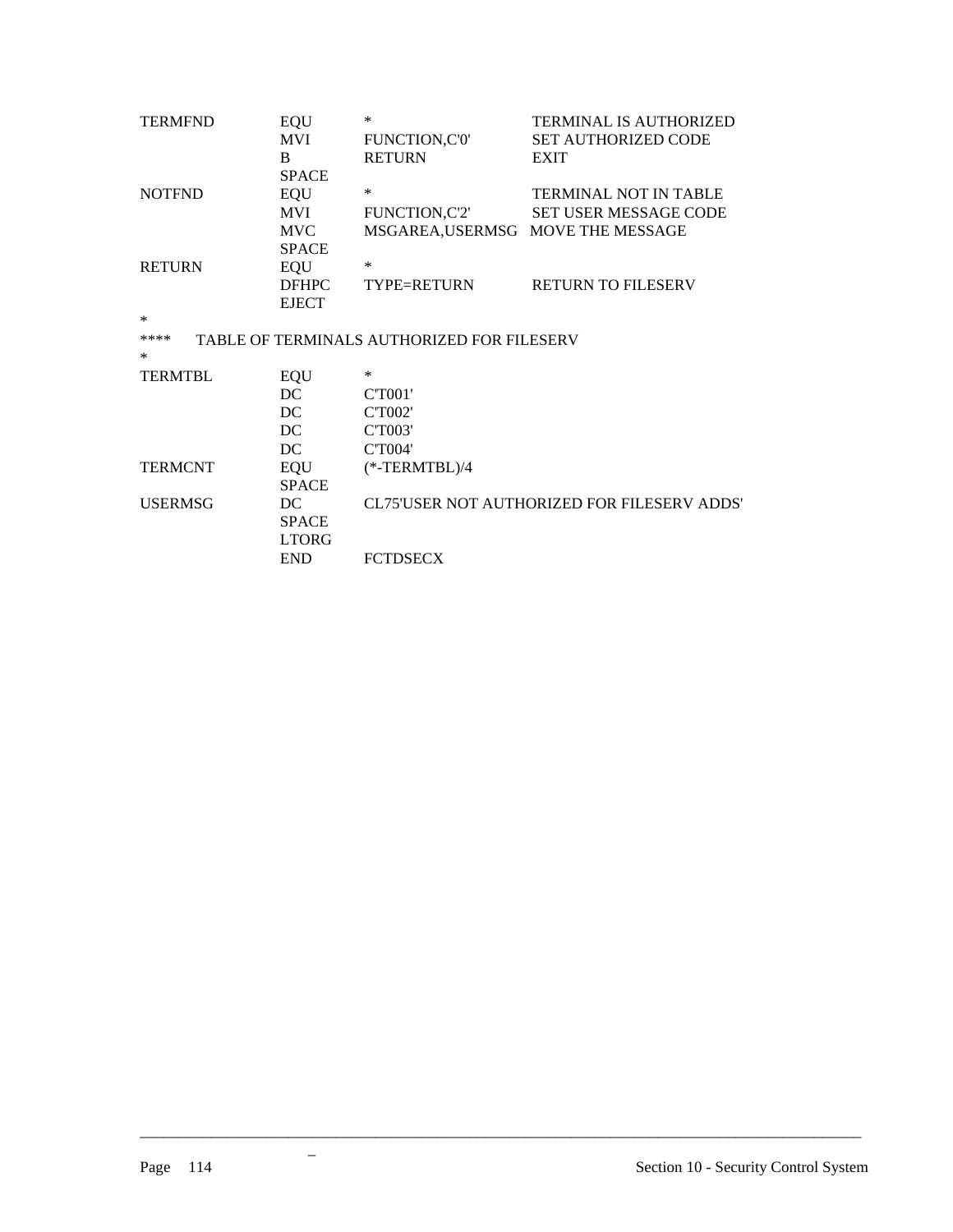| <b>TERMFND</b> | EQU          | $\ast$                                     | <b>TERMINAL IS AUTHORIZED</b>               |
|----------------|--------------|--------------------------------------------|---------------------------------------------|
|                | <b>MVI</b>   | FUNCTION,C'0'                              | <b>SET AUTHORIZED CODE</b>                  |
|                | B            | <b>RETURN</b>                              | <b>EXIT</b>                                 |
|                | <b>SPACE</b> |                                            |                                             |
| <b>NOTFND</b>  | EQU          | $\ast$                                     | <b>TERMINAL NOT IN TABLE</b>                |
|                | <b>MVI</b>   | FUNCTION,C'2'                              | <b>SET USER MESSAGE CODE</b>                |
|                | <b>MVC</b>   | MSGAREA, USERMSG MOVE THE MESSAGE          |                                             |
|                | <b>SPACE</b> |                                            |                                             |
| <b>RETURN</b>  | EQU          | $\ast$                                     |                                             |
|                | <b>DFHPC</b> | TYPE=RETURN                                | <b>RETURN TO FILESERV</b>                   |
|                | <b>EJECT</b> |                                            |                                             |
| $\ast$         |              |                                            |                                             |
| ****           |              | TABLE OF TERMINALS AUTHORIZED FOR FILESERV |                                             |
| $\ast$         |              |                                            |                                             |
| <b>TERMTBL</b> | EQU          | $\ast$                                     |                                             |
|                | DC           | C'T001'                                    |                                             |
|                | DC           | C'T002'                                    |                                             |
|                | DC           | C'T003'                                    |                                             |
|                | DC           | C'T004'                                    |                                             |
| <b>TERMCNT</b> | EQU          | $(*-TERMTBL)/4$                            |                                             |
|                | <b>SPACE</b> |                                            |                                             |
| <b>USERMSG</b> | DC           |                                            | CL75'USER NOT AUTHORIZED FOR FILESERV ADDS' |
|                | <b>SPACE</b> |                                            |                                             |
|                | <b>LTORG</b> |                                            |                                             |
|                | <b>END</b>   | <b>FCTDSECX</b>                            |                                             |
|                |              |                                            |                                             |

\_\_\_\_\_\_\_\_\_\_\_\_\_\_\_\_\_\_\_\_\_\_\_\_\_\_\_\_\_\_\_\_\_\_\_\_\_\_\_\_\_\_\_\_\_\_\_\_\_\_\_\_\_\_\_\_\_\_\_\_\_\_\_\_\_\_\_\_\_\_\_\_\_\_\_\_\_\_\_\_\_\_\_\_\_\_\_\_\_\_\_\_

 $\equiv$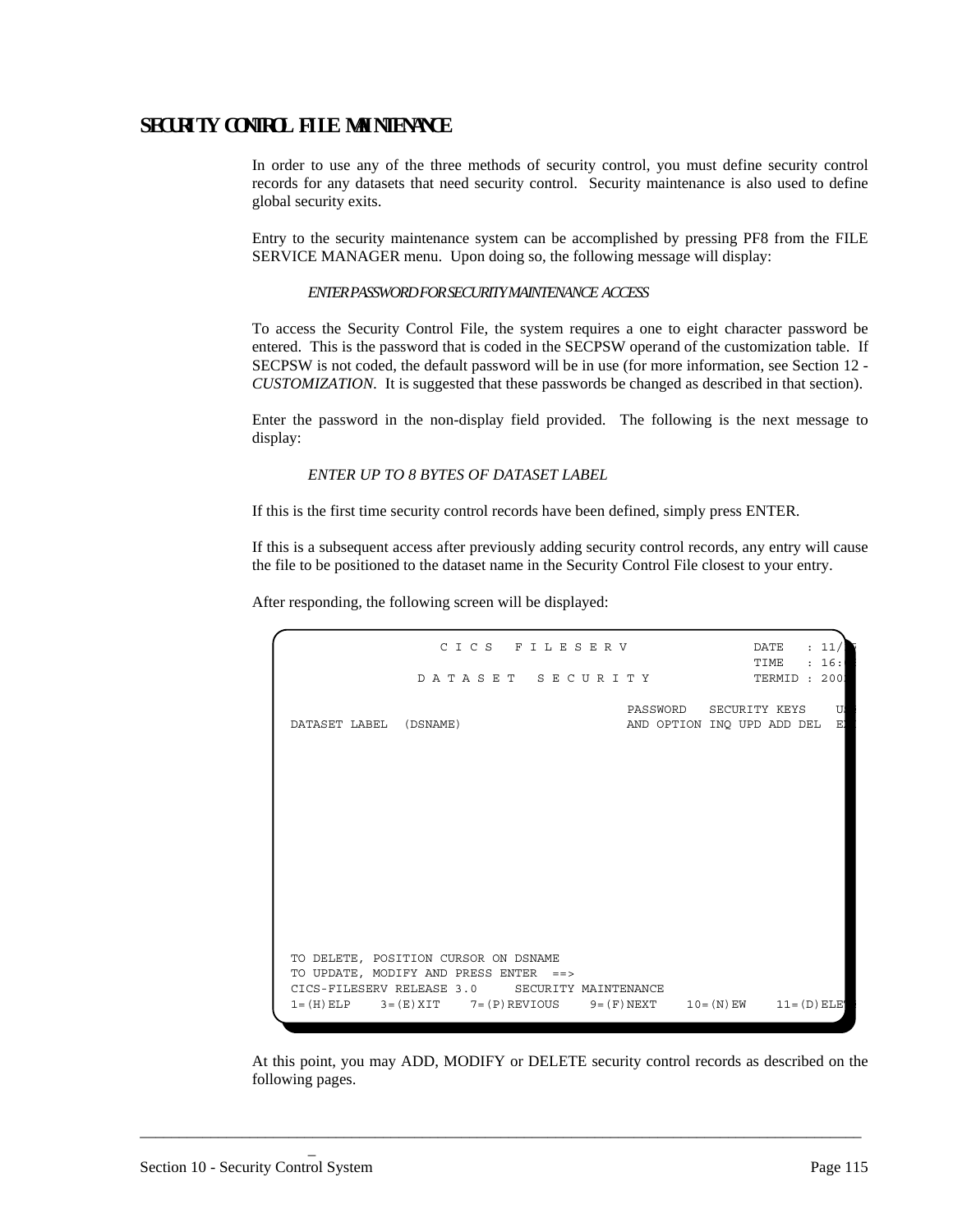# **SECURITY CONTROL FILE MAINTENANCE**

In order to use any of the three methods of security control, you must define security control records for any datasets that need security control. Security maintenance is also used to define global security exits.

Entry to the security maintenance system can be accomplished by pressing PF8 from the FILE SERVICE MANAGER menu. Upon doing so, the following message will display:

## *ENTER PASSWORD FOR SECURITY MAINTENANCE ACCESS*

To access the Security Control File, the system requires a one to eight character password be entered. This is the password that is coded in the SECPSW operand of the customization table. If SECPSW is not coded, the default password will be in use (for more information, see Section 12 - *CUSTOMIZATION.* It is suggested that these passwords be changed as described in that section).

Enter the password in the non-display field provided. The following is the next message to display:

### *ENTER UP TO 8 BYTES OF DATASET LABEL*

If this is the first time security control records have been defined, simply press ENTER.

If this is a subsequent access after previously adding security control records, any entry will cause the file to be positioned to the dataset name in the Security Control File closest to your entry.

After responding, the following screen will be displayed:

| CICS FILESERV                                                                                                                   |                                                        | DATE : 11/<br>TIME : 16: |
|---------------------------------------------------------------------------------------------------------------------------------|--------------------------------------------------------|--------------------------|
| DATASET SECURITY                                                                                                                |                                                        | TERMID : 200             |
| DATASET LABEL (DSNAME)                                                                                                          | PASSWORD SECURITY KEYS<br>AND OPTION INQ UPD ADD DEL E | U.                       |
|                                                                                                                                 |                                                        |                          |
|                                                                                                                                 |                                                        |                          |
|                                                                                                                                 |                                                        |                          |
| TO DELETE, POSITION CURSOR ON DSNAME<br>TO UPDATE, MODIFY AND PRESS ENTER ==><br>CICS-FILESERV RELEASE 3.0 SECURITY MAINTENANCE |                                                        |                          |
| $1 = (H) ELP$ $3 = (E) XIT$ $7 = (P) REVIOUS$ $9 = (F) NEXT$ $10 = (N) EW$ $11 = (D) ELE'$                                      |                                                        |                          |

At this point, you may ADD, MODIFY or DELETE security control records as described on the following pages.

\_\_\_\_\_\_\_\_\_\_\_\_\_\_\_\_\_\_\_\_\_\_\_\_\_\_\_\_\_\_\_\_\_\_\_\_\_\_\_\_\_\_\_\_\_\_\_\_\_\_\_\_\_\_\_\_\_\_\_\_\_\_\_\_\_\_\_\_\_\_\_\_\_\_\_\_\_\_\_\_\_\_\_\_\_\_\_\_\_\_\_\_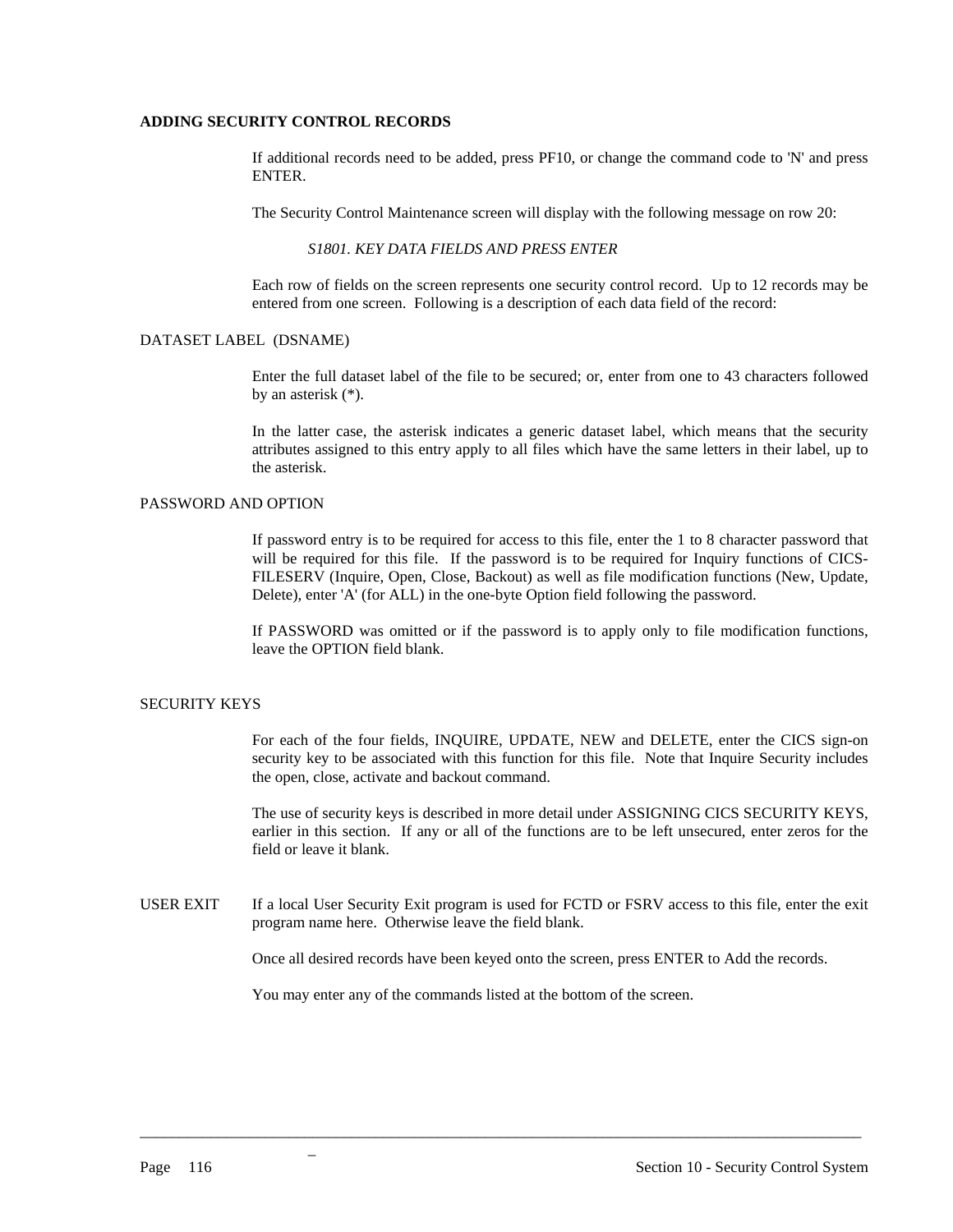### **ADDING SECURITY CONTROL RECORDS**

If additional records need to be added, press PF10, or change the command code to 'N' and press ENTER.

The Security Control Maintenance screen will display with the following message on row 20:

 *S1801. KEY DATA FIELDS AND PRESS ENTER* 

Each row of fields on the screen represents one security control record. Up to 12 records may be entered from one screen. Following is a description of each data field of the record:

### DATASET LABEL (DSNAME)

 Enter the full dataset label of the file to be secured; or, enter from one to 43 characters followed by an asterisk (\*).

 In the latter case, the asterisk indicates a generic dataset label, which means that the security attributes assigned to this entry apply to all files which have the same letters in their label, up to the asterisk.

### PASSWORD AND OPTION

 If password entry is to be required for access to this file, enter the 1 to 8 character password that will be required for this file. If the password is to be required for Inquiry functions of CICS-FILESERV (Inquire, Open, Close, Backout) as well as file modification functions (New, Update, Delete), enter 'A' (for ALL) in the one-byte Option field following the password.

 If PASSWORD was omitted or if the password is to apply only to file modification functions, leave the OPTION field blank.

## SECURITY KEYS

 For each of the four fields, INQUIRE, UPDATE, NEW and DELETE, enter the CICS sign-on security key to be associated with this function for this file. Note that Inquire Security includes the open, close, activate and backout command.

 The use of security keys is described in more detail under ASSIGNING CICS SECURITY KEYS, earlier in this section. If any or all of the functions are to be left unsecured, enter zeros for the field or leave it blank.

USER EXIT If a local User Security Exit program is used for FCTD or FSRV access to this file, enter the exit program name here. Otherwise leave the field blank.

\_\_\_\_\_\_\_\_\_\_\_\_\_\_\_\_\_\_\_\_\_\_\_\_\_\_\_\_\_\_\_\_\_\_\_\_\_\_\_\_\_\_\_\_\_\_\_\_\_\_\_\_\_\_\_\_\_\_\_\_\_\_\_\_\_\_\_\_\_\_\_\_\_\_\_\_\_\_\_\_\_\_\_\_\_\_\_\_\_\_\_\_

Once all desired records have been keyed onto the screen, press ENTER to Add the records.

You may enter any of the commands listed at the bottom of the screen.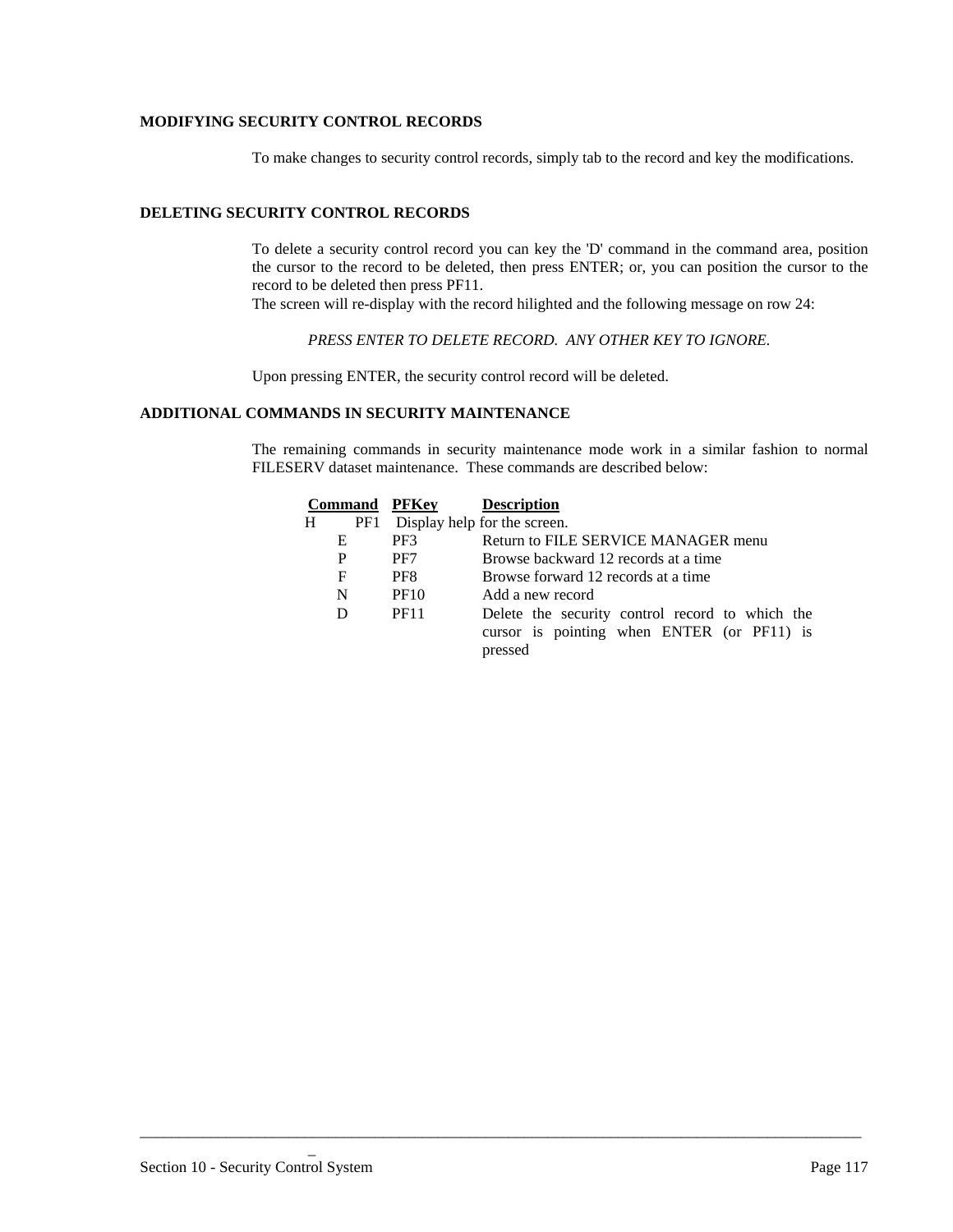## **MODIFYING SECURITY CONTROL RECORDS**

To make changes to security control records, simply tab to the record and key the modifications.

#### **DELETING SECURITY CONTROL RECORDS**

To delete a security control record you can key the 'D' command in the command area, position the cursor to the record to be deleted, then press ENTER; or, you can position the cursor to the record to be deleted then press PF11.

The screen will re-display with the record hilighted and the following message on row 24:

 *PRESS ENTER TO DELETE RECORD. ANY OTHER KEY TO IGNORE.* 

Upon pressing ENTER, the security control record will be deleted.

### **ADDITIONAL COMMANDS IN SECURITY MAINTENANCE**

The remaining commands in security maintenance mode work in a similar fashion to normal FILESERV dataset maintenance. These commands are described below:

| <b>Command PFKey</b> |             | <b>Description</b>                              |
|----------------------|-------------|-------------------------------------------------|
| Н                    |             | PF1 Display help for the screen.                |
| E                    | PF3         | Return to FILE SERVICE MANAGER menu             |
| P                    | PF7         | Browse backward 12 records at a time            |
| F                    | PF8         | Browse forward 12 records at a time             |
| N                    | <b>PF10</b> | Add a new record                                |
| D                    | <b>PF11</b> | Delete the security control record to which the |
|                      |             | cursor is pointing when ENTER (or PF11) is      |
|                      |             | pressed                                         |

\_\_\_\_\_\_\_\_\_\_\_\_\_\_\_\_\_\_\_\_\_\_\_\_\_\_\_\_\_\_\_\_\_\_\_\_\_\_\_\_\_\_\_\_\_\_\_\_\_\_\_\_\_\_\_\_\_\_\_\_\_\_\_\_\_\_\_\_\_\_\_\_\_\_\_\_\_\_\_\_\_\_\_\_\_\_\_\_\_\_\_\_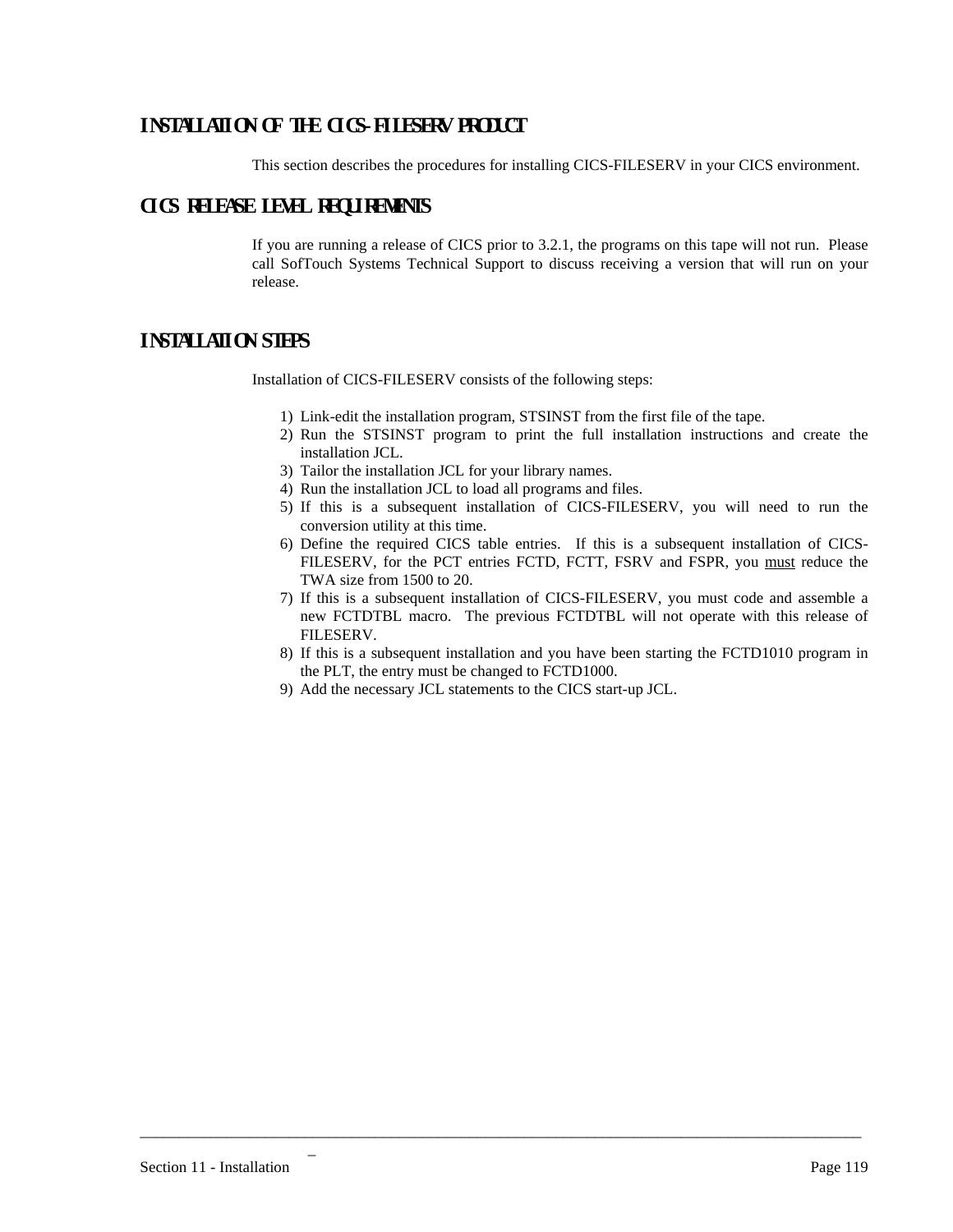# **INSTALLATION OF THE CICS-FILESERV PRODUCT**

This section describes the procedures for installing CICS-FILESERV in your CICS environment.

# **CICS RELEASE LEVEL REQUIREMENTS**

If you are running a release of CICS prior to 3.2.1, the programs on this tape will not run. Please call SofTouch Systems Technical Support to discuss receiving a version that will run on your release.

# **INSTALLATION STEPS**

Installation of CICS-FILESERV consists of the following steps:

- 1) Link-edit the installation program, STSINST from the first file of the tape.
- 2) Run the STSINST program to print the full installation instructions and create the installation JCL.
- 3) Tailor the installation JCL for your library names.
- 4) Run the installation JCL to load all programs and files.
- 5) If this is a subsequent installation of CICS-FILESERV, you will need to run the conversion utility at this time.
- 6) Define the required CICS table entries. If this is a subsequent installation of CICS-FILESERV, for the PCT entries FCTD, FCTT, FSRV and FSPR, you must reduce the TWA size from 1500 to 20.
- 7) If this is a subsequent installation of CICS-FILESERV, you must code and assemble a new FCTDTBL macro. The previous FCTDTBL will not operate with this release of FILESERV.
- 8) If this is a subsequent installation and you have been starting the FCTD1010 program in the PLT, the entry must be changed to FCTD1000.
- 9) Add the necessary JCL statements to the CICS start-up JCL.

\_\_\_\_\_\_\_\_\_\_\_\_\_\_\_\_\_\_\_\_\_\_\_\_\_\_\_\_\_\_\_\_\_\_\_\_\_\_\_\_\_\_\_\_\_\_\_\_\_\_\_\_\_\_\_\_\_\_\_\_\_\_\_\_\_\_\_\_\_\_\_\_\_\_\_\_\_\_\_\_\_\_\_\_\_\_\_\_\_\_\_\_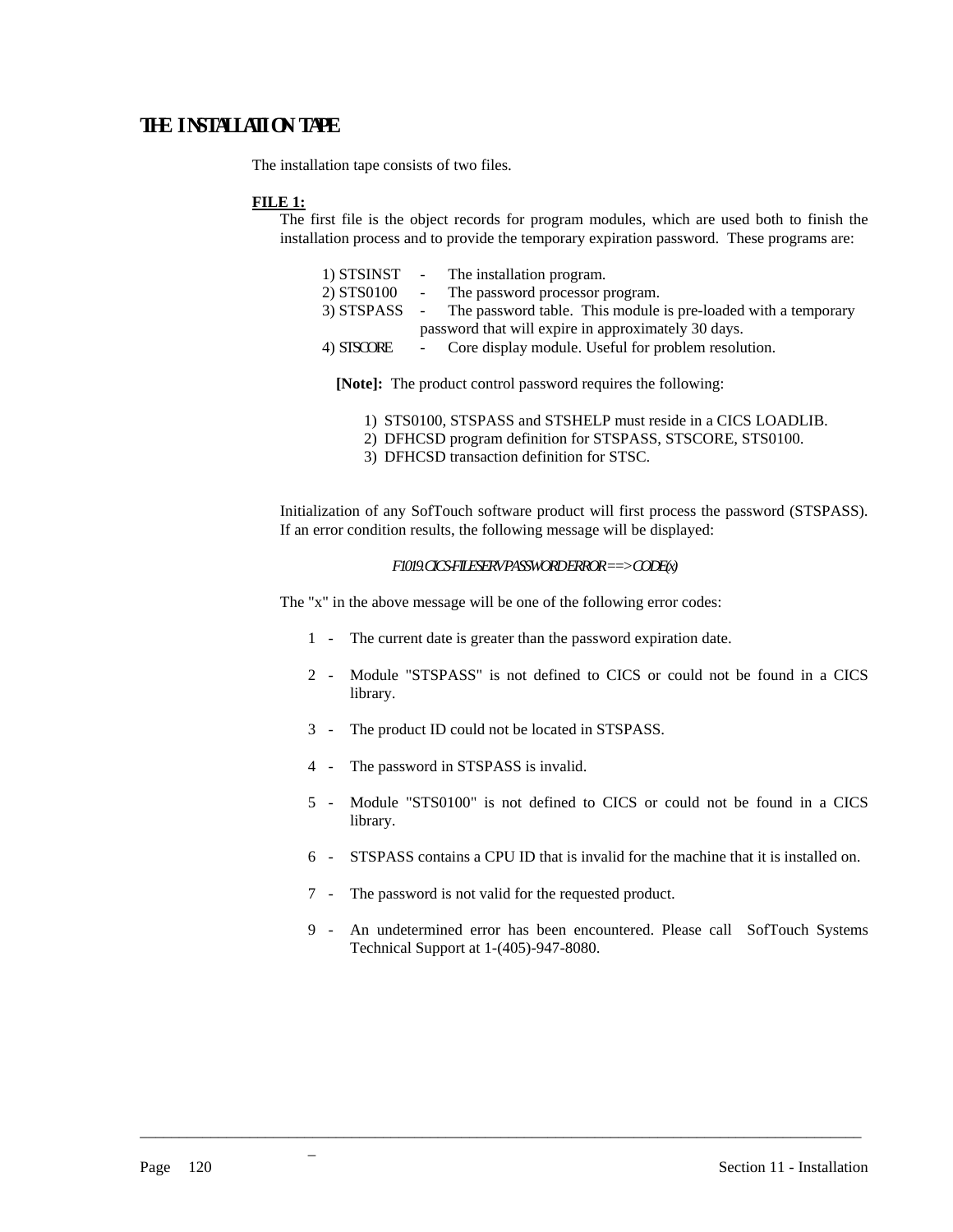# **THE INSTALLATION TAPE**

The installation tape consists of two files.

## **FILE 1:**

The first file is the object records for program modules, which are used both to finish the installation process and to provide the temporary expiration password. These programs are:

|            | 1) STSINST - The installation program.                                      |
|------------|-----------------------------------------------------------------------------|
|            | 2) STS0100 - The password processor program.                                |
|            | 3) STSPASS - The password table. This module is pre-loaded with a temporary |
|            | password that will expire in approximately 30 days.                         |
| 4) STSCORE | - Core display module. Useful for problem resolution.                       |

 **[Note]:** The product control password requires the following:

- 1) STS0100, STSPASS and STSHELP must reside in a CICS LOADLIB.
- 2) DFHCSD program definition for STSPASS, STSCORE, STS0100.
- 3) DFHCSD transaction definition for STSC.

Initialization of any SofTouch software product will first process the password (STSPASS). If an error condition results, the following message will be displayed:

### *F1019. CICS-FILESERV PASSWORD ERROR ==> CODE(x)*

The "x" in the above message will be one of the following error codes:

- 1 The current date is greater than the password expiration date.
- 2 Module "STSPASS" is not defined to CICS or could not be found in a CICS library.
- 3 The product ID could not be located in STSPASS.
- 4 The password in STSPASS is invalid.
- 5 Module "STS0100" is not defined to CICS or could not be found in a CICS library.
- 6 STSPASS contains a CPU ID that is invalid for the machine that it is installed on.
- 7 The password is not valid for the requested product.

\_\_\_\_\_\_\_\_\_\_\_\_\_\_\_\_\_\_\_\_\_\_\_\_\_\_\_\_\_\_\_\_\_\_\_\_\_\_\_\_\_\_\_\_\_\_\_\_\_\_\_\_\_\_\_\_\_\_\_\_\_\_\_\_\_\_\_\_\_\_\_\_\_\_\_\_\_\_\_\_\_\_\_\_\_\_\_\_\_\_\_\_

9 - An undetermined error has been encountered. Please call SofTouch Systems Technical Support at 1-(405)-947-8080.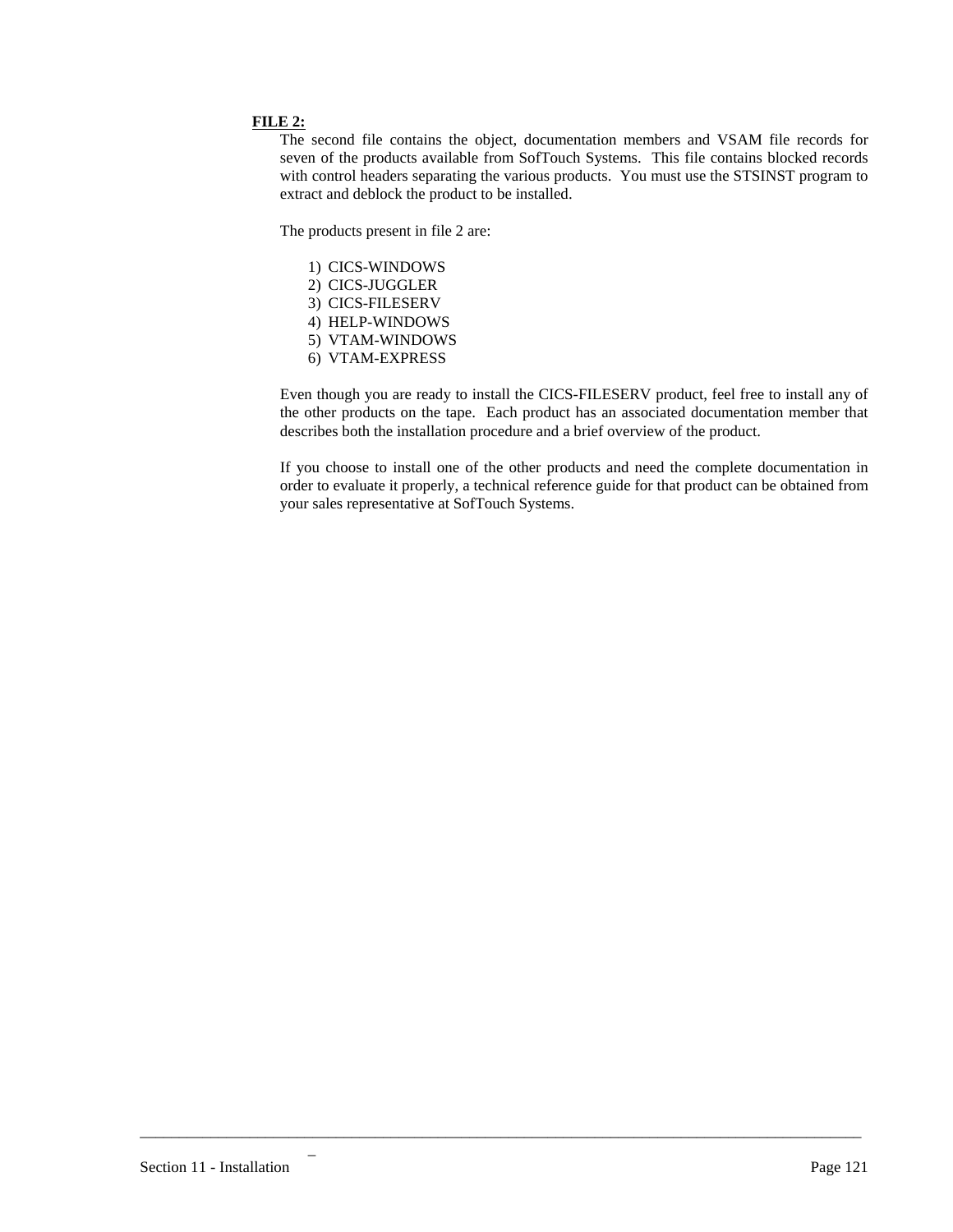## **FILE 2:**

The second file contains the object, documentation members and VSAM file records for seven of the products available from SofTouch Systems. This file contains blocked records with control headers separating the various products. You must use the STSINST program to extract and deblock the product to be installed.

The products present in file 2 are:

- 1) CICS-WINDOWS 2) CICS-JUGGLER
- 3) CICS-FILESERV
- 4) HELP-WINDOWS
- 5) VTAM-WINDOWS
- 6) VTAM-EXPRESS

Even though you are ready to install the CICS-FILESERV product, feel free to install any of the other products on the tape. Each product has an associated documentation member that describes both the installation procedure and a brief overview of the product.

If you choose to install one of the other products and need the complete documentation in order to evaluate it properly, a technical reference guide for that product can be obtained from your sales representative at SofTouch Systems.

\_\_\_\_\_\_\_\_\_\_\_\_\_\_\_\_\_\_\_\_\_\_\_\_\_\_\_\_\_\_\_\_\_\_\_\_\_\_\_\_\_\_\_\_\_\_\_\_\_\_\_\_\_\_\_\_\_\_\_\_\_\_\_\_\_\_\_\_\_\_\_\_\_\_\_\_\_\_\_\_\_\_\_\_\_\_\_\_\_\_\_\_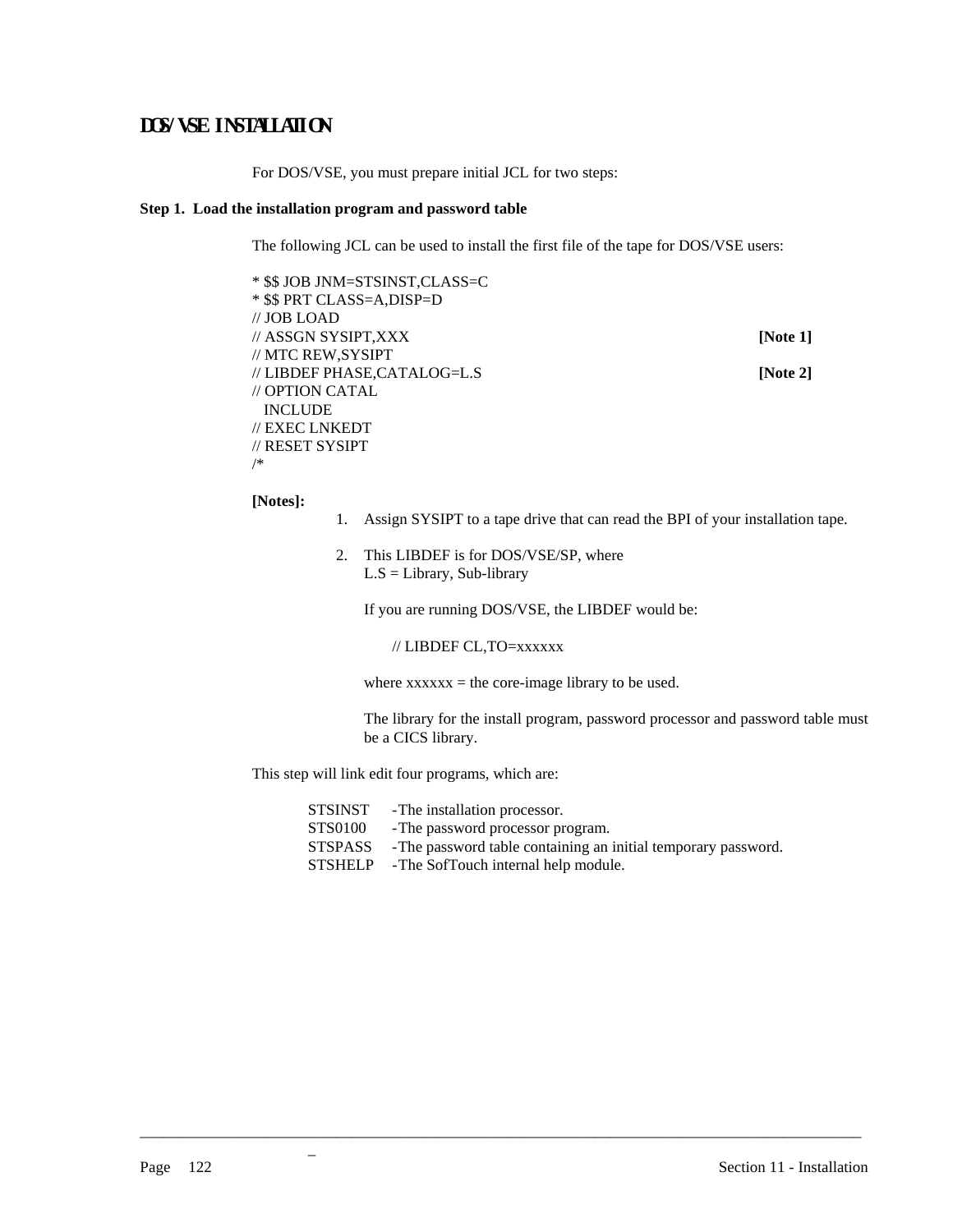# **DOS/ VSE INSTALLATION**

For DOS/VSE, you must prepare initial JCL for two steps:

## **Step 1. Load the installation program and password table**

The following JCL can be used to install the first file of the tape for DOS/VSE users:

| * \$\$ JOB JNM=STSINST,CLASS=C |              |
|--------------------------------|--------------|
| * \$\$ PRT CLASS=A, DISP=D     |              |
| $\frac{1}{2}$ JOB LOAD         |              |
| // ASSGN SYSIPT,XXX            | [Note 1]     |
| // MTC REW, SYSIPT             |              |
| // LIBDEF PHASE, CATALOG=L.S   | [Note $21$ ] |
| // OPTION CATAL                |              |
| <b>INCLUDE</b>                 |              |
| // EXEC LNKEDT                 |              |
| $\mathcal{U}$ RESET SYSIPT     |              |
| /*                             |              |

**[Notes]:**

- 1. Assign SYSIPT to a tape drive that can read the BPI of your installation tape.
- 2. This LIBDEF is for DOS/VSE/SP, where L.S = Library, Sub-library

If you are running DOS/VSE, the LIBDEF would be:

// LIBDEF CL,TO=xxxxxx

where  $xxxxxx =$  the core-image library to be used.

The library for the install program, password processor and password table must be a CICS library.

This step will link edit four programs, which are:

| STSINST        | - The installation processor.                                  |
|----------------|----------------------------------------------------------------|
| <b>STS0100</b> | - The password processor program.                              |
| STSPASS        | - The password table containing an initial temporary password. |
| <b>STSHELP</b> | -The SofTouch internal help module.                            |
|                |                                                                |

\_\_\_\_\_\_\_\_\_\_\_\_\_\_\_\_\_\_\_\_\_\_\_\_\_\_\_\_\_\_\_\_\_\_\_\_\_\_\_\_\_\_\_\_\_\_\_\_\_\_\_\_\_\_\_\_\_\_\_\_\_\_\_\_\_\_\_\_\_\_\_\_\_\_\_\_\_\_\_\_\_\_\_\_\_\_\_\_\_\_\_\_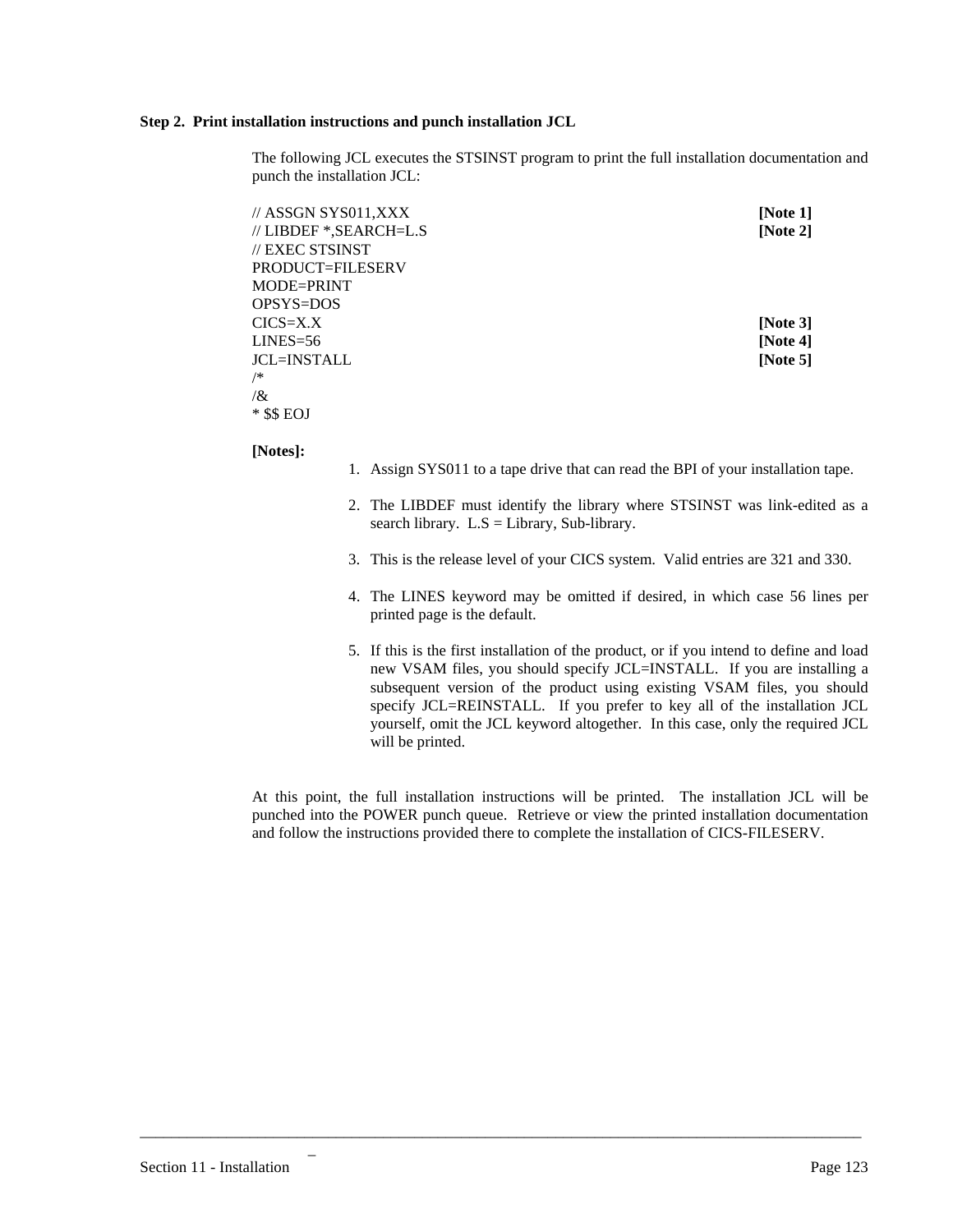#### **Step 2. Print installation instructions and punch installation JCL**

The following JCL executes the STSINST program to print the full installation documentation and punch the installation JCL:

| // ASSGN SYS011.XXX     | [Note 1]    |
|-------------------------|-------------|
| // LIBDEF *,SEARCH=L.S  | [Note $2$ ] |
| // EXEC STSINST         |             |
| <b>PRODUCT=FILESERV</b> |             |
| MODE=PRINT              |             |
| OPSYS=DOS               |             |
| $CICS=X.X$              | [Note 3]    |
| $LINES = 56$            | [Note $4$ ] |
| <b>JCL=INSTALL</b>      | [Note $5$ ] |
| /*                      |             |
| $/8$ z                  |             |
| * \$\$ EOJ              |             |

#### **[Notes]:**

- 1. Assign SYS011 to a tape drive that can read the BPI of your installation tape.
- 2. The LIBDEF must identify the library where STSINST was link-edited as a search library.  $L.S = Library$ , Sub-library.
- 3. This is the release level of your CICS system. Valid entries are 321 and 330.
- 4. The LINES keyword may be omitted if desired, in which case 56 lines per printed page is the default.
- 5. If this is the first installation of the product, or if you intend to define and load new VSAM files, you should specify JCL=INSTALL. If you are installing a subsequent version of the product using existing VSAM files, you should specify JCL=REINSTALL. If you prefer to key all of the installation JCL yourself, omit the JCL keyword altogether. In this case, only the required JCL will be printed.

At this point, the full installation instructions will be printed. The installation JCL will be punched into the POWER punch queue. Retrieve or view the printed installation documentation and follow the instructions provided there to complete the installation of CICS-FILESERV.

\_\_\_\_\_\_\_\_\_\_\_\_\_\_\_\_\_\_\_\_\_\_\_\_\_\_\_\_\_\_\_\_\_\_\_\_\_\_\_\_\_\_\_\_\_\_\_\_\_\_\_\_\_\_\_\_\_\_\_\_\_\_\_\_\_\_\_\_\_\_\_\_\_\_\_\_\_\_\_\_\_\_\_\_\_\_\_\_\_\_\_\_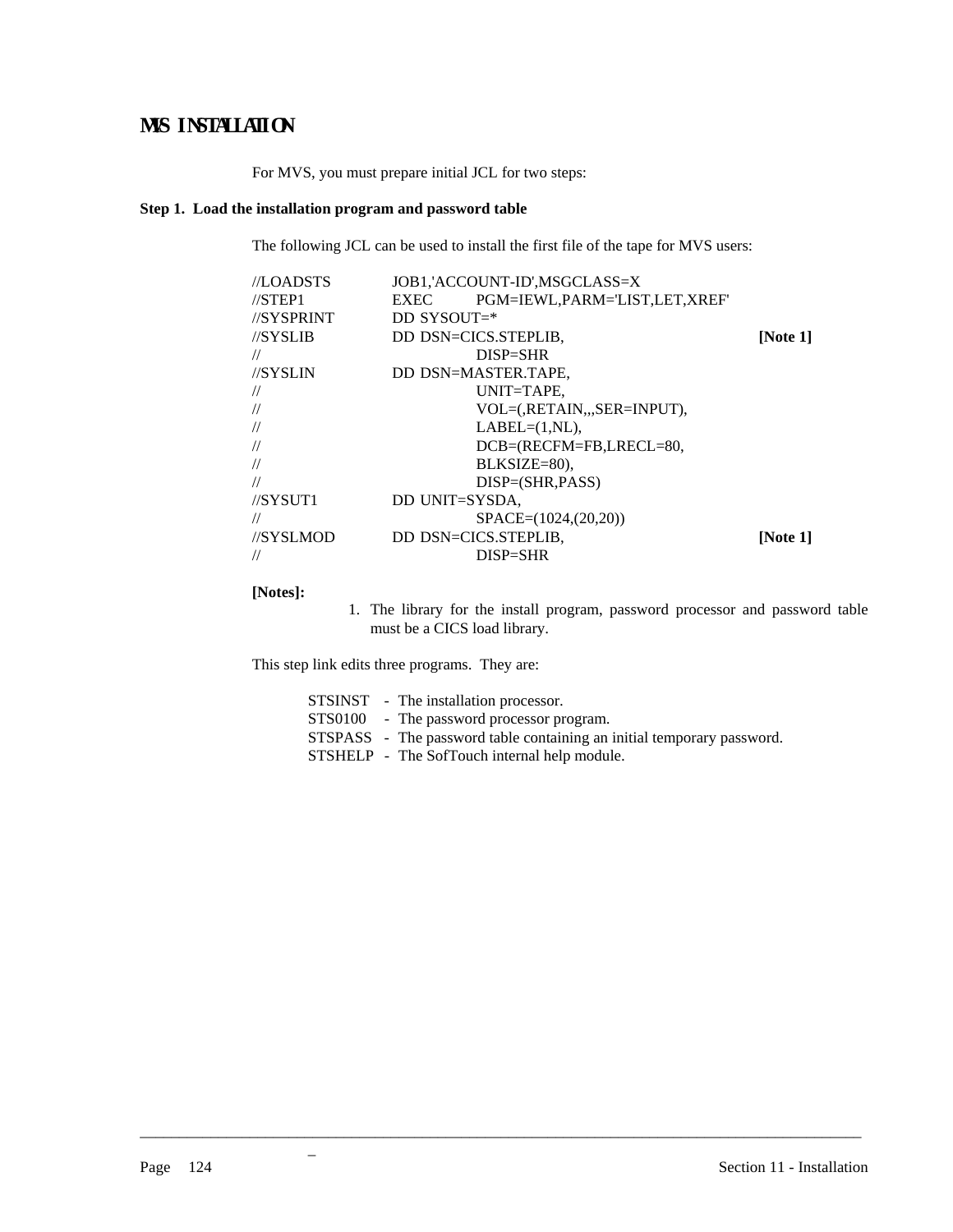# **MS INSTALLATION**

For MVS, you must prepare initial JCL for two steps:

## **Step 1. Load the installation program and password table**

The following JCL can be used to install the first file of the tape for MVS users:

| //LOADSTS      |                | JOB1, 'ACCOUNT-ID', MSGCLASS=X |          |
|----------------|----------------|--------------------------------|----------|
| $\sqrt{STEP1}$ | EXEC           | PGM=IEWL,PARM='LIST,LET,XREF'  |          |
| //SYSPRINT     | DD SYSOUT= $*$ |                                |          |
| //SYSLIB       |                | DD DSN=CICS.STEPLIB,           | [Note 1] |
| //             |                | DISP=SHR                       |          |
| //SYSLIN       |                | DD DSN=MASTER.TAPE,            |          |
| //             |                | UNIT=TAPE.                     |          |
| //             |                | VOL=(,RETAIN,,,SER=INPUT),     |          |
| //             |                | $LABEL=(1, NL),$               |          |
| //             |                | DCB=(RECFM=FB,LRECL=80,        |          |
| //             |                | BLKSIZE=80).                   |          |
| 11             |                | $DISP = (SHR, PASS)$           |          |
| //SYSUT1       |                | DD UNIT=SYSDA.                 |          |
| //             |                | $SPACE=(1024,(20,20))$         |          |
| //SYSLMOD      |                | DD DSN=CICS.STEPLIB,           | [Note 1] |
| //             |                | DISP=SHR                       |          |

## **[Notes]:**

1. The library for the install program, password processor and password table must be a CICS load library.

This step link edits three programs. They are:

| STSINST - The installation processor.                                  |
|------------------------------------------------------------------------|
| STS0100 - The password processor program.                              |
| STSPASS - The password table containing an initial temporary password. |
| STSHELP - The SofTouch internal help module.                           |

\_\_\_\_\_\_\_\_\_\_\_\_\_\_\_\_\_\_\_\_\_\_\_\_\_\_\_\_\_\_\_\_\_\_\_\_\_\_\_\_\_\_\_\_\_\_\_\_\_\_\_\_\_\_\_\_\_\_\_\_\_\_\_\_\_\_\_\_\_\_\_\_\_\_\_\_\_\_\_\_\_\_\_\_\_\_\_\_\_\_\_\_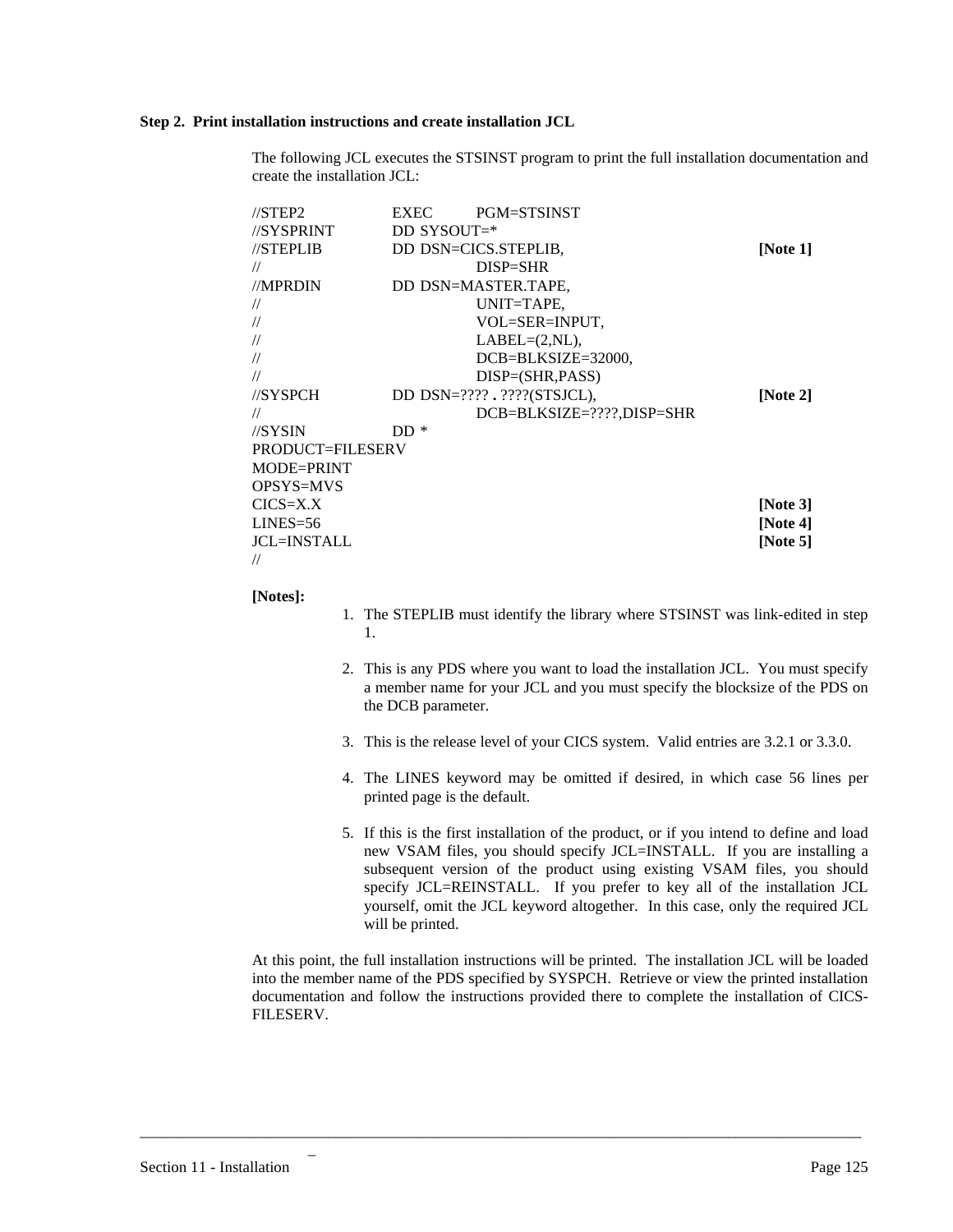#### **Step 2. Print installation instructions and create installation JCL**

The following JCL executes the STSINST program to print the full installation documentation and create the installation JCL:

| //STEP2                   | <b>EXEC</b>    | <b>PGM=STSINST</b>               |          |
|---------------------------|----------------|----------------------------------|----------|
| //SYSPRINT                | DD SYSOUT= $*$ |                                  |          |
| $\sqrt{\text{STEPLIB}}$   |                | DD DSN=CICS.STEPLIB.             | [Note 1] |
| //                        |                | DISP=SHR                         |          |
| //MPRDIN                  |                | DD DSN=MASTER.TAPE,              |          |
| $\frac{1}{2}$             |                | UNIT=TAPE,                       |          |
| $\frac{1}{2}$             |                | VOL=SER=INPUT.                   |          |
| $\frac{1}{2}$             |                | $LABEL=(2, NL)$ ,                |          |
| $\frac{1}{2}$             |                | DCB=BLKSIZE=32000.               |          |
| $^{\prime\prime}$         |                | $DISP = (SHR, PASS)$             |          |
| //SYSPCH                  |                | DD $DSN=????$ . $????(STSJCL)$ . | [Note 2] |
| $\frac{1}{2}$             |                | DCB=BLKSIZE=????,DISP=SHR        |          |
| $\frac{\sqrt{S} }{S}$ SIN | DD *           |                                  |          |
| <b>PRODUCT=FILESERV</b>   |                |                                  |          |
| MODE=PRINT                |                |                                  |          |
| OPSYS=MVS                 |                |                                  |          |
| $CICS = X.X$              |                |                                  | [Note 3] |
| $LINES = 56$              |                |                                  | [Note 4] |
| <b>JCL=INSTALL</b>        |                |                                  | [Note 5] |
| $^{\prime\prime}$         |                |                                  |          |

**[Notes]:**

- 1. The STEPLIB must identify the library where STSINST was link-edited in step 1.
- 2. This is any PDS where you want to load the installation JCL. You must specify a member name for your JCL and you must specify the blocksize of the PDS on the DCB parameter.
- 3. This is the release level of your CICS system. Valid entries are 3.2.1 or 3.3.0.
- 4. The LINES keyword may be omitted if desired, in which case 56 lines per printed page is the default.
- 5. If this is the first installation of the product, or if you intend to define and load new VSAM files, you should specify JCL=INSTALL. If you are installing a subsequent version of the product using existing VSAM files, you should specify JCL=REINSTALL. If you prefer to key all of the installation JCL yourself, omit the JCL keyword altogether. In this case, only the required JCL will be printed.

At this point, the full installation instructions will be printed. The installation JCL will be loaded into the member name of the PDS specified by SYSPCH. Retrieve or view the printed installation documentation and follow the instructions provided there to complete the installation of CICS-FILESERV.

\_\_\_\_\_\_\_\_\_\_\_\_\_\_\_\_\_\_\_\_\_\_\_\_\_\_\_\_\_\_\_\_\_\_\_\_\_\_\_\_\_\_\_\_\_\_\_\_\_\_\_\_\_\_\_\_\_\_\_\_\_\_\_\_\_\_\_\_\_\_\_\_\_\_\_\_\_\_\_\_\_\_\_\_\_\_\_\_\_\_\_\_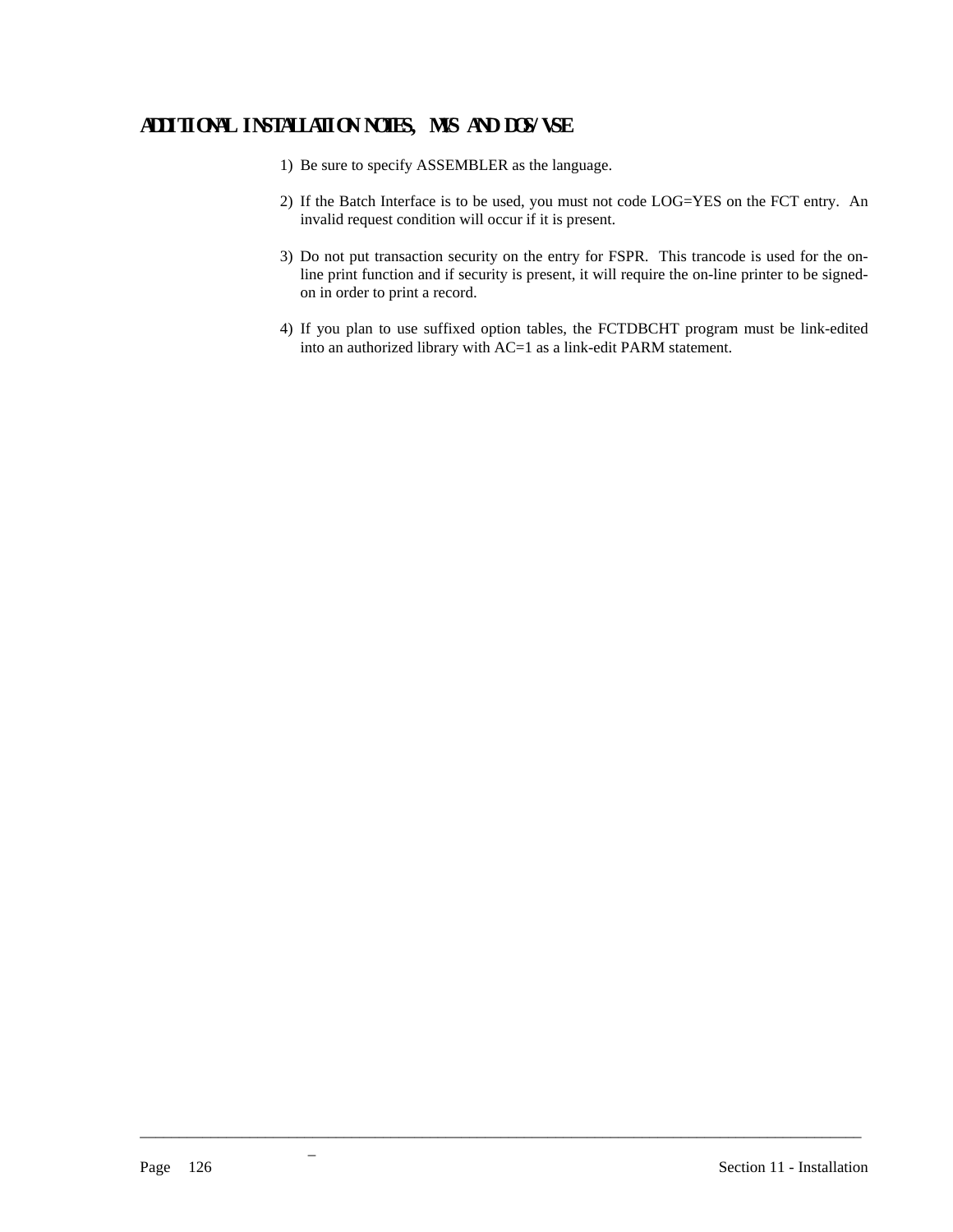# A**DITIONAL INSTALLATION NOTES, MIS AND DOS/ VSE**

- 1) Be sure to specify ASSEMBLER as the language.
- 2) If the Batch Interface is to be used, you must not code LOG=YES on the FCT entry. An invalid request condition will occur if it is present.
- 3) Do not put transaction security on the entry for FSPR. This trancode is used for the online print function and if security is present, it will require the on-line printer to be signedon in order to print a record.
- 4) If you plan to use suffixed option tables, the FCTDBCHT program must be link-edited into an authorized library with AC=1 as a link-edit PARM statement.

\_\_\_\_\_\_\_\_\_\_\_\_\_\_\_\_\_\_\_\_\_\_\_\_\_\_\_\_\_\_\_\_\_\_\_\_\_\_\_\_\_\_\_\_\_\_\_\_\_\_\_\_\_\_\_\_\_\_\_\_\_\_\_\_\_\_\_\_\_\_\_\_\_\_\_\_\_\_\_\_\_\_\_\_\_\_\_\_\_\_\_\_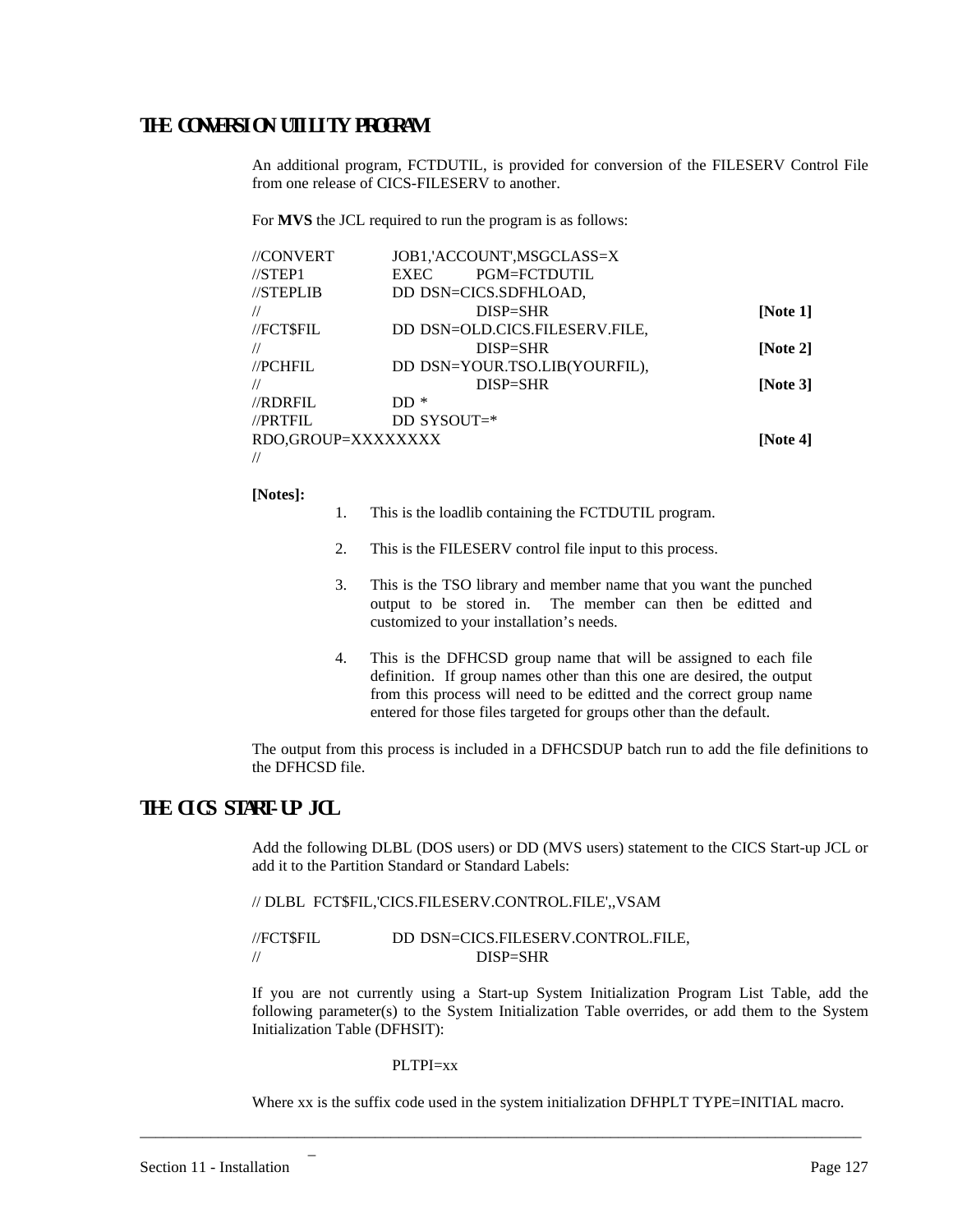# **THE CONFISION UTILITY PROFAM**

An additional program, FCTDUTIL, is provided for conversion of the FILESERV Control File from one release of CICS-FILESERV to another.

For **MVS** the JCL required to run the program is as follows:

| //CONVERT             |                | JOB1,'ACCOUNT',MSGCLASS=X      |             |
|-----------------------|----------------|--------------------------------|-------------|
| $\sqrt{\text{STEP1}}$ | <b>EXEC</b>    | PGM=FCTDUTIL                   |             |
| $//$ STEPLIB          |                | DD DSN=CICS.SDFHLOAD,          |             |
| $\frac{1}{2}$         |                | DISP=SHR                       | [Note 1]    |
| //FCT\$FIL            |                | DD DSN=OLD.CICS.FILESERV.FILE, |             |
| $\frac{1}{2}$         |                | DISP=SHR                       | [Note 2]    |
| $\sqrt{P}$ CHFIL      |                | DD DSN=YOUR.TSO.LIB(YOURFIL),  |             |
| $\frac{1}{2}$         |                | DISP=SHR                       | [Note $3$ ] |
| //RDRFIL              | $DD*$          |                                |             |
| $\sqrt{PRTFIL}$       | DD SYSOUT= $*$ |                                |             |
| RDO,GROUP=XXXXXXXX    | [Note $4$ ]    |                                |             |
|                       |                |                                |             |

**[Notes]:** 

- 1. This is the loadlib containing the FCTDUTIL program.
- 2. This is the FILESERV control file input to this process.
- 3. This is the TSO library and member name that you want the punched output to be stored in. The member can then be editted and customized to your installation's needs.
- 4. This is the DFHCSD group name that will be assigned to each file definition. If group names other than this one are desired, the output from this process will need to be editted and the correct group name entered for those files targeted for groups other than the default.

The output from this process is included in a DFHCSDUP batch run to add the file definitions to the DFHCSD file.

## **THE CICS START-UP JCL**

Add the following DLBL (DOS users) or DD (MVS users) statement to the CICS Start-up JCL or add it to the Partition Standard or Standard Labels:

// DLBL FCT\$FIL,'CICS.FILESERV.CONTROL.FILE',,VSAM

//FCT\$FIL DD DSN=CICS.FILESERV.CONTROL.FILE, // DISP=SHR

If you are not currently using a Start-up System Initialization Program List Table, add the following parameter(s) to the System Initialization Table overrides, or add them to the System Initialization Table (DFHSIT):

## PLTPI=xx

Where xx is the suffix code used in the system initialization DFHPLT TYPE=INITIAL macro.

\_\_\_\_\_\_\_\_\_\_\_\_\_\_\_\_\_\_\_\_\_\_\_\_\_\_\_\_\_\_\_\_\_\_\_\_\_\_\_\_\_\_\_\_\_\_\_\_\_\_\_\_\_\_\_\_\_\_\_\_\_\_\_\_\_\_\_\_\_\_\_\_\_\_\_\_\_\_\_\_\_\_\_\_\_\_\_\_\_\_\_\_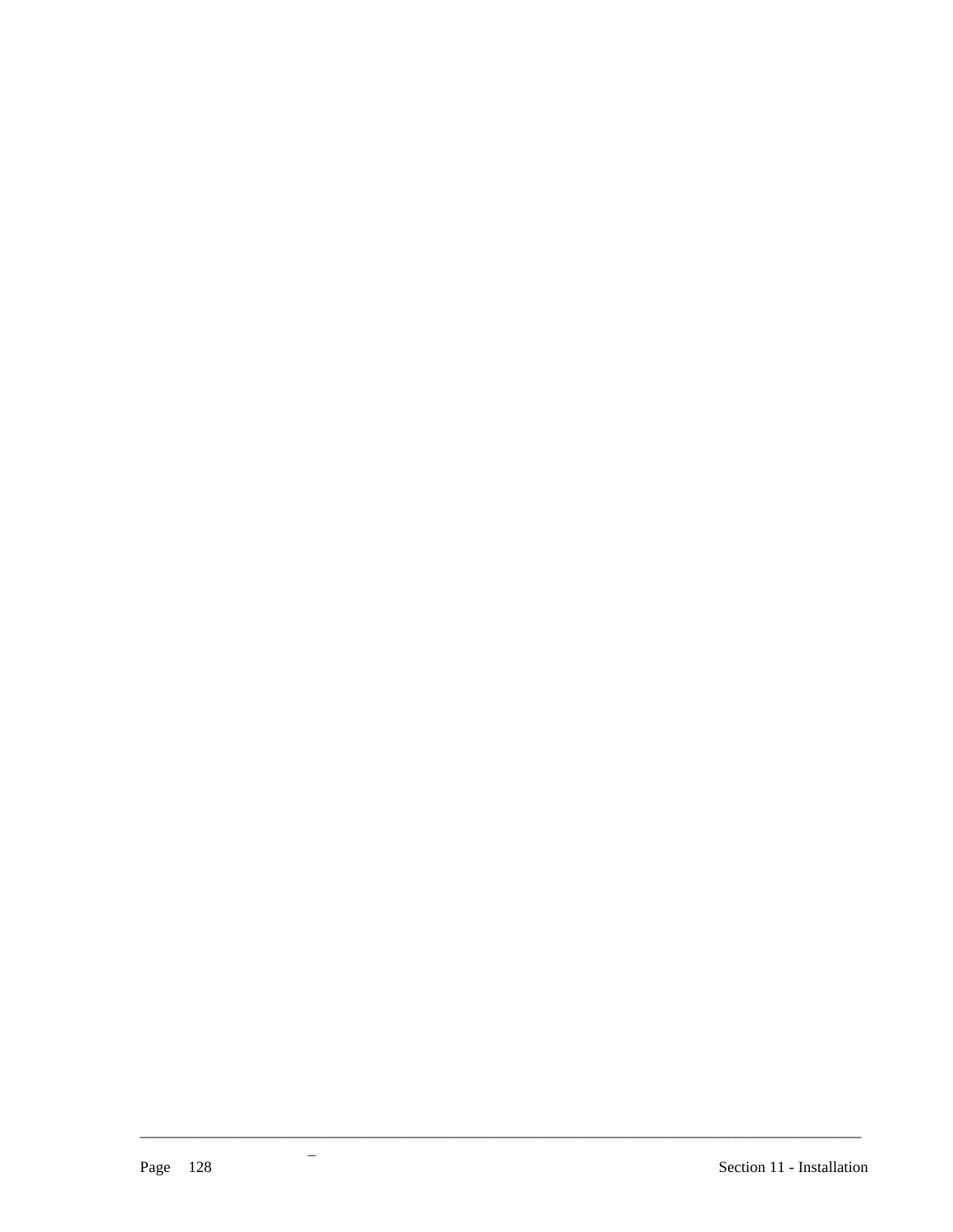$\equiv$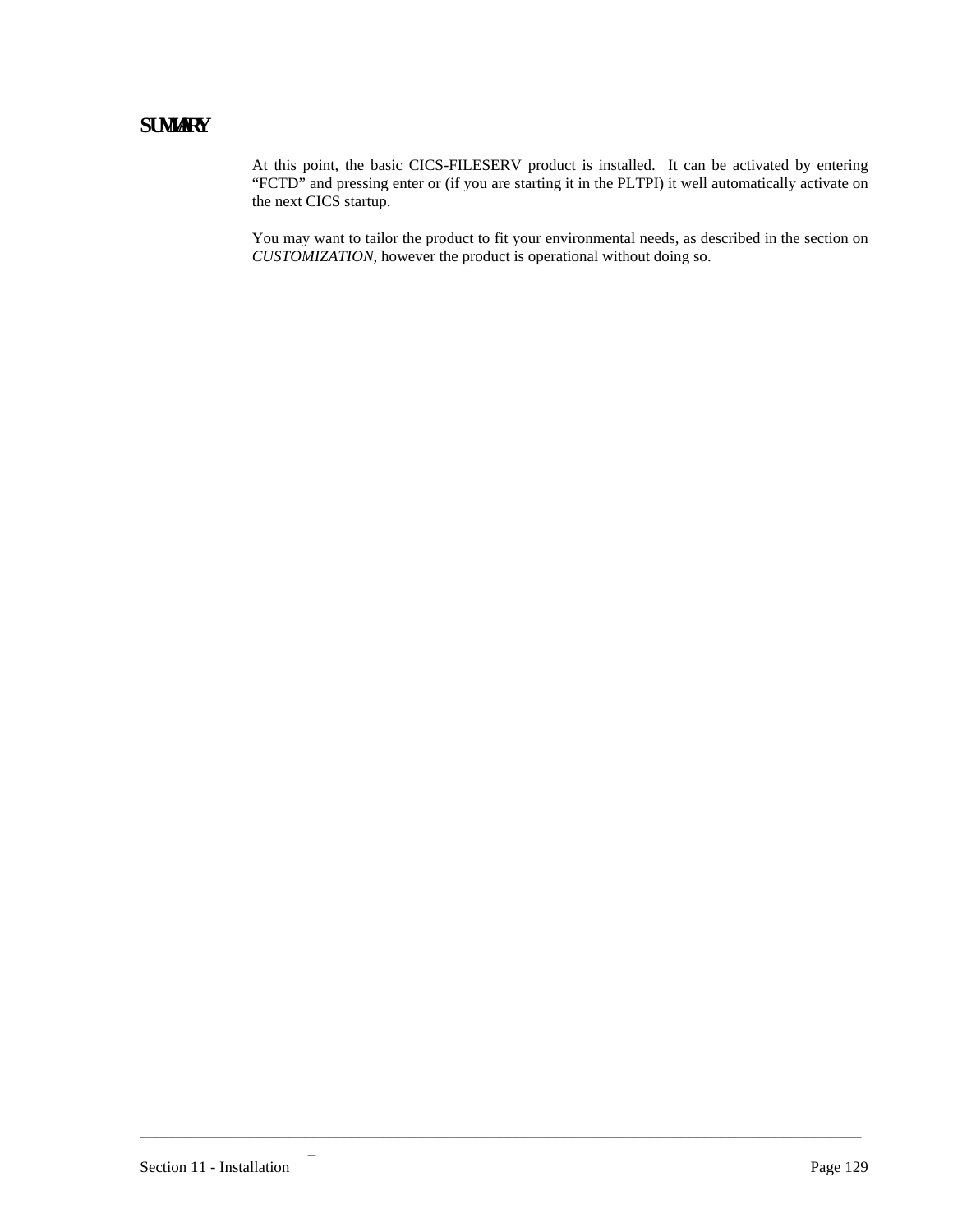# **SUMMARY**

At this point, the basic CICS-FILESERV product is installed. It can be activated by entering "FCTD" and pressing enter or (if you are starting it in the PLTPI) it well automatically activate on the next CICS startup.

You may want to tailor the product to fit your environmental needs, as described in the section on *CUSTOMIZATION*, however the product is operational without doing so.

\_\_\_\_\_\_\_\_\_\_\_\_\_\_\_\_\_\_\_\_\_\_\_\_\_\_\_\_\_\_\_\_\_\_\_\_\_\_\_\_\_\_\_\_\_\_\_\_\_\_\_\_\_\_\_\_\_\_\_\_\_\_\_\_\_\_\_\_\_\_\_\_\_\_\_\_\_\_\_\_\_\_\_\_\_\_\_\_\_\_\_\_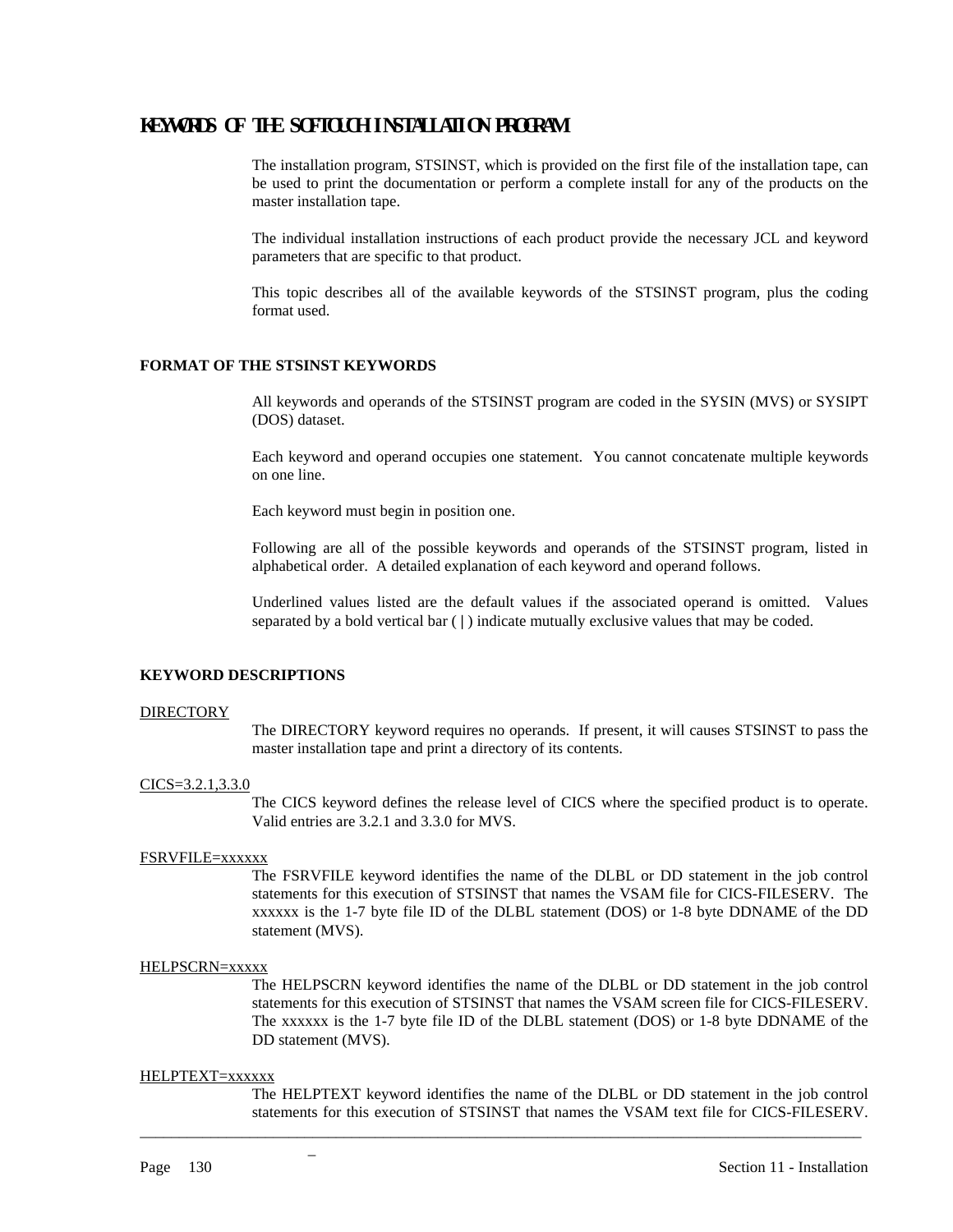# **KEYWADS OF THE SOFTOUCH INSTALLATION PROGRAM**

The installation program, STSINST, which is provided on the first file of the installation tape, can be used to print the documentation or perform a complete install for any of the products on the master installation tape.

The individual installation instructions of each product provide the necessary JCL and keyword parameters that are specific to that product.

This topic describes all of the available keywords of the STSINST program, plus the coding format used.

#### **FORMAT OF THE STSINST KEYWORDS**

All keywords and operands of the STSINST program are coded in the SYSIN (MVS) or SYSIPT (DOS) dataset.

Each keyword and operand occupies one statement. You cannot concatenate multiple keywords on one line.

Each keyword must begin in position one.

Following are all of the possible keywords and operands of the STSINST program, listed in alphabetical order. A detailed explanation of each keyword and operand follows.

Underlined values listed are the default values if the associated operand is omitted. Values separated by a bold vertical bar ( **|** ) indicate mutually exclusive values that may be coded.

## **KEYWORD DESCRIPTIONS**

#### **DIRECTORY**

 The DIRECTORY keyword requires no operands. If present, it will causes STSINST to pass the master installation tape and print a directory of its contents.

#### CICS=3.2.1,3.3.0

 The CICS keyword defines the release level of CICS where the specified product is to operate. Valid entries are 3.2.1 and 3.3.0 for MVS.

### FSRVFILE=xxxxxx

 The FSRVFILE keyword identifies the name of the DLBL or DD statement in the job control statements for this execution of STSINST that names the VSAM file for CICS-FILESERV. The xxxxxx is the 1-7 byte file ID of the DLBL statement (DOS) or 1-8 byte DDNAME of the DD statement (MVS).

## HELPSCRN=xxxxx

 The HELPSCRN keyword identifies the name of the DLBL or DD statement in the job control statements for this execution of STSINST that names the VSAM screen file for CICS-FILESERV. The xxxxxx is the 1-7 byte file ID of the DLBL statement (DOS) or 1-8 byte DDNAME of the DD statement (MVS).

#### HELPTEXT=xxxxxx

 $\overline{a}$ 

 The HELPTEXT keyword identifies the name of the DLBL or DD statement in the job control statements for this execution of STSINST that names the VSAM text file for CICS-FILESERV.

\_\_\_\_\_\_\_\_\_\_\_\_\_\_\_\_\_\_\_\_\_\_\_\_\_\_\_\_\_\_\_\_\_\_\_\_\_\_\_\_\_\_\_\_\_\_\_\_\_\_\_\_\_\_\_\_\_\_\_\_\_\_\_\_\_\_\_\_\_\_\_\_\_\_\_\_\_\_\_\_\_\_\_\_\_\_\_\_\_\_\_\_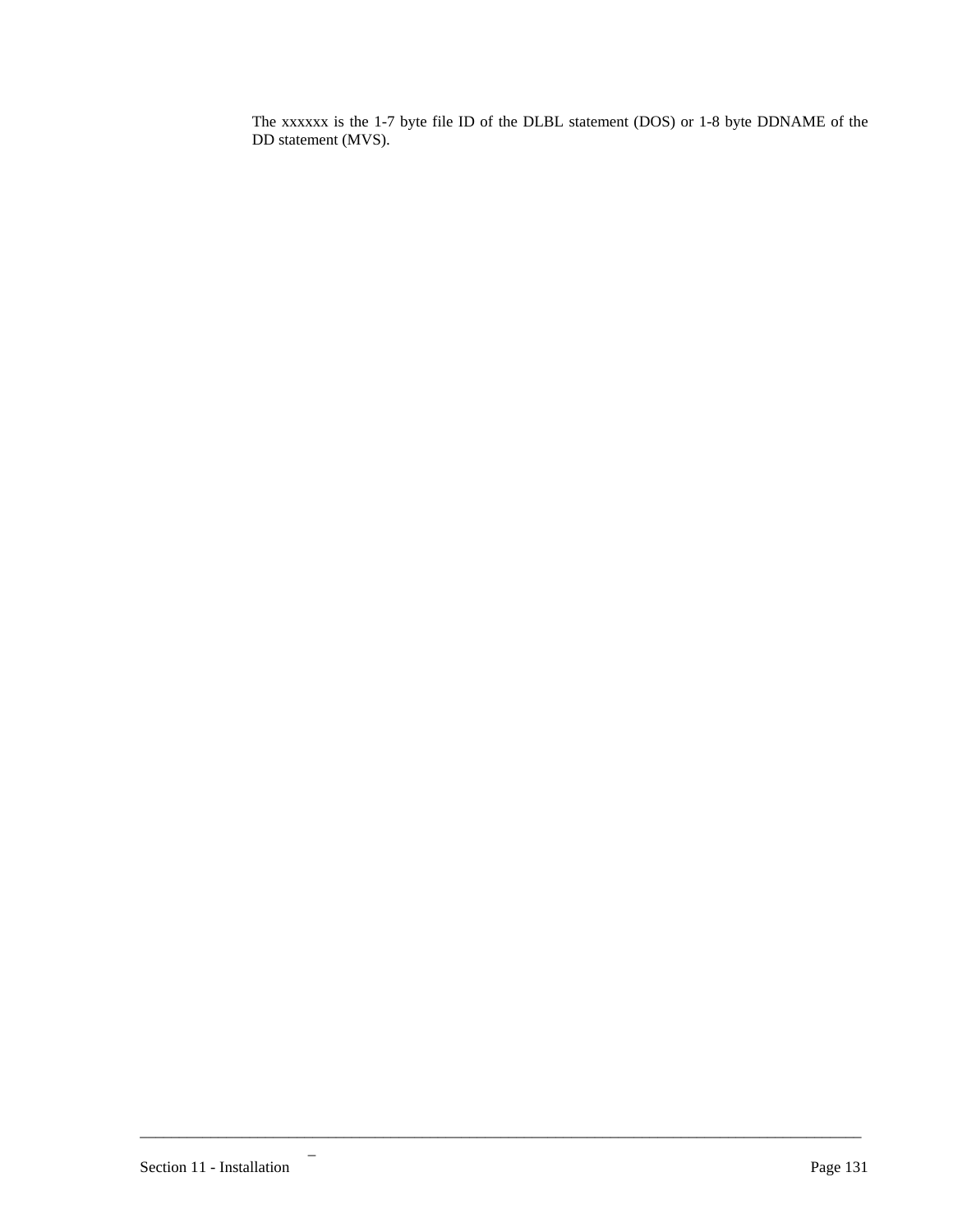The xxxxxx is the 1-7 byte file ID of the DLBL statement (DOS) or 1-8 byte DDNAME of the DD statement (MVS).

\_\_\_\_\_\_\_\_\_\_\_\_\_\_\_\_\_\_\_\_\_\_\_\_\_\_\_\_\_\_\_\_\_\_\_\_\_\_\_\_\_\_\_\_\_\_\_\_\_\_\_\_\_\_\_\_\_\_\_\_\_\_\_\_\_\_\_\_\_\_\_\_\_\_\_\_\_\_\_\_\_\_\_\_\_\_\_\_\_\_\_\_

\_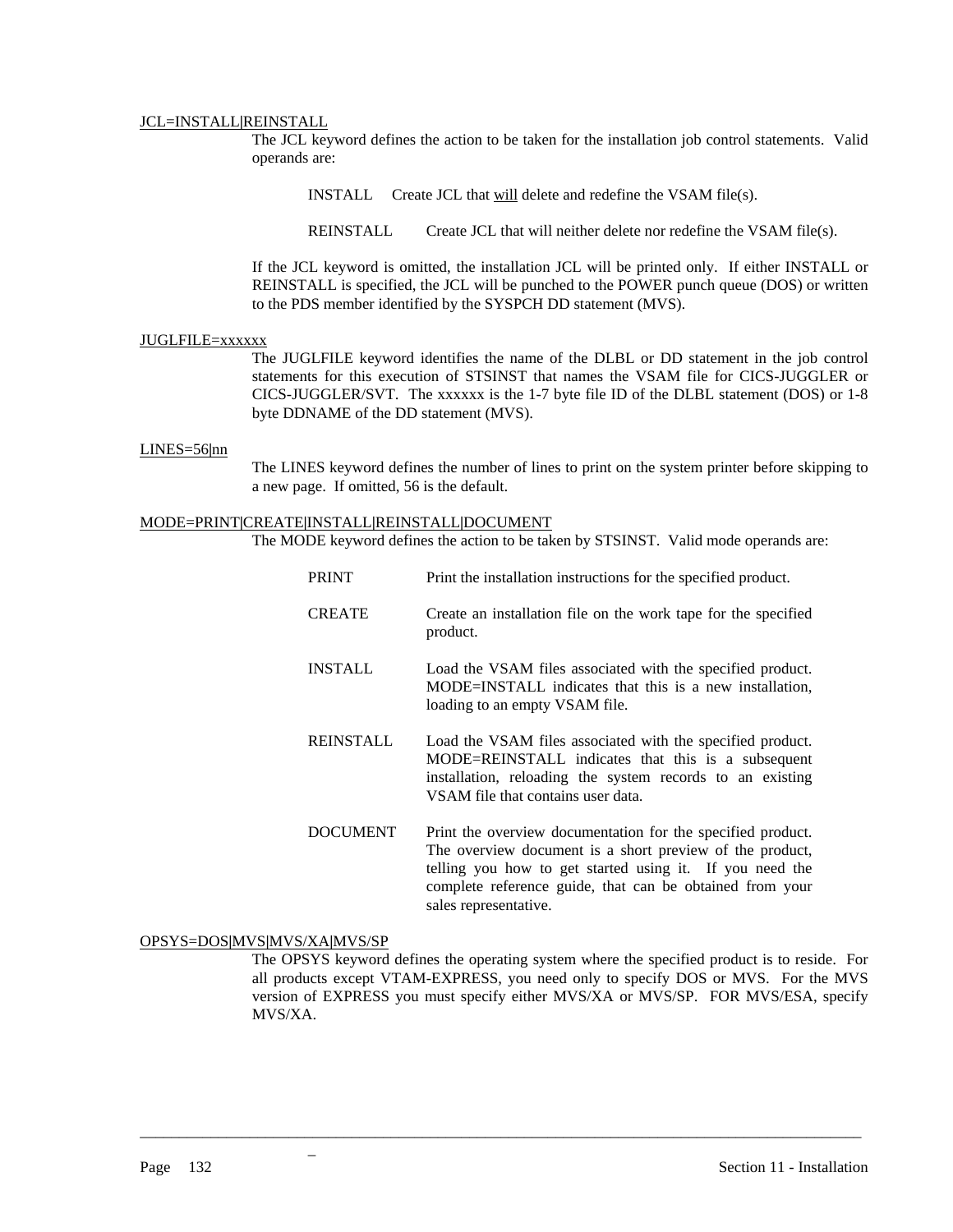#### JCL=INSTALL**|**REINSTALL

 The JCL keyword defines the action to be taken for the installation job control statements. Valid operands are:

INSTALL Create JCL that will delete and redefine the VSAM file(s).

REINSTALL Create JCL that will neither delete nor redefine the VSAM file(s).

 If the JCL keyword is omitted, the installation JCL will be printed only. If either INSTALL or REINSTALL is specified, the JCL will be punched to the POWER punch queue (DOS) or written to the PDS member identified by the SYSPCH DD statement (MVS).

#### JUGLFILE=xxxxxx

 The JUGLFILE keyword identifies the name of the DLBL or DD statement in the job control statements for this execution of STSINST that names the VSAM file for CICS-JUGGLER or CICS-JUGGLER/SVT. The xxxxxx is the 1-7 byte file ID of the DLBL statement (DOS) or 1-8 byte DDNAME of the DD statement (MVS).

#### LINES=56**|**nn

 The LINES keyword defines the number of lines to print on the system printer before skipping to a new page. If omitted, 56 is the default.

## MODE=PRINT**|**CREATE**|**INSTALL**|**REINSTALL**|**DOCUMENT

The MODE keyword defines the action to be taken by STSINST. Valid mode operands are:

| <b>PRINT</b>     | Print the installation instructions for the specified product.                                                                                                                                                                                                           |
|------------------|--------------------------------------------------------------------------------------------------------------------------------------------------------------------------------------------------------------------------------------------------------------------------|
| <b>CREATE</b>    | Create an installation file on the work tape for the specified<br>product.                                                                                                                                                                                               |
| <b>INSTALL</b>   | Load the VSAM files associated with the specified product.<br>MODE=INSTALL indicates that this is a new installation,<br>loading to an empty VSAM file.                                                                                                                  |
| <b>REINSTALL</b> | Load the VSAM files associated with the specified product.<br>MODE=REINSTALL indicates that this is a subsequent<br>installation, reloading the system records to an existing<br>VSAM file that contains user data.                                                      |
| <b>DOCUMENT</b>  | Print the overview documentation for the specified product.<br>The overview document is a short preview of the product,<br>telling you how to get started using it. If you need the<br>complete reference guide, that can be obtained from your<br>sales representative. |

#### OPSYS=DOS**|**MVS**|**MVS/XA**|**MVS/SP

 $\overline{a}$ 

 The OPSYS keyword defines the operating system where the specified product is to reside. For all products except VTAM-EXPRESS, you need only to specify DOS or MVS. For the MVS version of EXPRESS you must specify either MVS/XA or MVS/SP. FOR MVS/ESA, specify MVS/XA.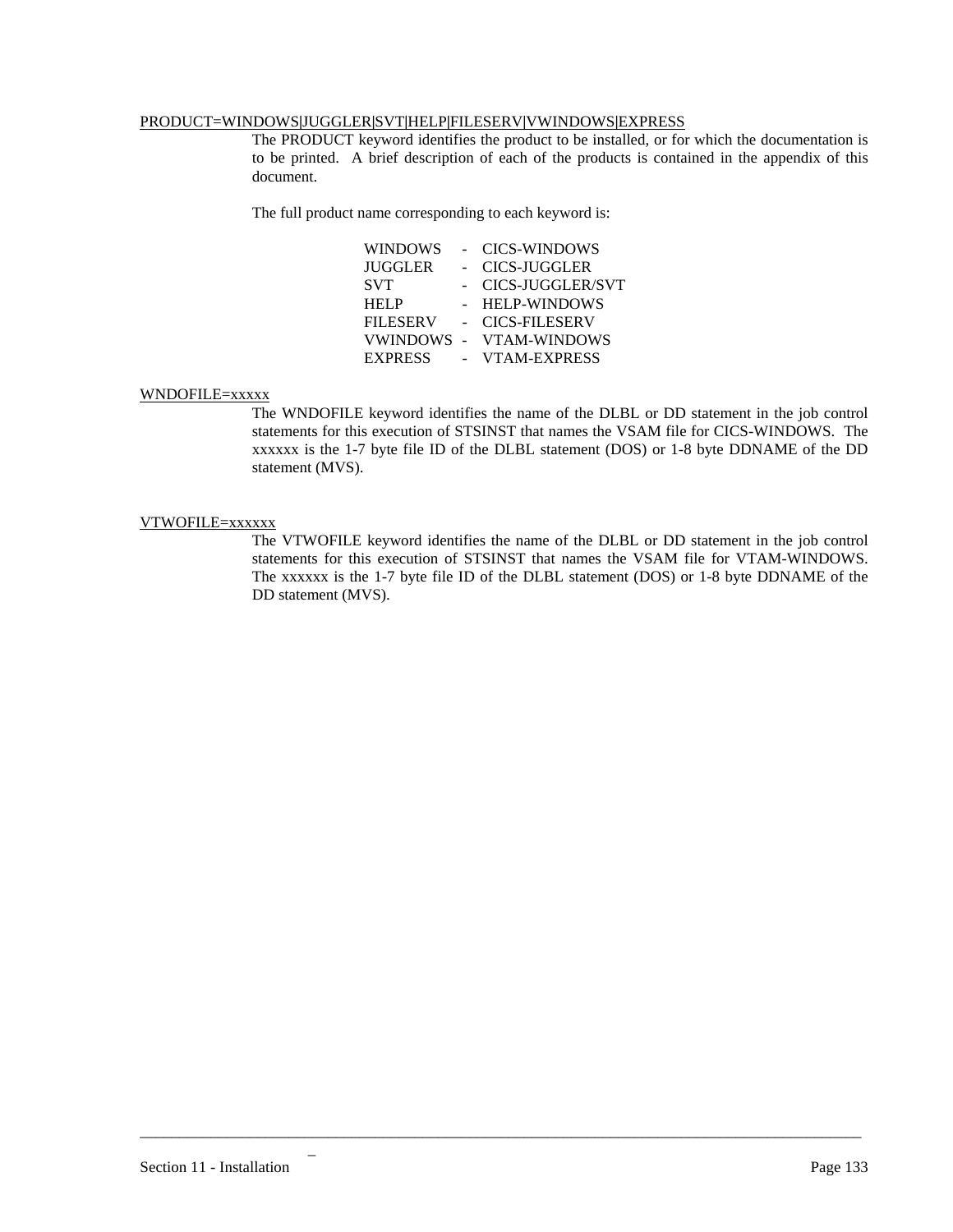## PRODUCT=WINDOWS**|**JUGGLER**|**SVT**|**HELP**|**FILESERV**|**VWINDOWS**|**EXPRESS

 The PRODUCT keyword identifies the product to be installed, or for which the documentation is to be printed. A brief description of each of the products is contained in the appendix of this document.

The full product name corresponding to each keyword is:

|                | WINDOWS - CICS-WINDOWS  |
|----------------|-------------------------|
| <b>JUGGLER</b> | - CICS-JUGGLER          |
| <b>SVT</b>     | - CICS-JUGGLER/SVT      |
| <b>HELP</b>    | - HELP-WINDOWS          |
| FILESERV       | - CICS-FILESERV         |
|                | VWINDOWS - VTAM-WINDOWS |
| <b>EXPRESS</b> | - VTAM-EXPRESS          |
|                |                         |

\_\_\_\_\_\_\_\_\_\_\_\_\_\_\_\_\_\_\_\_\_\_\_\_\_\_\_\_\_\_\_\_\_\_\_\_\_\_\_\_\_\_\_\_\_\_\_\_\_\_\_\_\_\_\_\_\_\_\_\_\_\_\_\_\_\_\_\_\_\_\_\_\_\_\_\_\_\_\_\_\_\_\_\_\_\_\_\_\_\_\_\_

## WNDOFILE=xxxxx

 The WNDOFILE keyword identifies the name of the DLBL or DD statement in the job control statements for this execution of STSINST that names the VSAM file for CICS-WINDOWS. The xxxxxx is the 1-7 byte file ID of the DLBL statement (DOS) or 1-8 byte DDNAME of the DD statement (MVS).

## VTWOFILE=xxxxxx

 The VTWOFILE keyword identifies the name of the DLBL or DD statement in the job control statements for this execution of STSINST that names the VSAM file for VTAM-WINDOWS. The xxxxxx is the 1-7 byte file ID of the DLBL statement (DOS) or 1-8 byte DDNAME of the DD statement (MVS).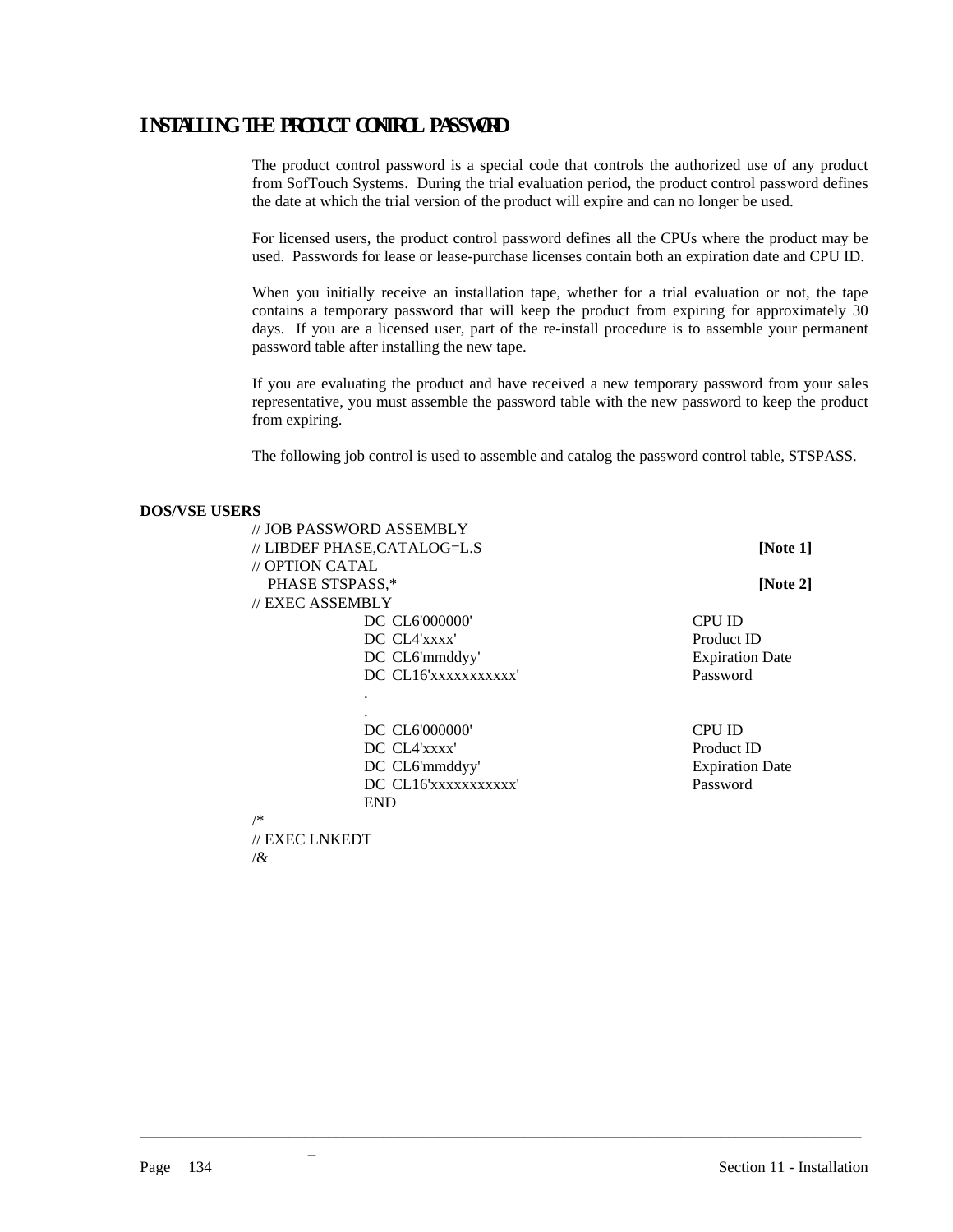# **INSTALLING THE PRODUCT CONTROL PASSWORD**

The product control password is a special code that controls the authorized use of any product from SofTouch Systems. During the trial evaluation period, the product control password defines the date at which the trial version of the product will expire and can no longer be used.

For licensed users, the product control password defines all the CPUs where the product may be used. Passwords for lease or lease-purchase licenses contain both an expiration date and CPU ID.

When you initially receive an installation tape, whether for a trial evaluation or not, the tape contains a temporary password that will keep the product from expiring for approximately 30 days. If you are a licensed user, part of the re-install procedure is to assemble your permanent password table after installing the new tape.

If you are evaluating the product and have received a new temporary password from your sales representative, you must assemble the password table with the new password to keep the product from expiring.

The following job control is used to assemble and catalog the password control table, STSPASS.

## **DOS/VSE USERS**

|                  | // JOB PASSWORD ASSEMBLY     |                        |
|------------------|------------------------------|------------------------|
|                  | // LIBDEF PHASE, CATALOG=L.S | [Note 1]               |
| // OPTION CATAL  |                              |                        |
| PHASE STSPASS,*  |                              | [Note 2]               |
| // EXEC ASSEMBLY |                              |                        |
|                  | DC CL6'000000'               | <b>CPU ID</b>          |
|                  | DC CL4'xxxx'                 | Product ID             |
|                  | DC CL6'mmddyy'               | <b>Expiration Date</b> |
|                  | DC CL16'xxxxxxxxxxx'         | Password               |
|                  |                              |                        |
|                  |                              |                        |
|                  | DC CL6'000000'               | <b>CPU ID</b>          |
|                  | DC CL4'xxxx'                 | Product ID             |
|                  | DC CL6'mmddyy'               | <b>Expiration Date</b> |
|                  | DC CL16'xxxxxxxxxxx'         | Password               |
|                  | <b>END</b>                   |                        |
| /*               |                              |                        |
| // EXEC LNKEDT   |                              |                        |
| /&               |                              |                        |

\_\_\_\_\_\_\_\_\_\_\_\_\_\_\_\_\_\_\_\_\_\_\_\_\_\_\_\_\_\_\_\_\_\_\_\_\_\_\_\_\_\_\_\_\_\_\_\_\_\_\_\_\_\_\_\_\_\_\_\_\_\_\_\_\_\_\_\_\_\_\_\_\_\_\_\_\_\_\_\_\_\_\_\_\_\_\_\_\_\_\_\_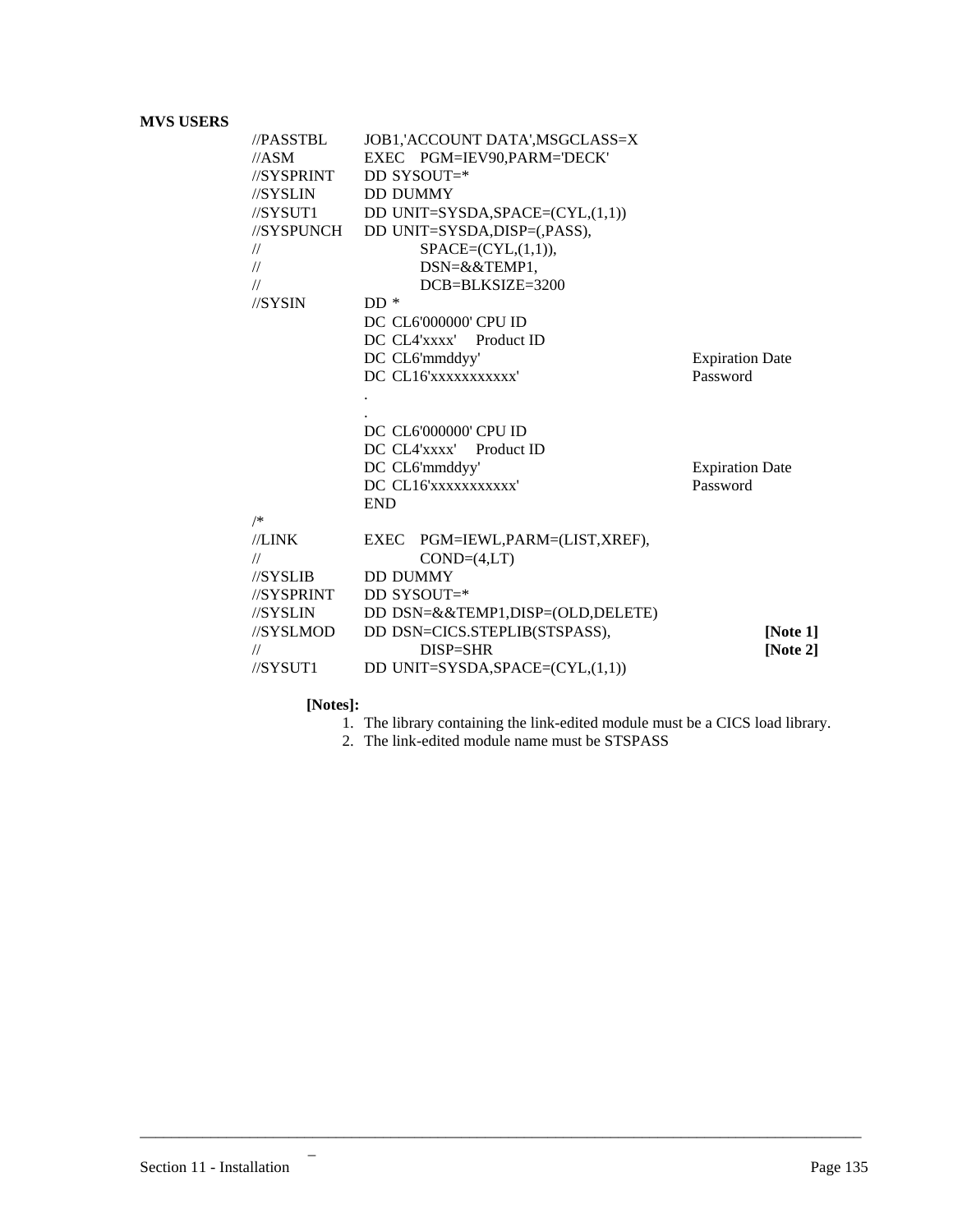## **MVS USERS**

| //PASSTBL                 | JOB1, 'ACCOUNT DATA', MSGCLASS=X     |                        |
|---------------------------|--------------------------------------|------------------------|
| // <sub>ASM</sub>         | EXEC PGM=IEV90, PARM='DECK'          |                        |
| //SYSPRINT                | DD SYSOUT= $*$                       |                        |
| //SYSLIN                  | <b>DD DUMMY</b>                      |                        |
| $\frac{\sqrt{S}YSUT1}{S}$ | DD UNIT=SYSDA, SPACE= $(CYL, (1,1))$ |                        |
| //SYSPUNCH                | DD UNIT=SYSDA, DISP=(, PASS),        |                        |
| $\frac{1}{2}$             | $SPACE=(CYL,(1,1)),$                 |                        |
| $\frac{1}{2}$             | DSN=&&TEMP1,                         |                        |
| $\frac{1}{2}$             | DCB=BLKSIZE=3200                     |                        |
| $\frac{\sqrt{S}YSIN}{S}$  | $DD*$                                |                        |
|                           | DC CL6'000000' CPU ID                |                        |
|                           | DC CL4'xxxx' Product ID              |                        |
|                           | DC CL6'mmddyy'                       | <b>Expiration Date</b> |
|                           | DC CL16'xxxxxxxxxxx'                 | Password               |
|                           |                                      |                        |
|                           |                                      |                        |
|                           | DC CL6'000000' CPU ID                |                        |
|                           | DC CL4'xxxx' Product ID              |                        |
|                           | DC CL6'mmddyy'                       | <b>Expiration Date</b> |
|                           | DC CL16'xxxxxxxxxxx'                 | Password               |
|                           | <b>END</b>                           |                        |
| /*                        |                                      |                        |
| //LINK                    | EXEC PGM=IEWL, PARM=(LIST, XREF),    |                        |
| $\frac{1}{2}$             | $COND=(4,LT)$                        |                        |
| $\frac{\sqrt{S}YSLIB}{S}$ | <b>DD DUMMY</b>                      |                        |
| //SYSPRINT                | DD SYSOUT=*                          |                        |
| //SYSLIN                  | DD DSN=&&TEMP1,DISP=(OLD,DELETE)     |                        |
| //SYSLMOD                 | DD DSN=CICS.STEPLIB(STSPASS),        | [Note $1$ ]            |
| $\frac{1}{2}$             | $DISP = SHR$                         | [Note $2$ ]            |
| $/$ /SYSUT1               | DD UNIT=SYSDA, SPACE= $(CYL, (1,1))$ |                        |

#### **[Notes]:**

- 1. The library containing the link-edited module must be a CICS load library.
- 2. The link-edited module name must be STSPASS

\_\_\_\_\_\_\_\_\_\_\_\_\_\_\_\_\_\_\_\_\_\_\_\_\_\_\_\_\_\_\_\_\_\_\_\_\_\_\_\_\_\_\_\_\_\_\_\_\_\_\_\_\_\_\_\_\_\_\_\_\_\_\_\_\_\_\_\_\_\_\_\_\_\_\_\_\_\_\_\_\_\_\_\_\_\_\_\_\_\_\_\_

 $\equiv$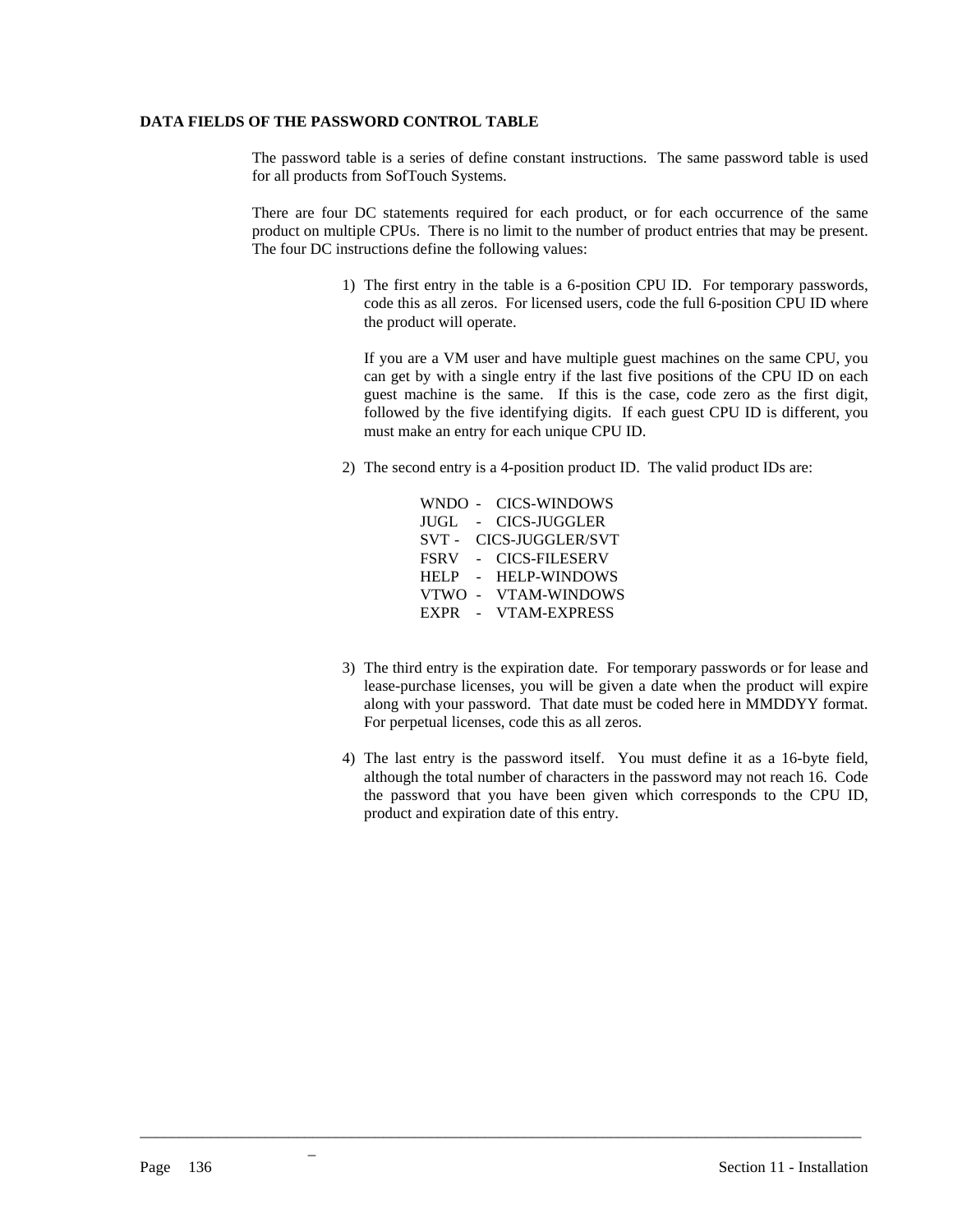## **DATA FIELDS OF THE PASSWORD CONTROL TABLE**

The password table is a series of define constant instructions. The same password table is used for all products from SofTouch Systems.

There are four DC statements required for each product, or for each occurrence of the same product on multiple CPUs. There is no limit to the number of product entries that may be present. The four DC instructions define the following values:

> 1) The first entry in the table is a 6-position CPU ID. For temporary passwords, code this as all zeros. For licensed users, code the full 6-position CPU ID where the product will operate.

 If you are a VM user and have multiple guest machines on the same CPU, you can get by with a single entry if the last five positions of the CPU ID on each guest machine is the same. If this is the case, code zero as the first digit, followed by the five identifying digits. If each guest CPU ID is different, you must make an entry for each unique CPU ID.

2) The second entry is a 4-position product ID. The valid product IDs are:

WNDO - CICS-WINDOWS JUGL - CICS-JUGGLER SVT - CICS-JUGGLER/SVT FSRV - CICS-FILESERV HELP - HELP-WINDOWS VTWO - VTAM-WINDOWS EXPR - VTAM-EXPRESS

\_\_\_\_\_\_\_\_\_\_\_\_\_\_\_\_\_\_\_\_\_\_\_\_\_\_\_\_\_\_\_\_\_\_\_\_\_\_\_\_\_\_\_\_\_\_\_\_\_\_\_\_\_\_\_\_\_\_\_\_\_\_\_\_\_\_\_\_\_\_\_\_\_\_\_\_\_\_\_\_\_\_\_\_\_\_\_\_\_\_\_\_

- 3) The third entry is the expiration date. For temporary passwords or for lease and lease-purchase licenses, you will be given a date when the product will expire along with your password. That date must be coded here in MMDDYY format. For perpetual licenses, code this as all zeros.
- 4) The last entry is the password itself. You must define it as a 16-byte field, although the total number of characters in the password may not reach 16. Code the password that you have been given which corresponds to the CPU ID, product and expiration date of this entry.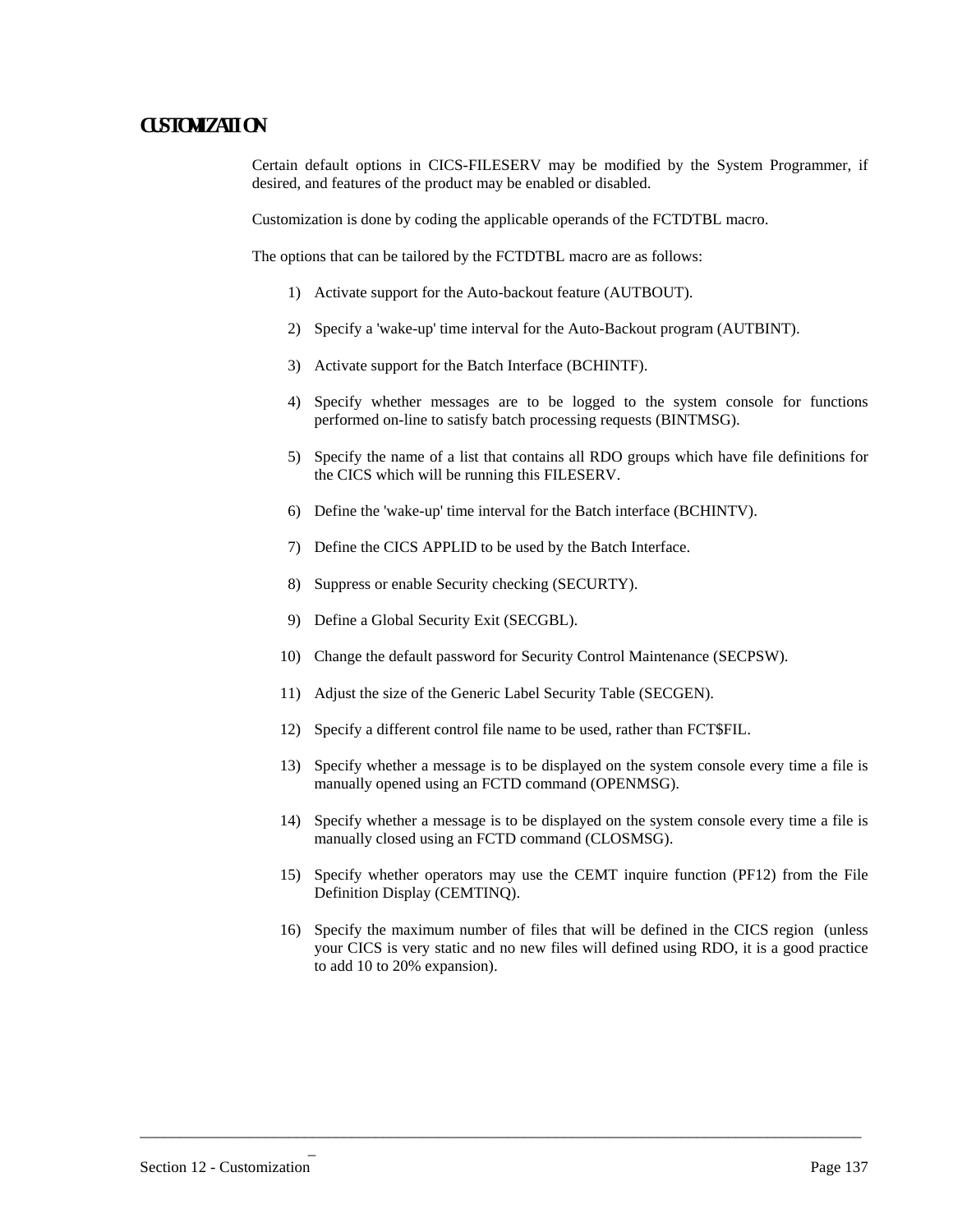# **CUSTOMIZATION**

Certain default options in CICS-FILESERV may be modified by the System Programmer, if desired, and features of the product may be enabled or disabled.

Customization is done by coding the applicable operands of the FCTDTBL macro.

The options that can be tailored by the FCTDTBL macro are as follows:

- 1) Activate support for the Auto-backout feature (AUTBOUT).
- 2) Specify a 'wake-up' time interval for the Auto-Backout program (AUTBINT).
- 3) Activate support for the Batch Interface (BCHINTF).
- 4) Specify whether messages are to be logged to the system console for functions performed on-line to satisfy batch processing requests (BINTMSG).
- 5) Specify the name of a list that contains all RDO groups which have file definitions for the CICS which will be running this FILESERV.
- 6) Define the 'wake-up' time interval for the Batch interface (BCHINTV).
- 7) Define the CICS APPLID to be used by the Batch Interface.
- 8) Suppress or enable Security checking (SECURTY).
- 9) Define a Global Security Exit (SECGBL).
- 10) Change the default password for Security Control Maintenance (SECPSW).
- 11) Adjust the size of the Generic Label Security Table (SECGEN).

\_\_\_\_\_\_\_\_\_\_\_\_\_\_\_\_\_\_\_\_\_\_\_\_\_\_\_\_\_\_\_\_\_\_\_\_\_\_\_\_\_\_\_\_\_\_\_\_\_\_\_\_\_\_\_\_\_\_\_\_\_\_\_\_\_\_\_\_\_\_\_\_\_\_\_\_\_\_\_\_\_\_\_\_\_\_\_\_\_\_\_\_

- 12) Specify a different control file name to be used, rather than FCT\$FIL.
- 13) Specify whether a message is to be displayed on the system console every time a file is manually opened using an FCTD command (OPENMSG).
- 14) Specify whether a message is to be displayed on the system console every time a file is manually closed using an FCTD command (CLOSMSG).
- 15) Specify whether operators may use the CEMT inquire function (PF12) from the File Definition Display (CEMTINQ).
- 16) Specify the maximum number of files that will be defined in the CICS region (unless your CICS is very static and no new files will defined using RDO, it is a good practice to add 10 to 20% expansion).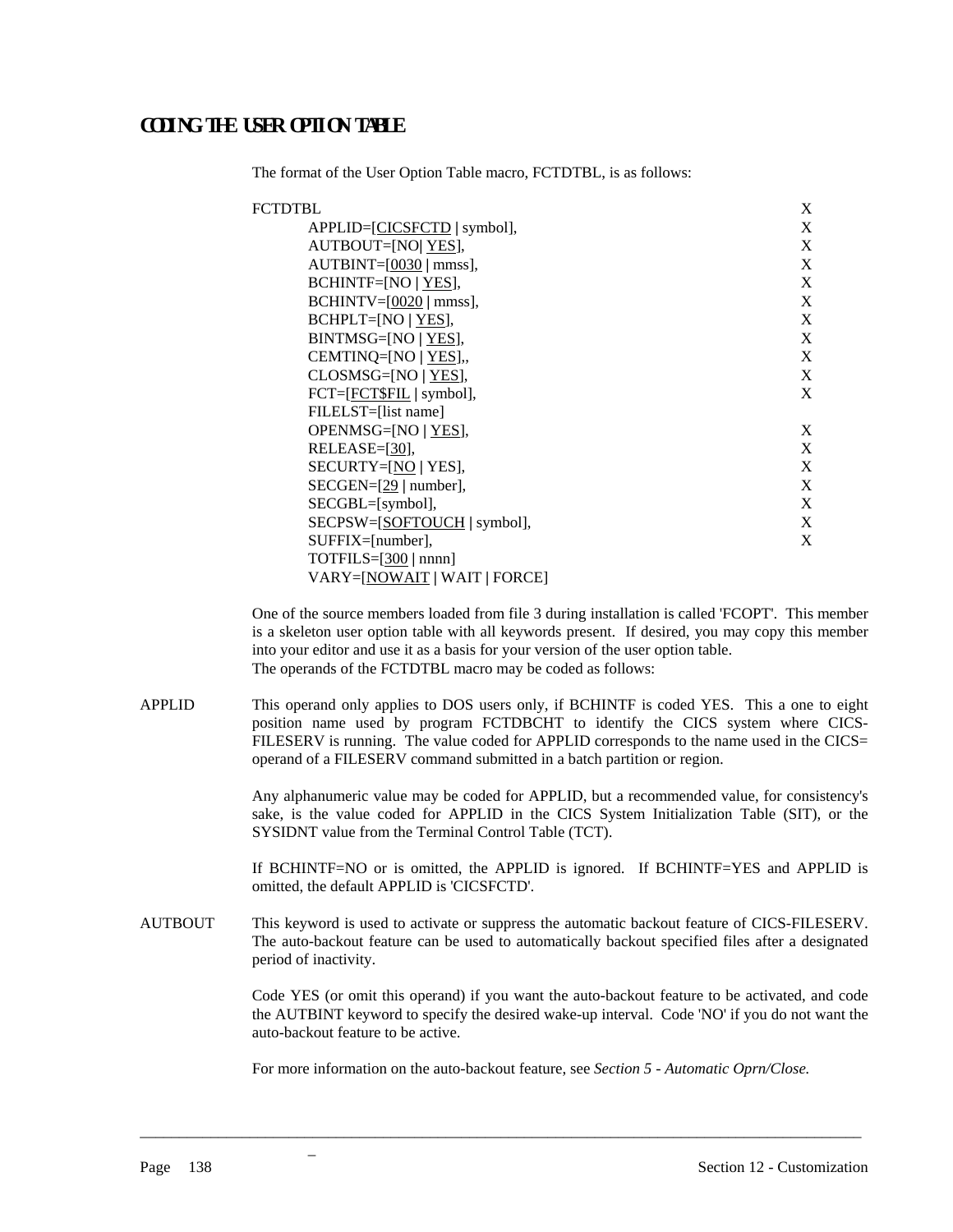# **CODING THE USER OPTION TABLE**

The format of the User Option Table macro, FCTDTBL, is as follows:

| FCTDTBL                         | X |
|---------------------------------|---|
| $APPLID = [CICSFCTD   symbol],$ | X |
| AUTBOUT=[NO] YES],              | X |
| $AUTBINT=[0030   mmss],$        | X |
| BCHINTF=[NO   YES],             | X |
| $BCHINTV=[0020   mmss],$        | X |
| $BCHPLT=[NO   YES],$            | X |
| $BINTMSG=[NO   YES],$           | X |
| CEMTINQ=[NO   YES],             | X |
| CLOSMSG=[NO   YES],             | X |
| FCT=[FCT\$FIL   symbol],        | X |
| FILELST=[list name]             |   |
| OPENMSG=[NO   YES],             | X |
| RELEASE=[30].                   | X |
| SECURTY=[NO   YES],             | X |
| $SECGEN=[29]$   number],        | X |
| SECGBL=[symbol],                | X |
| SECPSW=[SOFTOUCH   symbol],     | X |
| SUFFIX=[number],                | X |
| $TOTFILS = [300   nnnn]$        |   |
| VARY=[NOWAIT   WAIT   FORCE]    |   |

One of the source members loaded from file 3 during installation is called 'FCOPT'. This member is a skeleton user option table with all keywords present. If desired, you may copy this member into your editor and use it as a basis for your version of the user option table. The operands of the FCTDTBL macro may be coded as follows:

APPLID This operand only applies to DOS users only, if BCHINTF is coded YES. This a one to eight position name used by program FCTDBCHT to identify the CICS system where CICS-FILESERV is running. The value coded for APPLID corresponds to the name used in the CICS= operand of a FILESERV command submitted in a batch partition or region.

> Any alphanumeric value may be coded for APPLID, but a recommended value, for consistency's sake, is the value coded for APPLID in the CICS System Initialization Table (SIT), or the SYSIDNT value from the Terminal Control Table (TCT).

> If BCHINTF=NO or is omitted, the APPLID is ignored. If BCHINTF=YES and APPLID is omitted, the default APPLID is 'CICSFCTD'.

AUTBOUT This keyword is used to activate or suppress the automatic backout feature of CICS-FILESERV. The auto-backout feature can be used to automatically backout specified files after a designated period of inactivity.

> Code YES (or omit this operand) if you want the auto-backout feature to be activated, and code the AUTBINT keyword to specify the desired wake-up interval. Code 'NO' if you do not want the auto-backout feature to be active.

For more information on the auto-backout feature, see *Section 5 - Automatic Oprn/Close.*

\_\_\_\_\_\_\_\_\_\_\_\_\_\_\_\_\_\_\_\_\_\_\_\_\_\_\_\_\_\_\_\_\_\_\_\_\_\_\_\_\_\_\_\_\_\_\_\_\_\_\_\_\_\_\_\_\_\_\_\_\_\_\_\_\_\_\_\_\_\_\_\_\_\_\_\_\_\_\_\_\_\_\_\_\_\_\_\_\_\_\_\_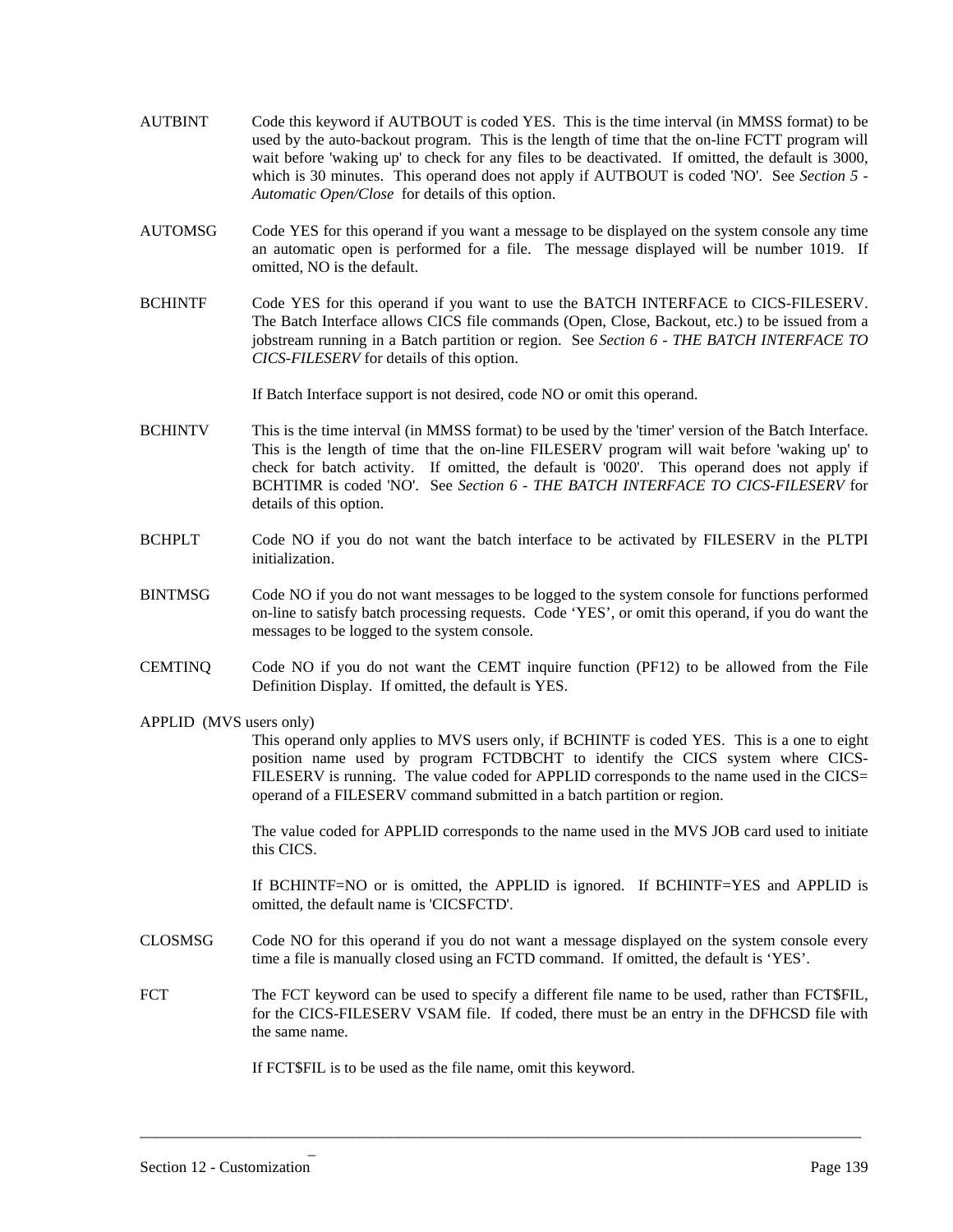- AUTBINT Code this keyword if AUTBOUT is coded YES. This is the time interval (in MMSS format) to be used by the auto-backout program. This is the length of time that the on-line FCTT program will wait before 'waking up' to check for any files to be deactivated. If omitted, the default is 3000, which is 30 minutes. This operand does not apply if AUTBOUT is coded 'NO'. See *Section 5* -*Automatic Open/Close* for details of this option.
- AUTOMSG Code YES for this operand if you want a message to be displayed on the system console any time an automatic open is performed for a file. The message displayed will be number 1019. If omitted, NO is the default.
- BCHINTF Code YES for this operand if you want to use the BATCH INTERFACE to CICS-FILESERV. The Batch Interface allows CICS file commands (Open, Close, Backout, etc.) to be issued from a jobstream running in a Batch partition or region. See *Section 6 - THE BATCH INTERFACE TO CICS-FILESERV* for details of this option.

If Batch Interface support is not desired, code NO or omit this operand.

- BCHINTV This is the time interval (in MMSS format) to be used by the 'timer' version of the Batch Interface. This is the length of time that the on-line FILESERV program will wait before 'waking up' to check for batch activity. If omitted, the default is '0020'. This operand does not apply if BCHTIMR is coded 'NO'. See *Section 6 - THE BATCH INTERFACE TO CICS-FILESERV* for details of this option.
- BCHPLT Code NO if you do not want the batch interface to be activated by FILESERV in the PLTPI initialization.
- BINTMSG Code NO if you do not want messages to be logged to the system console for functions performed on-line to satisfy batch processing requests. Code 'YES', or omit this operand, if you do want the messages to be logged to the system console.
- CEMTINQ Code NO if you do not want the CEMT inquire function (PF12) to be allowed from the File Definition Display. If omitted, the default is YES.
- APPLID (MVS users only)

 This operand only applies to MVS users only, if BCHINTF is coded YES. This is a one to eight position name used by program FCTDBCHT to identify the CICS system where CICS-FILESERV is running. The value coded for APPLID corresponds to the name used in the CICS= operand of a FILESERV command submitted in a batch partition or region.

The value coded for APPLID corresponds to the name used in the MVS JOB card used to initiate this CICS.

If BCHINTF=NO or is omitted, the APPLID is ignored. If BCHINTF=YES and APPLID is omitted, the default name is 'CICSFCTD'.

- CLOSMSG Code NO for this operand if you do not want a message displayed on the system console every time a file is manually closed using an FCTD command. If omitted, the default is 'YES'.
- FCT The FCT keyword can be used to specify a different file name to be used, rather than FCT\$FIL, for the CICS-FILESERV VSAM file. If coded, there must be an entry in the DFHCSD file with the same name.

\_\_\_\_\_\_\_\_\_\_\_\_\_\_\_\_\_\_\_\_\_\_\_\_\_\_\_\_\_\_\_\_\_\_\_\_\_\_\_\_\_\_\_\_\_\_\_\_\_\_\_\_\_\_\_\_\_\_\_\_\_\_\_\_\_\_\_\_\_\_\_\_\_\_\_\_\_\_\_\_\_\_\_\_\_\_\_\_\_\_\_\_

If FCT\$FIL is to be used as the file name, omit this keyword.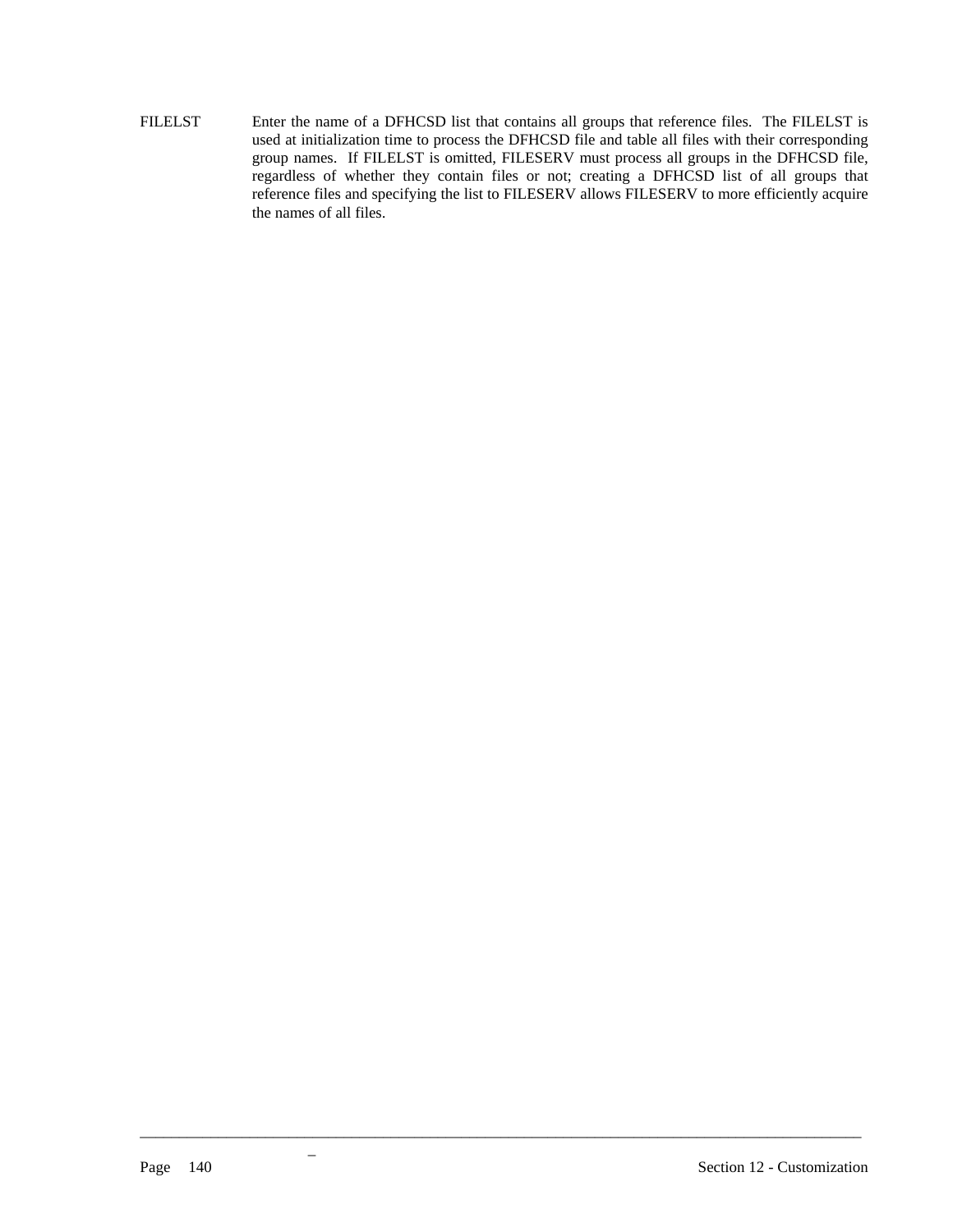FILELST Enter the name of a DFHCSD list that contains all groups that reference files. The FILELST is used at initialization time to process the DFHCSD file and table all files with their corresponding group names. If FILELST is omitted, FILESERV must process all groups in the DFHCSD file, regardless of whether they contain files or not; creating a DFHCSD list of all groups that reference files and specifying the list to FILESERV allows FILESERV to more efficiently acquire the names of all files.

\_\_\_\_\_\_\_\_\_\_\_\_\_\_\_\_\_\_\_\_\_\_\_\_\_\_\_\_\_\_\_\_\_\_\_\_\_\_\_\_\_\_\_\_\_\_\_\_\_\_\_\_\_\_\_\_\_\_\_\_\_\_\_\_\_\_\_\_\_\_\_\_\_\_\_\_\_\_\_\_\_\_\_\_\_\_\_\_\_\_\_\_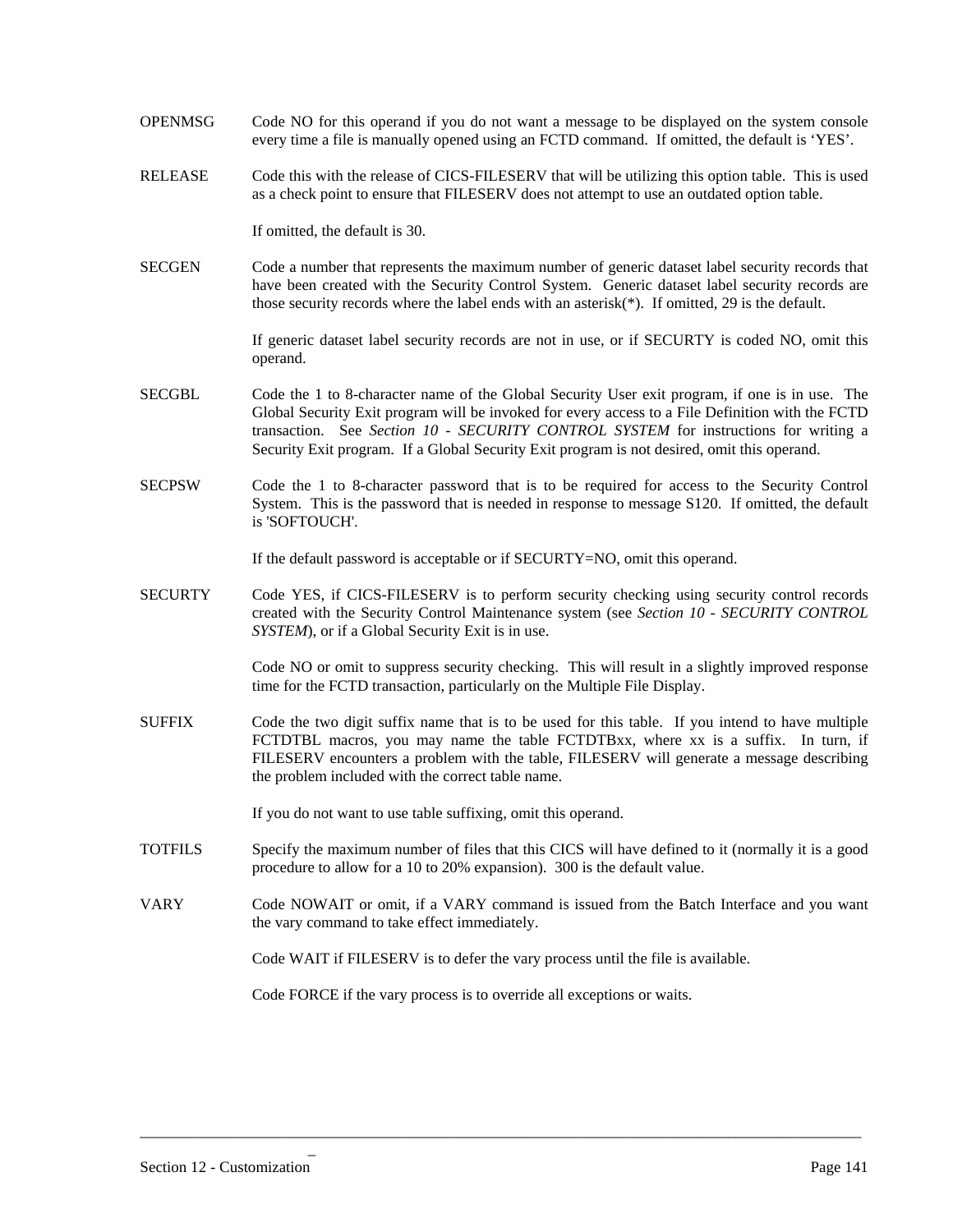- OPENMSG Code NO for this operand if you do not want a message to be displayed on the system console every time a file is manually opened using an FCTD command. If omitted, the default is 'YES'.
- RELEASE Code this with the release of CICS-FILESERV that will be utilizing this option table. This is used as a check point to ensure that FILESERV does not attempt to use an outdated option table.

If omitted, the default is 30.

SECGEN Code a number that represents the maximum number of generic dataset label security records that have been created with the Security Control System. Generic dataset label security records are those security records where the label ends with an asterisk( $*$ ). If omitted, 29 is the default.

> If generic dataset label security records are not in use, or if SECURTY is coded NO, omit this operand.

- SECGBL Code the 1 to 8-character name of the Global Security User exit program, if one is in use. The Global Security Exit program will be invoked for every access to a File Definition with the FCTD transaction. See *Section 10 - SECURITY CONTROL SYSTEM* for instructions for writing a Security Exit program. If a Global Security Exit program is not desired, omit this operand.
- SECPSW Code the 1 to 8-character password that is to be required for access to the Security Control System. This is the password that is needed in response to message S120. If omitted, the default is 'SOFTOUCH'.

If the default password is acceptable or if SECURTY=NO, omit this operand.

SECURTY Code YES, if CICS-FILESERV is to perform security checking using security control records created with the Security Control Maintenance system (see *Section 10 - SECURITY CONTROL SYSTEM*), or if a Global Security Exit is in use.

> Code NO or omit to suppress security checking. This will result in a slightly improved response time for the FCTD transaction, particularly on the Multiple File Display.

SUFFIX Code the two digit suffix name that is to be used for this table. If you intend to have multiple FCTDTBL macros, you may name the table FCTDTBxx, where xx is a suffix. In turn, if FILESERV encounters a problem with the table, FILESERV will generate a message describing the problem included with the correct table name.

If you do not want to use table suffixing, omit this operand.

- TOTFILS Specify the maximum number of files that this CICS will have defined to it (normally it is a good procedure to allow for a 10 to 20% expansion). 300 is the default value.
- VARY Code NOWAIT or omit, if a VARY command is issued from the Batch Interface and you want the vary command to take effect immediately.

Code WAIT if FILESERV is to defer the vary process until the file is available.

\_\_\_\_\_\_\_\_\_\_\_\_\_\_\_\_\_\_\_\_\_\_\_\_\_\_\_\_\_\_\_\_\_\_\_\_\_\_\_\_\_\_\_\_\_\_\_\_\_\_\_\_\_\_\_\_\_\_\_\_\_\_\_\_\_\_\_\_\_\_\_\_\_\_\_\_\_\_\_\_\_\_\_\_\_\_\_\_\_\_\_\_

Code FORCE if the vary process is to override all exceptions or waits.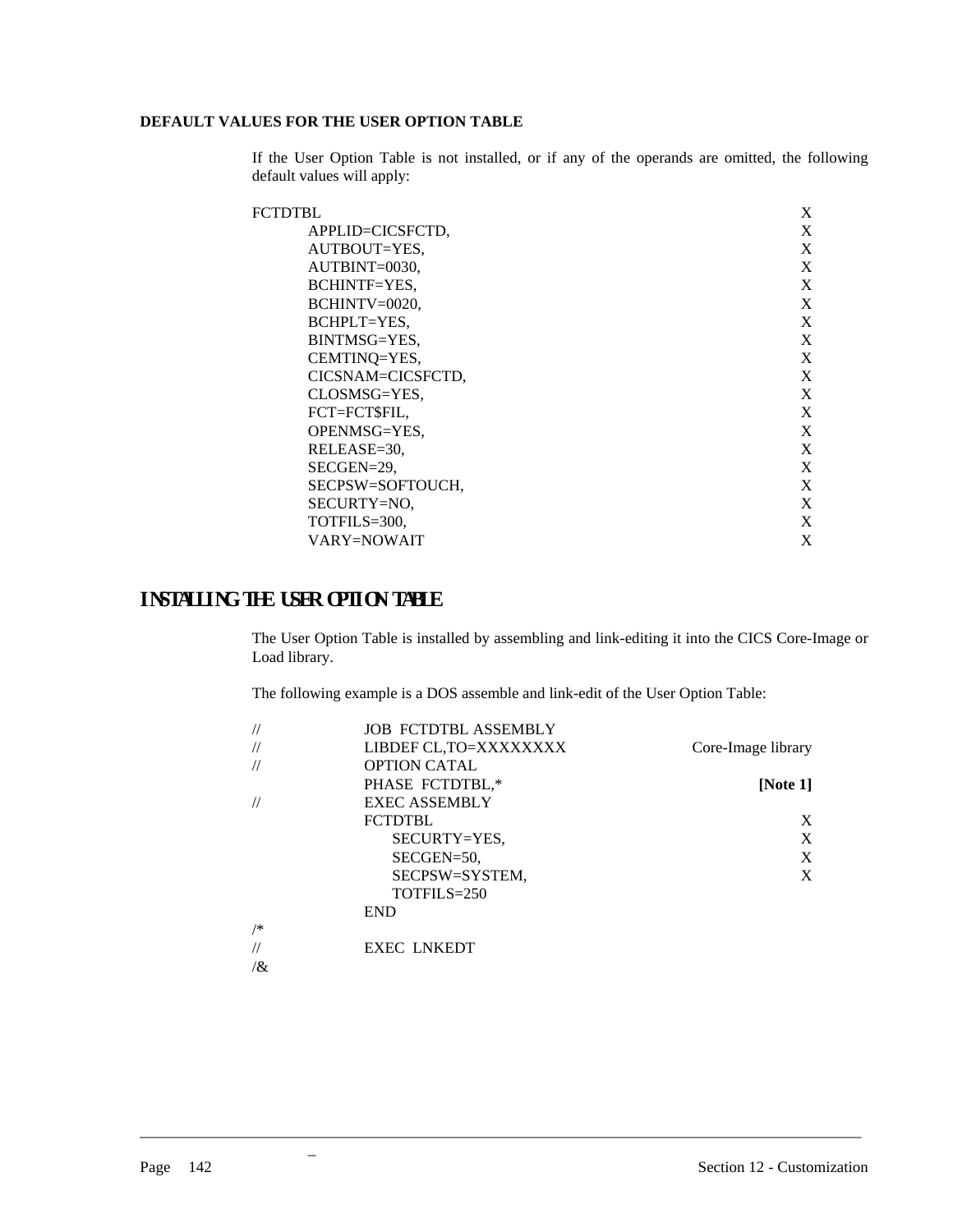## **DEFAULT VALUES FOR THE USER OPTION TABLE**

If the User Option Table is not installed, or if any of the operands are omitted, the following default values will apply:

| FCTDTBL           | X |
|-------------------|---|
| APPLID=CICSFCTD.  | X |
| AUTBOUT=YES.      | X |
| AUTBINT=0030,     | X |
| BCHINTF=YES.      | X |
| BCHINTV=0020,     | X |
| BCHPLT=YES,       | X |
| BINTMSG=YES,      | X |
| CEMTINQ=YES,      | X |
| CICSNAM=CICSFCTD, | X |
| CLOSMSG=YES.      | X |
| FCT=FCT\$FIL,     | X |
| OPENMSG=YES.      | X |
| RELEASE=30,       | X |
| SECGEN=29.        | X |
| SECPSW=SOFTOUCH.  | X |
| SECURTY=NO.       | X |
| TOTFILS=300.      | X |
| VARY=NOWAIT       | X |

# **INSTALLING THE USER OPTION TABLE**

The User Option Table is installed by assembling and link-editing it into the CICS Core-Image or Load library.

The following example is a DOS assemble and link-edit of the User Option Table:

| $\frac{1}{2}$     | <b>JOB FCTDTBL ASSEMBLY</b> |                    |
|-------------------|-----------------------------|--------------------|
| $\frac{1}{2}$     | LIBDEF CL,TO=XXXXXXXX       | Core-Image library |
| $\frac{1}{2}$     | <b>OPTION CATAL</b>         |                    |
|                   | PHASE FCTDTBL,*             | [Note 1]           |
| $^{\prime\prime}$ | <b>EXEC ASSEMBLY</b>        |                    |
|                   | <b>FCTDTBL</b>              | X                  |
|                   | SECURTY=YES.                | X                  |
|                   | SECGEN=50,                  | X                  |
|                   | SECPSW=SYSTEM.              | X                  |
|                   | TOTFILS=250                 |                    |
|                   | <b>END</b>                  |                    |
| /*                |                             |                    |
| $\frac{1}{2}$     | <b>EXEC LNKEDT</b>          |                    |
| /8                |                             |                    |

\_\_\_\_\_\_\_\_\_\_\_\_\_\_\_\_\_\_\_\_\_\_\_\_\_\_\_\_\_\_\_\_\_\_\_\_\_\_\_\_\_\_\_\_\_\_\_\_\_\_\_\_\_\_\_\_\_\_\_\_\_\_\_\_\_\_\_\_\_\_\_\_\_\_\_\_\_\_\_\_\_\_\_\_\_\_\_\_\_\_\_\_

 $\overline{\phantom{0}}$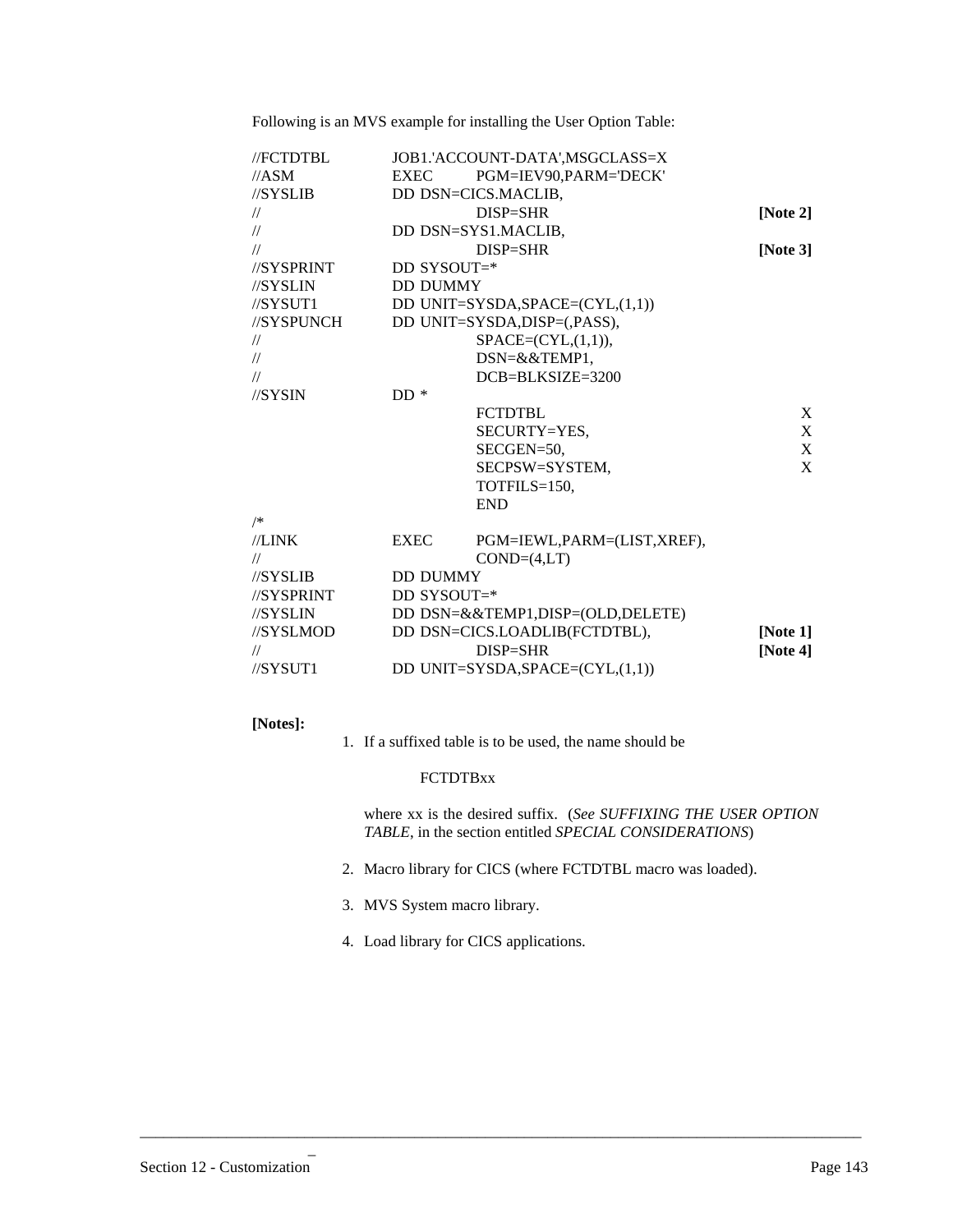| Following is an MVS example for installing the User Option Table: |  |  |
|-------------------------------------------------------------------|--|--|
|                                                                   |  |  |

| //FCTDTBL                      |                 | JOB1.'ACCOUNT-DATA', MSGCLASS=X      |              |
|--------------------------------|-----------------|--------------------------------------|--------------|
| $\frac{\text{N}}{\text{A}}$ SM | <b>EXEC</b>     | PGM=IEV90,PARM='DECK'                |              |
| $\frac{\sqrt{S}YSLIB}{S}$      |                 | DD DSN=CICS.MACLIB,                  |              |
| $\frac{1}{2}$                  |                 | DISP=SHR                             | [Note $21$ ] |
| $\frac{1}{2}$                  |                 | DD DSN=SYS1.MACLIB,                  |              |
| $\frac{1}{2}$                  |                 | $DISP = SHR$                         | [Note $3$ ]  |
| //SYSPRINT                     | DD SYSOUT= $*$  |                                      |              |
| //SYSLIN                       | <b>DD DUMMY</b> |                                      |              |
| $\frac{\sqrt{S}YSUT1}{S}$      |                 | DD UNIT=SYSDA, SPACE= $(CYL, (1,1))$ |              |
| //SYSPUNCH                     |                 | DD UNIT=SYSDA, DISP=(, PASS),        |              |
| $\frac{1}{2}$                  |                 | $SPACE=(CYL,(1,1)),$                 |              |
| $\frac{1}{2}$                  |                 | DSN=&&TEMP1,                         |              |
| $\frac{1}{2}$                  |                 | $DCB = BLKSIZE = 3200$               |              |
| //SYSIN                        | $DD*$           |                                      |              |
|                                |                 | <b>FCTDTBL</b>                       | X            |
|                                |                 | SECURTY=YES,                         | X            |
|                                |                 | SECGEN=50,                           | X            |
|                                |                 | SECPSW=SYSTEM,                       | X            |
|                                |                 | TOTFILS=150.                         |              |
|                                |                 | <b>END</b>                           |              |
| /*                             |                 |                                      |              |
| //LINK                         | <b>EXEC</b>     | PGM=IEWL,PARM=(LIST,XREF),           |              |
| $\frac{1}{2}$                  |                 | $COND=(4,LT)$                        |              |
| $//$ SYSLIB                    | <b>DD DUMMY</b> |                                      |              |
| //SYSPRINT                     | DD SYSOUT=*     |                                      |              |
| //SYSLIN                       |                 | DD DSN=&&TEMP1,DISP=(OLD,DELETE)     |              |
| //SYSLMOD                      |                 | DD DSN=CICS.LOADLIB(FCTDTBL),        | [Note 1]     |
| $\frac{1}{2}$                  |                 | $DISP = SHR$                         | [Note $4$ ]  |
| $\frac{\sqrt{S}YSUT1}{S}$      |                 | DD UNIT=SYSDA, SPACE= $(CYL, (1,1))$ |              |

## **[Notes]:**

1. If a suffixed table is to be used, the name should be

#### FCTDTBxx

 where xx is the desired suffix. (*See SUFFIXING THE USER OPTION TABLE*, in the section entitled *SPECIAL CONSIDERATIONS*)

- 2. Macro library for CICS (where FCTDTBL macro was loaded).
- 3. MVS System macro library.
- 4. Load library for CICS applications.

\_\_\_\_\_\_\_\_\_\_\_\_\_\_\_\_\_\_\_\_\_\_\_\_\_\_\_\_\_\_\_\_\_\_\_\_\_\_\_\_\_\_\_\_\_\_\_\_\_\_\_\_\_\_\_\_\_\_\_\_\_\_\_\_\_\_\_\_\_\_\_\_\_\_\_\_\_\_\_\_\_\_\_\_\_\_\_\_\_\_\_\_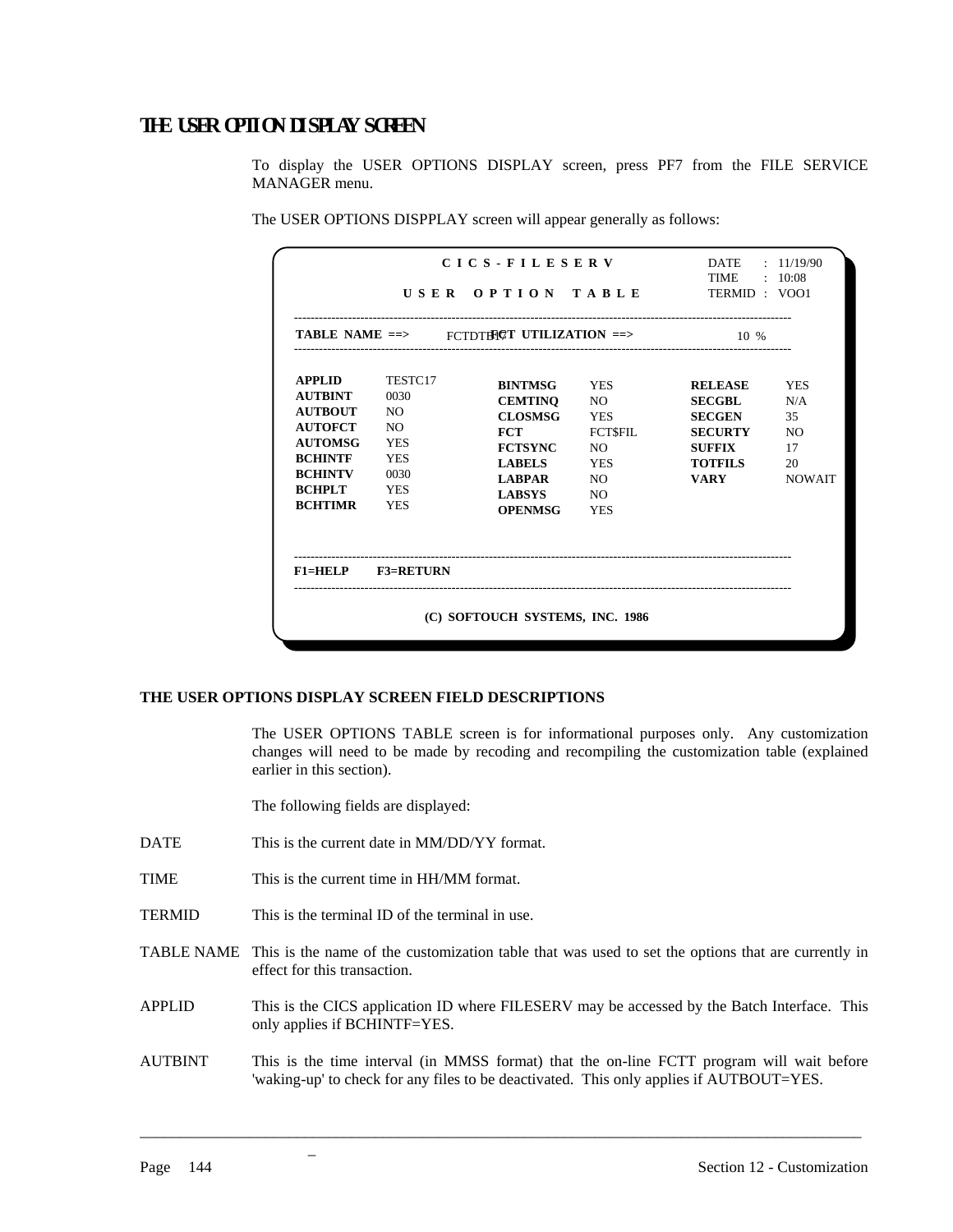# **THE USER OPTION DISPLAY SCREEN**

To display the USER OPTIONS DISPLAY screen, press PF7 from the FILE SERVICE MANAGER menu.

| TABLE NAME $==$                                                                                                                                              |                                                                                                                          | $FCTDTHFQT$ UTILIZATION ==>                                                                                                                             |                                                                                                       | $10^{96}$                                                                                                            |                                                                        |
|--------------------------------------------------------------------------------------------------------------------------------------------------------------|--------------------------------------------------------------------------------------------------------------------------|---------------------------------------------------------------------------------------------------------------------------------------------------------|-------------------------------------------------------------------------------------------------------|----------------------------------------------------------------------------------------------------------------------|------------------------------------------------------------------------|
| <b>APPLID</b><br><b>AUTBINT</b><br><b>AUTBOUT</b><br><b>AUTOFCT</b><br><b>AUTOMSG</b><br><b>BCHINTF</b><br><b>BCHINTV</b><br><b>BCHPLT</b><br><b>BCHTIMR</b> | TESTC <sub>17</sub><br>0030<br>N <sub>O</sub><br>N <sub>O</sub><br><b>YES</b><br><b>YES</b><br>0030<br>YES<br><b>YES</b> | <b>BINTMSG</b><br><b>CEMTINQ</b><br><b>CLOSMSG</b><br><b>FCT</b><br><b>FCTSYNC</b><br><b>LABELS</b><br><b>LABPAR</b><br><b>LABSYS</b><br><b>OPENMSG</b> | <b>EXERC</b><br>NO.<br><b>YES</b><br><b>FCT\$FIL</b><br>NO.<br><b>YES</b><br>NO.<br>NO.<br><b>YES</b> | <b>RELEASE</b><br><b>SECGBL</b><br><b>SECGEN</b><br><b>SECURTY</b><br><b>SUFFIX</b><br><b>TOTFILS</b><br><b>VARY</b> | <b>YES</b><br>N/A<br>35<br>N <sub>O</sub><br>17<br>20<br><b>NOWAIT</b> |
|                                                                                                                                                              | F1=HELP F3=RETURN                                                                                                        |                                                                                                                                                         |                                                                                                       |                                                                                                                      |                                                                        |

The USER OPTIONS DISPPLAY screen will appear generally as follows:

## **THE USER OPTIONS DISPLAY SCREEN FIELD DESCRIPTIONS**

 The USER OPTIONS TABLE screen is for informational purposes only. Any customization changes will need to be made by recoding and recompiling the customization table (explained earlier in this section).

The following fields are displayed:

- DATE This is the current date in MM/DD/YY format.
- TIME This is the current time in HH/MM format.
- TERMID This is the terminal ID of the terminal in use.

 $\overline{a}$ 

- TABLE NAME This is the name of the customization table that was used to set the options that are currently in effect for this transaction.
- APPLID This is the CICS application ID where FILESERV may be accessed by the Batch Interface. This only applies if BCHINTF=YES.
- AUTBINT This is the time interval (in MMSS format) that the on-line FCTT program will wait before 'waking-up' to check for any files to be deactivated. This only applies if AUTBOUT=YES.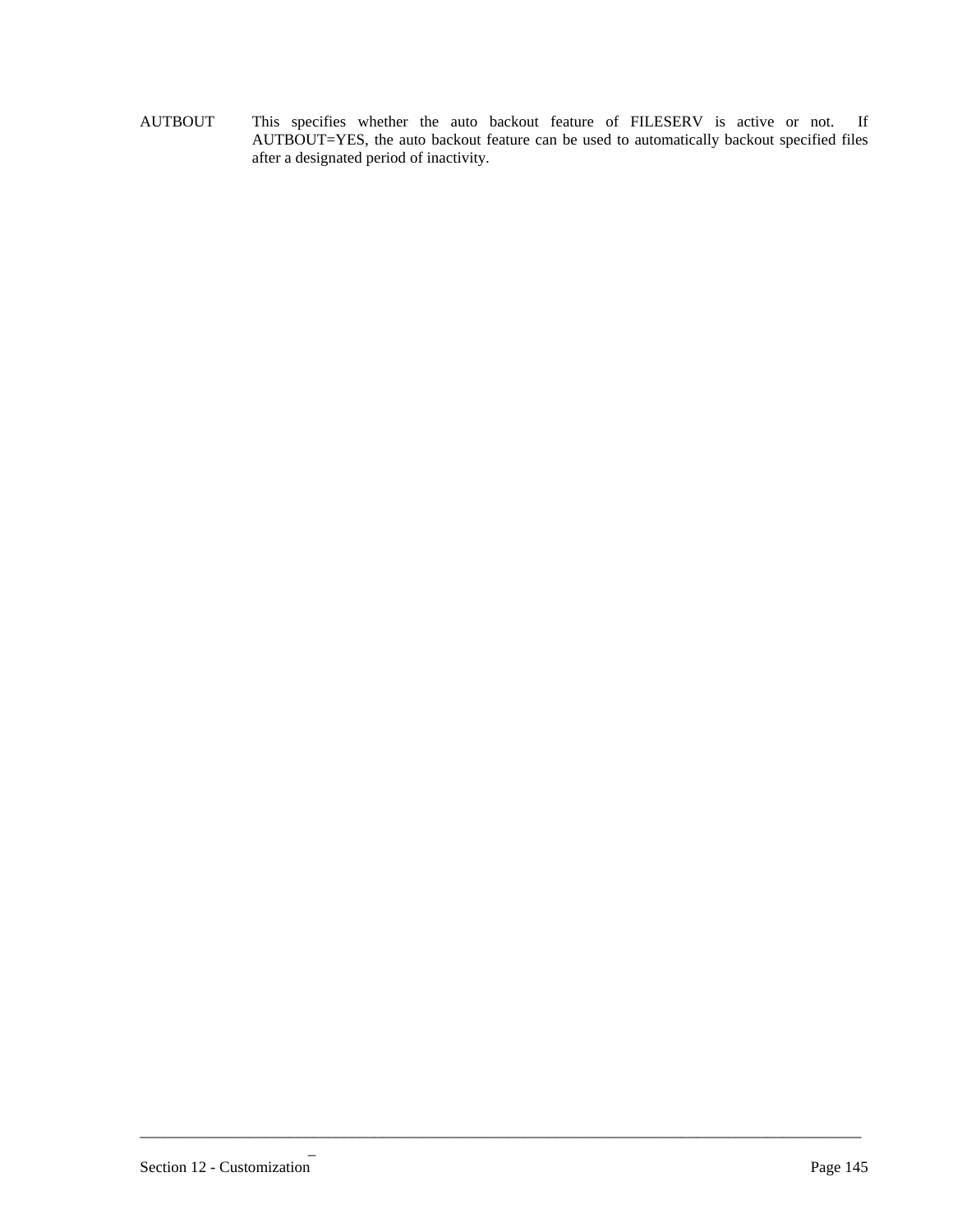AUTBOUT This specifies whether the auto backout feature of FILESERV is active or not. If AUTBOUT=YES, the auto backout feature can be used to automatically backout specified files after a designated period of inactivity.

\_\_\_\_\_\_\_\_\_\_\_\_\_\_\_\_\_\_\_\_\_\_\_\_\_\_\_\_\_\_\_\_\_\_\_\_\_\_\_\_\_\_\_\_\_\_\_\_\_\_\_\_\_\_\_\_\_\_\_\_\_\_\_\_\_\_\_\_\_\_\_\_\_\_\_\_\_\_\_\_\_\_\_\_\_\_\_\_\_\_\_\_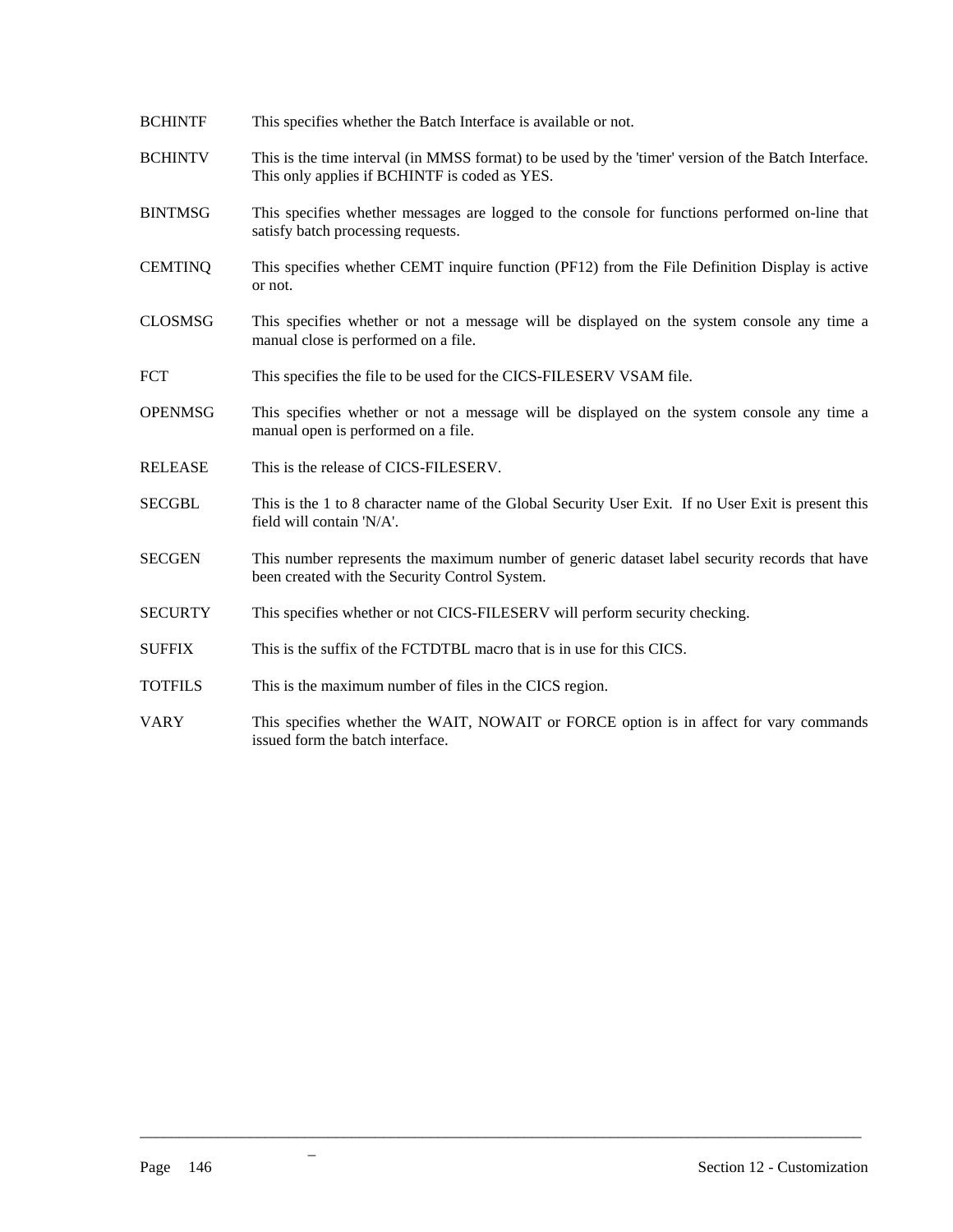| <b>BCHINTF</b> | This specifies whether the Batch Interface is available or not.                                                                                       |
|----------------|-------------------------------------------------------------------------------------------------------------------------------------------------------|
| <b>BCHINTV</b> | This is the time interval (in MMSS format) to be used by the 'timer' version of the Batch Interface.<br>This only applies if BCHINTF is coded as YES. |
| <b>BINTMSG</b> | This specifies whether messages are logged to the console for functions performed on-line that<br>satisfy batch processing requests.                  |
| <b>CEMTINQ</b> | This specifies whether CEMT inquire function (PF12) from the File Definition Display is active<br>or not.                                             |
| <b>CLOSMSG</b> | This specifies whether or not a message will be displayed on the system console any time a<br>manual close is performed on a file.                    |
| <b>FCT</b>     | This specifies the file to be used for the CICS-FILESERV VSAM file.                                                                                   |
| <b>OPENMSG</b> | This specifies whether or not a message will be displayed on the system console any time a<br>manual open is performed on a file.                     |
| <b>RELEASE</b> | This is the release of CICS-FILESERV.                                                                                                                 |
| <b>SECGBL</b>  | This is the 1 to 8 character name of the Global Security User Exit. If no User Exit is present this<br>field will contain 'N/A'.                      |
| <b>SECGEN</b>  | This number represents the maximum number of generic dataset label security records that have<br>been created with the Security Control System.       |
| <b>SECURTY</b> | This specifies whether or not CICS-FILESERV will perform security checking.                                                                           |
| <b>SUFFIX</b>  | This is the suffix of the FCTDTBL macro that is in use for this CICS.                                                                                 |
| <b>TOTFILS</b> | This is the maximum number of files in the CICS region.                                                                                               |
| <b>VARY</b>    | This specifies whether the WAIT, NOWAIT or FORCE option is in affect for vary commands<br>issued form the batch interface.                            |

\_\_\_\_\_\_\_\_\_\_\_\_\_\_\_\_\_\_\_\_\_\_\_\_\_\_\_\_\_\_\_\_\_\_\_\_\_\_\_\_\_\_\_\_\_\_\_\_\_\_\_\_\_\_\_\_\_\_\_\_\_\_\_\_\_\_\_\_\_\_\_\_\_\_\_\_\_\_\_\_\_\_\_\_\_\_\_\_\_\_\_\_

 $\equiv$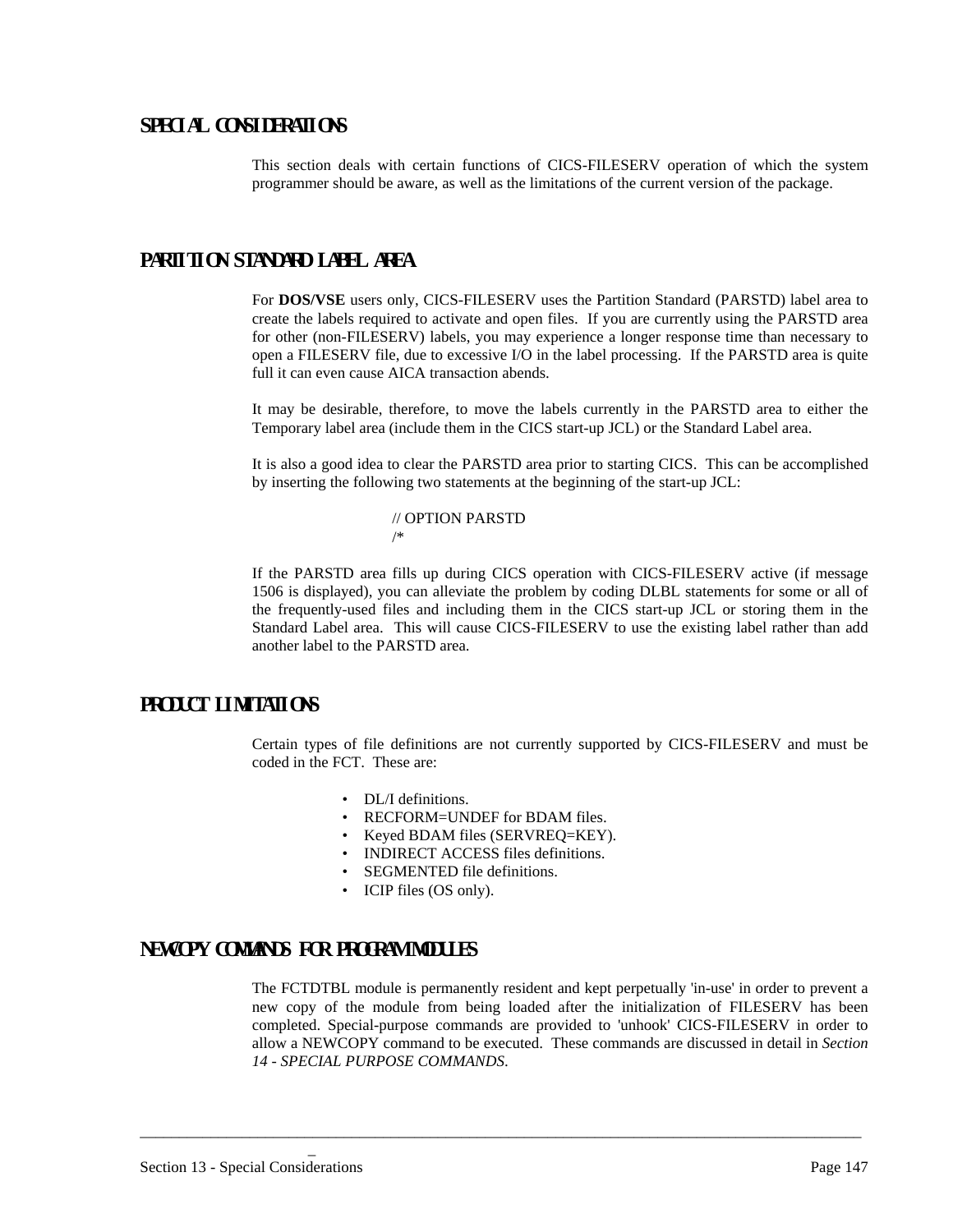## **SPECIAL CONSIDERATIONS**

This section deals with certain functions of CICS-FILESERV operation of which the system programmer should be aware, as well as the limitations of the current version of the package.

## **PARTITION STANDARD LABEL AREA**

For **DOS/VSE** users only, CICS-FILESERV uses the Partition Standard (PARSTD) label area to create the labels required to activate and open files. If you are currently using the PARSTD area for other (non-FILESERV) labels, you may experience a longer response time than necessary to open a FILESERV file, due to excessive I/O in the label processing. If the PARSTD area is quite full it can even cause AICA transaction abends.

It may be desirable, therefore, to move the labels currently in the PARSTD area to either the Temporary label area (include them in the CICS start-up JCL) or the Standard Label area.

It is also a good idea to clear the PARSTD area prior to starting CICS. This can be accomplished by inserting the following two statements at the beginning of the start-up JCL:

```
 // OPTION PARSTD 
/*
```
If the PARSTD area fills up during CICS operation with CICS-FILESERV active (if message 1506 is displayed), you can alleviate the problem by coding DLBL statements for some or all of the frequently-used files and including them in the CICS start-up JCL or storing them in the Standard Label area. This will cause CICS-FILESERV to use the existing label rather than add another label to the PARSTD area.

## **PRODUCT LIMITATIONS**

Certain types of file definitions are not currently supported by CICS-FILESERV and must be coded in the FCT. These are:

- DL/I definitions.
- RECFORM=UNDEF for BDAM files.
- Keyed BDAM files (SERVREQ=KEY).

\_\_\_\_\_\_\_\_\_\_\_\_\_\_\_\_\_\_\_\_\_\_\_\_\_\_\_\_\_\_\_\_\_\_\_\_\_\_\_\_\_\_\_\_\_\_\_\_\_\_\_\_\_\_\_\_\_\_\_\_\_\_\_\_\_\_\_\_\_\_\_\_\_\_\_\_\_\_\_\_\_\_\_\_\_\_\_\_\_\_\_\_

- **INDIRECT ACCESS** files definitions.
- SEGMENTED file definitions.
- ICIP files (OS only).

## **NEWCPY COMANDS FOR PROGRAMMODULES**

 $\overline{a}$ 

The FCTDTBL module is permanently resident and kept perpetually 'in-use' in order to prevent a new copy of the module from being loaded after the initialization of FILESERV has been completed. Special-purpose commands are provided to 'unhook' CICS-FILESERV in order to allow a NEWCOPY command to be executed. These commands are discussed in detail in *Section 14 - SPECIAL PURPOSE COMMANDS*.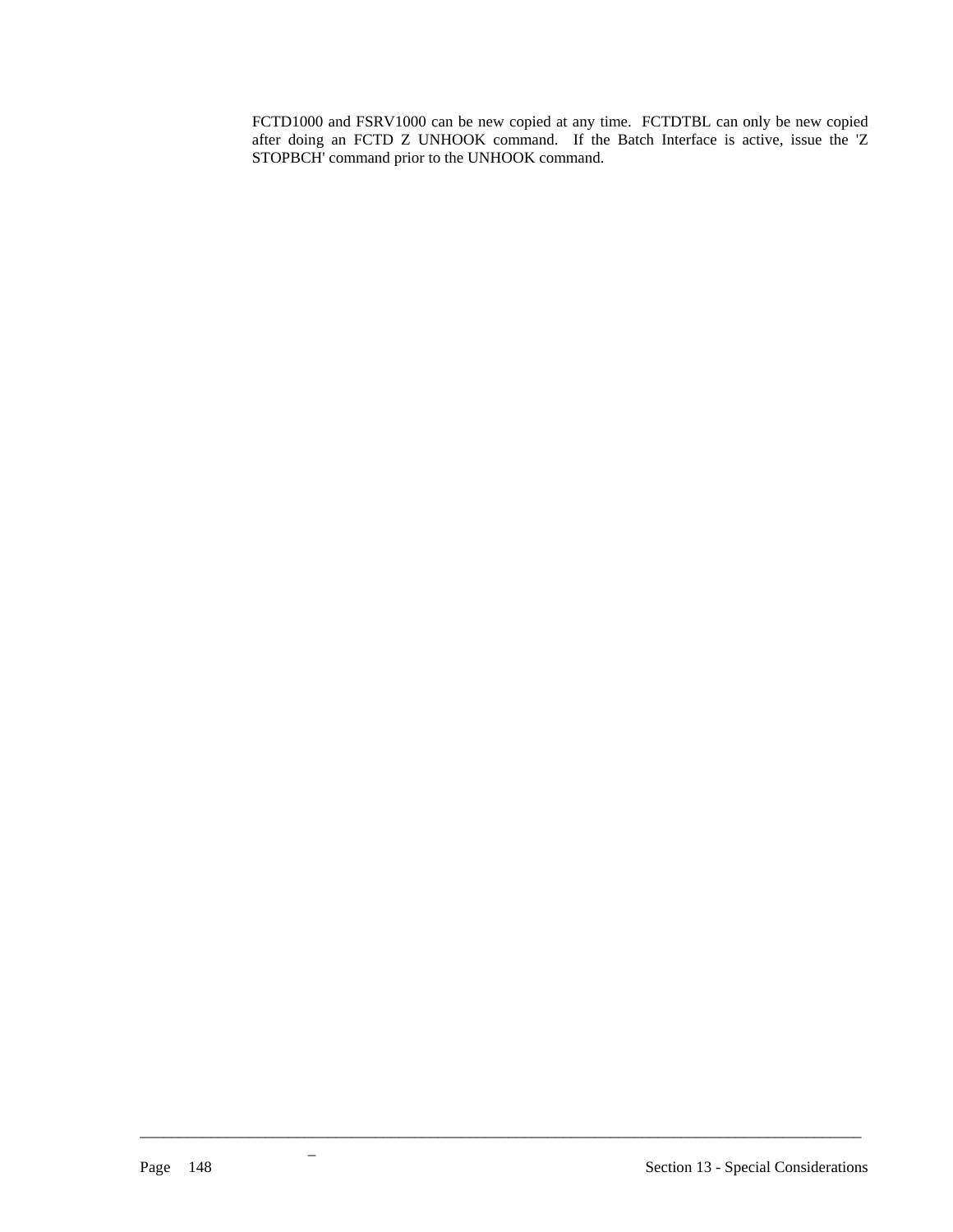FCTD1000 and FSRV1000 can be new copied at any time. FCTDTBL can only be new copied after doing an FCTD Z UNHOOK command. If the Batch Interface is active, issue the 'Z STOPBCH' command prior to the UNHOOK command.

\_\_\_\_\_\_\_\_\_\_\_\_\_\_\_\_\_\_\_\_\_\_\_\_\_\_\_\_\_\_\_\_\_\_\_\_\_\_\_\_\_\_\_\_\_\_\_\_\_\_\_\_\_\_\_\_\_\_\_\_\_\_\_\_\_\_\_\_\_\_\_\_\_\_\_\_\_\_\_\_\_\_\_\_\_\_\_\_\_\_\_\_

 $\equiv$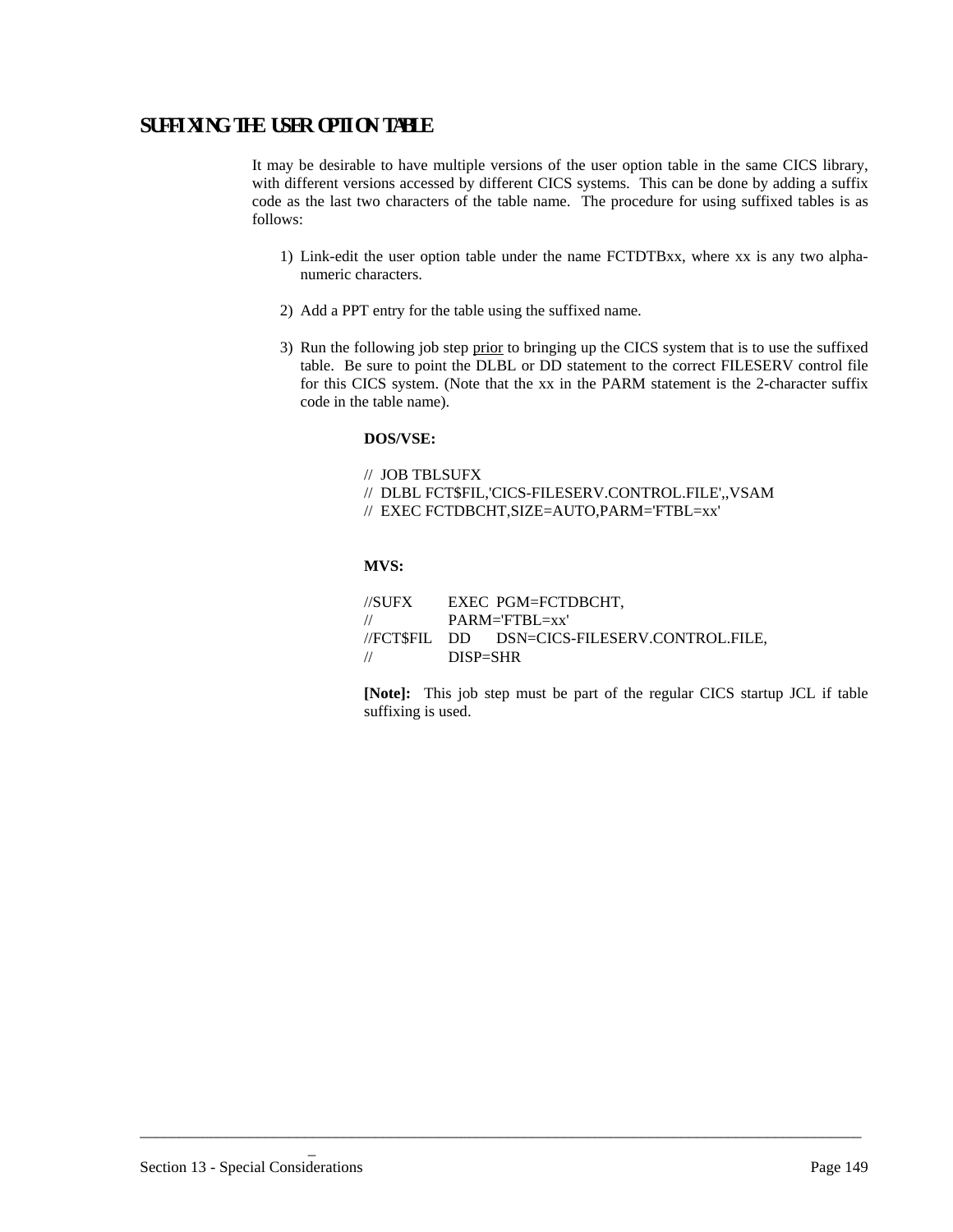# **SUFFIXING THE USER OPTION TABLE**

It may be desirable to have multiple versions of the user option table in the same CICS library, with different versions accessed by different CICS systems. This can be done by adding a suffix code as the last two characters of the table name. The procedure for using suffixed tables is as follows:

- 1) Link-edit the user option table under the name FCTDTBxx, where xx is any two alphanumeric characters.
- 2) Add a PPT entry for the table using the suffixed name.
- 3) Run the following job step prior to bringing up the CICS system that is to use the suffixed table. Be sure to point the DLBL or DD statement to the correct FILESERV control file for this CICS system. (Note that the xx in the PARM statement is the 2-character suffix code in the table name).

## **DOS/VSE:**

 // JOB TBLSUFX // DLBL FCT\$FIL,'CICS-FILESERV.CONTROL.FILE',,VSAM // EXEC FCTDBCHT,SIZE=AUTO,PARM='FTBL=xx'

## **MVS:**

| //SUFX        |          | EXEC PGM=FCTDBCHT,                            |
|---------------|----------|-----------------------------------------------|
| $\frac{1}{2}$ |          | $PARN = 'FTBI = xx'$                          |
|               |          | //FCT\$FIL DD DSN=CICS-FILESERV.CONTROL.FILE, |
| $\frac{1}{2}$ | DISP=SHR |                                               |

\_\_\_\_\_\_\_\_\_\_\_\_\_\_\_\_\_\_\_\_\_\_\_\_\_\_\_\_\_\_\_\_\_\_\_\_\_\_\_\_\_\_\_\_\_\_\_\_\_\_\_\_\_\_\_\_\_\_\_\_\_\_\_\_\_\_\_\_\_\_\_\_\_\_\_\_\_\_\_\_\_\_\_\_\_\_\_\_\_\_\_\_

 **[Note]:** This job step must be part of the regular CICS startup JCL if table suffixing is used.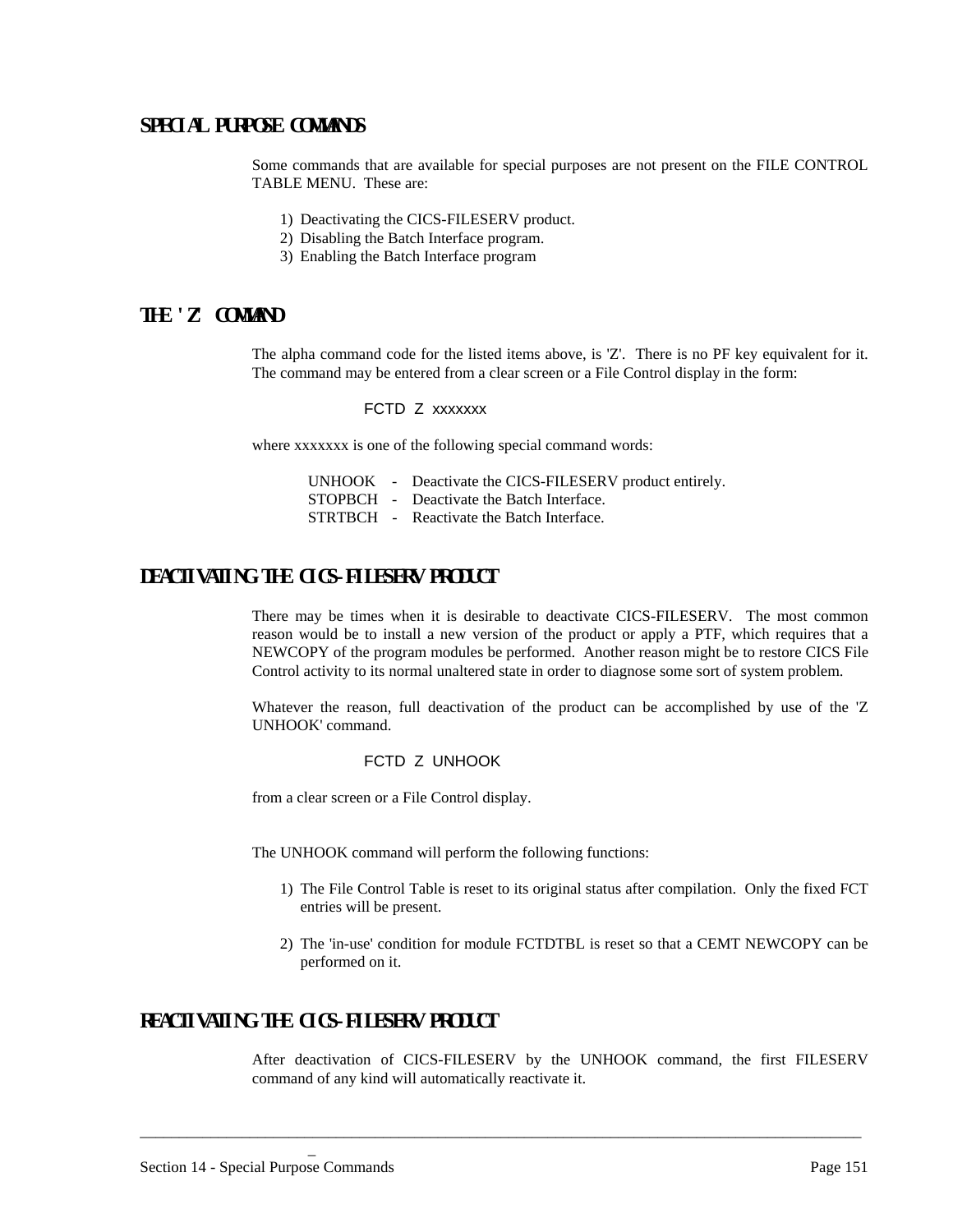## **SPECIAL PURPOSE COMMANDS**

Some commands that are available for special purposes are not present on the FILE CONTROL TABLE MENU. These are:

- 1) Deactivating the CICS-FILESERV product.
- 2) Disabling the Batch Interface program.
- 3) Enabling the Batch Interface program

# **THE ' Z' COMAND**

The alpha command code for the listed items above, is 'Z'. There is no PF key equivalent for it. The command may be entered from a clear screen or a File Control display in the form:

FCTD Z xxxxxxx

where xxxxxxx is one of the following special command words:

|  | UNHOOK - Deactivate the CICS-FILESERV product entirely. |
|--|---------------------------------------------------------|
|  | STOPBCH - Deactivate the Batch Interface.               |
|  | <b>STRTBCH</b> - Reactivate the Batch Interface.        |

# **DEACTIVATING THE CICS-FILESERV PRODUCT**

There may be times when it is desirable to deactivate CICS-FILESERV. The most common reason would be to install a new version of the product or apply a PTF, which requires that a NEWCOPY of the program modules be performed. Another reason might be to restore CICS File Control activity to its normal unaltered state in order to diagnose some sort of system problem.

Whatever the reason, full deactivation of the product can be accomplished by use of the 'Z UNHOOK' command.

## FCTD Z UNHOOK

from a clear screen or a File Control display.

The UNHOOK command will perform the following functions:

- 1) The File Control Table is reset to its original status after compilation. Only the fixed FCT entries will be present.
- 2) The 'in-use' condition for module FCTDTBL is reset so that a CEMT NEWCOPY can be performed on it.

# **REACTIVATING THE CICS-FILESERV PRODUCT**

 $\overline{a}$ 

After deactivation of CICS-FILESERV by the UNHOOK command, the first FILESERV command of any kind will automatically reactivate it.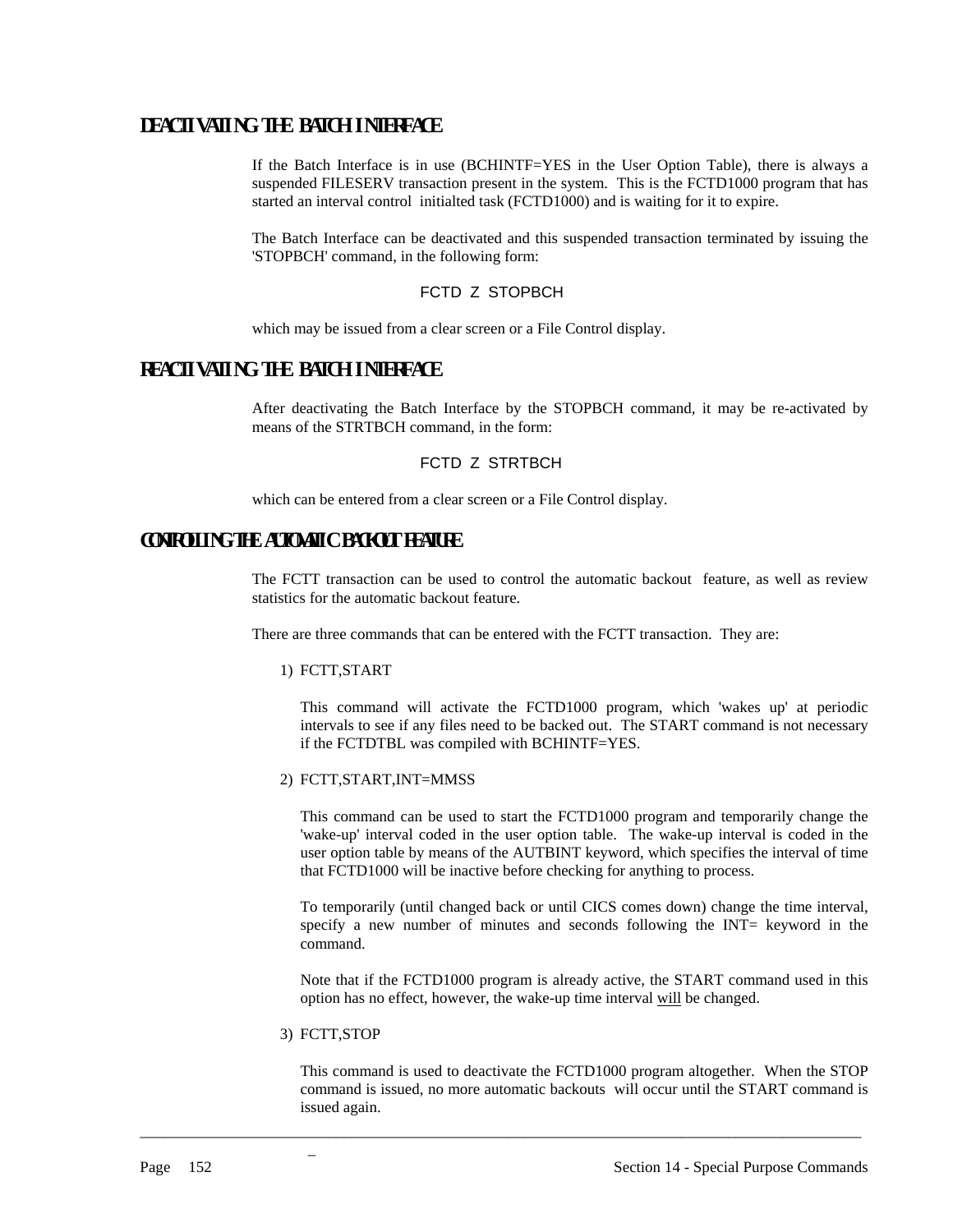# **DEACTIVATING THE BATCH INTERFACE**

If the Batch Interface is in use (BCHINTF=YES in the User Option Table), there is always a suspended FILESERV transaction present in the system. This is the FCTD1000 program that has started an interval control initialted task (FCTD1000) and is waiting for it to expire.

The Batch Interface can be deactivated and this suspended transaction terminated by issuing the 'STOPBCH' command, in the following form:

## FCTD Z STOPBCH

which may be issued from a clear screen or a File Control display.

## **REACTIVATING THE BATCH INTERFACE**

After deactivating the Batch Interface by the STOPBCH command, it may be re-activated by means of the STRTBCH command, in the form:

## FCTD Z STRTBCH

which can be entered from a clear screen or a File Control display.

## **CONTROLLING THE AUTOMATIC BACKOUT FEATURE**

The FCTT transaction can be used to control the automatic backout feature, as well as review statistics for the automatic backout feature.

There are three commands that can be entered with the FCTT transaction. They are:

#### 1) FCTT,START

 This command will activate the FCTD1000 program, which 'wakes up' at periodic intervals to see if any files need to be backed out. The START command is not necessary if the FCTDTBL was compiled with BCHINTF=YES.

#### 2) FCTT,START,INT=MMSS

 This command can be used to start the FCTD1000 program and temporarily change the 'wake-up' interval coded in the user option table. The wake-up interval is coded in the user option table by means of the AUTBINT keyword, which specifies the interval of time that FCTD1000 will be inactive before checking for anything to process.

 To temporarily (until changed back or until CICS comes down) change the time interval, specify a new number of minutes and seconds following the INT= keyword in the command.

 Note that if the FCTD1000 program is already active, the START command used in this option has no effect, however, the wake-up time interval will be changed.

## 3) FCTT,STOP

 This command is used to deactivate the FCTD1000 program altogether. When the STOP command is issued, no more automatic backouts will occur until the START command is issued again.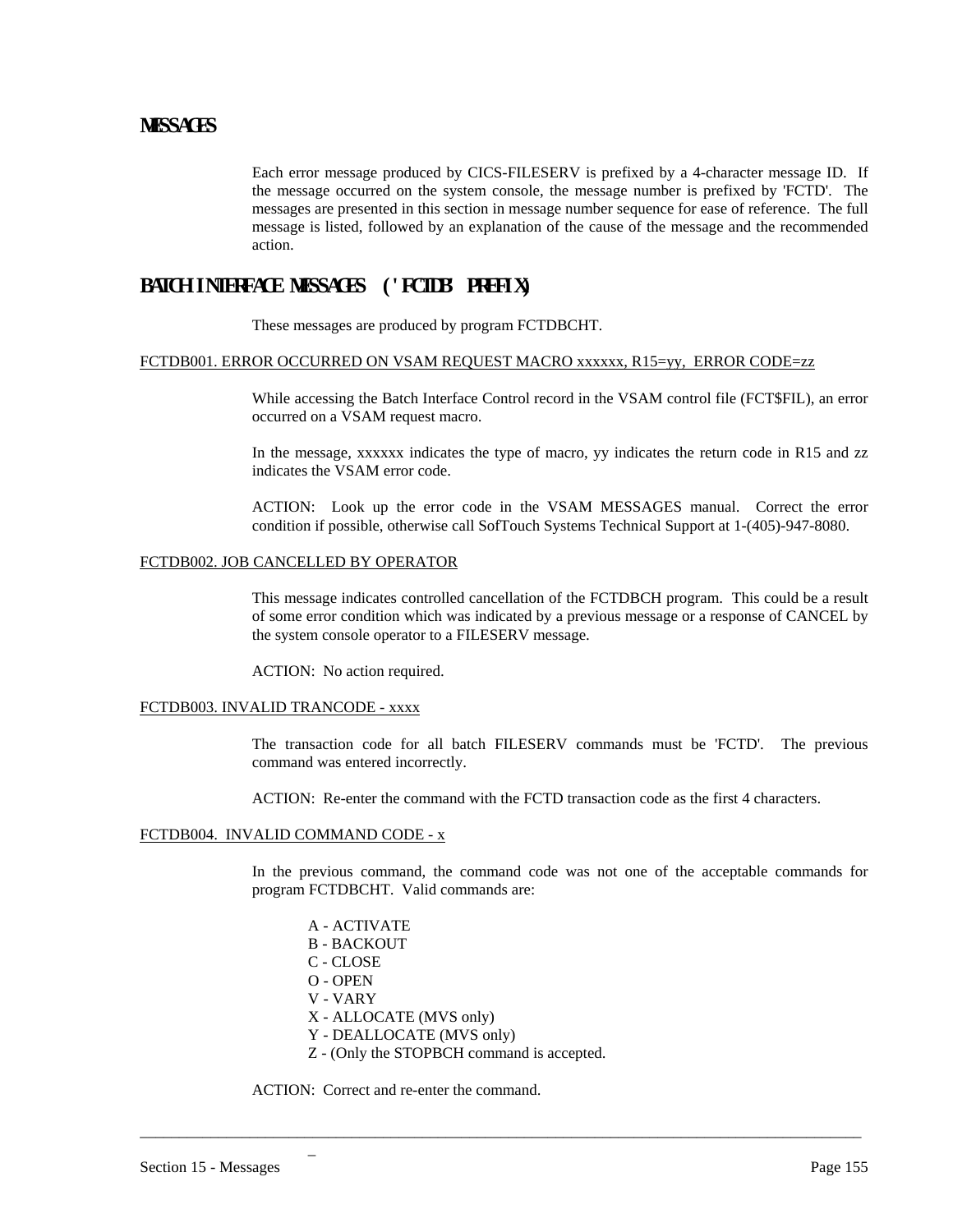## **MESSAGES**

Each error message produced by CICS-FILESERV is prefixed by a 4-character message ID. If the message occurred on the system console, the message number is prefixed by 'FCTD'. The messages are presented in this section in message number sequence for ease of reference. The full message is listed, followed by an explanation of the cause of the message and the recommended action.

## BATCH INTERFACE MESSAGES (' FCTDB' PREFIX)

These messages are produced by program FCTDBCHT.

#### FCTDB001. ERROR OCCURRED ON VSAM REQUEST MACRO xxxxxx, R15=yy, ERROR CODE=zz

While accessing the Batch Interface Control record in the VSAM control file (FCT\$FIL), an error occurred on a VSAM request macro.

In the message, xxxxxx indicates the type of macro, yy indicates the return code in R15 and zz indicates the VSAM error code.

ACTION: Look up the error code in the VSAM MESSAGES manual. Correct the error condition if possible, otherwise call SofTouch Systems Technical Support at 1-(405)-947-8080.

#### FCTDB002. JOB CANCELLED BY OPERATOR

This message indicates controlled cancellation of the FCTDBCH program. This could be a result of some error condition which was indicated by a previous message or a response of CANCEL by the system console operator to a FILESERV message.

ACTION: No action required.

#### FCTDB003. INVALID TRANCODE - xxxx

The transaction code for all batch FILESERV commands must be 'FCTD'. The previous command was entered incorrectly.

ACTION: Re-enter the command with the FCTD transaction code as the first 4 characters.

\_\_\_\_\_\_\_\_\_\_\_\_\_\_\_\_\_\_\_\_\_\_\_\_\_\_\_\_\_\_\_\_\_\_\_\_\_\_\_\_\_\_\_\_\_\_\_\_\_\_\_\_\_\_\_\_\_\_\_\_\_\_\_\_\_\_\_\_\_\_\_\_\_\_\_\_\_\_\_\_\_\_\_\_\_\_\_\_\_\_\_\_

## FCTDB004. INVALID COMMAND CODE - x

 $\overline{a}$ 

In the previous command, the command code was not one of the acceptable commands for program FCTDBCHT. Valid commands are:

A - ACTIVATE B - BACKOUT C - CLOSE O - OPEN V - VARY X - ALLOCATE (MVS only) Y - DEALLOCATE (MVS only) Z - (Only the STOPBCH command is accepted.

ACTION: Correct and re-enter the command.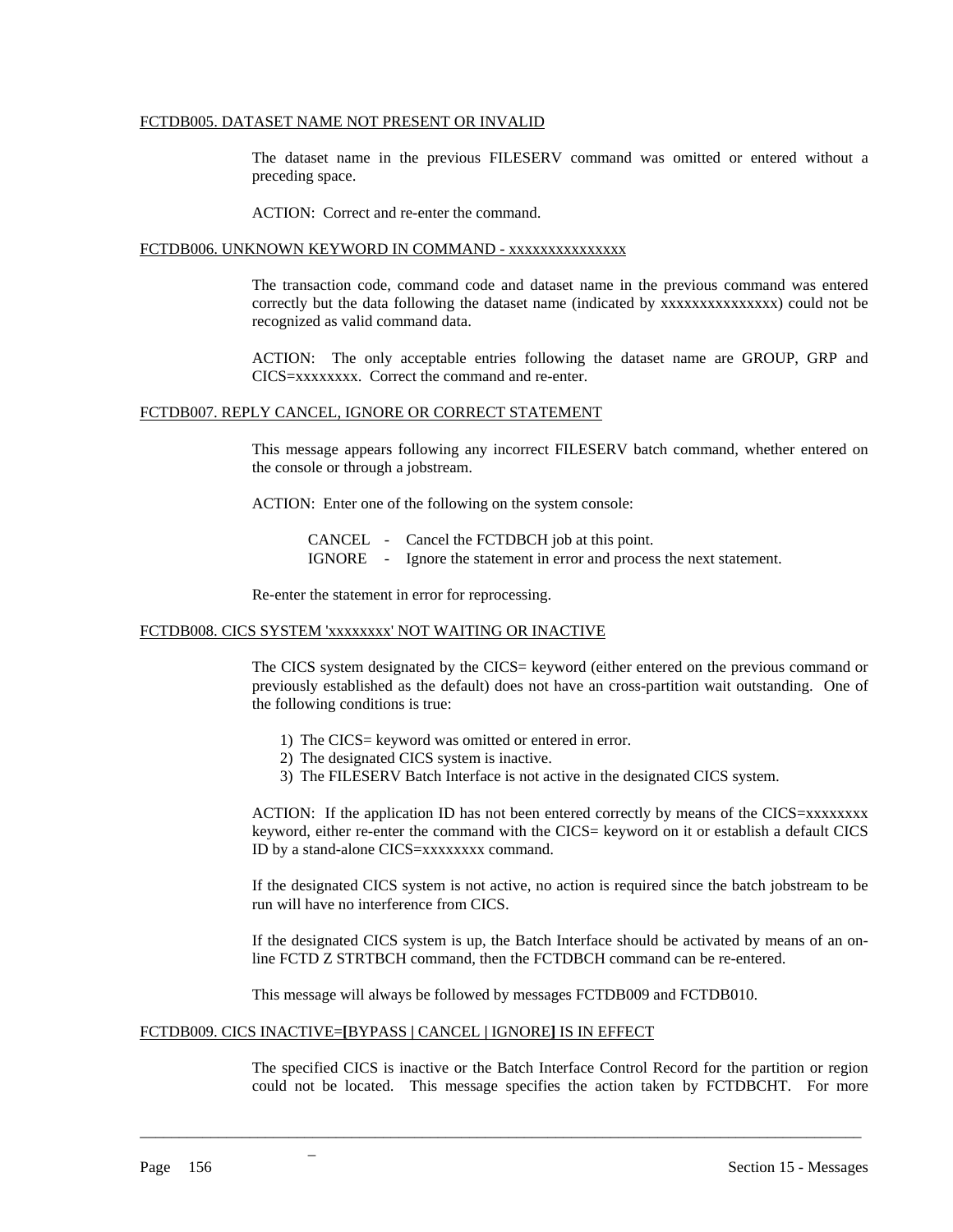#### FCTDB005. DATASET NAME NOT PRESENT OR INVALID

The dataset name in the previous FILESERV command was omitted or entered without a preceding space.

ACTION: Correct and re-enter the command.

#### FCTDB006. UNKNOWN KEYWORD IN COMMAND - xxxxxxxxxxxxxxx

The transaction code, command code and dataset name in the previous command was entered correctly but the data following the dataset name (indicated by xxxxxxxxxxxxxxxx) could not be recognized as valid command data.

ACTION: The only acceptable entries following the dataset name are GROUP, GRP and CICS=xxxxxxxx. Correct the command and re-enter.

#### FCTDB007. REPLY CANCEL, IGNORE OR CORRECT STATEMENT

This message appears following any incorrect FILESERV batch command, whether entered on the console or through a jobstream.

ACTION: Enter one of the following on the system console:

CANCEL - Cancel the FCTDBCH job at this point. IGNORE - Ignore the statement in error and process the next statement.

Re-enter the statement in error for reprocessing.

#### FCTDB008. CICS SYSTEM 'xxxxxxxx' NOT WAITING OR INACTIVE

The CICS system designated by the CICS= keyword (either entered on the previous command or previously established as the default) does not have an cross-partition wait outstanding. One of the following conditions is true:

- 1) The CICS= keyword was omitted or entered in error.
- 2) The designated CICS system is inactive.
- 3) The FILESERV Batch Interface is not active in the designated CICS system.

ACTION: If the application ID has not been entered correctly by means of the CICS=xxxxxxxx keyword, either re-enter the command with the CICS= keyword on it or establish a default CICS ID by a stand-alone CICS=xxxxxxxx command.

If the designated CICS system is not active, no action is required since the batch jobstream to be run will have no interference from CICS.

If the designated CICS system is up, the Batch Interface should be activated by means of an online FCTD Z STRTBCH command, then the FCTDBCH command can be re-entered.

This message will always be followed by messages FCTDB009 and FCTDB010.

\_\_\_\_\_\_\_\_\_\_\_\_\_\_\_\_\_\_\_\_\_\_\_\_\_\_\_\_\_\_\_\_\_\_\_\_\_\_\_\_\_\_\_\_\_\_\_\_\_\_\_\_\_\_\_\_\_\_\_\_\_\_\_\_\_\_\_\_\_\_\_\_\_\_\_\_\_\_\_\_\_\_\_\_\_\_\_\_\_\_\_\_

#### FCTDB009. CICS INACTIVE=**[**BYPASS **|** CANCEL **|** IGNORE**]** IS IN EFFECT

 $\overline{a}$ 

The specified CICS is inactive or the Batch Interface Control Record for the partition or region could not be located. This message specifies the action taken by FCTDBCHT. For more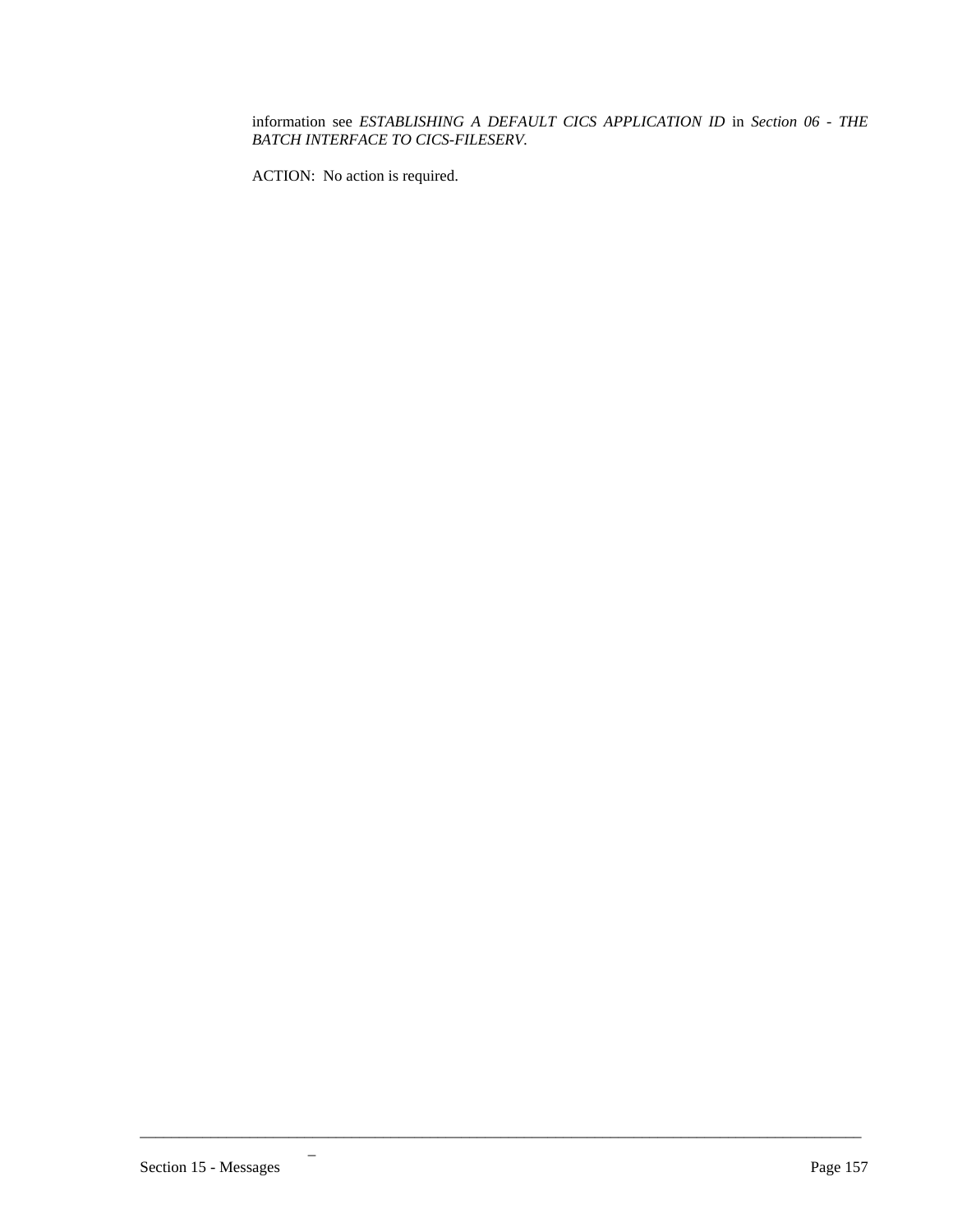information see *ESTABLISHING A DEFAULT CICS APPLICATION ID* in *Section 06 - THE BATCH INTERFACE TO CICS-FILESERV.*

\_\_\_\_\_\_\_\_\_\_\_\_\_\_\_\_\_\_\_\_\_\_\_\_\_\_\_\_\_\_\_\_\_\_\_\_\_\_\_\_\_\_\_\_\_\_\_\_\_\_\_\_\_\_\_\_\_\_\_\_\_\_\_\_\_\_\_\_\_\_\_\_\_\_\_\_\_\_\_\_\_\_\_\_\_\_\_\_\_\_\_\_

ACTION: No action is required.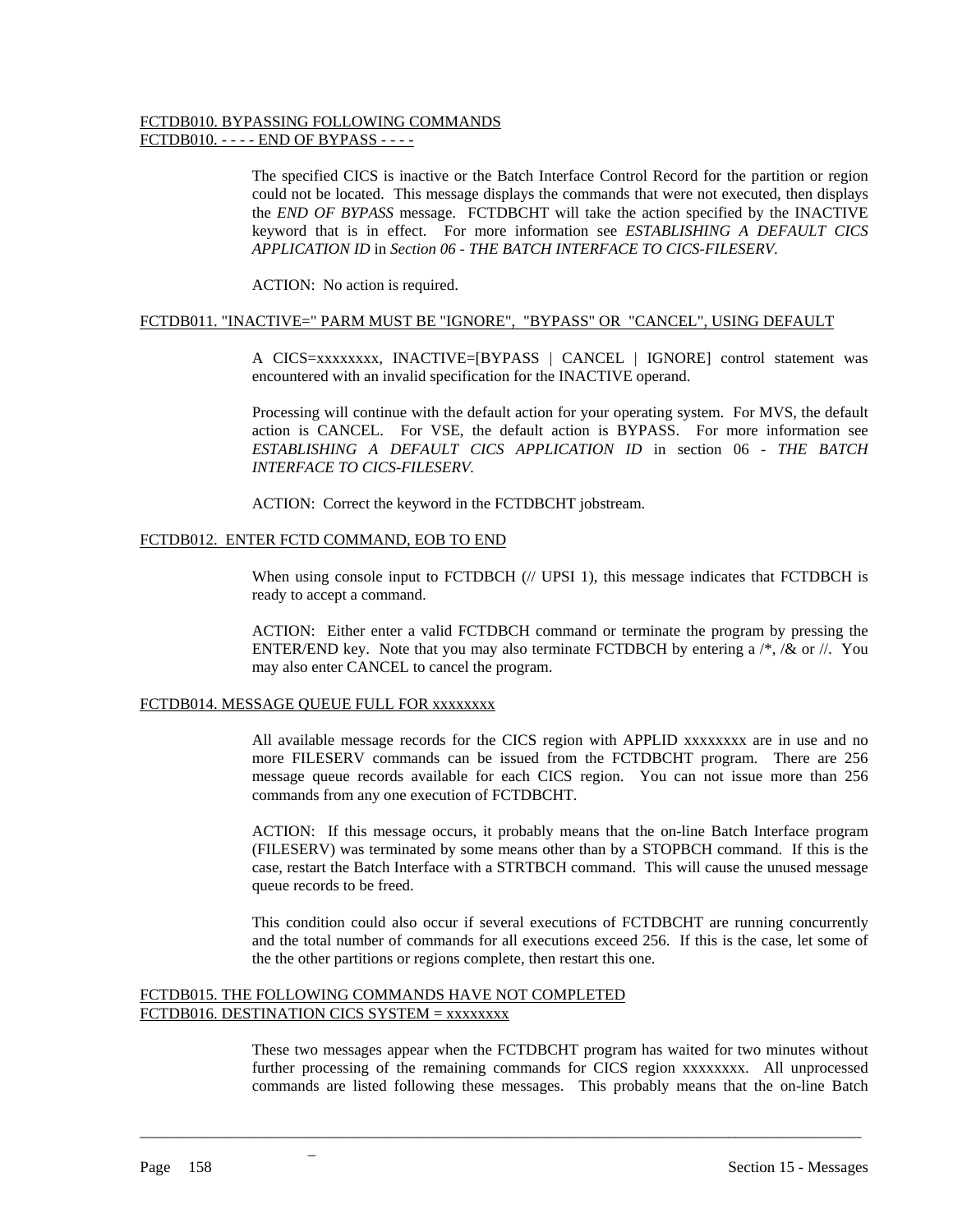## FCTDB010. BYPASSING FOLLOWING COMMANDS FCTDB010. - - - - END OF BYPASS - - - -

The specified CICS is inactive or the Batch Interface Control Record for the partition or region could not be located. This message displays the commands that were not executed, then displays the *END OF BYPASS* message. FCTDBCHT will take the action specified by the INACTIVE keyword that is in effect. For more information see *ESTABLISHING A DEFAULT CICS APPLICATION ID* in *Section 06 - THE BATCH INTERFACE TO CICS-FILESERV.*

ACTION: No action is required.

## FCTDB011. "INACTIVE=" PARM MUST BE "IGNORE", "BYPASS" OR "CANCEL", USING DEFAULT

A CICS=xxxxxxxx, INACTIVE=[BYPASS | CANCEL | IGNORE] control statement was encountered with an invalid specification for the INACTIVE operand.

Processing will continue with the default action for your operating system. For MVS, the default action is CANCEL. For VSE, the default action is BYPASS. For more information see *ESTABLISHING A DEFAULT CICS APPLICATION ID* in section 06 - *THE BATCH INTERFACE TO CICS-FILESERV.*

ACTION: Correct the keyword in the FCTDBCHT jobstream.

## FCTDB012. ENTER FCTD COMMAND, EOB TO END

When using console input to FCTDBCH (// UPSI 1), this message indicates that FCTDBCH is ready to accept a command.

ACTION: Either enter a valid FCTDBCH command or terminate the program by pressing the ENTER/END key. Note that you may also terminate FCTDBCH by entering a  $/*$ , / $\&$  or //. You may also enter CANCEL to cancel the program.

## FCTDB014. MESSAGE QUEUE FULL FOR xxxxxxxx

 $\overline{a}$ 

All available message records for the CICS region with APPLID xxxxxxxx are in use and no more FILESERV commands can be issued from the FCTDBCHT program. There are 256 message queue records available for each CICS region. You can not issue more than 256 commands from any one execution of FCTDBCHT.

ACTION: If this message occurs, it probably means that the on-line Batch Interface program (FILESERV) was terminated by some means other than by a STOPBCH command. If this is the case, restart the Batch Interface with a STRTBCH command. This will cause the unused message queue records to be freed.

This condition could also occur if several executions of FCTDBCHT are running concurrently and the total number of commands for all executions exceed 256. If this is the case, let some of the the other partitions or regions complete, then restart this one.

## FCTDB015. THE FOLLOWING COMMANDS HAVE NOT COMPLETED FCTDB016. DESTINATION CICS SYSTEM = xxxxxxxx

These two messages appear when the FCTDBCHT program has waited for two minutes without further processing of the remaining commands for CICS region xxxxxxxx. All unprocessed commands are listed following these messages. This probably means that the on-line Batch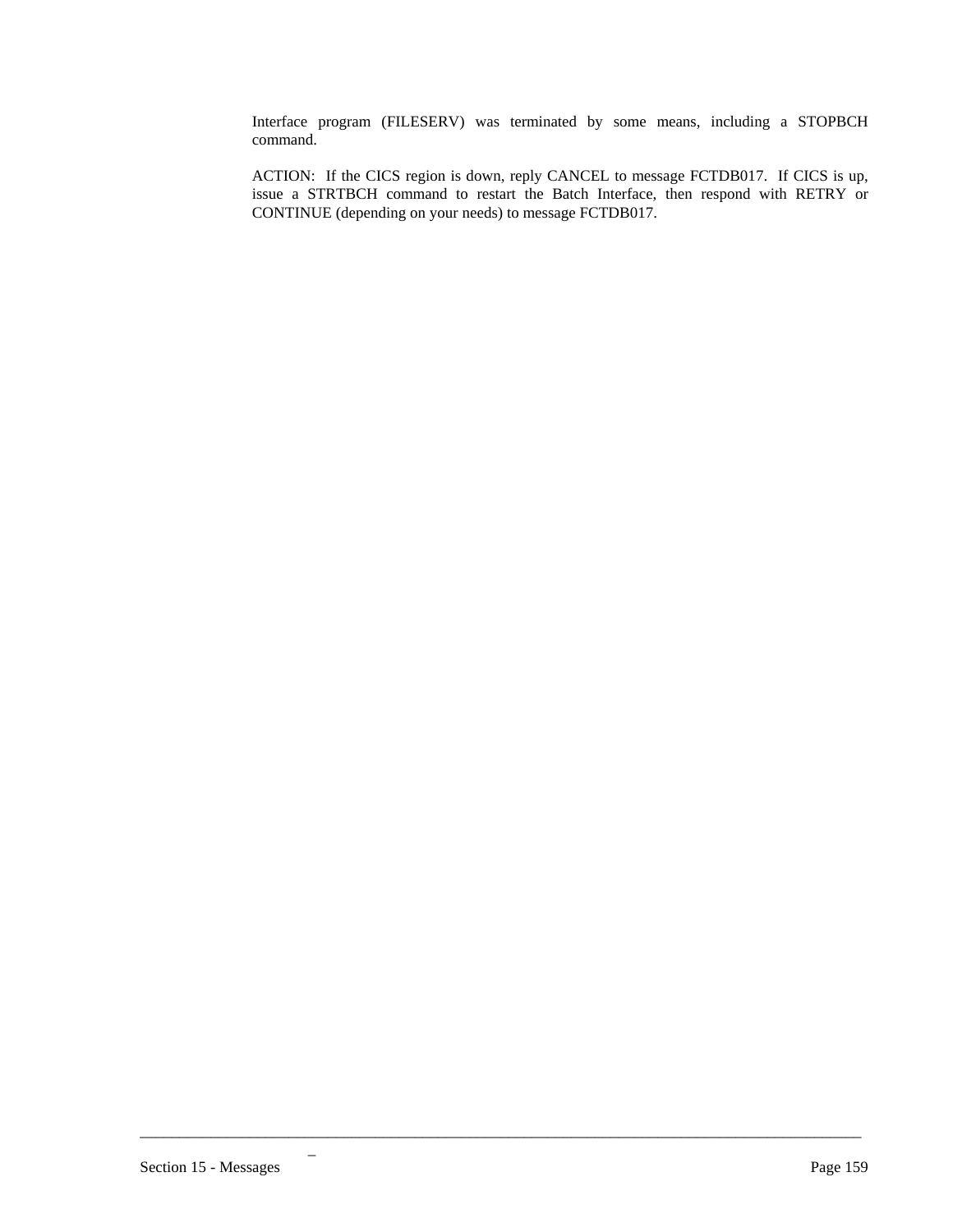Interface program (FILESERV) was terminated by some means, including a STOPBCH command.

ACTION: If the CICS region is down, reply CANCEL to message FCTDB017. If CICS is up, issue a STRTBCH command to restart the Batch Interface, then respond with RETRY or CONTINUE (depending on your needs) to message FCTDB017.

\_\_\_\_\_\_\_\_\_\_\_\_\_\_\_\_\_\_\_\_\_\_\_\_\_\_\_\_\_\_\_\_\_\_\_\_\_\_\_\_\_\_\_\_\_\_\_\_\_\_\_\_\_\_\_\_\_\_\_\_\_\_\_\_\_\_\_\_\_\_\_\_\_\_\_\_\_\_\_\_\_\_\_\_\_\_\_\_\_\_\_\_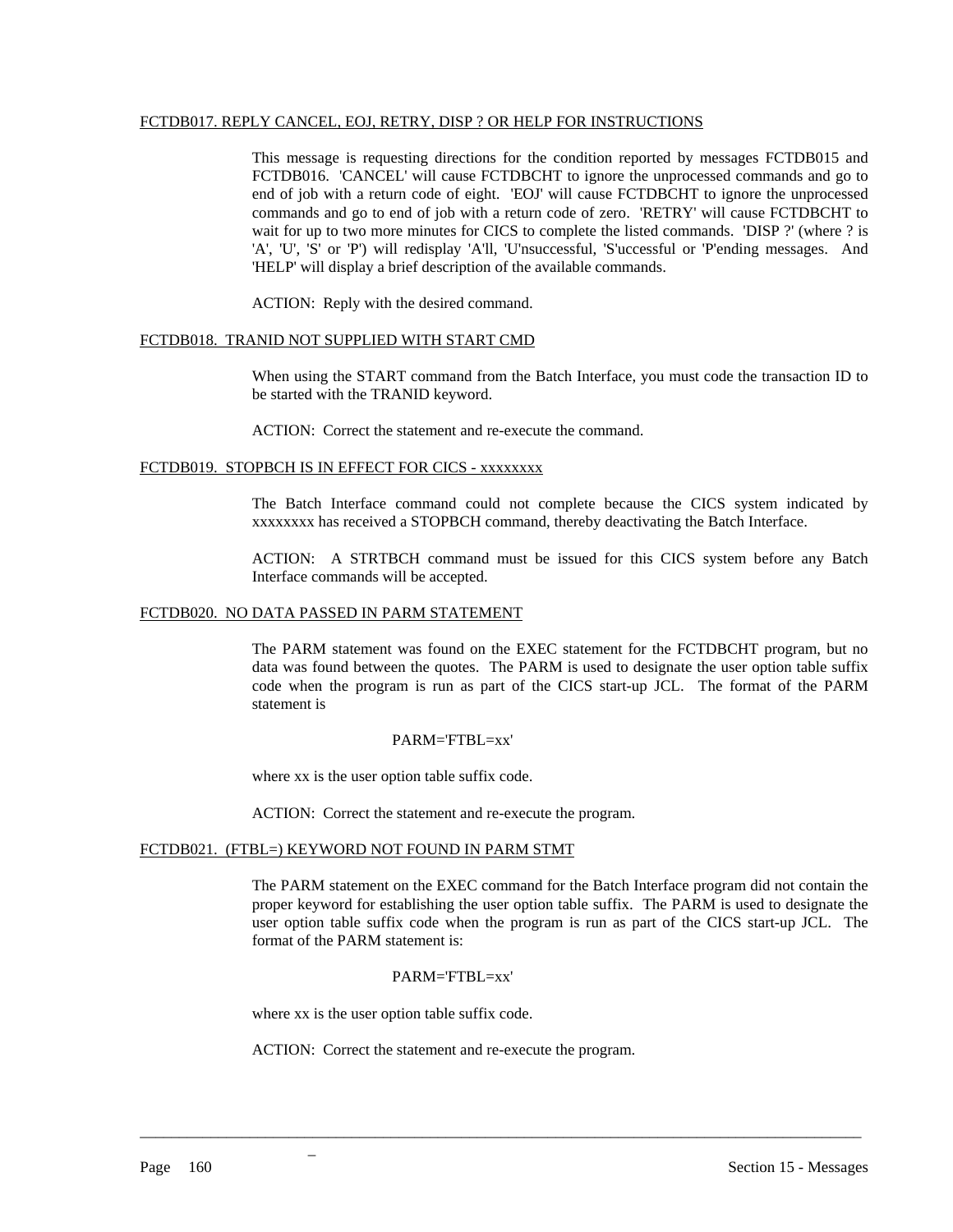## FCTDB017. REPLY CANCEL, EOJ, RETRY, DISP ? OR HELP FOR INSTRUCTIONS

This message is requesting directions for the condition reported by messages FCTDB015 and FCTDB016. 'CANCEL' will cause FCTDBCHT to ignore the unprocessed commands and go to end of job with a return code of eight. 'EOJ' will cause FCTDBCHT to ignore the unprocessed commands and go to end of job with a return code of zero. 'RETRY' will cause FCTDBCHT to wait for up to two more minutes for CICS to complete the listed commands. 'DISP ?' (where ? is 'A', 'U', 'S' or 'P') will redisplay 'A'll, 'U'nsuccessful, 'S'uccessful or 'P'ending messages. And 'HELP' will display a brief description of the available commands.

ACTION: Reply with the desired command.

## FCTDB018. TRANID NOT SUPPLIED WITH START CMD

When using the START command from the Batch Interface, you must code the transaction ID to be started with the TRANID keyword.

ACTION: Correct the statement and re-execute the command.

## FCTDB019. STOPBCH IS IN EFFECT FOR CICS - xxxxxxxx

The Batch Interface command could not complete because the CICS system indicated by xxxxxxxx has received a STOPBCH command, thereby deactivating the Batch Interface.

ACTION: A STRTBCH command must be issued for this CICS system before any Batch Interface commands will be accepted.

#### FCTDB020. NO DATA PASSED IN PARM STATEMENT

The PARM statement was found on the EXEC statement for the FCTDBCHT program, but no data was found between the quotes. The PARM is used to designate the user option table suffix code when the program is run as part of the CICS start-up JCL. The format of the PARM statement is

## $PARM='FTBI=xx'$

where xx is the user option table suffix code.

ACTION: Correct the statement and re-execute the program.

## FCTDB021. (FTBL=) KEYWORD NOT FOUND IN PARM STMT

The PARM statement on the EXEC command for the Batch Interface program did not contain the proper keyword for establishing the user option table suffix. The PARM is used to designate the user option table suffix code when the program is run as part of the CICS start-up JCL. The format of the PARM statement is:

## PARM='FTBL=xx'

where xx is the user option table suffix code.

ACTION: Correct the statement and re-execute the program.

\_\_\_\_\_\_\_\_\_\_\_\_\_\_\_\_\_\_\_\_\_\_\_\_\_\_\_\_\_\_\_\_\_\_\_\_\_\_\_\_\_\_\_\_\_\_\_\_\_\_\_\_\_\_\_\_\_\_\_\_\_\_\_\_\_\_\_\_\_\_\_\_\_\_\_\_\_\_\_\_\_\_\_\_\_\_\_\_\_\_\_\_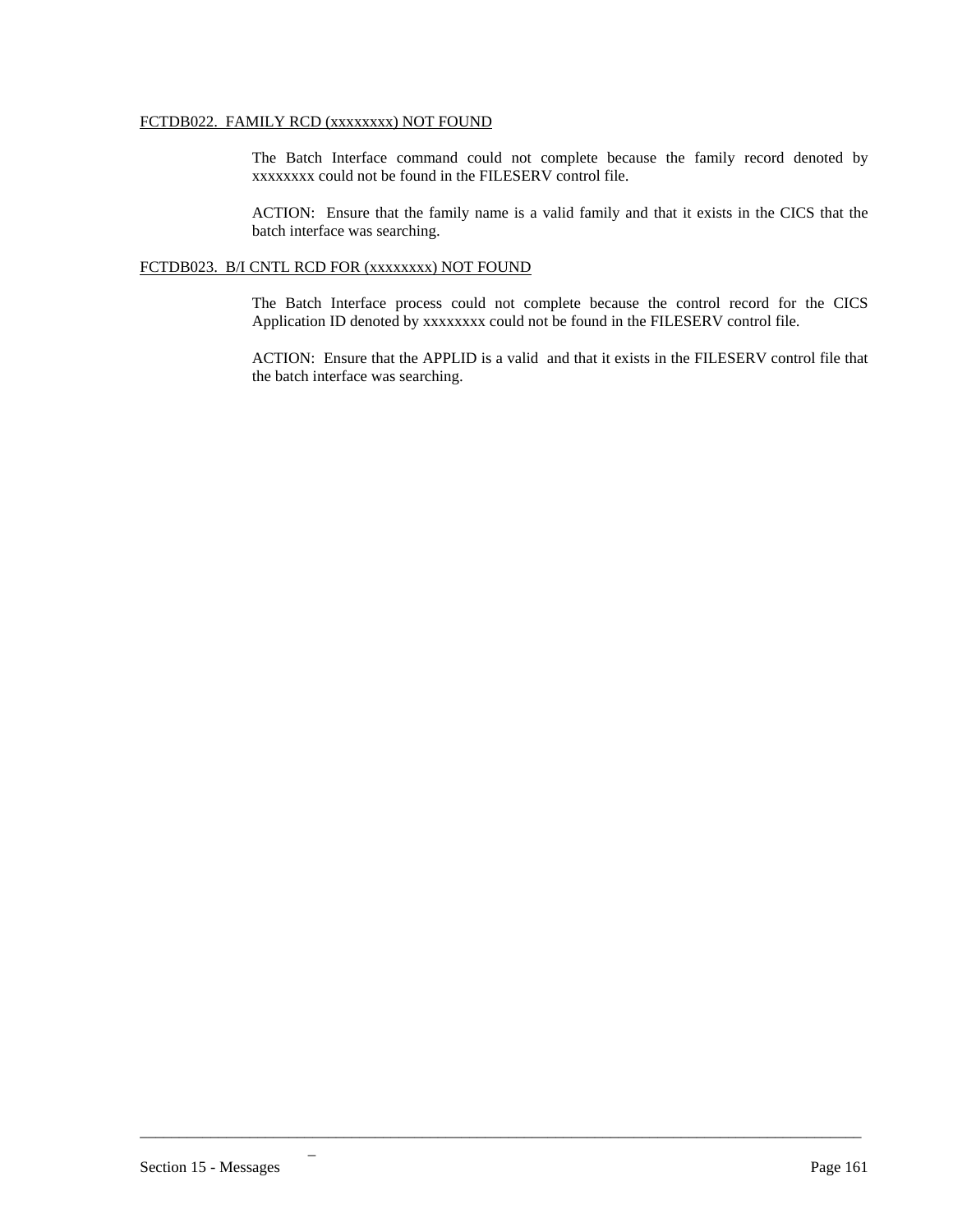#### FCTDB022. FAMILY RCD (XXXXXXXX) NOT FOUND

The Batch Interface command could not complete because the family record denoted by xxxxxxxx could not be found in the FILESERV control file.

ACTION: Ensure that the family name is a valid family and that it exists in the CICS that the batch interface was searching.

## FCTDB023. B/I CNTL RCD FOR (xxxxxxxx) NOT FOUND

The Batch Interface process could not complete because the control record for the CICS Application ID denoted by xxxxxxxx could not be found in the FILESERV control file.

ACTION: Ensure that the APPLID is a valid and that it exists in the FILESERV control file that the batch interface was searching.

\_\_\_\_\_\_\_\_\_\_\_\_\_\_\_\_\_\_\_\_\_\_\_\_\_\_\_\_\_\_\_\_\_\_\_\_\_\_\_\_\_\_\_\_\_\_\_\_\_\_\_\_\_\_\_\_\_\_\_\_\_\_\_\_\_\_\_\_\_\_\_\_\_\_\_\_\_\_\_\_\_\_\_\_\_\_\_\_\_\_\_\_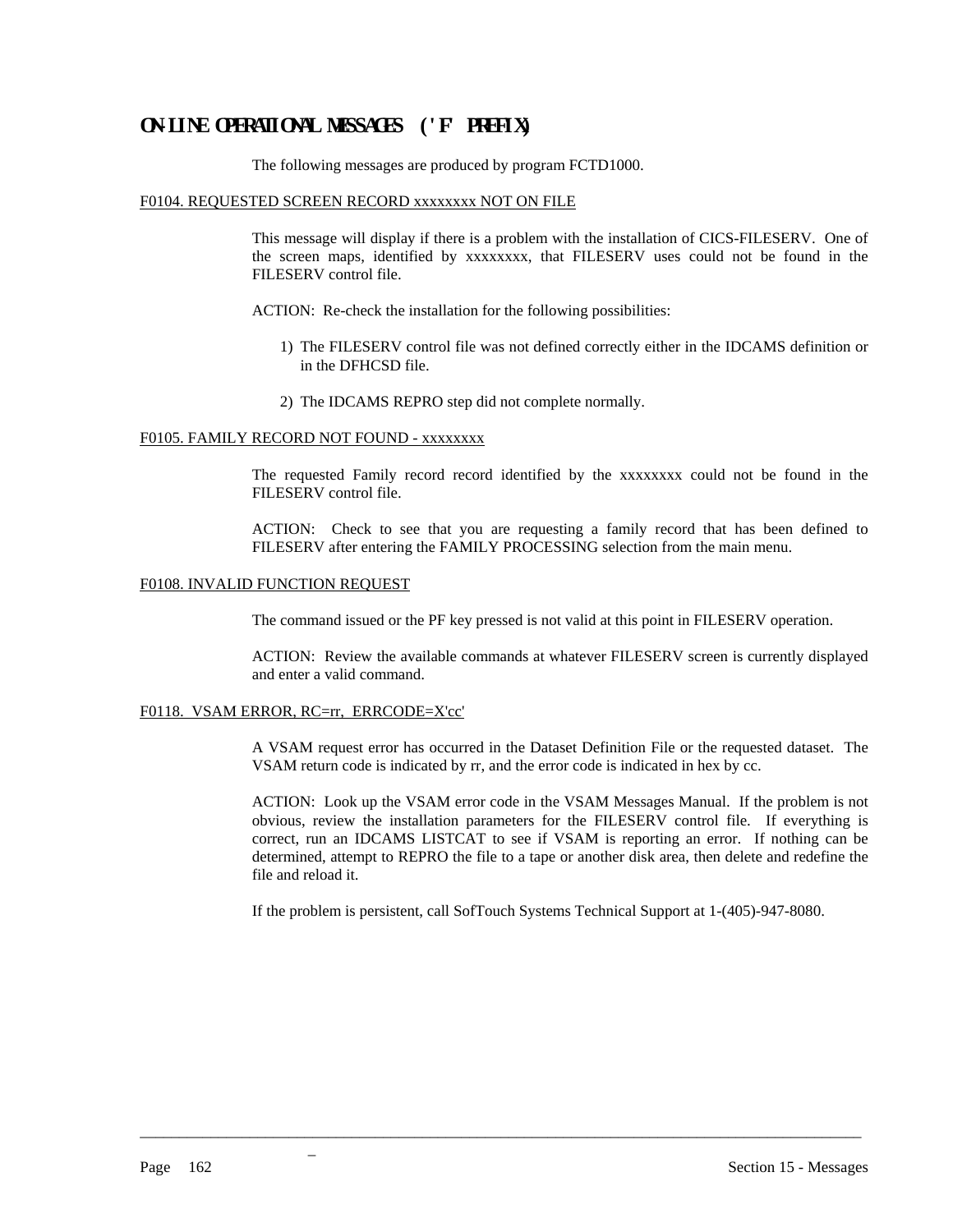# **ON-LINE OPERATIONAL MESSAGES (' F' PREFIX)**

The following messages are produced by program FCTD1000.

## F0104. REQUESTED SCREEN RECORD xxxxxxxx NOT ON FILE

This message will display if there is a problem with the installation of CICS-FILESERV. One of the screen maps, identified by xxxxxxxx, that FILESERV uses could not be found in the FILESERV control file.

ACTION: Re-check the installation for the following possibilities:

- 1) The FILESERV control file was not defined correctly either in the IDCAMS definition or in the DFHCSD file.
- 2) The IDCAMS REPRO step did not complete normally.

## F0105. FAMILY RECORD NOT FOUND - xxxxxxxx

The requested Family record record identified by the xxxxxxxx could not be found in the FILESERV control file.

ACTION: Check to see that you are requesting a family record that has been defined to FILESERV after entering the FAMILY PROCESSING selection from the main menu.

#### F0108. INVALID FUNCTION REQUEST

The command issued or the PF key pressed is not valid at this point in FILESERV operation.

ACTION: Review the available commands at whatever FILESERV screen is currently displayed and enter a valid command.

## F0118. VSAM ERROR, RC=rr, ERRCODE=X'cc'

 $\overline{a}$ 

A VSAM request error has occurred in the Dataset Definition File or the requested dataset. The VSAM return code is indicated by rr, and the error code is indicated in hex by cc.

ACTION: Look up the VSAM error code in the VSAM Messages Manual. If the problem is not obvious, review the installation parameters for the FILESERV control file. If everything is correct, run an IDCAMS LISTCAT to see if VSAM is reporting an error. If nothing can be determined, attempt to REPRO the file to a tape or another disk area, then delete and redefine the file and reload it.

If the problem is persistent, call SofTouch Systems Technical Support at 1-(405)-947-8080.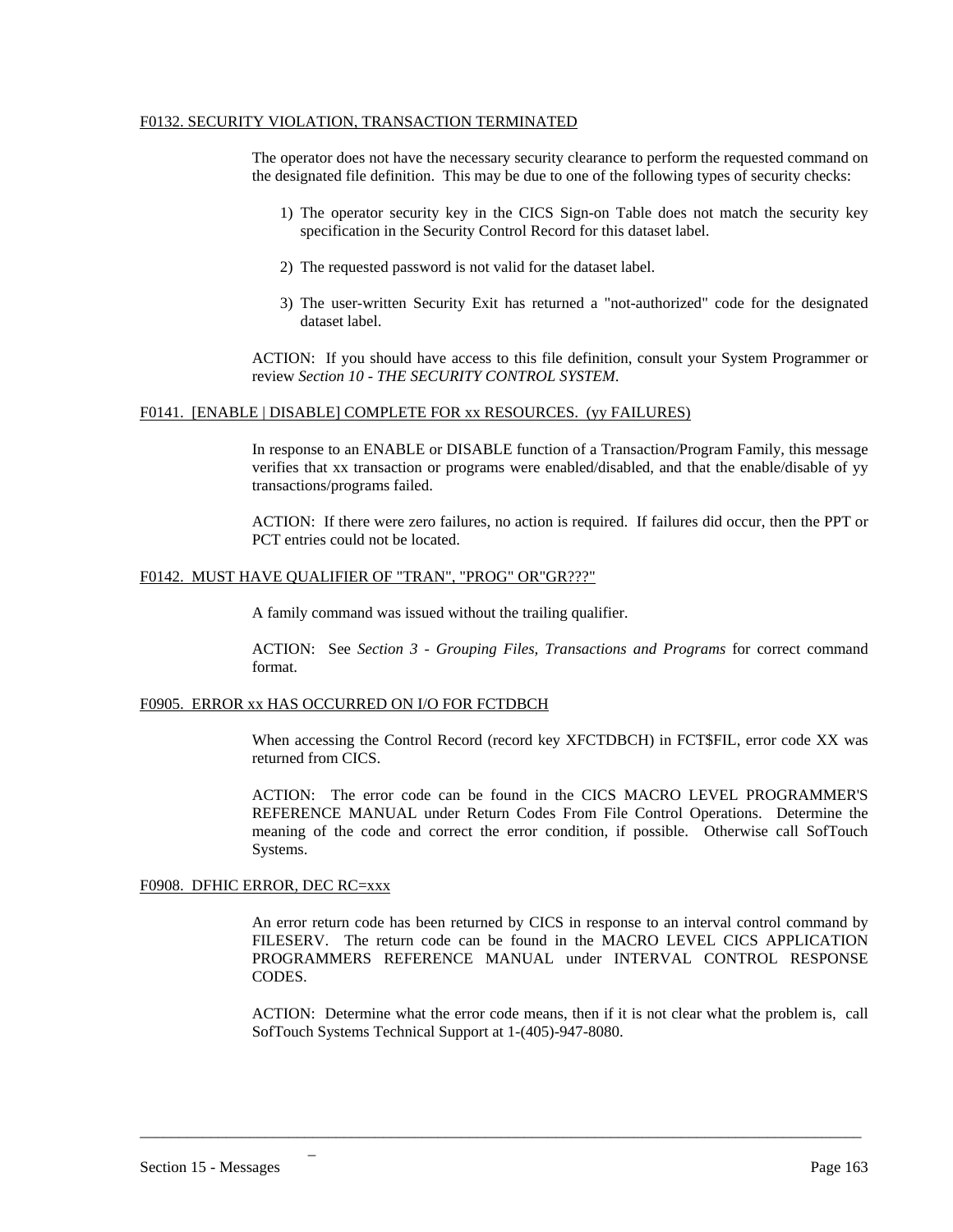#### F0132. SECURITY VIOLATION, TRANSACTION TERMINATED

The operator does not have the necessary security clearance to perform the requested command on the designated file definition. This may be due to one of the following types of security checks:

- 1) The operator security key in the CICS Sign-on Table does not match the security key specification in the Security Control Record for this dataset label.
- 2) The requested password is not valid for the dataset label.
- 3) The user-written Security Exit has returned a "not-authorized" code for the designated dataset label.

ACTION: If you should have access to this file definition, consult your System Programmer or review *Section 10 - THE SECURITY CONTROL SYSTEM*.

#### F0141. [ENABLE | DISABLE] COMPLETE FOR xx RESOURCES. (yy FAILURES)

In response to an ENABLE or DISABLE function of a Transaction/Program Family, this message verifies that xx transaction or programs were enabled/disabled, and that the enable/disable of yy transactions/programs failed.

ACTION: If there were zero failures, no action is required. If failures did occur, then the PPT or PCT entries could not be located.

#### F0142. MUST HAVE QUALIFIER OF "TRAN", "PROG" OR"GR???"

A family command was issued without the trailing qualifier.

ACTION: See *Section 3 - Grouping Files, Transactions and Programs* for correct command format.

#### F0905. ERROR xx HAS OCCURRED ON I/O FOR FCTDBCH

When accessing the Control Record (record key XFCTDBCH) in FCT\$FIL, error code XX was returned from CICS.

ACTION: The error code can be found in the CICS MACRO LEVEL PROGRAMMER'S REFERENCE MANUAL under Return Codes From File Control Operations. Determine the meaning of the code and correct the error condition, if possible. Otherwise call SofTouch Systems.

#### F0908. DFHIC ERROR, DEC RC=xxx

 $\overline{a}$ 

An error return code has been returned by CICS in response to an interval control command by FILESERV. The return code can be found in the MACRO LEVEL CICS APPLICATION PROGRAMMERS REFERENCE MANUAL under INTERVAL CONTROL RESPONSE CODES.

ACTION: Determine what the error code means, then if it is not clear what the problem is, call SofTouch Systems Technical Support at 1-(405)-947-8080.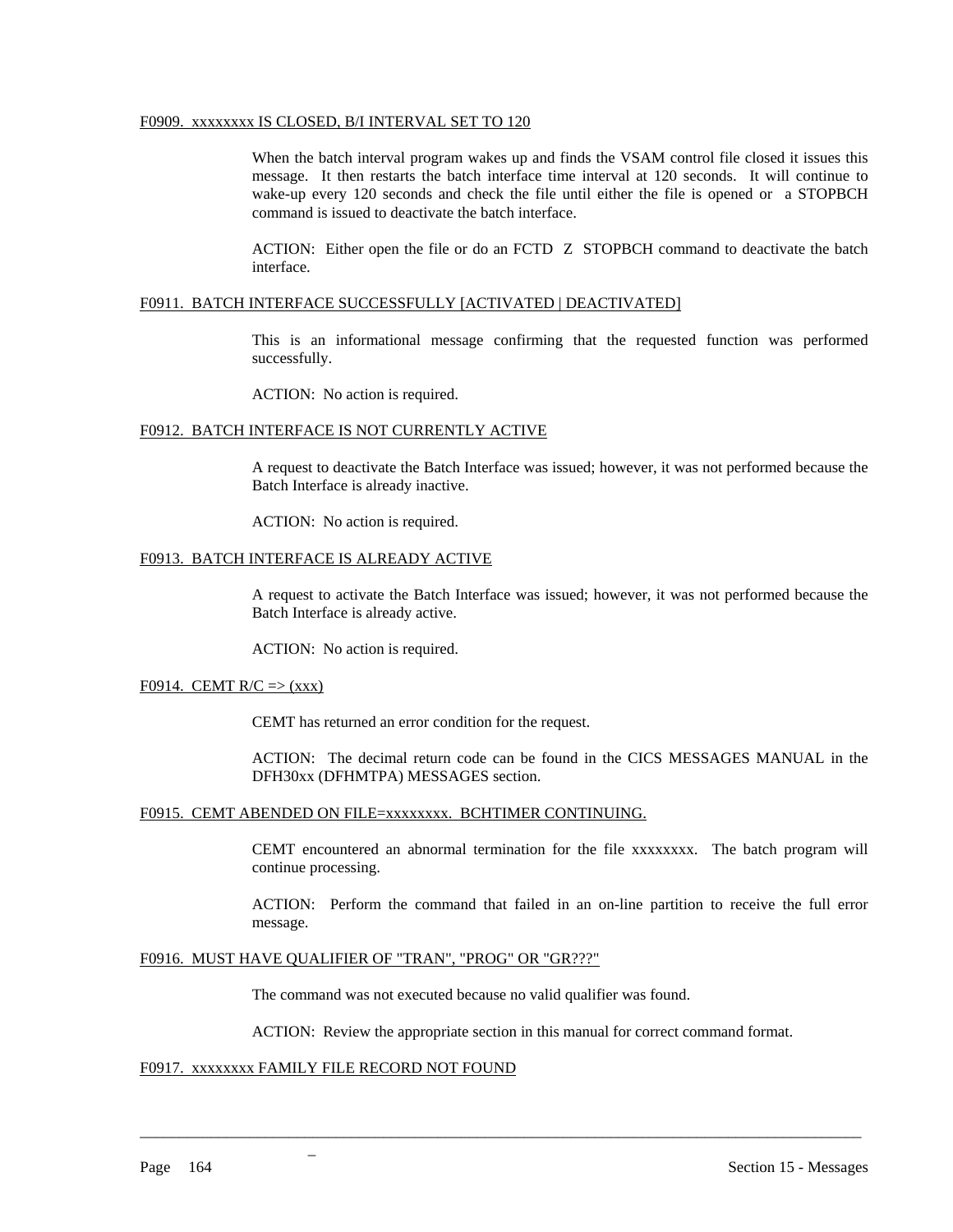#### F0909. xxxxxxxx IS CLOSED, B/I INTERVAL SET TO 120

When the batch interval program wakes up and finds the VSAM control file closed it issues this message. It then restarts the batch interface time interval at 120 seconds. It will continue to wake-up every 120 seconds and check the file until either the file is opened or a STOPBCH command is issued to deactivate the batch interface.

ACTION: Either open the file or do an FCTD Z STOPBCH command to deactivate the batch interface.

#### F0911. BATCH INTERFACE SUCCESSFULLY [ACTIVATED | DEACTIVATED]

This is an informational message confirming that the requested function was performed successfully.

ACTION: No action is required.

#### F0912. BATCH INTERFACE IS NOT CURRENTLY ACTIVE

A request to deactivate the Batch Interface was issued; however, it was not performed because the Batch Interface is already inactive.

ACTION: No action is required.

#### F0913. BATCH INTERFACE IS ALREADY ACTIVE

A request to activate the Batch Interface was issued; however, it was not performed because the Batch Interface is already active.

ACTION: No action is required.

#### F0914. CEMT  $R/C \Rightarrow (xxx)$

CEMT has returned an error condition for the request.

ACTION: The decimal return code can be found in the CICS MESSAGES MANUAL in the DFH30xx (DFHMTPA) MESSAGES section.

#### F0915. CEMT ABENDED ON FILE=xxxxxxxx. BCHTIMER CONTINUING.

CEMT encountered an abnormal termination for the file xxxxxxxx. The batch program will continue processing.

ACTION: Perform the command that failed in an on-line partition to receive the full error message.

## F0916. MUST HAVE QUALIFIER OF "TRAN", "PROG" OR "GR???"

The command was not executed because no valid qualifier was found.

ACTION: Review the appropriate section in this manual for correct command format.

\_\_\_\_\_\_\_\_\_\_\_\_\_\_\_\_\_\_\_\_\_\_\_\_\_\_\_\_\_\_\_\_\_\_\_\_\_\_\_\_\_\_\_\_\_\_\_\_\_\_\_\_\_\_\_\_\_\_\_\_\_\_\_\_\_\_\_\_\_\_\_\_\_\_\_\_\_\_\_\_\_\_\_\_\_\_\_\_\_\_\_\_

## F0917. xxxxxxxx FAMILY FILE RECORD NOT FOUND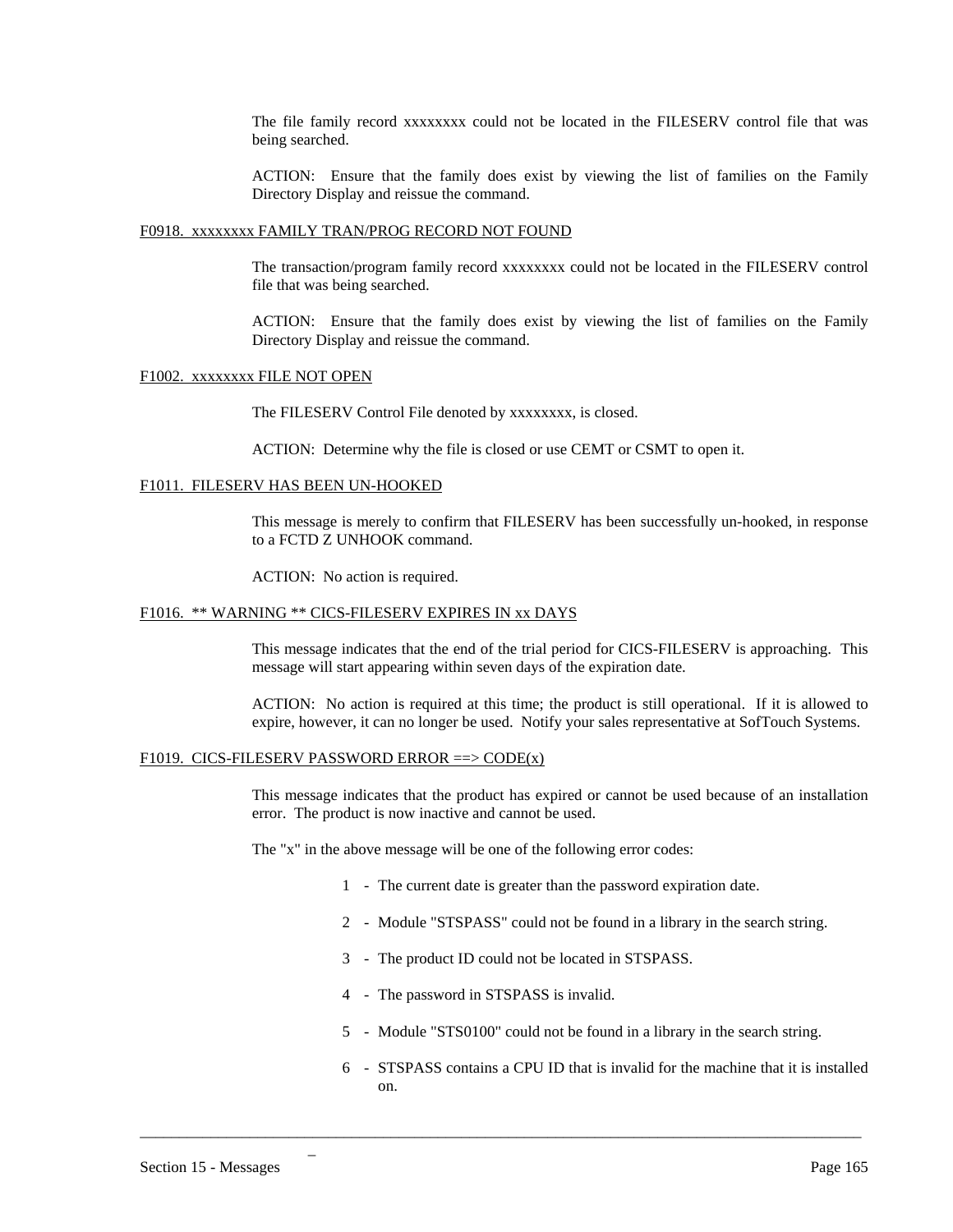The file family record xxxxxxxx could not be located in the FILESERV control file that was being searched.

ACTION: Ensure that the family does exist by viewing the list of families on the Family Directory Display and reissue the command.

#### F0918. xxxxxxxx FAMILY TRAN/PROG RECORD NOT FOUND

The transaction/program family record xxxxxxxx could not be located in the FILESERV control file that was being searched.

ACTION: Ensure that the family does exist by viewing the list of families on the Family Directory Display and reissue the command.

## F1002. xxxxxxxx FILE NOT OPEN

The FILESERV Control File denoted by xxxxxxxx, is closed.

ACTION: Determine why the file is closed or use CEMT or CSMT to open it.

#### F1011. FILESERV HAS BEEN UN-HOOKED

This message is merely to confirm that FILESERV has been successfully un-hooked, in response to a FCTD Z UNHOOK command.

ACTION: No action is required.

#### F1016. \*\* WARNING \*\* CICS-FILESERV EXPIRES IN xx DAYS

This message indicates that the end of the trial period for CICS-FILESERV is approaching. This message will start appearing within seven days of the expiration date.

ACTION: No action is required at this time; the product is still operational. If it is allowed to expire, however, it can no longer be used. Notify your sales representative at SofTouch Systems.

#### F1019. CICS-FILESERV PASSWORD ERROR == $>$  CODE(x)

This message indicates that the product has expired or cannot be used because of an installation error. The product is now inactive and cannot be used.

The "x" in the above message will be one of the following error codes:

- 1 The current date is greater than the password expiration date.
- 2 Module "STSPASS" could not be found in a library in the search string.
- 3 The product ID could not be located in STSPASS.
- 4 The password in STSPASS is invalid.

\_\_\_\_\_\_\_\_\_\_\_\_\_\_\_\_\_\_\_\_\_\_\_\_\_\_\_\_\_\_\_\_\_\_\_\_\_\_\_\_\_\_\_\_\_\_\_\_\_\_\_\_\_\_\_\_\_\_\_\_\_\_\_\_\_\_\_\_\_\_\_\_\_\_\_\_\_\_\_\_\_\_\_\_\_\_\_\_\_\_\_\_

- 5 Module "STS0100" could not be found in a library in the search string.
- 6 STSPASS contains a CPU ID that is invalid for the machine that it is installed on.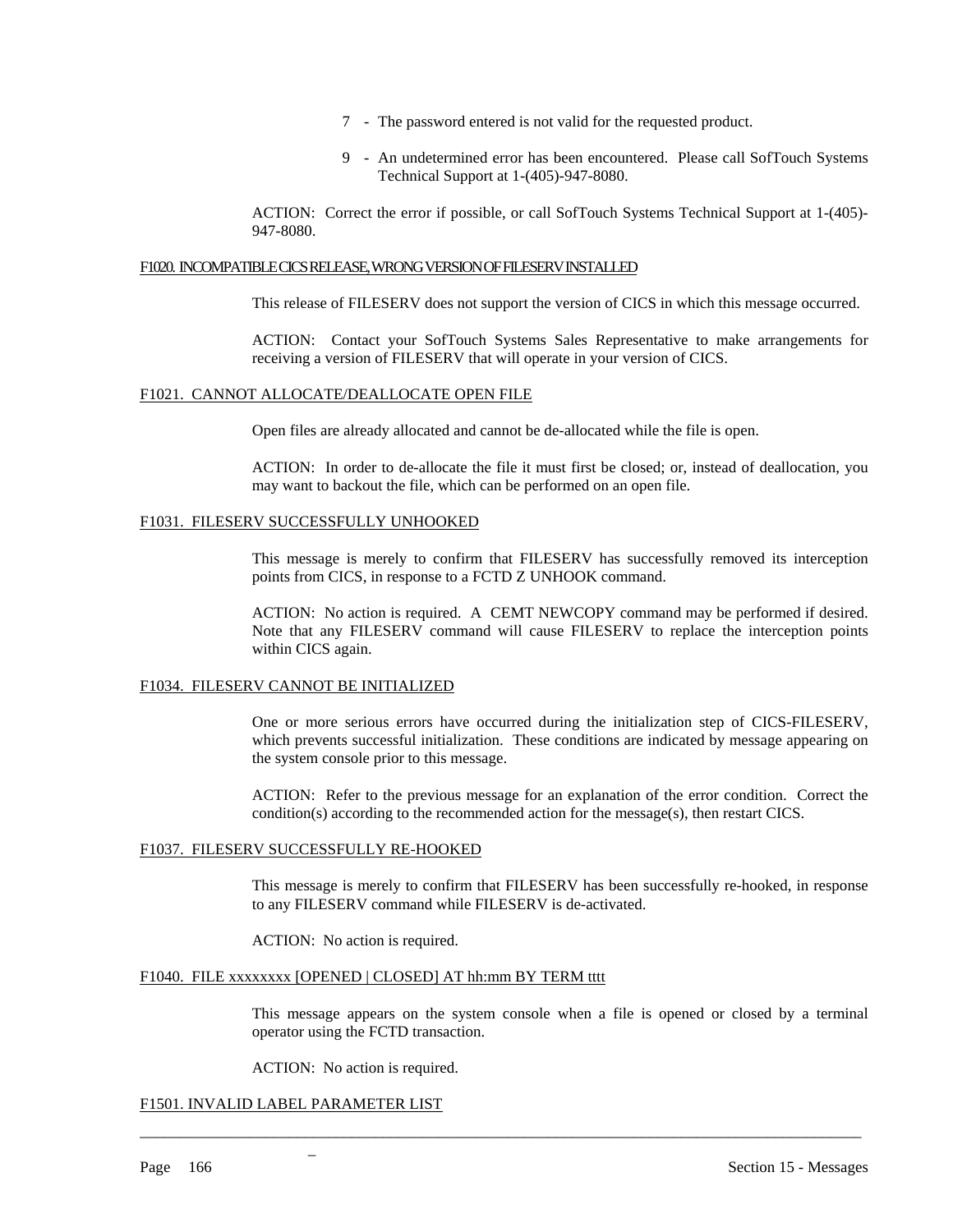- 7 The password entered is not valid for the requested product.
- 9 An undetermined error has been encountered. Please call SofTouch Systems Technical Support at 1-(405)-947-8080.

ACTION: Correct the error if possible, or call SofTouch Systems Technical Support at 1-(405)- 947-8080.

#### F1020. INCOMPATIBLE CICS RELEASE, WRONG VERSION OF FILESERV INSTALLED

This release of FILESERV does not support the version of CICS in which this message occurred.

ACTION: Contact your SofTouch Systems Sales Representative to make arrangements for receiving a version of FILESERV that will operate in your version of CICS.

#### F1021. CANNOT ALLOCATE/DEALLOCATE OPEN FILE

Open files are already allocated and cannot be de-allocated while the file is open.

ACTION: In order to de-allocate the file it must first be closed; or, instead of deallocation, you may want to backout the file, which can be performed on an open file.

### F1031. FILESERV SUCCESSFULLY UNHOOKED

This message is merely to confirm that FILESERV has successfully removed its interception points from CICS, in response to a FCTD Z UNHOOK command.

ACTION: No action is required. A CEMT NEWCOPY command may be performed if desired. Note that any FILESERV command will cause FILESERV to replace the interception points within CICS again.

#### F1034. FILESERV CANNOT BE INITIALIZED

One or more serious errors have occurred during the initialization step of CICS-FILESERV, which prevents successful initialization. These conditions are indicated by message appearing on the system console prior to this message.

ACTION: Refer to the previous message for an explanation of the error condition. Correct the condition(s) according to the recommended action for the message(s), then restart CICS.

#### F1037. FILESERV SUCCESSFULLY RE-HOOKED

This message is merely to confirm that FILESERV has been successfully re-hooked, in response to any FILESERV command while FILESERV is de-activated.

ACTION: No action is required.

#### F1040. FILE xxxxxxxx [OPENED | CLOSED] AT hh:mm BY TERM tttt

This message appears on the system console when a file is opened or closed by a terminal operator using the FCTD transaction.

\_\_\_\_\_\_\_\_\_\_\_\_\_\_\_\_\_\_\_\_\_\_\_\_\_\_\_\_\_\_\_\_\_\_\_\_\_\_\_\_\_\_\_\_\_\_\_\_\_\_\_\_\_\_\_\_\_\_\_\_\_\_\_\_\_\_\_\_\_\_\_\_\_\_\_\_\_\_\_\_\_\_\_\_\_\_\_\_\_\_\_\_

ACTION: No action is required.

## F1501. INVALID LABEL PARAMETER LIST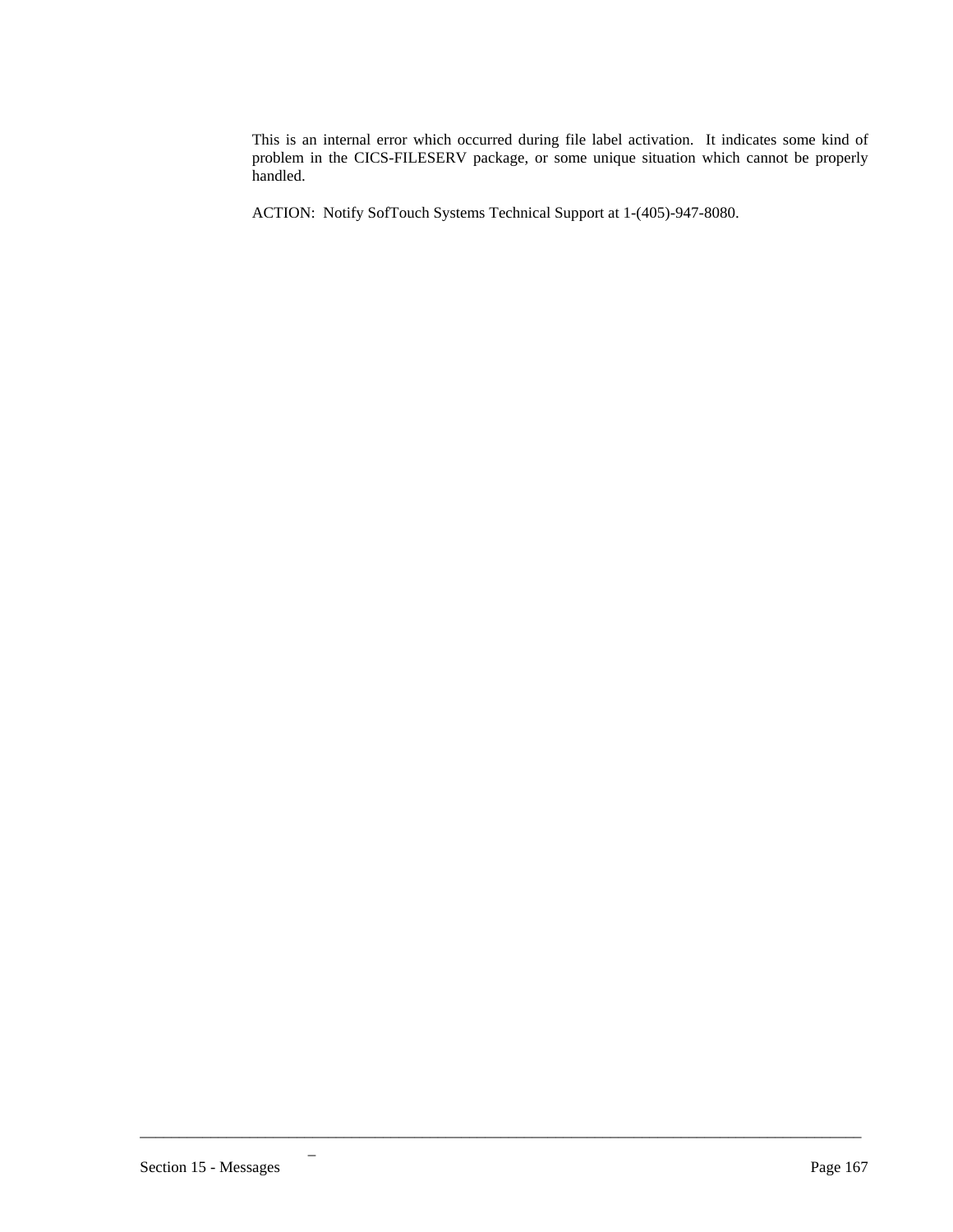This is an internal error which occurred during file label activation. It indicates some kind of problem in the CICS-FILESERV package, or some unique situation which cannot be properly handled.

ACTION: Notify SofTouch Systems Technical Support at 1-(405)-947-8080.

\_\_\_\_\_\_\_\_\_\_\_\_\_\_\_\_\_\_\_\_\_\_\_\_\_\_\_\_\_\_\_\_\_\_\_\_\_\_\_\_\_\_\_\_\_\_\_\_\_\_\_\_\_\_\_\_\_\_\_\_\_\_\_\_\_\_\_\_\_\_\_\_\_\_\_\_\_\_\_\_\_\_\_\_\_\_\_\_\_\_\_\_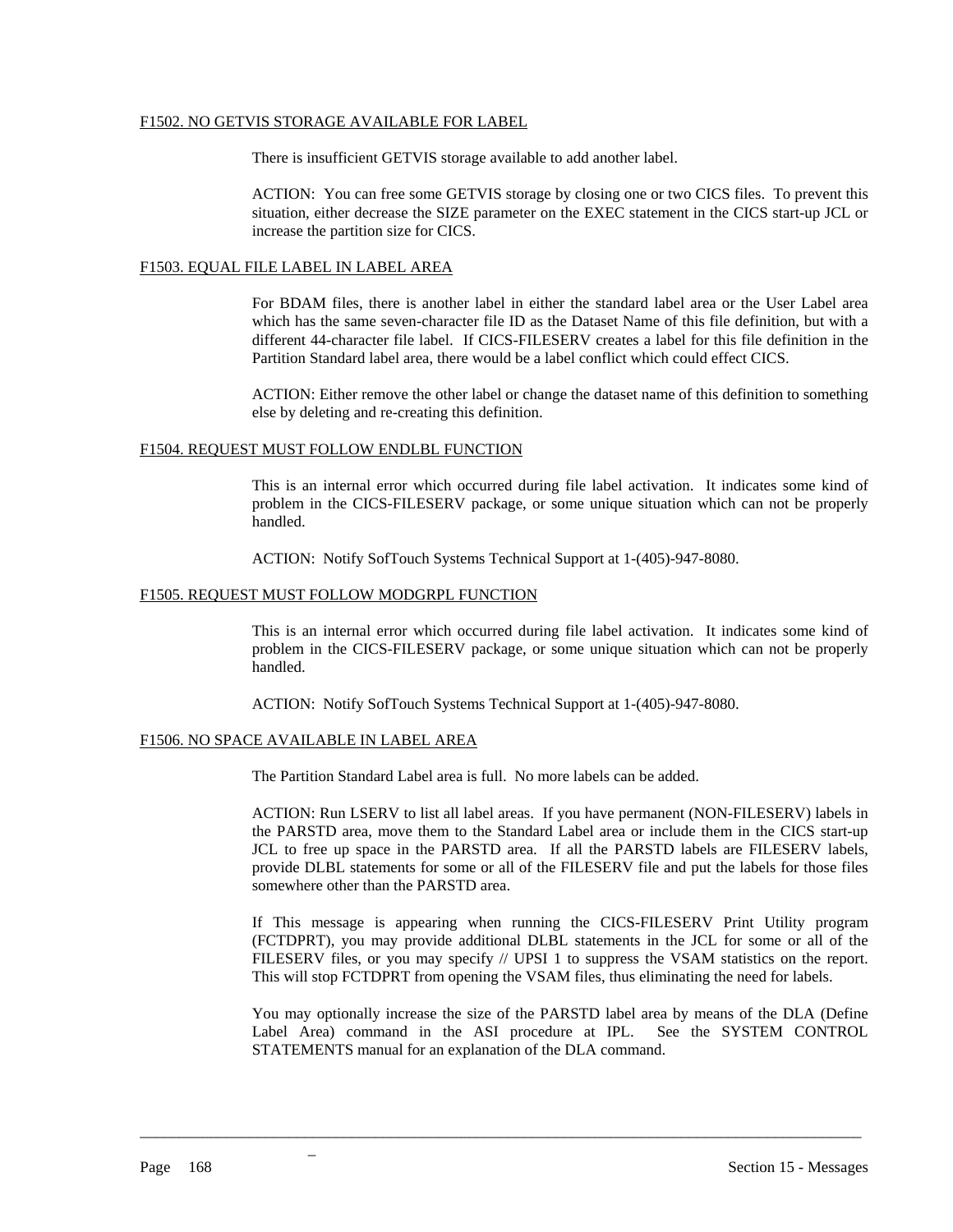# F1502. NO GETVIS STORAGE AVAILABLE FOR LABEL

There is insufficient GETVIS storage available to add another label.

ACTION: You can free some GETVIS storage by closing one or two CICS files. To prevent this situation, either decrease the SIZE parameter on the EXEC statement in the CICS start-up JCL or increase the partition size for CICS.

# F1503. EQUAL FILE LABEL IN LABEL AREA

For BDAM files, there is another label in either the standard label area or the User Label area which has the same seven-character file ID as the Dataset Name of this file definition, but with a different 44-character file label. If CICS-FILESERV creates a label for this file definition in the Partition Standard label area, there would be a label conflict which could effect CICS.

ACTION: Either remove the other label or change the dataset name of this definition to something else by deleting and re-creating this definition.

# F1504. REQUEST MUST FOLLOW ENDLBL FUNCTION

This is an internal error which occurred during file label activation. It indicates some kind of problem in the CICS-FILESERV package, or some unique situation which can not be properly handled.

ACTION: Notify SofTouch Systems Technical Support at 1-(405)-947-8080.

# F1505. REQUEST MUST FOLLOW MODGRPL FUNCTION

This is an internal error which occurred during file label activation. It indicates some kind of problem in the CICS-FILESERV package, or some unique situation which can not be properly handled.

ACTION: Notify SofTouch Systems Technical Support at 1-(405)-947-8080.

# F1506. NO SPACE AVAILABLE IN LABEL AREA

 $\overline{a}$ 

The Partition Standard Label area is full. No more labels can be added.

ACTION: Run LSERV to list all label areas. If you have permanent (NON-FILESERV) labels in the PARSTD area, move them to the Standard Label area or include them in the CICS start-up JCL to free up space in the PARSTD area. If all the PARSTD labels are FILESERV labels, provide DLBL statements for some or all of the FILESERV file and put the labels for those files somewhere other than the PARSTD area.

If This message is appearing when running the CICS-FILESERV Print Utility program (FCTDPRT), you may provide additional DLBL statements in the JCL for some or all of the FILESERV files, or you may specify // UPSI 1 to suppress the VSAM statistics on the report. This will stop FCTDPRT from opening the VSAM files, thus eliminating the need for labels.

You may optionally increase the size of the PARSTD label area by means of the DLA (Define Label Area) command in the ASI procedure at IPL. See the SYSTEM CONTROL STATEMENTS manual for an explanation of the DLA command.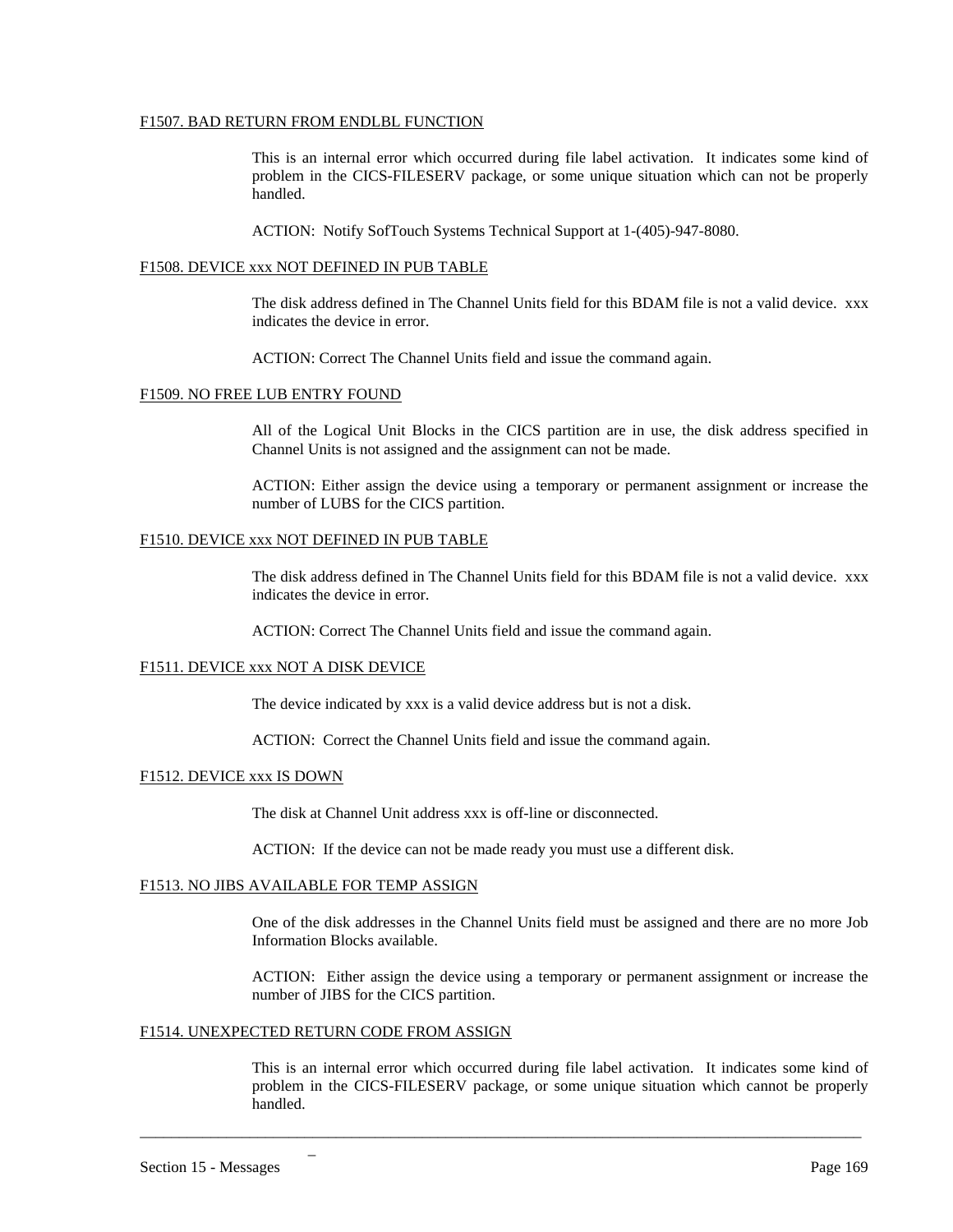## F1507. BAD RETURN FROM ENDLBL FUNCTION

This is an internal error which occurred during file label activation. It indicates some kind of problem in the CICS-FILESERV package, or some unique situation which can not be properly handled.

ACTION: Notify SofTouch Systems Technical Support at 1-(405)-947-8080.

#### F1508. DEVICE xxx NOT DEFINED IN PUB TABLE

The disk address defined in The Channel Units field for this BDAM file is not a valid device. xxx indicates the device in error.

ACTION: Correct The Channel Units field and issue the command again.

#### F1509. NO FREE LUB ENTRY FOUND

All of the Logical Unit Blocks in the CICS partition are in use, the disk address specified in Channel Units is not assigned and the assignment can not be made.

ACTION: Either assign the device using a temporary or permanent assignment or increase the number of LUBS for the CICS partition.

# F1510. DEVICE xxx NOT DEFINED IN PUB TABLE

The disk address defined in The Channel Units field for this BDAM file is not a valid device. xxx indicates the device in error.

ACTION: Correct The Channel Units field and issue the command again.

# F1511. DEVICE xxx NOT A DISK DEVICE

The device indicated by xxx is a valid device address but is not a disk.

ACTION: Correct the Channel Units field and issue the command again.

#### F1512. DEVICE xxx IS DOWN

The disk at Channel Unit address xxx is off-line or disconnected.

ACTION: If the device can not be made ready you must use a different disk.

\_\_\_\_\_\_\_\_\_\_\_\_\_\_\_\_\_\_\_\_\_\_\_\_\_\_\_\_\_\_\_\_\_\_\_\_\_\_\_\_\_\_\_\_\_\_\_\_\_\_\_\_\_\_\_\_\_\_\_\_\_\_\_\_\_\_\_\_\_\_\_\_\_\_\_\_\_\_\_\_\_\_\_\_\_\_\_\_\_\_\_\_

#### F1513. NO JIBS AVAILABLE FOR TEMP ASSIGN

One of the disk addresses in the Channel Units field must be assigned and there are no more Job Information Blocks available.

ACTION: Either assign the device using a temporary or permanent assignment or increase the number of JIBS for the CICS partition.

#### F1514. UNEXPECTED RETURN CODE FROM ASSIGN

 $\overline{a}$ 

This is an internal error which occurred during file label activation. It indicates some kind of problem in the CICS-FILESERV package, or some unique situation which cannot be properly handled.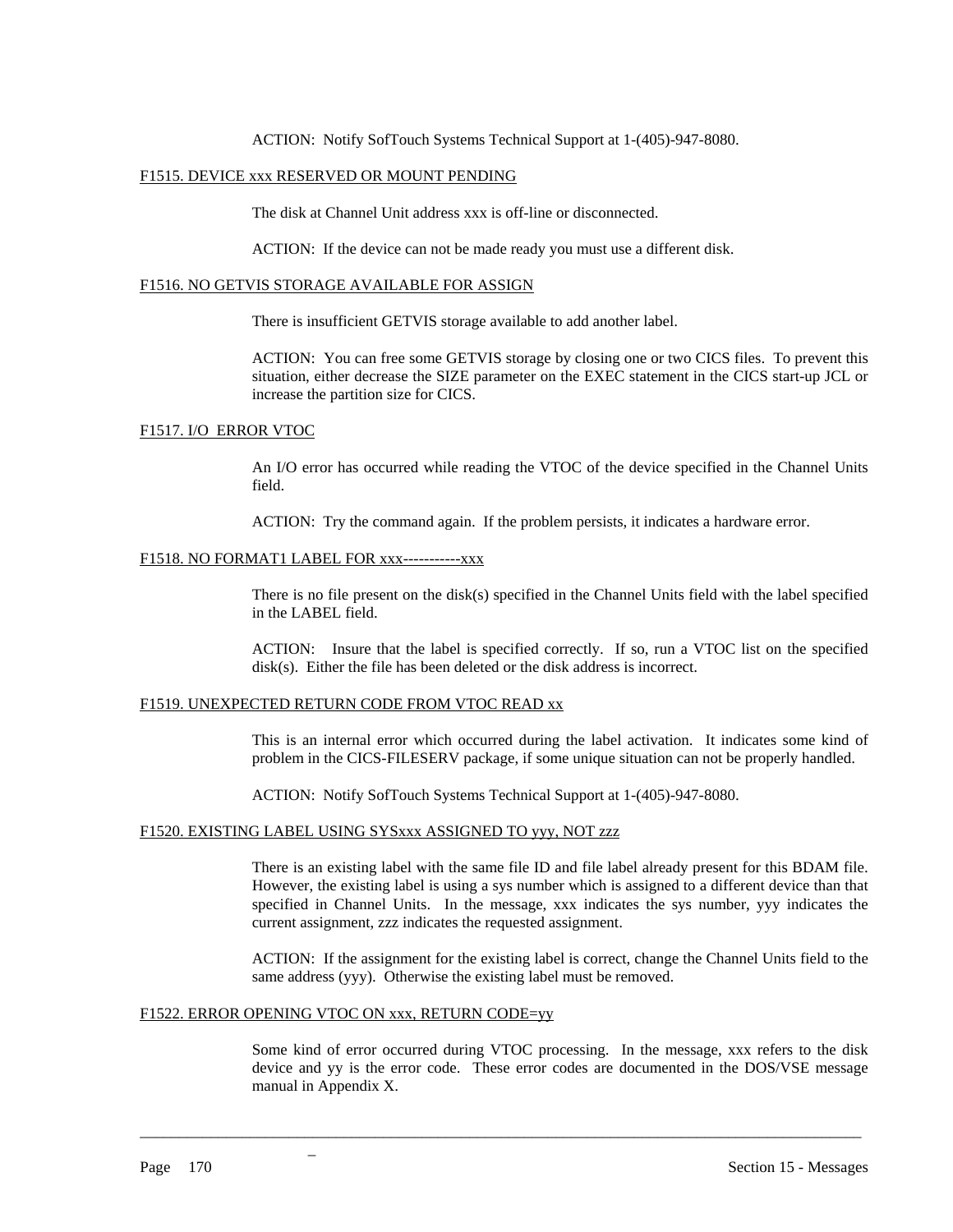# ACTION: Notify SofTouch Systems Technical Support at 1-(405)-947-8080.

# F1515. DEVICE xxx RESERVED OR MOUNT PENDING

The disk at Channel Unit address xxx is off-line or disconnected.

ACTION: If the device can not be made ready you must use a different disk.

# F1516. NO GETVIS STORAGE AVAILABLE FOR ASSIGN

There is insufficient GETVIS storage available to add another label.

ACTION: You can free some GETVIS storage by closing one or two CICS files. To prevent this situation, either decrease the SIZE parameter on the EXEC statement in the CICS start-up JCL or increase the partition size for CICS.

# F1517. I/O ERROR VTOC

An I/O error has occurred while reading the VTOC of the device specified in the Channel Units field.

ACTION: Try the command again. If the problem persists, it indicates a hardware error.

# F1518. NO FORMAT1 LABEL FOR xxx-----------xxx

There is no file present on the disk(s) specified in the Channel Units field with the label specified in the LABEL field.

ACTION: Insure that the label is specified correctly. If so, run a VTOC list on the specified disk(s). Either the file has been deleted or the disk address is incorrect.

# F1519. UNEXPECTED RETURN CODE FROM VTOC READ xx

This is an internal error which occurred during the label activation. It indicates some kind of problem in the CICS-FILESERV package, if some unique situation can not be properly handled.

ACTION: Notify SofTouch Systems Technical Support at 1-(405)-947-8080.

\_\_\_\_\_\_\_\_\_\_\_\_\_\_\_\_\_\_\_\_\_\_\_\_\_\_\_\_\_\_\_\_\_\_\_\_\_\_\_\_\_\_\_\_\_\_\_\_\_\_\_\_\_\_\_\_\_\_\_\_\_\_\_\_\_\_\_\_\_\_\_\_\_\_\_\_\_\_\_\_\_\_\_\_\_\_\_\_\_\_\_\_

## F1520. EXISTING LABEL USING SYSxxx ASSIGNED TO yyy, NOT zzz

There is an existing label with the same file ID and file label already present for this BDAM file. However, the existing label is using a sys number which is assigned to a different device than that specified in Channel Units. In the message, xxx indicates the sys number, yyy indicates the current assignment, zzz indicates the requested assignment.

ACTION: If the assignment for the existing label is correct, change the Channel Units field to the same address (yyy). Otherwise the existing label must be removed.

## F1522. ERROR OPENING VTOC ON xxx, RETURN CODE=yy

 $\overline{a}$ 

Some kind of error occurred during VTOC processing. In the message, xxx refers to the disk device and yy is the error code. These error codes are documented in the DOS/VSE message manual in Appendix X.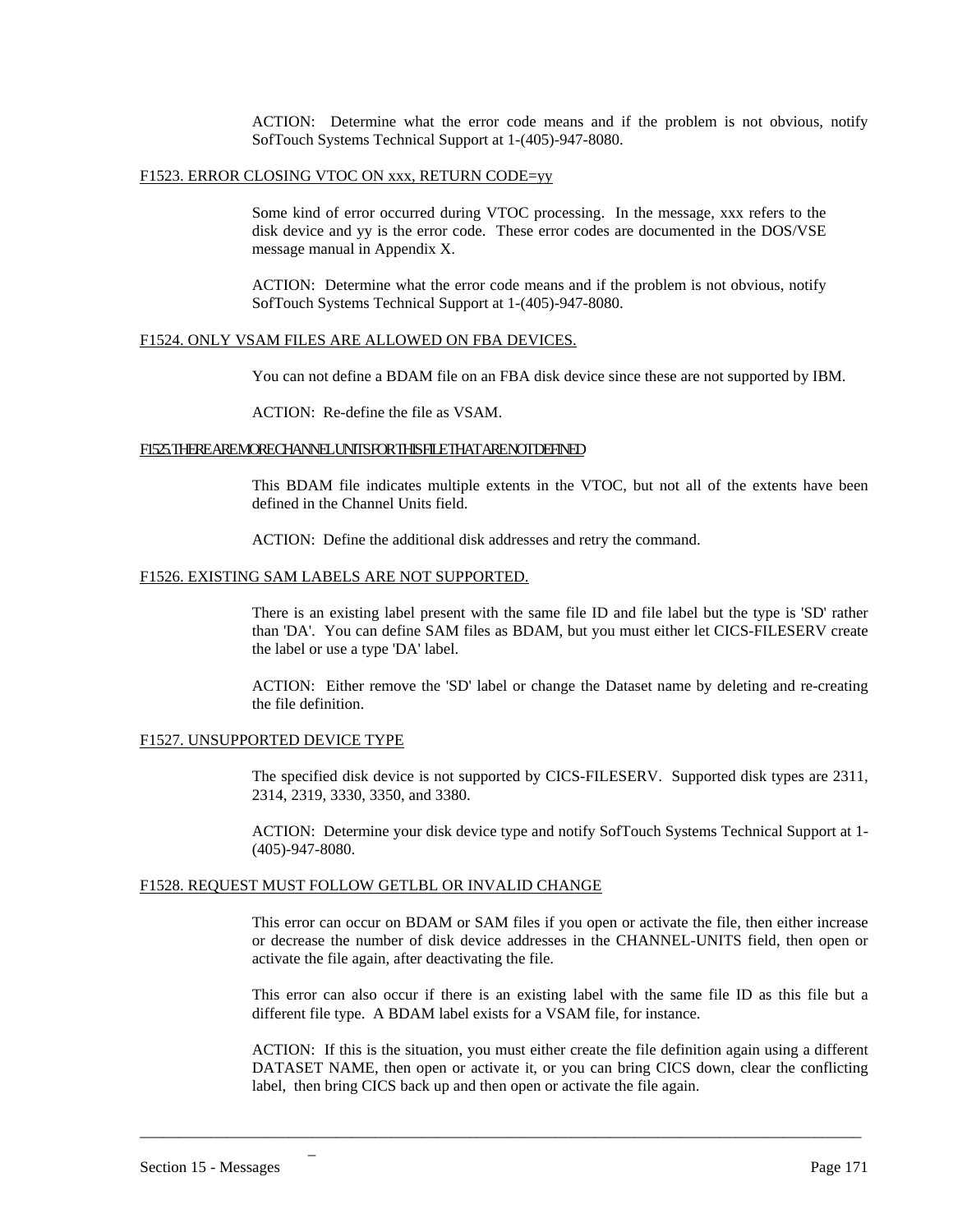ACTION: Determine what the error code means and if the problem is not obvious, notify SofTouch Systems Technical Support at 1-(405)-947-8080.

#### F1523. ERROR CLOSING VTOC ON xxx, RETURN CODE=yy

Some kind of error occurred during VTOC processing. In the message, xxx refers to the disk device and yy is the error code. These error codes are documented in the DOS/VSE message manual in Appendix X.

ACTION: Determine what the error code means and if the problem is not obvious, notify SofTouch Systems Technical Support at 1-(405)-947-8080.

#### F1524. ONLY VSAM FILES ARE ALLOWED ON FBA DEVICES.

You can not define a BDAM file on an FBA disk device since these are not supported by IBM.

ACTION: Re-define the file as VSAM.

#### F1525. THERE ARE MORE CHANNEL UNITS FOR THIS FILE THAT ARE NOT DEFINED

This BDAM file indicates multiple extents in the VTOC, but not all of the extents have been defined in the Channel Units field.

ACTION: Define the additional disk addresses and retry the command.

#### F1526. EXISTING SAM LABELS ARE NOT SUPPORTED.

There is an existing label present with the same file ID and file label but the type is 'SD' rather than 'DA'. You can define SAM files as BDAM, but you must either let CICS-FILESERV create the label or use a type 'DA' label.

ACTION: Either remove the 'SD' label or change the Dataset name by deleting and re-creating the file definition.

# F1527. UNSUPPORTED DEVICE TYPE

The specified disk device is not supported by CICS-FILESERV. Supported disk types are 2311, 2314, 2319, 3330, 3350, and 3380.

ACTION: Determine your disk device type and notify SofTouch Systems Technical Support at 1- (405)-947-8080.

#### F1528. REQUEST MUST FOLLOW GETLBL OR INVALID CHANGE

This error can occur on BDAM or SAM files if you open or activate the file, then either increase or decrease the number of disk device addresses in the CHANNEL-UNITS field, then open or activate the file again, after deactivating the file.

This error can also occur if there is an existing label with the same file ID as this file but a different file type. A BDAM label exists for a VSAM file, for instance.

ACTION: If this is the situation, you must either create the file definition again using a different DATASET NAME, then open or activate it, or you can bring CICS down, clear the conflicting label, then bring CICS back up and then open or activate the file again.

\_\_\_\_\_\_\_\_\_\_\_\_\_\_\_\_\_\_\_\_\_\_\_\_\_\_\_\_\_\_\_\_\_\_\_\_\_\_\_\_\_\_\_\_\_\_\_\_\_\_\_\_\_\_\_\_\_\_\_\_\_\_\_\_\_\_\_\_\_\_\_\_\_\_\_\_\_\_\_\_\_\_\_\_\_\_\_\_\_\_\_\_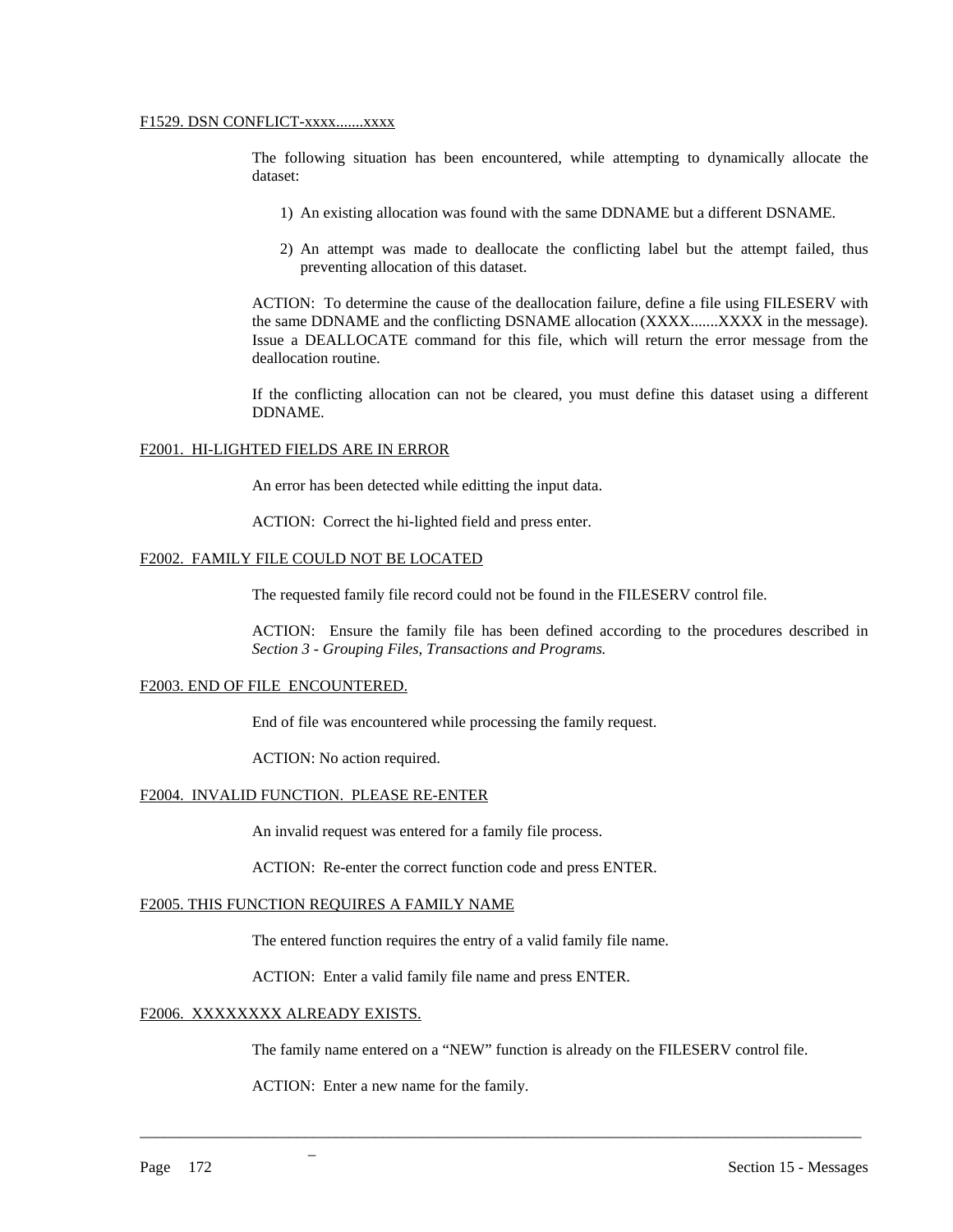#### F1529. DSN CONFLICT-xxxx.......xxxx

The following situation has been encountered, while attempting to dynamically allocate the dataset:

- 1) An existing allocation was found with the same DDNAME but a different DSNAME.
- 2) An attempt was made to deallocate the conflicting label but the attempt failed, thus preventing allocation of this dataset.

ACTION: To determine the cause of the deallocation failure, define a file using FILESERV with the same DDNAME and the conflicting DSNAME allocation (XXXX.......XXXX in the message). Issue a DEALLOCATE command for this file, which will return the error message from the deallocation routine.

If the conflicting allocation can not be cleared, you must define this dataset using a different DDNAME.

## F2001. HI-LIGHTED FIELDS ARE IN ERROR

An error has been detected while editting the input data.

ACTION: Correct the hi-lighted field and press enter.

#### F2002. FAMILY FILE COULD NOT BE LOCATED

The requested family file record could not be found in the FILESERV control file.

ACTION: Ensure the family file has been defined according to the procedures described in *Section 3 - Grouping Files, Transactions and Programs.*

#### F2003. END OF FILE ENCOUNTERED.

End of file was encountered while processing the family request.

ACTION: No action required.

# F2004. INVALID FUNCTION. PLEASE RE-ENTER

An invalid request was entered for a family file process.

ACTION: Re-enter the correct function code and press ENTER.

## F2005. THIS FUNCTION REQUIRES A FAMILY NAME

The entered function requires the entry of a valid family file name.

ACTION: Enter a valid family file name and press ENTER.

## F2006. XXXXXXXX ALREADY EXISTS.

 $\overline{a}$ 

The family name entered on a "NEW" function is already on the FILESERV control file.

\_\_\_\_\_\_\_\_\_\_\_\_\_\_\_\_\_\_\_\_\_\_\_\_\_\_\_\_\_\_\_\_\_\_\_\_\_\_\_\_\_\_\_\_\_\_\_\_\_\_\_\_\_\_\_\_\_\_\_\_\_\_\_\_\_\_\_\_\_\_\_\_\_\_\_\_\_\_\_\_\_\_\_\_\_\_\_\_\_\_\_\_

ACTION: Enter a new name for the family.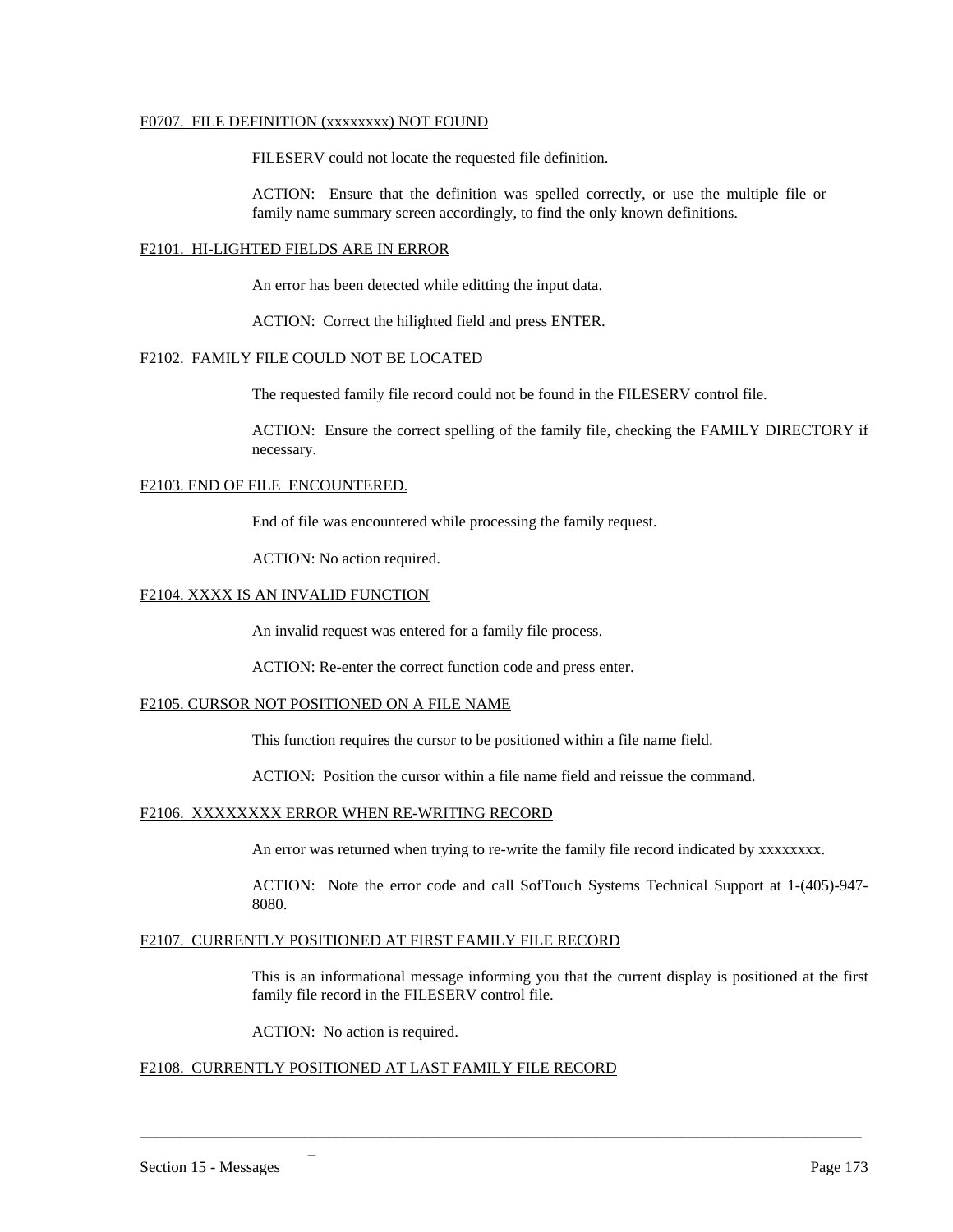## F0707. FILE DEFINITION (xxxxxxxx) NOT FOUND

FILESERV could not locate the requested file definition.

ACTION: Ensure that the definition was spelled correctly, or use the multiple file or family name summary screen accordingly, to find the only known definitions.

#### F2101. HI-LIGHTED FIELDS ARE IN ERROR

An error has been detected while editting the input data.

ACTION: Correct the hilighted field and press ENTER.

## F2102. FAMILY FILE COULD NOT BE LOCATED

The requested family file record could not be found in the FILESERV control file.

ACTION: Ensure the correct spelling of the family file, checking the FAMILY DIRECTORY if necessary.

# F2103. END OF FILE ENCOUNTERED.

End of file was encountered while processing the family request.

ACTION: No action required.

#### F2104. XXXX IS AN INVALID FUNCTION

An invalid request was entered for a family file process.

ACTION: Re-enter the correct function code and press enter.

## F2105. CURSOR NOT POSITIONED ON A FILE NAME

This function requires the cursor to be positioned within a file name field.

ACTION: Position the cursor within a file name field and reissue the command.

\_\_\_\_\_\_\_\_\_\_\_\_\_\_\_\_\_\_\_\_\_\_\_\_\_\_\_\_\_\_\_\_\_\_\_\_\_\_\_\_\_\_\_\_\_\_\_\_\_\_\_\_\_\_\_\_\_\_\_\_\_\_\_\_\_\_\_\_\_\_\_\_\_\_\_\_\_\_\_\_\_\_\_\_\_\_\_\_\_\_\_\_

## F2106. XXXXXXXX ERROR WHEN RE-WRITING RECORD

An error was returned when trying to re-write the family file record indicated by xxxxxxxx.

ACTION: Note the error code and call SofTouch Systems Technical Support at 1-(405)-947- 8080.

# F2107. CURRENTLY POSITIONED AT FIRST FAMILY FILE RECORD

This is an informational message informing you that the current display is positioned at the first family file record in the FILESERV control file.

ACTION: No action is required.

 $\overline{a}$ 

# F2108. CURRENTLY POSITIONED AT LAST FAMILY FILE RECORD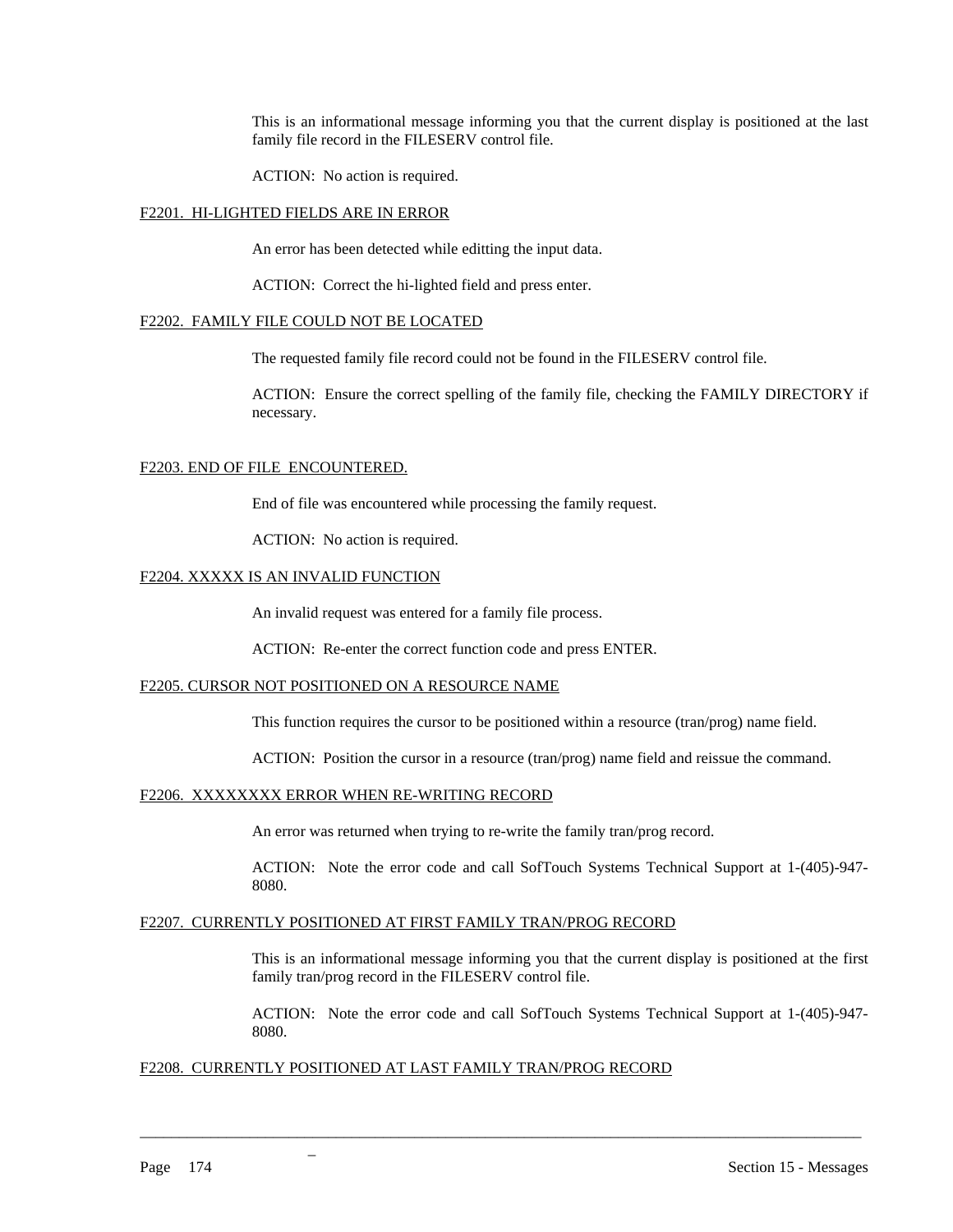This is an informational message informing you that the current display is positioned at the last family file record in the FILESERV control file.

ACTION: No action is required.

# F2201. HI-LIGHTED FIELDS ARE IN ERROR

An error has been detected while editting the input data.

ACTION: Correct the hi-lighted field and press enter.

# F2202. FAMILY FILE COULD NOT BE LOCATED

The requested family file record could not be found in the FILESERV control file.

ACTION: Ensure the correct spelling of the family file, checking the FAMILY DIRECTORY if necessary.

# F2203. END OF FILE ENCOUNTERED.

End of file was encountered while processing the family request.

ACTION: No action is required.

# F2204. XXXXX IS AN INVALID FUNCTION

An invalid request was entered for a family file process.

ACTION: Re-enter the correct function code and press ENTER.

## F2205. CURSOR NOT POSITIONED ON A RESOURCE NAME

This function requires the cursor to be positioned within a resource (tran/prog) name field.

ACTION: Position the cursor in a resource (tran/prog) name field and reissue the command.

## F2206. XXXXXXXX ERROR WHEN RE-WRITING RECORD

 $\overline{a}$ 

An error was returned when trying to re-write the family tran/prog record.

\_\_\_\_\_\_\_\_\_\_\_\_\_\_\_\_\_\_\_\_\_\_\_\_\_\_\_\_\_\_\_\_\_\_\_\_\_\_\_\_\_\_\_\_\_\_\_\_\_\_\_\_\_\_\_\_\_\_\_\_\_\_\_\_\_\_\_\_\_\_\_\_\_\_\_\_\_\_\_\_\_\_\_\_\_\_\_\_\_\_\_\_

ACTION: Note the error code and call SofTouch Systems Technical Support at 1-(405)-947- 8080.

# F2207. CURRENTLY POSITIONED AT FIRST FAMILY TRAN/PROG RECORD

This is an informational message informing you that the current display is positioned at the first family tran/prog record in the FILESERV control file.

ACTION: Note the error code and call SofTouch Systems Technical Support at 1-(405)-947- 8080.

# F2208. CURRENTLY POSITIONED AT LAST FAMILY TRAN/PROG RECORD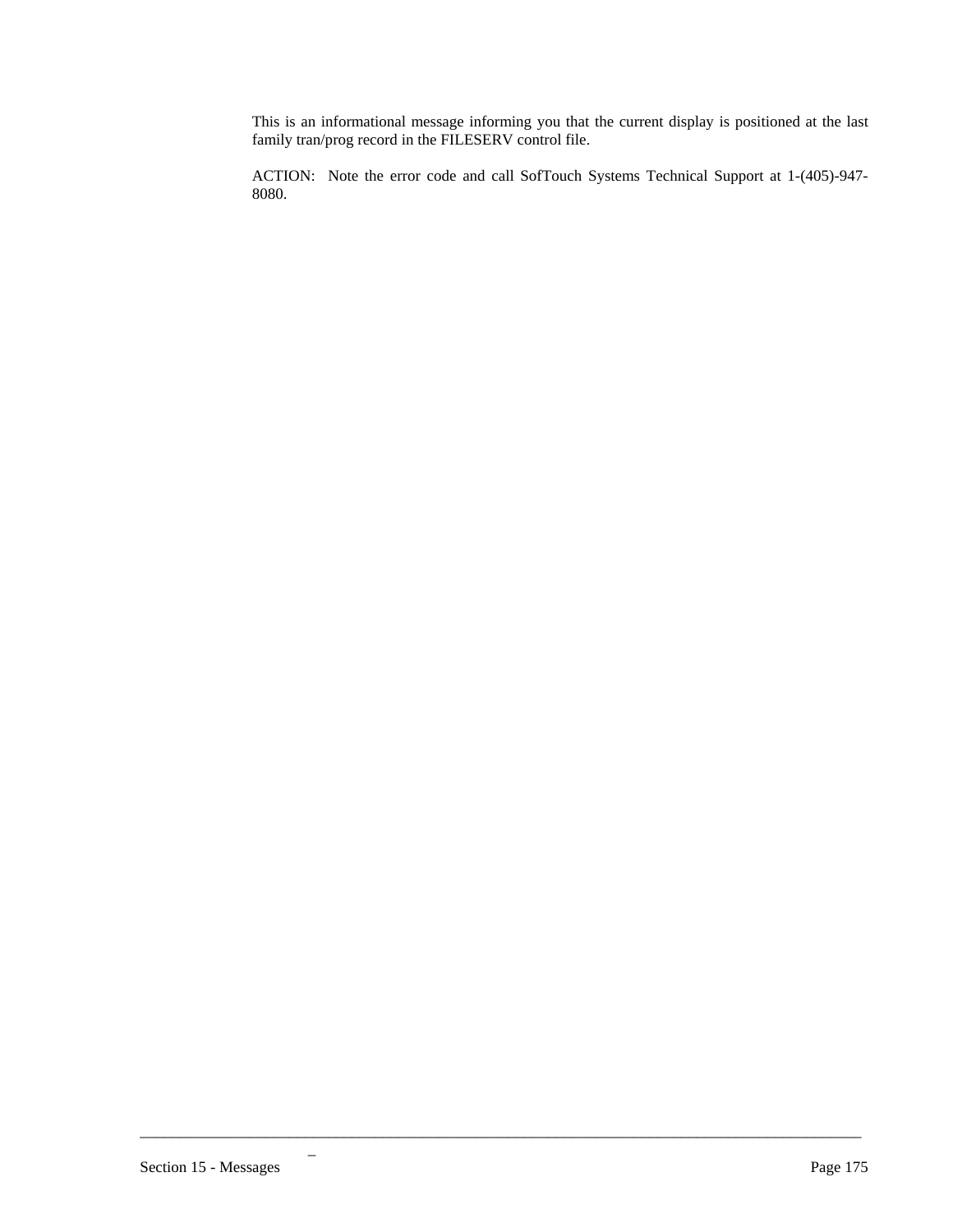This is an informational message informing you that the current display is positioned at the last family tran/prog record in the FILESERV control file.

ACTION: Note the error code and call SofTouch Systems Technical Support at 1-(405)-947- 8080.

\_\_\_\_\_\_\_\_\_\_\_\_\_\_\_\_\_\_\_\_\_\_\_\_\_\_\_\_\_\_\_\_\_\_\_\_\_\_\_\_\_\_\_\_\_\_\_\_\_\_\_\_\_\_\_\_\_\_\_\_\_\_\_\_\_\_\_\_\_\_\_\_\_\_\_\_\_\_\_\_\_\_\_\_\_\_\_\_\_\_\_\_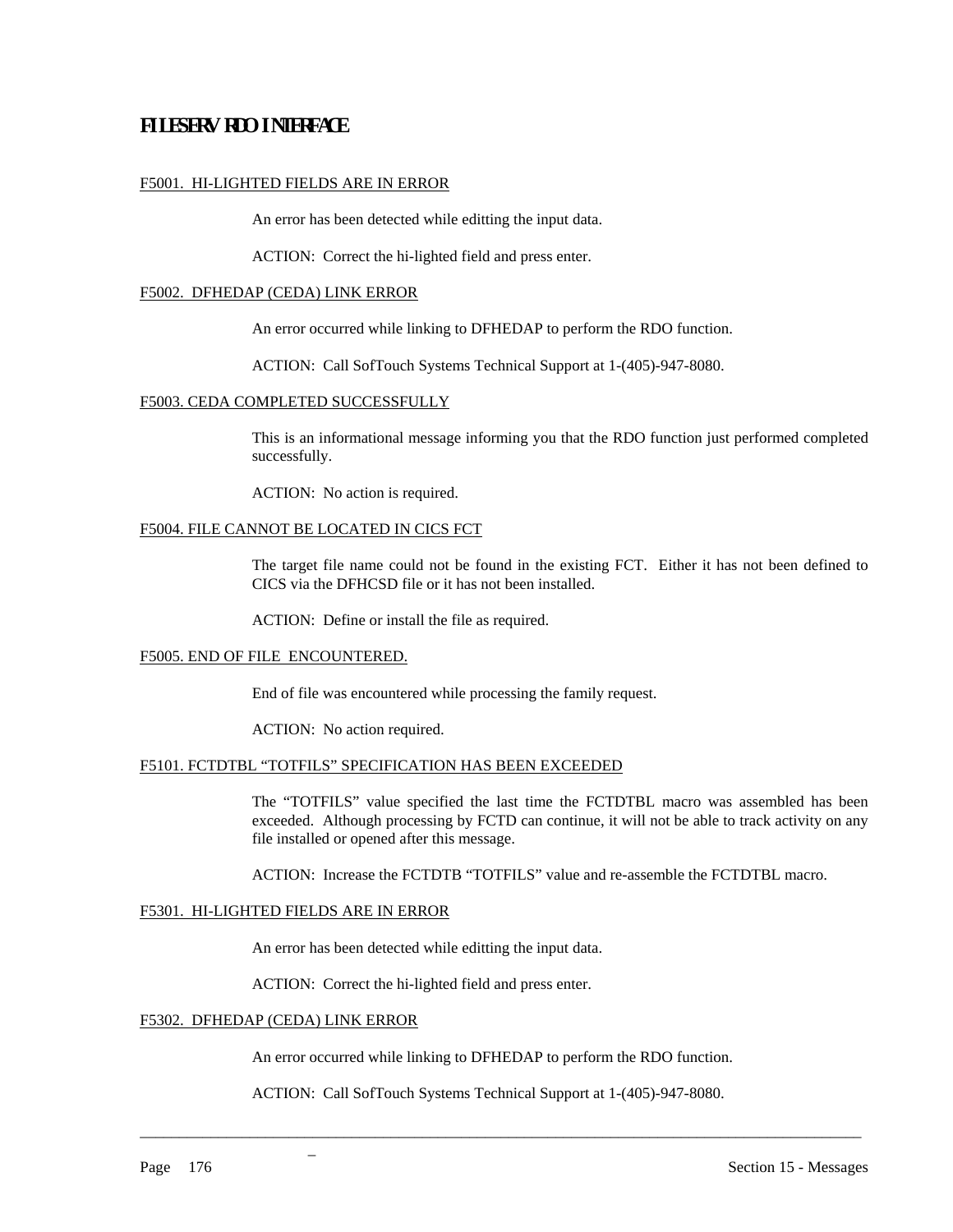# **FILESERV RDO INTERFACE**

# F5001. HI-LIGHTED FIELDS ARE IN ERROR

An error has been detected while editting the input data.

ACTION: Correct the hi-lighted field and press enter.

# F5002. DFHEDAP (CEDA) LINK ERROR

An error occurred while linking to DFHEDAP to perform the RDO function.

ACTION: Call SofTouch Systems Technical Support at 1-(405)-947-8080.

# F5003. CEDA COMPLETED SUCCESSFULLY

This is an informational message informing you that the RDO function just performed completed successfully.

ACTION: No action is required.

# F5004. FILE CANNOT BE LOCATED IN CICS FCT

The target file name could not be found in the existing FCT. Either it has not been defined to CICS via the DFHCSD file or it has not been installed.

ACTION: Define or install the file as required.

## F5005. END OF FILE ENCOUNTERED.

End of file was encountered while processing the family request.

ACTION: No action required.

## F5101. FCTDTBL "TOTFILS" SPECIFICATION HAS BEEN EXCEEDED

The "TOTFILS" value specified the last time the FCTDTBL macro was assembled has been exceeded. Although processing by FCTD can continue, it will not be able to track activity on any file installed or opened after this message.

ACTION: Increase the FCTDTB "TOTFILS" value and re-assemble the FCTDTBL macro.

## F5301. HI-LIGHTED FIELDS ARE IN ERROR

An error has been detected while editting the input data.

ACTION: Correct the hi-lighted field and press enter.

# F5302. DFHEDAP (CEDA) LINK ERROR

 $\overline{a}$ 

An error occurred while linking to DFHEDAP to perform the RDO function.

ACTION: Call SofTouch Systems Technical Support at 1-(405)-947-8080.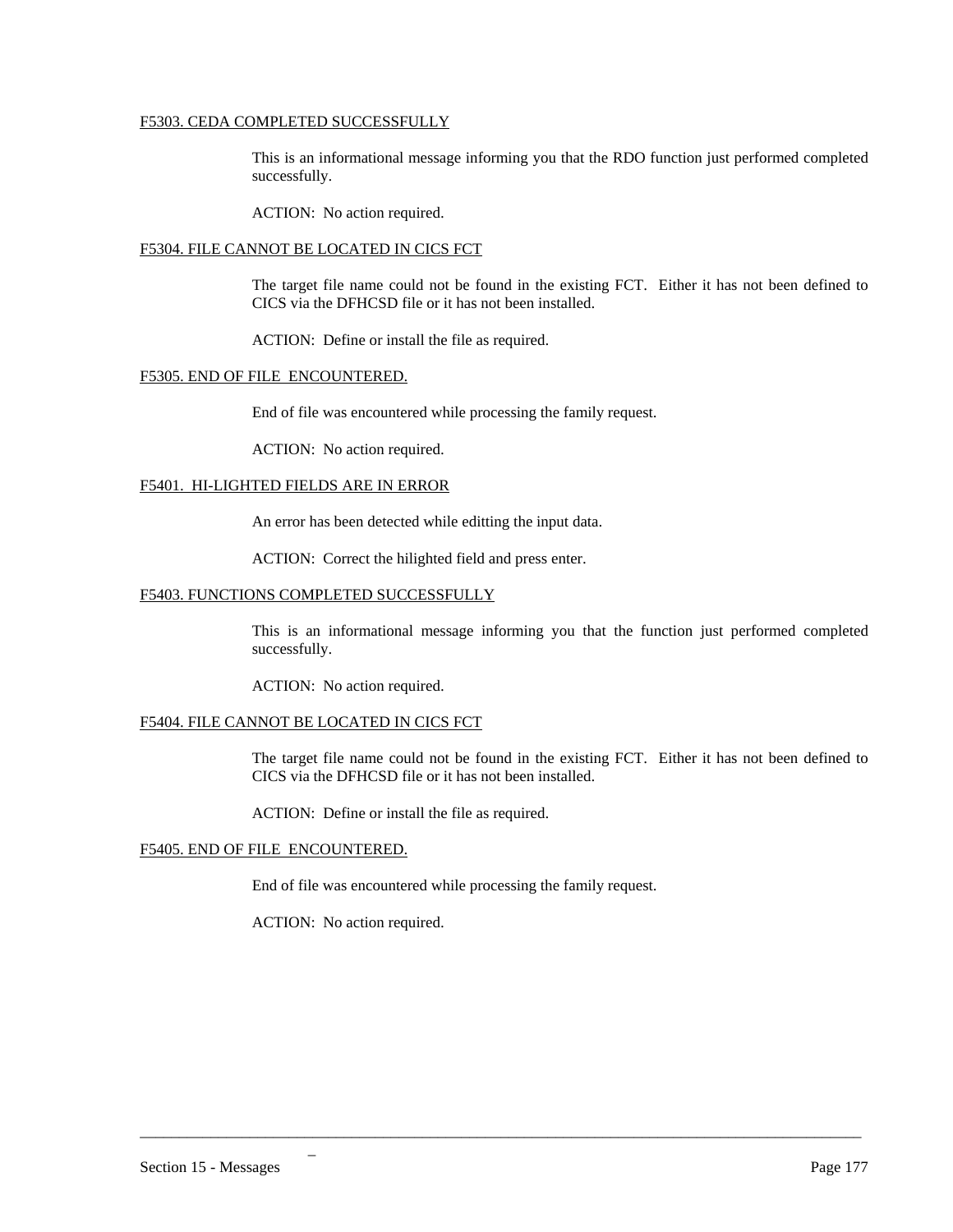# F5303. CEDA COMPLETED SUCCESSFULLY

This is an informational message informing you that the RDO function just performed completed successfully.

ACTION: No action required.

## F5304. FILE CANNOT BE LOCATED IN CICS FCT

The target file name could not be found in the existing FCT. Either it has not been defined to CICS via the DFHCSD file or it has not been installed.

ACTION: Define or install the file as required.

# F5305. END OF FILE ENCOUNTERED.

End of file was encountered while processing the family request.

ACTION: No action required.

# F5401. HI-LIGHTED FIELDS ARE IN ERROR

An error has been detected while editting the input data.

ACTION: Correct the hilighted field and press enter.

# F5403. FUNCTIONS COMPLETED SUCCESSFULLY

This is an informational message informing you that the function just performed completed successfully.

ACTION: No action required.

## F5404. FILE CANNOT BE LOCATED IN CICS FCT

The target file name could not be found in the existing FCT. Either it has not been defined to CICS via the DFHCSD file or it has not been installed.

ACTION: Define or install the file as required.

## F5405. END OF FILE ENCOUNTERED.

End of file was encountered while processing the family request.

\_\_\_\_\_\_\_\_\_\_\_\_\_\_\_\_\_\_\_\_\_\_\_\_\_\_\_\_\_\_\_\_\_\_\_\_\_\_\_\_\_\_\_\_\_\_\_\_\_\_\_\_\_\_\_\_\_\_\_\_\_\_\_\_\_\_\_\_\_\_\_\_\_\_\_\_\_\_\_\_\_\_\_\_\_\_\_\_\_\_\_\_

ACTION: No action required.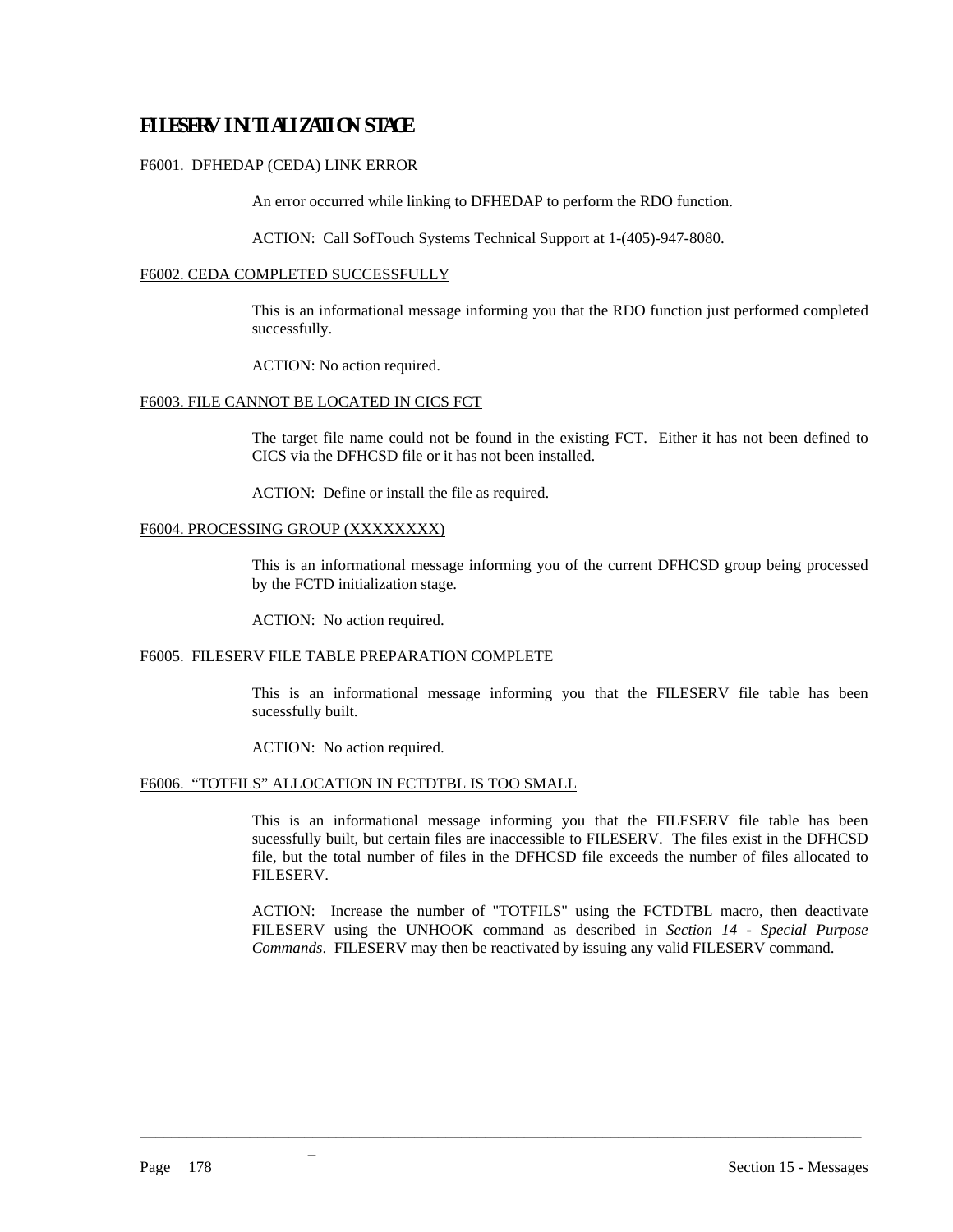# **FILESERV INITIALIZATION STAGE**

# F6001. DFHEDAP (CEDA) LINK ERROR

An error occurred while linking to DFHEDAP to perform the RDO function.

ACTION: Call SofTouch Systems Technical Support at 1-(405)-947-8080.

# F6002. CEDA COMPLETED SUCCESSFULLY

This is an informational message informing you that the RDO function just performed completed successfully.

ACTION: No action required.

# F6003. FILE CANNOT BE LOCATED IN CICS FCT

The target file name could not be found in the existing FCT. Either it has not been defined to CICS via the DFHCSD file or it has not been installed.

ACTION: Define or install the file as required.

# F6004. PROCESSING GROUP (XXXXXXXX)

This is an informational message informing you of the current DFHCSD group being processed by the FCTD initialization stage.

ACTION: No action required.

## F6005. FILESERV FILE TABLE PREPARATION COMPLETE

This is an informational message informing you that the FILESERV file table has been sucessfully built.

ACTION: No action required.

 $\overline{a}$ 

# F6006. "TOTFILS" ALLOCATION IN FCTDTBL IS TOO SMALL

This is an informational message informing you that the FILESERV file table has been sucessfully built, but certain files are inaccessible to FILESERV. The files exist in the DFHCSD file, but the total number of files in the DFHCSD file exceeds the number of files allocated to FILESERV.

ACTION: Increase the number of "TOTFILS" using the FCTDTBL macro, then deactivate FILESERV using the UNHOOK command as described in *Section 14 - Special Purpose Commands*. FILESERV may then be reactivated by issuing any valid FILESERV command.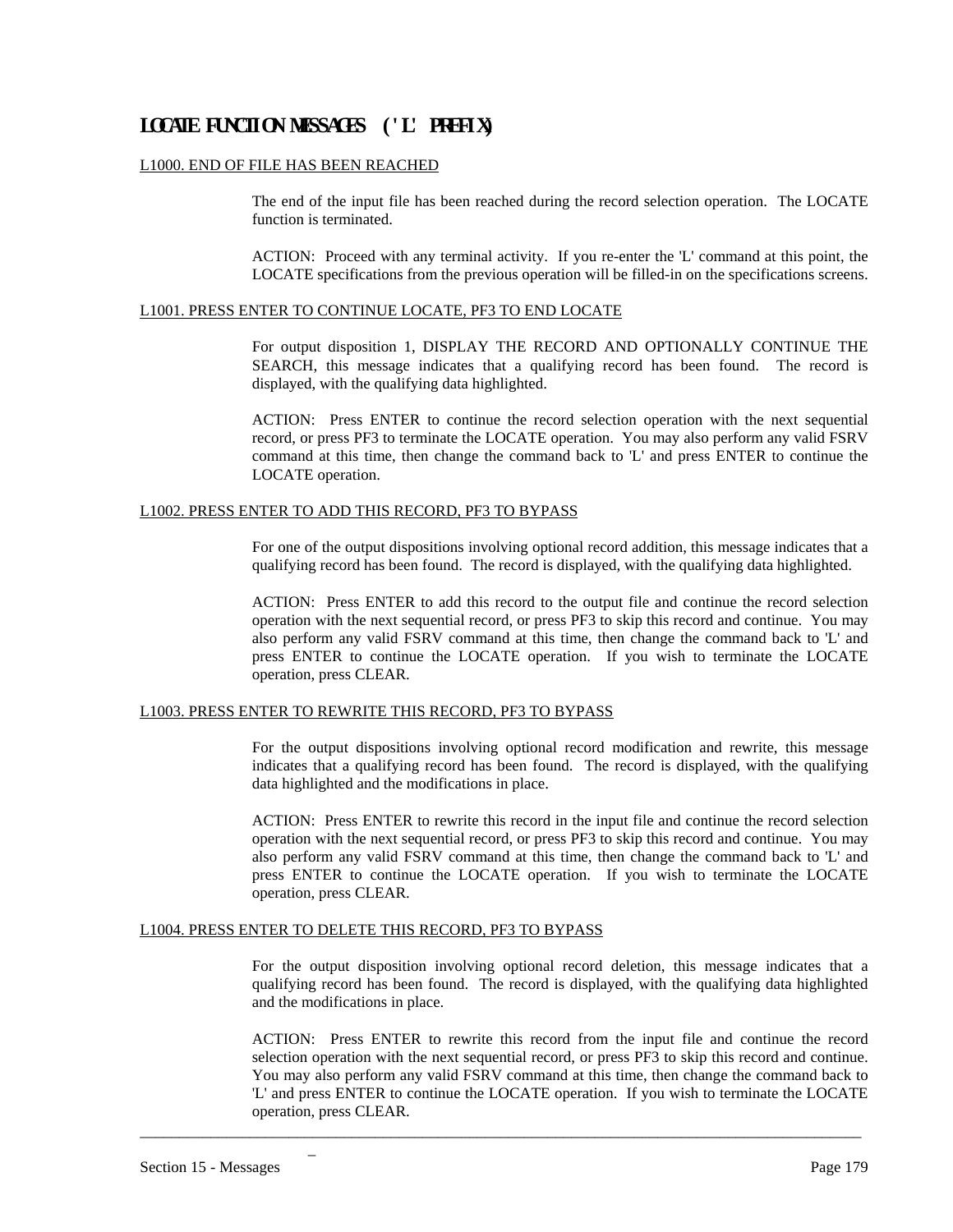# **LOCATE FUNCTION MESSAGES (' L' PREFIX)**

# L1000. END OF FILE HAS BEEN REACHED

The end of the input file has been reached during the record selection operation. The LOCATE function is terminated.

ACTION: Proceed with any terminal activity. If you re-enter the 'L' command at this point, the LOCATE specifications from the previous operation will be filled-in on the specifications screens.

## L1001. PRESS ENTER TO CONTINUE LOCATE, PF3 TO END LOCATE

For output disposition 1, DISPLAY THE RECORD AND OPTIONALLY CONTINUE THE SEARCH, this message indicates that a qualifying record has been found. The record is displayed, with the qualifying data highlighted.

ACTION: Press ENTER to continue the record selection operation with the next sequential record, or press PF3 to terminate the LOCATE operation. You may also perform any valid FSRV command at this time, then change the command back to 'L' and press ENTER to continue the LOCATE operation.

# L1002. PRESS ENTER TO ADD THIS RECORD, PF3 TO BYPASS

For one of the output dispositions involving optional record addition, this message indicates that a qualifying record has been found. The record is displayed, with the qualifying data highlighted.

ACTION: Press ENTER to add this record to the output file and continue the record selection operation with the next sequential record, or press PF3 to skip this record and continue. You may also perform any valid FSRV command at this time, then change the command back to 'L' and press ENTER to continue the LOCATE operation. If you wish to terminate the LOCATE operation, press CLEAR.

## L1003. PRESS ENTER TO REWRITE THIS RECORD, PF3 TO BYPASS

For the output dispositions involving optional record modification and rewrite, this message indicates that a qualifying record has been found. The record is displayed, with the qualifying data highlighted and the modifications in place.

ACTION: Press ENTER to rewrite this record in the input file and continue the record selection operation with the next sequential record, or press PF3 to skip this record and continue. You may also perform any valid FSRV command at this time, then change the command back to 'L' and press ENTER to continue the LOCATE operation. If you wish to terminate the LOCATE operation, press CLEAR.

## L1004. PRESS ENTER TO DELETE THIS RECORD, PF3 TO BYPASS

 $\overline{a}$ 

For the output disposition involving optional record deletion, this message indicates that a qualifying record has been found. The record is displayed, with the qualifying data highlighted and the modifications in place.

ACTION: Press ENTER to rewrite this record from the input file and continue the record selection operation with the next sequential record, or press PF3 to skip this record and continue. You may also perform any valid FSRV command at this time, then change the command back to 'L' and press ENTER to continue the LOCATE operation. If you wish to terminate the LOCATE operation, press CLEAR.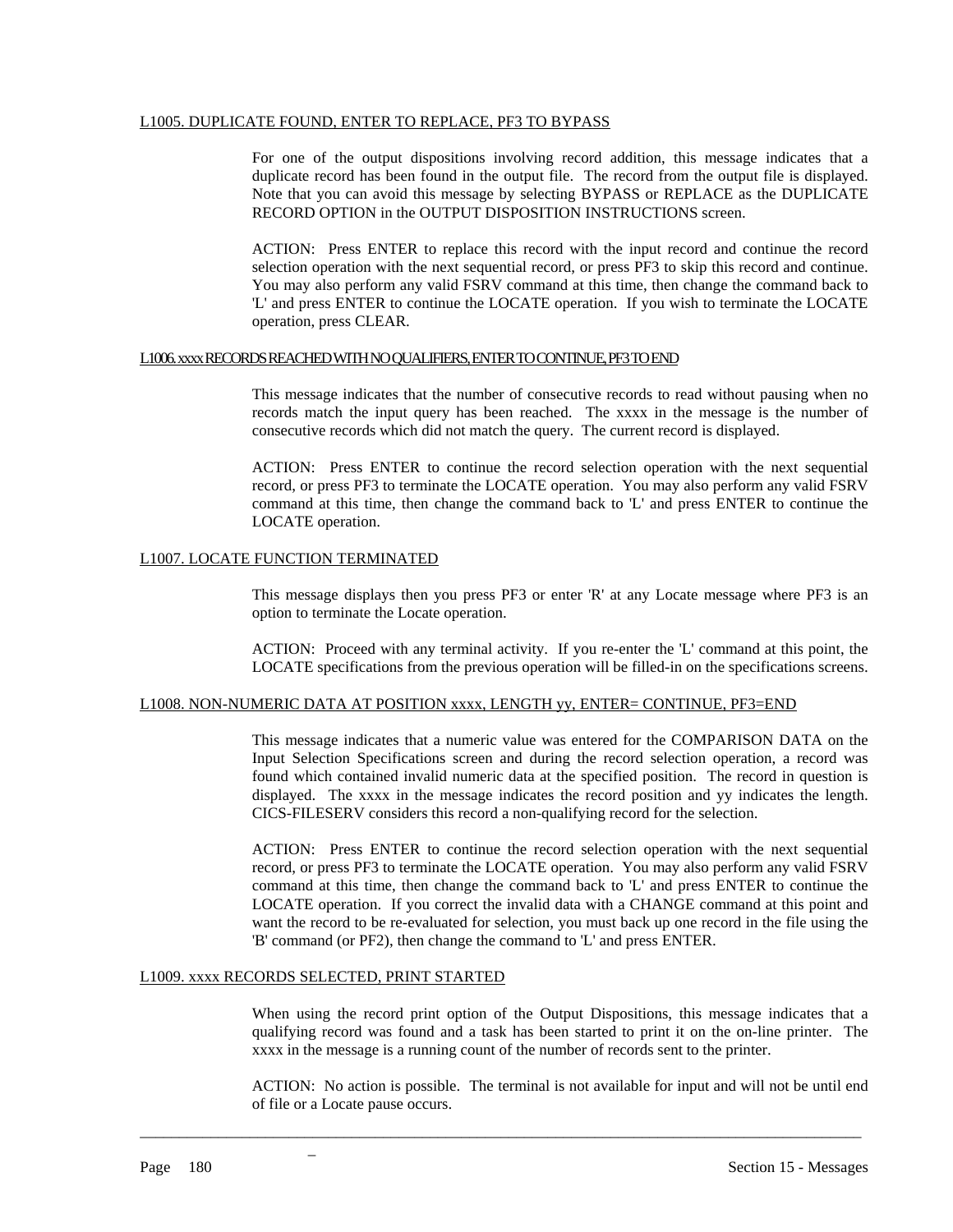# L1005. DUPLICATE FOUND, ENTER TO REPLACE, PF3 TO BYPASS

For one of the output dispositions involving record addition, this message indicates that a duplicate record has been found in the output file. The record from the output file is displayed. Note that you can avoid this message by selecting BYPASS or REPLACE as the DUPLICATE RECORD OPTION in the OUTPUT DISPOSITION INSTRUCTIONS screen.

ACTION: Press ENTER to replace this record with the input record and continue the record selection operation with the next sequential record, or press PF3 to skip this record and continue. You may also perform any valid FSRV command at this time, then change the command back to 'L' and press ENTER to continue the LOCATE operation. If you wish to terminate the LOCATE operation, press CLEAR.

# L1006. xxxx RECORDS REACHED WITH NO QUALIFIERS, ENTER TO CONTINUE, PF3 TO END

This message indicates that the number of consecutive records to read without pausing when no records match the input query has been reached. The xxxx in the message is the number of consecutive records which did not match the query. The current record is displayed.

ACTION: Press ENTER to continue the record selection operation with the next sequential record, or press PF3 to terminate the LOCATE operation. You may also perform any valid FSRV command at this time, then change the command back to 'L' and press ENTER to continue the LOCATE operation.

# L1007. LOCATE FUNCTION TERMINATED

This message displays then you press PF3 or enter 'R' at any Locate message where PF3 is an option to terminate the Locate operation.

ACTION: Proceed with any terminal activity. If you re-enter the 'L' command at this point, the LOCATE specifications from the previous operation will be filled-in on the specifications screens.

## L1008. NON-NUMERIC DATA AT POSITION xxxx, LENGTH yy, ENTER= CONTINUE, PF3=END

This message indicates that a numeric value was entered for the COMPARISON DATA on the Input Selection Specifications screen and during the record selection operation, a record was found which contained invalid numeric data at the specified position. The record in question is displayed. The xxxx in the message indicates the record position and yy indicates the length. CICS-FILESERV considers this record a non-qualifying record for the selection.

ACTION: Press ENTER to continue the record selection operation with the next sequential record, or press PF3 to terminate the LOCATE operation. You may also perform any valid FSRV command at this time, then change the command back to 'L' and press ENTER to continue the LOCATE operation. If you correct the invalid data with a CHANGE command at this point and want the record to be re-evaluated for selection, you must back up one record in the file using the 'B' command (or PF2), then change the command to 'L' and press ENTER.

# L1009. xxxx RECORDS SELECTED, PRINT STARTED

 $\overline{a}$ 

When using the record print option of the Output Dispositions, this message indicates that a qualifying record was found and a task has been started to print it on the on-line printer. The xxxx in the message is a running count of the number of records sent to the printer.

ACTION: No action is possible. The terminal is not available for input and will not be until end of file or a Locate pause occurs.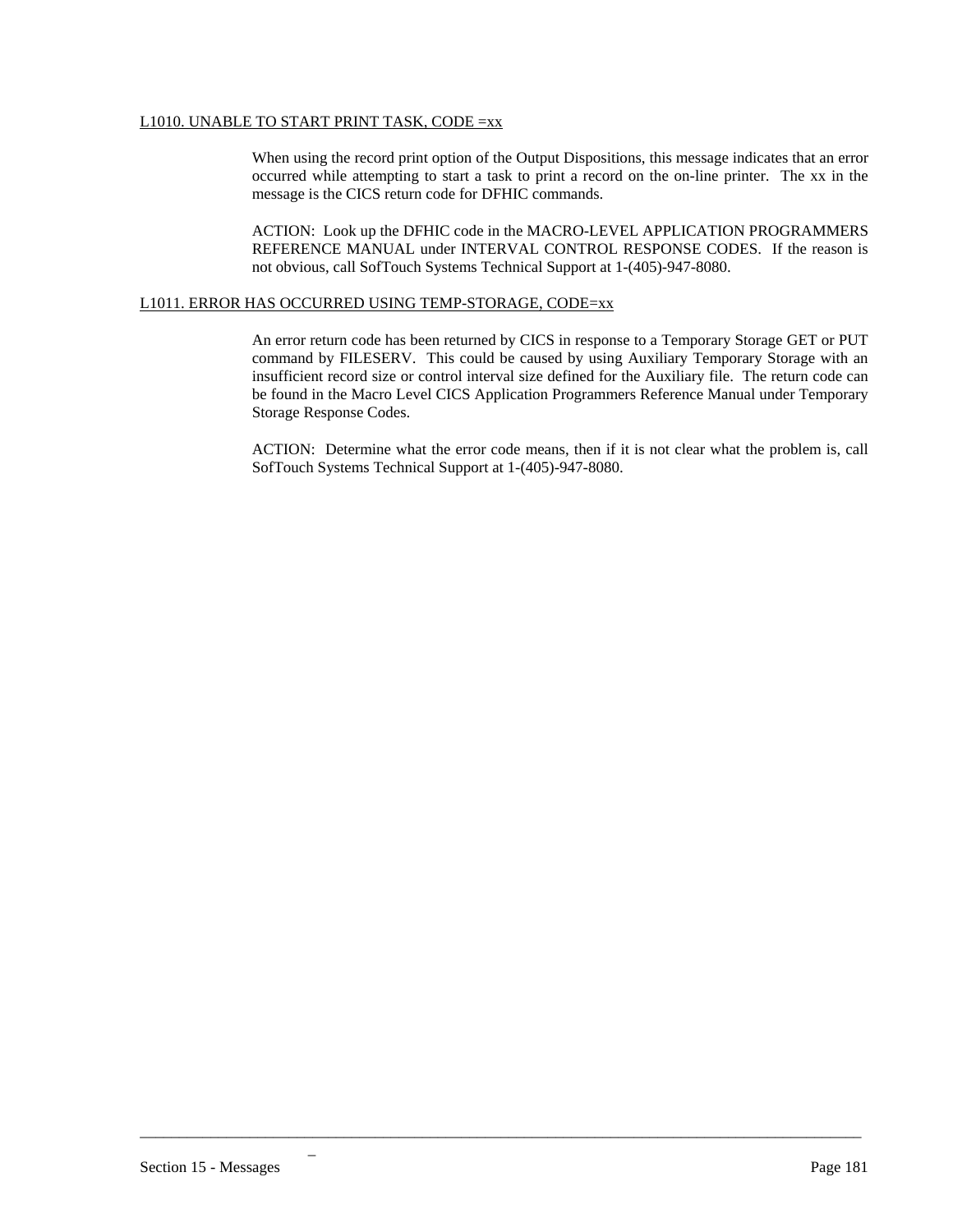# L1010. UNABLE TO START PRINT TASK, CODE =xx

When using the record print option of the Output Dispositions, this message indicates that an error occurred while attempting to start a task to print a record on the on-line printer. The xx in the message is the CICS return code for DFHIC commands.

ACTION: Look up the DFHIC code in the MACRO-LEVEL APPLICATION PROGRAMMERS REFERENCE MANUAL under INTERVAL CONTROL RESPONSE CODES. If the reason is not obvious, call SofTouch Systems Technical Support at 1-(405)-947-8080.

# L1011. ERROR HAS OCCURRED USING TEMP-STORAGE, CODE=xx

An error return code has been returned by CICS in response to a Temporary Storage GET or PUT command by FILESERV. This could be caused by using Auxiliary Temporary Storage with an insufficient record size or control interval size defined for the Auxiliary file. The return code can be found in the Macro Level CICS Application Programmers Reference Manual under Temporary Storage Response Codes.

ACTION: Determine what the error code means, then if it is not clear what the problem is, call SofTouch Systems Technical Support at 1-(405)-947-8080.

\_\_\_\_\_\_\_\_\_\_\_\_\_\_\_\_\_\_\_\_\_\_\_\_\_\_\_\_\_\_\_\_\_\_\_\_\_\_\_\_\_\_\_\_\_\_\_\_\_\_\_\_\_\_\_\_\_\_\_\_\_\_\_\_\_\_\_\_\_\_\_\_\_\_\_\_\_\_\_\_\_\_\_\_\_\_\_\_\_\_\_\_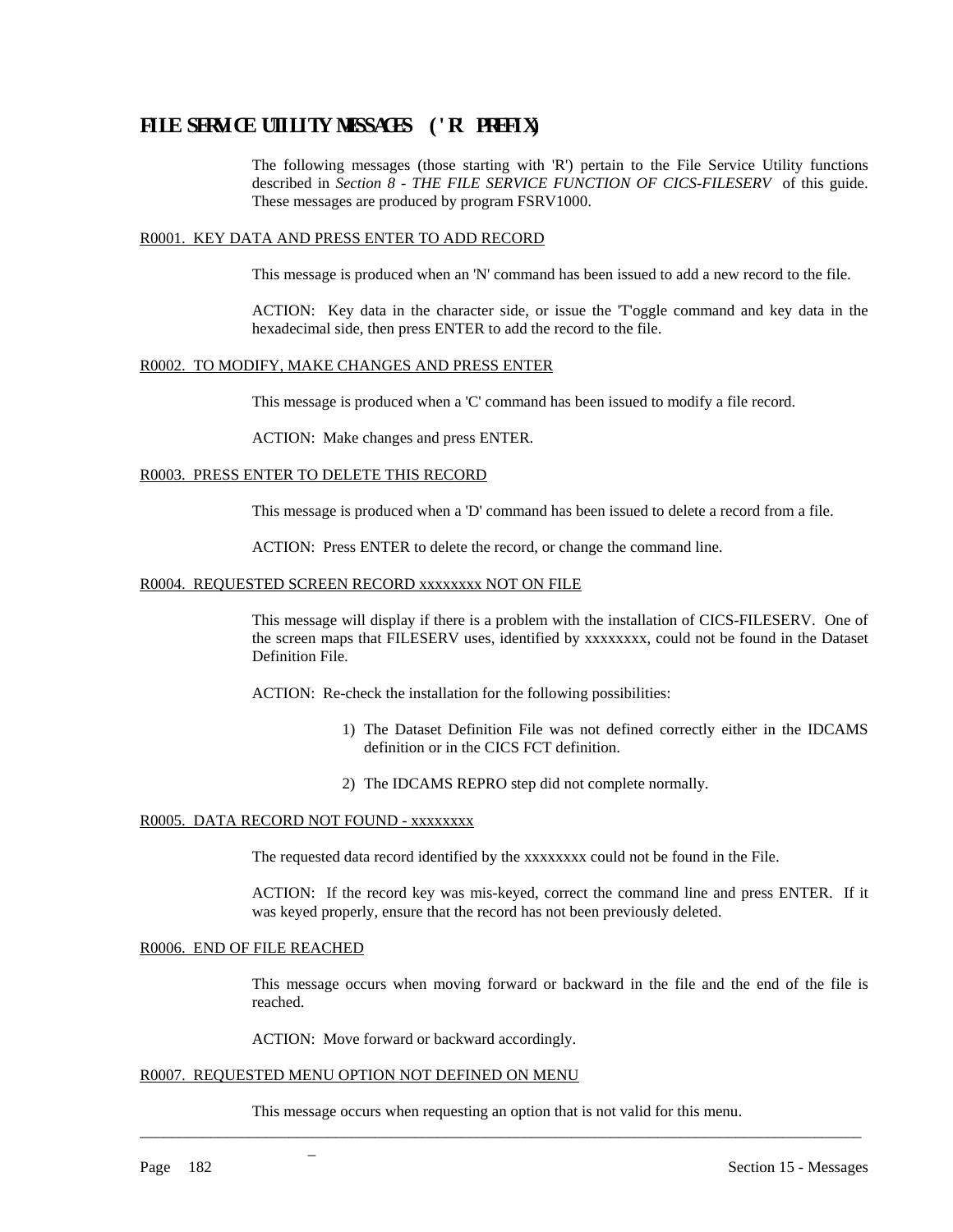# **FILE SERVICE UTILITY MESSAGES (' R' PREFIX)**

The following messages (those starting with 'R') pertain to the File Service Utility functions described in *Section 8 - THE FILE SERVICE FUNCTION OF CICS-FILESERV* of this guide. These messages are produced by program FSRV1000.

# R0001. KEY DATA AND PRESS ENTER TO ADD RECORD

This message is produced when an 'N' command has been issued to add a new record to the file.

ACTION: Key data in the character side, or issue the 'T'oggle command and key data in the hexadecimal side, then press ENTER to add the record to the file.

## R0002. TO MODIFY, MAKE CHANGES AND PRESS ENTER

This message is produced when a 'C' command has been issued to modify a file record.

ACTION: Make changes and press ENTER.

# R0003. PRESS ENTER TO DELETE THIS RECORD

This message is produced when a 'D' command has been issued to delete a record from a file.

ACTION: Press ENTER to delete the record, or change the command line.

## R0004. REQUESTED SCREEN RECORD xxxxxxxx NOT ON FILE

This message will display if there is a problem with the installation of CICS-FILESERV. One of the screen maps that FILESERV uses, identified by xxxxxxxx, could not be found in the Dataset Definition File.

ACTION: Re-check the installation for the following possibilities:

- 1) The Dataset Definition File was not defined correctly either in the IDCAMS definition or in the CICS FCT definition.
- 2) The IDCAMS REPRO step did not complete normally.

## R0005. DATA RECORD NOT FOUND - xxxxxxxx

The requested data record identified by the xxxxxxxx could not be found in the File.

ACTION: If the record key was mis-keyed, correct the command line and press ENTER. If it was keyed properly, ensure that the record has not been previously deleted.

# R0006. END OF FILE REACHED

This message occurs when moving forward or backward in the file and the end of the file is reached.

ACTION: Move forward or backward accordingly.

## R0007. REQUESTED MENU OPTION NOT DEFINED ON MENU

 $\overline{a}$ 

\_\_\_\_\_\_\_\_\_\_\_\_\_\_\_\_\_\_\_\_\_\_\_\_\_\_\_\_\_\_\_\_\_\_\_\_\_\_\_\_\_\_\_\_\_\_\_\_\_\_\_\_\_\_\_\_\_\_\_\_\_\_\_\_\_\_\_\_\_\_\_\_\_\_\_\_\_\_\_\_\_\_\_\_\_\_\_\_\_\_\_\_ This message occurs when requesting an option that is not valid for this menu.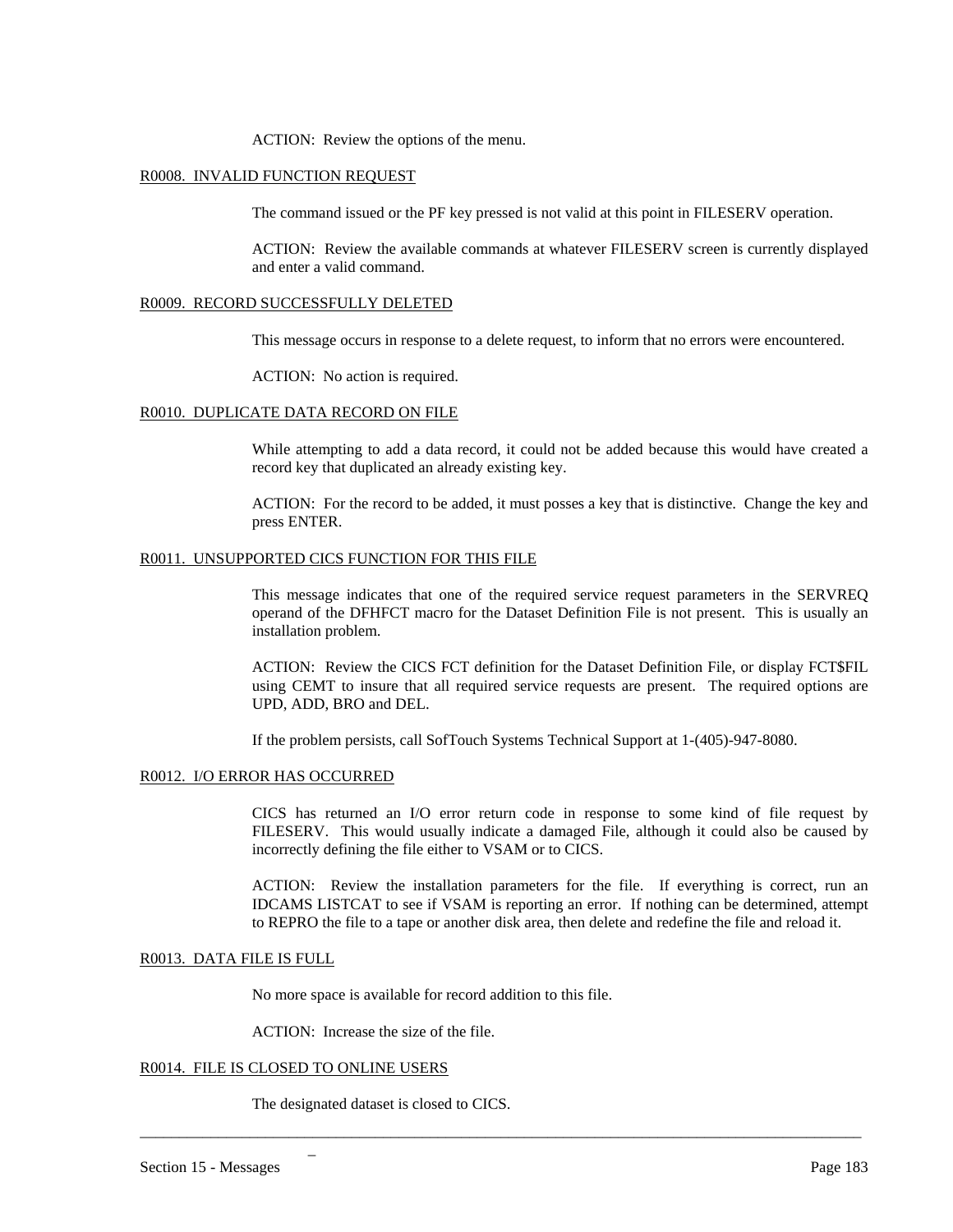#### ACTION: Review the options of the menu.

#### R0008. INVALID FUNCTION REQUEST

The command issued or the PF key pressed is not valid at this point in FILESERV operation.

ACTION: Review the available commands at whatever FILESERV screen is currently displayed and enter a valid command.

#### R0009. RECORD SUCCESSFULLY DELETED

This message occurs in response to a delete request, to inform that no errors were encountered.

ACTION: No action is required.

#### R0010. DUPLICATE DATA RECORD ON FILE

While attempting to add a data record, it could not be added because this would have created a record key that duplicated an already existing key.

ACTION: For the record to be added, it must posses a key that is distinctive. Change the key and press ENTER.

# R0011. UNSUPPORTED CICS FUNCTION FOR THIS FILE

This message indicates that one of the required service request parameters in the SERVREQ operand of the DFHFCT macro for the Dataset Definition File is not present. This is usually an installation problem.

ACTION: Review the CICS FCT definition for the Dataset Definition File, or display FCT\$FIL using CEMT to insure that all required service requests are present. The required options are UPD, ADD, BRO and DEL.

If the problem persists, call SofTouch Systems Technical Support at 1-(405)-947-8080.

#### R0012. I/O ERROR HAS OCCURRED

CICS has returned an I/O error return code in response to some kind of file request by FILESERV. This would usually indicate a damaged File, although it could also be caused by incorrectly defining the file either to VSAM or to CICS.

ACTION: Review the installation parameters for the file. If everything is correct, run an IDCAMS LISTCAT to see if VSAM is reporting an error. If nothing can be determined, attempt to REPRO the file to a tape or another disk area, then delete and redefine the file and reload it.

# R0013. DATA FILE IS FULL

No more space is available for record addition to this file.

\_\_\_\_\_\_\_\_\_\_\_\_\_\_\_\_\_\_\_\_\_\_\_\_\_\_\_\_\_\_\_\_\_\_\_\_\_\_\_\_\_\_\_\_\_\_\_\_\_\_\_\_\_\_\_\_\_\_\_\_\_\_\_\_\_\_\_\_\_\_\_\_\_\_\_\_\_\_\_\_\_\_\_\_\_\_\_\_\_\_\_\_

ACTION: Increase the size of the file.

# R0014. FILE IS CLOSED TO ONLINE USERS

 $\overline{a}$ 

The designated dataset is closed to CICS.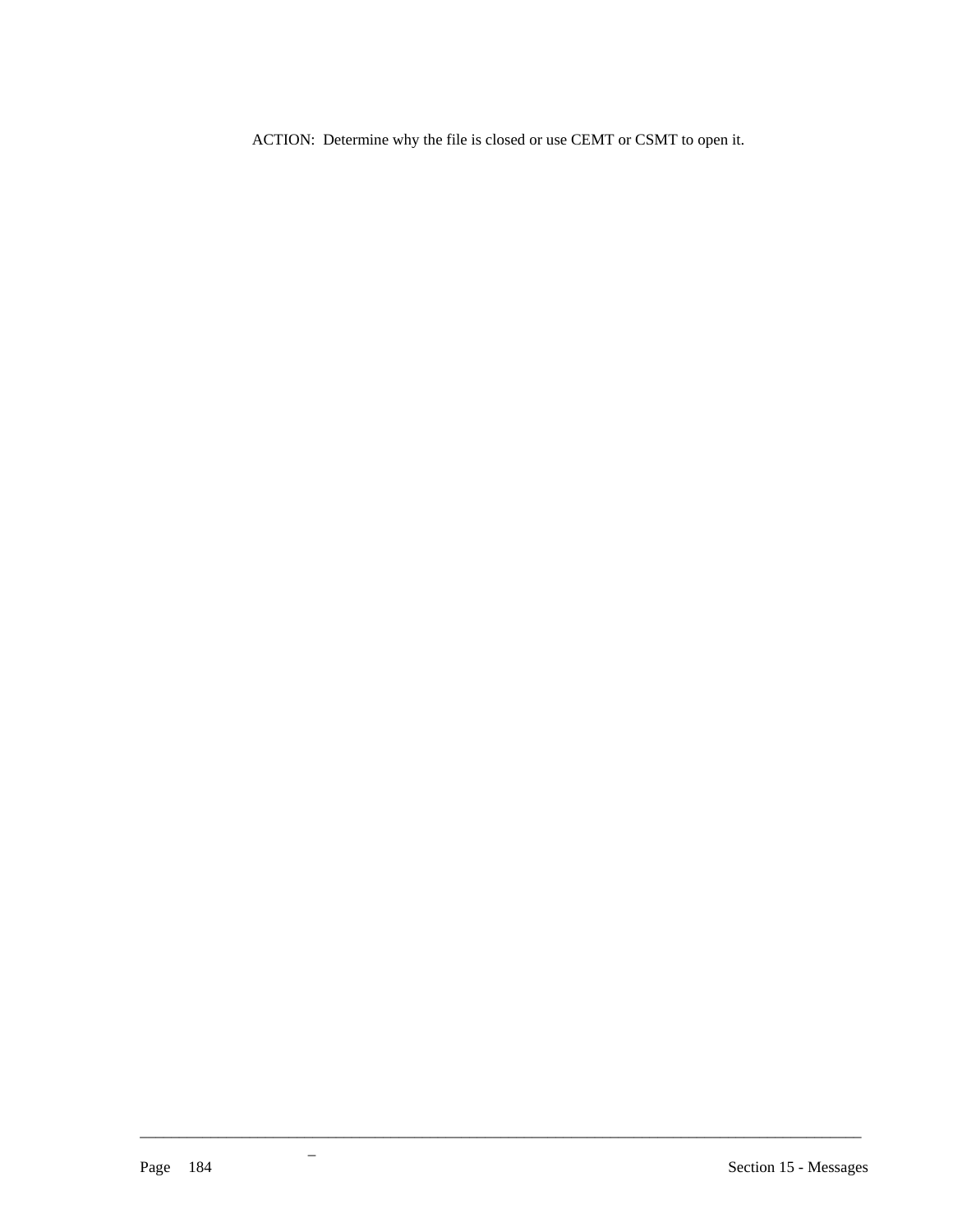ACTION: Determine why the file is closed or use CEMT or CSMT to open it.

\_\_\_\_\_\_\_\_\_\_\_\_\_\_\_\_\_\_\_\_\_\_\_\_\_\_\_\_\_\_\_\_\_\_\_\_\_\_\_\_\_\_\_\_\_\_\_\_\_\_\_\_\_\_\_\_\_\_\_\_\_\_\_\_\_\_\_\_\_\_\_\_\_\_\_\_\_\_\_\_\_\_\_\_\_\_\_\_\_\_\_\_

\_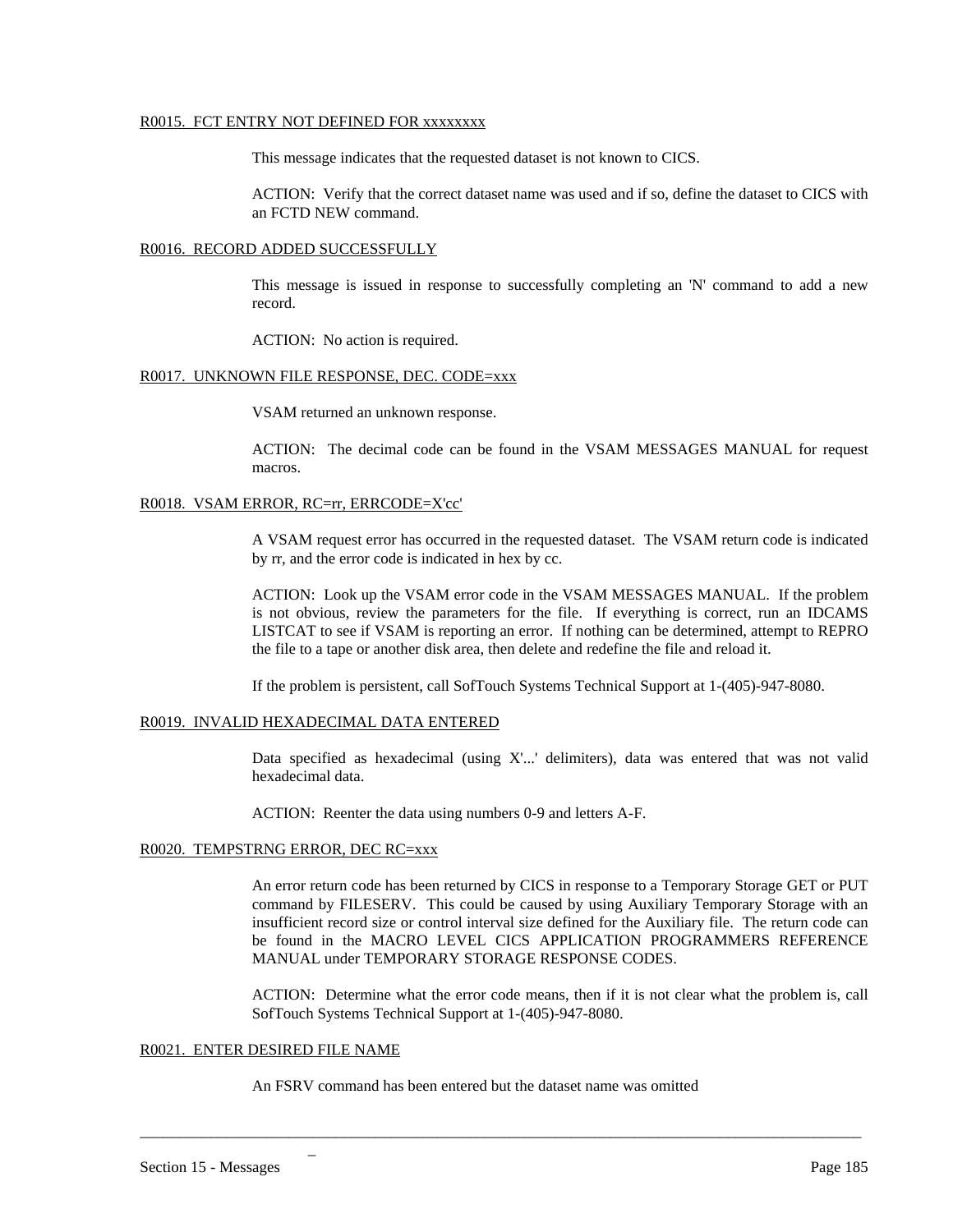#### R0015. FCT ENTRY NOT DEFINED FOR xxxxxxxx

This message indicates that the requested dataset is not known to CICS.

ACTION: Verify that the correct dataset name was used and if so, define the dataset to CICS with an FCTD NEW command.

#### R0016. RECORD ADDED SUCCESSFULLY

This message is issued in response to successfully completing an 'N' command to add a new record.

ACTION: No action is required.

#### R0017. UNKNOWN FILE RESPONSE, DEC. CODE=xxx

VSAM returned an unknown response.

ACTION: The decimal code can be found in the VSAM MESSAGES MANUAL for request macros.

#### R0018. VSAM ERROR, RC=rr, ERRCODE=X'cc'

A VSAM request error has occurred in the requested dataset. The VSAM return code is indicated by rr, and the error code is indicated in hex by cc.

ACTION: Look up the VSAM error code in the VSAM MESSAGES MANUAL. If the problem is not obvious, review the parameters for the file. If everything is correct, run an IDCAMS LISTCAT to see if VSAM is reporting an error. If nothing can be determined, attempt to REPRO the file to a tape or another disk area, then delete and redefine the file and reload it.

If the problem is persistent, call SofTouch Systems Technical Support at 1-(405)-947-8080.

## R0019. INVALID HEXADECIMAL DATA ENTERED

Data specified as hexadecimal (using X'...' delimiters), data was entered that was not valid hexadecimal data.

ACTION: Reenter the data using numbers 0-9 and letters A-F.

#### R0020. TEMPSTRNG ERROR, DEC RC=xxx

An error return code has been returned by CICS in response to a Temporary Storage GET or PUT command by FILESERV. This could be caused by using Auxiliary Temporary Storage with an insufficient record size or control interval size defined for the Auxiliary file. The return code can be found in the MACRO LEVEL CICS APPLICATION PROGRAMMERS REFERENCE MANUAL under TEMPORARY STORAGE RESPONSE CODES.

ACTION: Determine what the error code means, then if it is not clear what the problem is, call SofTouch Systems Technical Support at 1-(405)-947-8080.

#### R0021. ENTER DESIRED FILE NAME

 $\overline{a}$ 

An FSRV command has been entered but the dataset name was omitted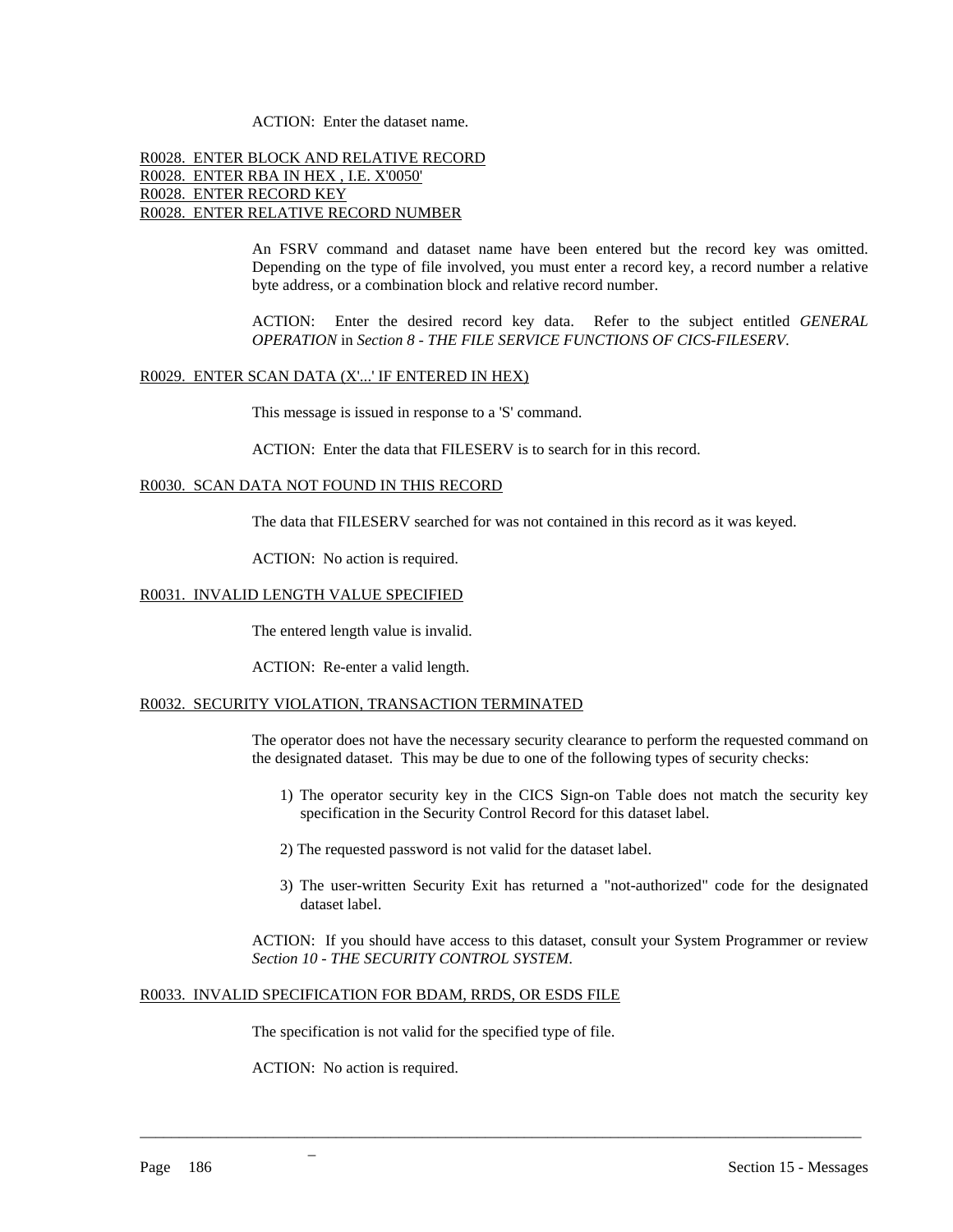# ACTION: Enter the dataset name.

# R0028. ENTER BLOCK AND RELATIVE RECORD R0028. ENTER RBA IN HEX , I.E. X'0050' R0028. ENTER RECORD KEY R0028. ENTER RELATIVE RECORD NUMBER

An FSRV command and dataset name have been entered but the record key was omitted. Depending on the type of file involved, you must enter a record key, a record number a relative byte address, or a combination block and relative record number.

ACTION: Enter the desired record key data. Refer to the subject entitled *GENERAL OPERATION* in *Section 8 - THE FILE SERVICE FUNCTIONS OF CICS-FILESERV*.

# R0029. ENTER SCAN DATA (X'...' IF ENTERED IN HEX)

This message is issued in response to a 'S' command.

ACTION: Enter the data that FILESERV is to search for in this record.

# R0030. SCAN DATA NOT FOUND IN THIS RECORD

The data that FILESERV searched for was not contained in this record as it was keyed.

ACTION: No action is required.

## R0031. INVALID LENGTH VALUE SPECIFIED

The entered length value is invalid.

ACTION: Re-enter a valid length.

## R0032. SECURITY VIOLATION, TRANSACTION TERMINATED

The operator does not have the necessary security clearance to perform the requested command on the designated dataset. This may be due to one of the following types of security checks:

- 1) The operator security key in the CICS Sign-on Table does not match the security key specification in the Security Control Record for this dataset label.
- 2) The requested password is not valid for the dataset label.
- 3) The user-written Security Exit has returned a "not-authorized" code for the designated dataset label.

ACTION: If you should have access to this dataset, consult your System Programmer or review *Section 10 - THE SECURITY CONTROL SYSTEM*.

# R0033. INVALID SPECIFICATION FOR BDAM, RRDS, OR ESDS FILE

The specification is not valid for the specified type of file.

\_\_\_\_\_\_\_\_\_\_\_\_\_\_\_\_\_\_\_\_\_\_\_\_\_\_\_\_\_\_\_\_\_\_\_\_\_\_\_\_\_\_\_\_\_\_\_\_\_\_\_\_\_\_\_\_\_\_\_\_\_\_\_\_\_\_\_\_\_\_\_\_\_\_\_\_\_\_\_\_\_\_\_\_\_\_\_\_\_\_\_\_

ACTION: No action is required.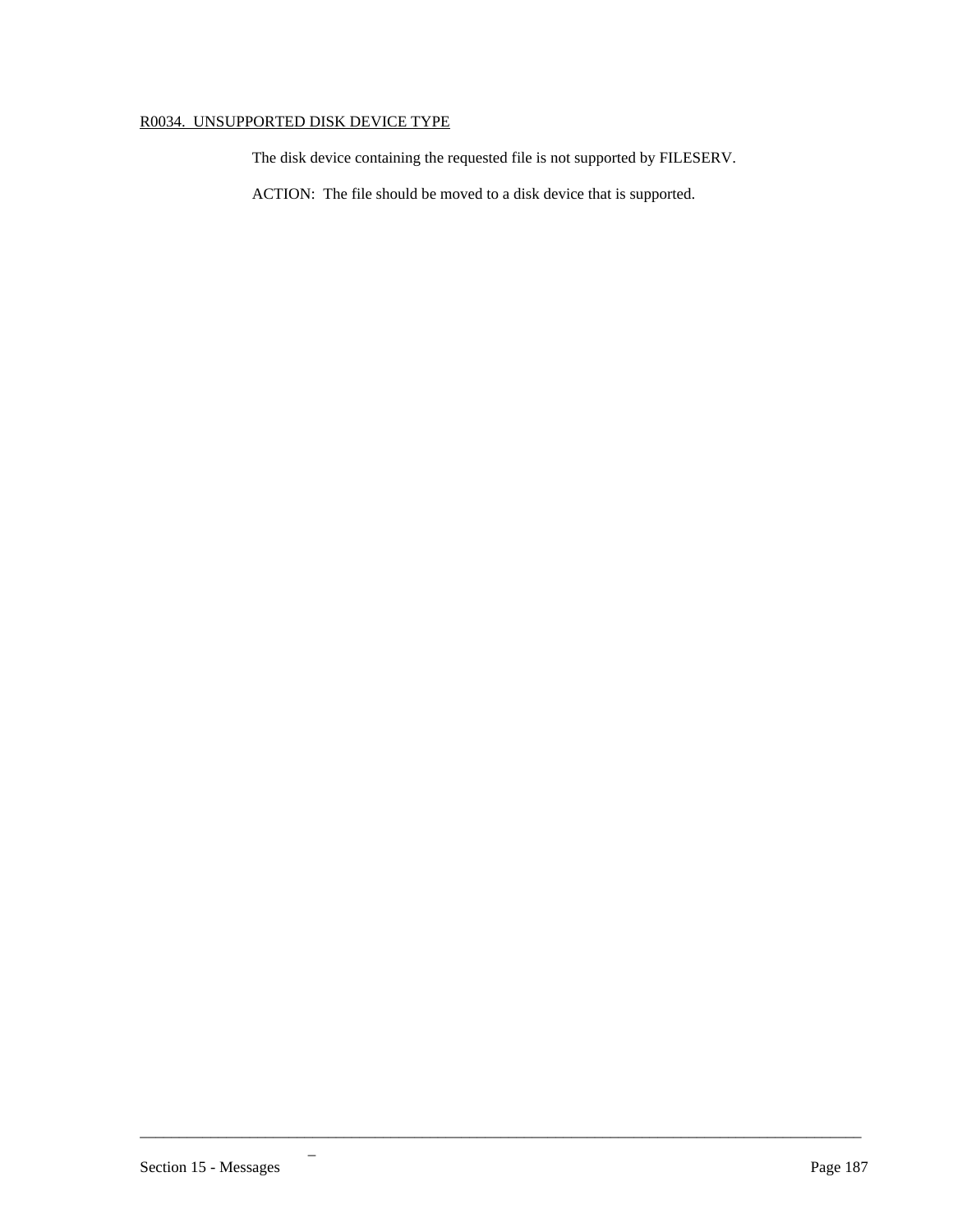# R0034. UNSUPPORTED DISK DEVICE TYPE

The disk device containing the requested file is not supported by FILESERV.

\_\_\_\_\_\_\_\_\_\_\_\_\_\_\_\_\_\_\_\_\_\_\_\_\_\_\_\_\_\_\_\_\_\_\_\_\_\_\_\_\_\_\_\_\_\_\_\_\_\_\_\_\_\_\_\_\_\_\_\_\_\_\_\_\_\_\_\_\_\_\_\_\_\_\_\_\_\_\_\_\_\_\_\_\_\_\_\_\_\_\_\_

ACTION: The file should be moved to a disk device that is supported.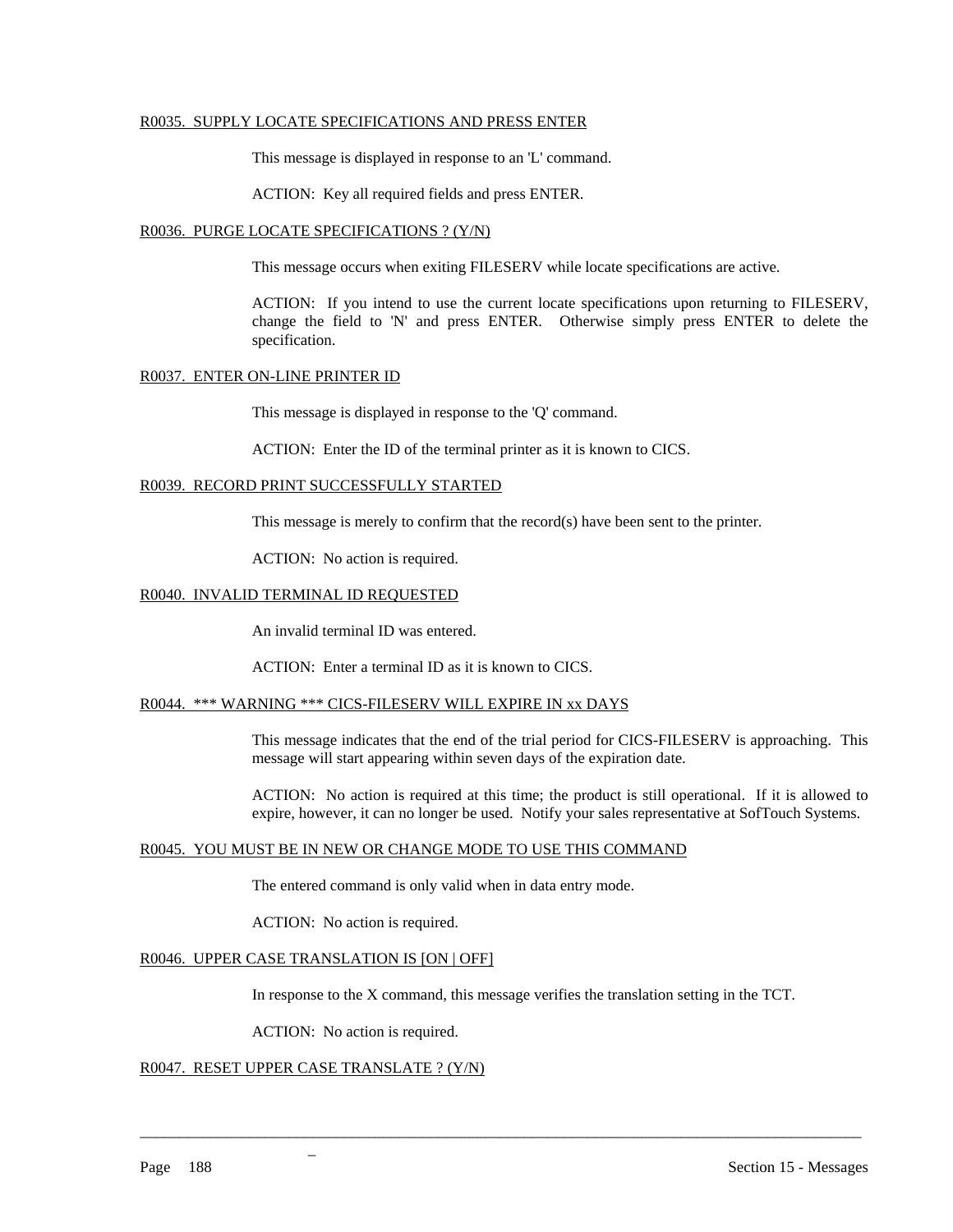# R0035. SUPPLY LOCATE SPECIFICATIONS AND PRESS ENTER

This message is displayed in response to an 'L' command.

ACTION: Key all required fields and press ENTER.

# R0036. PURGE LOCATE SPECIFICATIONS ? (Y/N)

This message occurs when exiting FILESERV while locate specifications are active.

ACTION: If you intend to use the current locate specifications upon returning to FILESERV, change the field to 'N' and press ENTER. Otherwise simply press ENTER to delete the specification.

# R0037. ENTER ON-LINE PRINTER ID

This message is displayed in response to the 'Q' command.

ACTION: Enter the ID of the terminal printer as it is known to CICS.

# R0039. RECORD PRINT SUCCESSFULLY STARTED

This message is merely to confirm that the record(s) have been sent to the printer.

ACTION: No action is required.

# R0040. INVALID TERMINAL ID REQUESTED

An invalid terminal ID was entered.

ACTION: Enter a terminal ID as it is known to CICS.

## R0044. \*\*\* WARNING \*\*\* CICS-FILESERV WILL EXPIRE IN xx DAYS

This message indicates that the end of the trial period for CICS-FILESERV is approaching. This message will start appearing within seven days of the expiration date.

ACTION: No action is required at this time; the product is still operational. If it is allowed to expire, however, it can no longer be used. Notify your sales representative at SofTouch Systems.

## R0045. YOU MUST BE IN NEW OR CHANGE MODE TO USE THIS COMMAND

The entered command is only valid when in data entry mode.

ACTION: No action is required.

# R0046. UPPER CASE TRANSLATION IS [ON | OFF]

In response to the X command, this message verifies the translation setting in the TCT.

\_\_\_\_\_\_\_\_\_\_\_\_\_\_\_\_\_\_\_\_\_\_\_\_\_\_\_\_\_\_\_\_\_\_\_\_\_\_\_\_\_\_\_\_\_\_\_\_\_\_\_\_\_\_\_\_\_\_\_\_\_\_\_\_\_\_\_\_\_\_\_\_\_\_\_\_\_\_\_\_\_\_\_\_\_\_\_\_\_\_\_\_

ACTION: No action is required.

# R0047. RESET UPPER CASE TRANSLATE ? (Y/N)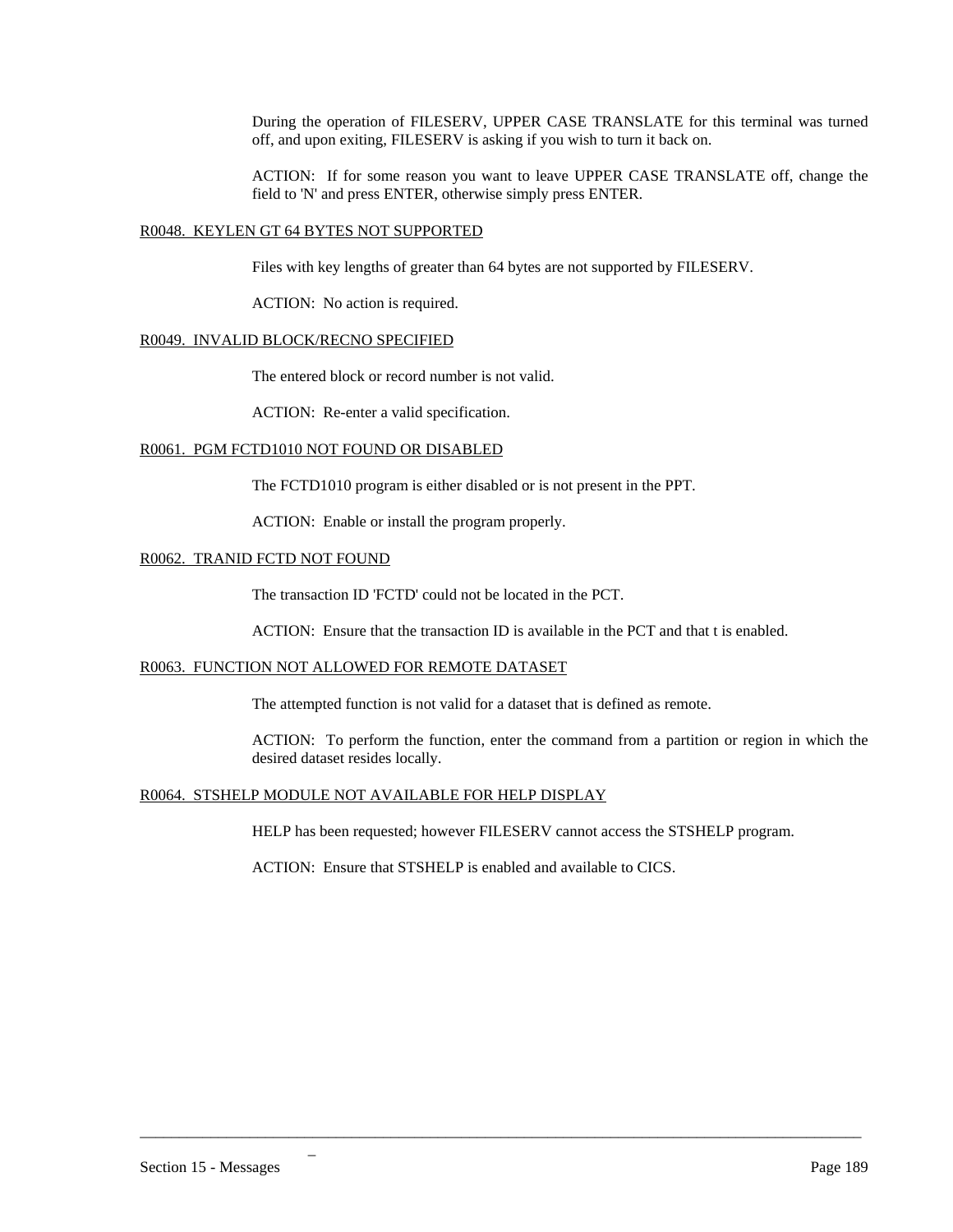During the operation of FILESERV, UPPER CASE TRANSLATE for this terminal was turned off, and upon exiting, FILESERV is asking if you wish to turn it back on.

ACTION: If for some reason you want to leave UPPER CASE TRANSLATE off, change the field to 'N' and press ENTER, otherwise simply press ENTER.

## R0048. KEYLEN GT 64 BYTES NOT SUPPORTED

Files with key lengths of greater than 64 bytes are not supported by FILESERV.

ACTION: No action is required.

#### R0049. INVALID BLOCK/RECNO SPECIFIED

The entered block or record number is not valid.

ACTION: Re-enter a valid specification.

# R0061. PGM FCTD1010 NOT FOUND OR DISABLED

The FCTD1010 program is either disabled or is not present in the PPT.

ACTION: Enable or install the program properly.

# R0062. TRANID FCTD NOT FOUND

The transaction ID 'FCTD' could not be located in the PCT.

ACTION: Ensure that the transaction ID is available in the PCT and that t is enabled.

# R0063. FUNCTION NOT ALLOWED FOR REMOTE DATASET

The attempted function is not valid for a dataset that is defined as remote.

ACTION: To perform the function, enter the command from a partition or region in which the desired dataset resides locally.

## R0064. STSHELP MODULE NOT AVAILABLE FOR HELP DISPLAY

HELP has been requested; however FILESERV cannot access the STSHELP program.

\_\_\_\_\_\_\_\_\_\_\_\_\_\_\_\_\_\_\_\_\_\_\_\_\_\_\_\_\_\_\_\_\_\_\_\_\_\_\_\_\_\_\_\_\_\_\_\_\_\_\_\_\_\_\_\_\_\_\_\_\_\_\_\_\_\_\_\_\_\_\_\_\_\_\_\_\_\_\_\_\_\_\_\_\_\_\_\_\_\_\_\_

ACTION: Ensure that STSHELP is enabled and available to CICS.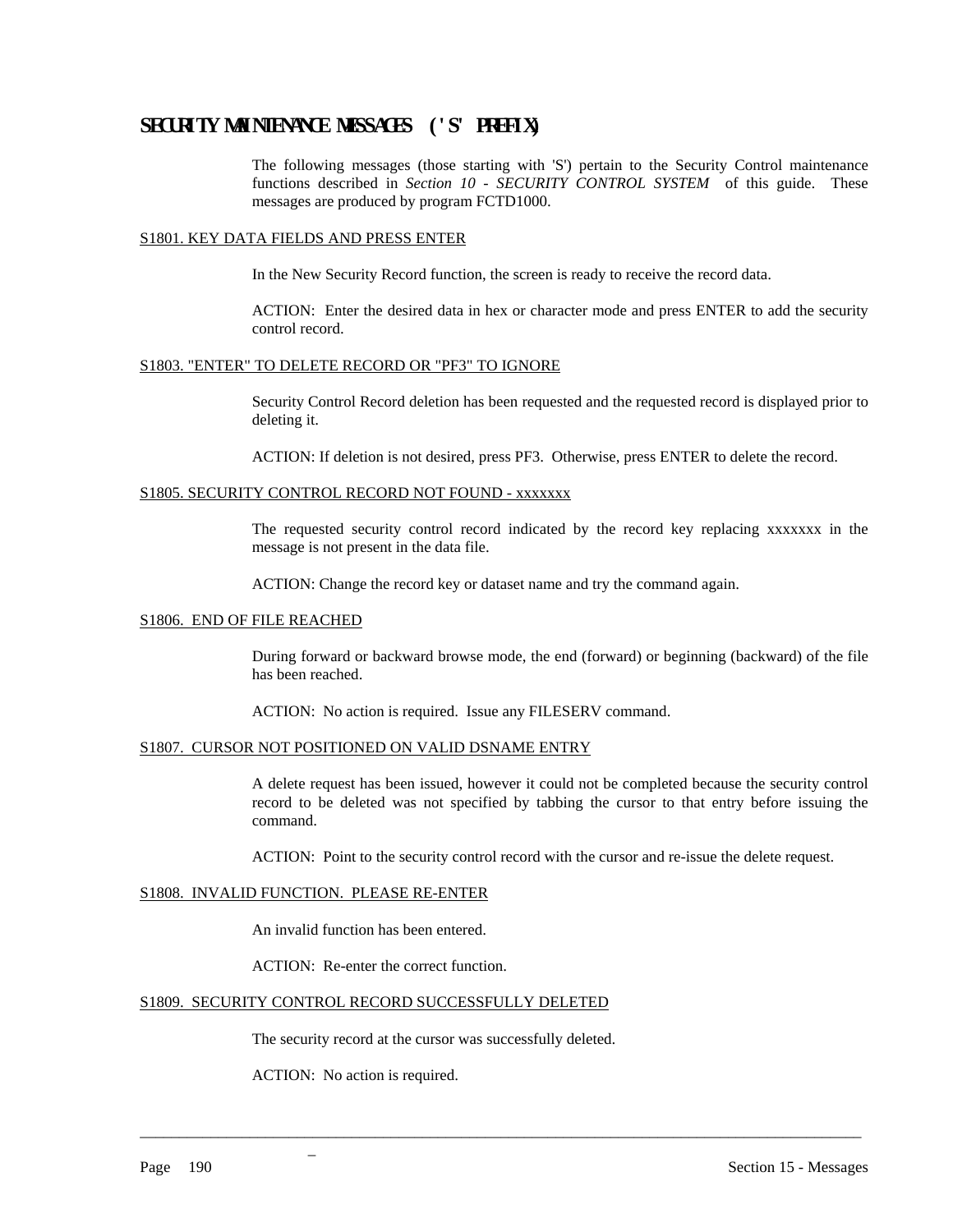# **SECURITY MAINTENANCE MESSAGES (' S' PREFIX)**

The following messages (those starting with 'S') pertain to the Security Control maintenance functions described in *Section 10 - SECURITY CONTROL SYSTEM* of this guide. These messages are produced by program FCTD1000.

# S1801. KEY DATA FIELDS AND PRESS ENTER

In the New Security Record function, the screen is ready to receive the record data.

ACTION: Enter the desired data in hex or character mode and press ENTER to add the security control record.

# S1803. "ENTER" TO DELETE RECORD OR "PF3" TO IGNORE

Security Control Record deletion has been requested and the requested record is displayed prior to deleting it.

ACTION: If deletion is not desired, press PF3. Otherwise, press ENTER to delete the record.

## S1805. SECURITY CONTROL RECORD NOT FOUND - xxxxxxx

The requested security control record indicated by the record key replacing xxxxxxx in the message is not present in the data file.

ACTION: Change the record key or dataset name and try the command again.

## S1806. END OF FILE REACHED

During forward or backward browse mode, the end (forward) or beginning (backward) of the file has been reached.

ACTION: No action is required. Issue any FILESERV command.

## S1807. CURSOR NOT POSITIONED ON VALID DSNAME ENTRY

A delete request has been issued, however it could not be completed because the security control record to be deleted was not specified by tabbing the cursor to that entry before issuing the command.

ACTION: Point to the security control record with the cursor and re-issue the delete request.

## S1808. INVALID FUNCTION. PLEASE RE-ENTER

 $\overline{a}$ 

An invalid function has been entered.

ACTION: Re-enter the correct function.

## S1809. SECURITY CONTROL RECORD SUCCESSFULLY DELETED

The security record at the cursor was successfully deleted.

\_\_\_\_\_\_\_\_\_\_\_\_\_\_\_\_\_\_\_\_\_\_\_\_\_\_\_\_\_\_\_\_\_\_\_\_\_\_\_\_\_\_\_\_\_\_\_\_\_\_\_\_\_\_\_\_\_\_\_\_\_\_\_\_\_\_\_\_\_\_\_\_\_\_\_\_\_\_\_\_\_\_\_\_\_\_\_\_\_\_\_\_

ACTION: No action is required.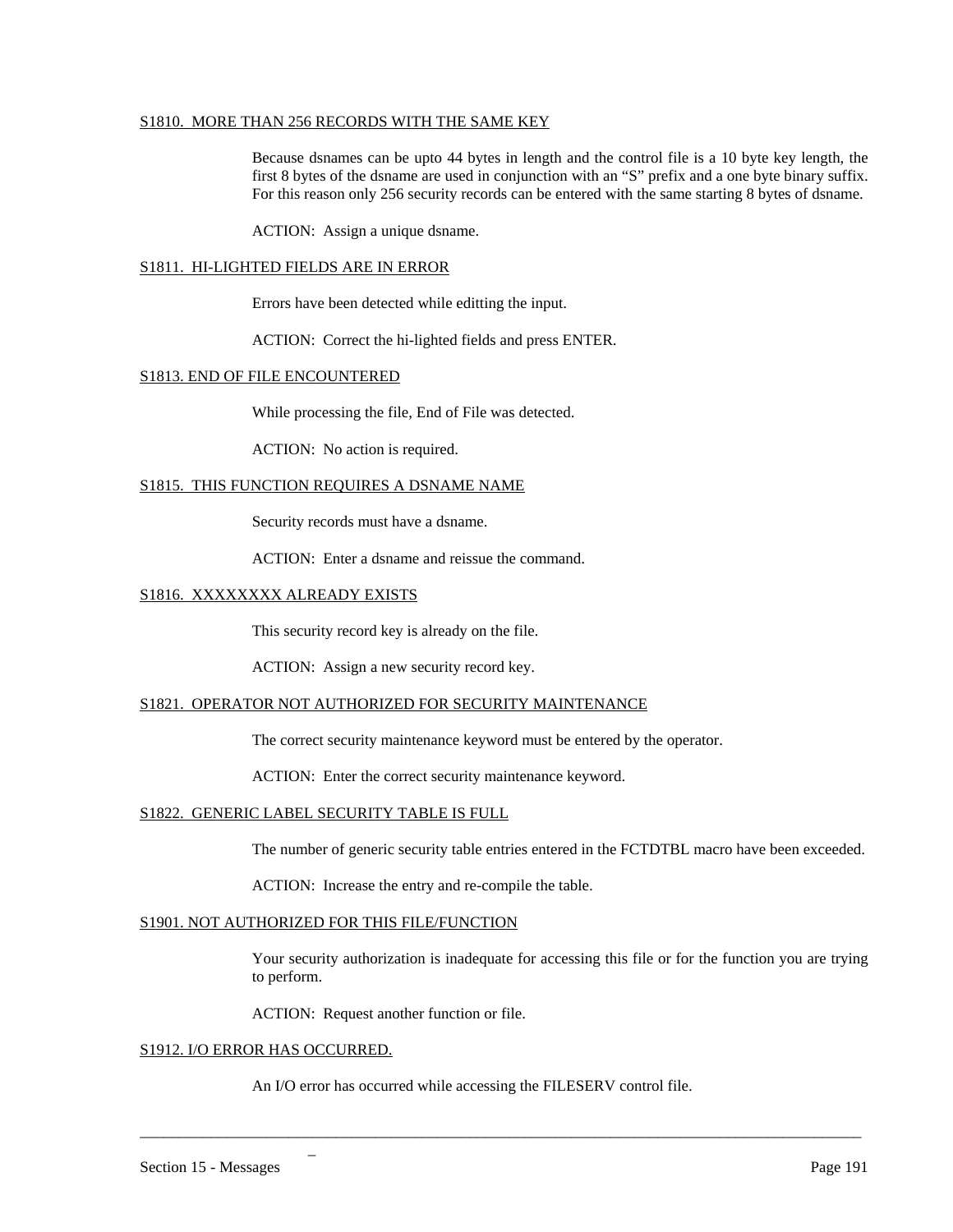#### S1810. MORE THAN 256 RECORDS WITH THE SAME KEY

Because dsnames can be upto 44 bytes in length and the control file is a 10 byte key length, the first 8 bytes of the dsname are used in conjunction with an "S" prefix and a one byte binary suffix. For this reason only 256 security records can be entered with the same starting 8 bytes of dsname.

ACTION: Assign a unique dsname.

#### S1811. HI-LIGHTED FIELDS ARE IN ERROR

Errors have been detected while editting the input.

ACTION: Correct the hi-lighted fields and press ENTER.

# S1813. END OF FILE ENCOUNTERED

While processing the file, End of File was detected.

ACTION: No action is required.

# S1815. THIS FUNCTION REQUIRES A DSNAME NAME

Security records must have a dsname.

ACTION: Enter a dsname and reissue the command.

#### S1816. XXXXXXXX ALREADY EXISTS

This security record key is already on the file.

ACTION: Assign a new security record key.

# S1821. OPERATOR NOT AUTHORIZED FOR SECURITY MAINTENANCE

The correct security maintenance keyword must be entered by the operator.

ACTION: Enter the correct security maintenance keyword.

#### S1822. GENERIC LABEL SECURITY TABLE IS FULL

The number of generic security table entries entered in the FCTDTBL macro have been exceeded.

ACTION: Increase the entry and re-compile the table.

# S1901. NOT AUTHORIZED FOR THIS FILE/FUNCTION

 $\overline{a}$ 

Your security authorization is inadequate for accessing this file or for the function you are trying to perform.

ACTION: Request another function or file.

#### S1912. I/O ERROR HAS OCCURRED.

An I/O error has occurred while accessing the FILESERV control file.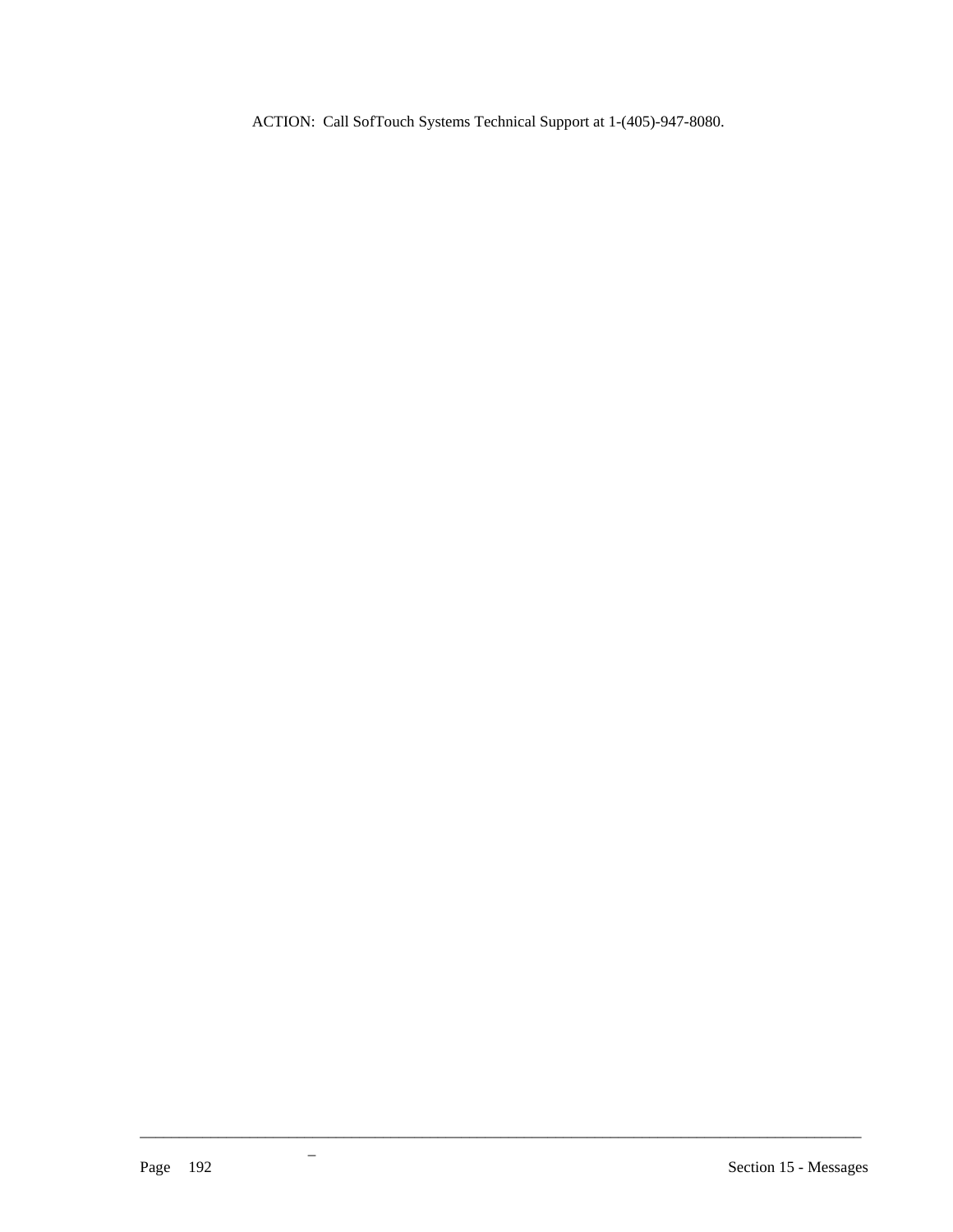ACTION: Call SofTouch Systems Technical Support at 1-(405)-947-8080.

\_\_\_\_\_\_\_\_\_\_\_\_\_\_\_\_\_\_\_\_\_\_\_\_\_\_\_\_\_\_\_\_\_\_\_\_\_\_\_\_\_\_\_\_\_\_\_\_\_\_\_\_\_\_\_\_\_\_\_\_\_\_\_\_\_\_\_\_\_\_\_\_\_\_\_\_\_\_\_\_\_\_\_\_\_\_\_\_\_\_\_\_

 $\equiv$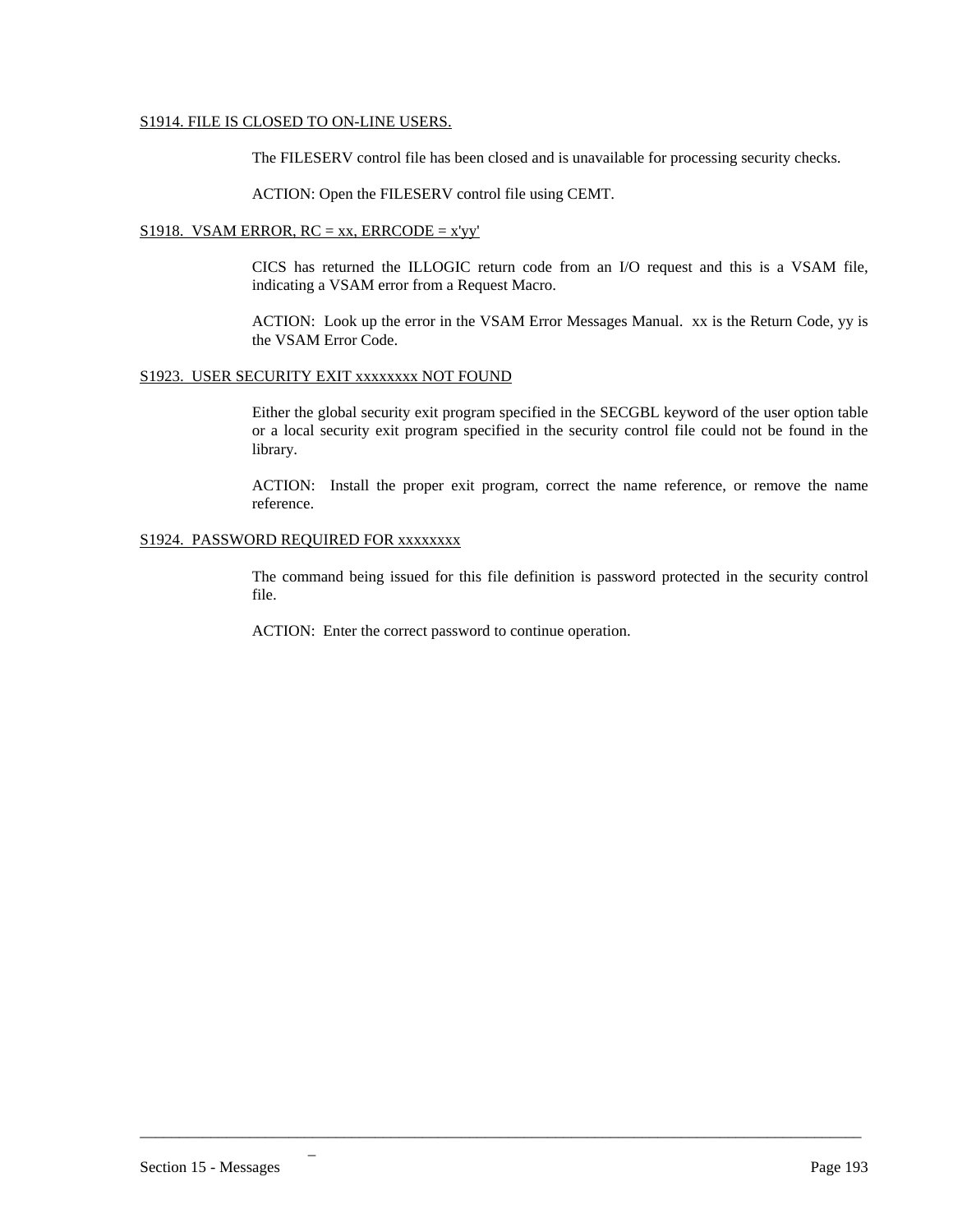## S1914. FILE IS CLOSED TO ON-LINE USERS.

The FILESERV control file has been closed and is unavailable for processing security checks.

ACTION: Open the FILESERV control file using CEMT.

# S1918. VSAM ERROR,  $RC = xx$ , ERRCODE = x'yy'

CICS has returned the ILLOGIC return code from an I/O request and this is a VSAM file, indicating a VSAM error from a Request Macro.

ACTION: Look up the error in the VSAM Error Messages Manual. xx is the Return Code, yy is the VSAM Error Code.

# S1923. USER SECURITY EXIT xxxxxxxx NOT FOUND

Either the global security exit program specified in the SECGBL keyword of the user option table or a local security exit program specified in the security control file could not be found in the library.

ACTION: Install the proper exit program, correct the name reference, or remove the name reference.

# S1924. PASSWORD REQUIRED FOR xxxxxxxx

The command being issued for this file definition is password protected in the security control file.

ACTION: Enter the correct password to continue operation.

\_\_\_\_\_\_\_\_\_\_\_\_\_\_\_\_\_\_\_\_\_\_\_\_\_\_\_\_\_\_\_\_\_\_\_\_\_\_\_\_\_\_\_\_\_\_\_\_\_\_\_\_\_\_\_\_\_\_\_\_\_\_\_\_\_\_\_\_\_\_\_\_\_\_\_\_\_\_\_\_\_\_\_\_\_\_\_\_\_\_\_\_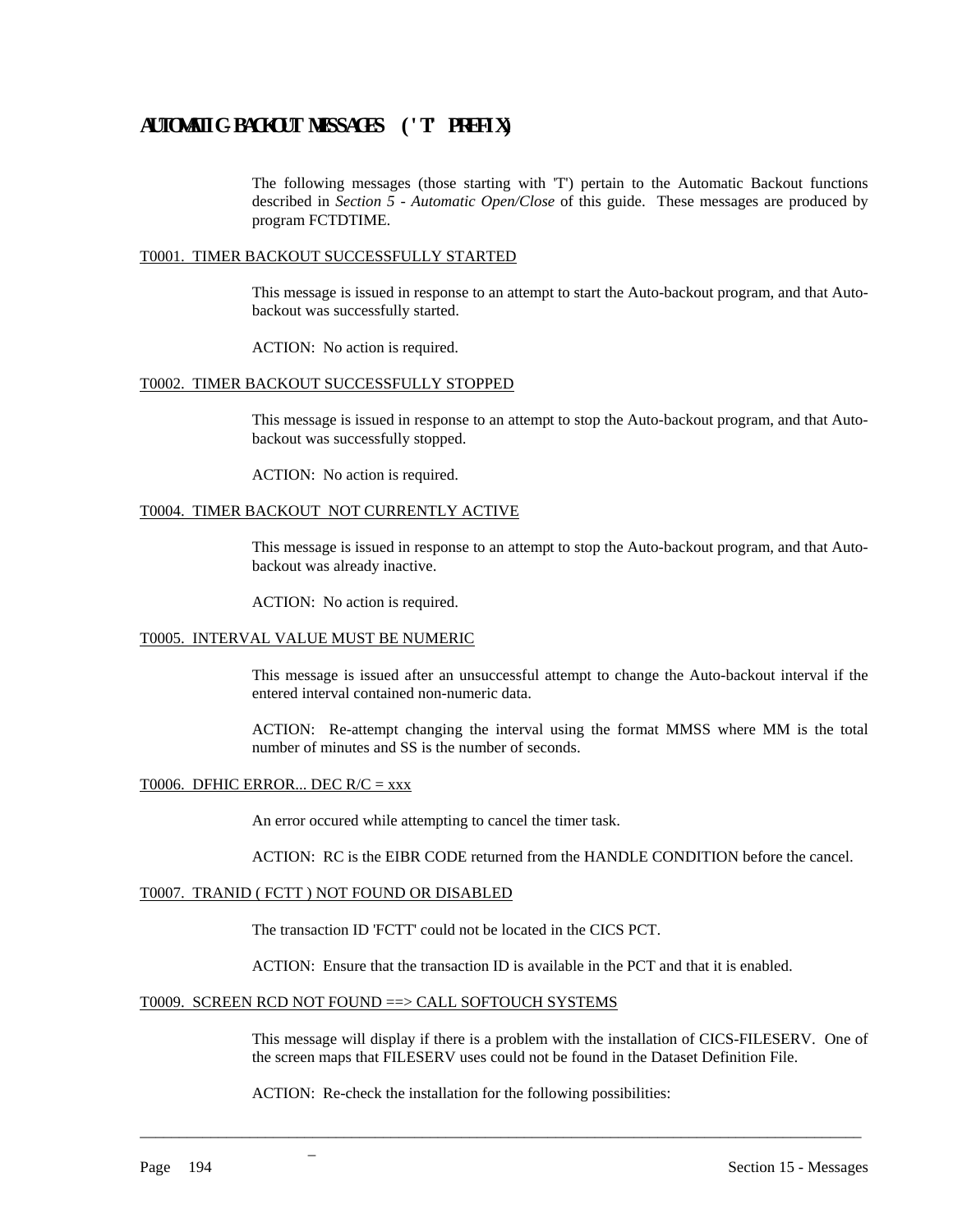# **AUTOMATIC-BACKOUT MESSAGES (' T' PREFIX)**

The following messages (those starting with 'T') pertain to the Automatic Backout functions described in *Section 5 - Automatic Open/Close* of this guide. These messages are produced by program FCTDTIME.

# T0001. TIMER BACKOUT SUCCESSFULLY STARTED

This message is issued in response to an attempt to start the Auto-backout program, and that Autobackout was successfully started.

ACTION: No action is required.

## T0002. TIMER BACKOUT SUCCESSFULLY STOPPED

This message is issued in response to an attempt to stop the Auto-backout program, and that Autobackout was successfully stopped.

ACTION: No action is required.

## T0004. TIMER BACKOUT NOT CURRENTLY ACTIVE

This message is issued in response to an attempt to stop the Auto-backout program, and that Autobackout was already inactive.

ACTION: No action is required.

## T0005. INTERVAL VALUE MUST BE NUMERIC

This message is issued after an unsuccessful attempt to change the Auto-backout interval if the entered interval contained non-numeric data.

ACTION: Re-attempt changing the interval using the format MMSS where MM is the total number of minutes and SS is the number of seconds.

## $T0006.$  DFHIC ERROR... DEC R/C =  $xxxx$

An error occured while attempting to cancel the timer task.

ACTION: RC is the EIBR CODE returned from the HANDLE CONDITION before the cancel.

## T0007. TRANID ( FCTT ) NOT FOUND OR DISABLED

 $\overline{a}$ 

The transaction ID 'FCTT' could not be located in the CICS PCT.

ACTION: Ensure that the transaction ID is available in the PCT and that it is enabled.

# T0009. SCREEN RCD NOT FOUND ==> CALL SOFTOUCH SYSTEMS

This message will display if there is a problem with the installation of CICS-FILESERV. One of the screen maps that FILESERV uses could not be found in the Dataset Definition File.

ACTION: Re-check the installation for the following possibilities: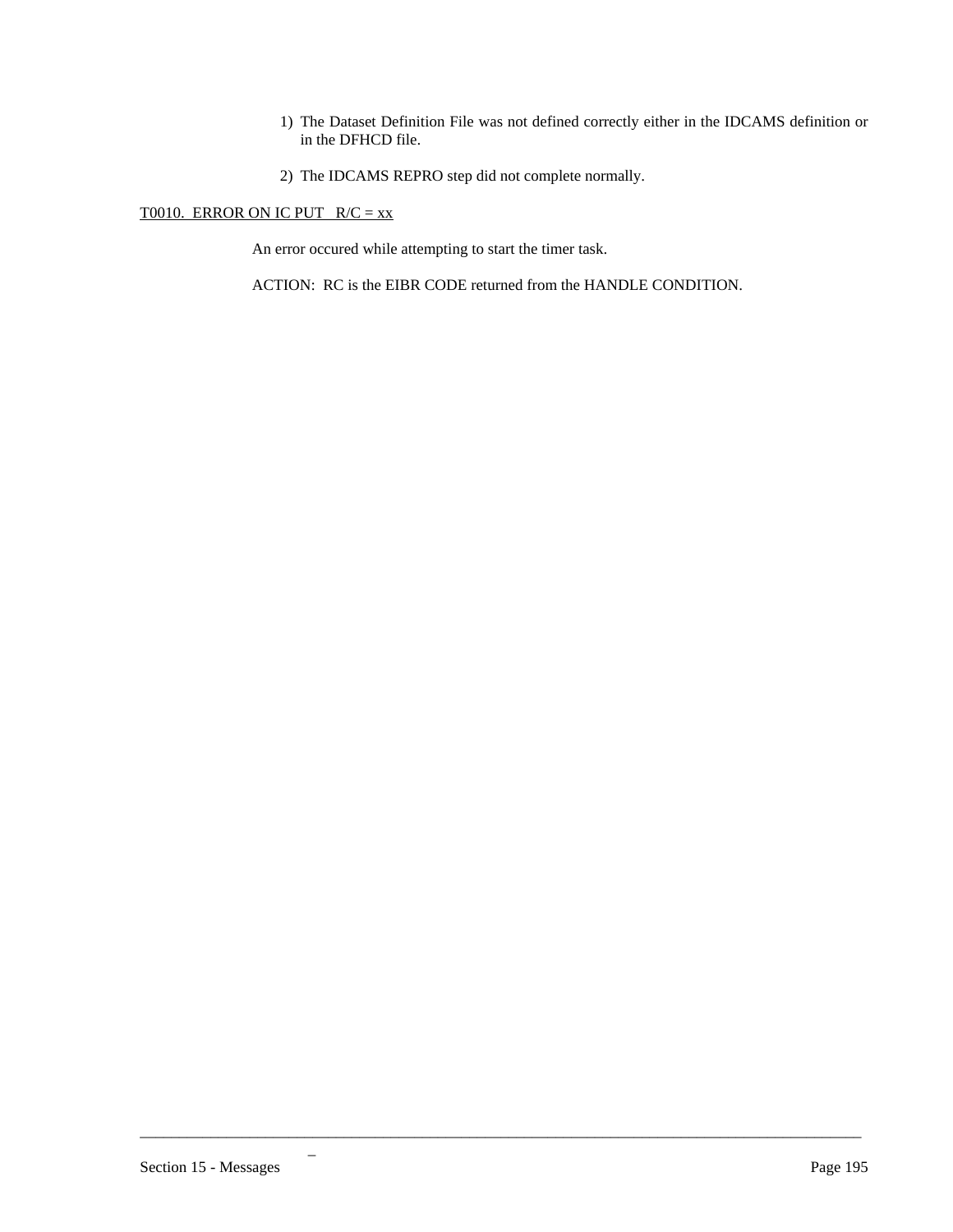- 1) The Dataset Definition File was not defined correctly either in the IDCAMS definition or in the DFHCD file.
- 2) The IDCAMS REPRO step did not complete normally.

# T0010. ERROR ON IC PUT  $R/C = xx$

An error occured while attempting to start the timer task.

ACTION: RC is the EIBR CODE returned from the HANDLE CONDITION.

\_\_\_\_\_\_\_\_\_\_\_\_\_\_\_\_\_\_\_\_\_\_\_\_\_\_\_\_\_\_\_\_\_\_\_\_\_\_\_\_\_\_\_\_\_\_\_\_\_\_\_\_\_\_\_\_\_\_\_\_\_\_\_\_\_\_\_\_\_\_\_\_\_\_\_\_\_\_\_\_\_\_\_\_\_\_\_\_\_\_\_\_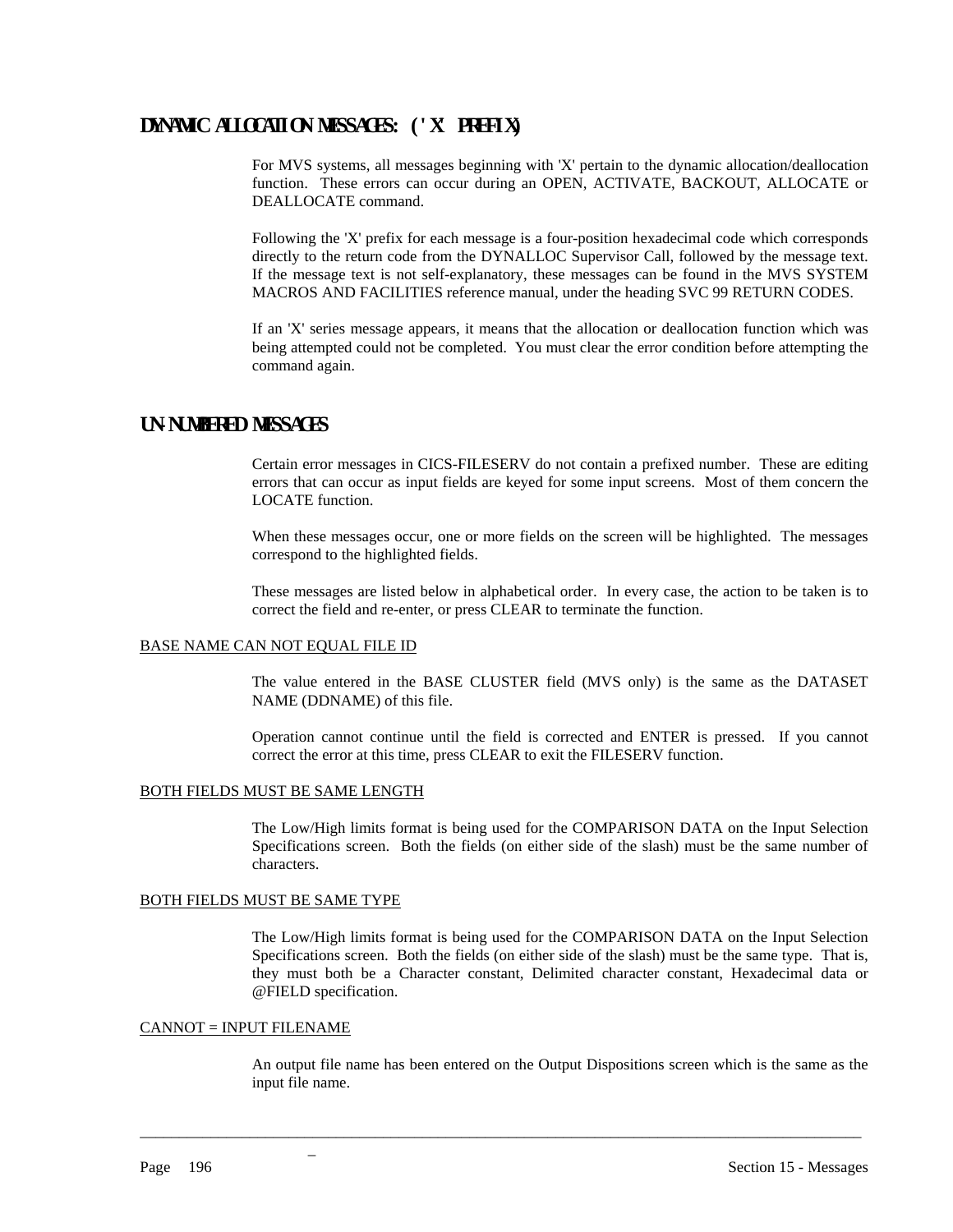# **DYNAMIC ALLOCATION MESSAGES: (' X' PREFIX)**

For MVS systems, all messages beginning with 'X' pertain to the dynamic allocation/deallocation function. These errors can occur during an OPEN, ACTIVATE, BACKOUT, ALLOCATE or DEALLOCATE command.

Following the 'X' prefix for each message is a four-position hexadecimal code which corresponds directly to the return code from the DYNALLOC Supervisor Call, followed by the message text. If the message text is not self-explanatory, these messages can be found in the MVS SYSTEM MACROS AND FACILITIES reference manual, under the heading SVC 99 RETURN CODES.

If an 'X' series message appears, it means that the allocation or deallocation function which was being attempted could not be completed. You must clear the error condition before attempting the command again.

# **UN-NUMBERED MESSAGES**

Certain error messages in CICS-FILESERV do not contain a prefixed number. These are editing errors that can occur as input fields are keyed for some input screens. Most of them concern the LOCATE function.

When these messages occur, one or more fields on the screen will be highlighted. The messages correspond to the highlighted fields.

These messages are listed below in alphabetical order. In every case, the action to be taken is to correct the field and re-enter, or press CLEAR to terminate the function.

## BASE NAME CAN NOT EQUAL FILE ID

The value entered in the BASE CLUSTER field (MVS only) is the same as the DATASET NAME (DDNAME) of this file.

Operation cannot continue until the field is corrected and ENTER is pressed. If you cannot correct the error at this time, press CLEAR to exit the FILESERV function.

# BOTH FIELDS MUST BE SAME LENGTH

The Low/High limits format is being used for the COMPARISON DATA on the Input Selection Specifications screen. Both the fields (on either side of the slash) must be the same number of characters.

# BOTH FIELDS MUST BE SAME TYPE

The Low/High limits format is being used for the COMPARISON DATA on the Input Selection Specifications screen. Both the fields (on either side of the slash) must be the same type. That is, they must both be a Character constant, Delimited character constant, Hexadecimal data or @FIELD specification.

## CANNOT = INPUT FILENAME

 $\overline{a}$ 

An output file name has been entered on the Output Dispositions screen which is the same as the input file name.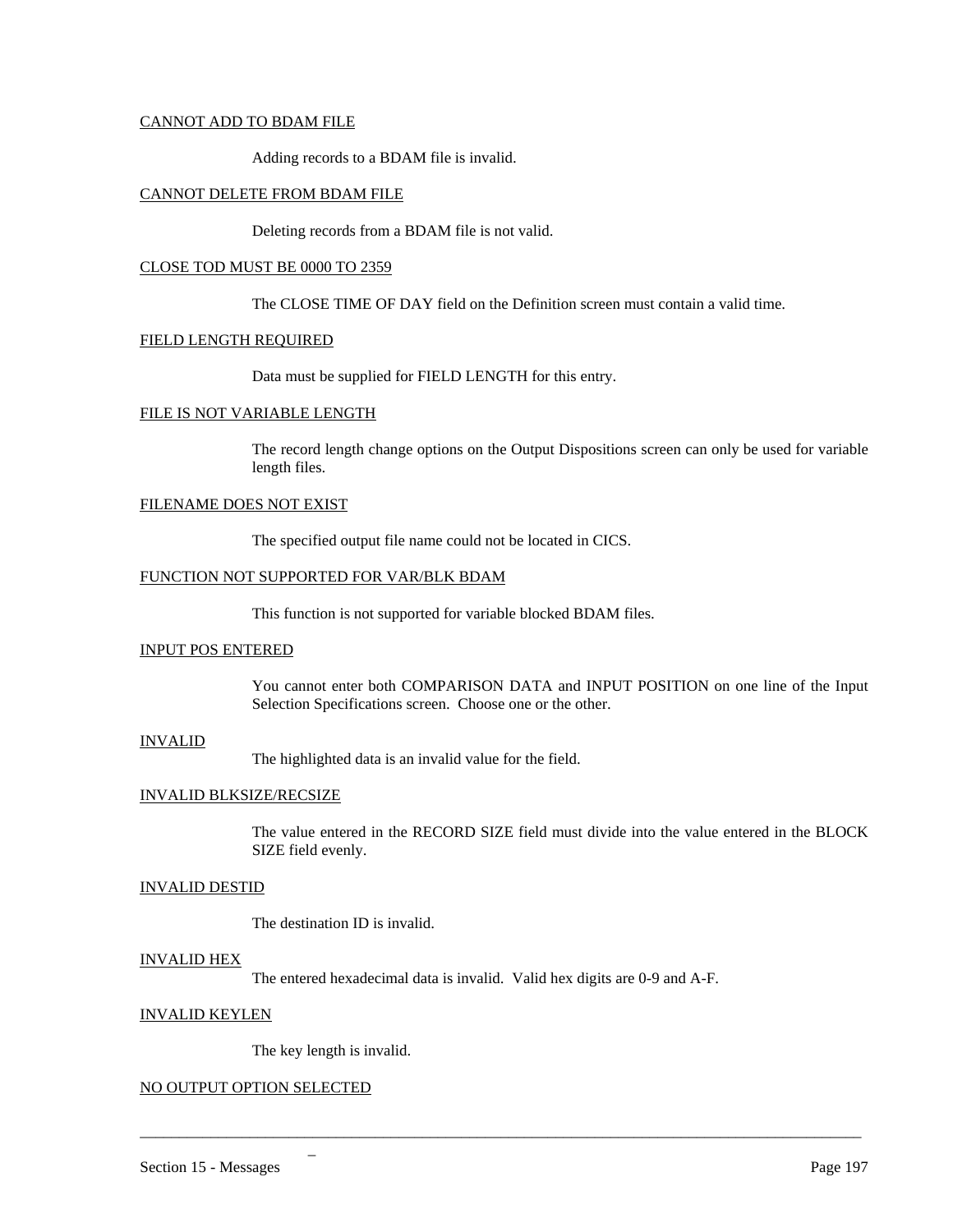# CANNOT ADD TO BDAM FILE

Adding records to a BDAM file is invalid.

# CANNOT DELETE FROM BDAM FILE

Deleting records from a BDAM file is not valid.

## CLOSE TOD MUST BE 0000 TO 2359

The CLOSE TIME OF DAY field on the Definition screen must contain a valid time.

# FIELD LENGTH REQUIRED

Data must be supplied for FIELD LENGTH for this entry.

# FILE IS NOT VARIABLE LENGTH

The record length change options on the Output Dispositions screen can only be used for variable length files.

## FILENAME DOES NOT EXIST

The specified output file name could not be located in CICS.

## FUNCTION NOT SUPPORTED FOR VAR/BLK BDAM

This function is not supported for variable blocked BDAM files.

# INPUT POS ENTERED

You cannot enter both COMPARISON DATA and INPUT POSITION on one line of the Input Selection Specifications screen. Choose one or the other.

## INVALID

The highlighted data is an invalid value for the field.

# INVALID BLKSIZE/RECSIZE

The value entered in the RECORD SIZE field must divide into the value entered in the BLOCK SIZE field evenly.

## INVALID DESTID

The destination ID is invalid.

# INVALID HEX

The entered hexadecimal data is invalid. Valid hex digits are 0-9 and A-F.

\_\_\_\_\_\_\_\_\_\_\_\_\_\_\_\_\_\_\_\_\_\_\_\_\_\_\_\_\_\_\_\_\_\_\_\_\_\_\_\_\_\_\_\_\_\_\_\_\_\_\_\_\_\_\_\_\_\_\_\_\_\_\_\_\_\_\_\_\_\_\_\_\_\_\_\_\_\_\_\_\_\_\_\_\_\_\_\_\_\_\_\_

## INVALID KEYLEN

The key length is invalid.

 $\overline{a}$ 

# NO OUTPUT OPTION SELECTED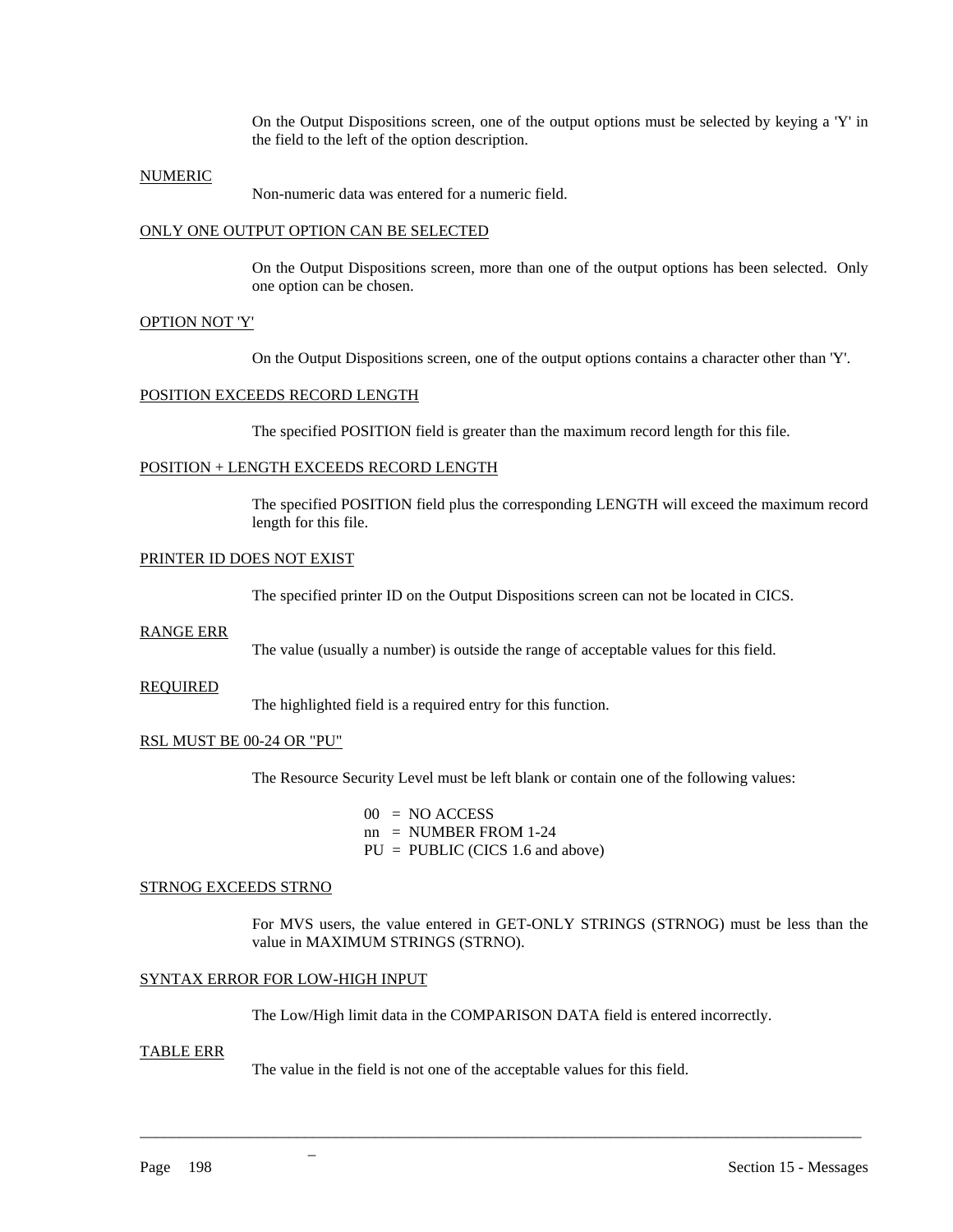On the Output Dispositions screen, one of the output options must be selected by keying a 'Y' in the field to the left of the option description.

## NUMERIC

Non-numeric data was entered for a numeric field.

# ONLY ONE OUTPUT OPTION CAN BE SELECTED

On the Output Dispositions screen, more than one of the output options has been selected. Only one option can be chosen.

# OPTION NOT 'Y'

On the Output Dispositions screen, one of the output options contains a character other than 'Y'.

# POSITION EXCEEDS RECORD LENGTH

The specified POSITION field is greater than the maximum record length for this file.

# POSITION + LENGTH EXCEEDS RECORD LENGTH

The specified POSITION field plus the corresponding LENGTH will exceed the maximum record length for this file.

# PRINTER ID DOES NOT EXIST

The specified printer ID on the Output Dispositions screen can not be located in CICS.

## RANGE ERR

The value (usually a number) is outside the range of acceptable values for this field.

## REQUIRED

The highlighted field is a required entry for this function.

# RSL MUST BE 00-24 OR "PU"

The Resource Security Level must be left blank or contain one of the following values:

 $00 = NO$  ACCESS  $nn = NUMBER FROM 1-24$ PU = PUBLIC (CICS 1.6 and above)

## STRNOG EXCEEDS STRNO

For MVS users, the value entered in GET-ONLY STRINGS (STRNOG) must be less than the value in MAXIMUM STRINGS (STRNO).

# SYNTAX ERROR FOR LOW-HIGH INPUT

 $\overline{a}$ 

The Low/High limit data in the COMPARISON DATA field is entered incorrectly.

\_\_\_\_\_\_\_\_\_\_\_\_\_\_\_\_\_\_\_\_\_\_\_\_\_\_\_\_\_\_\_\_\_\_\_\_\_\_\_\_\_\_\_\_\_\_\_\_\_\_\_\_\_\_\_\_\_\_\_\_\_\_\_\_\_\_\_\_\_\_\_\_\_\_\_\_\_\_\_\_\_\_\_\_\_\_\_\_\_\_\_\_

## TABLE ERR

The value in the field is not one of the acceptable values for this field.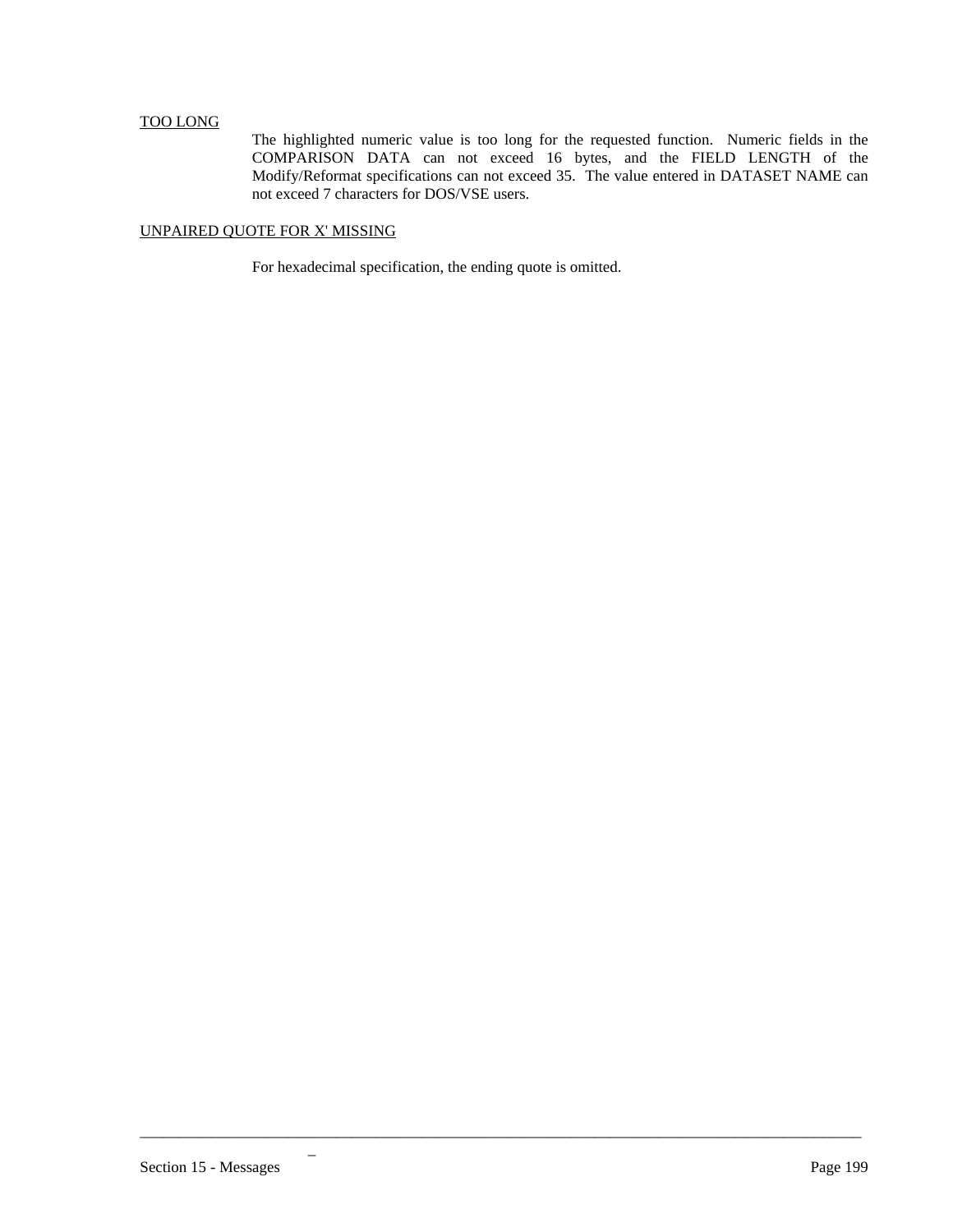# TOO LONG

The highlighted numeric value is too long for the requested function. Numeric fields in the COMPARISON DATA can not exceed 16 bytes, and the FIELD LENGTH of the Modify/Reformat specifications can not exceed 35. The value entered in DATASET NAME can not exceed 7 characters for DOS/VSE users.

# UNPAIRED QUOTE FOR X' MISSING

For hexadecimal specification, the ending quote is omitted.

\_\_\_\_\_\_\_\_\_\_\_\_\_\_\_\_\_\_\_\_\_\_\_\_\_\_\_\_\_\_\_\_\_\_\_\_\_\_\_\_\_\_\_\_\_\_\_\_\_\_\_\_\_\_\_\_\_\_\_\_\_\_\_\_\_\_\_\_\_\_\_\_\_\_\_\_\_\_\_\_\_\_\_\_\_\_\_\_\_\_\_\_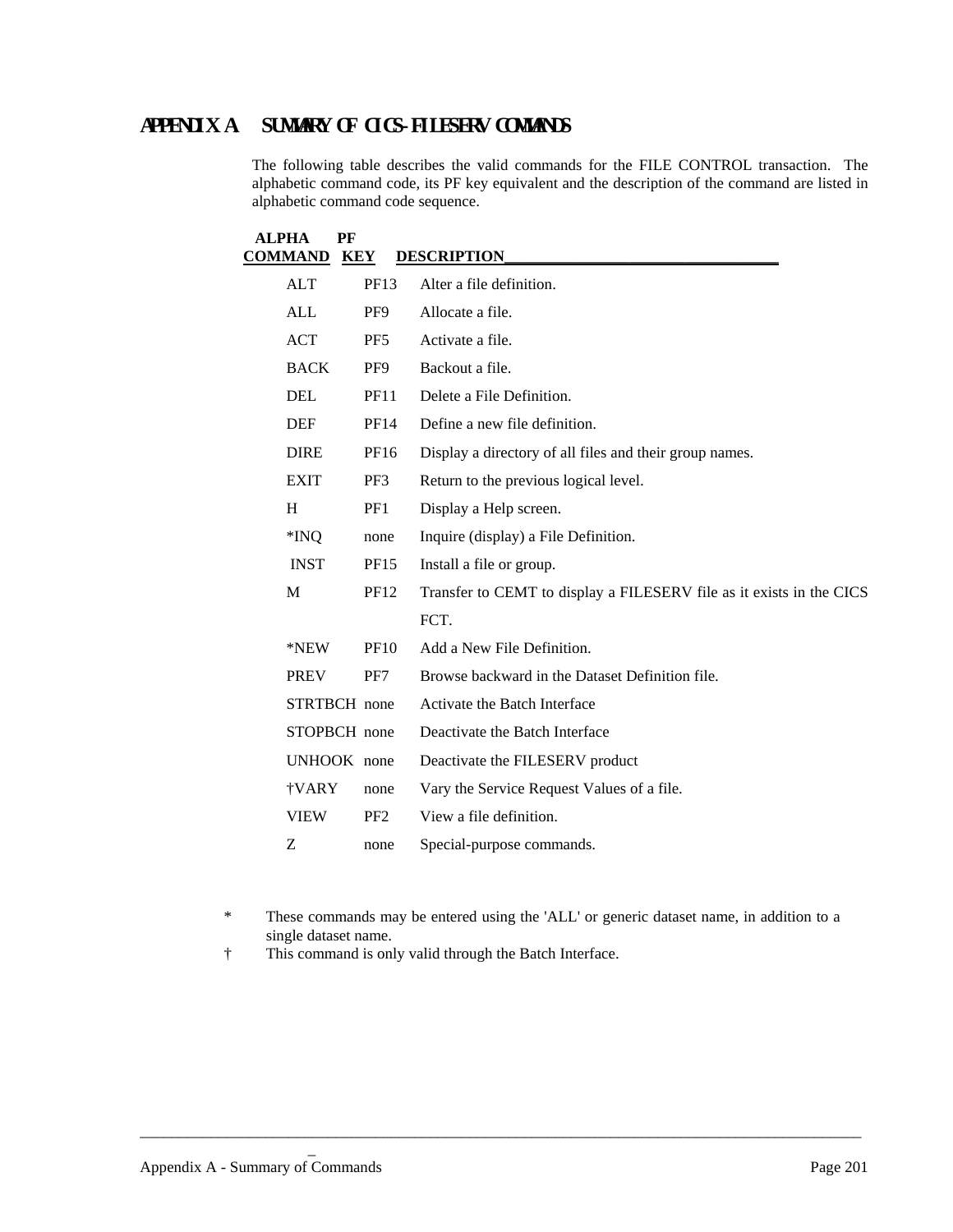# **APPENDIX A. SUMARY OF CICS-FILESERV COMANDS**

The following table describes the valid commands for the FILE CONTROL transaction. The alphabetic command code, its PF key equivalent and the description of the command are listed in alphabetic command code sequence.

| <b>ALPHA</b><br>PF<br><b>COMMAND</b><br><b>KEY</b> |                 | <b>DESCRIPTION</b>                                                   |
|----------------------------------------------------|-----------------|----------------------------------------------------------------------|
| <b>ALT</b>                                         | <b>PF13</b>     | Alter a file definition.                                             |
| ALL                                                | PF9             | Allocate a file.                                                     |
| <b>ACT</b>                                         | PF <sub>5</sub> | Activate a file.                                                     |
| <b>BACK</b>                                        | PF9             | Backout a file.                                                      |
| <b>DEL</b>                                         | <b>PF11</b>     | Delete a File Definition.                                            |
| DEF                                                | <b>PF14</b>     | Define a new file definition.                                        |
| <b>DIRE</b>                                        | PF16            | Display a directory of all files and their group names.              |
| <b>EXIT</b>                                        | PF3             | Return to the previous logical level.                                |
| H                                                  | PF1             | Display a Help screen.                                               |
| *INQ                                               | none            | Inquire (display) a File Definition.                                 |
| <b>INST</b>                                        | <b>PF15</b>     | Install a file or group.                                             |
| M                                                  | <b>PF12</b>     | Transfer to CEMT to display a FILESERV file as it exists in the CICS |
|                                                    |                 | FCT.                                                                 |
| $*$ NEW                                            | <b>PF10</b>     | Add a New File Definition.                                           |
| <b>PREV</b>                                        | PF7             | Browse backward in the Dataset Definition file.                      |
| STRTBCH none                                       |                 | Activate the Batch Interface                                         |
| STOPBCH none                                       |                 | Deactivate the Batch Interface                                       |
| UNHOOK none                                        |                 | Deactivate the FILESERV product                                      |
| †VARY                                              | none            | Vary the Service Request Values of a file.                           |
| <b>VIEW</b>                                        | PF <sub>2</sub> | View a file definition.                                              |
| Ζ                                                  | none            | Special-purpose commands.                                            |

\* These commands may be entered using the 'ALL' or generic dataset name, in addition to a single dataset name.

\_\_\_\_\_\_\_\_\_\_\_\_\_\_\_\_\_\_\_\_\_\_\_\_\_\_\_\_\_\_\_\_\_\_\_\_\_\_\_\_\_\_\_\_\_\_\_\_\_\_\_\_\_\_\_\_\_\_\_\_\_\_\_\_\_\_\_\_\_\_\_\_\_\_\_\_\_\_\_\_\_\_\_\_\_\_\_\_\_\_\_\_

† This command is only valid through the Batch Interface.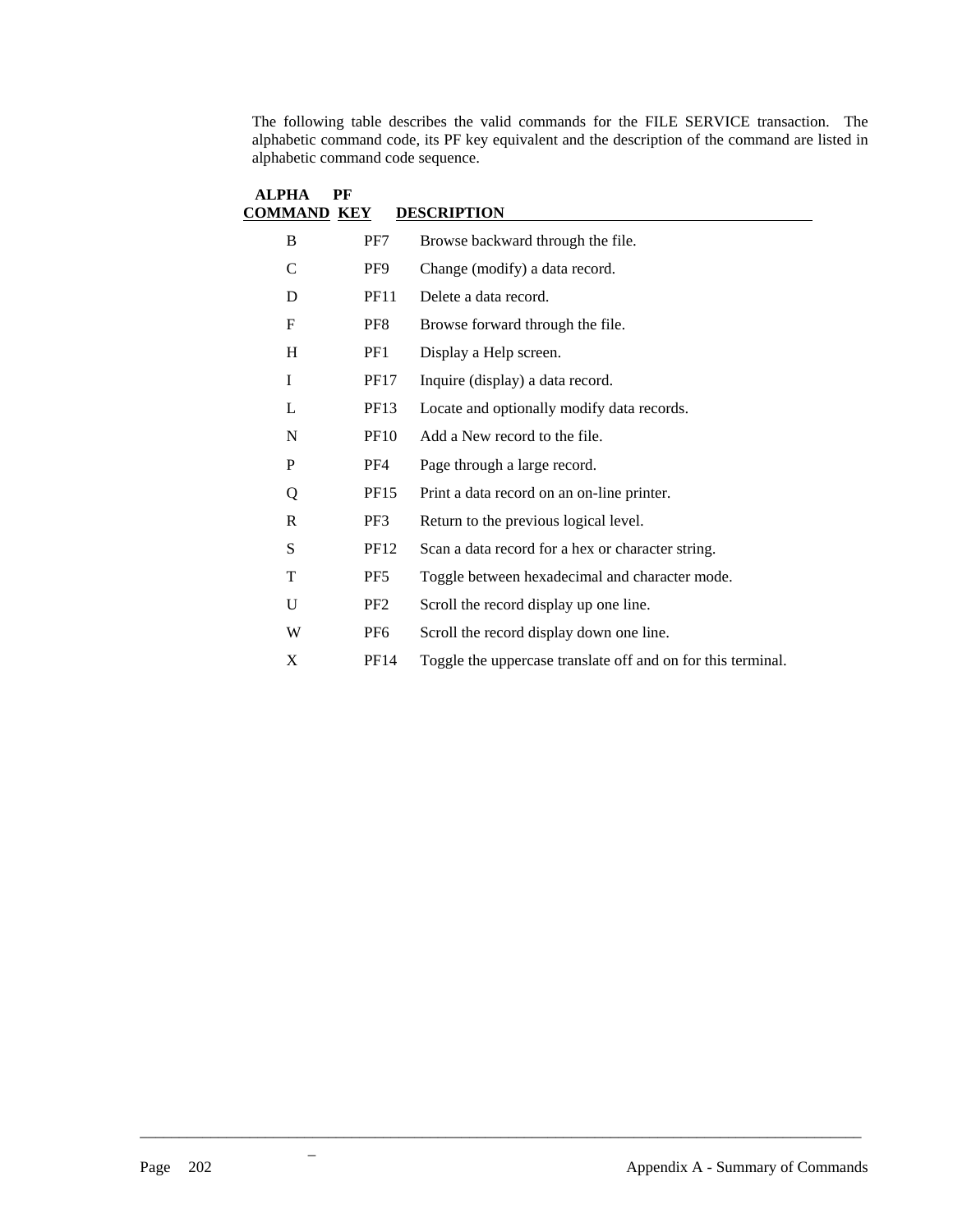The following table describes the valid commands for the FILE SERVICE transaction. The alphabetic command code, its PF key equivalent and the description of the command are listed in alphabetic command code sequence.

| <b>ALPHA</b><br>PF |                 |                                                              |
|--------------------|-----------------|--------------------------------------------------------------|
| <b>COMMAND KEY</b> |                 | <b>DESCRIPTION</b>                                           |
| B                  | PF7             | Browse backward through the file.                            |
| $\mathcal{C}$      | PF9             | Change (modify) a data record.                               |
| D                  | <b>PF11</b>     | Delete a data record.                                        |
| F                  | PF8             | Browse forward through the file.                             |
| H                  | PF1             | Display a Help screen.                                       |
| I                  | <b>PF17</b>     | Inquire (display) a data record.                             |
| L                  | <b>PF13</b>     | Locate and optionally modify data records.                   |
| N                  | <b>PF10</b>     | Add a New record to the file.                                |
| P                  | PF4             | Page through a large record.                                 |
| Q                  | <b>PF15</b>     | Print a data record on an on-line printer.                   |
| R                  | PF3             | Return to the previous logical level.                        |
| S                  | <b>PF12</b>     | Scan a data record for a hex or character string.            |
| T                  | PF <sub>5</sub> | Toggle between hexadecimal and character mode.               |
| $\mathbf{U}$       | PF <sub>2</sub> | Scroll the record display up one line.                       |
| W                  | PF <sub>6</sub> | Scroll the record display down one line.                     |
| X                  | <b>PF14</b>     | Toggle the uppercase translate off and on for this terminal. |

\_\_\_\_\_\_\_\_\_\_\_\_\_\_\_\_\_\_\_\_\_\_\_\_\_\_\_\_\_\_\_\_\_\_\_\_\_\_\_\_\_\_\_\_\_\_\_\_\_\_\_\_\_\_\_\_\_\_\_\_\_\_\_\_\_\_\_\_\_\_\_\_\_\_\_\_\_\_\_\_\_\_\_\_\_\_\_\_\_\_\_\_

 $\equiv$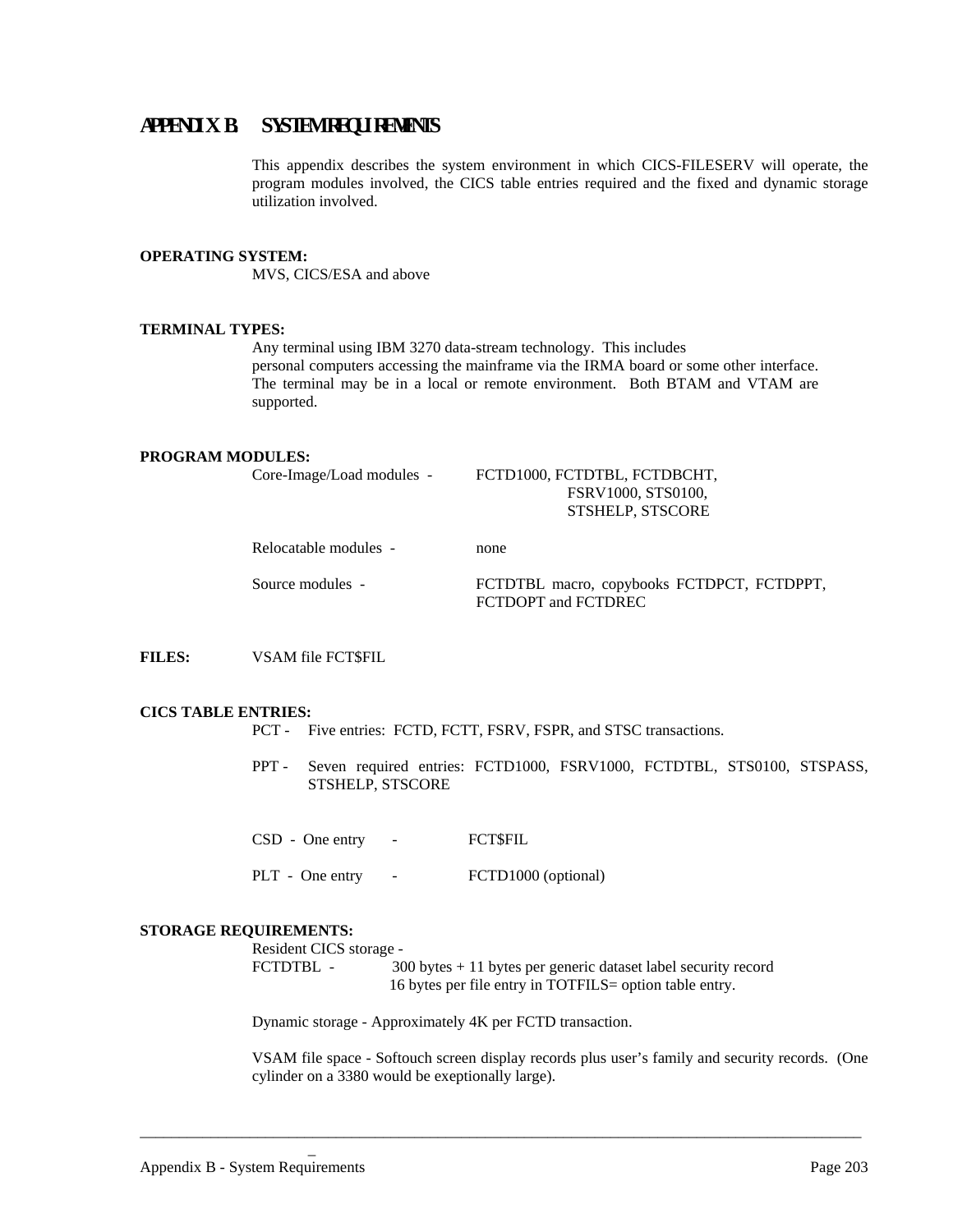# **APPENDIX B. SYSTEM REQUIREMENTS**

This appendix describes the system environment in which CICS-FILESERV will operate, the program modules involved, the CICS table entries required and the fixed and dynamic storage utilization involved.

# **OPERATING SYSTEM:**

MVS, CICS/ESA and above

## **TERMINAL TYPES:**

Any terminal using IBM 3270 data-stream technology. This includes personal computers accessing the mainframe via the IRMA board or some other interface. The terminal may be in a local or remote environment. Both BTAM and VTAM are supported.

#### **PROGRAM MODULES:**

| Core-Image/Load modules - | FCTD1000, FCTDTBL, FCTDBCHT, |
|---------------------------|------------------------------|
|                           | FSRV1000, STS0100,           |
|                           | <b>STSHELP, STSCORE</b>      |
|                           |                              |

Relocatable modules - none

Source modules - FCTDTBL macro, copybooks FCTDPCT, FCTDPPT, FCTDOPT and FCTDREC

**FILES:** VSAM file FCT\$FIL

# **CICS TABLE ENTRIES:**

- PCT Five entries: FCTD, FCTT, FSRV, FSPR, and STSC transactions.
- PPT Seven required entries: FCTD1000, FSRV1000, FCTDTBL, STS0100, STSPASS, STSHELP, STSCORE
- CSD One entry FCT\$FIL
- PLT One entry FCTD1000 (optional)

# **STORAGE REQUIREMENTS:**

Resident CICS storage -

 $\overline{a}$ 

FCTDTBL - 300 bytes + 11 bytes per generic dataset label security record 16 bytes per file entry in TOTFILS= option table entry.

\_\_\_\_\_\_\_\_\_\_\_\_\_\_\_\_\_\_\_\_\_\_\_\_\_\_\_\_\_\_\_\_\_\_\_\_\_\_\_\_\_\_\_\_\_\_\_\_\_\_\_\_\_\_\_\_\_\_\_\_\_\_\_\_\_\_\_\_\_\_\_\_\_\_\_\_\_\_\_\_\_\_\_\_\_\_\_\_\_\_\_\_

Dynamic storage - Approximately 4K per FCTD transaction.

VSAM file space - Softouch screen display records plus user's family and security records. (One cylinder on a 3380 would be exeptionally large).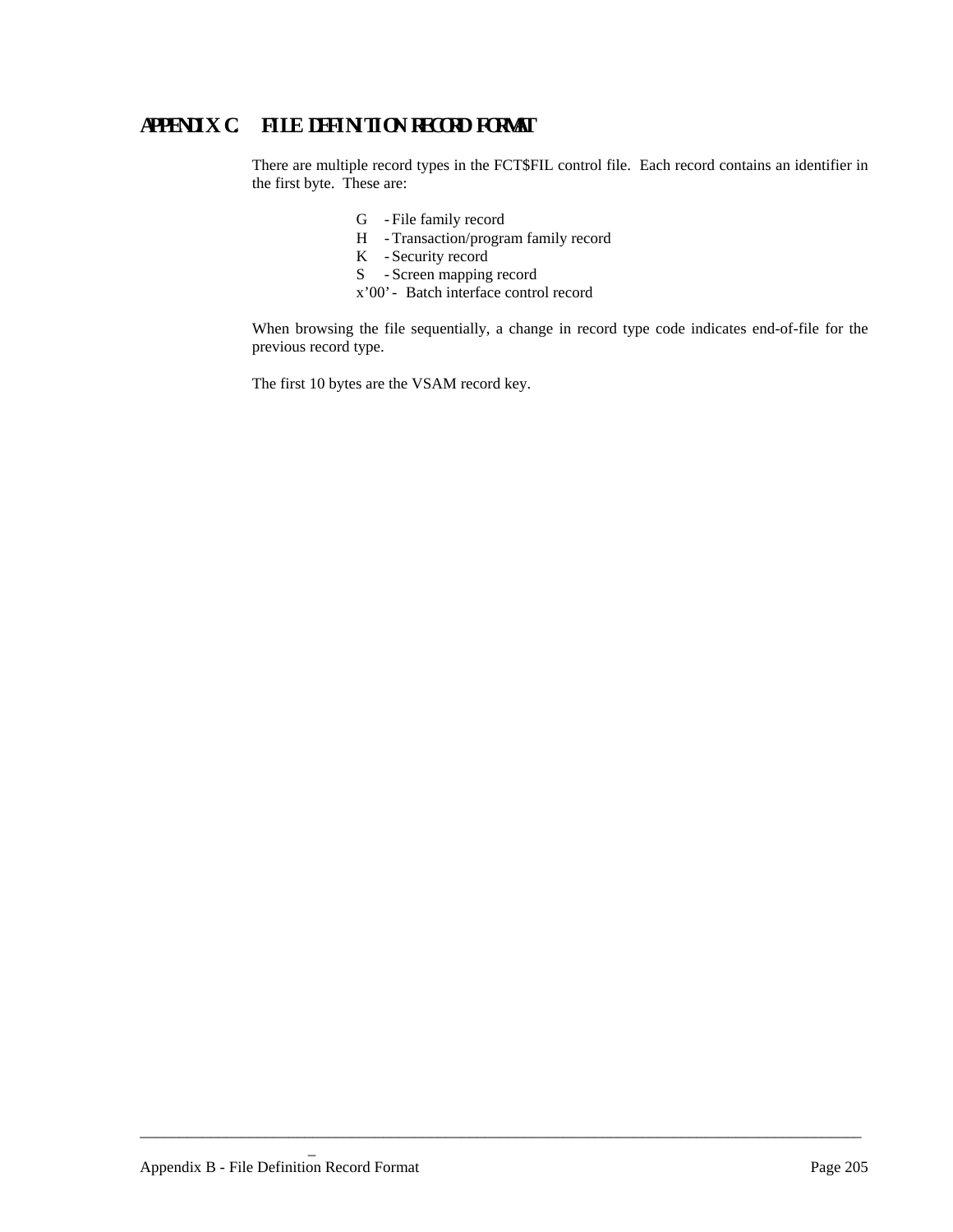#### **APPENDIX C. FILE DEFINITION RECORD FORMAT**

There are multiple record types in the FCT\$FIL control file. Each record contains an identifier in the first byte. These are:

- G File family record
- H Transaction/program family record

\_\_\_\_\_\_\_\_\_\_\_\_\_\_\_\_\_\_\_\_\_\_\_\_\_\_\_\_\_\_\_\_\_\_\_\_\_\_\_\_\_\_\_\_\_\_\_\_\_\_\_\_\_\_\_\_\_\_\_\_\_\_\_\_\_\_\_\_\_\_\_\_\_\_\_\_\_\_\_\_\_\_\_\_\_\_\_\_\_\_\_\_

- K Security record
- S Screen mapping record

x'00' - Batch interface control record

When browsing the file sequentially, a change in record type code indicates end-of-file for the previous record type.

The first 10 bytes are the VSAM record key.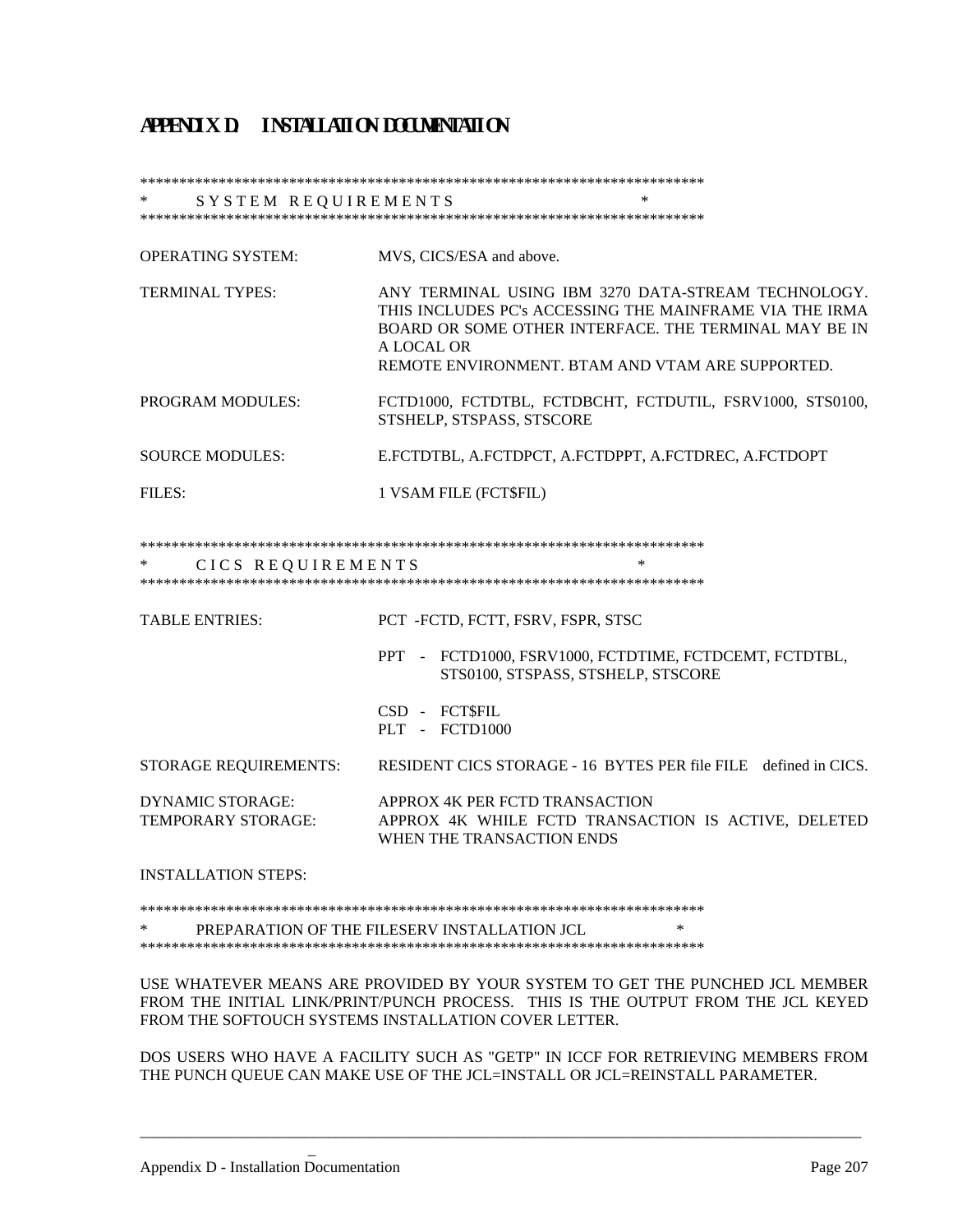#### **APPENDIX D. INSTALLATION DOCUMENTATION**

\*\*\*\*\*\*\*\*\*\*\*\*\*\*\*\*\*\*\*\*\*\*\*\*\*\*\*\*\*\*\*\*\*\*\*\*\*\*\*\*\*\*\*\*\*\*\*\*\*\*\*\*\*\*\*\*\*\*\*\*\*\*\*\*\*\*\*\*\*\*\*\* \* SYSTEM REOUIREMENTS \* \*\*\*\*\*\*\*\*\*\*\*\*\*\*\*\*\*\*\*\*\*\*\*\*\*\*\*\*\*\*\*\*\*\*\*\*\*\*\*\*\*\*\*\*\*\*\*\*\*\*\*\*\*\*\*\*\*\*\*\*\*\*\*\*\*\*\*\*\*\*\*\*

OPERATING SYSTEM: MVS, CICS/ESA and above.

TERMINAL TYPES: ANY TERMINAL USING IBM 3270 DATA-STREAM TECHNOLOGY. THIS INCLUDES PC's ACCESSING THE MAINFRAME VIA THE IRMA BOARD OR SOME OTHER INTERFACE. THE TERMINAL MAY BE IN A LOCAL OR REMOTE ENVIRONMENT. BTAM AND VTAM ARE SUPPORTED.

- PROGRAM MODULES: FCTD1000, FCTDTBL, FCTDBCHT, FCTDUTIL, FSRV1000, STS0100, STSHELP, STSPASS, STSCORE
- SOURCE MODULES: E.FCTDTBL, A.FCTDPCT, A.FCTDPPT, A.FCTDREC, A.FCTDOPT

FILES: 1 VSAM FILE (FCT\$FIL)

\*\*\*\*\*\*\*\*\*\*\*\*\*\*\*\*\*\*\*\*\*\*\*\*\*\*\*\*\*\*\*\*\*\*\*\*\*\*\*\*\*\*\*\*\*\*\*\*\*\*\*\*\*\*\*\*\*\*\*\*\*\*\*\*\*\*\*\*\*\*\*\* CICS REQUIREMENTS

\*\*\*\*\*\*\*\*\*\*\*\*\*\*\*\*\*\*\*\*\*\*\*\*\*\*\*\*\*\*\*\*\*\*\*\*\*\*\*\*\*\*\*\*\*\*\*\*\*\*\*\*\*\*\*\*\*\*\*\*\*\*\*\*\*\*\*\*\*\*\*\*

- TABLE ENTRIES: PCT FCTD, FCTT, FSRV, FSPR, STSC
	- PPT FCTD1000, FSRV1000, FCTDTIME, FCTDCEMT, FCTDTBL, STS0100, STSPASS, STSHELP, STSCORE
	- CSD FCT\$FIL
	- PLT FCTD1000

STORAGE REQUIREMENTS: RESIDENT CICS STORAGE - 16 BYTES PER file FILE defined in CICS.

DYNAMIC STORAGE: APPROX 4K PER FCTD TRANSACTION TEMPORARY STORAGE: APPROX 4K WHILE FCTD TRANSACTION IS ACTIVE, DELETED WHEN THE TRANSACTION ENDS

INSTALLATION STEPS:

\*\*\*\*\*\*\*\*\*\*\*\*\*\*\*\*\*\*\*\*\*\*\*\*\*\*\*\*\*\*\*\*\*\*\*\*\*\*\*\*\*\*\*\*\*\*\*\*\*\*\*\*\*\*\*\*\*\*\*\*\*\*\*\*\*\*\*\*\*\*\*\* \* PREPARATION OF THE FILESERV INSTALLATION JCL \* \*\*\*\*\*\*\*\*\*\*\*\*\*\*\*\*\*\*\*\*\*\*\*\*\*\*\*\*\*\*\*\*\*\*\*\*\*\*\*\*\*\*\*\*\*\*\*\*\*\*\*\*\*\*\*\*\*\*\*\*\*\*\*\*\*\*\*\*\*\*\*\*

USE WHATEVER MEANS ARE PROVIDED BY YOUR SYSTEM TO GET THE PUNCHED JCL MEMBER FROM THE INITIAL LINK/PRINT/PUNCH PROCESS. THIS IS THE OUTPUT FROM THE JCL KEYED FROM THE SOFTOUCH SYSTEMS INSTALLATION COVER LETTER.

DOS USERS WHO HAVE A FACILITY SUCH AS "GETP" IN ICCF FOR RETRIEVING MEMBERS FROM THE PUNCH QUEUE CAN MAKE USE OF THE JCL=INSTALL OR JCL=REINSTALL PARAMETER.

\_\_\_\_\_\_\_\_\_\_\_\_\_\_\_\_\_\_\_\_\_\_\_\_\_\_\_\_\_\_\_\_\_\_\_\_\_\_\_\_\_\_\_\_\_\_\_\_\_\_\_\_\_\_\_\_\_\_\_\_\_\_\_\_\_\_\_\_\_\_\_\_\_\_\_\_\_\_\_\_\_\_\_\_\_\_\_\_\_\_\_\_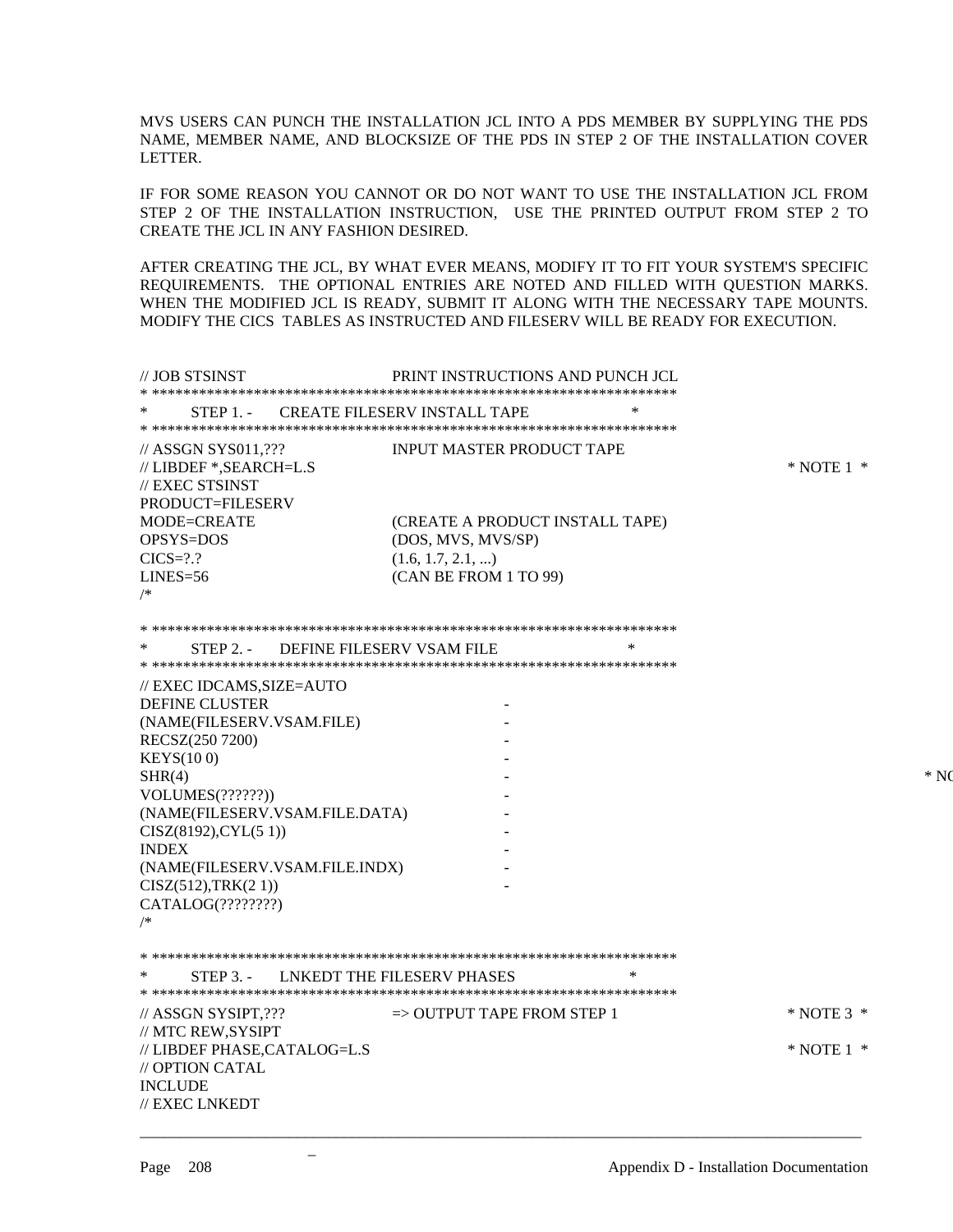MVS USERS CAN PUNCH THE INSTALLATION JCL INTO A PDS MEMBER BY SUPPLYING THE PDS NAME, MEMBER NAME, AND BLOCKSIZE OF THE PDS IN STEP 2 OF THE INSTALLATION COVER LETTER.

IF FOR SOME REASON YOU CANNOT OR DO NOT WANT TO USE THE INSTALLATION JCL FROM STEP 2 OF THE INSTALLATION INSTRUCTION, USE THE PRINTED OUTPUT FROM STEP 2 TO CREATE THE JCL IN ANY FASHION DESIRED.

AFTER CREATING THE JCL, BY WHAT EVER MEANS, MODIFY IT TO FIT YOUR SYSTEM'S SPECIFIC REQUIREMENTS. THE OPTIONAL ENTRIES ARE NOTED AND FILLED WITH QUESTION MARKS. WHEN THE MODIFIED JCL IS READY, SUBMIT IT ALONG WITH THE NECESSARY TAPE MOUNTS. MODIFY THE CICS TABLES AS INSTRUCTED AND FILESERV WILL BE READY FOR EXECUTION.

| // JOB STSINST                                                                                                                                                                                                                                                                                                     | PRINT INSTRUCTIONS AND PUNCH JCL                                                                    |                |
|--------------------------------------------------------------------------------------------------------------------------------------------------------------------------------------------------------------------------------------------------------------------------------------------------------------------|-----------------------------------------------------------------------------------------------------|----------------|
| ∗<br>$STEP$ 1.                                                                                                                                                                                                                                                                                                     | *<br><b>CREATE FILESERV INSTALL TAPE</b>                                                            |                |
| // ASSGN SYS011,???<br>// LIBDEF *, SEARCH=L.S<br>// EXEC STSINST<br>PRODUCT=FILESERV                                                                                                                                                                                                                              | <b>INPUT MASTER PRODUCT TAPE</b>                                                                    | $*$ NOTE 1 $*$ |
| MODE=CREATE<br>OPSYS=DOS<br>$CICS = ?$ .?<br>$LINES = 56$<br>/*                                                                                                                                                                                                                                                    | (CREATE A PRODUCT INSTALL TAPE)<br>(DOS, MVS, MVS/SP)<br>(1.6, 1.7, 2.1, )<br>(CAN BE FROM 1 TO 99) |                |
|                                                                                                                                                                                                                                                                                                                    |                                                                                                     |                |
| ∗<br>$STEP$ 2. $-$                                                                                                                                                                                                                                                                                                 | DEFINE FILESERV VSAM FILE                                                                           |                |
| // EXEC IDCAMS, SIZE=AUTO<br><b>DEFINE CLUSTER</b><br>(NAME(FILESERV.VSAM.FILE)<br>RECSZ(250 7200)<br><b>KEYS(100)</b><br>SHR(4)<br>VOLUMES(??????))<br>(NAME(FILESERV.VSAM.FILE.DATA)<br>CISZ(8192), CYL(51))<br><b>INDEX</b><br>(NAME(FILESERV.VSAM.FILE.INDX)<br>CISZ(512), TRK(21))<br>CATALOG(????????)<br>/* |                                                                                                     | $*$ N          |
|                                                                                                                                                                                                                                                                                                                    |                                                                                                     |                |
| $STEP$ 3. $-$                                                                                                                                                                                                                                                                                                      | LNKEDT THE FILESERV PHASES                                                                          |                |
| // ASSGN SYSIPT, ???<br>// MTC REW, SYSIPT                                                                                                                                                                                                                                                                         | $\Rightarrow$ OUTPUT TAPE FROM STEP 1                                                               | $*$ NOTE 3 $*$ |
| // LIBDEF PHASE, CATALOG=L.S<br>// OPTION CATAL<br><b>INCLUDE</b><br>// EXEC LNKEDT                                                                                                                                                                                                                                |                                                                                                     | $*$ NOTE 1 $*$ |

\_\_\_\_\_\_\_\_\_\_\_\_\_\_\_\_\_\_\_\_\_\_\_\_\_\_\_\_\_\_\_\_\_\_\_\_\_\_\_\_\_\_\_\_\_\_\_\_\_\_\_\_\_\_\_\_\_\_\_\_\_\_\_\_\_\_\_\_\_\_\_\_\_\_\_\_\_\_\_\_\_\_\_\_\_\_\_\_\_\_\_\_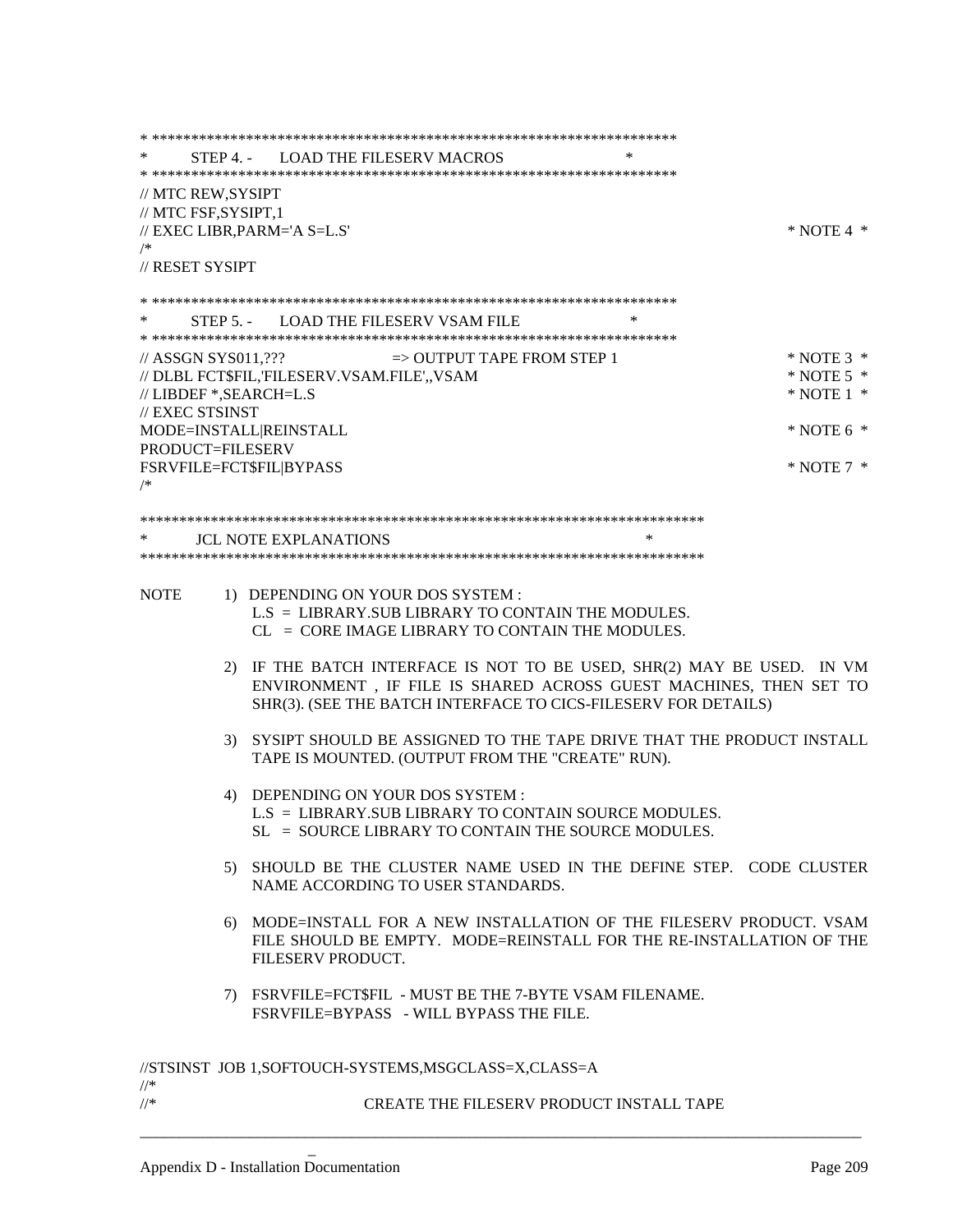|                         | STEP 4. - LOAD THE FILESERV MACROS<br>$\ast$                                                                                                                                                                  |                                  |
|-------------------------|---------------------------------------------------------------------------------------------------------------------------------------------------------------------------------------------------------------|----------------------------------|
| // MTC REW, SYSIPT      |                                                                                                                                                                                                               |                                  |
| // MTC FSF, SYSIPT, 1   | // EXEC LIBR, PARM='A S=L.S'                                                                                                                                                                                  | $*$ NOTE 4 $*$                   |
| /*<br>// RESET SYSIPT   |                                                                                                                                                                                                               |                                  |
|                         |                                                                                                                                                                                                               |                                  |
| ∗<br>$STEP$ 5 $-$       | ∗<br>LOAD THE FILESERV VSAM FILE                                                                                                                                                                              |                                  |
|                         | $\Rightarrow$ OUTPUT TAPE FROM STEP 1                                                                                                                                                                         |                                  |
| // ASSGN SYS011,???     | // DLBL FCT\$FIL, 'FILESERV.VSAM.FILE',, VSAM                                                                                                                                                                 | $*$ NOTE 3 $*$<br>$*$ NOTE 5 $*$ |
| // LIBDEF *, SEARCH=L.S |                                                                                                                                                                                                               | $*$ NOTE 1 $*$                   |
| // EXEC STSINST         |                                                                                                                                                                                                               |                                  |
| PRODUCT=FILESERV        | MODE=INSTALL REINSTALL                                                                                                                                                                                        | * NOTE 6 *                       |
| /*                      | FSRVFILE=FCT\$FIL BYPASS                                                                                                                                                                                      | $*$ NOTE 7 $*$                   |
|                         |                                                                                                                                                                                                               |                                  |
|                         | ∗<br>JCL NOTE EXPLANATIONS                                                                                                                                                                                    |                                  |
| <b>NOTE</b>             | 1) DEPENDING ON YOUR DOS SYSTEM :<br>$L.S = LIBRARY.SUB LIBRARY TO CONTAIN THE MODULES.$<br>$CL = CORE$ IMAGE LIBRARY TO CONTAIN THE MODULES.                                                                 |                                  |
|                         | 2) IF THE BATCH INTERFACE IS NOT TO BE USED, SHR(2) MAY BE USED. IN VM<br>ENVIRONMENT, IF FILE IS SHARED ACROSS GUEST MACHINES, THEN SET TO<br>SHR(3). (SEE THE BATCH INTERFACE TO CICS-FILESERV FOR DETAILS) |                                  |
| 3)                      | SYSIPT SHOULD BE ASSIGNED TO THE TAPE DRIVE THAT THE PRODUCT INSTALL<br>TAPE IS MOUNTED. (OUTPUT FROM THE "CREATE" RUN).                                                                                      |                                  |
| 4)                      | DEPENDING ON YOUR DOS SYSTEM :<br>$L.S = LIBRARY.SUB LIBRARY TO CONTAIN SOLRCE MODULES.$<br>$SL = SOLRCE LIBRARY TO CONTAIN THE SOLRCE MODULES.$                                                              |                                  |
|                         | 5) SHOULD BE THE CLUSTER NAME USED IN THE DEFINE STEP. CODE CLUSTER<br>NAME ACCORDING TO USER STANDARDS.                                                                                                      |                                  |
|                         | 6) MODE=INSTALL FOR A NEW INSTALLATION OF THE FILESERV PRODUCT. VSAM<br>FILE SHOULD BE EMPTY. MODE=REINSTALL FOR THE RE-INSTALLATION OF THE<br>FILESERV PRODUCT.                                              |                                  |
|                         | 7) FSRVFILE=FCT\$FIL - MUST BE THE 7-BYTE VSAM FILENAME.<br>FSRVFILE=BYPASS - WILL BYPASS THE FILE.                                                                                                           |                                  |
| $\frac{1}{*}$           | //STSINST_JOB_1,SOFTOUCH-SYSTEMS,MSGCLASS=X,CLASS=A                                                                                                                                                           |                                  |

 $^{11}$ 

CREATE THE FILESERV PRODUCT INSTALL TAPE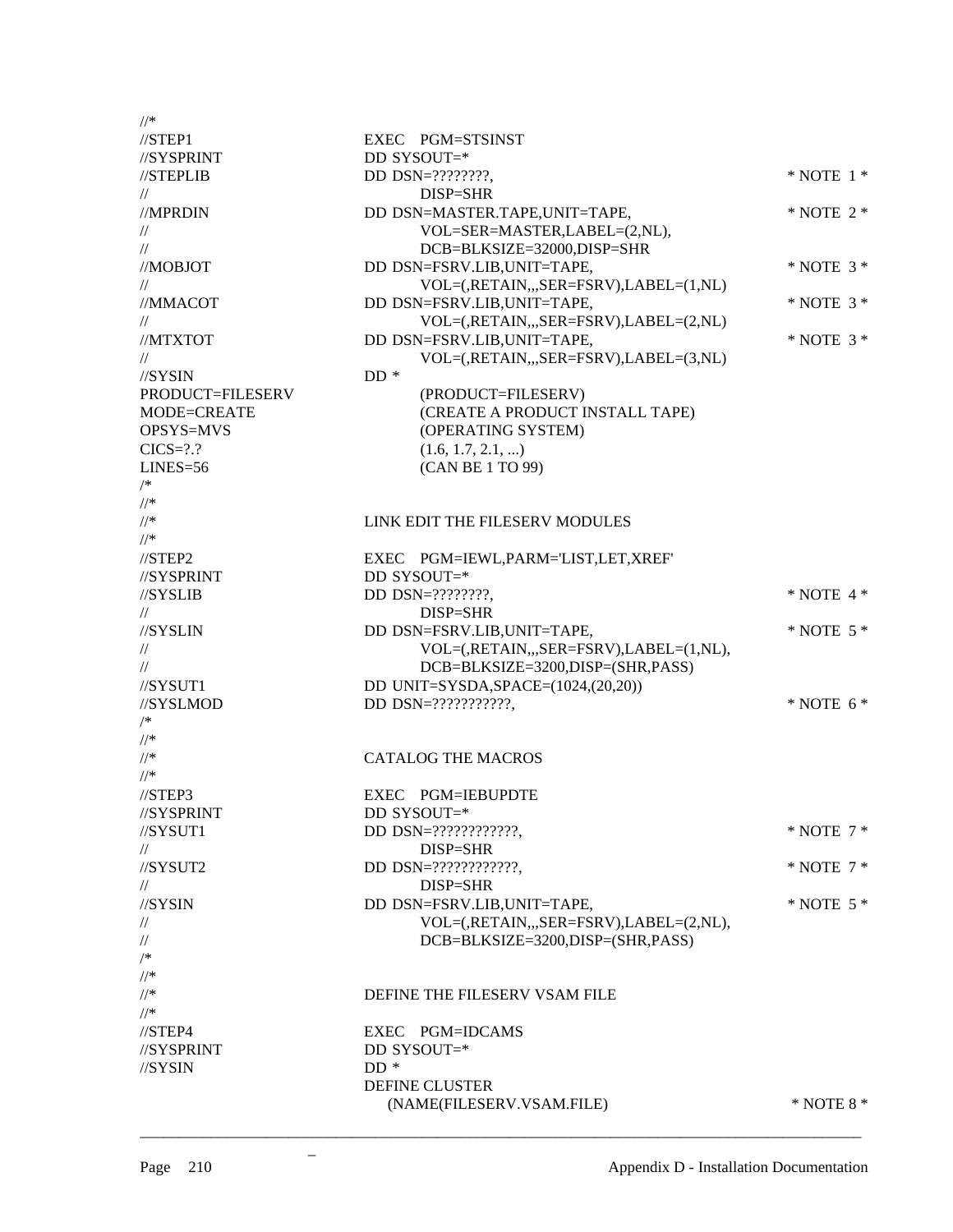| $\frac{1}{\ast}$          |                                        |                |
|---------------------------|----------------------------------------|----------------|
| $//$ STEP1                | EXEC PGM=STSINST                       |                |
| //SYSPRINT                | DD SYSOUT=*                            |                |
| //STEPLIB                 | DD DSN=????????,                       | $*$ NOTE 1 $*$ |
| $\frac{1}{2}$             | DISP=SHR                               |                |
| //MPRDIN                  | DD DSN=MASTER.TAPE, UNIT=TAPE,         | $*$ NOTE 2 $*$ |
| //                        | VOL=SER=MASTER,LABEL=(2,NL),           |                |
| $\frac{1}{2}$             | DCB=BLKSIZE=32000,DISP=SHR             |                |
| //MOBJOT                  | DD DSN=FSRV.LIB, UNIT=TAPE,            | $*$ NOTE 3 $*$ |
| $^{\prime\prime}$         | VOL=(,RETAIN,,,SER=FSRV),LABEL=(1,NL)  |                |
| //MMACOT                  | DD DSN=FSRV.LIB, UNIT=TAPE,            | $*$ NOTE $3*$  |
| $\frac{1}{2}$             | VOL=(,RETAIN,,,SER=FSRV),LABEL=(2,NL)  |                |
| //MTXTOT                  | DD DSN=FSRV.LIB, UNIT=TAPE,            | $*$ NOTE $3*$  |
| $\frac{1}{2}$             | VOL=(,RETAIN,,,SER=FSRV),LABEL=(3,NL)  |                |
| //SYSIN                   | $DD*$                                  |                |
| PRODUCT=FILESERV          | (PRODUCT=FILESERV)                     |                |
| MODE=CREATE               | (CREATE A PRODUCT INSTALL TAPE)        |                |
| OPSYS=MVS                 | (OPERATING SYSTEM)                     |                |
| $CICS = ?$ .?             | (1.6, 1.7, 2.1, )                      |                |
| $LINES = 56$              | (CAN BE 1 TO 99)                       |                |
| /*                        |                                        |                |
| $\frac{1}{\ast}$          |                                        |                |
| $/\!/\ast$                | LINK EDIT THE FILESERV MODULES         |                |
| $/\!/\ast$                |                                        |                |
| //STEP2                   | EXEC PGM=IEWL, PARM='LIST, LET, XREF'  |                |
| //SYSPRINT                | DD SYSOUT=*                            |                |
| $//$ SYSLIB               | DD DSN=????????,                       | $*$ NOTE 4 $*$ |
| //                        | DISP=SHR                               |                |
| //SYSLIN                  | DD DSN=FSRV.LIB, UNIT=TAPE,            | $*$ NOTE 5 $*$ |
| //                        | VOL=(,RETAIN,,,SER=FSRV),LABEL=(1,NL), |                |
| $\frac{1}{2}$             | DCB=BLKSIZE=3200,DISP=(SHR,PASS)       |                |
| //SYSUT1                  | DD UNIT=SYSDA, SPACE=(1024, (20, 20))  |                |
| //SYSLMOD                 | DD DSN=???????????,                    | $*$ NOTE 6 $*$ |
| /*                        |                                        |                |
| $\frac{1}{\ast}$          |                                        |                |
| $/\!/\ast$                | <b>CATALOG THE MACROS</b>              |                |
| $/\!/\ast$                |                                        |                |
| $//$ STEP3                | EXEC PGM=IEBUPDTE                      |                |
| //SYSPRINT                | DD SYSOUT=*                            |                |
| //SYSUT1                  | DD DSN=????????????,                   | $*$ NOTE 7 $*$ |
| $^{\prime\prime}$         | DISP=SHR                               |                |
| $\frac{\sqrt{S}YSUT2}{S}$ | DD DSN=????????????,                   | $*$ NOTE 7 $*$ |
| //                        | DISP=SHR                               |                |
| //SYSIN                   | DD DSN=FSRV.LIB, UNIT=TAPE,            | $*$ NOTE 5 $*$ |
| //                        | VOL=(,RETAIN,,,SER=FSRV),LABEL=(2,NL), |                |
| //                        | DCB=BLKSIZE=3200,DISP=(SHR,PASS)       |                |
| /*                        |                                        |                |
| $/\!/\ast$                |                                        |                |
| $/\!/\ast$                | DEFINE THE FILESERV VSAM FILE          |                |
| $/\!/\ast$                |                                        |                |
| //STEP4                   | EXEC PGM=IDCAMS                        |                |
| //SYSPRINT                | DD SYSOUT=*                            |                |
| //SYSIN                   | $DD*$                                  |                |
|                           | <b>DEFINE CLUSTER</b>                  |                |
|                           | (NAME(FILESERV.VSAM.FILE)              | $*$ NOTE 8 $*$ |
|                           |                                        |                |

 $\equiv$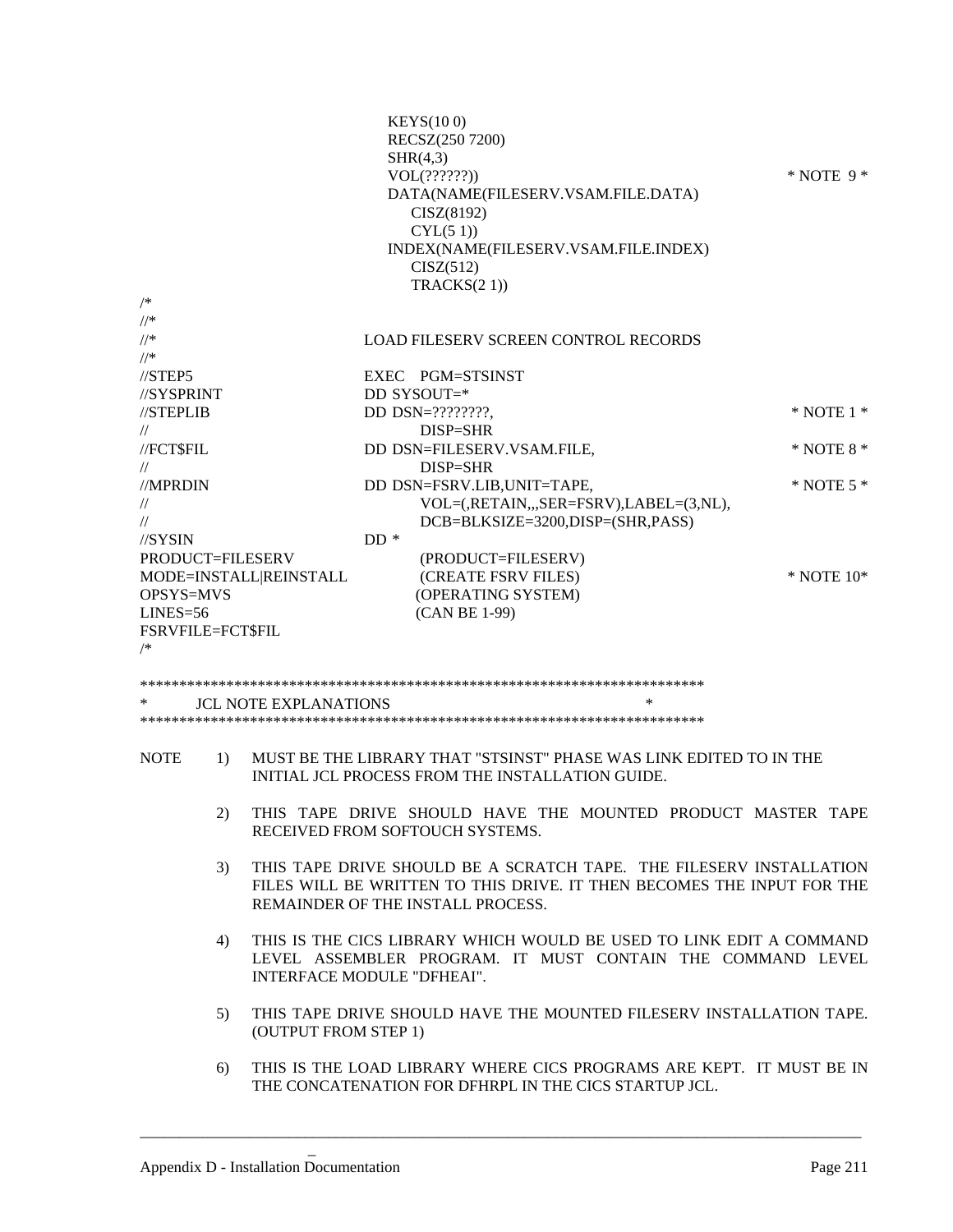|                                                 |                            | SHR(4,3)       | <b>KEYS(100)</b><br>RECSZ(250 7200)                                         |                                                                                                                                               |                 |
|-------------------------------------------------|----------------------------|----------------|-----------------------------------------------------------------------------|-----------------------------------------------------------------------------------------------------------------------------------------------|-----------------|
|                                                 |                            |                | VOL(???????)<br>DATA(NAME(FILESERV.VSAM.FILE.DATA)<br>CISZ(8192)<br>CYL(51) |                                                                                                                                               | $*$ NOTE 9 $*$  |
|                                                 |                            |                | INDEX(NAME(FILESERV.VSAM.FILE.INDEX)<br>CISZ(512)<br>TRACKS(2 1))           |                                                                                                                                               |                 |
| /*                                              |                            |                |                                                                             |                                                                                                                                               |                 |
| $/\!/\ast$<br>$\frac{1}{*}$<br>$/\!/\ast$       |                            |                | <b>LOAD FILESERV SCREEN CONTROL RECORDS</b>                                 |                                                                                                                                               |                 |
| $//$ STEP5<br>//SYSPRINT                        |                            | DD SYSOUT= $*$ | EXEC PGM=STSINST                                                            |                                                                                                                                               |                 |
| //STEPLIB<br>//                                 |                            |                | DD DSN=????????,<br>DISP=SHR                                                |                                                                                                                                               | $*$ NOTE 1 $*$  |
| //FCT\$FIL                                      |                            |                | DD DSN=FILESERV.VSAM.FILE,                                                  |                                                                                                                                               | $*$ NOTE 8 $*$  |
| //                                              |                            |                | DISP=SHR                                                                    |                                                                                                                                               |                 |
| //MPRDIN<br>//                                  |                            |                | DD DSN=FSRV.LIB, UNIT=TAPE,<br>VOL=(,RETAIN,,,SER=FSRV),LABEL=(3,NL),       |                                                                                                                                               | $*$ NOTE 5 $*$  |
| $\frac{1}{2}$                                   |                            |                | DCB=BLKSIZE=3200,DISP=(SHR,PASS)                                            |                                                                                                                                               |                 |
| $\frac{\sqrt{S}YSIN}{S}$                        |                            | $DD *$         |                                                                             |                                                                                                                                               |                 |
| PRODUCT=FILESERV                                | MODE=INSTALL REINSTALL     |                | (PRODUCT=FILESERV)<br>(CREATE FSRV FILES)                                   |                                                                                                                                               | $*$ NOTE 10 $*$ |
| OPSYS=MVS                                       |                            |                | (OPERATING SYSTEM)                                                          |                                                                                                                                               |                 |
| $LINES = 56$<br>FSRVFILE=FCT\$FIL<br>$\prime^*$ |                            |                | (CAN BE 1-99)                                                               |                                                                                                                                               |                 |
|                                                 |                            |                |                                                                             |                                                                                                                                               |                 |
|                                                 | JCL NOTE EXPLANATIONS      |                |                                                                             |                                                                                                                                               |                 |
| <b>NOTE</b><br>1)                               |                            |                | INITIAL JCL PROCESS FROM THE INSTALLATION GUIDE.                            | MUST BE THE LIBRARY THAT "STSINST" PHASE WAS LINK EDITED TO IN THE                                                                            |                 |
| 2)                                              |                            |                | RECEIVED FROM SOFTOUCH SYSTEMS.                                             | THIS TAPE DRIVE SHOULD HAVE THE MOUNTED PRODUCT MASTER TAPE                                                                                   |                 |
| 3)                                              |                            |                | REMAINDER OF THE INSTALL PROCESS.                                           | THIS TAPE DRIVE SHOULD BE A SCRATCH TAPE. THE FILESERV INSTALLATION<br>FILES WILL BE WRITTEN TO THIS DRIVE. IT THEN BECOMES THE INPUT FOR THE |                 |
| 4)                                              | INTERFACE MODULE "DFHEAI". |                |                                                                             | THIS IS THE CICS LIBRARY WHICH WOULD BE USED TO LINK EDIT A COMMAND<br>LEVEL ASSEMBLER PROGRAM. IT MUST CONTAIN THE COMMAND LEVEL             |                 |
| 5)                                              | (OUTPUT FROM STEP 1)       |                |                                                                             | THIS TAPE DRIVE SHOULD HAVE THE MOUNTED FILESERV INSTALLATION TAPE.                                                                           |                 |
| 6)                                              |                            |                | THE CONCATENATION FOR DFHRPL IN THE CICS STARTUP JCL.                       | THIS IS THE LOAD LIBRARY WHERE CICS PROGRAMS ARE KEPT. IT MUST BE IN                                                                          |                 |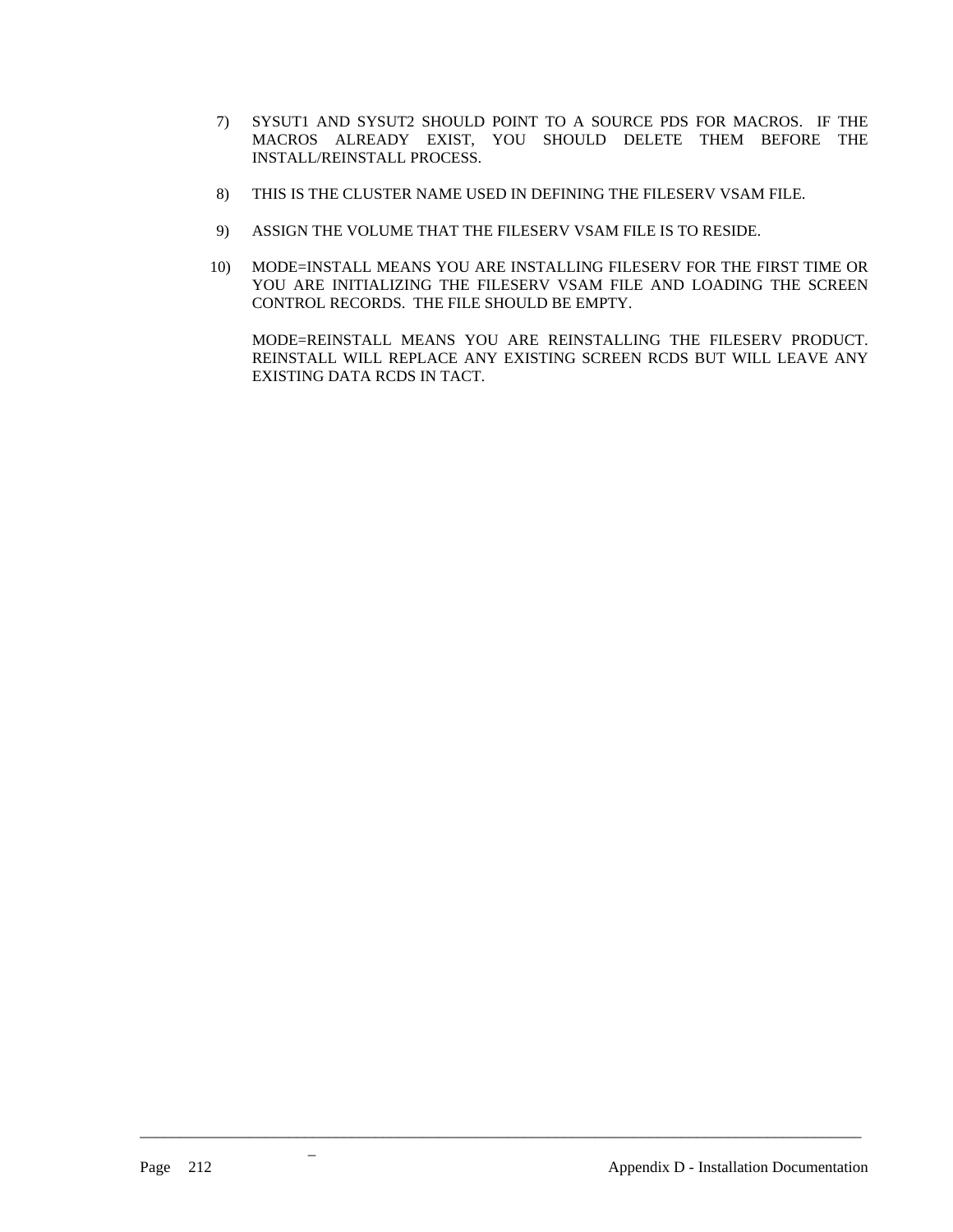- 7) SYSUT1 AND SYSUT2 SHOULD POINT TO A SOURCE PDS FOR MACROS. IF THE MACROS ALREADY EXIST, YOU SHOULD DELETE THEM BEFORE THE INSTALL/REINSTALL PROCESS.
- 8) THIS IS THE CLUSTER NAME USED IN DEFINING THE FILESERV VSAM FILE.
- 9) ASSIGN THE VOLUME THAT THE FILESERV VSAM FILE IS TO RESIDE.

 10) MODE=INSTALL MEANS YOU ARE INSTALLING FILESERV FOR THE FIRST TIME OR YOU ARE INITIALIZING THE FILESERV VSAM FILE AND LOADING THE SCREEN CONTROL RECORDS. THE FILE SHOULD BE EMPTY.

 MODE=REINSTALL MEANS YOU ARE REINSTALLING THE FILESERV PRODUCT. REINSTALL WILL REPLACE ANY EXISTING SCREEN RCDS BUT WILL LEAVE ANY EXISTING DATA RCDS IN TACT.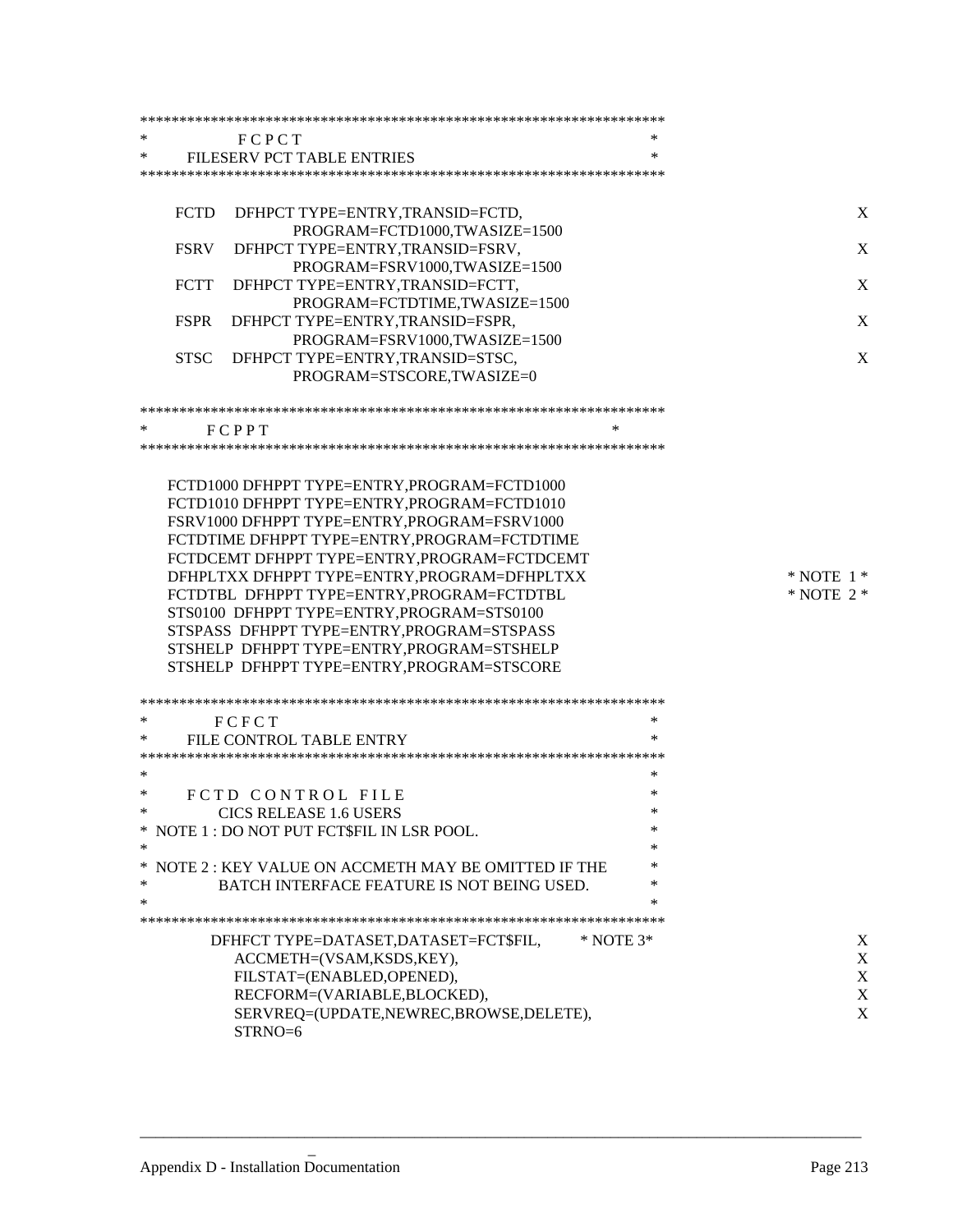| *           | FCPCT                                                             | $\ast$    |                |
|-------------|-------------------------------------------------------------------|-----------|----------------|
| ∗           | FILESERV PCT TABLE ENTRIES                                        | ∗         |                |
|             |                                                                   |           |                |
| <b>FCTD</b> | DFHPCT TYPE=ENTRY, TRANSID=FCTD,<br>PROGRAM=FCTD1000,TWASIZE=1500 |           | X              |
| <b>FSRV</b> | DFHPCT TYPE=ENTRY, TRANSID=FSRV,<br>PROGRAM=FSRV1000,TWASIZE=1500 |           | X              |
| <b>FCTT</b> | DFHPCT TYPE=ENTRY,TRANSID=FCTT,                                   |           | X              |
| <b>FSPR</b> | PROGRAM=FCTDTIME,TWASIZE=1500<br>DFHPCT TYPE=ENTRY, TRANSID=FSPR, |           | X              |
| <b>STSC</b> | PROGRAM=FSRV1000,TWASIZE=1500<br>DFHPCT TYPE=ENTRY,TRANSID=STSC,  |           | X              |
|             | PROGRAM=STSCORE, TWASIZE=0                                        |           |                |
|             |                                                                   |           |                |
|             | ∗<br>$FC$ P P T                                                   |           |                |
|             |                                                                   |           |                |
|             | FCTD1000 DFHPPT TYPE=ENTRY, PROGRAM=FCTD1000                      |           |                |
|             | FCTD1010 DFHPPT TYPE=ENTRY, PROGRAM=FCTD1010                      |           |                |
|             | FSRV1000 DFHPPT TYPE=ENTRY, PROGRAM=FSRV1000                      |           |                |
|             | FCTDTIME DFHPPT TYPE=ENTRY, PROGRAM=FCTDTIME                      |           |                |
|             | FCTDCEMT DFHPPT TYPE=ENTRY, PROGRAM=FCTDCEMT                      |           |                |
|             | DFHPLTXX DFHPPT TYPE=ENTRY, PROGRAM=DFHPLTXX                      |           | $*$ NOTE 1 $*$ |
|             | FCTDTBL DFHPPT TYPE=ENTRY, PROGRAM=FCTDTBL                        |           | $*$ NOTE 2 $*$ |
|             | STS0100 DFHPPT TYPE=ENTRY, PROGRAM=STS0100                        |           |                |
|             | STSPASS DFHPPT TYPE=ENTRY, PROGRAM=STSPASS                        |           |                |
|             | STSHELP DFHPPT TYPE=ENTRY, PROGRAM=STSHELP                        |           |                |
|             | STSHELP DFHPPT TYPE=ENTRY, PROGRAM=STSCORE                        |           |                |
|             |                                                                   |           |                |
| *           | FCFCT                                                             | ∗         |                |
| ∗           | FILE CONTROL TABLE ENTRY                                          | *         |                |
|             |                                                                   |           |                |
| ∗           |                                                                   | ∗         |                |
| *           | <b>FCTD CONTROL FILE</b>                                          | ∗         |                |
| $\ast$      | <b>CICS RELEASE 1.6 USERS</b>                                     | ∗<br>×    |                |
| ∗<br>∗      | NOTE 1 : DO NOT PUT FCT\$FIL IN LSR POOL.                         | ∗         |                |
| ∗           | NOTE 2 : KEY VALUE ON ACCMETH MAY BE OMITTED IF THE               | ∗         |                |
| ∗           | BATCH INTERFACE FEATURE IS NOT BEING USED.                        | ∗         |                |
| ∗           |                                                                   | $^{\ast}$ |                |
|             |                                                                   |           |                |
|             | $*$ NOTE $3*$<br>DFHFCT TYPE=DATASET,DATASET=FCT\$FIL,            |           | X              |
|             | ACCMETH=(VSAM,KSDS,KEY),                                          |           | $\mathbf X$    |
|             | FILSTAT=(ENABLED, OPENED),                                        |           | $\mathbf X$    |
|             | RECFORM=(VARIABLE, BLOCKED),                                      |           | $\mathbf X$    |
|             | SERVREQ=(UPDATE,NEWREC,BROWSE,DELETE),<br>STRNO=6                 |           | $\mathbf X$    |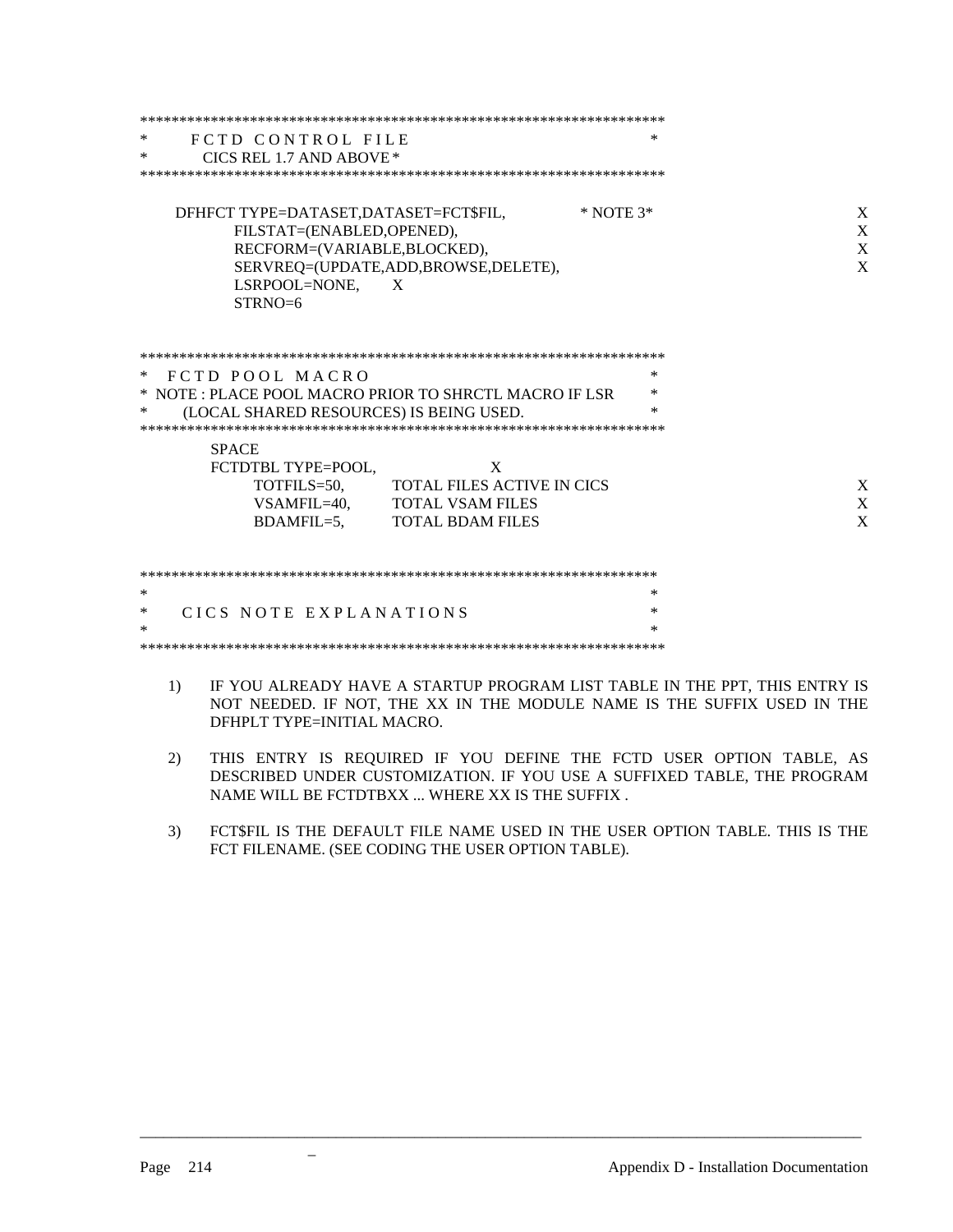| $\ast$<br>FCTD CONTROL FILE                            | $\ast$    |   |
|--------------------------------------------------------|-----------|---|
| CICS REL 1.7 AND ABOVE $*$<br>$\ast$                   |           |   |
|                                                        |           |   |
|                                                        |           |   |
| DFHFCT TYPE=DATASET,DATASET=FCT\$FIL,<br>$*$ NOTE $3*$ |           | X |
| FILSTAT=(ENABLED, OPENED),                             |           | X |
| RECFORM=(VARIABLE, BLOCKED),                           |           | X |
| SERVREQ=(UPDATE,ADD,BROWSE,DELETE),                    |           | X |
| LSRPOOL=NONE, X                                        |           |   |
| $STRNO=6$                                              |           |   |
|                                                        |           |   |
|                                                        |           |   |
|                                                        |           |   |
| $\ast$<br>FCTD POOL MACRO                              | $\ast$    |   |
| * NOTE : PLACE POOL MACRO PRIOR TO SHRCTL MACRO IF LSR | ∗         |   |
| (LOCAL SHARED RESOURCES) IS BEING USED.<br>∗           | $\ast$    |   |
|                                                        |           |   |
| <b>SPACE</b>                                           |           |   |
| FCTDTBL TYPE=POOL,<br>X                                |           |   |
| <b>TOTAL FILES ACTIVE IN CICS</b><br>TOTFILS=50,       |           | X |
| VSAMFIL=40, TOTAL VSAM FILES                           |           | X |
| $BDAMFIL=5$ ,<br><b>TOTAL BDAM FILES</b>               |           | X |
|                                                        |           |   |
|                                                        |           |   |
|                                                        |           |   |
| ∗                                                      | $^{\ast}$ |   |
| CICS NOTE EXPLANATIONS<br>∗                            | $\ast$    |   |
|                                                        |           |   |
|                                                        |           |   |

- IF YOU ALREADY HAVE A STARTUP PROGRAM LIST TABLE IN THE PPT, THIS ENTRY IS  $1)$ NOT NEEDED. IF NOT, THE XX IN THE MODULE NAME IS THE SUFFIX USED IN THE DFHPLT TYPE=INITIAL MACRO.
- THIS ENTRY IS REQUIRED IF YOU DEFINE THE FCTD USER OPTION TABLE, AS 2) DESCRIBED UNDER CUSTOMIZATION. IF YOU USE A SUFFIXED TABLE, THE PROGRAM NAME WILL BE FCTDTBXX ... WHERE XX IS THE SUFFIX .
- FCT\$FIL IS THE DEFAULT FILE NAME USED IN THE USER OPTION TABLE. THIS IS THE  $3)$ FCT FILENAME. (SEE CODING THE USER OPTION TABLE).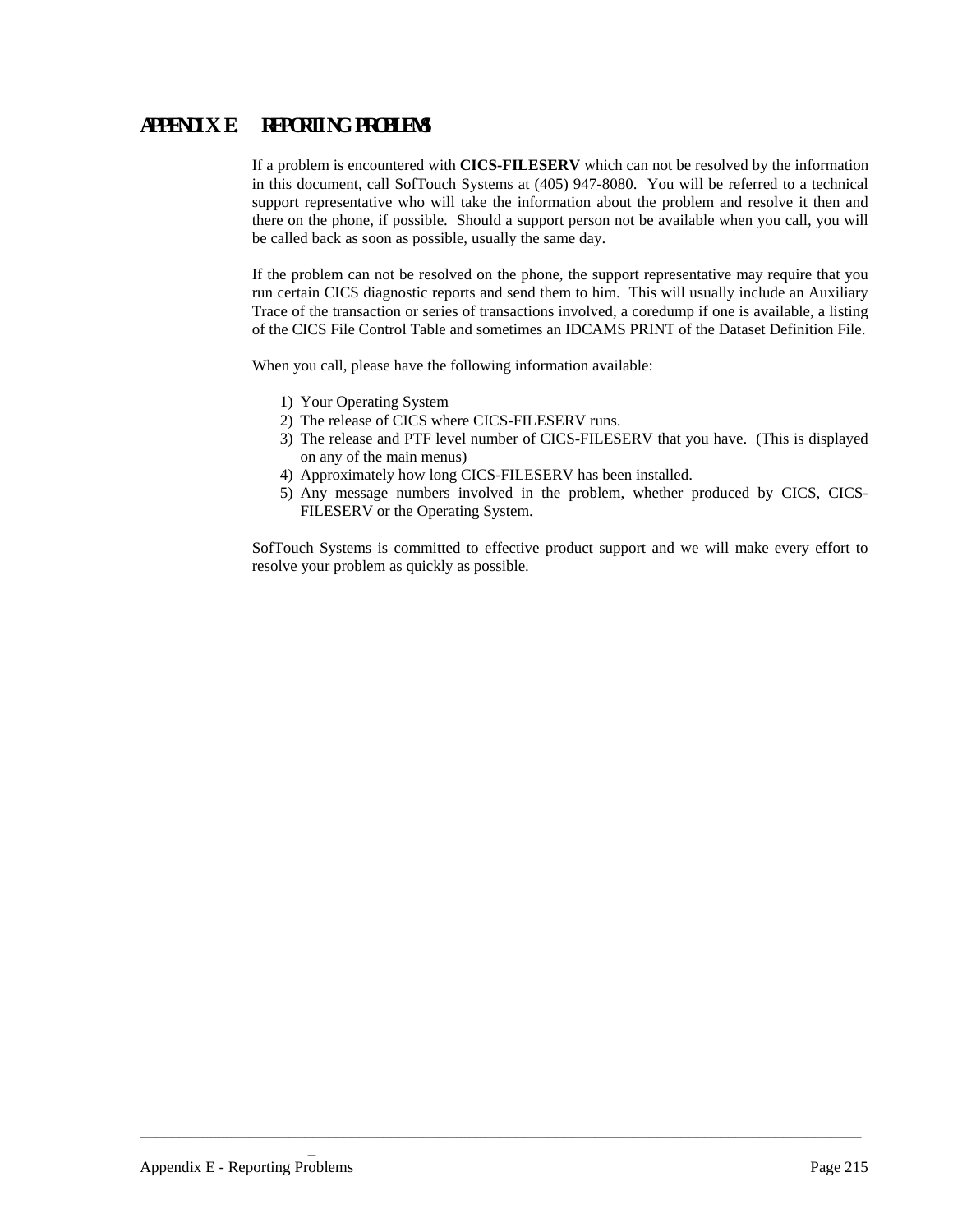#### **APPENDIX E. REPORTING PROBLEMS**

If a problem is encountered with **CICS-FILESERV** which can not be resolved by the information in this document, call SofTouch Systems at (405) 947-8080. You will be referred to a technical support representative who will take the information about the problem and resolve it then and there on the phone, if possible. Should a support person not be available when you call, you will be called back as soon as possible, usually the same day.

If the problem can not be resolved on the phone, the support representative may require that you run certain CICS diagnostic reports and send them to him. This will usually include an Auxiliary Trace of the transaction or series of transactions involved, a coredump if one is available, a listing of the CICS File Control Table and sometimes an IDCAMS PRINT of the Dataset Definition File.

When you call, please have the following information available:

- 1) Your Operating System
- 2) The release of CICS where CICS-FILESERV runs.
- 3) The release and PTF level number of CICS-FILESERV that you have. (This is displayed on any of the main menus)
- 4) Approximately how long CICS-FILESERV has been installed.

\_\_\_\_\_\_\_\_\_\_\_\_\_\_\_\_\_\_\_\_\_\_\_\_\_\_\_\_\_\_\_\_\_\_\_\_\_\_\_\_\_\_\_\_\_\_\_\_\_\_\_\_\_\_\_\_\_\_\_\_\_\_\_\_\_\_\_\_\_\_\_\_\_\_\_\_\_\_\_\_\_\_\_\_\_\_\_\_\_\_\_\_

5) Any message numbers involved in the problem, whether produced by CICS, CICS-FILESERV or the Operating System.

SofTouch Systems is committed to effective product support and we will make every effort to resolve your problem as quickly as possible.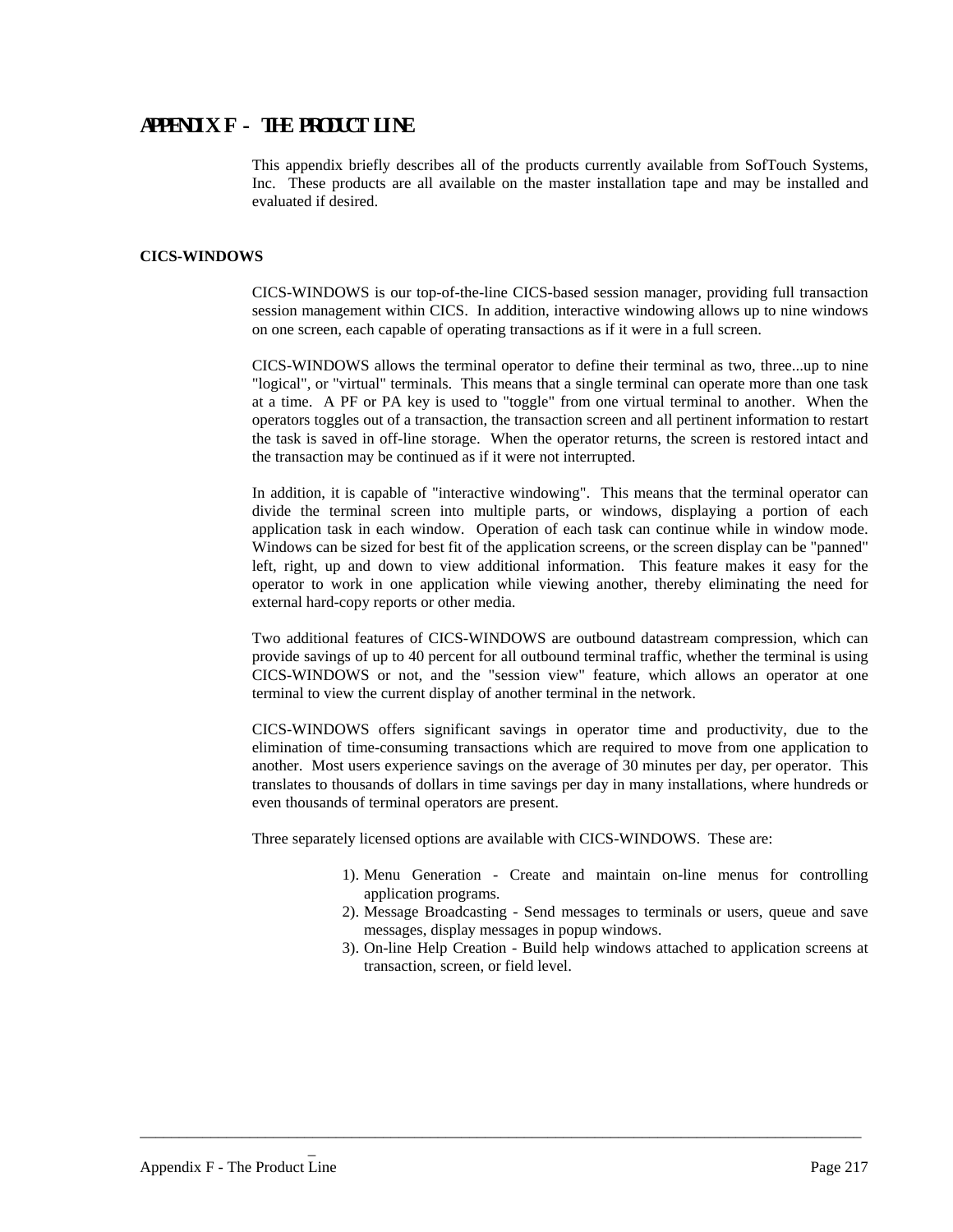#### **APPENDIX F - THE PRODUCT LINE**

This appendix briefly describes all of the products currently available from SofTouch Systems, Inc. These products are all available on the master installation tape and may be installed and evaluated if desired.

#### **CICS-WINDOWS**

CICS-WINDOWS is our top-of-the-line CICS-based session manager, providing full transaction session management within CICS. In addition, interactive windowing allows up to nine windows on one screen, each capable of operating transactions as if it were in a full screen.

CICS-WINDOWS allows the terminal operator to define their terminal as two, three...up to nine "logical", or "virtual" terminals. This means that a single terminal can operate more than one task at a time. A PF or PA key is used to "toggle" from one virtual terminal to another. When the operators toggles out of a transaction, the transaction screen and all pertinent information to restart the task is saved in off-line storage. When the operator returns, the screen is restored intact and the transaction may be continued as if it were not interrupted.

In addition, it is capable of "interactive windowing". This means that the terminal operator can divide the terminal screen into multiple parts, or windows, displaying a portion of each application task in each window. Operation of each task can continue while in window mode. Windows can be sized for best fit of the application screens, or the screen display can be "panned" left, right, up and down to view additional information. This feature makes it easy for the operator to work in one application while viewing another, thereby eliminating the need for external hard-copy reports or other media.

Two additional features of CICS-WINDOWS are outbound datastream compression, which can provide savings of up to 40 percent for all outbound terminal traffic, whether the terminal is using CICS-WINDOWS or not, and the "session view" feature, which allows an operator at one terminal to view the current display of another terminal in the network.

CICS-WINDOWS offers significant savings in operator time and productivity, due to the elimination of time-consuming transactions which are required to move from one application to another. Most users experience savings on the average of 30 minutes per day, per operator. This translates to thousands of dollars in time savings per day in many installations, where hundreds or even thousands of terminal operators are present.

Three separately licensed options are available with CICS-WINDOWS. These are:

\_\_\_\_\_\_\_\_\_\_\_\_\_\_\_\_\_\_\_\_\_\_\_\_\_\_\_\_\_\_\_\_\_\_\_\_\_\_\_\_\_\_\_\_\_\_\_\_\_\_\_\_\_\_\_\_\_\_\_\_\_\_\_\_\_\_\_\_\_\_\_\_\_\_\_\_\_\_\_\_\_\_\_\_\_\_\_\_\_\_\_\_

- 1). Menu Generation Create and maintain on-line menus for controlling application programs.
- 2). Message Broadcasting Send messages to terminals or users, queue and save messages, display messages in popup windows.
- 3). On-line Help Creation Build help windows attached to application screens at transaction, screen, or field level.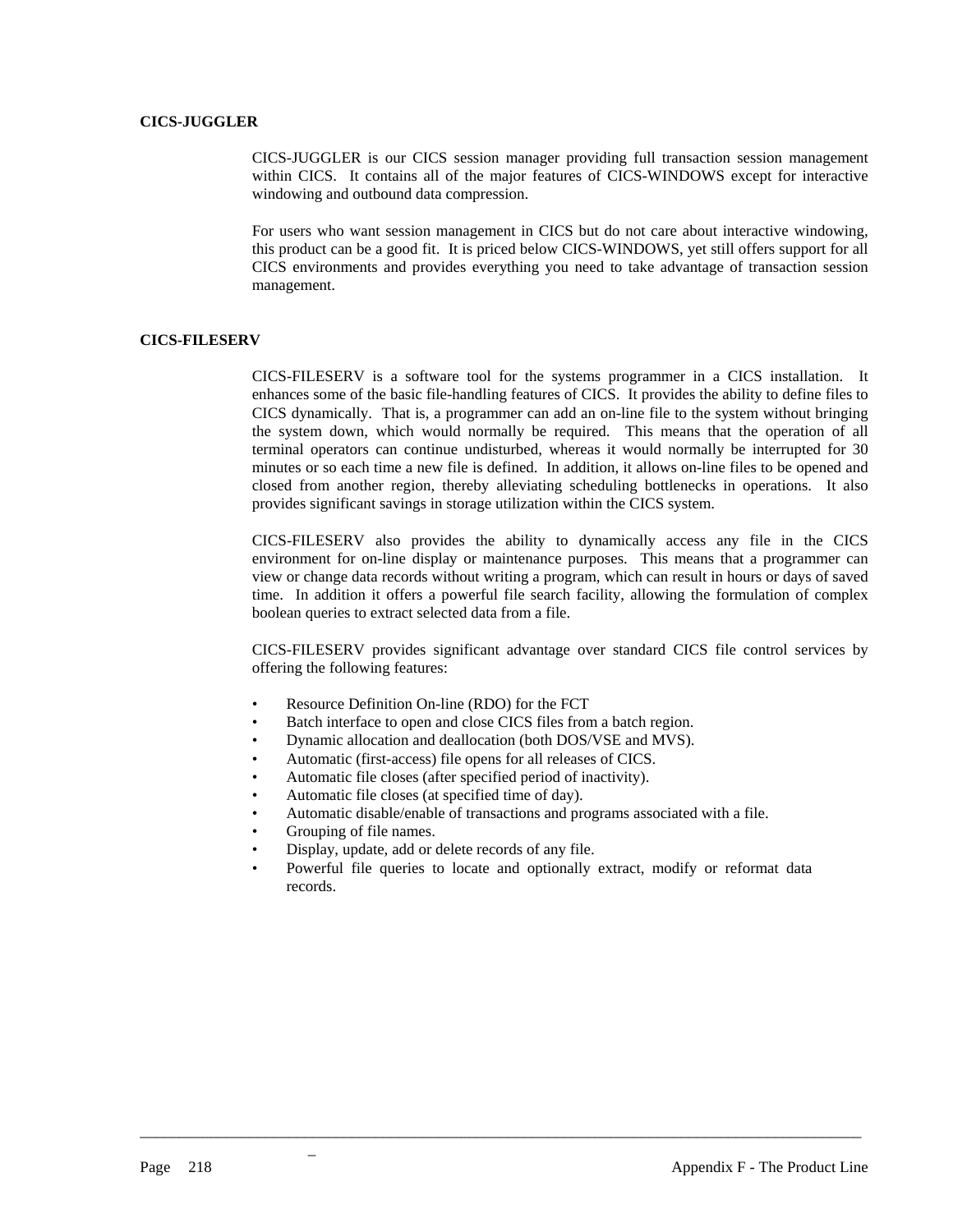#### **CICS-JUGGLER**

CICS-JUGGLER is our CICS session manager providing full transaction session management within CICS. It contains all of the major features of CICS-WINDOWS except for interactive windowing and outbound data compression.

For users who want session management in CICS but do not care about interactive windowing, this product can be a good fit. It is priced below CICS-WINDOWS, yet still offers support for all CICS environments and provides everything you need to take advantage of transaction session management.

#### **CICS-FILESERV**

CICS-FILESERV is a software tool for the systems programmer in a CICS installation. It enhances some of the basic file-handling features of CICS. It provides the ability to define files to CICS dynamically. That is, a programmer can add an on-line file to the system without bringing the system down, which would normally be required. This means that the operation of all terminal operators can continue undisturbed, whereas it would normally be interrupted for 30 minutes or so each time a new file is defined. In addition, it allows on-line files to be opened and closed from another region, thereby alleviating scheduling bottlenecks in operations. It also provides significant savings in storage utilization within the CICS system.

CICS-FILESERV also provides the ability to dynamically access any file in the CICS environment for on-line display or maintenance purposes. This means that a programmer can view or change data records without writing a program, which can result in hours or days of saved time. In addition it offers a powerful file search facility, allowing the formulation of complex boolean queries to extract selected data from a file.

CICS-FILESERV provides significant advantage over standard CICS file control services by offering the following features:

- Resource Definition On-line (RDO) for the FCT
- Batch interface to open and close CICS files from a batch region.
- Dynamic allocation and deallocation (both DOS/VSE and MVS).
- Automatic (first-access) file opens for all releases of CICS.
- Automatic file closes (after specified period of inactivity).
- Automatic file closes (at specified time of day).
- Automatic disable/enable of transactions and programs associated with a file.

\_\_\_\_\_\_\_\_\_\_\_\_\_\_\_\_\_\_\_\_\_\_\_\_\_\_\_\_\_\_\_\_\_\_\_\_\_\_\_\_\_\_\_\_\_\_\_\_\_\_\_\_\_\_\_\_\_\_\_\_\_\_\_\_\_\_\_\_\_\_\_\_\_\_\_\_\_\_\_\_\_\_\_\_\_\_\_\_\_\_\_\_

- Grouping of file names.
- Display, update, add or delete records of any file.
- Powerful file queries to locate and optionally extract, modify or reformat data records.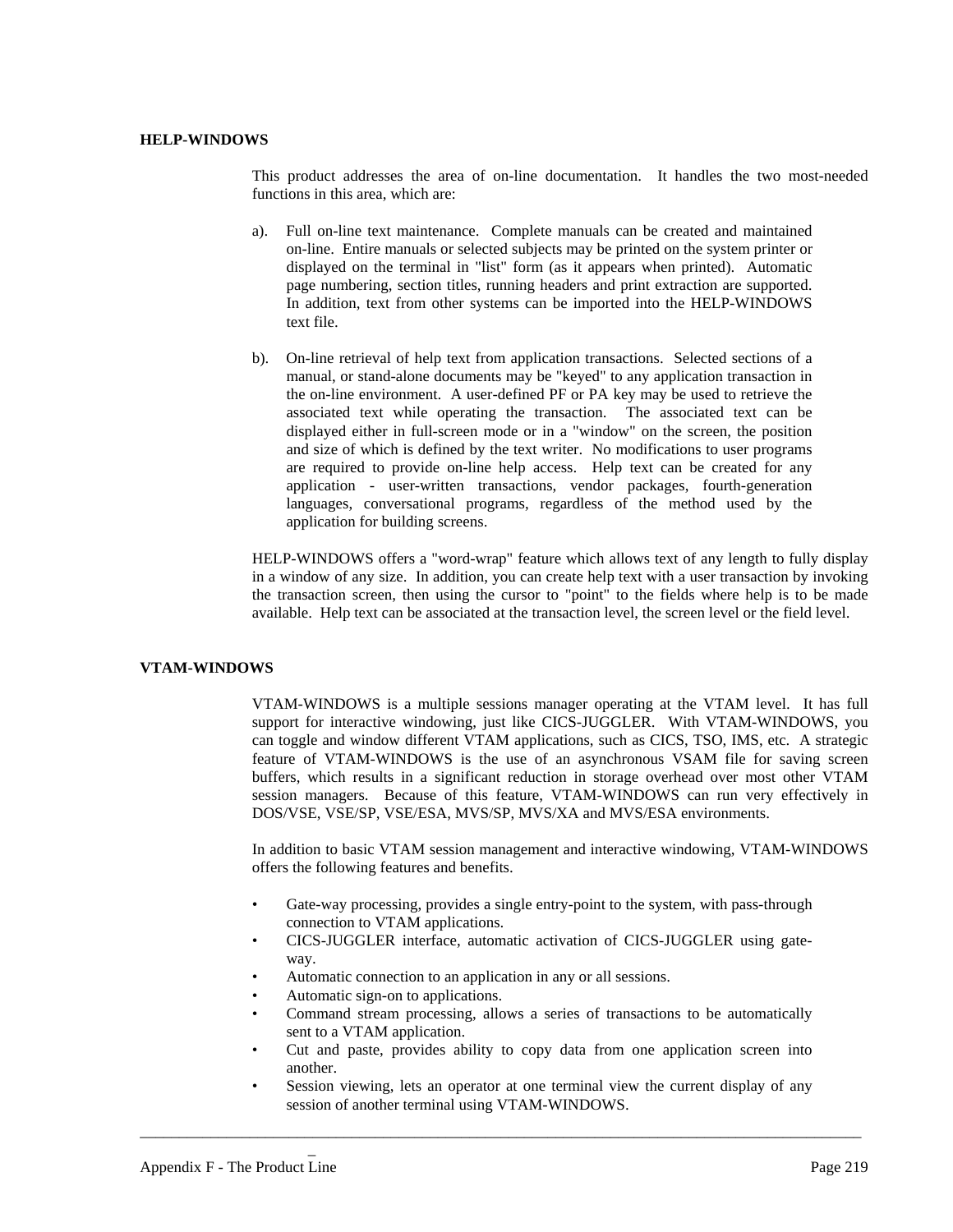#### **HELP-WINDOWS**

This product addresses the area of on-line documentation. It handles the two most-needed functions in this area, which are:

- a). Full on-line text maintenance. Complete manuals can be created and maintained on-line. Entire manuals or selected subjects may be printed on the system printer or displayed on the terminal in "list" form (as it appears when printed). Automatic page numbering, section titles, running headers and print extraction are supported. In addition, text from other systems can be imported into the HELP-WINDOWS text file.
- b). On-line retrieval of help text from application transactions. Selected sections of a manual, or stand-alone documents may be "keyed" to any application transaction in the on-line environment. A user-defined PF or PA key may be used to retrieve the associated text while operating the transaction. The associated text can be displayed either in full-screen mode or in a "window" on the screen, the position and size of which is defined by the text writer. No modifications to user programs are required to provide on-line help access. Help text can be created for any application - user-written transactions, vendor packages, fourth-generation languages, conversational programs, regardless of the method used by the application for building screens.

HELP-WINDOWS offers a "word-wrap" feature which allows text of any length to fully display in a window of any size. In addition, you can create help text with a user transaction by invoking the transaction screen, then using the cursor to "point" to the fields where help is to be made available. Help text can be associated at the transaction level, the screen level or the field level.

#### **VTAM-WINDOWS**

VTAM-WINDOWS is a multiple sessions manager operating at the VTAM level. It has full support for interactive windowing, just like CICS-JUGGLER. With VTAM-WINDOWS, you can toggle and window different VTAM applications, such as CICS, TSO, IMS, etc. A strategic feature of VTAM-WINDOWS is the use of an asynchronous VSAM file for saving screen buffers, which results in a significant reduction in storage overhead over most other VTAM session managers. Because of this feature, VTAM-WINDOWS can run very effectively in DOS/VSE, VSE/SP, VSE/ESA, MVS/SP, MVS/XA and MVS/ESA environments.

In addition to basic VTAM session management and interactive windowing, VTAM-WINDOWS offers the following features and benefits.

- Gate-way processing, provides a single entry-point to the system, with pass-through connection to VTAM applications.
- CICS-JUGGLER interface, automatic activation of CICS-JUGGLER using gateway.
- Automatic connection to an application in any or all sessions.
- Automatic sign-on to applications.
- Command stream processing, allows a series of transactions to be automatically sent to a VTAM application.
- Cut and paste, provides ability to copy data from one application screen into another.
- Session viewing, lets an operator at one terminal view the current display of any session of another terminal using VTAM-WINDOWS.

\_\_\_\_\_\_\_\_\_\_\_\_\_\_\_\_\_\_\_\_\_\_\_\_\_\_\_\_\_\_\_\_\_\_\_\_\_\_\_\_\_\_\_\_\_\_\_\_\_\_\_\_\_\_\_\_\_\_\_\_\_\_\_\_\_\_\_\_\_\_\_\_\_\_\_\_\_\_\_\_\_\_\_\_\_\_\_\_\_\_\_\_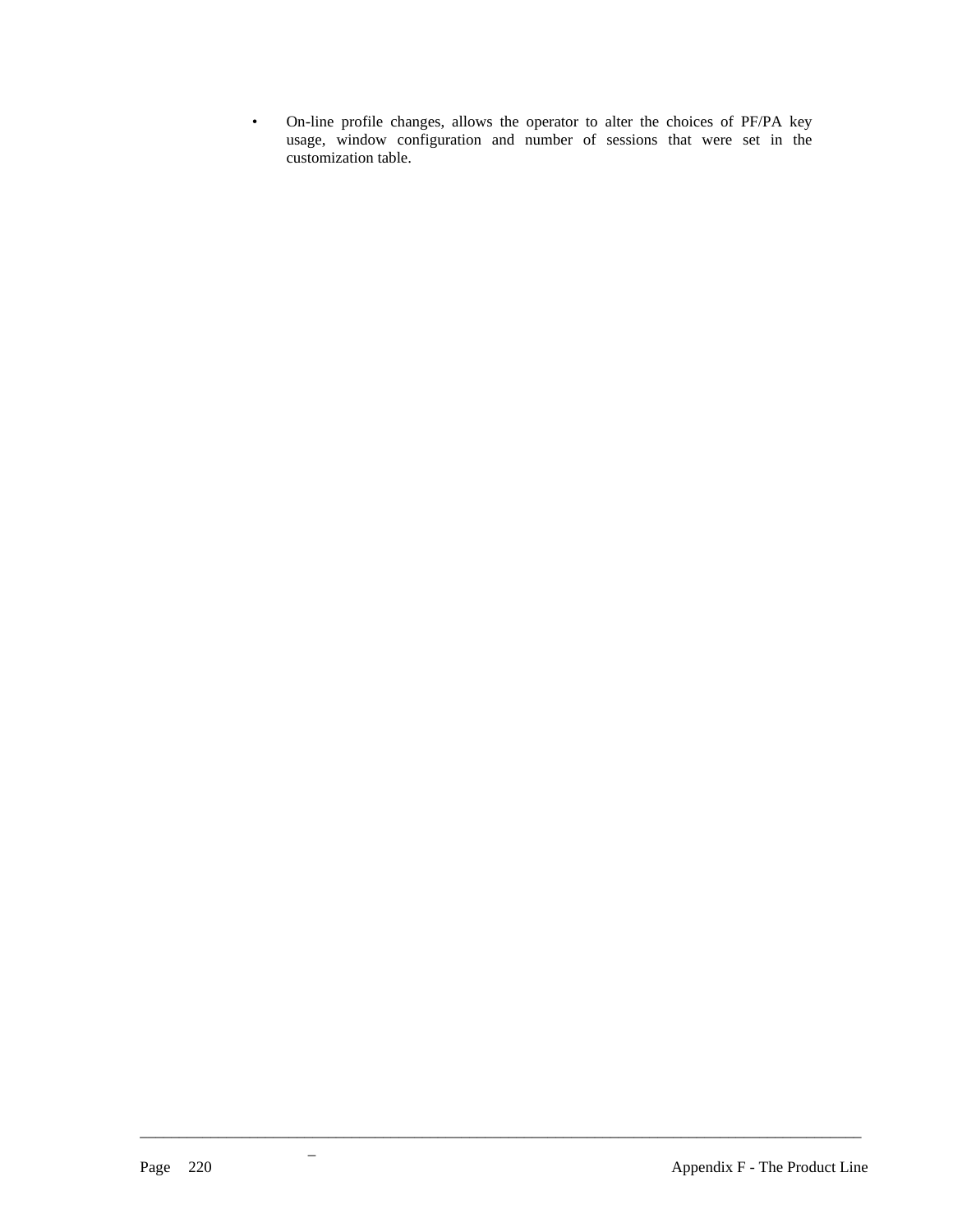• On-line profile changes, allows the operator to alter the choices of PF/PA key usage, window configuration and number of sessions that were set in the customization table.

\_\_\_\_\_\_\_\_\_\_\_\_\_\_\_\_\_\_\_\_\_\_\_\_\_\_\_\_\_\_\_\_\_\_\_\_\_\_\_\_\_\_\_\_\_\_\_\_\_\_\_\_\_\_\_\_\_\_\_\_\_\_\_\_\_\_\_\_\_\_\_\_\_\_\_\_\_\_\_\_\_\_\_\_\_\_\_\_\_\_\_\_

\_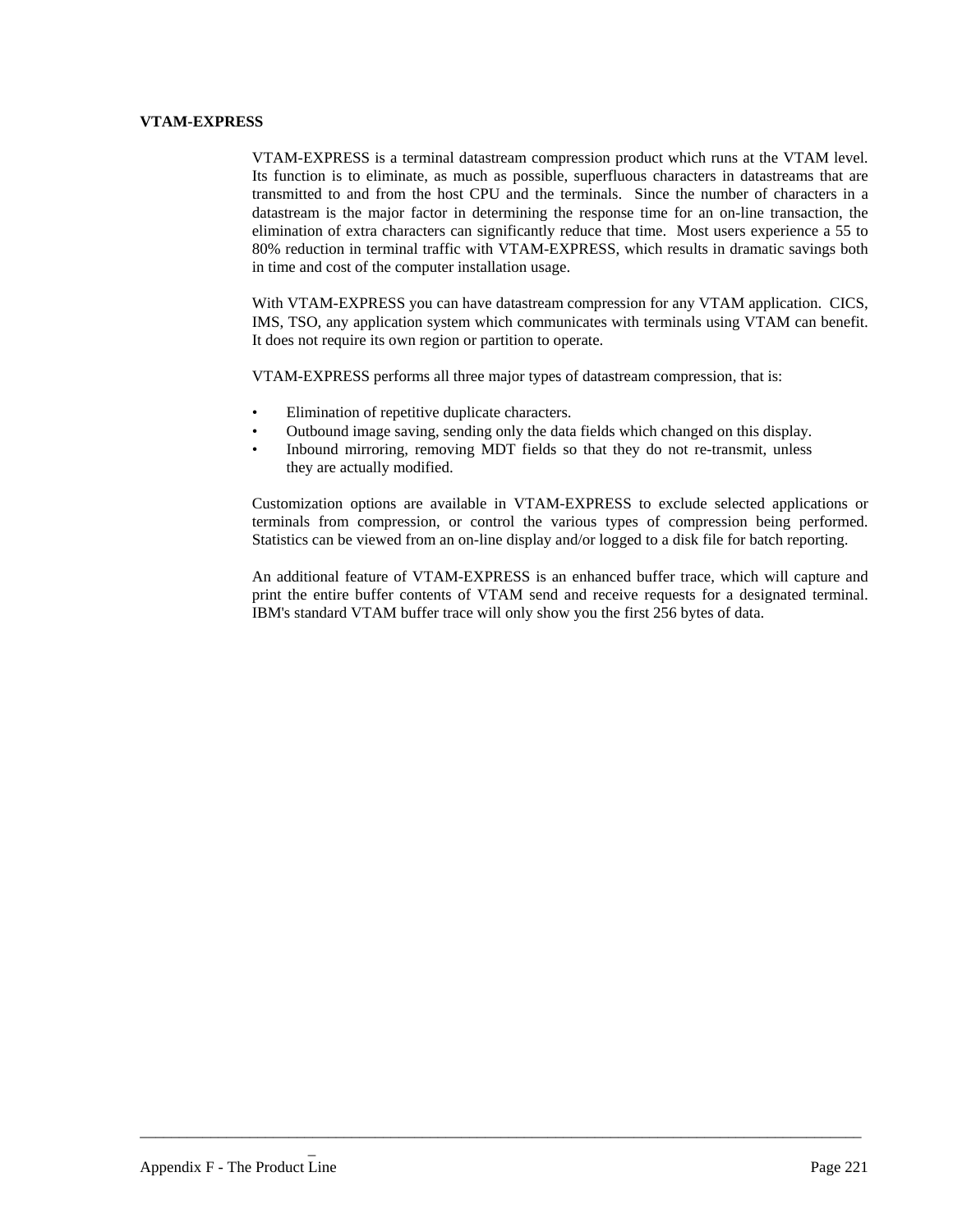#### **VTAM-EXPRESS**

VTAM-EXPRESS is a terminal datastream compression product which runs at the VTAM level. Its function is to eliminate, as much as possible, superfluous characters in datastreams that are transmitted to and from the host CPU and the terminals. Since the number of characters in a datastream is the major factor in determining the response time for an on-line transaction, the elimination of extra characters can significantly reduce that time. Most users experience a 55 to 80% reduction in terminal traffic with VTAM-EXPRESS, which results in dramatic savings both in time and cost of the computer installation usage.

With VTAM-EXPRESS you can have datastream compression for any VTAM application. CICS, IMS, TSO, any application system which communicates with terminals using VTAM can benefit. It does not require its own region or partition to operate.

VTAM-EXPRESS performs all three major types of datastream compression, that is:

- Elimination of repetitive duplicate characters.
- Outbound image saving, sending only the data fields which changed on this display.
- Inbound mirroring, removing MDT fields so that they do not re-transmit, unless they are actually modified.

\_\_\_\_\_\_\_\_\_\_\_\_\_\_\_\_\_\_\_\_\_\_\_\_\_\_\_\_\_\_\_\_\_\_\_\_\_\_\_\_\_\_\_\_\_\_\_\_\_\_\_\_\_\_\_\_\_\_\_\_\_\_\_\_\_\_\_\_\_\_\_\_\_\_\_\_\_\_\_\_\_\_\_\_\_\_\_\_\_\_\_\_

Customization options are available in VTAM-EXPRESS to exclude selected applications or terminals from compression, or control the various types of compression being performed. Statistics can be viewed from an on-line display and/or logged to a disk file for batch reporting.

An additional feature of VTAM-EXPRESS is an enhanced buffer trace, which will capture and print the entire buffer contents of VTAM send and receive requests for a designated terminal. IBM's standard VTAM buffer trace will only show you the first 256 bytes of data.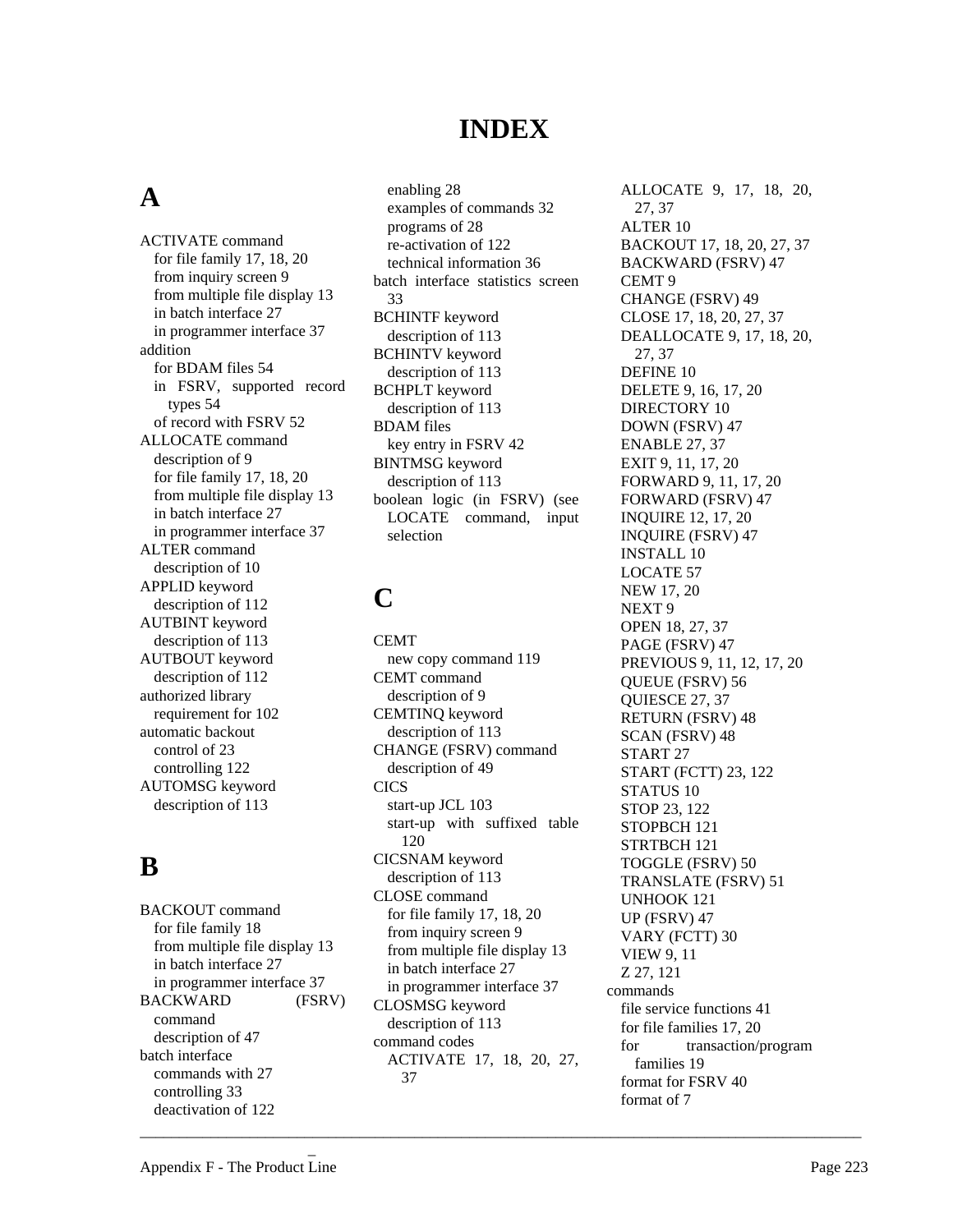#### **INDEX**

## **A**

ACTIVATE command for file family 17, 18, 20 from inquiry screen 9 from multiple file display 13 in batch interface 27 in programmer interface 37 addition for BDAM files 54 in FSRV, supported record types 54 of record with FSRV 52 ALLOCATE command description of 9 for file family 17, 18, 20 from multiple file display 13 in batch interface 27 in programmer interface 37 ALTER command description of 10 APPLID keyword description of 112 AUTBINT keyword description of 113 AUTBOUT keyword description of 112 authorized library requirement for 102 automatic backout control of 23 controlling 122 AUTOMSG keyword description of 113

### **B**

BACKOUT command for file family 18 from multiple file display 13 in batch interface 27 in programmer interface 37 BACKWARD (FSRV) command description of 47 batch interface commands with 27 controlling 33 deactivation of 122

enabling 28 examples of commands 32 programs of 28 re-activation of 122 technical information 36 batch interface statistics screen 33 BCHINTF keyword description of 113 BCHINTV keyword description of 113 BCHPLT keyword description of 113 BDAM files key entry in FSRV 42 BINTMSG keyword description of 113 boolean logic (in FSRV) (see LOCATE command, input selection

### **C**

**CEMT** new copy command 119 CEMT command description of 9 CEMTINQ keyword description of 113 CHANGE (FSRV) command description of 49 CICS start-up JCL 103 start-up with suffixed table 120 CICSNAM keyword description of 113 CLOSE command for file family 17, 18, 20 from inquiry screen 9 from multiple file display 13 in batch interface 27 in programmer interface 37 CLOSMSG keyword description of 113 command codes ACTIVATE 17, 18, 20, 27, 37

\_\_\_\_\_\_\_\_\_\_\_\_\_\_\_\_\_\_\_\_\_\_\_\_\_\_\_\_\_\_\_\_\_\_\_\_\_\_\_\_\_\_\_\_\_\_\_\_\_\_\_\_\_\_\_\_\_\_\_\_\_\_\_\_\_\_\_\_\_\_\_\_\_\_\_\_\_\_\_\_\_\_\_\_\_\_\_\_\_\_\_\_

ALLOCATE 9, 17, 18, 20, 27, 37 ALTER 10 BACKOUT 17, 18, 20, 27, 37 BACKWARD (FSRV) 47 CEMT 9 CHANGE (FSRV) 49 CLOSE 17, 18, 20, 27, 37 DEALLOCATE 9, 17, 18, 20, 27, 37 DEFINE 10 DELETE 9, 16, 17, 20 DIRECTORY 10 DOWN (FSRV) 47 ENABLE 27, 37 EXIT 9, 11, 17, 20 FORWARD 9, 11, 17, 20 FORWARD (FSRV) 47 INQUIRE 12, 17, 20 INQUIRE (FSRV) 47 INSTALL 10 LOCATE 57 NEW 17, 20 NEXT 9 OPEN 18, 27, 37 PAGE (FSRV) 47 PREVIOUS 9, 11, 12, 17, 20 QUEUE (FSRV) 56 QUIESCE 27, 37 RETURN (FSRV) 48 SCAN (FSRV) 48 START 27 START (FCTT) 23, 122 STATUS 10 STOP 23, 122 STOPBCH 121 STRTBCH 121 TOGGLE (FSRV) 50 TRANSLATE (FSRV) 51 UNHOOK 121 UP (FSRV) 47 VARY (FCTT) 30 VIEW 9, 11 Z 27, 121 commands file service functions 41 for file families 17, 20 for transaction/program families 19 format for FSRV 40 format of 7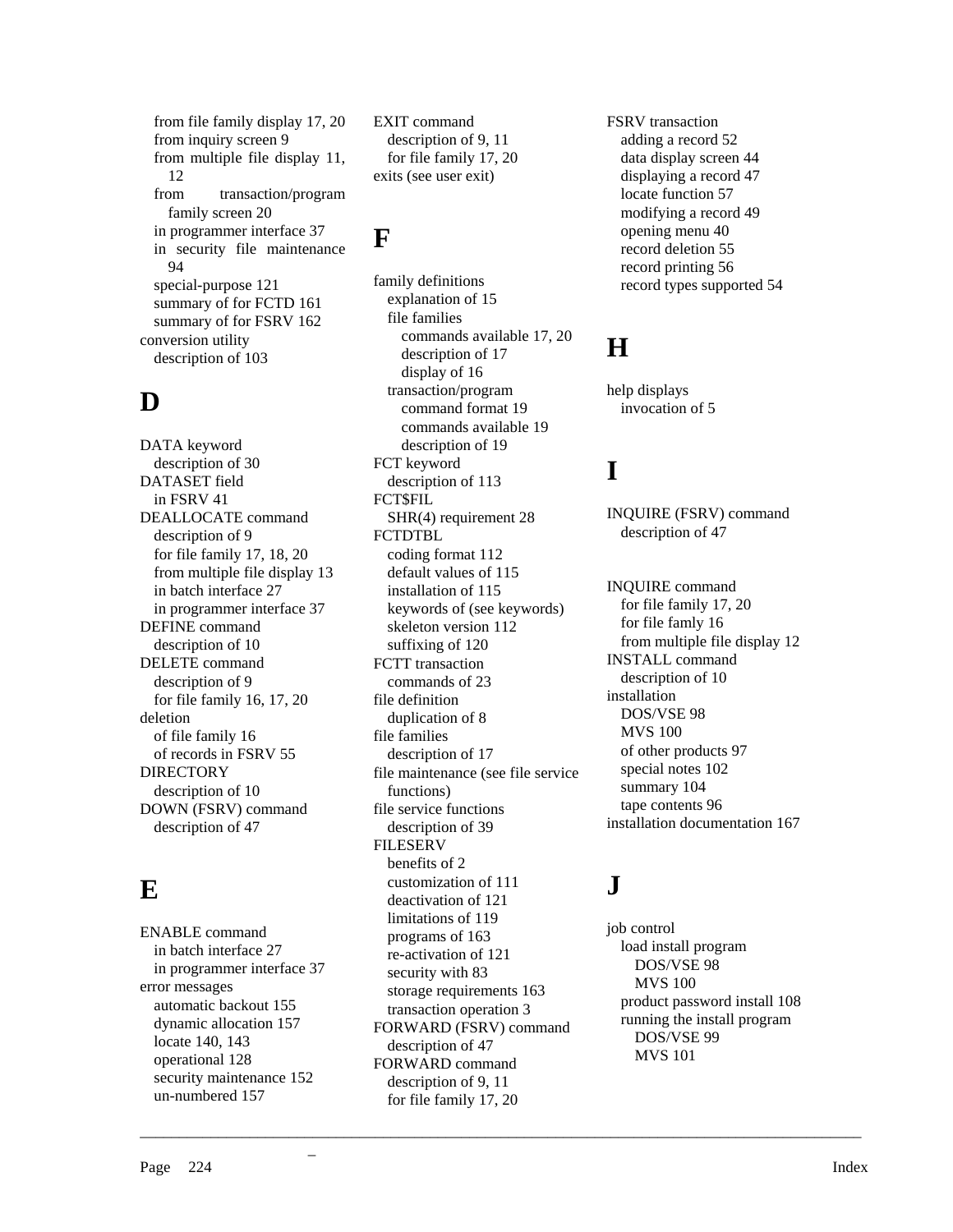from file family display 17, 20 from inquiry screen 9 from multiple file display 11, 12 from transaction/program family screen 20 in programmer interface 37 in security file maintenance 94 special-purpose 121 summary of for FCTD 161 summary of for FSRV 162 conversion utility description of 103

### **D**

DATA keyword description of 30 DATASET field in FSRV 41 DEALLOCATE command description of 9 for file family 17, 18, 20 from multiple file display 13 in batch interface 27 in programmer interface 37 DEFINE command description of 10 DELETE command description of 9 for file family 16, 17, 20 deletion of file family 16 of records in FSRV 55 **DIRECTORY** description of 10 DOWN (FSRV) command description of 47

#### **E**

ENABLE command in batch interface 27 in programmer interface 37 error messages automatic backout 155 dynamic allocation 157 locate 140, 143 operational 128 security maintenance 152 un-numbered 157

 $\overline{a}$ 

EXIT command description of 9, 11 for file family 17, 20 exits (see user exit)

## **F**

family definitions explanation of 15 file families commands available 17, 20 description of 17 display of 16 transaction/program command format 19 commands available 19 description of 19 FCT keyword description of 113 FCT\$FIL SHR(4) requirement 28 **FCTDTBL** coding format 112 default values of 115 installation of 115 keywords of (see keywords) skeleton version 112 suffixing of 120 FCTT transaction commands of 23 file definition duplication of 8 file families description of 17 file maintenance (see file service functions) file service functions description of 39 FILESERV benefits of 2 customization of 111 deactivation of 121 limitations of 119 programs of 163 re-activation of 121 security with 83 storage requirements 163 transaction operation 3 FORWARD (FSRV) command description of 47 FORWARD command description of 9, 11

\_\_\_\_\_\_\_\_\_\_\_\_\_\_\_\_\_\_\_\_\_\_\_\_\_\_\_\_\_\_\_\_\_\_\_\_\_\_\_\_\_\_\_\_\_\_\_\_\_\_\_\_\_\_\_\_\_\_\_\_\_\_\_\_\_\_\_\_\_\_\_\_\_\_\_\_\_\_\_\_\_\_\_\_\_\_\_\_\_\_\_\_

for file family 17, 20

FSRV transaction adding a record 52 data display screen 44 displaying a record 47 locate function 57 modifying a record 49 opening menu 40 record deletion 55 record printing 56 record types supported 54

# **H**

help displays invocation of 5

## **I**

INQUIRE (FSRV) command description of 47

INQUIRE command for file family 17, 20 for file famly 16 from multiple file display 12 INSTALL command description of 10 installation DOS/VSE 98 MVS 100 of other products 97 special notes 102 summary 104 tape contents 96 installation documentation 167

#### **J**

job control load install program DOS/VSE 98 MVS 100 product password install 108 running the install program DOS/VSE 99 MVS 101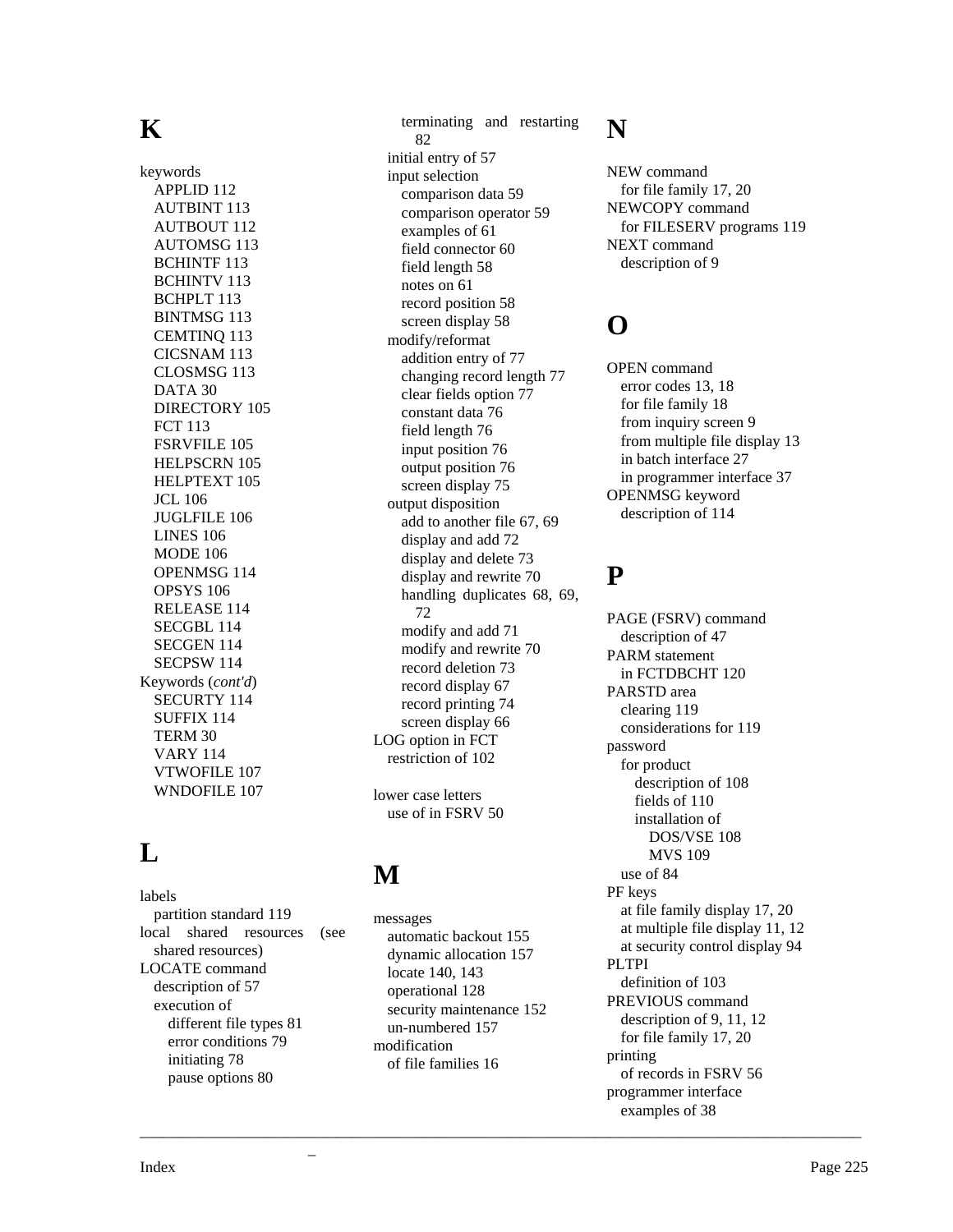# **K**

keywords APPLID 112 AUTBINT 113 AUTBOUT 112 AUTOMSG 113 BCHINTF 113 BCHINTV 113 BCHPLT 113 BINTMSG 113 CEMTINQ 113 CICSNAM 113 CLOSMSG 113 DATA 30 DIRECTORY 105 FCT 113 FSRVFILE 105 HELPSCRN 105 HELPTEXT 105 JCL 106 JUGLFILE 106 LINES 106 MODE 106 OPENMSG 114 OPSYS 106 RELEASE 114 SECGBL 114 SECGEN 114 SECPSW 114 Keywords (*cont'd*) SECURTY 114 SUFFIX 114 TERM 30 VARY 114 VTWOFILE 107 WNDOFILE 107

# $\mathbf{L}$

labels partition standard 119 local shared resources (see shared resources) LOCATE command description of 57 execution of different file types 81 error conditions 79 initiating 78 pause options 80

 $\overline{a}$ 

terminating and restarting 82 initial entry of 57 input selection comparison data 59 comparison operator 59 examples of 61 field connector 60 field length 58 notes on 61 record position 58 screen display 58 modify/reformat addition entry of 77 changing record length 77 clear fields option 77 constant data 76 field length 76 input position 76 output position 76 screen display 75 output disposition add to another file 67, 69 display and add 72 display and delete 73 display and rewrite 70 handling duplicates 68, 69, 72 modify and add 71 modify and rewrite 70 record deletion 73 record display 67 record printing 74 screen display 66 LOG option in FCT restriction of 102

lower case letters use of in FSRV 50

## **M**

messages automatic backout 155 dynamic allocation 157 locate 140, 143 operational 128 security maintenance 152 un-numbered 157 modification of file families 16

\_\_\_\_\_\_\_\_\_\_\_\_\_\_\_\_\_\_\_\_\_\_\_\_\_\_\_\_\_\_\_\_\_\_\_\_\_\_\_\_\_\_\_\_\_\_\_\_\_\_\_\_\_\_\_\_\_\_\_\_\_\_\_\_\_\_\_\_\_\_\_\_\_\_\_\_\_\_\_\_\_\_\_\_\_\_\_\_\_\_\_\_

#### **N**

NEW command for file family 17, 20 NEWCOPY command for FILESERV programs 119 NEXT command description of 9

## **O**

OPEN command error codes 13, 18 for file family 18 from inquiry screen 9 from multiple file display 13 in batch interface 27 in programmer interface 37 OPENMSG keyword description of 114

## **P**

PAGE (FSRV) command description of 47 PARM statement in FCTDBCHT 120 PARSTD area clearing 119 considerations for 119 password for product description of 108 fields of 110 installation of DOS/VSE 108 MVS 109 use of 84 PF keys at file family display 17, 20 at multiple file display 11, 12 at security control display 94 **PLTPI** definition of 103 PREVIOUS command description of 9, 11, 12 for file family 17, 20 printing of records in FSRV 56 programmer interface examples of 38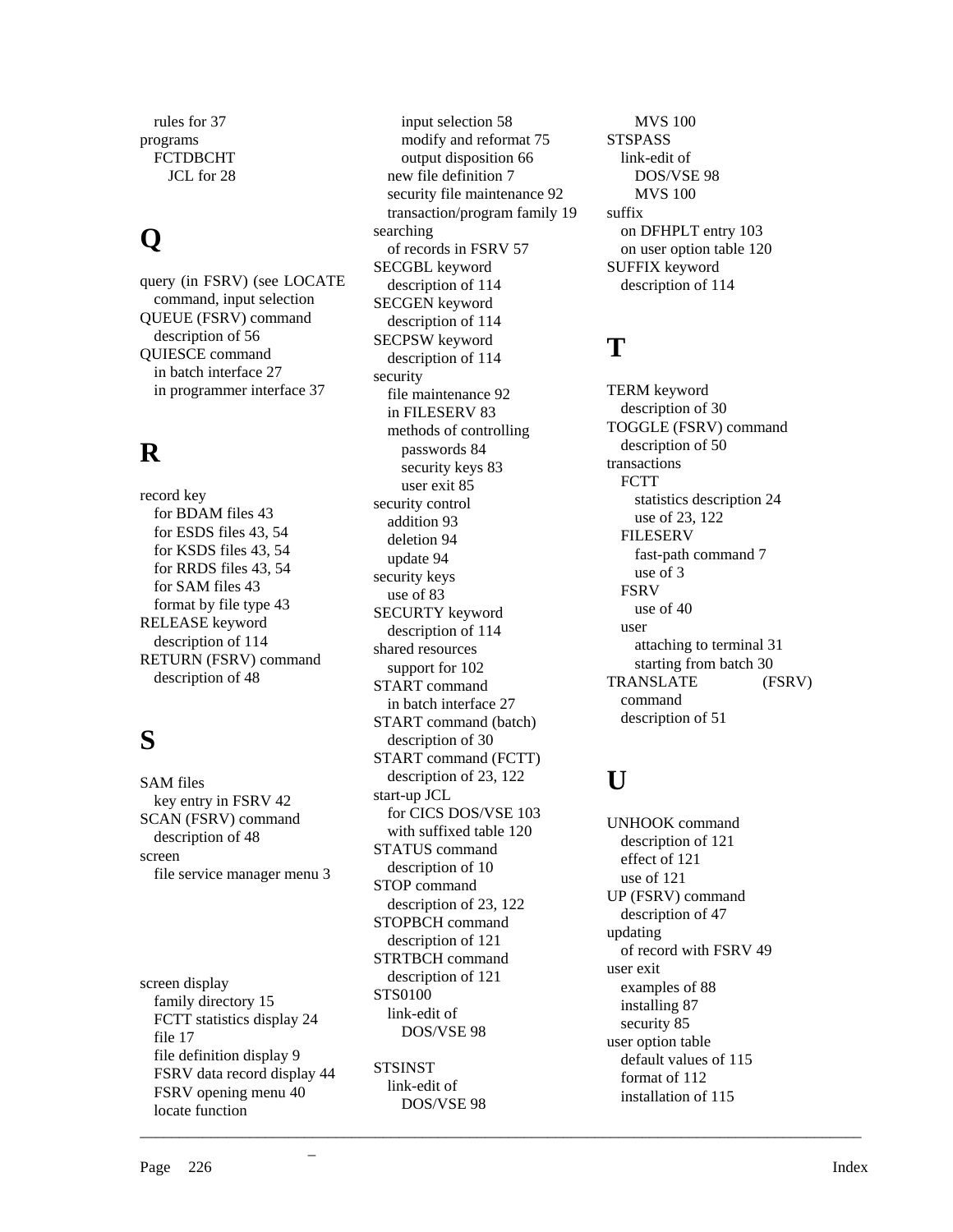rules for 37 programs FCTDBCHT JCL for 28

# **Q**

query (in FSRV) (see LOCATE command, input selection QUEUE (FSRV) command description of 56 QUIESCE command in batch interface 27 in programmer interface 37

## **R**

record key for BDAM files 43 for ESDS files 43, 54 for KSDS files 43, 54 for RRDS files 43, 54 for SAM files 43 format by file type 43 RELEASE keyword description of 114 RETURN (FSRV) command description of 48

# **S**

SAM files key entry in FSRV 42 SCAN (FSRV) command description of 48 screen file service manager menu 3

screen display family directory 15 FCTT statistics display 24 file 17 file definition display 9 FSRV data record display 44 FSRV opening menu 40 locate function

 $\overline{a}$ 

input selection 58 modify and reformat 75 output disposition 66 new file definition 7 security file maintenance 92 transaction/program family 19 searching of records in FSRV 57 SECGBL keyword description of 114 SECGEN keyword description of 114 SECPSW keyword description of 114 security file maintenance 92 in FILESERV 83 methods of controlling passwords 84 security keys 83 user exit 85 security control addition 93 deletion 94 update 94 security keys use of 83 SECURTY keyword description of 114 shared resources support for 102 START command in batch interface 27 START command (batch) description of 30 START command (FCTT) description of 23, 122 start-up JCL for CICS DOS/VSE 103 with suffixed table 120 STATUS command description of 10 STOP command description of 23, 122 STOPBCH command description of 121 STRTBCH command description of 121 STS0100 link-edit of DOS/VSE 98 **STSINST** 

link-edit of DOS/VSE 98

\_\_\_\_\_\_\_\_\_\_\_\_\_\_\_\_\_\_\_\_\_\_\_\_\_\_\_\_\_\_\_\_\_\_\_\_\_\_\_\_\_\_\_\_\_\_\_\_\_\_\_\_\_\_\_\_\_\_\_\_\_\_\_\_\_\_\_\_\_\_\_\_\_\_\_\_\_\_\_\_\_\_\_\_\_\_\_\_\_\_\_\_

MVS 100 **STSPASS** link-edit of DOS/VSE 98 MVS 100 suffix on DFHPLT entry 103 on user option table 120 SUFFIX keyword description of 114

## **T**

TERM keyword description of 30 TOGGLE (FSRV) command description of 50 transactions FCTT statistics description 24 use of 23, 122 FILESERV fast-path command 7 use of 3 FSRV use of 40 user attaching to terminal 31 starting from batch 30 TRANSLATE (FSRV) command description of 51

## **U**

UNHOOK command description of 121 effect of 121 use of 121 UP (FSRV) command description of 47 updating of record with FSRV 49 user exit examples of 88 installing 87 security 85 user option table default values of 115 format of 112 installation of 115